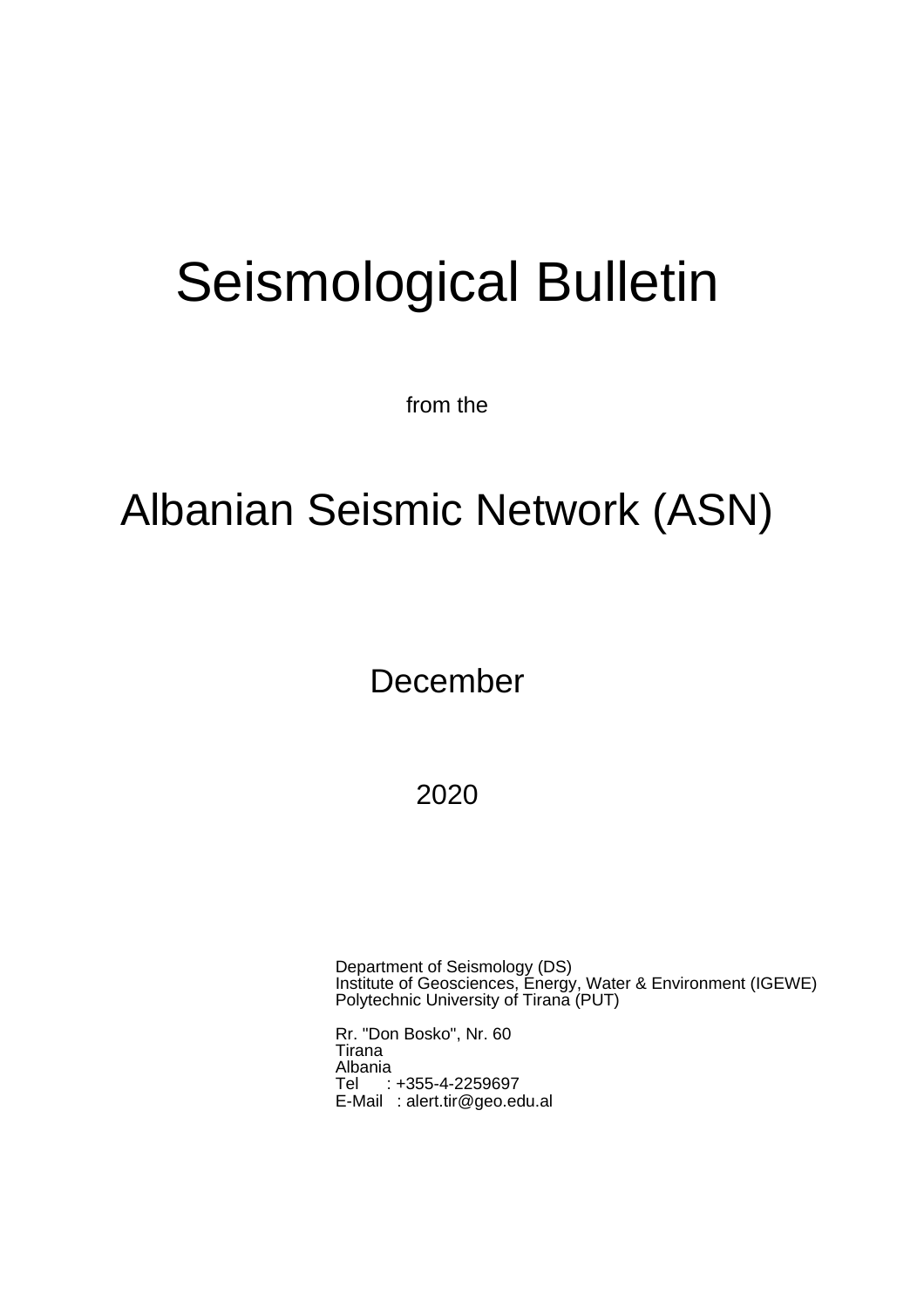# Seismological Bulletin

from the

# Albanian Seismic Network (ASN)

December

2020

Department of Seismology (DS) Institute of Geosciences, Energy, Water & Environment (IGEWE) Polytechnic University of Tirana (PUT)

Rr. "Don Bosko", Nr. 60 Tirana Albania Tel : +355-4-2259697 E-Mail : alert.tir@geo.edu.al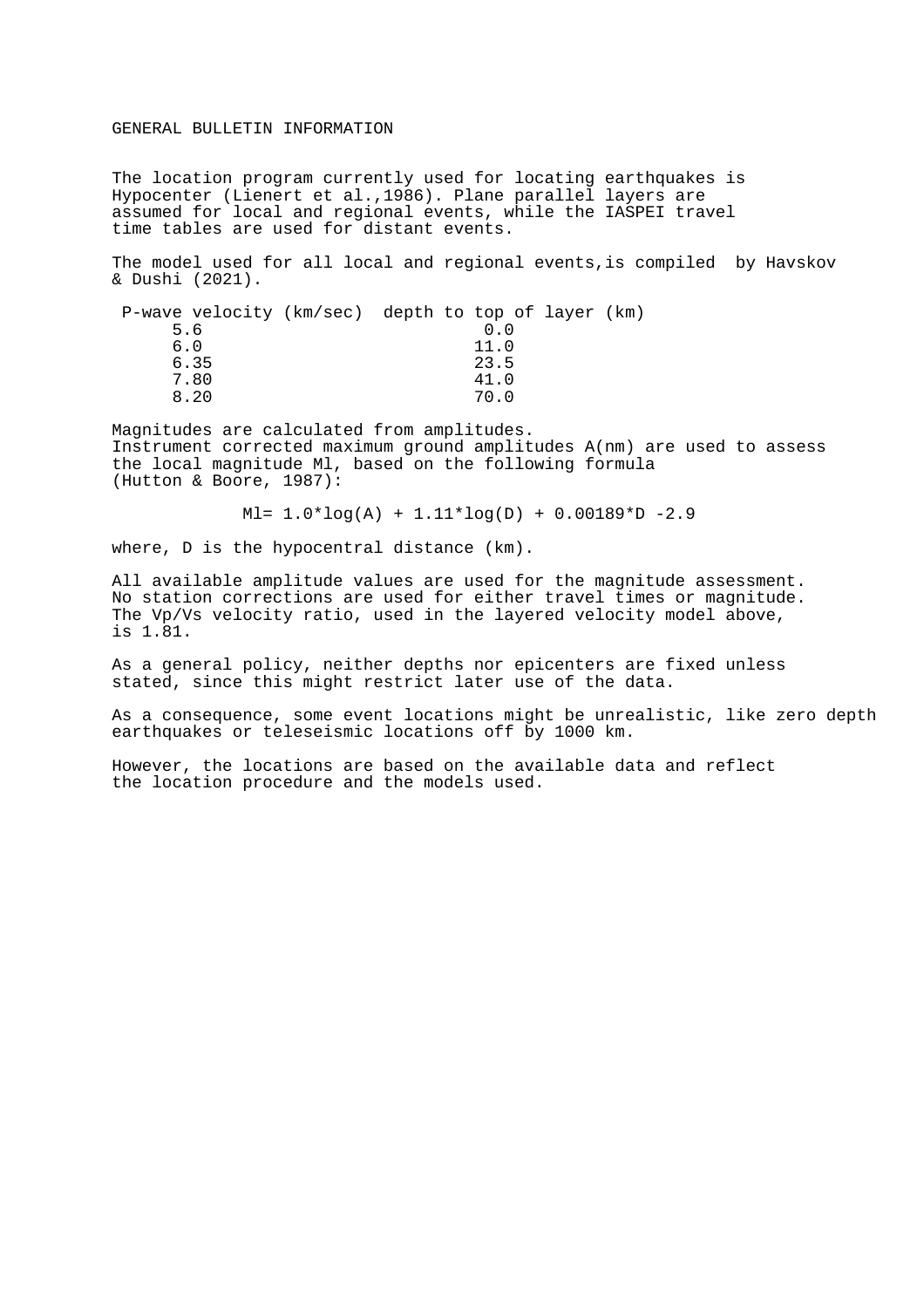#### GENERAL BULLETIN INFORMATION

The location program currently used for locating earthquakes is Hypocenter (Lienert et al.,1986). Plane parallel layers are assumed for local and regional events, while the IASPEI travel time tables are used for distant events.

The model used for all local and regional events,is compiled by Havskov & Dushi (2021).

| P-wave velocity (km/sec) depth to top of layer (km) |  |      |  |
|-----------------------------------------------------|--|------|--|
| 5.6                                                 |  | 0.0  |  |
| 6.0                                                 |  | 11.0 |  |
| 6.35                                                |  | 23.5 |  |
| 7.80                                                |  | 41.0 |  |
| 8.20                                                |  | 70 O |  |
|                                                     |  |      |  |

Magnitudes are calculated from amplitudes. Instrument corrected maximum ground amplitudes A(nm) are used to assess the local magnitude Ml, based on the following formula (Hutton & Boore, 1987):

 $M = 1.0*log(A) + 1.11*log(D) + 0.00189*D -2.9$ 

where, D is the hypocentral distance (km).

All available amplitude values are used for the magnitude assessment. No station corrections are used for either travel times or magnitude. The Vp/Vs velocity ratio, used in the layered velocity model above, is 1.81.

As a general policy, neither depths nor epicenters are fixed unless stated, since this might restrict later use of the data.

As a consequence, some event locations might be unrealistic, like zero depth earthquakes or teleseismic locations off by 1000 km.

However, the locations are based on the available data and reflect the location procedure and the models used.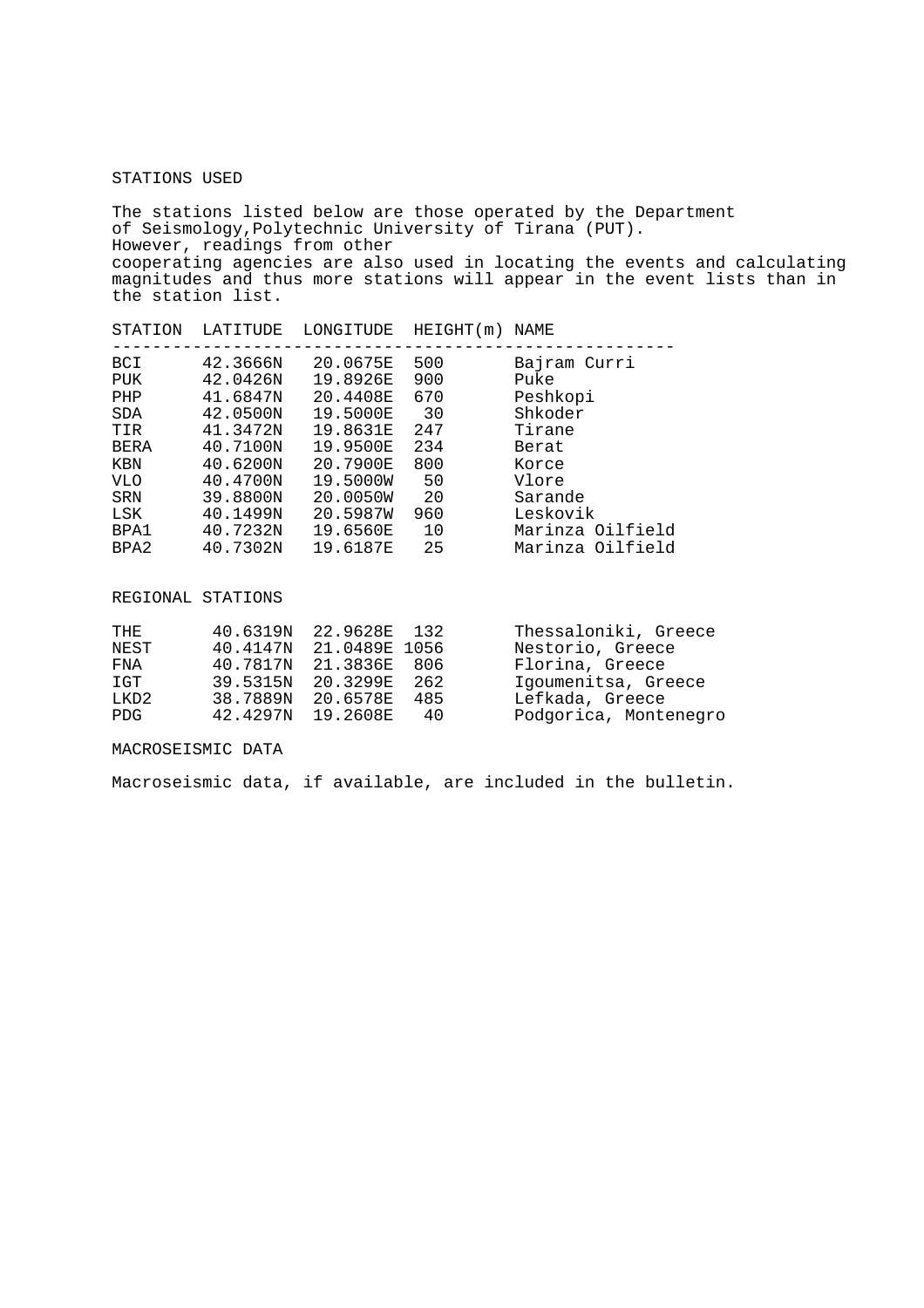### STATIONS USED

The stations listed below are those operated by the Department of Seismology,Polytechnic University of Tirana (PUT). However, readings from other cooperating agencies are also used in locating the events and calculating magnitudes and thus more stations will appear in the event lists than in the station list.

| STATION     | LATITUDE | LONGITUDE | HEIGHT(m) | NAME             |
|-------------|----------|-----------|-----------|------------------|
| <b>BCI</b>  | 42.3666N | 20.0675E  | 500       | Bajram Curri     |
| PUK         | 42.0426N | 19.8926E  | 900       | Puke             |
| PHP         | 41.6847N | 20.4408E  | 670       | Peshkopi         |
| <b>SDA</b>  | 42.0500N | 19.5000E  | 30        | Shkoder          |
| TIR         | 41.3472N | 19.8631E  | 247       | Tirane           |
| <b>BERA</b> | 40.7100N | 19.9500E  | 234       | Berat            |
| KBN         | 40.6200N | 20.7900E  | 800       | Korce            |
| <b>VLO</b>  | 40.4700N | 19.5000W  | 50        | Vlore            |
| <b>SRN</b>  | 39.8800N | 20.0050W  | 20        | Sarande          |
| LSK         | 40.1499N | 20.5987W  | 960       | Leskovik         |
| BPA1        | 40.7232N | 19.6560E  | 10        | Marinza Oilfield |
| BPA2        | 40.7302N | 19.6187E  | 25        | Marinza Oilfield |

REGIONAL STATIONS

| 40.6319N |     | Thessaloniki, Greece                                                                                    |
|----------|-----|---------------------------------------------------------------------------------------------------------|
|          |     | Nestorio, Greece                                                                                        |
| 40.7817N |     | Florina, Greece                                                                                         |
| 39.5315N |     | Igoumenitsa, Greece                                                                                     |
| 38.7889N | 485 | Lefkada, Greece                                                                                         |
|          | 40  | Podgorica, Montenegro                                                                                   |
|          |     | 22.9628E 132<br>40.4147N 21.0489E 1056<br>21.3836E 806<br>20.3299E 262<br>20.6578E<br>42.4297N 19.2608E |

MACROSEISMIC DATA

Macroseismic data, if available, are included in the bulletin.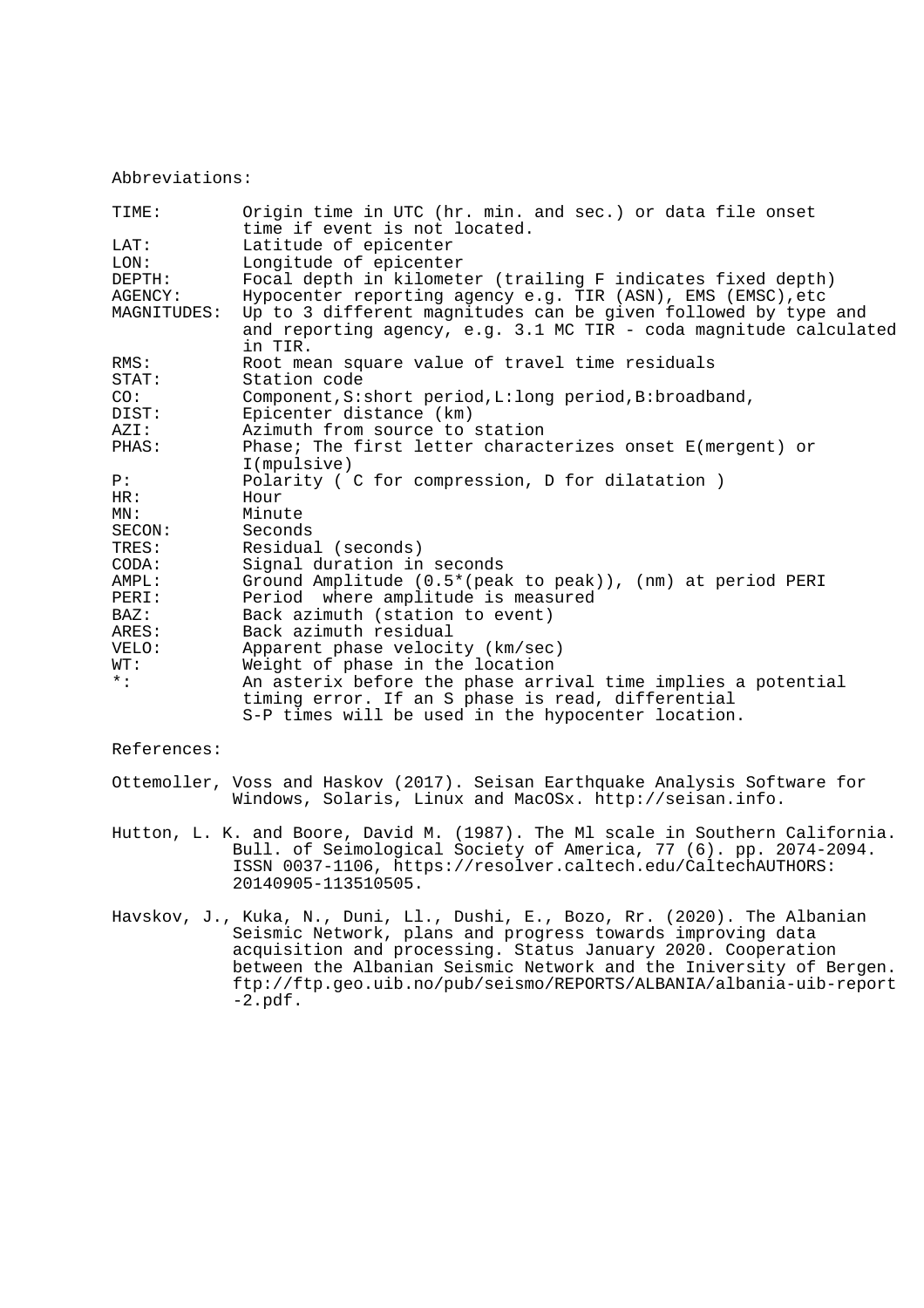## Abbreviations:

| TIME:       | Origin time in UTC (hr. min. and sec.) or data file onset<br>time if event is not located. |
|-------------|--------------------------------------------------------------------------------------------|
| LAT:        | Latitude of epicenter                                                                      |
| LON:        | Longitude of epicenter                                                                     |
| DEPTH:      | Focal depth in kilometer (trailing F indicates fixed depth)                                |
| AGENCY:     | Hypocenter reporting agency e.g. TIR (ASN), EMS (EMSC), etc                                |
| MAGNITUDES: | Up to 3 different magnitudes can be given followed by type and                             |
|             | and reporting agency, e.g. 3.1 MC TIR - coda magnitude calculated<br>in TIR.               |
| RMS:        | Root mean square value of travel time residuals                                            |
| STAT:       | Station code                                                                               |
| CO:         | Component, S: short period, L: long period, B: broadband,                                  |
| DIST:       | Epicenter distance (km)                                                                    |
| AZI:        | Azimuth from source to station                                                             |
| PHAS:       | Phase; The first letter characterizes onset E(mergent) or                                  |
|             | I(mpulsive)                                                                                |
| P:          | Polarity ( C for compression, D for dilatation )                                           |
| HR:         | Hour                                                                                       |
| MN:         | Minute                                                                                     |
| SECON:      | Seconds                                                                                    |
| TRES:       | Residual (seconds)                                                                         |
| CODA:       | Signal duration in seconds                                                                 |
| AMPL:       | Ground Amplitude (0.5*(peak to peak)), (nm) at period PERI                                 |
| PERI:       | Period where amplitude is measured                                                         |
| BAZ:        | Back azimuth (station to event)                                                            |
| ARES:       | Back azimuth residual                                                                      |
| VELO:       | Apparent phase velocity (km/sec)                                                           |
| WT:         | Weight of phase in the location                                                            |
| $\star$ :   | An asterix before the phase arrival time implies a potential                               |
|             | timing error. If an S phase is read, differential                                          |
|             | S-P times will be used in the hypocenter location.                                         |
|             |                                                                                            |

References:

Ottemoller, Voss and Haskov (2017). Seisan Earthquake Analysis Software for Windows, Solaris, Linux and MacOSx. http://seisan.info.

- Hutton, L. K. and Boore, David M. (1987). The Ml scale in Southern California. Bull. of Seimological Society of America, 77 (6). pp. 2074-2094. ISSN 0037-1106, https://resolver.caltech.edu/CaltechAUTHORS: 20140905-113510505.
- Havskov, J., Kuka, N., Duni, Ll., Dushi, E., Bozo, Rr. (2020). The Albanian Seismic Network, plans and progress towards improving data acquisition and processing. Status January 2020. Cooperation between the Albanian Seismic Network and the Iniversity of Bergen. ftp://ftp.geo.uib.no/pub/seismo/REPORTS/ALBANIA/albania-uib-report -2.pdf.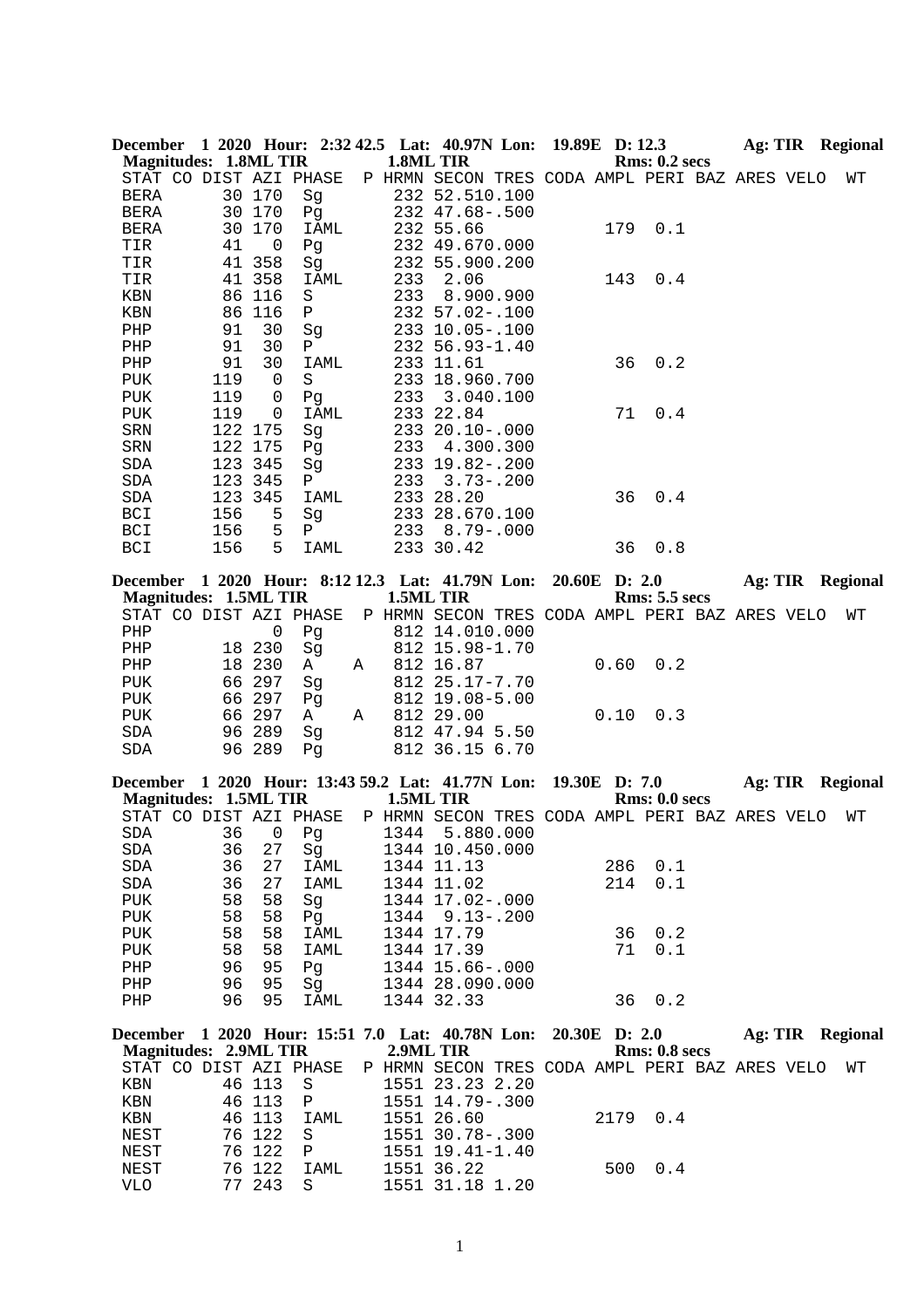|             | <b>Magnitudes: 1.8ML TIR</b> |                |                        |   | 1.8ML TIR | December 1 2020 Hour: 2:32 42.5 Lat: 40.97N Lon: 19.89E D: 12.3 |               |               | <b>Rms: 0.2 secs</b> |  | <b>Ag: TIR</b> Regional |
|-------------|------------------------------|----------------|------------------------|---|-----------|-----------------------------------------------------------------|---------------|---------------|----------------------|--|-------------------------|
|             |                              |                | STAT CO DIST AZI PHASE |   |           | P HRMN SECON TRES CODA AMPL PERI BAZ ARES VELO                  |               |               |                      |  | WΤ                      |
| <b>BERA</b> |                              | 30 170         | Sg                     |   |           | 232 52.510.100                                                  |               |               |                      |  |                         |
| BERA        |                              | 30 170         | Pg                     |   |           | 232 47.68 -. 500                                                |               |               |                      |  |                         |
| BERA        |                              | 30 170         | IAML                   |   |           | 232 55.66                                                       |               | 179           | 0.1                  |  |                         |
| TIR         | 41                           | $\overline{0}$ | Pg                     |   |           | 232 49.670.000                                                  |               |               |                      |  |                         |
| TIR         | 41                           | 358            | Sg                     |   |           | 232 55.900.200                                                  |               |               |                      |  |                         |
| TIR         | 41                           | 358            | IAML                   |   | 233       | 2.06                                                            |               | 143           | 0.4                  |  |                         |
| KBN         |                              | 86 116         | S                      |   | 233       | 8.900.900                                                       |               |               |                      |  |                         |
| KBN         | 86                           | 116            | Ρ                      |   |           | 232 57.02-.100                                                  |               |               |                      |  |                         |
| PHP         | 91                           | 30             | Sg                     |   |           | 233 10.05-.100                                                  |               |               |                      |  |                         |
| PHP         | 91                           | 30             | Ρ                      |   |           | 232 56.93-1.40                                                  |               |               |                      |  |                         |
| PHP         | 91                           | 30             | IAML                   |   |           | 233 11.61                                                       |               | 36            | 0.2                  |  |                         |
| <b>PUK</b>  | 119<br>119                   | $\overline{0}$ | S                      |   |           | 233 18.960.700<br>233 3.040.100                                 |               |               |                      |  |                         |
| PUK<br>PUK  | 119                          | 0<br>0         | Pg<br>IAML             |   |           | 233 22.84                                                       |               | 71            | 0.4                  |  |                         |
| SRN         |                              | 122 175        | Sg                     |   |           | 233 20.10 -. 000                                                |               |               |                      |  |                         |
| SRN         |                              | 122 175        | Pg                     |   |           | 233 4.300.300                                                   |               |               |                      |  |                         |
| SDA         |                              | 123 345        | Sg                     |   |           | 233 19.82 -. 200                                                |               |               |                      |  |                         |
| SDA         |                              | 123 345        | Ρ                      |   | 233       | $3.73 - .200$                                                   |               |               |                      |  |                         |
| SDA         |                              | 123 345        | IAML                   |   |           | 233 28.20                                                       |               | 36            | 0.4                  |  |                         |
| BCI         | 156                          | 5              | Sg                     |   |           | 233 28.670.100                                                  |               |               |                      |  |                         |
| BCI         | 156                          | 5              | $\mathbf{P}$           |   |           | 233 8.79 - . 000                                                |               |               |                      |  |                         |
| BCI         | 156                          | 5              | IAML                   |   |           | 233 30.42                                                       |               | 36            | 0.8                  |  |                         |
|             |                              |                |                        |   |           |                                                                 |               |               |                      |  |                         |
|             | <b>Magnitudes: 1.5ML TIR</b> |                |                        |   | 1.5ML TIR | December 1 2020 Hour: 8:12 12.3 Lat: 41.79N Lon:                |               | 20.60E D: 2.0 | <b>Rms: 5.5 secs</b> |  | Ag: TIR Regional        |
|             |                              |                | STAT CO DIST AZI PHASE |   |           | P HRMN SECON TRES CODA AMPL PERI BAZ ARES VELO                  |               |               |                      |  | WΤ                      |
| PHP         |                              | 0              | Pg                     |   |           | 812 14.010.000                                                  |               |               |                      |  |                         |
| PHP         |                              | 18 230         | Sg                     |   |           | 812 15.98-1.70                                                  |               |               |                      |  |                         |
| PHP         |                              | 18 230         | A                      | Α |           | 812 16.87                                                       |               | 0.60          | 0.2                  |  |                         |
| PUK         |                              | 66 297         | Sg                     |   |           | 812 25.17-7.70                                                  |               |               |                      |  |                         |
| PUK         | 66                           | 297            | Pg                     |   |           | 812 19.08-5.00                                                  |               |               |                      |  |                         |
| <b>PUK</b>  |                              | 66 297         | A                      | Α |           | 812 29.00                                                       |               | 0.10          | 0.3                  |  |                         |
| SDA         |                              | 96 289         | Sg                     |   |           | 812 47.94 5.50                                                  |               |               |                      |  |                         |
| SDA         |                              | 96 289         | Pq                     |   |           | 812 36.15 6.70                                                  |               |               |                      |  |                         |
|             |                              |                |                        |   |           | December 1 2020 Hour: 13:43 59.2 Lat: 41.77N Lon:               | 19.30E D: 7.0 |               |                      |  | <b>Ag: TIR Regional</b> |
|             | Magnitudes: 1.5ML TIR        |                |                        |   | 1.5ML TIR |                                                                 |               |               | <b>Rms: 0.0 secs</b> |  |                         |
|             |                              |                | STAT CO DIST AZI PHASE |   |           | P HRMN SECON TRES CODA AMPL PERI BAZ ARES VELO                  |               |               |                      |  | WΤ                      |
| SDA         |                              |                | 36 0 Pg                |   |           | 1344 5.880.000                                                  |               |               |                      |  |                         |
| SDA<br>SDA  | 36                           | 27<br>27       | Sg<br>IAML             |   |           | 1344 10.450.000                                                 |               | 286           | 0.1                  |  |                         |
| SDA         | 36<br>36                     | 27             | IAML                   |   |           | 1344 11.13<br>1344 11.02                                        |               | 214           | 0.1                  |  |                         |
| PUK         | 58                           | 58             | Sg                     |   |           | 1344 17.02-.000                                                 |               |               |                      |  |                         |
| PUK         | 58                           | 58             | Pg                     |   |           | 1344 9.13 -. 200                                                |               |               |                      |  |                         |
| PUK         | 58                           | 58             | IAML                   |   |           | 1344 17.79                                                      |               | 36            | 0.2                  |  |                         |
| PUK         | 58                           | 58             | IAML                   |   |           | 1344 17.39                                                      |               | 71            | 0.1                  |  |                         |
| PHP         | 96                           | 95             | Pg                     |   |           | 1344 15.66-.000                                                 |               |               |                      |  |                         |
| PHP         | 96                           | 95             | Sg                     |   |           | 1344 28.090.000                                                 |               |               |                      |  |                         |
| ${\rm PHP}$ | 96                           | 95             | IAML                   |   |           | 1344 32.33                                                      |               | 36            | 0.2                  |  |                         |
|             |                              |                |                        |   |           | December 1 2020 Hour: 15:51 7.0 Lat: 40.78N Lon:                |               | 20.30E D: 2.0 |                      |  | Ag: TIR Regional        |
|             | <b>Magnitudes: 2.9ML TIR</b> |                |                        |   | 2.9ML TIR |                                                                 |               |               | Rms: 0.8 secs        |  |                         |
|             |                              |                | STAT CO DIST AZI PHASE |   |           | P HRMN SECON TRES CODA AMPL PERI BAZ ARES VELO                  |               |               |                      |  | WΤ                      |
| KBN         |                              | 46 113         | S                      |   |           | 1551 23.23 2.20                                                 |               |               |                      |  |                         |
| KBN         |                              | 46 113         | Ρ                      |   |           | 1551 14.79 -. 300                                               |               |               |                      |  |                         |
| KBN         | 46                           | 113            | IAML                   |   |           | 1551 26.60                                                      |               | 2179          | 0.4                  |  |                         |
| NEST        |                              | 76 122         | S                      |   |           | 1551 30.78-.300                                                 |               |               |                      |  |                         |
| NEST        |                              | 76 122         | Ρ                      |   |           | 1551 19.41-1.40                                                 |               |               |                      |  |                         |

1

NEST 76 122 IAML 1551 36.22 500 0.4

VLO 77 243 S 1551 31.18 1.20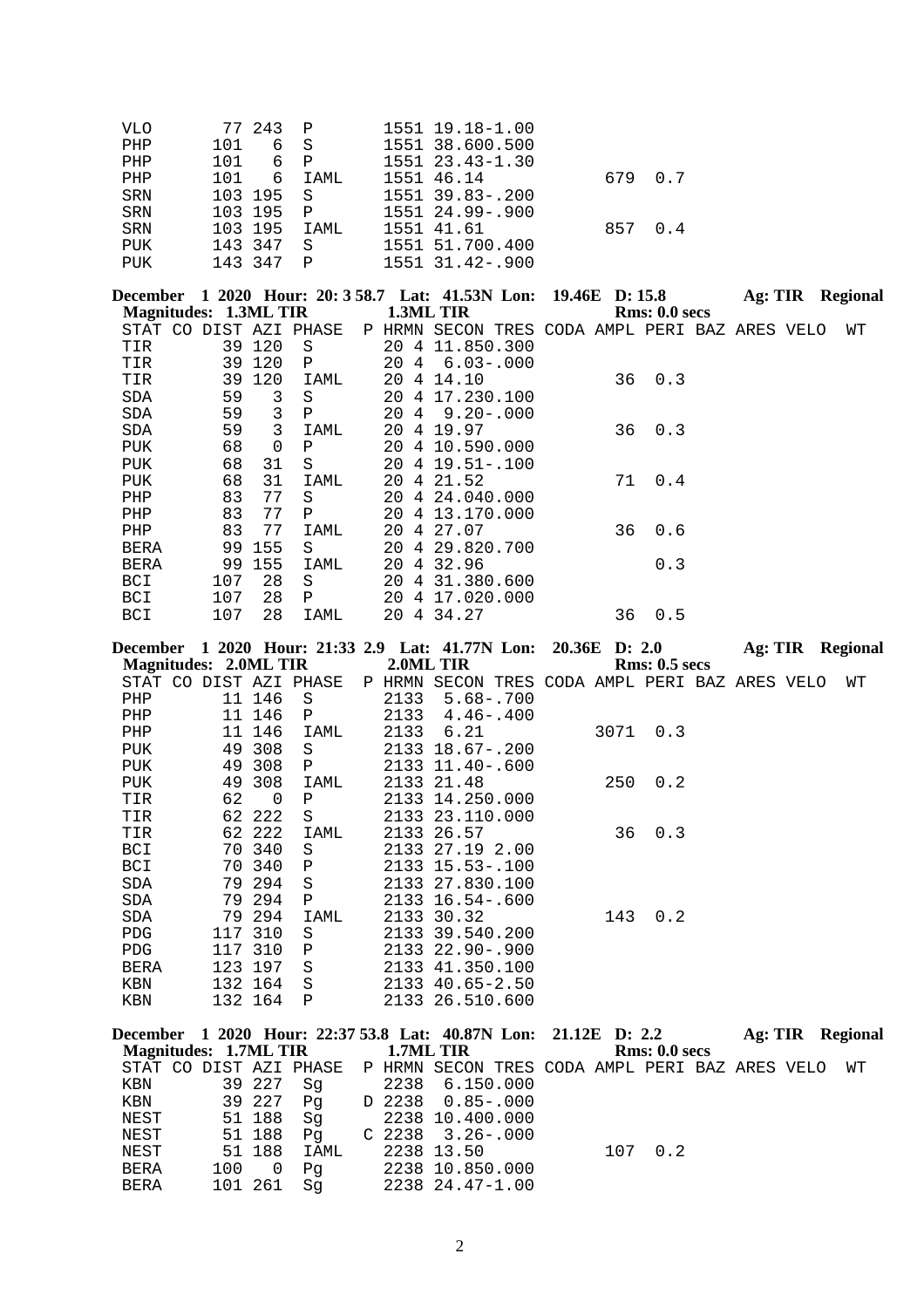| VLO | 77 243 P   |              | 1551 19.18-1.00       |         |     |
|-----|------------|--------------|-----------------------|---------|-----|
| PHP | 6 S<br>101 |              | 1551 38.600.500       |         |     |
| PHP | 6 P<br>101 |              | $1551$ $23.43-1.30$   |         |     |
| PHP | 101        | 6 IAML       | 1551 46.14            | 679     | 0.7 |
| SRN | 103 195 S  |              | $1551$ $39.83 - .200$ |         |     |
| SRN | 103 195 P  |              | 1551 24.99-.900       |         |     |
| SRN | 103 195    | TAMT,        | 1551 41.61            | 857 0.4 |     |
| PUK | 143 347    | - S          | 1551 51.700.400       |         |     |
| PUK | 143 347    | $\mathsf{P}$ | 1551 31.42-.900       |         |     |

|             |                              |          |                        |    |   | December 1 2020 Hour: 20: 3 58.7 Lat: 41.53N Lon: 19.46E D: 15.8 |  |    |               | Ag: TIR Regional |  |    |
|-------------|------------------------------|----------|------------------------|----|---|------------------------------------------------------------------|--|----|---------------|------------------|--|----|
|             | <b>Magnitudes: 1.3ML TIR</b> |          |                        |    |   | 1.3ML TIR                                                        |  |    | Rms: 0.0 secs |                  |  |    |
|             |                              |          | STAT CO DIST AZI PHASE |    |   | P HRMN SECON TRES CODA AMPL PERI BAZ ARES VELO                   |  |    |               |                  |  | WТ |
| TIR         |                              | 39 120   | S                      |    |   | 20 4 11.850.300                                                  |  |    |               |                  |  |    |
| TIR         | 39                           | 120      | Ρ                      | 20 | 4 | $6.03 - .000$                                                    |  |    |               |                  |  |    |
| TIR         | 39                           | 120      | IAML                   | 20 | 4 | 14.10                                                            |  | 36 | 0.3           |                  |  |    |
| SDA         | 59                           | 3        | S                      |    |   | 20 4 17.230.100                                                  |  |    |               |                  |  |    |
| SDA         | 59                           | 3        | Ρ                      |    |   | $20 \quad 4 \quad 9.20 - 0.000$                                  |  |    |               |                  |  |    |
| SDA         | 59                           | 3        | IAML                   | 20 |   | 4 19.97                                                          |  |    | $36 \t 0.3$   |                  |  |    |
| PUK         | 68                           | $\Omega$ | Ρ                      |    |   | 20 4 10.590.000                                                  |  |    |               |                  |  |    |
| <b>PUK</b>  | 68                           | 31       | S                      |    |   | 20 4 19.51-.100                                                  |  |    |               |                  |  |    |
| PUK         | 68                           | 31       | IAML                   | 20 |   | 4 21.52                                                          |  | 71 | 0.4           |                  |  |    |
| PHP         | 83                           | 77       | S                      | 20 | 4 | 24.040.000                                                       |  |    |               |                  |  |    |
| PHP         | 83                           | 77       | Ρ                      | 20 |   | 4 13.170.000                                                     |  |    |               |                  |  |    |
| PHP         | 83                           | 77       | IAML                   | 20 |   | 4 27.07                                                          |  | 36 | 0.6           |                  |  |    |
| <b>BERA</b> | 99                           | 155      | S                      | 20 |   | 4 29.820.700                                                     |  |    |               |                  |  |    |
| BERA        | 99                           | 155      | IAML                   | 20 | 4 | 32.96                                                            |  |    | 0.3           |                  |  |    |
| BCI         | 107                          | 28       | S.                     | 20 | 4 | 31.380.600                                                       |  |    |               |                  |  |    |
| BCI         | 107                          | 28       | P                      | 20 |   | 4 17.020.000                                                     |  |    |               |                  |  |    |
| <b>BCI</b>  | 107                          | 28       | IAML                   | 20 | 4 | 34.27                                                            |  | 36 | 0.5           |                  |  |    |
|             |                              |          |                        |    |   |                                                                  |  |    |               |                  |  |    |

| December 1 2020 Hour: 21:33 2.9 Lat: 41.77N Lon: 20.36E D: 2.0  |     |          |              |        |                                                                       |  |     |               | <b>Ag: TIR Regional</b> |  |    |
|-----------------------------------------------------------------|-----|----------|--------------|--------|-----------------------------------------------------------------------|--|-----|---------------|-------------------------|--|----|
| <b>Magnitudes: 2.0ML TIR</b>                                    |     |          |              |        | 2.0ML TIR                                                             |  |     | Rms: 0.5~secs |                         |  |    |
|                                                                 |     |          |              |        | STAT CO DIST AZI PHASE P HRMN SECON TRES CODA AMPL PERI BAZ ARES VELO |  |     |               |                         |  | WТ |
| PHP                                                             |     | 11 146   | S            | 2133   | $5.68 - .700$                                                         |  |     |               |                         |  |    |
| PHP                                                             |     | 11 146   | $\mathbf{P}$ | 2133   | $4.46 - .400$                                                         |  |     |               |                         |  |    |
| PHP                                                             |     | 11 146   | IAML         | 2133   | 6.21                                                                  |  |     | 3071 0.3      |                         |  |    |
| <b>PUK</b>                                                      |     | 49 308   | S            |        | 2133 18.67-.200                                                       |  |     |               |                         |  |    |
| PUK                                                             |     | 49 308   | P            |        | 2133 11.40-.600                                                       |  |     |               |                         |  |    |
| PUK                                                             |     | 49 308   | IAML         |        | 2133 21.48                                                            |  | 250 | 0.2           |                         |  |    |
| TIR                                                             | 62  | $\Omega$ | $\mathbf{P}$ |        | 2133 14.250.000                                                       |  |     |               |                         |  |    |
| TIR                                                             |     | 62 222   | S            |        | 2133 23.110.000                                                       |  |     |               |                         |  |    |
| TIR                                                             |     | 62 222   | IAML         |        | 2133 26.57                                                            |  | 36  | 0.3           |                         |  |    |
| <b>BCI</b>                                                      |     | 70 340   | S            |        | 2133 27.19 2.00                                                       |  |     |               |                         |  |    |
| BCI                                                             |     | 70 340   | P            |        | 2133 15.53-.100                                                       |  |     |               |                         |  |    |
| SDA                                                             |     | 79 294   | S            |        | 2133 27.830.100                                                       |  |     |               |                         |  |    |
| SDA                                                             |     | 79 294   | $\mathbf{P}$ |        | 2133 16.54 -. 600                                                     |  |     |               |                         |  |    |
| SDA                                                             |     | 79 294   | IAML         |        | 2133 30.32                                                            |  | 143 | 0.2           |                         |  |    |
| <b>PDG</b>                                                      |     | 117 310  | S            |        | 2133 39.540.200                                                       |  |     |               |                         |  |    |
| <b>PDG</b>                                                      |     | 117 310  | $\mathbf{P}$ |        | 2133 22.90-.900                                                       |  |     |               |                         |  |    |
| BERA                                                            |     | 123 197  | S            |        | 2133 41.350.100                                                       |  |     |               |                         |  |    |
| KBN                                                             |     | 132 164  | S            |        | 2133 40.65-2.50                                                       |  |     |               |                         |  |    |
| KBN                                                             |     | 132 164  | $\mathbf{P}$ |        | 2133 26.510.600                                                       |  |     |               |                         |  |    |
|                                                                 |     |          |              |        |                                                                       |  |     |               |                         |  |    |
| December 1 2020 Hour: 22:37 53.8 Lat: 40.87N Lon: 21.12E D: 2.2 |     |          |              |        |                                                                       |  |     |               | <b>Ag: TIR Regional</b> |  |    |
| <b>Magnitudes: 1.7ML TIR</b>                                    |     |          |              |        | 1.7ML TIR                                                             |  |     | Rms: 0.0 secs |                         |  |    |
| STAT CO DIST AZI PHASE                                          |     |          |              |        | P HRMN SECON TRES CODA AMPL PERI BAZ ARES VELO                        |  |     |               |                         |  | WТ |
| KBN                                                             |     | 39 227   | Sg           |        | 2238 6.150.000                                                        |  |     |               |                         |  |    |
| KBN                                                             |     | 39 227   | Pg           | D 2238 | $0.85 - .000$                                                         |  |     |               |                         |  |    |
| NEST                                                            | 51  | 188      | Sg           |        | 2238 10.400.000                                                       |  |     |               |                         |  |    |
| NEST                                                            |     | 51 188   | Pg           |        | $C$ 2238 3.26 - 000                                                   |  |     |               |                         |  |    |
| NEST                                                            |     | 51 188   | IAML         |        | 2238 13.50                                                            |  | 107 | 0.2           |                         |  |    |
| BERA                                                            | 100 | $\Omega$ | Pg           |        | 2238 10.850.000                                                       |  |     |               |                         |  |    |

BERA 101 261 Sg 2238 24.47-1.00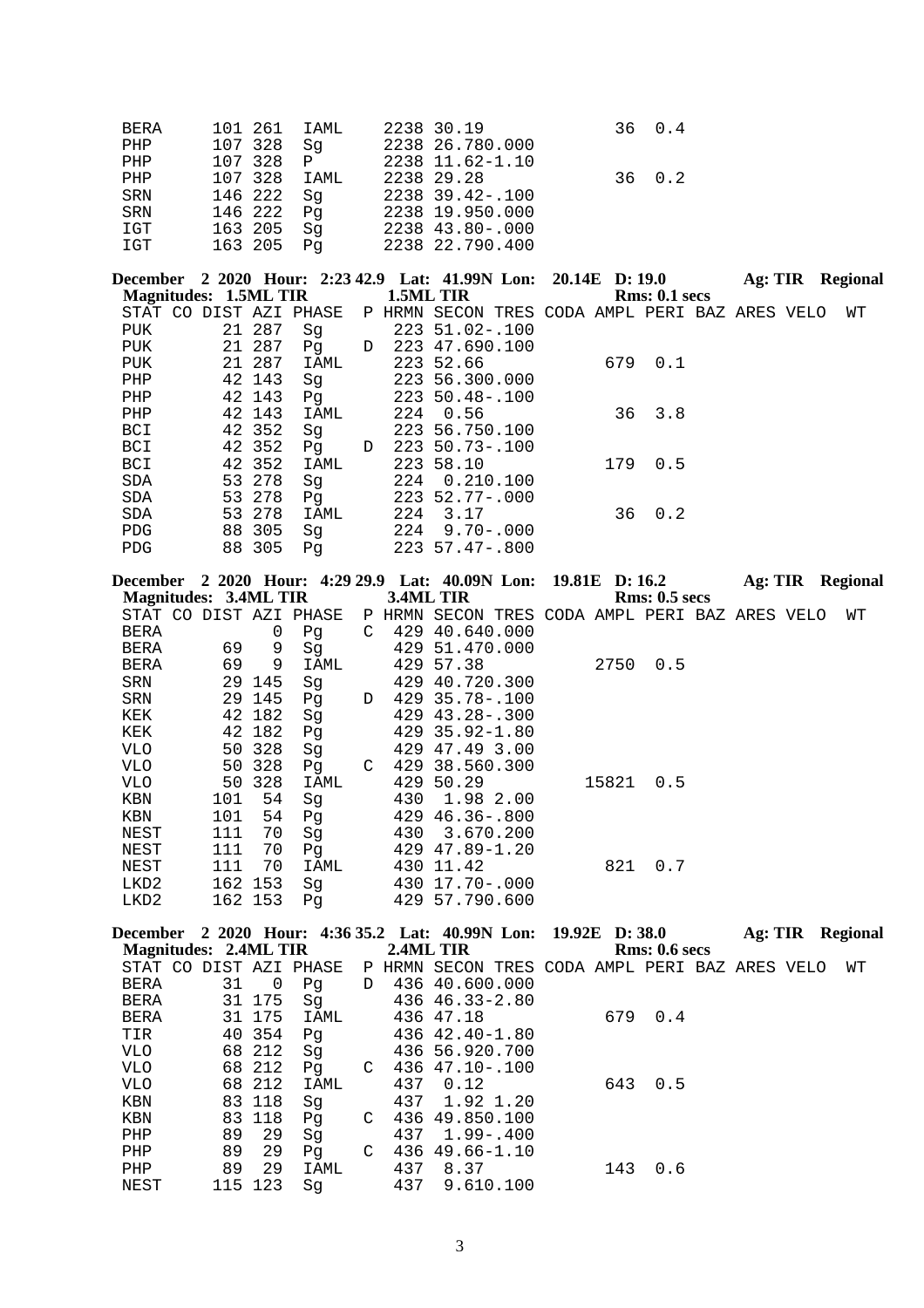| BERA | 101 261 IAML | 2238 30.19                 | 36 0.4 |
|------|--------------|----------------------------|--------|
| PHP  |              | 107 328 Sq 2238 26.780.000 |        |
| PHP  | 107 328 P    | 2238 11.62-1.10            |        |
| PHP  | 107 328 IAML | 2238 29.28                 | 36 0.2 |
| SRN  | 146 222 Sq   | 2238 39.42-.100            |        |
| SRN  | 146 222 Pq   | 2238 19.950.000            |        |
| IGT  | 163 205 Sq   | 2238 43.80-.000            |        |
| IGT  | 163 205 Pq   | 2238 22.790.400            |        |

**December 2 2020 Hour: 2:23 42.9 Lat: 41.99N Lon: 20.14E D: 19.0 Ag: TIR Regional Magnitudes: 1.5ML TIR** P HRMN SECON TRES CODA AMPL PERI BAZ ARES VELO WT<br>223 51.02-.100 STAT CO DIST AZI PHASE<br>PUK 21 287 Sg<br>PUK 21 287 Pg PUK 21 287 Pg D 223 47.690.100<br>PUK 21 287 IAML 223 52.66 PUK 21 287 IAML 223 52.66 679 0.1<br>PHP 42 143 Sg 223 56.300.000 PHP 42 143 Sg 223 56.300.000<br>PHP 42 143 Pg 223 50.48-.100 PHP 42 143 Pg 223 50.48-.100 PHP 42 143 IAML 224 0.56 3.8 BCI 42 352 Sg 223 56.750.100<br>BCI 42 352 Pg D 223 50.73-.100 BCI 42 352 Pg D 223 50.73-.100<br>BCI 42 352 IAML 223 58.10 BCI 42 352 IAML 223 58.10 179 0.5<br>SDA 53 278 Sg 224 0.210.100 SDA 53 278 Sg 224 0.210.100<br>SDA 53 278 Pg 223 52.77-.000 SDA 53 278 Pg 223 52.77-.000 SDA 53 278 Pg<br>
SDA 53 278 Pg<br>
SDA 53 278 IAML 224 3.17 36 0.2<br>
PDG 88 305 Sg 224 9.70-.000 PDG 88 305 Sg 224 9.70-.000<br>PDG 88 305 Pg 223 57.47-.800 PDG 88 305 Pg 223 57.47-.800

| December              |     |         | 2 2020 Hour: 4:29 29.9 Lat: 40.09N Lon: |   |           |                                                |  | 19.81E D: 16.2 |                      | Ag: TIR | Regional |  |
|-----------------------|-----|---------|-----------------------------------------|---|-----------|------------------------------------------------|--|----------------|----------------------|---------|----------|--|
| Magnitudes: 3.4ML TIR |     |         |                                         |   | 3.4ML TIR |                                                |  |                | <b>Rms: 0.5 secs</b> |         |          |  |
|                       |     |         | STAT CO DIST AZI PHASE                  |   |           | P HRMN SECON TRES CODA AMPL PERI BAZ ARES VELO |  |                |                      |         | WТ       |  |
| BERA                  |     | 0       | Pg                                      | C | 429       | 40.640.000                                     |  |                |                      |         |          |  |
| BERA                  | 69  | 9       | Sg                                      |   |           | 429 51.470.000                                 |  |                |                      |         |          |  |
| BERA                  | 69  | 9       | IAML                                    |   | 429       | 57.38                                          |  | 2750           | 0.5                  |         |          |  |
| SRN                   |     | 29 145  | Sq                                      |   | 429       | 40.720.300                                     |  |                |                      |         |          |  |
| SRN                   |     | 29 145  | Pq                                      | D | 429       | 35.78-.100                                     |  |                |                      |         |          |  |
| KEK                   |     | 42 182  | Sg                                      |   |           | $429$ $43.28 - .300$                           |  |                |                      |         |          |  |
| KEK                   |     | 42 182  | Pg                                      |   | 429       | 35.92-1.80                                     |  |                |                      |         |          |  |
| VLO                   | 50  | 328     | Sg                                      |   | 429       | 47.49 3.00                                     |  |                |                      |         |          |  |
| <b>VLO</b>            | 50  | 328     | Pq                                      | C | 429       | 38.560.300                                     |  |                |                      |         |          |  |
| VLO                   | 50  | 328     | IAML                                    |   | 429       | 50.29                                          |  | 15821          | 0.5                  |         |          |  |
| KBN                   | 101 | 54      | Sq                                      |   | 430       | 1.98 2.00                                      |  |                |                      |         |          |  |
| KBN                   | 101 | 54      | Pq                                      |   | 429       | $46.36 - .800$                                 |  |                |                      |         |          |  |
| NEST                  | 111 | 70      | Sq                                      |   | 430       | 3.670.200                                      |  |                |                      |         |          |  |
| NEST                  | 111 | 70      | Pq                                      |   |           | $429$ $47.89 - 1.20$                           |  |                |                      |         |          |  |
| NEST                  | 111 | 70      | IAML                                    |   | 430       | 11.42                                          |  | 821            | 0.7                  |         |          |  |
| LKD2                  |     | 162 153 | Sq                                      |   | 430       | 17.70-.000                                     |  |                |                      |         |          |  |
| LKD <sub>2</sub>      |     | 162 153 | Pq                                      |   |           | 429 57.790.600                                 |  |                |                      |         |          |  |

| December 2 2020 Hour: 4:36 35.2 Lat: 40.99N Lon: 19.92E D: 38.0 |         |        |      |   |           |                                                |  |     |               | Ag: TIR | Regional |
|-----------------------------------------------------------------|---------|--------|------|---|-----------|------------------------------------------------|--|-----|---------------|---------|----------|
| Magnitudes: 2.4ML TIR                                           |         |        |      |   | 2.4ML TIR |                                                |  |     | Rms: 0.6 secs |         |          |
| STAT CO DIST AZI PHASE                                          |         |        |      |   |           | P HRMN SECON TRES CODA AMPL PERI BAZ ARES VELO |  |     |               |         | WТ       |
| BERA                                                            | 31      | 0      | Pq   | D |           | 436 40.600.000                                 |  |     |               |         |          |
| BERA                                                            |         | 31 175 | Sq   |   |           | $436 \t46.33 - 2.80$                           |  |     |               |         |          |
| BERA                                                            |         | 31 175 | IAML |   |           | 436 47.18                                      |  | 679 | 0.4           |         |          |
| TIR                                                             |         | 40 354 | Pq   |   |           | 436 42.40-1.80                                 |  |     |               |         |          |
| VLO                                                             |         | 68 212 | Sq   |   |           | 436 56.920.700                                 |  |     |               |         |          |
| VLO                                                             |         | 68 212 | Pq   | C |           | 436 47.10-.100                                 |  |     |               |         |          |
| VLO                                                             |         | 68 212 | IAML |   | 437       | 0.12                                           |  | 643 | 0.5           |         |          |
| KBN                                                             |         | 83 118 | Sq   |   | 437       | 1.92 1.20                                      |  |     |               |         |          |
| KBN                                                             |         | 83 118 | Pq   | C |           | 436 49.850.100                                 |  |     |               |         |          |
| PHP                                                             | 89      | 29     | Sq   |   | 437       | $1.99 - .400$                                  |  |     |               |         |          |
| PHP                                                             | 89      | 29     | Pq   | C |           | 436 49.66-1.10                                 |  |     |               |         |          |
| PHP                                                             | 89      | 29     | IAML |   | 437       | 8.37                                           |  | 143 | 0.6           |         |          |
| NEST                                                            | 115 123 |        | Sq   |   | 437       | 9.610.100                                      |  |     |               |         |          |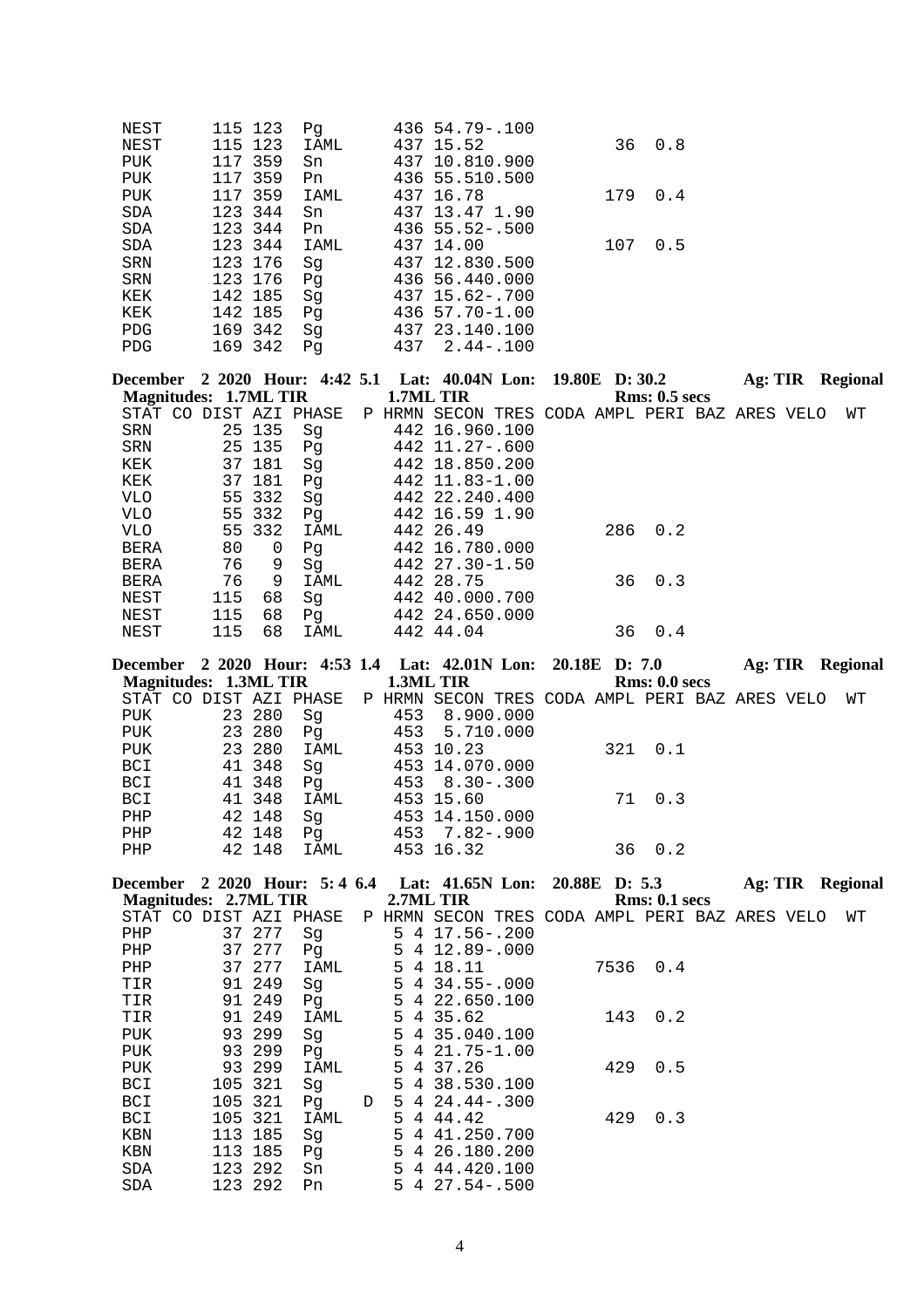| NEST       | 115 123    | Pq   | 436 54.79 -. 100   |     |
|------------|------------|------|--------------------|-----|
| NEST       | 115 123    | IAML | 36<br>437 15.52    | 0.8 |
| <b>PUK</b> | 117 359    | Sn   | 437 10.810.900     |     |
| <b>PUK</b> | 117 359    | Pn   | 436 55.510.500     |     |
| <b>PUK</b> | 359<br>117 | IAML | 437 16.78<br>179   | 0.4 |
| SDA        | 123 344    | Sn   | 437 13.47 1.90     |     |
| SDA        | 123 344    | Pn   | $436\,55.52 - 500$ |     |
| <b>SDA</b> | 123 344    | IAML | 437 14.00<br>107   | 0.5 |
| SRN        | 123 176    | Sq   | 437 12.830.500     |     |
| <b>SRN</b> | 123 176    | Pq   | 436 56.440.000     |     |
| KEK        | 142 185    | Sg   | 437 15.62-.700     |     |
| KEK        | 142 185    | Pq   | 436 57.70-1.00     |     |
| <b>PDG</b> | 169 342    | Sg   | 437 23.140.100     |     |
| <b>PDG</b> | 169 342    | Pq   | 437<br>2.44-.100   |     |

|                       |     |        |                        |           | December 2 2020 Hour: 4:42 5.1 Lat: 40.04N Lon: 19.80E D: 30.2 |  |     |               | Ag: TIR |  | Regional |
|-----------------------|-----|--------|------------------------|-----------|----------------------------------------------------------------|--|-----|---------------|---------|--|----------|
| Magnitudes: 1.7ML TIR |     |        |                        | 1.7ML TIR |                                                                |  |     | Rms: 0.5~secs |         |  |          |
|                       |     |        | STAT CO DIST AZI PHASE |           | P HRMN SECON TRES CODA AMPL PERI BAZ ARES VELO                 |  |     |               |         |  | WΤ       |
| SRN                   |     | 25 135 | Sq                     |           | 442 16.960.100                                                 |  |     |               |         |  |          |
| SRN                   |     | 25 135 | Pq                     |           | 442 11.27-.600                                                 |  |     |               |         |  |          |
| KEK                   |     | 37 181 | Sq                     |           | 442 18.850.200                                                 |  |     |               |         |  |          |
| KEK                   |     | 37 181 | Pq                     |           | 442 11.83-1.00                                                 |  |     |               |         |  |          |
| VLO                   |     | 55 332 | Sq                     |           | 442 22.240.400                                                 |  |     |               |         |  |          |
| VLO                   |     | 55 332 | Pq                     |           | 442 16.59 1.90                                                 |  |     |               |         |  |          |
| VLO.                  |     | 55 332 | IAML                   |           | 442 26.49                                                      |  | 286 | 0.2           |         |  |          |
| <b>BERA</b>           | 80  | 0      | Pq                     |           | 442 16.780.000                                                 |  |     |               |         |  |          |
| BERA                  | 76  | 9      | Sq                     |           | 442 27.30-1.50                                                 |  |     |               |         |  |          |
| <b>BERA</b>           | 76  | 9      | IAML                   |           | 442 28.75                                                      |  | 36  | 0.3           |         |  |          |
| NEST                  | 115 | 68     | Sq                     |           | 442 40.000.700                                                 |  |     |               |         |  |          |
| NEST                  | 115 | 68     | Pq                     |           | 442 24.650.000                                                 |  |     |               |         |  |          |
| NEST                  | 115 | 68     | <b>IAML</b>            |           | 442 44.04                                                      |  | 36  | 0.4           |         |  |          |

|     |                       |        |      |  |                                                                       |  |               |  | Ag: TIR Regional |
|-----|-----------------------|--------|------|--|-----------------------------------------------------------------------|--|---------------|--|------------------|
|     | Magnitudes: 1.3ML TIR |        |      |  | <b>1.3ML TIR</b>                                                      |  | Rms: 0.0 secs |  |                  |
|     |                       |        |      |  | STAT CO DIST AZI PHASE P HRMN SECON TRES CODA AMPL PERI BAZ ARES VELO |  |               |  | WT               |
| PUK |                       | 23 280 | Sq   |  | 453 8.900.000                                                         |  |               |  |                  |
| PUK | 23 280                |        | Pq   |  | 453 5.710.000                                                         |  |               |  |                  |
| PUK |                       | 23 280 | IAML |  | 453 10.23                                                             |  | 321 0.1       |  |                  |
| BCI |                       | 41 348 | Sq   |  | 453 14.070.000                                                        |  |               |  |                  |
| BCI |                       | 41 348 | Pq   |  | $453 \quad 8.30 - .300$                                               |  |               |  |                  |
| BCI |                       | 41 348 | IAML |  | 453 15.60                                                             |  | 71 0.3        |  |                  |
| PHP |                       | 42 148 | Sq   |  | 453 14.150.000                                                        |  |               |  |                  |
| PHP |                       | 42 148 | Pq   |  | 453 7.82-.900                                                         |  |               |  |                  |
| PHP |                       | 42 148 | IAML |  | 453 16.32                                                             |  | 36 0.2        |  |                  |
|     |                       |        |      |  |                                                                       |  |               |  |                  |

|                                                                           |  |  |                  |  |  |                      |  | Ag: TIR Regional |  |
|---------------------------------------------------------------------------|--|--|------------------|--|--|----------------------|--|------------------|--|
| <b>Magnitudes: 2.7ML TIR</b>                                              |  |  | <b>2.7ML TIR</b> |  |  | <b>Rms: 0.1 secs</b> |  |                  |  |
| STAT CO DIST AZI PHASE PP HRMN SECON TRES CODA AMPL PERI BAZ ARES VELO WT |  |  |                  |  |  |                      |  |                  |  |
| $\mathbf{r}$                                                              |  |  |                  |  |  |                      |  |                  |  |

|            |         | SIAI CO DISI AZI PHASE |   | R HKMIN SECON IKES CODA AMPLI PEKI BAY AKES AETO |      |     |  | W T |
|------------|---------|------------------------|---|--------------------------------------------------|------|-----|--|-----|
| PHP        | 37 277  | Sq                     |   | $5 \t4 \t17.56 - .200$                           |      |     |  |     |
| PHP        | 37 277  | Pg                     |   | $5 \t4 \t12.89 - .000$                           |      |     |  |     |
| PHP        | 37 277  | IAML                   |   | 5 4 18.11                                        | 7536 | 0.4 |  |     |
| TIR        | 91 249  | Sq                     |   | $5\quad 4\quad 34.55 - .000$                     |      |     |  |     |
| TIR        | 91 249  | Pq                     |   | 5 4 22.650.100                                   |      |     |  |     |
| TIR        | 91 249  | IAML                   |   | 5 4 35.62                                        | 143  | 0.2 |  |     |
| PUK        | 93 299  | Sq                     |   | 5 4 35.040.100                                   |      |     |  |     |
| PUK        | 93 299  | Pq                     |   | $5 \t4 \t21.75 - 1.00$                           |      |     |  |     |
| PUK        | 93 299  | IAML                   |   | 5 4 37.26                                        | 429  | 0.5 |  |     |
| BCI        | 105 321 | Sq                     |   | 5 4 38.530.100                                   |      |     |  |     |
| BCI        | 105 321 | Pq                     | D | $5\quad 4\quad 24.44-.300$                       |      |     |  |     |
| <b>BCI</b> | 105 321 | IAML                   |   | 5 4 4 4 . 4 2                                    | 429  | 0.3 |  |     |
| KBN        | 113 185 | Sq                     |   | 5 4 41.250.700                                   |      |     |  |     |
| KBN        | 113 185 | Pq                     |   | 5 4 26.180.200                                   |      |     |  |     |
| SDA        | 123 292 | Sn                     |   | 5 4 44,420,100                                   |      |     |  |     |
| SDA        | 123 292 | Pn                     |   | $5$ 4 27.54 - .500                               |      |     |  |     |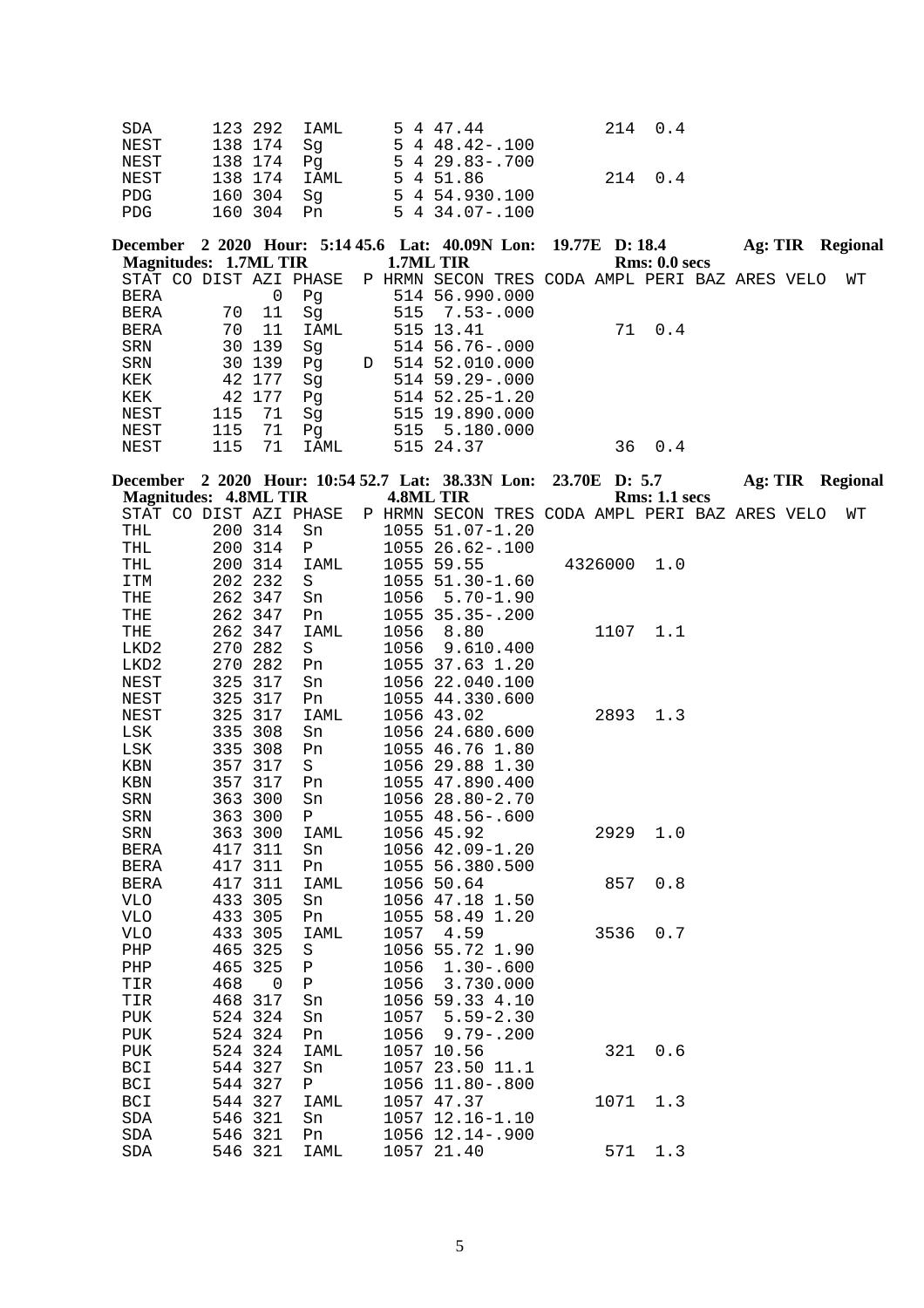| SDA        | 123 292 IAML | 5 4 47.44                           | 214 0.4 |  |
|------------|--------------|-------------------------------------|---------|--|
| NEST       | 138 174 Sq   | $5 \t4 \t48.42 - .100$              |         |  |
| NEST       | 138 174 Pa   | $5 \quad 4 \quad 29 \quad 83 - 700$ |         |  |
| NEST       | 138 174 IAML | 5 4 51.86                           | 214 0.4 |  |
| <b>PDG</b> | 160 304 Sq   | 5 4 54,930,100                      |         |  |
| PDG        | 160 304 Pn   | $5\,4\,34.07 - .100$                |         |  |

|     |    |                                      |                                                 |  |                                            |                                                                                                                                                              |     |                                                                       |               | Regional                                                  |
|-----|----|--------------------------------------|-------------------------------------------------|--|--------------------------------------------|--------------------------------------------------------------------------------------------------------------------------------------------------------------|-----|-----------------------------------------------------------------------|---------------|-----------------------------------------------------------|
|     |    |                                      |                                                 |  |                                            |                                                                                                                                                              |     |                                                                       |               |                                                           |
|     |    |                                      |                                                 |  |                                            |                                                                                                                                                              |     |                                                                       |               | WТ                                                        |
|     |    | Pq                                   |                                                 |  |                                            |                                                                                                                                                              |     |                                                                       |               |                                                           |
| 70  | 11 | Sq                                   |                                                 |  |                                            |                                                                                                                                                              |     |                                                                       |               |                                                           |
| 70  | 11 | IAML                                 |                                                 |  |                                            |                                                                                                                                                              | 0.4 |                                                                       |               |                                                           |
|     |    | Sq                                   |                                                 |  |                                            |                                                                                                                                                              |     |                                                                       |               |                                                           |
|     |    | Pq                                   | D                                               |  |                                            |                                                                                                                                                              |     |                                                                       |               |                                                           |
|     |    | Sq                                   |                                                 |  |                                            |                                                                                                                                                              |     |                                                                       |               |                                                           |
|     |    | Pq                                   |                                                 |  |                                            |                                                                                                                                                              |     |                                                                       |               |                                                           |
| 115 | 71 | Sq                                   |                                                 |  |                                            |                                                                                                                                                              |     |                                                                       |               |                                                           |
| 115 | 71 | Pq                                   |                                                 |  |                                            |                                                                                                                                                              |     |                                                                       |               |                                                           |
| 115 | 71 | IAML                                 |                                                 |  |                                            | 36                                                                                                                                                           | 0.4 |                                                                       |               |                                                           |
|     |    | 30 139<br>30 139<br>42 177<br>42 177 | Magnitudes: 1.7ML TIR<br>STAT CO DIST AZI PHASE |  | 1.7ML TIR<br>515 13.41<br>515<br>515 24.37 | 514 56.990.000<br>$515 \quad 7.53 - .000$<br>$514\,56.76-.000$<br>514 52.010.000<br>$514$ 59.29 - 000<br>$514$ $52.25 - 1.20$<br>515 19.890.000<br>5.180.000 |     | December 2 2020 Hour: 5:14 45.6 Lat: 40.09N Lon: 19.77E D: 18.4<br>71 | Rms: 0.0 secs | Ag: TIR<br>P HRMN SECON TRES CODA AMPL PERI BAZ ARES VELO |

| December 2 2020 Hour: 10:54 52.7 Lat: 38.33N Lon: |     |             |             |      |                                                |  | 23.70E D: 5.7 |                      |  | <b>Ag: TIR Regional</b> |
|---------------------------------------------------|-----|-------------|-------------|------|------------------------------------------------|--|---------------|----------------------|--|-------------------------|
| <b>Magnitudes: 4.8ML TIR</b>                      |     |             |             |      | <b>4.8ML TIR</b>                               |  |               | <b>Rms: 1.1 secs</b> |  |                         |
| STAT CO DIST AZI PHASE                            |     |             |             |      | P HRMN SECON TRES CODA AMPL PERI BAZ ARES VELO |  |               |                      |  | WΤ                      |
| THL                                               |     | 200 314     | Sn          |      | 1055 51.07-1.20                                |  |               |                      |  |                         |
| THL                                               |     | 200 314     | Ρ           |      | 1055 26.62-.100                                |  |               |                      |  |                         |
| THL                                               |     | 200 314     | IAML        |      | 1055 59.55                                     |  | 4326000       | 1.0                  |  |                         |
| ITM                                               |     | 202 232     | S           |      | 1055 51.30-1.60                                |  |               |                      |  |                         |
| THE                                               |     | 262 347     | Sn          | 1056 | $5.70 - 1.90$                                  |  |               |                      |  |                         |
| THE                                               |     | 262 347     | Pn          |      | 1055 35.35 -. 200                              |  |               |                      |  |                         |
| THE                                               |     | 262 347     | IAML        | 1056 | 8.80                                           |  | 1107          | 1.1                  |  |                         |
| LKD2                                              |     | 270 282     | S           | 1056 | 9.610.400                                      |  |               |                      |  |                         |
| LKD2                                              |     | 270 282     | Pn          |      | 1055 37.63 1.20                                |  |               |                      |  |                         |
| NEST                                              | 325 | 317         | Sn          |      | 1056 22.040.100                                |  |               |                      |  |                         |
| NEST                                              | 325 | 317         | Pn          |      | 1055 44.330.600                                |  |               |                      |  |                         |
| NEST                                              | 325 | 317         | IAML        |      | 1056 43.02                                     |  | 2893          | 1.3                  |  |                         |
| LSK                                               | 335 | 308         | Sn          |      | 1056 24.680.600                                |  |               |                      |  |                         |
| $_{\rm LSK}$                                      |     | 335 308     | Pn          |      | 1055 46.76 1.80                                |  |               |                      |  |                         |
| KBN                                               |     | 357 317     | S           |      | 1056 29.88 1.30                                |  |               |                      |  |                         |
| KBN                                               |     | 357 317     | Pn          |      | 1055 47.890.400                                |  |               |                      |  |                         |
| SRN                                               |     | 363 300     | Sn          |      | 1056 28.80-2.70                                |  |               |                      |  |                         |
| SRN                                               |     | 363 300     | Ρ           |      | 1055 48.56-.600                                |  |               |                      |  |                         |
| SRN                                               |     | 363 300     | <b>IAML</b> |      | 1056 45.92                                     |  | 2929          | 1.0                  |  |                         |
| <b>BERA</b>                                       |     | 417 311     | Sn          |      | 1056 42.09-1.20                                |  |               |                      |  |                         |
| <b>BERA</b>                                       |     | 417 311     | Pn          |      | 1055 56.380.500                                |  |               |                      |  |                         |
| <b>BERA</b>                                       |     | 417 311     | IAML        |      | 1056 50.64                                     |  | 857           | 0.8                  |  |                         |
| <b>VLO</b>                                        |     | 433 305     | Sn          |      | 1056 47.18 1.50                                |  |               |                      |  |                         |
| <b>VLO</b>                                        |     | 433 305     | Pn          |      | 1055 58.49 1.20                                |  |               |                      |  |                         |
| <b>VLO</b>                                        |     | 433 305     | <b>IAML</b> | 1057 | 4.59                                           |  | 3536          | 0.7                  |  |                         |
| ${\rm PHP}$                                       | 465 | 325         | $\rm S$     |      | 1056 55.72 1.90                                |  |               |                      |  |                         |
| PHP                                               | 465 | 325         | ${\bf P}$   | 1056 | $1.30 - .600$                                  |  |               |                      |  |                         |
| TIR                                               | 468 | $\mathbf 0$ | ${\bf P}$   | 1056 | 3.730.000                                      |  |               |                      |  |                         |
| TIR                                               |     | 468 317     | Sn          |      | 1056 59.33 4.10                                |  |               |                      |  |                         |
| <b>PUK</b>                                        |     | 524 324     | Sn          | 1057 | $5.59 - 2.30$                                  |  |               |                      |  |                         |
| PUK                                               |     | 524 324     | Pn          | 1056 | $9.79 - .200$                                  |  |               |                      |  |                         |
| <b>PUK</b>                                        |     | 524 324     | <b>IAML</b> |      | 1057 10.56                                     |  | 321           | 0.6                  |  |                         |
| <b>BCI</b>                                        |     | 544 327     | Sn          |      | 1057 23.50 11.1                                |  |               |                      |  |                         |
| <b>BCI</b>                                        |     | 544 327     | $\mathbf P$ |      | 1056 11.80 -. 800                              |  |               |                      |  |                         |
| <b>BCI</b>                                        |     | 544 327     | <b>IAML</b> |      | 1057 47.37                                     |  | 1071          | 1.3                  |  |                         |
| SDA                                               | 546 | 321         | Sn          |      | 1057 12.16-1.10                                |  |               |                      |  |                         |
| $\operatorname{SDA}$                              |     | 546 321     | Pn          |      | 1056 12.14 -. 900                              |  |               |                      |  |                         |
| <b>SDA</b>                                        |     | 546 321     | <b>IAML</b> |      | 1057 21.40                                     |  | 571           | 1.3                  |  |                         |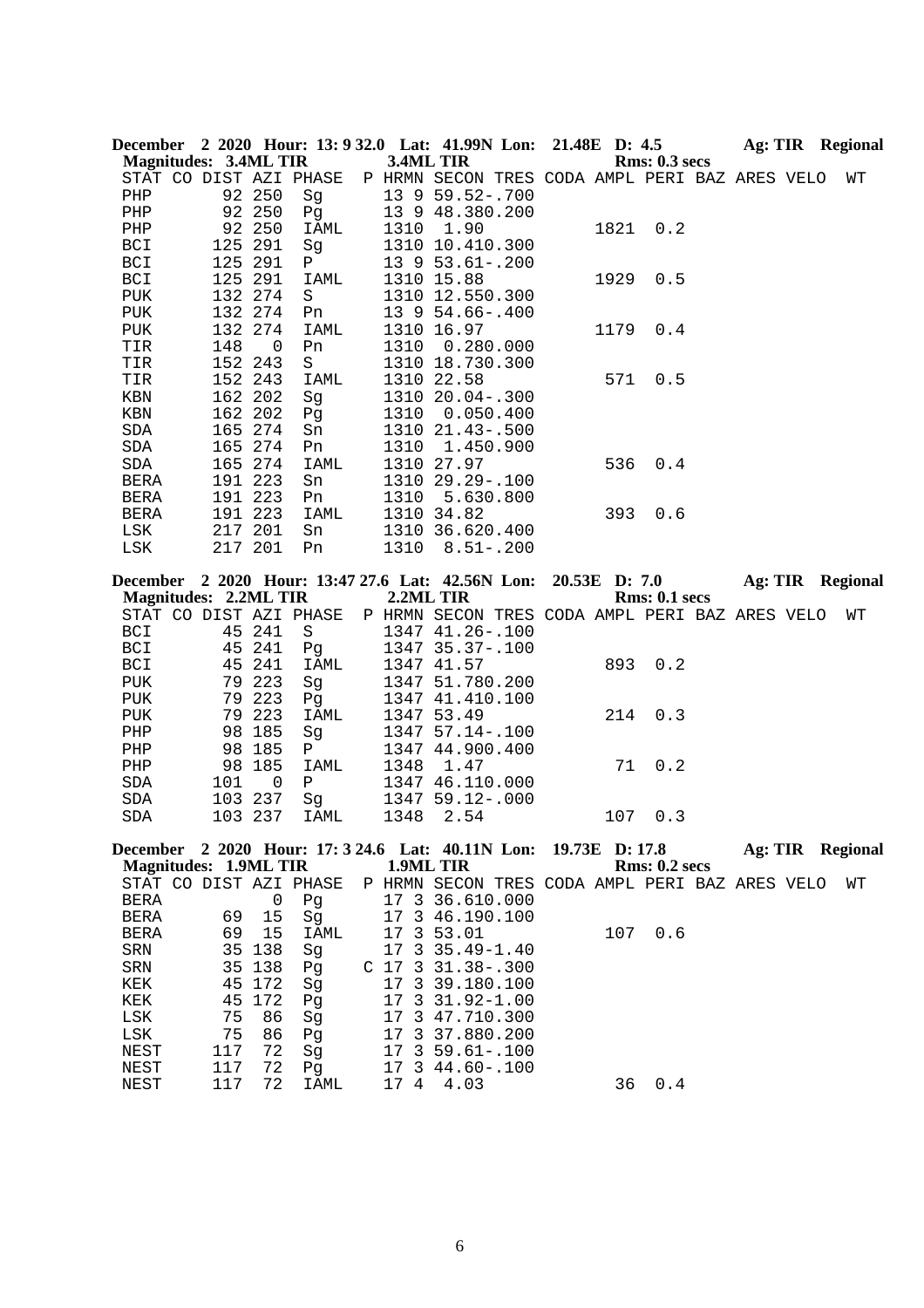|                              |     |             | December 2 2020 Hour: 13: 9 32.0 Lat: 41.99N Lon: 21.48E D: 4.5 |                      |                                                |                |      |                      | Ag: TIR Regional |  |                         |
|------------------------------|-----|-------------|-----------------------------------------------------------------|----------------------|------------------------------------------------|----------------|------|----------------------|------------------|--|-------------------------|
| <b>Magnitudes: 3.4ML TIR</b> |     |             |                                                                 |                      | 3.4ML TIR                                      |                |      | <b>Rms: 0.3 secs</b> |                  |  |                         |
|                              |     |             | STAT CO DIST AZI PHASE                                          |                      | P HRMN SECON TRES CODA AMPL PERI BAZ ARES VELO |                |      |                      |                  |  | WΤ                      |
| ${\tt PHP}$                  |     | 92 250      | Sg                                                              |                      | 13 9 59.52-.700                                |                |      |                      |                  |  |                         |
| PHP                          |     | 92 250      | Pg                                                              |                      | 13 9 48.380.200                                |                |      |                      |                  |  |                         |
| PHP                          |     | 92 250      | IAML                                                            |                      | 1310 1.90                                      |                | 1821 | 0.2                  |                  |  |                         |
| BCI                          |     | 125 291     | Sg                                                              |                      | 1310 10.410.300                                |                |      |                      |                  |  |                         |
| BCI                          |     | 125 291     | Ρ                                                               |                      | 13 9 53.61 -. 200                              |                |      |                      |                  |  |                         |
| BCI                          |     | 125 291     | IAML                                                            |                      | 1310 15.88                                     |                | 1929 | 0.5                  |                  |  |                         |
| PUK                          |     | 132 274     | S                                                               |                      | 1310 12.550.300                                |                |      |                      |                  |  |                         |
| PUK                          |     | 132 274     | Pn                                                              |                      | 13 9 54.66-.400                                |                |      |                      |                  |  |                         |
| PUK                          |     | 132 274     | IAML                                                            |                      | 1310 16.97                                     |                | 1179 | 0.4                  |                  |  |                         |
| TIR                          | 148 | 0           | Pn                                                              | 1310                 | 0.280.000                                      |                |      |                      |                  |  |                         |
| TIR                          |     | 152 243     | S                                                               |                      | 1310 18.730.300                                |                |      |                      |                  |  |                         |
| TIR                          |     | 152 243     | IAML                                                            |                      | 1310 22.58                                     |                | 571  | 0.5                  |                  |  |                         |
| KBN                          |     | 162 202     | Sg                                                              |                      | 1310 20.04 -. 300                              |                |      |                      |                  |  |                         |
| KBN                          |     | 162 202     | Pg                                                              |                      | 1310 0.050.400                                 |                |      |                      |                  |  |                         |
| SDA                          |     | 165 274     | Sn                                                              |                      | 1310 21.43 -. 500                              |                |      |                      |                  |  |                         |
| SDA                          |     | 165 274     | Pn                                                              | 1310                 | 1.450.900                                      |                |      |                      |                  |  |                         |
| SDA                          |     | 165 274     | IAML                                                            |                      | 1310 27.97                                     |                | 536  | 0.4                  |                  |  |                         |
| BERA                         |     | 191 223     | Sn                                                              |                      | 1310 29.29 -. 100                              |                |      |                      |                  |  |                         |
| BERA                         |     | 191 223     | Pn                                                              | 1310                 | 5.630.800                                      |                |      |                      |                  |  |                         |
| BERA                         |     | 191 223     | IAML                                                            |                      | 1310 34.82                                     |                | 393  | 0.6                  |                  |  |                         |
| LSK                          |     | 217 201     | Sn                                                              |                      | 1310 36.620.400                                |                |      |                      |                  |  |                         |
| LSK                          |     | 217 201     | Pn                                                              |                      | 1310 8.51 -. 200                               |                |      |                      |                  |  |                         |
|                              |     |             | December 2 2020 Hour: 13:47 27.6 Lat: 42.56N Lon: 20.53E D: 7.0 |                      |                                                |                |      |                      |                  |  | Ag: TIR Regional        |
| <b>Magnitudes: 2.2ML TIR</b> |     |             |                                                                 |                      | 2.2ML TIR                                      |                |      | Rms: 0.1 secs        |                  |  |                         |
|                              |     |             | STAT CO DIST AZI PHASE                                          |                      | P HRMN SECON TRES CODA AMPL PERI BAZ ARES VELO |                |      |                      |                  |  | WТ                      |
| BCI                          |     | 45 241      | S                                                               |                      | 1347 41.26 -. 100                              |                |      |                      |                  |  |                         |
| BCI                          |     | 45 241      | Pg                                                              |                      | 1347 35.37-.100                                |                |      |                      |                  |  |                         |
| BCI                          | 45  | 241         | IAML                                                            |                      | 1347 41.57                                     |                | 893  | 0.2                  |                  |  |                         |
| PUK                          |     | 79 223      | Sg                                                              |                      | 1347 51.780.200                                |                |      |                      |                  |  |                         |
| PUK                          |     | 79 223      | Pg                                                              |                      | 1347 41.410.100                                |                |      |                      |                  |  |                         |
| PUK                          |     | 79 223      | IAML                                                            |                      | 1347 53.49                                     |                | 214  | 0.3                  |                  |  |                         |
| PHP                          |     | 98 185      | Sg                                                              |                      | 1347 57.14 -. 100                              |                |      |                      |                  |  |                         |
| PHP                          |     | 98 185      | $\mathbf{P}$                                                    |                      | 1347 44.900.400                                |                |      |                      |                  |  |                         |
| PHP                          |     | 98 185      | IAML                                                            | 1348                 | 1.47                                           |                | 71   | 0.2                  |                  |  |                         |
| SDA                          | 101 | 0           | Ρ                                                               |                      | 1347 46.110.000                                |                |      |                      |                  |  |                         |
| SDA                          |     | 103 237     | Sg                                                              |                      | 1347 59.12-.000                                |                |      |                      |                  |  |                         |
| SDA                          |     | 103 237     | IAML                                                            | 1348                 | 2.54                                           |                | 107  | 0.3                  |                  |  |                         |
|                              |     |             |                                                                 |                      |                                                |                |      |                      |                  |  |                         |
|                              |     |             | December 2 2020 Hour: 17: 3 24.6 Lat: 40.11N Lon:               |                      |                                                | 19.73E D: 17.8 |      |                      |                  |  | <b>Ag: TIR Regional</b> |
| <b>Magnitudes: 1.9ML TIR</b> |     |             |                                                                 |                      | 1.9ML TIR                                      |                |      | <b>Rms: 0.2 secs</b> |                  |  |                         |
|                              |     |             | STAT CO DIST AZI PHASE                                          |                      | P HRMN SECON TRES CODA AMPL PERI BAZ ARES VELO |                |      |                      |                  |  | WΤ                      |
| BERA                         |     | $\mathsf 0$ | Pg                                                              |                      | 17 3 36.610.000                                |                |      |                      |                  |  |                         |
| <b>BERA</b>                  | 69  | 15          | Sg                                                              | 17                   | 3 46.190.100                                   |                |      |                      |                  |  |                         |
| BERA                         | 69  | 15          | IAML                                                            | 17                   | 3 53.01                                        |                | 107  | 0.6                  |                  |  |                         |
| SRN                          | 35  | 138         | Sg                                                              | 17<br>3              | $35.49 - 1.40$                                 |                |      |                      |                  |  |                         |
| ${\tt SRN}$                  | 35  | 138         | Pg                                                              | C <sub>17</sub><br>3 | $31.38 - .300$                                 |                |      |                      |                  |  |                         |
| KEK                          | 45  | 172         | Sg                                                              | 17<br>3              | 39.180.100                                     |                |      |                      |                  |  |                         |
| KEK                          | 45  | 172         | Pg                                                              | 17<br>3              | $31.92 - 1.00$                                 |                |      |                      |                  |  |                         |
| LSK                          | 75  | 86          | Sg                                                              | 3<br>17              | 47.710.300                                     |                |      |                      |                  |  |                         |
| $_{\rm LSK}$                 | 75  | 86          | Pg                                                              | 17<br>3              | 37.880.200                                     |                |      |                      |                  |  |                         |
| NEST                         | 117 | 72          | Sg                                                              | 3<br>17              | $59.61 - .100$                                 |                |      |                      |                  |  |                         |
| NEST                         | 117 | 72          | Pg                                                              | 3<br>17              | $44.60 - .100$                                 |                |      |                      |                  |  |                         |
| NEST                         | 117 | 72          | IAML                                                            | 17 4                 | 4.03                                           |                | 36   | 0.4                  |                  |  |                         |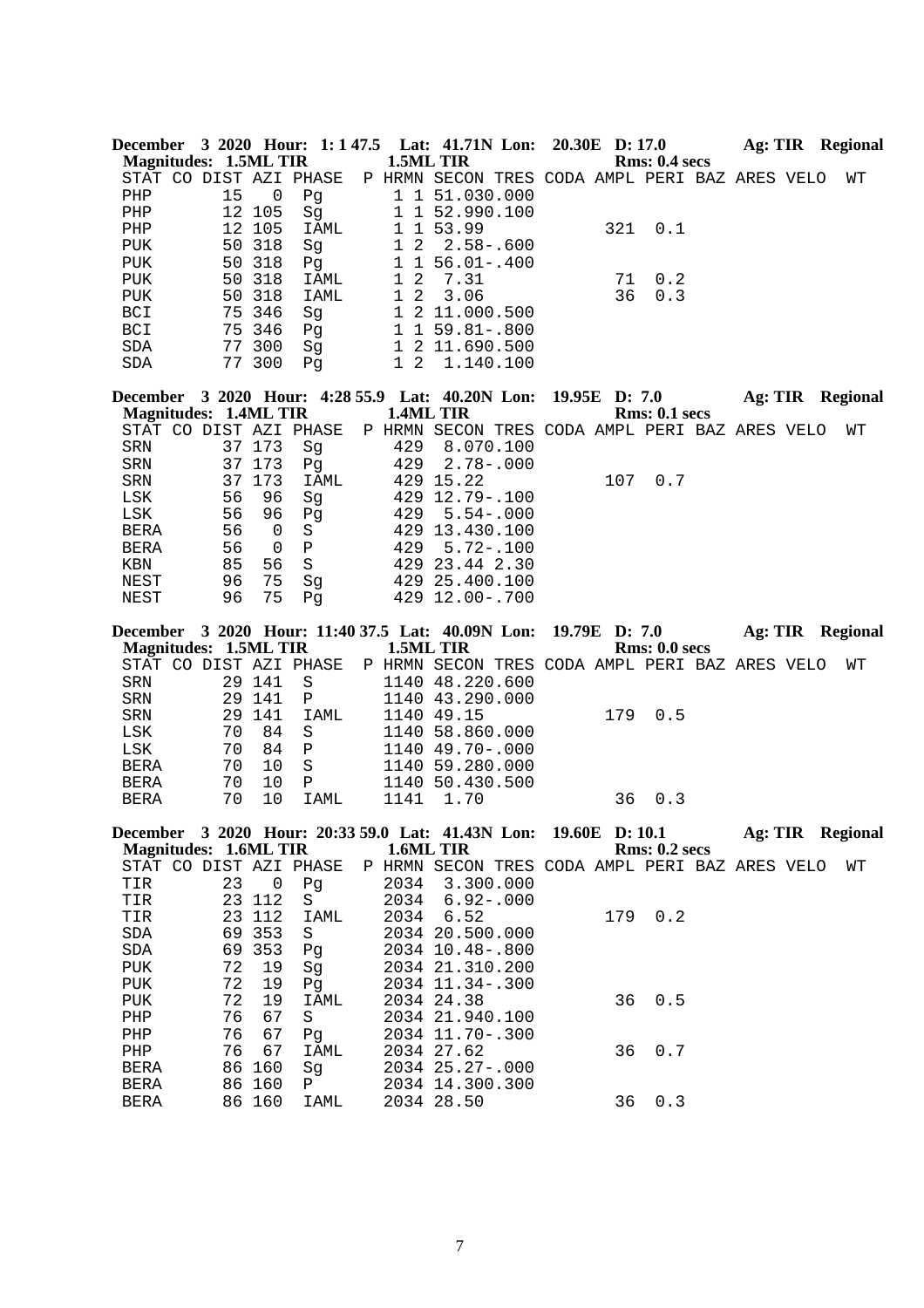| 1.5ML TIR<br><b>Magnitudes: 1.5ML TIR</b><br>Rms: 0.4~secs<br>STAT CO DIST AZI PHASE<br>P HRMN SECON TRES CODA AMPL PERI BAZ ARES VELO<br>WΤ<br>15<br>1 1 51.030.000<br>PHP<br>0<br>Pg<br>12<br>105<br>1 52.990.100<br>PHP<br>1<br>Sg<br>12<br>105<br>1 1 53.99<br>321<br>0.1<br>PHP<br>IAML<br>318<br>$1\quad2$<br>50<br>$2.58 - .600$<br>PUK<br>Sg<br>50<br>318<br>$1 1 56.01 - .400$<br><b>PUK</b><br>Pg<br>50<br>318<br>$\mathbf 1$<br>2<br>0.2<br><b>PUK</b><br>IAML<br>7.31<br>71<br>50 318<br>$1\quad2$<br>36<br>0.3<br>3.06<br>PUK<br>IAML<br>346<br>1 2 11.000.500<br>BCI<br>75<br>Sg<br>BCI<br>75 346<br>$1 1 59.81 - .800$<br>Pg<br>1 2 11.690.500<br>SDA<br>77 300<br>Sg<br>$1\quad2$<br>SDA<br>77 300<br>Pg<br>1.140.100<br>December 3 2020 Hour: 4:28 55.9 Lat: 40.20N Lon:<br>19.95E D: 7.0<br>Ag: TIR Regional<br><b>Magnitudes: 1.4ML TIR</b><br>1.4ML TIR<br><b>Rms: 0.1 secs</b><br>STAT CO DIST AZI PHASE<br>P HRMN SECON TRES CODA AMPL PERI BAZ ARES VELO<br>WΤ<br>37 173<br>429<br>8.070.100<br>SRN<br>Sg<br>SRN<br>37<br>173<br>429<br>$2.78 - .000$<br>Pg<br>173<br>37<br>429 15.22<br>107<br>0.7<br>SRN<br>IAML<br>56<br>429 12.79 -. 100<br>LSK<br>96<br>Sg<br>56<br>96<br>429<br>$5.54 - .000$<br>LSK<br>Pg<br>56<br>429 13.430.100<br><b>BERA</b><br>0<br>$\rm S$<br>56<br>$\, {\bf P}$<br>429<br><b>BERA</b><br>0<br>$5.72 - .100$<br>$\rm S$<br>85<br>56<br>429 23.44 2.30<br>KBN<br>75<br>NEST<br>96<br>Sg<br>429 25.400.100<br>75<br>96<br>429 12.00-.700<br>NEST<br>Pg<br>December 3 2020 Hour: 11:40 37.5 Lat: 40.09N Lon:<br>19.79E D: 7.0<br>Ag: TIR Regional<br><b>Magnitudes: 1.5ML TIR</b><br>1.5ML TIR<br>Rms: 0.0 secs<br>STAT CO DIST AZI PHASE<br>P HRMN SECON TRES CODA AMPL PERI BAZ ARES VELO<br>WΤ<br>SRN<br>29 141<br>1140 48.220.600<br>S<br>29<br>141<br>1140 43.290.000<br>SRN<br>Ρ<br>${\tt SRN}$<br>29<br>141<br>1140 49.15<br>179<br>0.5<br>IAML<br>LSK<br>70<br>84<br>$\rm S$<br>1140 58.860.000<br>LSK<br>70<br>84<br>$\, {\bf P}$<br>1140 49.70 -. 000<br>70<br>BERA<br>10<br>S<br>1140 59.280.000<br>70<br>10<br>$\, {\bf P}$<br>1140 50.430.500<br><b>BERA</b><br>10<br>70<br>1141<br>36<br>0.3<br><b>BERA</b><br>IAML<br>1.70<br>December 3 2020 Hour: 20:33 59.0 Lat: 41.43N Lon: 19.60E D: 10.1<br>Ag: TIR Regional<br><b>Magnitudes: 1.6ML TIR</b><br>1.6ML TIR<br><b>Rms: 0.2 secs</b><br>STAT CO DIST AZI PHASE<br>P HRMN SECON TRES CODA AMPL PERI BAZ ARES VELO<br>WТ<br>23<br>$\mathsf 0$<br>2034<br>3.300.000<br>TIR<br>Pg<br>23<br>112<br>TIR<br>S<br>2034<br>$6.92 - .000$<br>6.52<br>179 0.2<br>TIR<br>23<br>112<br>2034<br>IAML<br>2034 20.500.000<br>SDA<br>69<br>353<br>S<br>69<br>353<br>SDA<br>2034 10.48 -. 800<br>Pg<br>72<br>PUK<br>19<br>2034 21.310.200<br>Sg<br>72<br>19<br>2034 11.34 -. 300<br>PUK<br>Pg<br>72<br>0.5<br>19<br>36<br>PUK<br>IAML<br>2034 24.38<br>67<br>PHP<br>76<br>2034 21.940.100<br>S<br>76<br>67<br>PHP<br>2034 11.70-.300<br>Pg<br>76<br>67<br>2034 27.62<br>36<br>0.7<br>PHP<br>IAML |                     |    |     |                    |  | December 3 2020 Hour: 1:1 47.5 Lat: 41.71N Lon: 20.30E D: 17.0 |  |  | Ag: TIR Regional |
|---------------------------------------------------------------------------------------------------------------------------------------------------------------------------------------------------------------------------------------------------------------------------------------------------------------------------------------------------------------------------------------------------------------------------------------------------------------------------------------------------------------------------------------------------------------------------------------------------------------------------------------------------------------------------------------------------------------------------------------------------------------------------------------------------------------------------------------------------------------------------------------------------------------------------------------------------------------------------------------------------------------------------------------------------------------------------------------------------------------------------------------------------------------------------------------------------------------------------------------------------------------------------------------------------------------------------------------------------------------------------------------------------------------------------------------------------------------------------------------------------------------------------------------------------------------------------------------------------------------------------------------------------------------------------------------------------------------------------------------------------------------------------------------------------------------------------------------------------------------------------------------------------------------------------------------------------------------------------------------------------------------------------------------------------------------------------------------------------------------------------------------------------------------------------------------------------------------------------------------------------------------------------------------------------------------------------------------------------------------------------------------------------------------------------------------------------------------------------------------------------------------------------------------------------------------------------------------------------------------------------------------------------------------------------------------------------------------------------------------------------------------------------------------------------------------------------------------------------------------------------------------------------------------------------------------------------------------------------------------------------|---------------------|----|-----|--------------------|--|----------------------------------------------------------------|--|--|------------------|
|                                                                                                                                                                                                                                                                                                                                                                                                                                                                                                                                                                                                                                                                                                                                                                                                                                                                                                                                                                                                                                                                                                                                                                                                                                                                                                                                                                                                                                                                                                                                                                                                                                                                                                                                                                                                                                                                                                                                                                                                                                                                                                                                                                                                                                                                                                                                                                                                                                                                                                                                                                                                                                                                                                                                                                                                                                                                                                                                                                                                   |                     |    |     |                    |  |                                                                |  |  |                  |
|                                                                                                                                                                                                                                                                                                                                                                                                                                                                                                                                                                                                                                                                                                                                                                                                                                                                                                                                                                                                                                                                                                                                                                                                                                                                                                                                                                                                                                                                                                                                                                                                                                                                                                                                                                                                                                                                                                                                                                                                                                                                                                                                                                                                                                                                                                                                                                                                                                                                                                                                                                                                                                                                                                                                                                                                                                                                                                                                                                                                   |                     |    |     |                    |  |                                                                |  |  |                  |
|                                                                                                                                                                                                                                                                                                                                                                                                                                                                                                                                                                                                                                                                                                                                                                                                                                                                                                                                                                                                                                                                                                                                                                                                                                                                                                                                                                                                                                                                                                                                                                                                                                                                                                                                                                                                                                                                                                                                                                                                                                                                                                                                                                                                                                                                                                                                                                                                                                                                                                                                                                                                                                                                                                                                                                                                                                                                                                                                                                                                   |                     |    |     |                    |  |                                                                |  |  |                  |
|                                                                                                                                                                                                                                                                                                                                                                                                                                                                                                                                                                                                                                                                                                                                                                                                                                                                                                                                                                                                                                                                                                                                                                                                                                                                                                                                                                                                                                                                                                                                                                                                                                                                                                                                                                                                                                                                                                                                                                                                                                                                                                                                                                                                                                                                                                                                                                                                                                                                                                                                                                                                                                                                                                                                                                                                                                                                                                                                                                                                   |                     |    |     |                    |  |                                                                |  |  |                  |
|                                                                                                                                                                                                                                                                                                                                                                                                                                                                                                                                                                                                                                                                                                                                                                                                                                                                                                                                                                                                                                                                                                                                                                                                                                                                                                                                                                                                                                                                                                                                                                                                                                                                                                                                                                                                                                                                                                                                                                                                                                                                                                                                                                                                                                                                                                                                                                                                                                                                                                                                                                                                                                                                                                                                                                                                                                                                                                                                                                                                   |                     |    |     |                    |  |                                                                |  |  |                  |
|                                                                                                                                                                                                                                                                                                                                                                                                                                                                                                                                                                                                                                                                                                                                                                                                                                                                                                                                                                                                                                                                                                                                                                                                                                                                                                                                                                                                                                                                                                                                                                                                                                                                                                                                                                                                                                                                                                                                                                                                                                                                                                                                                                                                                                                                                                                                                                                                                                                                                                                                                                                                                                                                                                                                                                                                                                                                                                                                                                                                   |                     |    |     |                    |  |                                                                |  |  |                  |
|                                                                                                                                                                                                                                                                                                                                                                                                                                                                                                                                                                                                                                                                                                                                                                                                                                                                                                                                                                                                                                                                                                                                                                                                                                                                                                                                                                                                                                                                                                                                                                                                                                                                                                                                                                                                                                                                                                                                                                                                                                                                                                                                                                                                                                                                                                                                                                                                                                                                                                                                                                                                                                                                                                                                                                                                                                                                                                                                                                                                   |                     |    |     |                    |  |                                                                |  |  |                  |
|                                                                                                                                                                                                                                                                                                                                                                                                                                                                                                                                                                                                                                                                                                                                                                                                                                                                                                                                                                                                                                                                                                                                                                                                                                                                                                                                                                                                                                                                                                                                                                                                                                                                                                                                                                                                                                                                                                                                                                                                                                                                                                                                                                                                                                                                                                                                                                                                                                                                                                                                                                                                                                                                                                                                                                                                                                                                                                                                                                                                   |                     |    |     |                    |  |                                                                |  |  |                  |
|                                                                                                                                                                                                                                                                                                                                                                                                                                                                                                                                                                                                                                                                                                                                                                                                                                                                                                                                                                                                                                                                                                                                                                                                                                                                                                                                                                                                                                                                                                                                                                                                                                                                                                                                                                                                                                                                                                                                                                                                                                                                                                                                                                                                                                                                                                                                                                                                                                                                                                                                                                                                                                                                                                                                                                                                                                                                                                                                                                                                   |                     |    |     |                    |  |                                                                |  |  |                  |
|                                                                                                                                                                                                                                                                                                                                                                                                                                                                                                                                                                                                                                                                                                                                                                                                                                                                                                                                                                                                                                                                                                                                                                                                                                                                                                                                                                                                                                                                                                                                                                                                                                                                                                                                                                                                                                                                                                                                                                                                                                                                                                                                                                                                                                                                                                                                                                                                                                                                                                                                                                                                                                                                                                                                                                                                                                                                                                                                                                                                   |                     |    |     |                    |  |                                                                |  |  |                  |
|                                                                                                                                                                                                                                                                                                                                                                                                                                                                                                                                                                                                                                                                                                                                                                                                                                                                                                                                                                                                                                                                                                                                                                                                                                                                                                                                                                                                                                                                                                                                                                                                                                                                                                                                                                                                                                                                                                                                                                                                                                                                                                                                                                                                                                                                                                                                                                                                                                                                                                                                                                                                                                                                                                                                                                                                                                                                                                                                                                                                   |                     |    |     |                    |  |                                                                |  |  |                  |
|                                                                                                                                                                                                                                                                                                                                                                                                                                                                                                                                                                                                                                                                                                                                                                                                                                                                                                                                                                                                                                                                                                                                                                                                                                                                                                                                                                                                                                                                                                                                                                                                                                                                                                                                                                                                                                                                                                                                                                                                                                                                                                                                                                                                                                                                                                                                                                                                                                                                                                                                                                                                                                                                                                                                                                                                                                                                                                                                                                                                   |                     |    |     |                    |  |                                                                |  |  |                  |
|                                                                                                                                                                                                                                                                                                                                                                                                                                                                                                                                                                                                                                                                                                                                                                                                                                                                                                                                                                                                                                                                                                                                                                                                                                                                                                                                                                                                                                                                                                                                                                                                                                                                                                                                                                                                                                                                                                                                                                                                                                                                                                                                                                                                                                                                                                                                                                                                                                                                                                                                                                                                                                                                                                                                                                                                                                                                                                                                                                                                   |                     |    |     |                    |  |                                                                |  |  |                  |
|                                                                                                                                                                                                                                                                                                                                                                                                                                                                                                                                                                                                                                                                                                                                                                                                                                                                                                                                                                                                                                                                                                                                                                                                                                                                                                                                                                                                                                                                                                                                                                                                                                                                                                                                                                                                                                                                                                                                                                                                                                                                                                                                                                                                                                                                                                                                                                                                                                                                                                                                                                                                                                                                                                                                                                                                                                                                                                                                                                                                   |                     |    |     |                    |  |                                                                |  |  |                  |
|                                                                                                                                                                                                                                                                                                                                                                                                                                                                                                                                                                                                                                                                                                                                                                                                                                                                                                                                                                                                                                                                                                                                                                                                                                                                                                                                                                                                                                                                                                                                                                                                                                                                                                                                                                                                                                                                                                                                                                                                                                                                                                                                                                                                                                                                                                                                                                                                                                                                                                                                                                                                                                                                                                                                                                                                                                                                                                                                                                                                   |                     |    |     |                    |  |                                                                |  |  |                  |
|                                                                                                                                                                                                                                                                                                                                                                                                                                                                                                                                                                                                                                                                                                                                                                                                                                                                                                                                                                                                                                                                                                                                                                                                                                                                                                                                                                                                                                                                                                                                                                                                                                                                                                                                                                                                                                                                                                                                                                                                                                                                                                                                                                                                                                                                                                                                                                                                                                                                                                                                                                                                                                                                                                                                                                                                                                                                                                                                                                                                   |                     |    |     |                    |  |                                                                |  |  |                  |
|                                                                                                                                                                                                                                                                                                                                                                                                                                                                                                                                                                                                                                                                                                                                                                                                                                                                                                                                                                                                                                                                                                                                                                                                                                                                                                                                                                                                                                                                                                                                                                                                                                                                                                                                                                                                                                                                                                                                                                                                                                                                                                                                                                                                                                                                                                                                                                                                                                                                                                                                                                                                                                                                                                                                                                                                                                                                                                                                                                                                   |                     |    |     |                    |  |                                                                |  |  |                  |
|                                                                                                                                                                                                                                                                                                                                                                                                                                                                                                                                                                                                                                                                                                                                                                                                                                                                                                                                                                                                                                                                                                                                                                                                                                                                                                                                                                                                                                                                                                                                                                                                                                                                                                                                                                                                                                                                                                                                                                                                                                                                                                                                                                                                                                                                                                                                                                                                                                                                                                                                                                                                                                                                                                                                                                                                                                                                                                                                                                                                   |                     |    |     |                    |  |                                                                |  |  |                  |
|                                                                                                                                                                                                                                                                                                                                                                                                                                                                                                                                                                                                                                                                                                                                                                                                                                                                                                                                                                                                                                                                                                                                                                                                                                                                                                                                                                                                                                                                                                                                                                                                                                                                                                                                                                                                                                                                                                                                                                                                                                                                                                                                                                                                                                                                                                                                                                                                                                                                                                                                                                                                                                                                                                                                                                                                                                                                                                                                                                                                   |                     |    |     |                    |  |                                                                |  |  |                  |
|                                                                                                                                                                                                                                                                                                                                                                                                                                                                                                                                                                                                                                                                                                                                                                                                                                                                                                                                                                                                                                                                                                                                                                                                                                                                                                                                                                                                                                                                                                                                                                                                                                                                                                                                                                                                                                                                                                                                                                                                                                                                                                                                                                                                                                                                                                                                                                                                                                                                                                                                                                                                                                                                                                                                                                                                                                                                                                                                                                                                   |                     |    |     |                    |  |                                                                |  |  |                  |
|                                                                                                                                                                                                                                                                                                                                                                                                                                                                                                                                                                                                                                                                                                                                                                                                                                                                                                                                                                                                                                                                                                                                                                                                                                                                                                                                                                                                                                                                                                                                                                                                                                                                                                                                                                                                                                                                                                                                                                                                                                                                                                                                                                                                                                                                                                                                                                                                                                                                                                                                                                                                                                                                                                                                                                                                                                                                                                                                                                                                   |                     |    |     |                    |  |                                                                |  |  |                  |
|                                                                                                                                                                                                                                                                                                                                                                                                                                                                                                                                                                                                                                                                                                                                                                                                                                                                                                                                                                                                                                                                                                                                                                                                                                                                                                                                                                                                                                                                                                                                                                                                                                                                                                                                                                                                                                                                                                                                                                                                                                                                                                                                                                                                                                                                                                                                                                                                                                                                                                                                                                                                                                                                                                                                                                                                                                                                                                                                                                                                   |                     |    |     |                    |  |                                                                |  |  |                  |
|                                                                                                                                                                                                                                                                                                                                                                                                                                                                                                                                                                                                                                                                                                                                                                                                                                                                                                                                                                                                                                                                                                                                                                                                                                                                                                                                                                                                                                                                                                                                                                                                                                                                                                                                                                                                                                                                                                                                                                                                                                                                                                                                                                                                                                                                                                                                                                                                                                                                                                                                                                                                                                                                                                                                                                                                                                                                                                                                                                                                   |                     |    |     |                    |  |                                                                |  |  |                  |
|                                                                                                                                                                                                                                                                                                                                                                                                                                                                                                                                                                                                                                                                                                                                                                                                                                                                                                                                                                                                                                                                                                                                                                                                                                                                                                                                                                                                                                                                                                                                                                                                                                                                                                                                                                                                                                                                                                                                                                                                                                                                                                                                                                                                                                                                                                                                                                                                                                                                                                                                                                                                                                                                                                                                                                                                                                                                                                                                                                                                   |                     |    |     |                    |  |                                                                |  |  |                  |
|                                                                                                                                                                                                                                                                                                                                                                                                                                                                                                                                                                                                                                                                                                                                                                                                                                                                                                                                                                                                                                                                                                                                                                                                                                                                                                                                                                                                                                                                                                                                                                                                                                                                                                                                                                                                                                                                                                                                                                                                                                                                                                                                                                                                                                                                                                                                                                                                                                                                                                                                                                                                                                                                                                                                                                                                                                                                                                                                                                                                   |                     |    |     |                    |  |                                                                |  |  |                  |
|                                                                                                                                                                                                                                                                                                                                                                                                                                                                                                                                                                                                                                                                                                                                                                                                                                                                                                                                                                                                                                                                                                                                                                                                                                                                                                                                                                                                                                                                                                                                                                                                                                                                                                                                                                                                                                                                                                                                                                                                                                                                                                                                                                                                                                                                                                                                                                                                                                                                                                                                                                                                                                                                                                                                                                                                                                                                                                                                                                                                   |                     |    |     |                    |  |                                                                |  |  |                  |
|                                                                                                                                                                                                                                                                                                                                                                                                                                                                                                                                                                                                                                                                                                                                                                                                                                                                                                                                                                                                                                                                                                                                                                                                                                                                                                                                                                                                                                                                                                                                                                                                                                                                                                                                                                                                                                                                                                                                                                                                                                                                                                                                                                                                                                                                                                                                                                                                                                                                                                                                                                                                                                                                                                                                                                                                                                                                                                                                                                                                   |                     |    |     |                    |  |                                                                |  |  |                  |
|                                                                                                                                                                                                                                                                                                                                                                                                                                                                                                                                                                                                                                                                                                                                                                                                                                                                                                                                                                                                                                                                                                                                                                                                                                                                                                                                                                                                                                                                                                                                                                                                                                                                                                                                                                                                                                                                                                                                                                                                                                                                                                                                                                                                                                                                                                                                                                                                                                                                                                                                                                                                                                                                                                                                                                                                                                                                                                                                                                                                   |                     |    |     |                    |  |                                                                |  |  |                  |
|                                                                                                                                                                                                                                                                                                                                                                                                                                                                                                                                                                                                                                                                                                                                                                                                                                                                                                                                                                                                                                                                                                                                                                                                                                                                                                                                                                                                                                                                                                                                                                                                                                                                                                                                                                                                                                                                                                                                                                                                                                                                                                                                                                                                                                                                                                                                                                                                                                                                                                                                                                                                                                                                                                                                                                                                                                                                                                                                                                                                   |                     |    |     |                    |  |                                                                |  |  |                  |
|                                                                                                                                                                                                                                                                                                                                                                                                                                                                                                                                                                                                                                                                                                                                                                                                                                                                                                                                                                                                                                                                                                                                                                                                                                                                                                                                                                                                                                                                                                                                                                                                                                                                                                                                                                                                                                                                                                                                                                                                                                                                                                                                                                                                                                                                                                                                                                                                                                                                                                                                                                                                                                                                                                                                                                                                                                                                                                                                                                                                   |                     |    |     |                    |  |                                                                |  |  |                  |
|                                                                                                                                                                                                                                                                                                                                                                                                                                                                                                                                                                                                                                                                                                                                                                                                                                                                                                                                                                                                                                                                                                                                                                                                                                                                                                                                                                                                                                                                                                                                                                                                                                                                                                                                                                                                                                                                                                                                                                                                                                                                                                                                                                                                                                                                                                                                                                                                                                                                                                                                                                                                                                                                                                                                                                                                                                                                                                                                                                                                   |                     |    |     |                    |  |                                                                |  |  |                  |
|                                                                                                                                                                                                                                                                                                                                                                                                                                                                                                                                                                                                                                                                                                                                                                                                                                                                                                                                                                                                                                                                                                                                                                                                                                                                                                                                                                                                                                                                                                                                                                                                                                                                                                                                                                                                                                                                                                                                                                                                                                                                                                                                                                                                                                                                                                                                                                                                                                                                                                                                                                                                                                                                                                                                                                                                                                                                                                                                                                                                   |                     |    |     |                    |  |                                                                |  |  |                  |
|                                                                                                                                                                                                                                                                                                                                                                                                                                                                                                                                                                                                                                                                                                                                                                                                                                                                                                                                                                                                                                                                                                                                                                                                                                                                                                                                                                                                                                                                                                                                                                                                                                                                                                                                                                                                                                                                                                                                                                                                                                                                                                                                                                                                                                                                                                                                                                                                                                                                                                                                                                                                                                                                                                                                                                                                                                                                                                                                                                                                   |                     |    |     |                    |  |                                                                |  |  |                  |
|                                                                                                                                                                                                                                                                                                                                                                                                                                                                                                                                                                                                                                                                                                                                                                                                                                                                                                                                                                                                                                                                                                                                                                                                                                                                                                                                                                                                                                                                                                                                                                                                                                                                                                                                                                                                                                                                                                                                                                                                                                                                                                                                                                                                                                                                                                                                                                                                                                                                                                                                                                                                                                                                                                                                                                                                                                                                                                                                                                                                   |                     |    |     |                    |  |                                                                |  |  |                  |
|                                                                                                                                                                                                                                                                                                                                                                                                                                                                                                                                                                                                                                                                                                                                                                                                                                                                                                                                                                                                                                                                                                                                                                                                                                                                                                                                                                                                                                                                                                                                                                                                                                                                                                                                                                                                                                                                                                                                                                                                                                                                                                                                                                                                                                                                                                                                                                                                                                                                                                                                                                                                                                                                                                                                                                                                                                                                                                                                                                                                   |                     |    |     |                    |  |                                                                |  |  |                  |
|                                                                                                                                                                                                                                                                                                                                                                                                                                                                                                                                                                                                                                                                                                                                                                                                                                                                                                                                                                                                                                                                                                                                                                                                                                                                                                                                                                                                                                                                                                                                                                                                                                                                                                                                                                                                                                                                                                                                                                                                                                                                                                                                                                                                                                                                                                                                                                                                                                                                                                                                                                                                                                                                                                                                                                                                                                                                                                                                                                                                   |                     |    |     |                    |  |                                                                |  |  |                  |
|                                                                                                                                                                                                                                                                                                                                                                                                                                                                                                                                                                                                                                                                                                                                                                                                                                                                                                                                                                                                                                                                                                                                                                                                                                                                                                                                                                                                                                                                                                                                                                                                                                                                                                                                                                                                                                                                                                                                                                                                                                                                                                                                                                                                                                                                                                                                                                                                                                                                                                                                                                                                                                                                                                                                                                                                                                                                                                                                                                                                   |                     |    |     |                    |  |                                                                |  |  |                  |
|                                                                                                                                                                                                                                                                                                                                                                                                                                                                                                                                                                                                                                                                                                                                                                                                                                                                                                                                                                                                                                                                                                                                                                                                                                                                                                                                                                                                                                                                                                                                                                                                                                                                                                                                                                                                                                                                                                                                                                                                                                                                                                                                                                                                                                                                                                                                                                                                                                                                                                                                                                                                                                                                                                                                                                                                                                                                                                                                                                                                   |                     |    |     |                    |  |                                                                |  |  |                  |
|                                                                                                                                                                                                                                                                                                                                                                                                                                                                                                                                                                                                                                                                                                                                                                                                                                                                                                                                                                                                                                                                                                                                                                                                                                                                                                                                                                                                                                                                                                                                                                                                                                                                                                                                                                                                                                                                                                                                                                                                                                                                                                                                                                                                                                                                                                                                                                                                                                                                                                                                                                                                                                                                                                                                                                                                                                                                                                                                                                                                   |                     |    |     |                    |  |                                                                |  |  |                  |
|                                                                                                                                                                                                                                                                                                                                                                                                                                                                                                                                                                                                                                                                                                                                                                                                                                                                                                                                                                                                                                                                                                                                                                                                                                                                                                                                                                                                                                                                                                                                                                                                                                                                                                                                                                                                                                                                                                                                                                                                                                                                                                                                                                                                                                                                                                                                                                                                                                                                                                                                                                                                                                                                                                                                                                                                                                                                                                                                                                                                   |                     |    |     |                    |  |                                                                |  |  |                  |
|                                                                                                                                                                                                                                                                                                                                                                                                                                                                                                                                                                                                                                                                                                                                                                                                                                                                                                                                                                                                                                                                                                                                                                                                                                                                                                                                                                                                                                                                                                                                                                                                                                                                                                                                                                                                                                                                                                                                                                                                                                                                                                                                                                                                                                                                                                                                                                                                                                                                                                                                                                                                                                                                                                                                                                                                                                                                                                                                                                                                   |                     |    |     |                    |  |                                                                |  |  |                  |
|                                                                                                                                                                                                                                                                                                                                                                                                                                                                                                                                                                                                                                                                                                                                                                                                                                                                                                                                                                                                                                                                                                                                                                                                                                                                                                                                                                                                                                                                                                                                                                                                                                                                                                                                                                                                                                                                                                                                                                                                                                                                                                                                                                                                                                                                                                                                                                                                                                                                                                                                                                                                                                                                                                                                                                                                                                                                                                                                                                                                   |                     |    |     |                    |  |                                                                |  |  |                  |
|                                                                                                                                                                                                                                                                                                                                                                                                                                                                                                                                                                                                                                                                                                                                                                                                                                                                                                                                                                                                                                                                                                                                                                                                                                                                                                                                                                                                                                                                                                                                                                                                                                                                                                                                                                                                                                                                                                                                                                                                                                                                                                                                                                                                                                                                                                                                                                                                                                                                                                                                                                                                                                                                                                                                                                                                                                                                                                                                                                                                   |                     |    |     |                    |  |                                                                |  |  |                  |
|                                                                                                                                                                                                                                                                                                                                                                                                                                                                                                                                                                                                                                                                                                                                                                                                                                                                                                                                                                                                                                                                                                                                                                                                                                                                                                                                                                                                                                                                                                                                                                                                                                                                                                                                                                                                                                                                                                                                                                                                                                                                                                                                                                                                                                                                                                                                                                                                                                                                                                                                                                                                                                                                                                                                                                                                                                                                                                                                                                                                   |                     |    |     |                    |  |                                                                |  |  |                  |
|                                                                                                                                                                                                                                                                                                                                                                                                                                                                                                                                                                                                                                                                                                                                                                                                                                                                                                                                                                                                                                                                                                                                                                                                                                                                                                                                                                                                                                                                                                                                                                                                                                                                                                                                                                                                                                                                                                                                                                                                                                                                                                                                                                                                                                                                                                                                                                                                                                                                                                                                                                                                                                                                                                                                                                                                                                                                                                                                                                                                   |                     |    |     |                    |  |                                                                |  |  |                  |
|                                                                                                                                                                                                                                                                                                                                                                                                                                                                                                                                                                                                                                                                                                                                                                                                                                                                                                                                                                                                                                                                                                                                                                                                                                                                                                                                                                                                                                                                                                                                                                                                                                                                                                                                                                                                                                                                                                                                                                                                                                                                                                                                                                                                                                                                                                                                                                                                                                                                                                                                                                                                                                                                                                                                                                                                                                                                                                                                                                                                   |                     |    |     |                    |  |                                                                |  |  |                  |
|                                                                                                                                                                                                                                                                                                                                                                                                                                                                                                                                                                                                                                                                                                                                                                                                                                                                                                                                                                                                                                                                                                                                                                                                                                                                                                                                                                                                                                                                                                                                                                                                                                                                                                                                                                                                                                                                                                                                                                                                                                                                                                                                                                                                                                                                                                                                                                                                                                                                                                                                                                                                                                                                                                                                                                                                                                                                                                                                                                                                   |                     |    |     |                    |  |                                                                |  |  |                  |
|                                                                                                                                                                                                                                                                                                                                                                                                                                                                                                                                                                                                                                                                                                                                                                                                                                                                                                                                                                                                                                                                                                                                                                                                                                                                                                                                                                                                                                                                                                                                                                                                                                                                                                                                                                                                                                                                                                                                                                                                                                                                                                                                                                                                                                                                                                                                                                                                                                                                                                                                                                                                                                                                                                                                                                                                                                                                                                                                                                                                   |                     |    |     |                    |  |                                                                |  |  |                  |
|                                                                                                                                                                                                                                                                                                                                                                                                                                                                                                                                                                                                                                                                                                                                                                                                                                                                                                                                                                                                                                                                                                                                                                                                                                                                                                                                                                                                                                                                                                                                                                                                                                                                                                                                                                                                                                                                                                                                                                                                                                                                                                                                                                                                                                                                                                                                                                                                                                                                                                                                                                                                                                                                                                                                                                                                                                                                                                                                                                                                   |                     |    |     |                    |  |                                                                |  |  |                  |
|                                                                                                                                                                                                                                                                                                                                                                                                                                                                                                                                                                                                                                                                                                                                                                                                                                                                                                                                                                                                                                                                                                                                                                                                                                                                                                                                                                                                                                                                                                                                                                                                                                                                                                                                                                                                                                                                                                                                                                                                                                                                                                                                                                                                                                                                                                                                                                                                                                                                                                                                                                                                                                                                                                                                                                                                                                                                                                                                                                                                   |                     |    |     |                    |  |                                                                |  |  |                  |
|                                                                                                                                                                                                                                                                                                                                                                                                                                                                                                                                                                                                                                                                                                                                                                                                                                                                                                                                                                                                                                                                                                                                                                                                                                                                                                                                                                                                                                                                                                                                                                                                                                                                                                                                                                                                                                                                                                                                                                                                                                                                                                                                                                                                                                                                                                                                                                                                                                                                                                                                                                                                                                                                                                                                                                                                                                                                                                                                                                                                   |                     |    |     |                    |  |                                                                |  |  |                  |
|                                                                                                                                                                                                                                                                                                                                                                                                                                                                                                                                                                                                                                                                                                                                                                                                                                                                                                                                                                                                                                                                                                                                                                                                                                                                                                                                                                                                                                                                                                                                                                                                                                                                                                                                                                                                                                                                                                                                                                                                                                                                                                                                                                                                                                                                                                                                                                                                                                                                                                                                                                                                                                                                                                                                                                                                                                                                                                                                                                                                   |                     |    |     |                    |  |                                                                |  |  |                  |
| 86 160<br>2034 14.300.300                                                                                                                                                                                                                                                                                                                                                                                                                                                                                                                                                                                                                                                                                                                                                                                                                                                                                                                                                                                                                                                                                                                                                                                                                                                                                                                                                                                                                                                                                                                                                                                                                                                                                                                                                                                                                                                                                                                                                                                                                                                                                                                                                                                                                                                                                                                                                                                                                                                                                                                                                                                                                                                                                                                                                                                                                                                                                                                                                                         |                     |    |     |                    |  |                                                                |  |  |                  |
| 0.3<br>2034 28.50<br>36<br><b>BERA</b><br>86 160<br>IAML                                                                                                                                                                                                                                                                                                                                                                                                                                                                                                                                                                                                                                                                                                                                                                                                                                                                                                                                                                                                                                                                                                                                                                                                                                                                                                                                                                                                                                                                                                                                                                                                                                                                                                                                                                                                                                                                                                                                                                                                                                                                                                                                                                                                                                                                                                                                                                                                                                                                                                                                                                                                                                                                                                                                                                                                                                                                                                                                          | BERA<br><b>BERA</b> | 86 | 160 | Sg<br>$\mathbf{P}$ |  | 2034 25.27-.000                                                |  |  |                  |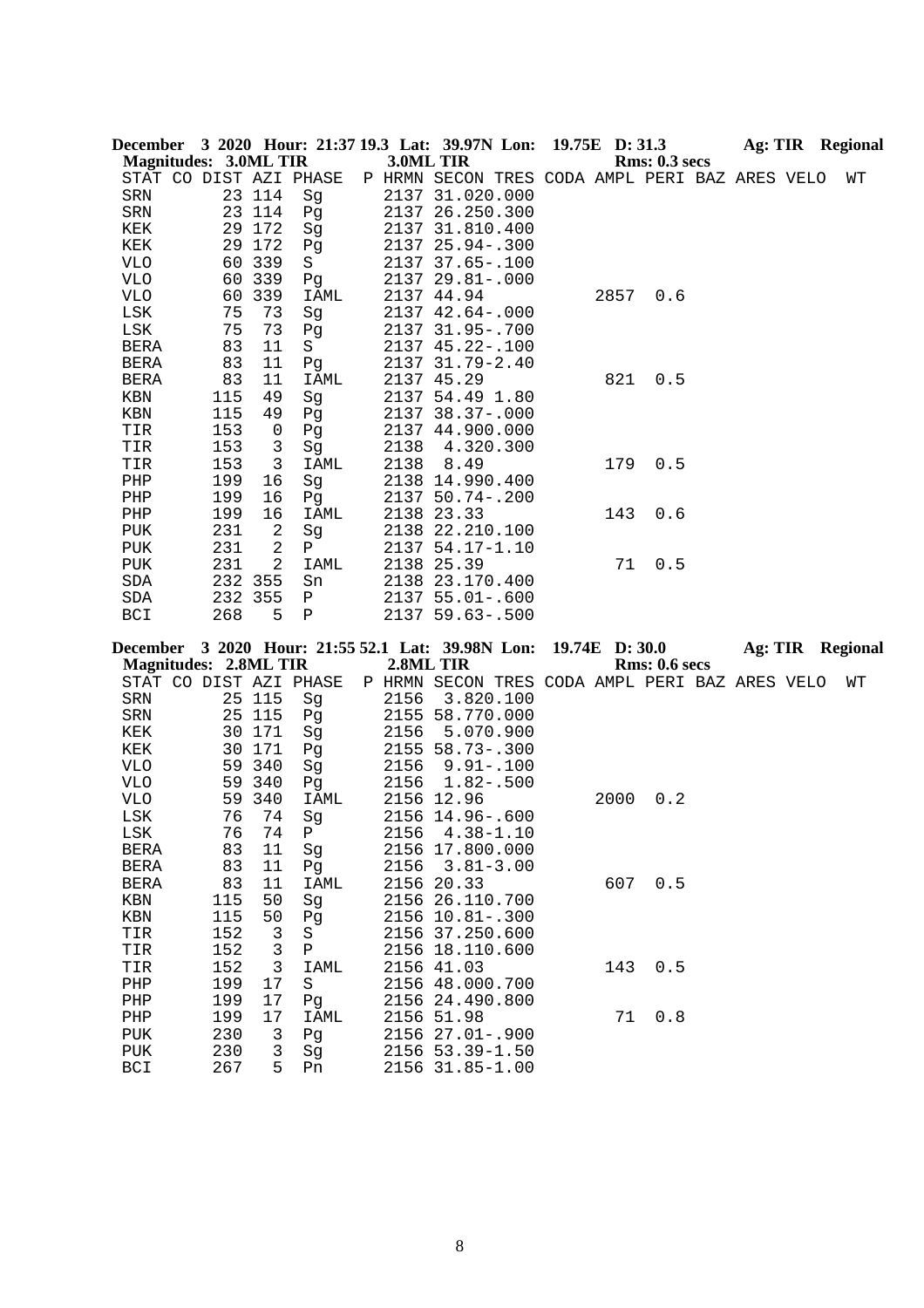|                      |                              |            |                    |                 |           | December 3 2020 Hour: 21:37 19.3 Lat: 39.97N Lon: 19.75E D: 31.3 |                |      |                      |  | Ag: TIR Regional |
|----------------------|------------------------------|------------|--------------------|-----------------|-----------|------------------------------------------------------------------|----------------|------|----------------------|--|------------------|
|                      | <b>Magnitudes: 3.0ML TIR</b> |            |                    |                 | 3.0ML TIR |                                                                  |                |      | <b>Rms: 0.3 secs</b> |  |                  |
|                      | STAT CO DIST AZI PHASE       |            |                    |                 |           | P HRMN SECON TRES CODA AMPL PERI BAZ ARES VELO                   |                |      |                      |  | WΤ               |
| SRN                  |                              |            | 23 114             | Sg              |           | 2137 31.020.000                                                  |                |      |                      |  |                  |
| SRN                  |                              |            | 23 114             | Pg              |           | 2137 26.250.300                                                  |                |      |                      |  |                  |
| KEK                  |                              |            | 29 172             | Sg              |           | 2137 31.810.400                                                  |                |      |                      |  |                  |
| KEK                  |                              | 29         | 172                | Pg              |           | 2137 25.94 -. 300                                                |                |      |                      |  |                  |
| <b>VLO</b>           |                              | 60         | 339                | S               |           | 2137 37.65-.100                                                  |                |      |                      |  |                  |
| <b>VLO</b>           |                              | 60         | 339                | Pg              |           | 2137 29.81 -. 000                                                |                |      |                      |  |                  |
| <b>VLO</b>           |                              | 60         | 339                | <b>IAML</b>     |           | 2137 44.94                                                       |                | 2857 | 0.6                  |  |                  |
| LSK                  |                              | 75         | 73                 | Sg              |           | 2137 42.64 -. 000                                                |                |      |                      |  |                  |
| LSK                  |                              | 75         | 73                 | Pg              |           | 2137 31.95-.700                                                  |                |      |                      |  |                  |
| BERA                 |                              | 83         | 11                 | S               |           | 2137 45.22-.100                                                  |                |      |                      |  |                  |
| <b>BERA</b>          |                              | 83         | 11                 | Pg              |           | 2137 31.79-2.40                                                  |                |      |                      |  |                  |
| BERA                 |                              | 83         | 11                 | <b>IAML</b>     |           | 2137 45.29                                                       |                | 821  | 0.5                  |  |                  |
| KBN                  |                              | 115        | 49                 | Sg              |           | 2137 54.49 1.80                                                  |                |      |                      |  |                  |
| KBN<br>TIR           |                              | 115<br>153 | 49<br>0            | Pg              |           | 2137 38.37-.000                                                  |                |      |                      |  |                  |
|                      |                              | 153        | 3                  | Pg              | 2138      | 2137 44.900.000                                                  |                |      |                      |  |                  |
| TIR<br>TIR           |                              | 153        | 3                  | Sg<br>IAML      | 2138      | 4.320.300<br>8.49                                                |                | 179  | 0.5                  |  |                  |
| PHP                  |                              | 199        | 16                 | Sg              |           | 2138 14.990.400                                                  |                |      |                      |  |                  |
| PHP                  |                              | 199        | 16                 | Pg              |           | 2137 50.74 -. 200                                                |                |      |                      |  |                  |
| PHP                  |                              | 199        | 16                 | <b>IAML</b>     |           | 2138 23.33                                                       |                | 143  | 0.6                  |  |                  |
| PUK                  |                              | 231        | 2                  | Sg              |           | 2138 22.210.100                                                  |                |      |                      |  |                  |
| ${\tt PUK}$          |                              | 231        | 2                  | Ρ               |           | 2137 54.17-1.10                                                  |                |      |                      |  |                  |
| PUK                  |                              | 231        | $\overline{2}$     | IAML            |           | 2138 25.39                                                       |                | 71   | 0.5                  |  |                  |
| $\operatorname{SDA}$ |                              |            | 232 355            | Sn              |           | 2138 23.170.400                                                  |                |      |                      |  |                  |
| SDA                  |                              |            | 232 355            | Ρ               |           | 2137 55.01-.600                                                  |                |      |                      |  |                  |
| BCI                  |                              | 268        | 5                  | $\, {\bf P}$    |           | 2137 59.63 -. 500                                                |                |      |                      |  |                  |
|                      |                              |            |                    |                 |           |                                                                  |                |      |                      |  |                  |
|                      |                              |            |                    |                 |           |                                                                  |                |      |                      |  |                  |
|                      |                              |            |                    |                 |           | December 3 2020 Hour: 21:55 52.1 Lat: 39.98N Lon:                | 19.74E D: 30.0 |      |                      |  | Ag: TIR Regional |
|                      | <b>Magnitudes: 2.8ML TIR</b> |            |                    |                 | 2.8ML TIR |                                                                  |                |      | Rms: 0.6 secs        |  |                  |
|                      | STAT CO DIST AZI PHASE       |            |                    |                 |           | P HRMN SECON TRES CODA AMPL PERI BAZ ARES VELO                   |                |      |                      |  | WΤ               |
| SRN                  |                              |            | 25 115             | Sg              | 2156      | 3.820.100                                                        |                |      |                      |  |                  |
| SRN                  |                              |            | 25 115             | Pg              |           | 2155 58.770.000                                                  |                |      |                      |  |                  |
| KEK                  |                              |            | 30 171             | Sg              | 2156      | 5.070.900                                                        |                |      |                      |  |                  |
| KEK                  |                              | 30         | 171                | Pg              |           | 2155 58.73-.300                                                  |                |      |                      |  |                  |
| VLO                  |                              | 59         | 340                | Sg              | 2156      | $9.91 - .100$                                                    |                |      |                      |  |                  |
| <b>VLO</b>           |                              | 59         | 340                | Pg              | 2156      | $1.82 - .500$                                                    |                |      |                      |  |                  |
| <b>VLO</b>           |                              | 59         | 340                | <b>IAML</b>     |           | 2156 12.96                                                       |                | 2000 | 0.2                  |  |                  |
| LSK                  |                              | 76         | 74                 | Sg              |           | 2156 14.96 -. 600                                                |                |      |                      |  |                  |
| LSK                  |                              | 76         | 74                 | $\mathbf{P}$    |           | 2156 4.38-1.10                                                   |                |      |                      |  |                  |
| BERA                 |                              | 83         | 11                 | Sg              |           | 2156 17.800.000                                                  |                |      |                      |  |                  |
| BERA                 |                              | 83         | 11                 | Pg              | 2156      | $3.81 - 3.00$                                                    |                |      |                      |  |                  |
| <b>BERA</b>          |                              | 83         | 11                 | IAML            |           | 2156 20.33                                                       |                | 607  | 0.5                  |  |                  |
| KBN                  |                              | 115        | 50                 | Sg              |           | 2156 26.110.700                                                  |                |      |                      |  |                  |
| KBN                  |                              | 115        | 50                 | Pg              |           | 2156 10.81 -. 300                                                |                |      |                      |  |                  |
| TIR                  |                              | 152        | 3                  | S               |           | 2156 37.250.600                                                  |                |      |                      |  |                  |
| TIR                  |                              | 152        | 3                  | $\, {\bf P}$    |           | 2156 18.110.600                                                  |                |      |                      |  |                  |
| TIR<br>PHP           |                              | 152<br>199 | $\mathbf{3}$<br>17 | IAML<br>$\rm S$ |           | 2156 41.03<br>2156 48.000.700                                    |                | 143  | 0.5                  |  |                  |
| PHP                  |                              | 199        | 17                 | Pg              |           | 2156 24.490.800                                                  |                |      |                      |  |                  |
| PHP                  |                              | 199        | 17                 | IAML            |           | 2156 51.98                                                       |                | 71   | 0.8                  |  |                  |
| PUK                  |                              | 230        | 3                  | Pg              |           | 2156 27.01-.900                                                  |                |      |                      |  |                  |
| PUK                  |                              | 230        | 3                  | Sg              |           | 2156 53.39-1.50                                                  |                |      |                      |  |                  |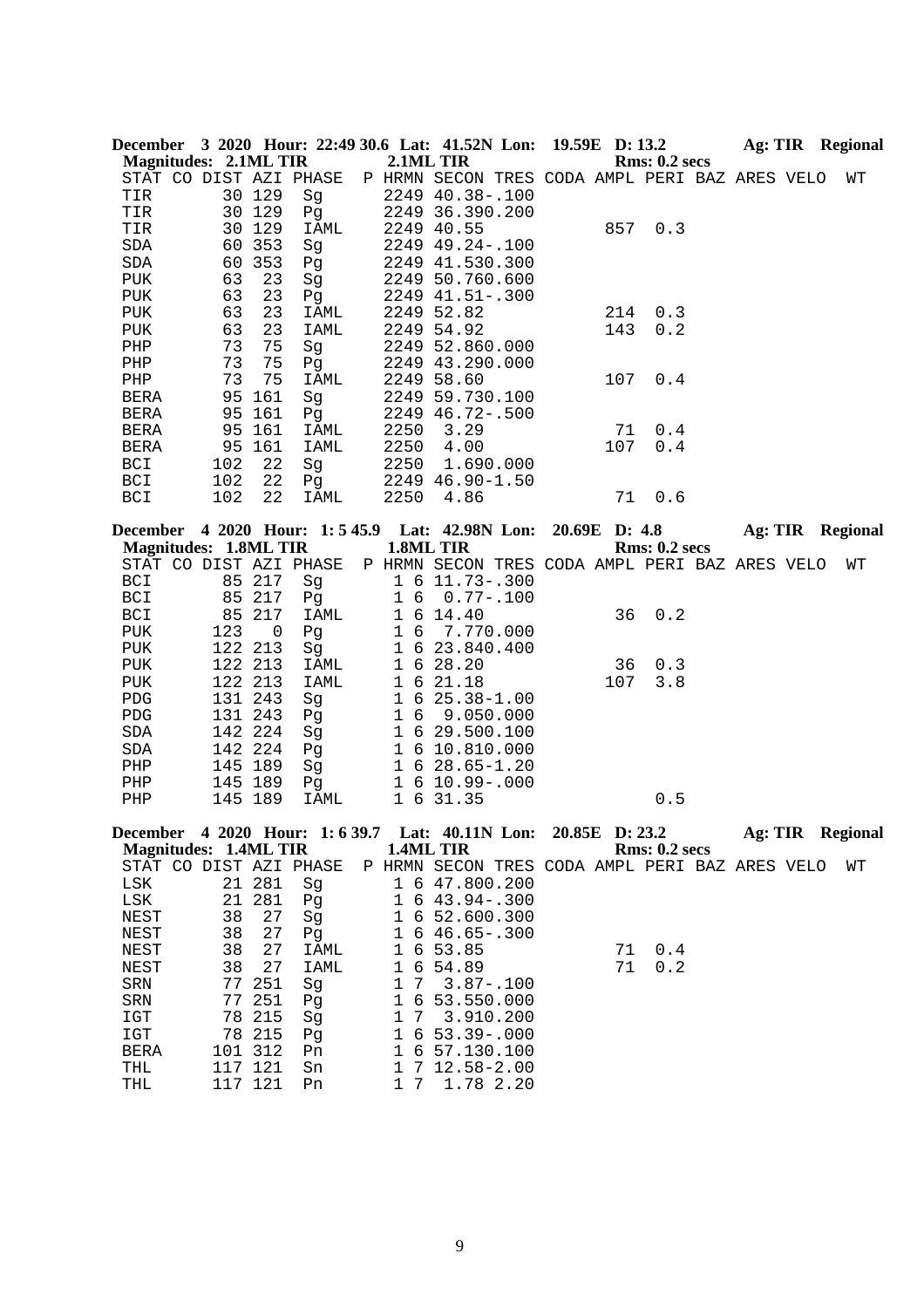|                              |                              |             |                        |                     | December 3 2020 Hour: 22:49 30.6 Lat: 41.52N Lon: 19.59E D: 13.2 |               |                      | <b>Ag: TIR</b> Regional |  |    |
|------------------------------|------------------------------|-------------|------------------------|---------------------|------------------------------------------------------------------|---------------|----------------------|-------------------------|--|----|
|                              | <b>Magnitudes: 2.1ML TIR</b> |             |                        | 2.1ML TIR           |                                                                  |               | <b>Rms: 0.2 secs</b> |                         |  |    |
|                              |                              |             | STAT CO DIST AZI PHASE |                     | P HRMN SECON TRES CODA AMPL PERI BAZ ARES VELO                   |               |                      |                         |  | WΤ |
| TIR                          |                              | 30 129      | Sg                     |                     | 2249 40.38 -. 100                                                |               |                      |                         |  |    |
| TIR                          |                              | 30 129      | Pq                     |                     | 2249 36.390.200                                                  |               |                      |                         |  |    |
| TIR                          |                              | 30 129      | IAML                   |                     | 2249 40.55                                                       | 857           | 0.3                  |                         |  |    |
| SDA                          |                              | 60 353      | Sg                     |                     | 2249 49.24 -. 100                                                |               |                      |                         |  |    |
| SDA                          | 60                           | 353         | Pg                     |                     | 2249 41.530.300                                                  |               |                      |                         |  |    |
| PUK                          | 63                           | 23          | Sg                     |                     | 2249 50.760.600                                                  |               |                      |                         |  |    |
| PUK                          | 63                           | 23          | Pg                     |                     | 2249 41.51 -. 300                                                |               |                      |                         |  |    |
| PUK                          | 63                           | 23          | IAML                   |                     | 2249 52.82                                                       | 214           | 0.3                  |                         |  |    |
| ${\tt PUK}$                  | 63                           | 23          | IAML                   |                     | 2249 54.92                                                       | 143           | 0.2                  |                         |  |    |
| PHP                          | 73                           | 75          | Sg                     |                     | 2249 52.860.000                                                  |               |                      |                         |  |    |
| ${\tt PHP}$                  | 73                           | 75          | Pg                     |                     | 2249 43.290.000                                                  |               |                      |                         |  |    |
| PHP                          | 73                           | 75          | IAML                   |                     | 2249 58.60                                                       | 107           | 0.4                  |                         |  |    |
| BERA                         | 95                           | 161         | Sg                     |                     | 2249 59.730.100                                                  |               |                      |                         |  |    |
| <b>BERA</b>                  |                              | 95 161      | Pg                     |                     | 2249 46.72-.500                                                  |               |                      |                         |  |    |
| <b>BERA</b>                  |                              | 95 161      | IAML                   | 2250                | 3.29                                                             | 71            | 0.4                  |                         |  |    |
| <b>BERA</b>                  |                              | 95 161      | IAML                   | 2250                | 4.00                                                             | 107           | 0.4                  |                         |  |    |
| BCI                          | 102                          | 22          | Sg                     | 2250                | 1.690.000                                                        |               |                      |                         |  |    |
| BCI                          | 102                          | 22          | Pg                     |                     | 2249 46.90-1.50                                                  |               |                      |                         |  |    |
| BCI                          | 102                          | 22          | IAML                   | 2250                | 4.86                                                             | 71            | 0.6                  |                         |  |    |
|                              |                              |             |                        |                     | December 4 2020 Hour: 1:5 45.9 Lat: 42.98N Lon:                  | 20.69E D: 4.8 |                      | <b>Ag: TIR Regional</b> |  |    |
| <b>Magnitudes: 1.8ML TIR</b> |                              |             |                        |                     | 1.8ML TIR                                                        |               | <b>Rms: 0.2 secs</b> |                         |  |    |
|                              |                              |             | STAT CO DIST AZI PHASE |                     | P HRMN SECON TRES CODA AMPL PERI BAZ ARES VELO                   |               |                      |                         |  | WΤ |
| BCI                          |                              | 85 217      | Sg                     |                     | 1 6 11.73 - . 300                                                |               |                      |                         |  |    |
| BCI                          | 85                           | 217         | Pg                     | 1 6                 | $0.77 - .100$                                                    |               |                      |                         |  |    |
| BCI                          | 85                           | 217         | IAML                   | $\mathbf 1$         | 6 14.40                                                          | 36            | 0.2                  |                         |  |    |
| <b>PUK</b>                   | 123                          | $\mathbf 0$ | Pg                     | $1\,$<br>6          | 7.770.000                                                        |               |                      |                         |  |    |
| PUK                          |                              | 122 213     | Sg                     | $\mathbf{1}$        | 6 23.840.400                                                     |               |                      |                         |  |    |
| PUK                          |                              | 122 213     | IAML                   | $\mathbf 1$         | 6 28.20                                                          | 36            | 0.3                  |                         |  |    |
| PUK                          |                              | 122 213     | IAML                   | $\mathbf 1$         | 6 21.18                                                          | 107           | 3.8                  |                         |  |    |
| ${\tt PDG}$                  |                              | 131 243     | Sg                     | $\mathbf 1$         | $625.38 - 1.00$                                                  |               |                      |                         |  |    |
| ${\rm PDG}$                  |                              | 131 243     | Pg                     | $\mathbf 1$         | 6 9.050.000                                                      |               |                      |                         |  |    |
| SDA                          |                              | 142 224     | Sg                     | $\mathbf 1$         | 6 29.500.100                                                     |               |                      |                         |  |    |
| SDA                          |                              | 142 224     | Pg                     |                     | 1 6 10.810.000                                                   |               |                      |                         |  |    |
| ${\rm PHP}$                  |                              | 145 189     | Sg                     |                     | $1\,6\,28.65 - 1.20$                                             |               |                      |                         |  |    |
| ${\tt PHP}$                  |                              | 145 189     | Pg                     |                     | 1 6 10.99 -. 000                                                 |               |                      |                         |  |    |
| PHP                          |                              | 145 189     | IAML                   |                     | 1 6 31.35                                                        |               | 0.5                  |                         |  |    |
|                              |                              |             |                        |                     | December 4 2020 Hour: 1:6 39.7 Lat: 40.11N Lon: 20.85E D: 23.2   |               |                      | <b>Ag: TIR Regional</b> |  |    |
|                              | <b>Magnitudes: 1.4ML TIR</b> |             |                        | 1.4ML TIR           |                                                                  |               | <b>Rms: 0.2 secs</b> |                         |  |    |
|                              |                              |             | STAT CO DIST AZI PHASE |                     | P HRMN SECON TRES CODA AMPL PERI BAZ ARES VELO                   |               |                      |                         |  | WΤ |
| LSK                          |                              | 21 281      | Sg                     | 1                   | 6 47.800.200                                                     |               |                      |                         |  |    |
| LSK                          | 21                           | 281         | Pg                     | 1                   | $643.94-.300$                                                    |               |                      |                         |  |    |
| NEST                         | 38                           | 27          | Sg                     | 1                   | 6 52.600.300                                                     |               |                      |                         |  |    |
| NEST                         | 38                           | 27          | Pg                     | 1                   | $646.65 - .300$                                                  |               |                      |                         |  |    |
| NEST                         | 38                           | 27          | IAML                   | 1<br>6              | 53.85                                                            | 71            | 0.4                  |                         |  |    |
| NEST                         | 38                           | 27          | IAML                   | $1\,$<br>6          | 54.89                                                            | 71            | 0.2                  |                         |  |    |
| SRN                          | 77                           | 251         | Sg                     | $\mathbf 1$<br>7    | $3.87 - .100$                                                    |               |                      |                         |  |    |
| SRN                          | 77                           | 251         | Pg                     | $1\,$<br>$\epsilon$ | 53.550.000                                                       |               |                      |                         |  |    |
| IGT                          | 78                           | 215         | Sg                     | 1<br>7              | 3.910.200                                                        |               |                      |                         |  |    |
| $_{\tt ICT}$                 | 78                           | 215         | Pg                     | 6<br>1              | $53.39 - .000$                                                   |               |                      |                         |  |    |
| <b>BERA</b>                  |                              | 101 312     | Pn                     | 1                   | 6 57.130.100                                                     |               |                      |                         |  |    |
| THL                          |                              | 117 121     | Sn                     | 1                   | $712.58 - 2.00$                                                  |               |                      |                         |  |    |
| THL                          |                              | 117 121     | Pn                     | 1 7                 | 1.78 2.20                                                        |               |                      |                         |  |    |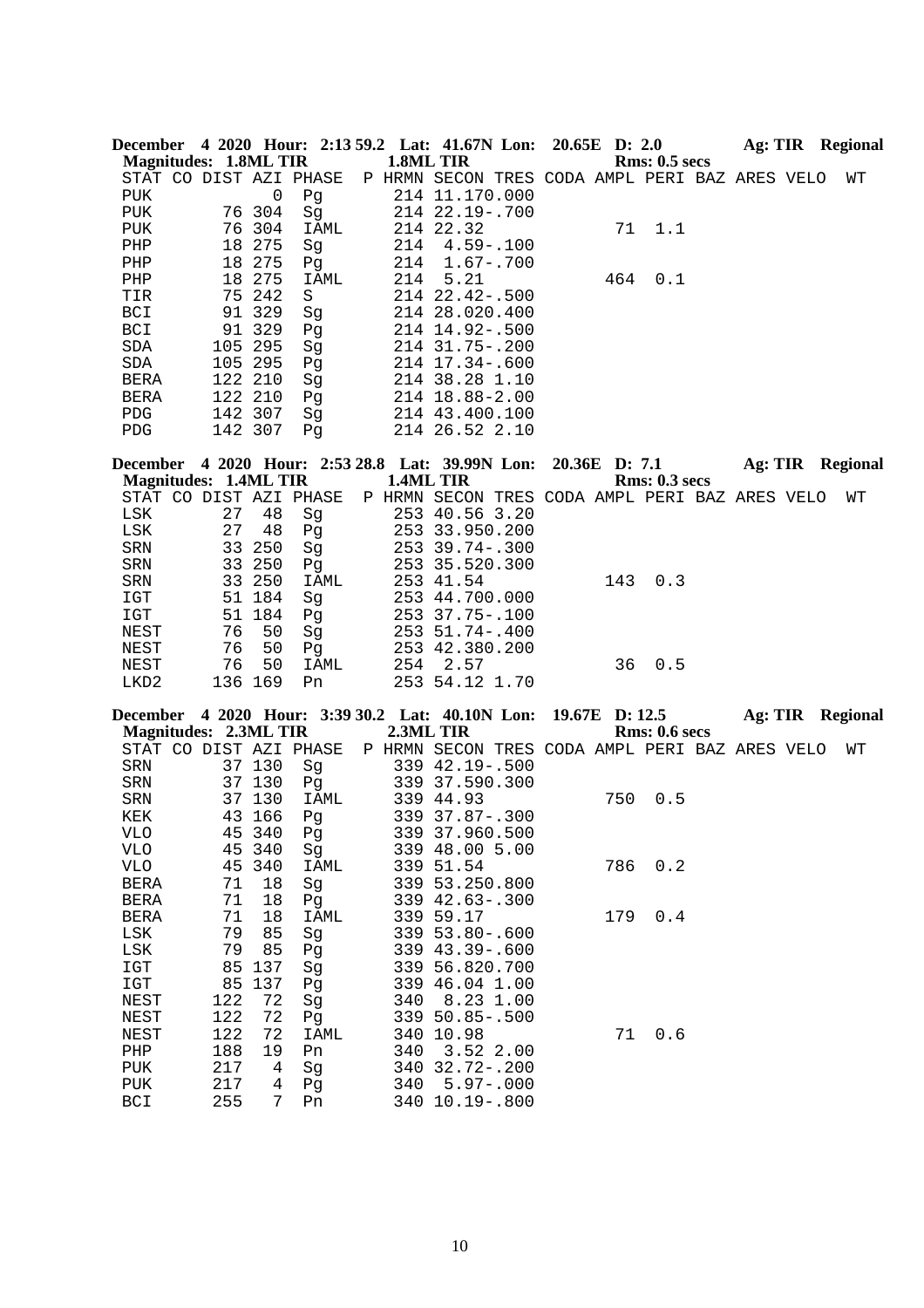| December 4 2020 Hour: 2:13 59.2 Lat: 41.67N Lon: 20.65E D: 2.0 |     |         |      |     |                                                |  |     |               |  | Ag: TIR Regional |
|----------------------------------------------------------------|-----|---------|------|-----|------------------------------------------------|--|-----|---------------|--|------------------|
| <b>Magnitudes: 1.8ML TIR</b>                                   |     |         |      |     | 1.8ML TIR                                      |  |     | Rms: 0.5~secs |  |                  |
| STAT CO DIST AZI PHASE                                         |     |         |      |     | P HRMN SECON TRES CODA AMPL PERI BAZ ARES VELO |  |     |               |  | WΤ               |
| <b>PUK</b>                                                     |     | 0       | Pq   |     | 214 11.170.000                                 |  |     |               |  |                  |
| <b>PUK</b>                                                     |     | 76 304  | Sq   |     | 214 22.19 - . 700                              |  |     |               |  |                  |
| <b>PUK</b>                                                     | 76  | 304     | IAML |     | 214 22.32                                      |  | 71  | 1.1           |  |                  |
| PHP                                                            | 18  | 275     | Sq   | 214 | $4.59 - 100$                                   |  |     |               |  |                  |
| PHP                                                            | 18  | 275     | Pq   | 214 | $1.67 - .700$                                  |  |     |               |  |                  |
| PHP                                                            | 18  | 275     | IAML | 214 | 5.21                                           |  | 464 | 0.1           |  |                  |
| TIR                                                            | 75  | 242     | S    |     | $214$ $22.42 - .500$                           |  |     |               |  |                  |
| <b>BCI</b>                                                     |     | 91 329  | Sq   |     | 214 28.020.400                                 |  |     |               |  |                  |
| <b>BCI</b>                                                     |     | 91 329  | Pq   |     | 214 14.92-.500                                 |  |     |               |  |                  |
| <b>SDA</b>                                                     |     | 105 295 | Sq   |     | 214 31.75-.200                                 |  |     |               |  |                  |
| <b>SDA</b>                                                     | 105 | 295     | Pq   | 214 | $17.34 - .600$                                 |  |     |               |  |                  |
| <b>BERA</b>                                                    |     | 122 210 | Sq   | 214 | 38.28 1.10                                     |  |     |               |  |                  |
| <b>BERA</b>                                                    |     | 122 210 | Pq   | 214 | 18.88-2.00                                     |  |     |               |  |                  |
| <b>PDG</b>                                                     | 142 | 307     | Sq   |     | 214 43.400.100                                 |  |     |               |  |                  |
| <b>PDG</b>                                                     |     | 142 307 | Pq   |     | 214 26.52 2.10                                 |  |     |               |  |                  |

**December 4 2020 Hour: 2:53 28.8 Lat: 39.99N Lon: 20.36E D: 7.1 Ag: TIR Regional Magnitudes: 1.4ML TIR 1.4ML TIR Rms: 0.3 secs** STAT CO DIST AZI PHASE P HRMN SECON TRES CODA AMPL PERI BAZ ARES VELO WT LSK 27 48 Sg 253 40.56 3.20 LSK 27 48 Pg 253 33.950.200<br>SRN 33 250 Sg 253 39.74-.300 SRN 33 250 Sg 253 39.74-.300<br>SRN 33 250 Pg 253 35.520.300 Pg 253 35.520.300 SRN 33 250 IAML 253 41.54 143 0.3<br>IGT 51 184 Sq 253 44.700.000 15 184 Sg 253 44.700.000<br>
184 Pg 253 37.75-.100 IGT 51 184 Pg 253 37.75-.100<br>NEST 76 50 Sg 253 51.74-.400 NEST 76 50 Sg 253 51.74-.400<br>NEST 76 50 Pg 253 42.380.200 NEST 76 50 Pg 253 42.380.200 NEST 76 50 IAML 254 2.57 36 0.5 LKD2 136 169 Pn 253 54.12 1.70

**December 4 2020 Hour: 3:39 30.2 Lat: 40.10N Lon: 19.67E D: 12.5 Ag: TIR Regional Magnitudes: 2.3ML TIR** STAT CO DIST AZI PHASE P HRMN SECON TRES CODA AMPL PERI BAZ ARES VELO WT<br>SRN 37 130 Sg 339 42.19-.500 SRN 37 130 Sg 339 42.19-.500<br>SRN 37 130 Pg 339 37.590.300 37 130 Pg 339 37.590.300<br>37 130 IAML 339 44.93 SRN 37 130 IAML 339 44.93 750 0.5<br>KEK 43 166 Pg 339 37.87-.300 KEK 43 166 Pq 339 37.87-.300 VLO  $45\,340$  Pg  $339\,37.960.500$ <br>VLO  $45\,340$  Sq  $339\,48.00\,5.00$ Sg 339 48.00 5.00<br>
IAML 339 51.54 VLO 45 340 IAML 339 51.54 786 0.2 BERA 71 18 Sg 339 53.250.800<br>BERA 71 18 Pg 339 42.63-.300 BERA 71 18 Pg 339 42.63-.300<br>BERA 71 18 IAML 339 59.17 BERA 71 18 IAML 339 59.17 179 0.4<br>LSK 79 85 Sq 339 53.80-.600 LSK 79 85 Sg 339 53.80-.600 LSK 79 85 Pg 339 43.39-.600 IGT 85 137 Sg 339 56.820.700 IGT 85 137 Pg 339 46.04 1.00<br>NEST 122 72 Sg 340 8.23 1.00 NEST 122 72 Sg 340 8.23 1.00<br>NEST 122 72 Pg 339 50.85-.500 122 72 Pg 339 50.85-.500<br>122 72 IAML 340 10.98 NEST 122 72 IAML 340 10.98 71 0.6 PHP 188 19 Pn 340 3.52 2.00<br>PUK 217 4 Sg 340 32.72-.200 340 32.72-.200 PUK 217 4 Pg 340 5.97-.000<br>BCI 255 7 Pn 340 10.19-.800 BCI 255 7 Pn 340 10.19-.800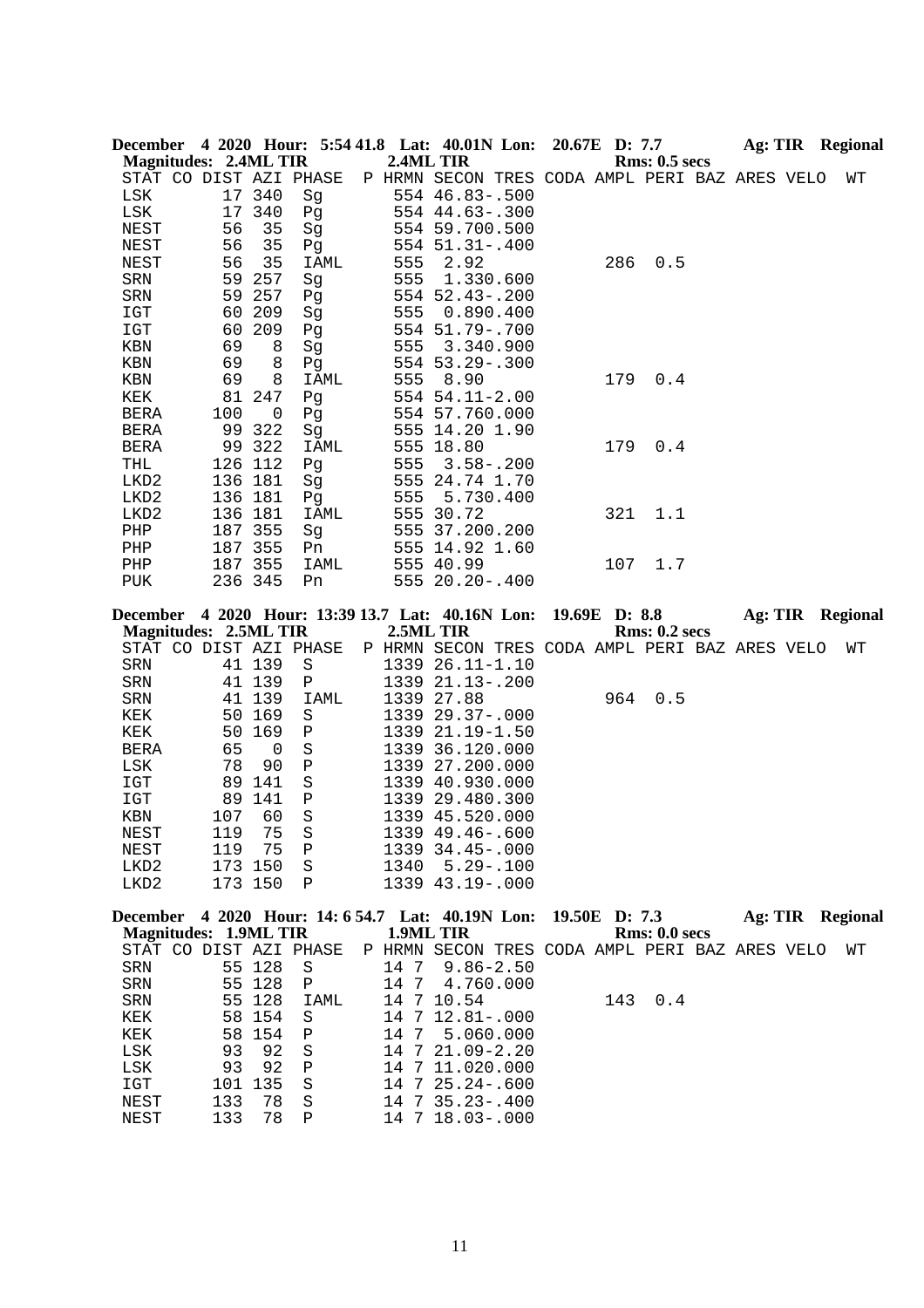| December 4 2020 Hour: 5:54 41.8 Lat: 40.01N Lon:                                  |         |         |              |          |                   | 20.67E D: 7.7 |     |                                                |  | Ag: TIR Regional        |    |
|-----------------------------------------------------------------------------------|---------|---------|--------------|----------|-------------------|---------------|-----|------------------------------------------------|--|-------------------------|----|
| <b>Magnitudes: 2.4ML TIR</b>                                                      |         |         |              |          | 2.4ML TIR         |               |     | <b>Rms: 0.5 secs</b>                           |  |                         |    |
| STAT CO DIST AZI PHASE                                                            |         |         |              |          |                   |               |     | P HRMN SECON TRES CODA AMPL PERI BAZ ARES VELO |  |                         | WΤ |
| LSK                                                                               |         | 17 340  | Sg           |          | 554 46.83 -. 500  |               |     |                                                |  |                         |    |
| LSK                                                                               |         | 17 340  | Pg           |          | 554 44.63 -. 300  |               |     |                                                |  |                         |    |
| NEST                                                                              | 56      | 35      | Sg           |          | 554 59.700.500    |               |     |                                                |  |                         |    |
| NEST                                                                              | 56      | 35      | Pg           |          | 554 51.31 -. 400  |               |     |                                                |  |                         |    |
| NEST                                                                              | 56      | 35      | IAML         | 555      | 2.92              |               | 286 | 0.5                                            |  |                         |    |
| SRN                                                                               | 59      | 257     | Sg           | 555      | 1.330.600         |               |     |                                                |  |                         |    |
| SRN                                                                               | 59      | 257     | Pg           |          | 554 52.43 -. 200  |               |     |                                                |  |                         |    |
| IGT                                                                               | 60      | 209     | Sg           | 555      | 0.890.400         |               |     |                                                |  |                         |    |
| IGT                                                                               | 60      | 209     | Pg           |          | 554 51.79 -. 700  |               |     |                                                |  |                         |    |
| KBN                                                                               | 69      | 8       | Sg           | 555      | 3.340.900         |               |     |                                                |  |                         |    |
| KBN                                                                               | 69      | 8       | Pg           |          | 554 53.29 - . 300 |               |     |                                                |  |                         |    |
| KBN                                                                               | 69      | 8       | IAML         | 555      | 8.90              |               | 179 | 0.4                                            |  |                         |    |
| KEK                                                                               | 81      | 247     | Pg           |          | 554 54.11-2.00    |               |     |                                                |  |                         |    |
| BERA                                                                              | 100     | 0       |              |          | 554 57.760.000    |               |     |                                                |  |                         |    |
|                                                                                   |         | 322     | Pg           |          |                   |               |     |                                                |  |                         |    |
| BERA                                                                              | 99      |         | Sg           |          | 555 14.20 1.90    |               |     |                                                |  |                         |    |
| <b>BERA</b>                                                                       |         | 99 322  | IAML         |          | 555 18.80         |               | 179 | 0.4                                            |  |                         |    |
| THL                                                                               | 126 112 |         | Pg           | 555      | $3.58 - .200$     |               |     |                                                |  |                         |    |
| LKD2                                                                              | 136 181 |         | Sg           |          | 555 24.74 1.70    |               |     |                                                |  |                         |    |
| LKD2                                                                              | 136 181 |         | Pg           | 555      | 5.730.400         |               |     |                                                |  |                         |    |
| LKD2                                                                              | 136 181 |         | IAML         |          | 555 30.72         |               | 321 | 1.1                                            |  |                         |    |
| PHP                                                                               | 187 355 |         | Sg           |          | 555 37.200.200    |               |     |                                                |  |                         |    |
| PHP                                                                               | 187 355 |         | Pn           |          | 555 14.92 1.60    |               |     |                                                |  |                         |    |
| PHP                                                                               | 187 355 |         | IAML         |          | 555 40.99         |               | 107 | 1.7                                            |  |                         |    |
| PUK                                                                               | 236 345 |         | Pn           |          | 555 20.20 -. 400  |               |     |                                                |  |                         |    |
| December 4 2020 Hour: 13:39 13.7 Lat: 40.16N Lon:<br><b>Magnitudes: 2.5ML TIR</b> |         |         |              |          | 2.5ML TIR         | 19.69E D: 8.8 |     | <b>Rms: 0.2 secs</b>                           |  | <b>Ag: TIR Regional</b> |    |
| STAT CO DIST AZI PHASE                                                            |         |         |              |          |                   |               |     | P HRMN SECON TRES CODA AMPL PERI BAZ ARES VELO |  |                         | WТ |
| ${\tt SRN}$                                                                       |         | 41 139  | $\rm S$      |          | 1339 26.11-1.10   |               |     |                                                |  |                         |    |
| SRN                                                                               |         | 41 139  | Ρ            |          | 1339 21.13-.200   |               |     |                                                |  |                         |    |
| SRN                                                                               |         | 41 139  | IAML         |          | 1339 27.88        |               | 964 | 0.5                                            |  |                         |    |
| KEK                                                                               |         | 50 169  | S            |          | 1339 29.37-.000   |               |     |                                                |  |                         |    |
| KEK                                                                               | 50      | 169     | Ρ            |          | 1339 21.19-1.50   |               |     |                                                |  |                         |    |
| <b>BERA</b>                                                                       | 65      | 0       | $\rm S$      |          | 1339 36.120.000   |               |     |                                                |  |                         |    |
| LSK                                                                               | 78      | 90      | Ρ            |          | 1339 27.200.000   |               |     |                                                |  |                         |    |
| $_{\tt IGT}$                                                                      | 89      | 141     | $\rm S$      |          | 1339 40.930.000   |               |     |                                                |  |                         |    |
| $_{\tt IGT}$                                                                      | 89      | 141     | $\, {\bf P}$ |          | 1339 29.480.300   |               |     |                                                |  |                         |    |
| KBN                                                                               | 107     | 60      | $\rm S$      |          | 1339 45.520.000   |               |     |                                                |  |                         |    |
| NEST                                                                              | 119     | 75      | $\rm S$      |          | 1339 49.46 -. 600 |               |     |                                                |  |                         |    |
| NEST                                                                              | 119     | 75      | Ρ            |          | 1339 34.45 -. 000 |               |     |                                                |  |                         |    |
| LKD2                                                                              | 173 150 |         | $\rm S$      | 1340     | $5.29 - .100$     |               |     |                                                |  |                         |    |
| LKD2                                                                              |         | 173 150 | $\mathbf P$  |          | 1339 43.19 -. 000 |               |     |                                                |  |                         |    |
|                                                                                   |         |         |              |          |                   |               |     |                                                |  |                         |    |
| December 4 2020 Hour: 14: 6 54.7 Lat: 40.19N Lon:                                 |         |         |              |          |                   |               |     | 19.50E D: 7.3                                  |  | <b>Ag: TIR Regional</b> |    |
| <b>Magnitudes: 1.9ML TIR</b>                                                      |         |         |              |          | 1.9ML TIR         |               |     | Rms: 0.0 secs                                  |  |                         |    |
| STAT CO DIST AZI PHASE                                                            |         |         |              |          |                   |               |     | P HRMN SECON TRES CODA AMPL PERI BAZ ARES VELO |  |                         | WΤ |
| SRN                                                                               |         | 55 128  | S            | 14 7     | $9.86 - 2.50$     |               |     |                                                |  |                         |    |
| SRN                                                                               |         | 55 128  | Ρ            | 14 7     | 4.760.000         |               |     |                                                |  |                         |    |
| SRN                                                                               |         | 55 128  | IAML         |          | 14 7 10.54        |               | 143 | 0.4                                            |  |                         |    |
| KEK                                                                               |         | 58 154  | S            |          | 14 7 12.81 -. 000 |               |     |                                                |  |                         |    |
| KEK                                                                               | 58      | 154     | Ρ            | 14<br>-7 | 5.060.000         |               |     |                                                |  |                         |    |
| LSK                                                                               | 93      | 92      | S            | 14<br>7  | $21.09 - 2.20$    |               |     |                                                |  |                         |    |
| LSK                                                                               | 93      | 92      | Ρ            | 14       | 7 11.020.000      |               |     |                                                |  |                         |    |
| IGT                                                                               | 101     | 135     | $\rm S$      |          | 14 7 25.24 -. 600 |               |     |                                                |  |                         |    |
| NEST                                                                              | 133     | 78      | S            |          | 14 7 35.23-.400   |               |     |                                                |  |                         |    |
| <b>NEST</b>                                                                       | 133     | 78      | Ρ            |          | 14 7 18.03-.000   |               |     |                                                |  |                         |    |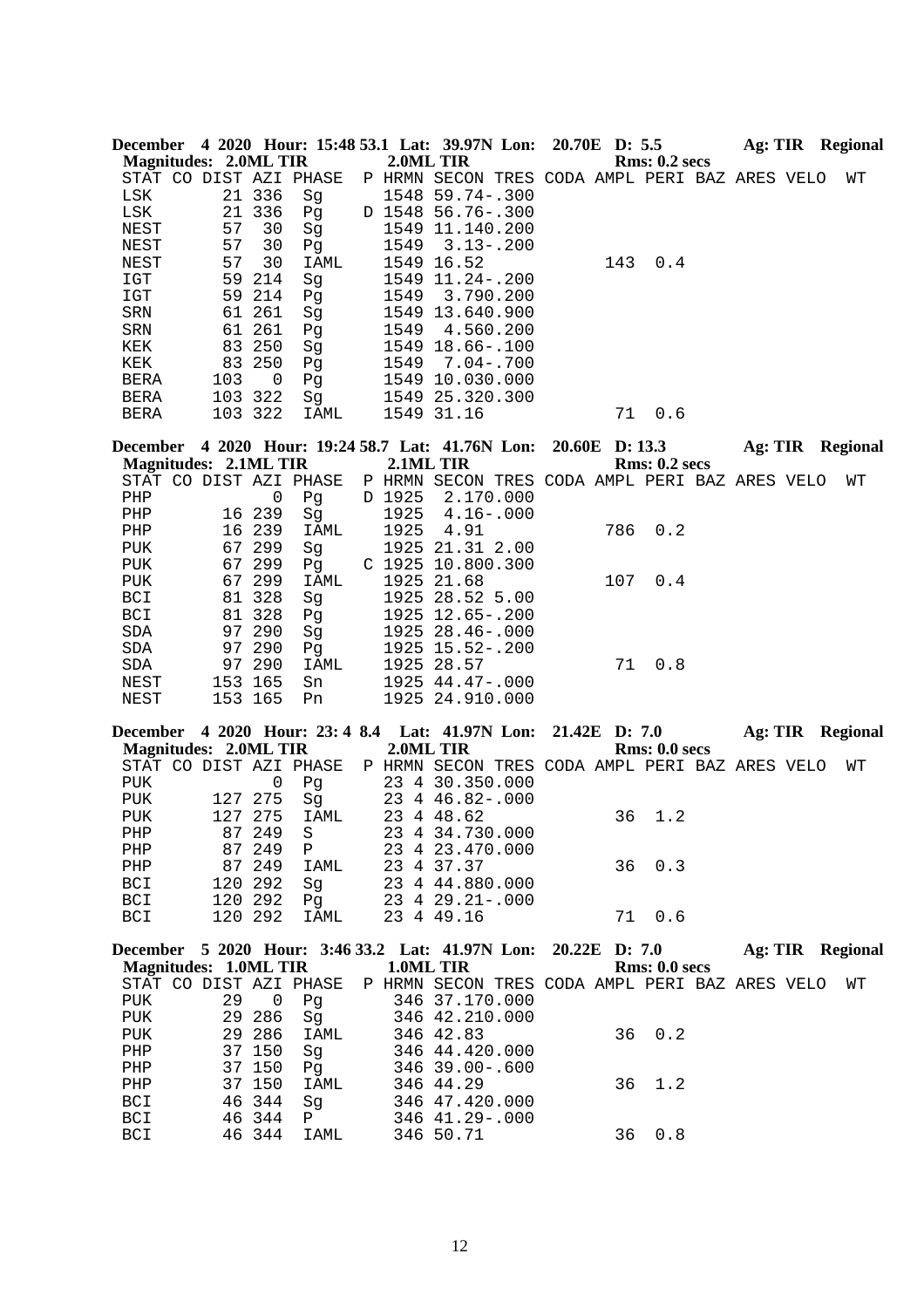|             | <b>Magnitudes: 2.0ML TIR</b> |             | December 4 2020 Hour: 15:48 53.1 Lat: 39.97N Lon: 20.70E D: 5.5 | 2.0ML TIR |                                                |                |     | <b>Rms: 0.2 secs</b> | Ag: TIR Regional |  |                         |
|-------------|------------------------------|-------------|-----------------------------------------------------------------|-----------|------------------------------------------------|----------------|-----|----------------------|------------------|--|-------------------------|
|             |                              |             | STAT CO DIST AZI PHASE                                          |           | P HRMN SECON TRES CODA AMPL PERI BAZ ARES VELO |                |     |                      |                  |  | WТ                      |
| LSK         |                              | 21 336      | Sg                                                              |           | 1548 59.74 -. 300                              |                |     |                      |                  |  |                         |
| LSK         |                              | 21 336      | Pg                                                              |           | D 1548 56.76-.300                              |                |     |                      |                  |  |                         |
| NEST        | 57                           | 30          | Sg                                                              |           | 1549 11.140.200                                |                |     |                      |                  |  |                         |
| <b>NEST</b> | 57                           | 30          | Pg                                                              | 1549      | $3.13 - .200$                                  |                |     |                      |                  |  |                         |
| NEST        | 57                           | 30          | IAML                                                            |           | 1549 16.52                                     |                | 143 | $0.4$                |                  |  |                         |
| IGT         | 59                           | 214         | Sg                                                              |           | 1549 11.24 -. 200                              |                |     |                      |                  |  |                         |
| IGT         |                              | 59 214      | Pg                                                              | 1549      | 3.790.200                                      |                |     |                      |                  |  |                         |
| SRN         |                              | 61 261      | Sg                                                              |           | 1549 13.640.900                                |                |     |                      |                  |  |                         |
| ${\tt SRN}$ |                              | 61 261      | Pg                                                              | 1549      | 4.560.200                                      |                |     |                      |                  |  |                         |
| KEK         |                              | 83 250      | Sg                                                              |           | 1549 18.66-.100                                |                |     |                      |                  |  |                         |
| KEK         |                              | 83 250      | Pg                                                              | 1549      | $7.04 - .700$                                  |                |     |                      |                  |  |                         |
| <b>BERA</b> | 103                          | 0           | Pg                                                              |           | 1549 10.030.000                                |                |     |                      |                  |  |                         |
| BERA        | 103 322                      |             | Sg                                                              |           | 1549 25.320.300                                |                |     |                      |                  |  |                         |
| <b>BERA</b> | 103 322                      |             | IAML                                                            |           | 1549 31.16                                     |                | 71  | 0.6                  |                  |  |                         |
|             |                              |             | December 4 2020 Hour: 19:24 58.7 Lat: 41.76N Lon:               |           |                                                | 20.60E D: 13.3 |     |                      |                  |  | Ag: TIR Regional        |
|             | <b>Magnitudes: 2.1ML TIR</b> |             |                                                                 | 2.1ML TIR |                                                |                |     | <b>Rms: 0.2 secs</b> |                  |  |                         |
|             |                              |             | STAT CO DIST AZI PHASE                                          |           | P HRMN SECON TRES CODA AMPL PERI BAZ ARES VELO |                |     |                      |                  |  | WТ                      |
| PHP         |                              | $\mathsf 0$ | Pg                                                              | D 1925    | 2.170.000                                      |                |     |                      |                  |  |                         |
| PHP         |                              | 16 239      | Sg                                                              | 1925      | $4.16 - .000$                                  |                |     |                      |                  |  |                         |
| PHP         |                              | 16 239      | IAML                                                            | 1925      | 4.91                                           |                | 786 | 0.2                  |                  |  |                         |
| <b>PUK</b>  |                              | 67 299      | Sg                                                              |           | 1925 21.31 2.00                                |                |     |                      |                  |  |                         |
| <b>PUK</b>  | 67                           | 299         | Pq                                                              |           | C 1925 10.800.300                              |                |     |                      |                  |  |                         |
| <b>PUK</b>  |                              | 67 299      | IAML                                                            |           | 1925 21.68                                     |                | 107 | 0.4                  |                  |  |                         |
| BCI         |                              | 81 328      | Sg                                                              |           | 1925 28.52 5.00                                |                |     |                      |                  |  |                         |
| BCI         |                              | 81 328      | Pg                                                              |           | 1925 12.65 -. 200                              |                |     |                      |                  |  |                         |
| SDA         |                              | 97 290      | Sg                                                              |           | 1925 28.46 -. 000                              |                |     |                      |                  |  |                         |
| SDA         |                              | 97 290      | Pg                                                              |           | 1925 15.52-.200                                |                |     |                      |                  |  |                         |
| SDA         |                              | 97 290      | IAML                                                            |           | 1925 28.57                                     |                | 71  | 0.8                  |                  |  |                         |
| NEST        | 153 165                      |             | Sn                                                              |           | 1925 44.47-.000                                |                |     |                      |                  |  |                         |
| <b>NEST</b> | 153 165                      |             | Pn                                                              |           | 1925 24.910.000                                |                |     |                      |                  |  |                         |
|             |                              |             | December 4 2020 Hour: 23: 4 8.4 Lat: 41.97N Lon:                |           |                                                | 21.42E D: 7.0  |     |                      |                  |  | <b>Ag: TIR</b> Regional |
|             | <b>Magnitudes: 2.0ML TIR</b> |             |                                                                 | 2.0ML TIR |                                                |                |     | Rms: 0.0 secs        |                  |  |                         |
|             |                              |             | STAT CO DIST AZI PHASE                                          |           | P HRMN SECON TRES CODA AMPL PERI BAZ ARES VELO |                |     |                      |                  |  | WТ                      |
| PUK         |                              | $\mathsf 0$ | Pg                                                              |           | 23 4 30.350.000                                |                |     |                      |                  |  |                         |
| <b>PUK</b>  | 127 275                      |             | Sq                                                              |           | 23 4 46.82 -. 000                              |                |     |                      |                  |  |                         |
| <b>PUK</b>  | 127 275                      |             | IAML                                                            |           | 23 4 48.62                                     |                | 36  | 1.2                  |                  |  |                         |
| PHP         |                              | 87 249      | S                                                               |           | 23 4 34.730.000                                |                |     |                      |                  |  |                         |

|     |              |             |  | December 5, 2020, Houry 3:46.33.2, Lat. 41.07N Lon: 20.22E D. 7.0 |        | $A_{\alpha}$ TID D <sub>ori</sub> |  |
|-----|--------------|-------------|--|-------------------------------------------------------------------|--------|-----------------------------------|--|
| BCI | 120 292 IAML |             |  | 23 4 49.16                                                        | 71 0.6 |                                   |  |
| BCI | 120 292 Pq   |             |  | 23 4 29.21-.000                                                   |        |                                   |  |
| BCI | 120 292  Sq  |             |  | 23 4 44.880.000                                                   |        |                                   |  |
| PHP |              | 87 249 IAML |  | 23 4 37.37                                                        | 36 0.3 |                                   |  |
| PHP |              | 87249 P     |  | 23 4 23.470.000                                                   |        |                                   |  |

|     |    |                |                       |  | December 5 2020 Hour: 5:40 55.2 Lat: 41.97N Lon: 20.22E D: 7.0           |  |        |               |  | Ag: TIR Regional |
|-----|----|----------------|-----------------------|--|--------------------------------------------------------------------------|--|--------|---------------|--|------------------|
|     |    |                | Magnitudes: 1.0ML TIR |  | 1.0ML TIR                                                                |  |        | Rms: 0.0 secs |  |                  |
|     |    |                |                       |  | STAT CO DIST AZI PHASE P HRMN SECON TRES CODA AMPL PERI BAZ ARES VELO WT |  |        |               |  |                  |
| PUK | 29 | $\overline{0}$ | Pq                    |  | 346 37.170.000                                                           |  |        |               |  |                  |
| PUK |    | 29 286         | Sq                    |  | 346 42.210.000                                                           |  |        |               |  |                  |
| PUK |    | 29 286         | IAML                  |  | 346 42.83                                                                |  | 36 0.2 |               |  |                  |
| PHP |    | 37 150         | Sq                    |  | 346 44.420.000                                                           |  |        |               |  |                  |
| PHP |    | 37 150         | Pq                    |  | 346 39.00-.600                                                           |  |        |               |  |                  |
| PHP |    | 37 150         | IAML                  |  | 346 44.29                                                                |  |        | 36 1.2        |  |                  |
| BCI |    | 46 344         | Sq                    |  | 346 47.420.000                                                           |  |        |               |  |                  |
| BCI |    | 46 344         | $\mathbf{P}$          |  | 346 41.29-.000                                                           |  |        |               |  |                  |
| BCI |    | 46 344         | IAML                  |  | 346 50.71                                                                |  | 36     | 0.8           |  |                  |
|     |    |                |                       |  |                                                                          |  |        |               |  |                  |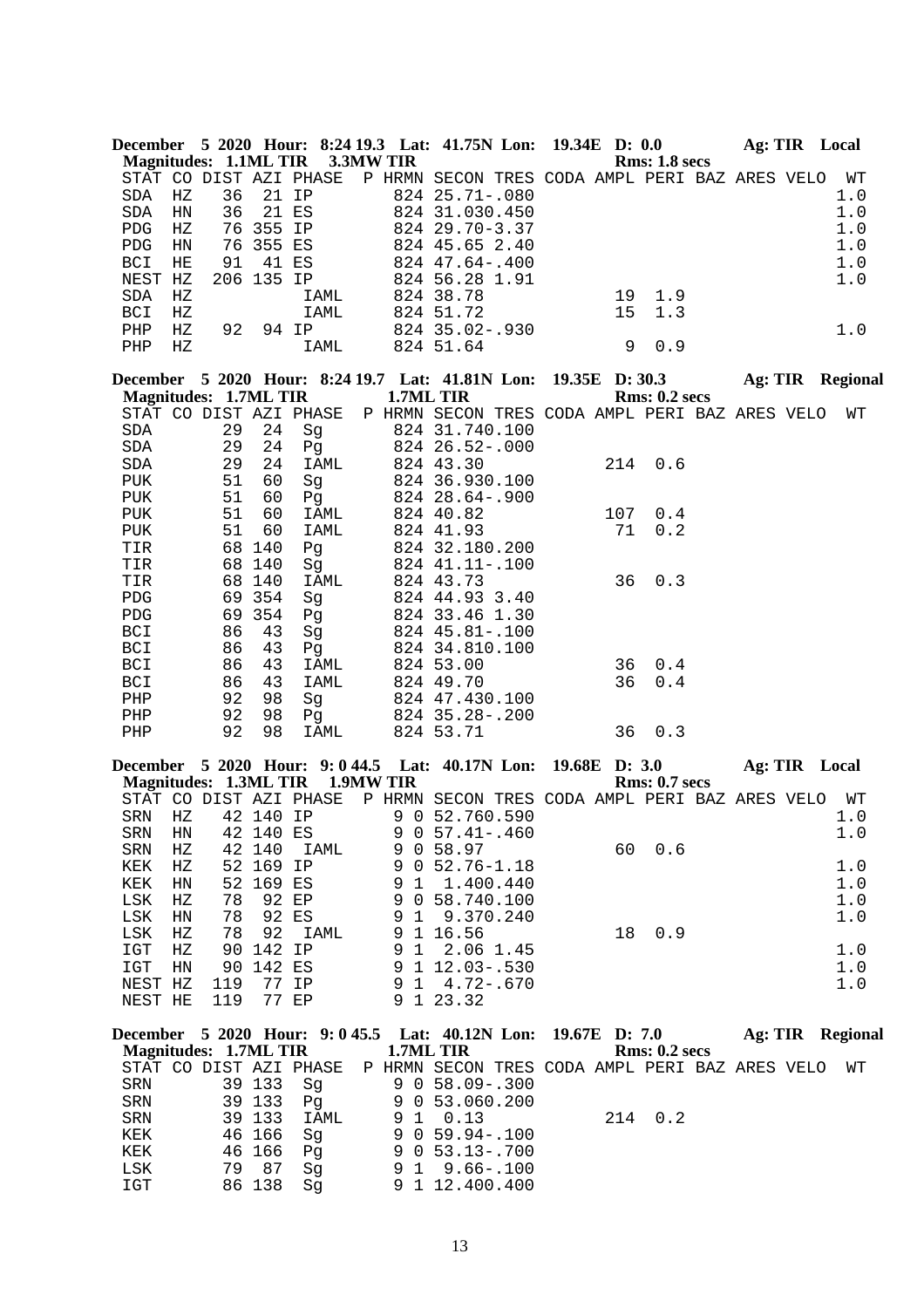|              |             |                                 |           |             |                  |                   | December 5 2020 Hour: 8:24 19.3 Lat: 41.75N Lon: 19.34E D: 0.0  |  |     |                      | Ag: TIR Local           |  |         |
|--------------|-------------|---------------------------------|-----------|-------------|------------------|-------------------|-----------------------------------------------------------------|--|-----|----------------------|-------------------------|--|---------|
|              |             | Magnitudes: 1.1ML TIR 3.3MW TIR |           |             |                  |                   |                                                                 |  |     | Rms: 1.8 secs        |                         |  |         |
|              |             | STAT CO DIST AZI PHASE          |           |             |                  |                   | P HRMN SECON TRES CODA AMPL PERI BAZ ARES VELO                  |  |     |                      |                         |  | WΤ      |
| <b>SDA</b>   | HZ          | 36                              |           | 21 IP       |                  |                   | 824 25.71 -. 080                                                |  |     |                      |                         |  | 1.0     |
| SDA          | HN          | 36                              |           | 21 ES       |                  |                   | 824 31.030.450                                                  |  |     |                      |                         |  | $1.0$   |
| PDG          | ΗZ          |                                 | 76 355 IP |             |                  |                   | 824 29.70-3.37                                                  |  |     |                      |                         |  | 1.0     |
| PDG          | HN          | 76                              | 355 ES    |             |                  |                   | 824 45.65 2.40                                                  |  |     |                      |                         |  | 1.0     |
| <b>BCI</b>   | HE          | 91                              |           | 41 ES       |                  |                   | 824 47.64 -. 400                                                |  |     |                      |                         |  | 1.0     |
| NEST HZ      |             | 206 135 IP                      |           |             |                  |                   | 824 56.28 1.91                                                  |  |     |                      |                         |  | 1.0     |
| SDA          | ΗZ          |                                 |           | IAML        |                  |                   | 824 38.78                                                       |  | 19  | 1.9                  |                         |  |         |
| BCI          | $_{\rm HZ}$ |                                 |           | IAML        |                  |                   | 824 51.72                                                       |  | 15  | 1.3                  |                         |  |         |
| PHP          | ΗZ          | 92                              |           | 94 IP       |                  |                   | 824 35.02-.930                                                  |  |     |                      |                         |  | 1.0     |
| PHP          | ΗZ          |                                 |           | <b>IAML</b> |                  |                   | 824 51.64                                                       |  | 9   | 0.9                  |                         |  |         |
|              |             |                                 |           |             |                  |                   | December 5 2020 Hour: 8:24 19.7 Lat: 41.81N Lon: 19.35E D: 30.3 |  |     |                      | <b>Ag: TIR Regional</b> |  |         |
|              |             | <b>Magnitudes: 1.7ML TIR</b>    |           |             |                  |                   | 1.7ML TIR                                                       |  |     | <b>Rms: 0.2 secs</b> |                         |  |         |
|              |             | STAT CO DIST AZI PHASE          |           |             |                  |                   | P HRMN SECON TRES CODA AMPL PERI BAZ ARES VELO                  |  |     |                      |                         |  | WТ      |
| SDA          |             | 29                              | 24        | Sg          |                  |                   | 824 31.740.100                                                  |  |     |                      |                         |  |         |
| SDA          |             | 29                              | 24        | Pg          |                  |                   | 824 26.52-.000                                                  |  |     |                      |                         |  |         |
| SDA          |             | 29                              | 24        | IAML        |                  |                   | 824 43.30                                                       |  | 214 | 0.6                  |                         |  |         |
| PUK          |             | 51                              | 60        | Sg          |                  |                   | 824 36.930.100                                                  |  |     |                      |                         |  |         |
| PUK          |             | 51                              | 60        | Pg          |                  |                   | 824 28.64 -. 900                                                |  |     |                      |                         |  |         |
| <b>PUK</b>   |             | 51                              | 60        | IAML        |                  |                   | 824 40.82                                                       |  | 107 | 0.4                  |                         |  |         |
|              |             | 51                              |           |             |                  |                   |                                                                 |  | 71  |                      |                         |  |         |
| PUK          |             |                                 | 60        | IAML        |                  |                   | 824 41.93                                                       |  |     | 0.2                  |                         |  |         |
| TIR          |             | 68                              | 140       | Pg          |                  |                   | 824 32.180.200                                                  |  |     |                      |                         |  |         |
| TIR          |             |                                 | 68 140    | Sg          |                  |                   | 824 41.11 -. 100                                                |  |     |                      |                         |  |         |
| TIR          |             |                                 | 68 140    | IAML        |                  |                   | 824 43.73                                                       |  | 36  | 0.3                  |                         |  |         |
| PDG          |             |                                 | 69 354    | Sg          |                  |                   | 824 44.93 3.40                                                  |  |     |                      |                         |  |         |
| ${\tt PDG}$  |             |                                 | 69 354    | Pg          |                  |                   | 824 33.46 1.30                                                  |  |     |                      |                         |  |         |
| BCI          |             | 86                              | 43        | Sg          |                  |                   | 824 45.81 -. 100                                                |  |     |                      |                         |  |         |
| BCI          |             | 86                              | 43        | Pg          |                  |                   | 824 34.810.100                                                  |  |     |                      |                         |  |         |
| BCI          |             | 86                              | 43        | IAML        |                  |                   | 824 53.00                                                       |  | 36  | 0.4                  |                         |  |         |
| <b>BCI</b>   |             | 86                              | 43        | IAML        |                  |                   | 824 49.70                                                       |  | 36  | 0.4                  |                         |  |         |
| ${\tt PHP}$  |             | 92                              | 98        | Sg          |                  |                   | 824 47.430.100                                                  |  |     |                      |                         |  |         |
| ${\rm PHP}$  |             | 92                              | 98        | Pq          |                  |                   | 824 35.28 -. 200                                                |  |     |                      |                         |  |         |
| PHP          |             | 92                              | 98        | IAML        |                  |                   | 824 53.71                                                       |  | 36  | 0.3                  |                         |  |         |
|              |             |                                 |           |             |                  |                   | December 5 2020 Hour: 9:044.5 Lat: 40.17N Lon: 19.68E D: 3.0    |  |     |                      | Ag: TIR Local           |  |         |
|              |             | <b>Magnitudes: 1.3ML TIR</b>    |           |             | <b>1.9MW TIR</b> |                   |                                                                 |  |     | <b>Rms: 0.7 secs</b> |                         |  |         |
|              |             | STAT CO DIST AZI PHASE          |           |             |                  |                   | P HRMN SECON TRES CODA AMPL PERI BAZ ARES VELO                  |  |     |                      |                         |  | WT      |
| SRN          | $_{\rm HZ}$ |                                 | 42 140 IP |             |                  |                   | 9 0 52.760.590                                                  |  |     |                      |                         |  | 1.0     |
|              |             | SRN HN 42 140 ES                |           |             |                  |                   | $9057.41-.460$                                                  |  |     |                      |                         |  | 1.0     |
| SRN          | ΗZ          |                                 | 42 140    | IAML        |                  |                   | 9 0 58.97                                                       |  | 60  | 0.6                  |                         |  |         |
| KEK          | ΗZ          |                                 | 52 169 IP |             |                  |                   | $9052.76 - 1.18$                                                |  |     |                      |                         |  | 1.0     |
| KEK          | HN          |                                 | 52 169 ES |             |                  | 9 1               | 1.400.440                                                       |  |     |                      |                         |  | $1.0\,$ |
| $_{\rm LSK}$ | HZ          | 78                              |           | 92 EP       |                  | 9                 | 0 58.740.100                                                    |  |     |                      |                         |  | $1.0\,$ |
| LSK          | HN          | 78                              |           | 92 ES       |                  | 9<br>$\mathbf{1}$ | 9.370.240                                                       |  |     |                      |                         |  | 1.0     |
| $_{\rm LSK}$ | HZ          | 78                              | 92        | IAML        |                  | 9                 | 1 16.56                                                         |  | 18  | 0.9                  |                         |  |         |
| IGT          |             | 90                              | 142 IP    |             |                  | $\mathbf{1}$      |                                                                 |  |     |                      |                         |  |         |
|              | ΗZ          |                                 |           |             |                  | 9                 | 2.06 1.45                                                       |  |     |                      |                         |  | 1.0     |
| IGT          | HN          | 90                              | 142 ES    |             |                  |                   | $9$ 1 12.03-.530                                                |  |     |                      |                         |  | 1.0     |
| NEST HZ      |             | 119                             |           | 77 IP       |                  |                   | $914.72-.670$                                                   |  |     |                      |                         |  | 1.0     |
| NEST HE      |             | 119                             |           | 77 EP       |                  |                   | 9 1 23.32                                                       |  |     |                      |                         |  |         |
|              |             |                                 |           |             |                  |                   | December 5 2020 Hour: 9: 0 45.5 Lat: 40.12N Lon: 19.67E D: 7.0  |  |     |                      | <b>Ag: TIR Regional</b> |  |         |
|              |             | <b>Magnitudes: 1.7ML TIR</b>    |           |             |                  |                   | 1.7ML TIR                                                       |  |     | <b>Rms: 0.2 secs</b> |                         |  |         |
|              |             | STAT CO DIST AZI PHASE          |           |             |                  |                   | P HRMN SECON TRES CODA AMPL PERI BAZ ARES VELO                  |  |     |                      |                         |  | WT      |
| SRN          |             |                                 | 39 133    | Sg          |                  |                   | $9058.09-.300$                                                  |  |     |                      |                         |  |         |
| SRN          |             |                                 | 39 133    | Pg          |                  | 9                 | 0 53.060.200                                                    |  |     |                      |                         |  |         |
| SRN          |             |                                 | 39 133    | IAML        |                  | 9 1               | 0.13                                                            |  | 214 | 0.2                  |                         |  |         |
| KEK          |             |                                 | 46 166    | Sg          |                  |                   | $9059.94-.100$                                                  |  |     |                      |                         |  |         |
| KEK          |             |                                 | 46 166    | Pg          |                  |                   | $9053.13-.700$                                                  |  |     |                      |                         |  |         |
| LSK          |             | 79                              | 87        | Sg          |                  |                   | $9 1 9.66 - .100$                                               |  |     |                      |                         |  |         |
| $_{\tt ICT}$ |             |                                 | 86 138    | Sg          |                  |                   | 9 1 12.400.400                                                  |  |     |                      |                         |  |         |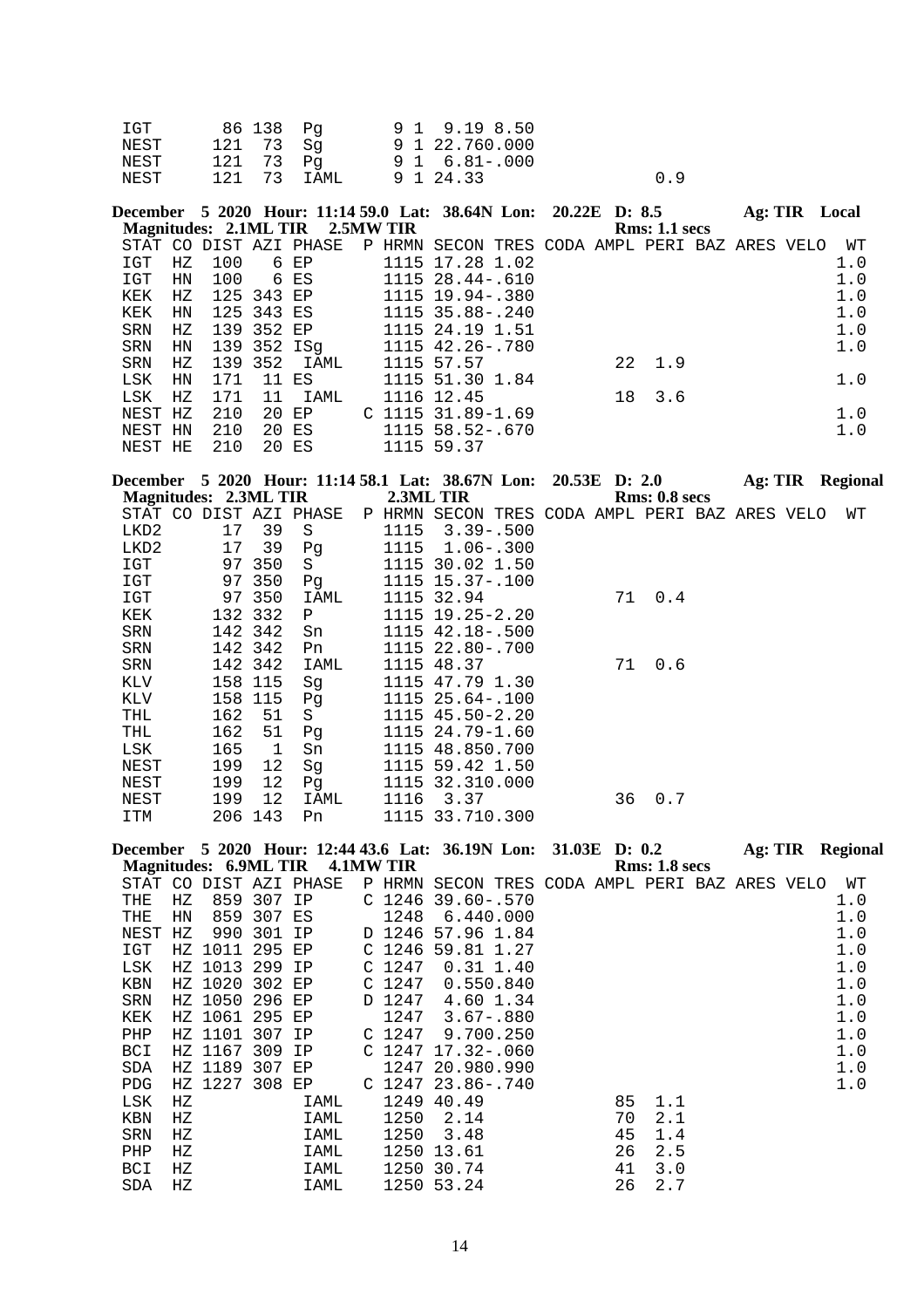| IGT  | 86 138 Pq   | 9 1 9.19 8.50  |     |
|------|-------------|----------------|-----|
| NEST | 121 73 Sq   | 9 1 22.760.000 |     |
| NEST | 121 73 Pa   | 9 1 6.81 -.000 |     |
| NEST | 121 73 IAML | 9 1 24.33      | n 9 |

|         |    |            |       | December 5 2020 Hour: 11:14 59.0 Lat: 38.64N Lon: 20.22E D: 8.5 |  |                                                |  |    |                |  | Ag: TIR Local |
|---------|----|------------|-------|-----------------------------------------------------------------|--|------------------------------------------------|--|----|----------------|--|---------------|
|         |    |            |       | Magnitudes: 2.1ML TIR 2.5MW TIR                                 |  |                                                |  |    | Rms: 1.1~secs  |  |               |
|         |    |            |       | STAT CO DIST AZI PHASE                                          |  | P HRMN SECON TRES CODA AMPL PERI BAZ ARES VELO |  |    |                |  | WТ            |
| IGT     | НZ | 100        |       | 6 EP                                                            |  | 1115 17.28 1.02                                |  |    |                |  | 1.0           |
| IGT     | HN | 100        | 6 ES  |                                                                 |  | 1115 28.44-.610                                |  |    |                |  | 1.0           |
| KEK     | НZ |            |       | 125 343 EP                                                      |  | 1115 19.94 -. 380                              |  |    |                |  | 1.0           |
| KEK     | HN | 125 343 ES |       |                                                                 |  | 1115 35.88-.240                                |  |    |                |  | 1.0           |
| SRN     | НZ | 139 352 EP |       |                                                                 |  | 1115 24.19 1.51                                |  |    |                |  | 1.0           |
| SRN     | ΗN |            |       | 139 352 ISa                                                     |  | 1115 42.26-.780                                |  |    |                |  | 1.0           |
| SRN     | НZ | 139 352    |       | IAML                                                            |  | 1115 57.57                                     |  |    | $22 \quad 1.9$ |  |               |
| LSK     | HN | 171        | 11    | ES                                                              |  | 1115 51.30 1.84                                |  |    |                |  | 1.0           |
| LSK     | ΗZ | 171        | 11    | IAML                                                            |  | 1116 12.45                                     |  | 18 | 3.6            |  |               |
| NEST HZ |    | 210        | 20 EP |                                                                 |  | $C$ 1115 31.89-1.69                            |  |    |                |  | 1.0           |
| NEST HN |    | 210        | 20 ES |                                                                 |  | 1115 58.52-.670                                |  |    |                |  | 1.0           |
| NEST HE |    | 210        |       | 20 ES                                                           |  | 1115 59.37                                     |  |    |                |  |               |

|            |                       |         | December 5 2020 Hour: 11:14 58.1 Lat: 38.67N Lon: 20.53E D: 2.0 |           |                                                |  |    |               |  | Ag: TIR Regional |
|------------|-----------------------|---------|-----------------------------------------------------------------|-----------|------------------------------------------------|--|----|---------------|--|------------------|
|            | Magnitudes: 2.3ML TIR |         |                                                                 | 2.3ML TIR |                                                |  |    | Rms: 0.8~secs |  |                  |
|            |                       |         | STAT CO DIST AZI PHASE                                          |           | P HRMN SECON TRES CODA AMPL PERI BAZ ARES VELO |  |    |               |  | WΤ               |
| LKD2       | 17                    | 39      | S                                                               | 1115      | $3.39 - .500$                                  |  |    |               |  |                  |
| LKD2       | 17                    | 39      | Pq                                                              | 1115      | $1.06 - .300$                                  |  |    |               |  |                  |
| IGT        | 97                    | 350     | S.                                                              |           | 1115 30.02 1.50                                |  |    |               |  |                  |
| IGT        |                       | 97 350  | Pq                                                              |           | 1115 15.37-.100                                |  |    |               |  |                  |
| IGT        |                       | 97 350  | IAML                                                            |           | 1115 32.94                                     |  | 71 | 0.4           |  |                  |
| KEK        |                       | 132 332 | P                                                               |           | $1115$ $19.25 - 2.20$                          |  |    |               |  |                  |
| <b>SRN</b> |                       | 142 342 | Sn                                                              |           | 1115 42.18 -. 500                              |  |    |               |  |                  |
| SRN        |                       | 142 342 | Pn                                                              |           | 1115 22.80-.700                                |  |    |               |  |                  |
| SRN        |                       | 142 342 | IAML                                                            |           | 1115 48.37                                     |  | 71 | 0.6           |  |                  |
| KLV        | 158                   | 115     | Sq                                                              |           | 1115 47.79 1.30                                |  |    |               |  |                  |
| KLV        | 158                   | 115     | Pq                                                              |           | 1115 25.64-.100                                |  |    |               |  |                  |
| THL        | 162                   | 51      | S                                                               |           | 1115 45.50-2.20                                |  |    |               |  |                  |
| THL        | 162                   | 51      | Pq                                                              |           | 1115 24.79-1.60                                |  |    |               |  |                  |
| LSK        | 165                   | 1       | Sn                                                              |           | 1115 48.850.700                                |  |    |               |  |                  |
| NEST       | 199                   | 12      | Sq                                                              |           | 1115 59.42 1.50                                |  |    |               |  |                  |
| NEST       | 199                   | 12      | Pg                                                              |           | 1115 32.310.000                                |  |    |               |  |                  |
| NEST       | 199                   | 12      | IAML                                                            | 1116      | 3.37                                           |  | 36 | 0.7           |  |                  |
| ITM        | 206                   | 143     | Pn                                                              |           | 1115 33.710.300                                |  |    |               |  |                  |

|            |    |         |        |                                 |                   | December 5 2020 Hour: 12:44 43.6 Lat: 36.19N Lon: 31.03E D: 0.2 |  |    |                      | Ag: TIR | <b>Regional</b> |
|------------|----|---------|--------|---------------------------------|-------------------|-----------------------------------------------------------------|--|----|----------------------|---------|-----------------|
|            |    |         |        | Magnitudes: 6.9ML TIR 4.1MW TIR |                   |                                                                 |  |    | <b>Rms: 1.8 secs</b> |         |                 |
|            |    |         |        | STAT CO DIST AZI PHASE          |                   | P HRMN SECON TRES CODA AMPL PERI BAZ ARES VELO                  |  |    |                      |         | WΤ              |
| THE        | НZ | 859     | 307    | IP                              | C <sub>1246</sub> | $39.60 - .570$                                                  |  |    |                      |         | 1.0             |
| THE        | HN | 859     | 307 ES |                                 | 1248              | 6.440.000                                                       |  |    |                      |         | 1.0             |
| NEST       | НZ | 990     | 301    | IP                              | D 1246            | 57.96 1.84                                                      |  |    |                      |         | 1.0             |
| IGT        |    | HZ 1011 | 295    | EP                              | C 1246            | 59.81 1.27                                                      |  |    |                      |         | 1.0             |
| LSK        |    | HZ 1013 | 299    | IP                              | C <sub>1247</sub> | $0.31$ 1.40                                                     |  |    |                      |         | 1.0             |
| KBN        |    | HZ 1020 | 302    | EP                              | C <sub>1247</sub> | 0.550.840                                                       |  |    |                      |         | 1.0             |
| SRN        |    | HZ 1050 | 296    | EP                              | D 1247            | 4.60 1.34                                                       |  |    |                      |         | 1.0             |
| KEK        |    | HZ 1061 | 295    | EP                              | 1247              | $3.67 - .880$                                                   |  |    |                      |         | 1.0             |
| PHP        |    | HZ 1101 | 307 IP |                                 | C <sub>1247</sub> | 9.700.250                                                       |  |    |                      |         | 1.0             |
| <b>BCI</b> |    | HZ 1167 | 309    | ΙP                              |                   | $C$ 1247 17.32-.060                                             |  |    |                      |         | 1.0             |
| <b>SDA</b> |    | HZ 1189 | 307    | EP                              |                   | 1247 20.980.990                                                 |  |    |                      |         | 1.0             |
| <b>PDG</b> |    | HZ 1227 | 308    | EP                              |                   | $C$ 1247 23.86-.740                                             |  |    |                      |         | 1.0             |
| LSK        | НZ |         |        | IAML                            |                   | 1249 40.49                                                      |  | 85 | 1.1                  |         |                 |
| KBN        | НZ |         |        | IAML                            | 1250              | 2.14                                                            |  | 70 | 2.1                  |         |                 |
| SRN        | НZ |         |        | IAML                            | 1250              | 3.48                                                            |  | 45 | 1.4                  |         |                 |
| PHP        | НZ |         |        | <b>IAML</b>                     |                   | 1250 13.61                                                      |  | 26 | 2.5                  |         |                 |
| BCI        | НZ |         |        | IAML                            | 1250              | 30.74                                                           |  | 41 | 3.0                  |         |                 |
| SDA        | ΗZ |         |        | IAML                            |                   | 1250 53.24                                                      |  | 26 | 2.7                  |         |                 |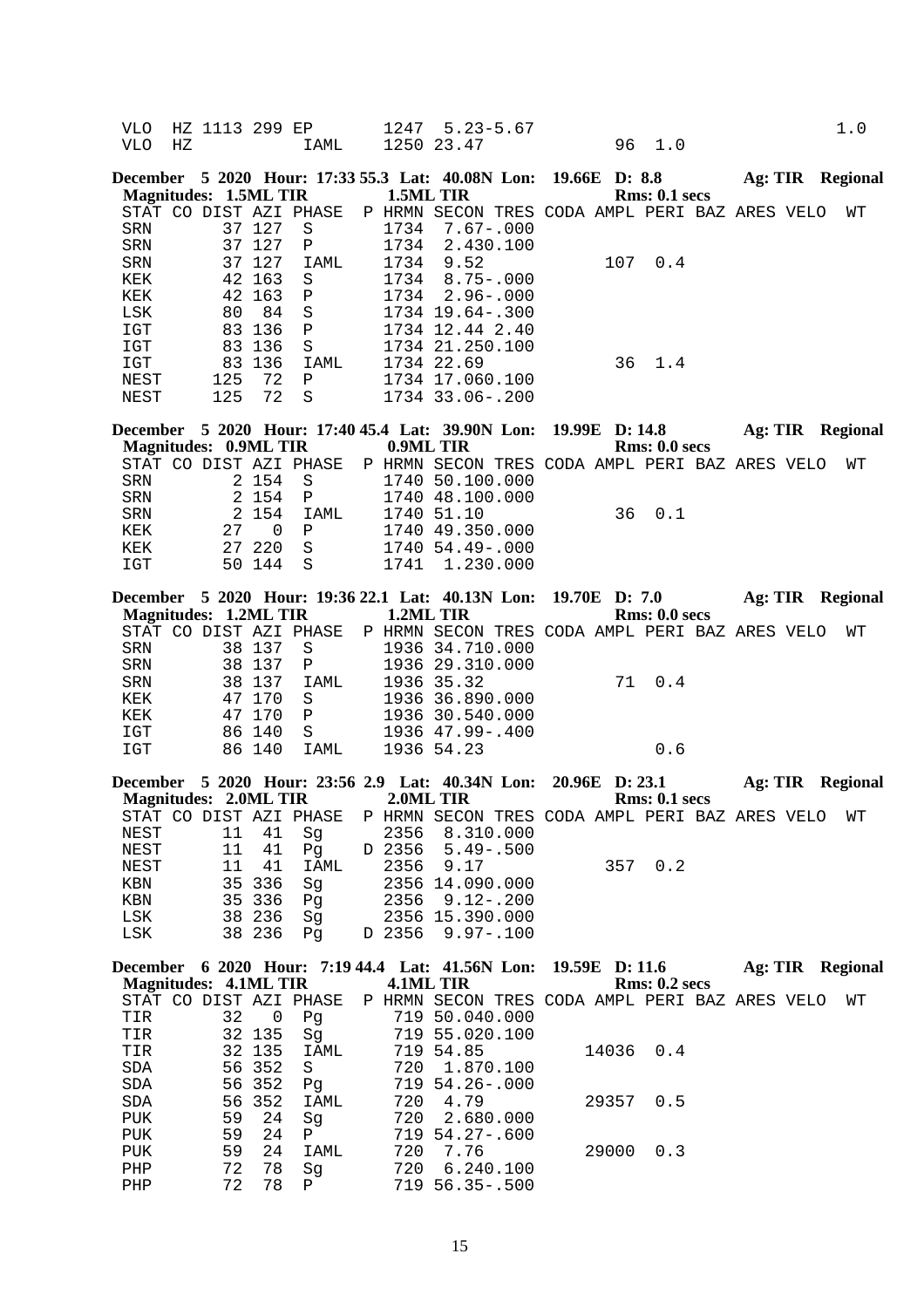| VLO<br><b>VLO</b>                                                                  | НZ | HZ 1113 299 EP                     |                                                                                       | IAML                                                                                                | 1247                                 | $5.23 - 5.67$<br>1250 23.47                                                                                                                                                                                                           |                | 96        | 1.0                  |                         |  | 1.0 |
|------------------------------------------------------------------------------------|----|------------------------------------|---------------------------------------------------------------------------------------|-----------------------------------------------------------------------------------------------------|--------------------------------------|---------------------------------------------------------------------------------------------------------------------------------------------------------------------------------------------------------------------------------------|----------------|-----------|----------------------|-------------------------|--|-----|
|                                                                                    |    | <b>Magnitudes: 1.5ML TIR</b>       |                                                                                       | December 5 2020 Hour: 17:33 55.3 Lat: 40.08N Lon: 19.66E D: 8.8                                     | 1.5ML TIR                            |                                                                                                                                                                                                                                       |                |           | Rms: 0.1 secs        | <b>Ag: TIR Regional</b> |  |     |
| <b>SRN</b><br>SRN<br>SRN<br>KEK<br>KEK<br>LSK<br>IGT<br>IGT<br>IGT<br>NEST<br>NEST |    | 42<br>80<br>83<br>83<br>125<br>125 | 37 127<br>37 127<br>37 127<br>42 163<br>163<br>84<br>136<br>136<br>83 136<br>72<br>72 | STAT CO DIST AZI PHASE<br>$\rm S$<br>Ρ<br>IAML<br>S<br>$\mathbf P$<br>S<br>Ρ<br>S<br>IAML<br>Ρ<br>S | 1734<br>1734<br>1734<br>1734<br>1734 | P HRMN SECON TRES CODA AMPL PERI BAZ ARES VELO<br>$7.67 - .000$<br>2.430.100<br>9.52<br>$8.75 - .000$<br>$2.96 - .000$<br>1734 19.64 -. 300<br>1734 12.44 2.40<br>1734 21.250.100<br>1734 22.69<br>1734 17.060.100<br>1734 33.06-.200 |                | 107<br>36 | 0.4<br>1.4           |                         |  | WТ  |
|                                                                                    |    | <b>Magnitudes: 0.9ML TIR</b>       |                                                                                       | December 5 2020 Hour: 17:40 45.4 Lat: 39.90N Lon:                                                   | 0.9ML TIR                            |                                                                                                                                                                                                                                       | 19.99E D: 14.8 |           | Rms: 0.0 secs        | Ag: TIR Regional        |  |     |
|                                                                                    |    |                                    |                                                                                       | STAT CO DIST AZI PHASE                                                                              |                                      | P HRMN SECON TRES CODA AMPL PERI BAZ ARES VELO                                                                                                                                                                                        |                |           |                      |                         |  | WТ  |
| SRN                                                                                |    |                                    | 2 154                                                                                 | $\rm S$                                                                                             |                                      | 1740 50.100.000                                                                                                                                                                                                                       |                |           |                      |                         |  |     |
| SRN                                                                                |    |                                    | 2 154                                                                                 | Ρ                                                                                                   |                                      | 1740 48.100.000                                                                                                                                                                                                                       |                |           |                      |                         |  |     |
| SRN                                                                                |    | 2                                  | 154                                                                                   | IAML                                                                                                |                                      | 1740 51.10                                                                                                                                                                                                                            |                | 36        | 0.1                  |                         |  |     |
| KEK                                                                                |    | 27                                 | 0                                                                                     | Ρ                                                                                                   |                                      | 1740 49.350.000                                                                                                                                                                                                                       |                |           |                      |                         |  |     |
| KEK                                                                                |    | 27                                 | 220                                                                                   | S                                                                                                   |                                      | 1740 54.49 -. 000                                                                                                                                                                                                                     |                |           |                      |                         |  |     |
| IGT                                                                                |    |                                    | 50 144                                                                                | S                                                                                                   | 1741                                 | 1.230.000                                                                                                                                                                                                                             |                |           |                      |                         |  |     |
|                                                                                    |    |                                    |                                                                                       |                                                                                                     |                                      |                                                                                                                                                                                                                                       |                |           |                      |                         |  |     |
|                                                                                    |    |                                    |                                                                                       | December 5 2020 Hour: 19:36 22.1 Lat: 40.13N Lon:                                                   |                                      |                                                                                                                                                                                                                                       | 19.70E D: 7.0  |           |                      | Ag: TIR Regional        |  |     |
|                                                                                    |    | <b>Magnitudes: 1.2ML TIR</b>       |                                                                                       |                                                                                                     | 1.2ML TIR                            |                                                                                                                                                                                                                                       |                |           | Rms: 0.0 secs        |                         |  |     |
|                                                                                    |    |                                    |                                                                                       | STAT CO DIST AZI PHASE                                                                              |                                      | P HRMN SECON TRES CODA AMPL PERI BAZ ARES VELO                                                                                                                                                                                        |                |           |                      |                         |  | WТ  |
| SRN                                                                                |    |                                    | 38 137                                                                                | S                                                                                                   |                                      | 1936 34.710.000                                                                                                                                                                                                                       |                |           |                      |                         |  |     |
| SRN                                                                                |    |                                    | 38 137                                                                                | Ρ                                                                                                   |                                      | 1936 29.310.000                                                                                                                                                                                                                       |                |           |                      |                         |  |     |
| SRN                                                                                |    | 38                                 | 137                                                                                   | IAML                                                                                                |                                      | 1936 35.32                                                                                                                                                                                                                            |                | 71        | 0.4                  |                         |  |     |
| KEK                                                                                |    |                                    | 47 170                                                                                | $\rm S$                                                                                             |                                      | 1936 36.890.000                                                                                                                                                                                                                       |                |           |                      |                         |  |     |
| KEK                                                                                |    | 47                                 | 170                                                                                   | $\, {\bf P}$                                                                                        |                                      | 1936 30.540.000                                                                                                                                                                                                                       |                |           |                      |                         |  |     |
| IGT                                                                                |    |                                    | 86 140                                                                                | S                                                                                                   |                                      | 1936 47.99 -. 400                                                                                                                                                                                                                     |                |           |                      |                         |  |     |
| IGT                                                                                |    |                                    | 86 140                                                                                | IAML                                                                                                |                                      | 1936 54.23                                                                                                                                                                                                                            |                |           | 0.6                  |                         |  |     |
|                                                                                    |    |                                    |                                                                                       |                                                                                                     |                                      |                                                                                                                                                                                                                                       |                |           |                      |                         |  |     |
|                                                                                    |    |                                    |                                                                                       | December 5 2020 Hour: 23:56 2.9 Lat: 40.34N Lon: 20.96E D: 23.1                                     |                                      |                                                                                                                                                                                                                                       |                |           |                      | Ag: TIR Regional        |  |     |
|                                                                                    |    | <b>Magnitudes: 2.0ML TIR</b>       |                                                                                       |                                                                                                     |                                      | 2.0ML TIR                                                                                                                                                                                                                             |                |           | Rms: 0.1~secs        |                         |  |     |
|                                                                                    |    |                                    |                                                                                       | STAT CO DIST AZI PHASE P HRMN SECON TRES CODA AMPL PERI BAZ ARES VELO WT                            |                                      |                                                                                                                                                                                                                                       |                |           |                      |                         |  |     |
| NEST                                                                               |    | 11                                 | 41                                                                                    | Sg                                                                                                  | 2356                                 | 8.310.000                                                                                                                                                                                                                             |                |           |                      |                         |  |     |
| NEST                                                                               |    | 11                                 | 41                                                                                    | Pg                                                                                                  | D 2356                               | $5.49 - .500$                                                                                                                                                                                                                         |                |           |                      |                         |  |     |
| NEST                                                                               |    | 11                                 | 41                                                                                    | IAML                                                                                                | 2356                                 | 9.17                                                                                                                                                                                                                                  |                |           | 357 0.2              |                         |  |     |
| KBN                                                                                |    | 35                                 | 336                                                                                   | Sg                                                                                                  |                                      | 2356 14.090.000                                                                                                                                                                                                                       |                |           |                      |                         |  |     |
| KBN                                                                                |    | 35                                 | 336                                                                                   | Pg                                                                                                  | 2356                                 | $9.12 - .200$                                                                                                                                                                                                                         |                |           |                      |                         |  |     |
| LSK                                                                                |    |                                    | 38 236                                                                                | Sg                                                                                                  |                                      | 2356 15.390.000                                                                                                                                                                                                                       |                |           |                      |                         |  |     |
| LSK                                                                                |    |                                    | 38 236                                                                                | Pg                                                                                                  | D 2356                               | $9.97 - .100$                                                                                                                                                                                                                         |                |           |                      |                         |  |     |
|                                                                                    |    |                                    |                                                                                       |                                                                                                     |                                      |                                                                                                                                                                                                                                       |                |           |                      |                         |  |     |
|                                                                                    |    |                                    |                                                                                       | December 6 2020 Hour: 7:19 44.4 Lat: 41.56N Lon:                                                    |                                      |                                                                                                                                                                                                                                       | 19.59E D: 11.6 |           |                      | Ag: TIR Regional        |  |     |
|                                                                                    |    | <b>Magnitudes: 4.1ML TIR</b>       |                                                                                       |                                                                                                     |                                      | 4.1ML TIR                                                                                                                                                                                                                             |                |           | <b>Rms: 0.2 secs</b> |                         |  |     |
|                                                                                    |    |                                    |                                                                                       | STAT CO DIST AZI PHASE                                                                              |                                      | P HRMN SECON TRES CODA AMPL PERI BAZ ARES VELO                                                                                                                                                                                        |                |           |                      |                         |  | WΤ  |
| TIR                                                                                |    | 32                                 | 0                                                                                     | Pg                                                                                                  |                                      | 719 50.040.000                                                                                                                                                                                                                        |                |           |                      |                         |  |     |
| TIR                                                                                |    |                                    | 32 135                                                                                | Sg                                                                                                  |                                      | 719 55.020.100                                                                                                                                                                                                                        |                |           |                      |                         |  |     |
| TIR                                                                                |    | 32                                 | 135                                                                                   | IAML                                                                                                |                                      | 719 54.85                                                                                                                                                                                                                             |                | 14036     | 0.4                  |                         |  |     |
| SDA                                                                                |    | 56                                 | 352                                                                                   | S                                                                                                   | 720                                  | 1.870.100                                                                                                                                                                                                                             |                |           |                      |                         |  |     |
| SDA                                                                                |    | 56                                 | 352                                                                                   | Pg                                                                                                  |                                      | 719 54.26-.000                                                                                                                                                                                                                        |                |           |                      |                         |  |     |
| SDA                                                                                |    | 56                                 | 352                                                                                   | IAML                                                                                                | 720                                  | 4.79                                                                                                                                                                                                                                  |                | 29357     | 0.5                  |                         |  |     |
| PUK                                                                                |    | 59                                 | 24                                                                                    | Sg                                                                                                  | 720                                  | 2.680.000                                                                                                                                                                                                                             |                |           |                      |                         |  |     |
| PUK                                                                                |    | 59                                 | 24                                                                                    | Ρ                                                                                                   |                                      | 719 54.27-.600                                                                                                                                                                                                                        |                |           |                      |                         |  |     |
| PUK                                                                                |    | 59                                 | 24                                                                                    | IAML                                                                                                | 720                                  | 7.76                                                                                                                                                                                                                                  |                | 29000     | 0.3                  |                         |  |     |
| ${\rm PHP}$                                                                        |    | 72                                 | 78                                                                                    | Sg                                                                                                  | 720                                  | 6.240.100                                                                                                                                                                                                                             |                |           |                      |                         |  |     |

PHP 72 78 P 719 56.35-.500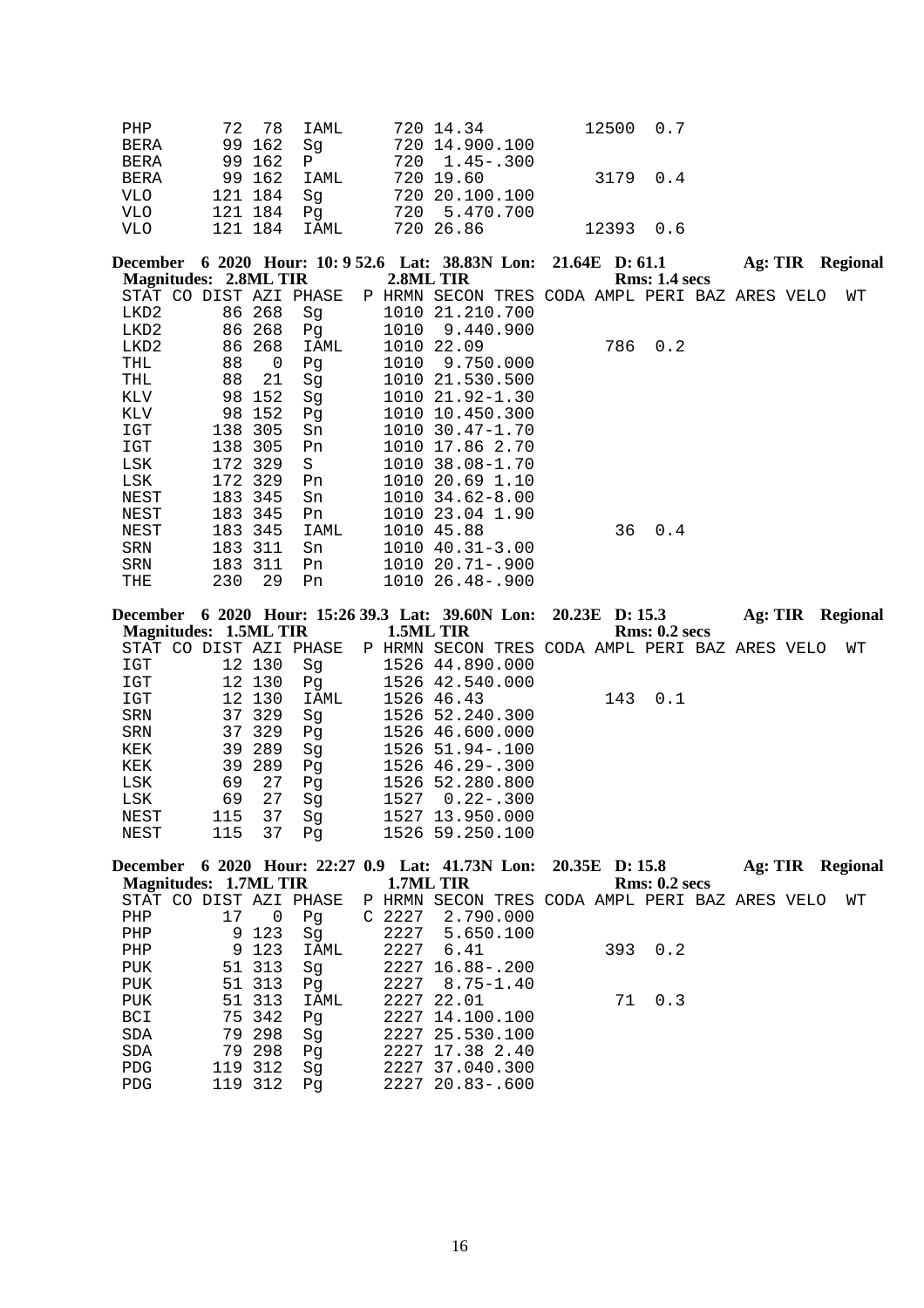| PHP         | 72 78 IAML   | 720 14.34      | 12500 0.7 |  |
|-------------|--------------|----------------|-----------|--|
| <b>BERA</b> | 99 162 Sq    | 720 14.900.100 |           |  |
| BERA        | 99 162 P     | 720 1.45 - 300 |           |  |
| BERA        | 99 162 IAML  | 720 19.60      | 3179 0.4  |  |
| VLO         | 121 184 Sg   | 720 20.100.100 |           |  |
| <b>VLO</b>  | 121 184 Pq   | 720 5.470.700  |           |  |
| VLO         | 121 184 IAML | 720 26.86      | 12393 0.6 |  |

| December 6 2020 Hour: 10:952.6 Lat: 38.83N Lon: 21.64E D:61.1 |  |  |           |  |                      | Ag: TIR Regional |  |
|---------------------------------------------------------------|--|--|-----------|--|----------------------|------------------|--|
| <b>Magnitudes: 2.8ML TIR</b>                                  |  |  | 2.8ML TIR |  | <b>Rms: 1.4 secs</b> |                  |  |

|      |     |         | STAT CO DIST AZI PHASE |      | P HRMN SECON TRES CODA AMPL PERI BAZ ARES VELO |     |     |  | WТ |
|------|-----|---------|------------------------|------|------------------------------------------------|-----|-----|--|----|
| LKD2 |     | 86 268  | Sq                     |      | 1010 21.210.700                                |     |     |  |    |
| LKD2 |     | 86 268  | Pq                     | 1010 | 9.440.900                                      |     |     |  |    |
| LKD2 |     | 86 268  | IAML                   |      | 1010 22.09                                     | 786 | 0.2 |  |    |
| THL  | 88  | - 0     | Pq                     | 1010 | 9.750.000                                      |     |     |  |    |
| THL  | 88  | 21      | Sq                     |      | 1010 21.530.500                                |     |     |  |    |
| KLV  |     | 98 152  | Sq                     |      | 1010 21.92-1.30                                |     |     |  |    |
| KLV  | 98  | 152     | Pq                     |      | 1010 10.450.300                                |     |     |  |    |
| IGT  | 138 | 305     | Sn                     |      | $1010, 30.47 - 1.70$                           |     |     |  |    |
| IGT  | 138 | 305     | Pn                     |      | 1010 17.86 2.70                                |     |     |  |    |
| LSK  |     | 172 329 | S.                     |      | 1010 38.08-1.70                                |     |     |  |    |
| LSK  |     | 172 329 | Pn.                    |      | 1010 20.69 1.10                                |     |     |  |    |
| NEST |     | 183 345 | Sn                     |      | $1010$ $34.62 - 8.00$                          |     |     |  |    |
| NEST |     | 183 345 | Pn.                    |      | 1010 23.04 1.90                                |     |     |  |    |
| NEST |     | 183 345 | IAML                   |      | 1010 45.88                                     | 36  | 0.4 |  |    |
| SRN  |     | 183 311 | Sn                     |      | $1010$ $40.31 - 3.00$                          |     |     |  |    |
| SRN  |     | 183 311 | Pn.                    |      | 1010 20.71-.900                                |     |     |  |    |
| THE  | 230 | 29      | Pn                     |      | 1010 26.48-.900                                |     |     |  |    |
|      |     |         |                        |      |                                                |     |     |  |    |

| December              |     |        |                |           | 6 2020 Hour: 15:26 39.3 Lat: 39.60N Lon: 20.23E D: 15.3 |  |     |                      | Ag: TIR                      |      | Regional |
|-----------------------|-----|--------|----------------|-----------|---------------------------------------------------------|--|-----|----------------------|------------------------------|------|----------|
| Magnitudes: 1.5ML TIR |     |        |                | 1.5ML TIR |                                                         |  |     | <b>Rms: 0.2 secs</b> |                              |      |          |
| CO.<br>STAT           |     |        | DIST AZI PHASE |           | P HRMN SECON                                            |  |     |                      | TRES CODA AMPL PERI BAZ ARES | VELO | WТ       |
| IGT                   |     | 12 130 | Sq             |           | 1526 44.890.000                                         |  |     |                      |                              |      |          |
| IGT                   |     | 12 130 | Pg             |           | 1526 42.540.000                                         |  |     |                      |                              |      |          |
| IGT                   |     | 12 130 | IAML           |           | 1526 46.43                                              |  | 143 | 0.1                  |                              |      |          |
| SRN                   |     | 37 329 | Sq             |           | 1526 52.240.300                                         |  |     |                      |                              |      |          |
| SRN                   |     | 37 329 | Pq             |           | 1526 46.600.000                                         |  |     |                      |                              |      |          |
| KEK                   |     | 39 289 | Sq             |           | 1526 51.94 -. 100                                       |  |     |                      |                              |      |          |
| KEK                   |     | 39 289 | Pq             |           | 1526 46.29 - .300                                       |  |     |                      |                              |      |          |
| LSK                   | 69  | 27     | Pq             |           | 1526 52.280.800                                         |  |     |                      |                              |      |          |
| LSK                   | 69  | 27     | Sq             | 1527      | $0.22 - .300$                                           |  |     |                      |                              |      |          |
| NEST                  | 115 | 37     | Sq             | 1527      | 13.950.000                                              |  |     |                      |                              |      |          |
| NEST                  | 115 | 37     | Pq             |           | 1526 59.250.100                                         |  |     |                      |                              |      |          |

| December 6 2020 Hour: 22:27 0.9 Lat: 41.73N Lon: 20.35E D: 15.8       |    |         |      |        |                  |  |               | Ag: TIR |  | Regional |
|-----------------------------------------------------------------------|----|---------|------|--------|------------------|--|---------------|---------|--|----------|
| Magnitudes: 1.7ML TIR                                                 |    |         |      |        | <b>1.7ML TIR</b> |  | Rms: 0.2~secs |         |  |          |
| STAT CO DIST AZI PHASE P HRMN SECON TRES CODA AMPL PERI BAZ ARES VELO |    |         |      |        |                  |  |               |         |  | WТ       |
| PHP                                                                   | 17 | 0       | Pg   | C 2227 | 2.790.000        |  |               |         |  |          |
| PHP                                                                   |    | 9 1 2 3 | Sg   | 2227   | 5.650.100        |  |               |         |  |          |
| PHP                                                                   |    | 9 1 2 3 | IAML |        | 2227 6.41        |  | 393 0.2       |         |  |          |
| PUK                                                                   |    | 51 313  | Sq   |        | 2227 16.88-.200  |  |               |         |  |          |
| PUK                                                                   |    | 51 313  | Pq   |        | $2227$ 8.75-1.40 |  |               |         |  |          |
| PUK                                                                   |    | 51 313  | IAML |        | 2227 22.01       |  | 71 0.3        |         |  |          |
| BCI                                                                   |    | 75 342  | Pq   |        | 2227 14.100.100  |  |               |         |  |          |
| <b>SDA</b>                                                            |    | 79 298  | Sq   |        | 2227 25.530.100  |  |               |         |  |          |
| SDA                                                                   |    | 79 298  | Pq   |        | 2227 17.38 2.40  |  |               |         |  |          |
| <b>PDG</b>                                                            |    | 119 312 | Sq   |        | 2227 37.040.300  |  |               |         |  |          |
| <b>PDG</b>                                                            |    | 119 312 | Pq   |        | 2227 20.83-.600  |  |               |         |  |          |
|                                                                       |    |         |      |        |                  |  |               |         |  |          |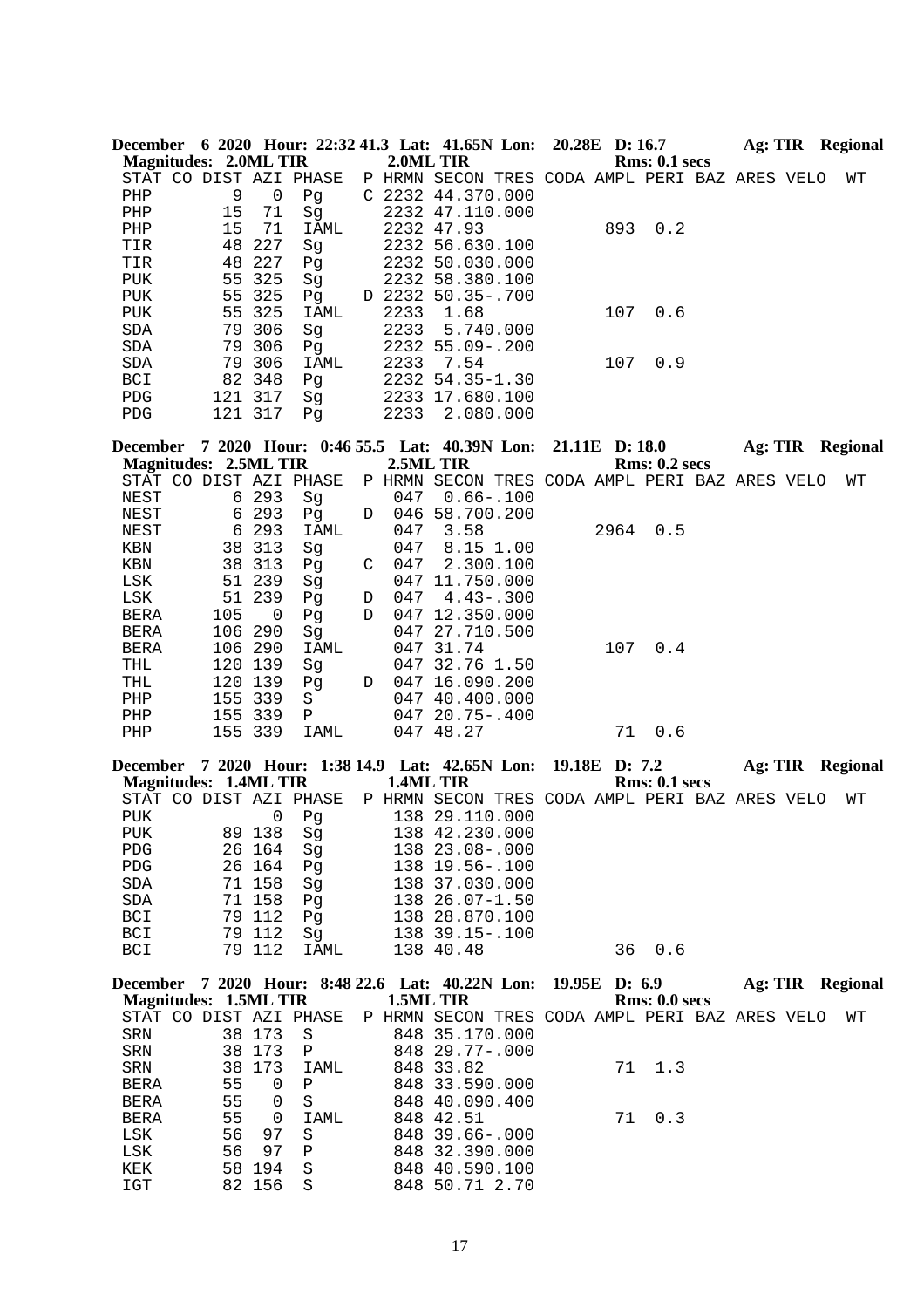|                            |                              |                  | December 6 2020 Hour: 22:32 41.3 Lat: 41.65N Lon: 20.28E D: 16.7 |   |           |                                                |                |      |                      |  |  | Ag: TIR Regional |
|----------------------------|------------------------------|------------------|------------------------------------------------------------------|---|-----------|------------------------------------------------|----------------|------|----------------------|--|--|------------------|
|                            | <b>Magnitudes: 2.0ML TIR</b> |                  |                                                                  |   | 2.0ML TIR |                                                |                |      | Rms: 0.1~secs        |  |  |                  |
|                            |                              |                  | STAT CO DIST AZI PHASE                                           |   |           | P HRMN SECON TRES CODA AMPL PERI BAZ ARES VELO |                |      |                      |  |  | WΤ               |
| PHP                        | 9                            | $\mathsf 0$      | Pg                                                               |   |           | C 2232 44.370.000                              |                |      |                      |  |  |                  |
| PHP                        | 15                           | 71               | Sg                                                               |   |           | 2232 47.110.000                                |                |      |                      |  |  |                  |
| PHP                        | 15                           | 71               | <b>IAML</b>                                                      |   |           | 2232 47.93                                     |                | 893  | 0.2                  |  |  |                  |
| TIR                        | 48                           | 227              | Sg                                                               |   |           | 2232 56.630.100                                |                |      |                      |  |  |                  |
| TIR                        | 48                           | 227              | Pg                                                               |   |           | 2232 50.030.000                                |                |      |                      |  |  |                  |
| <b>PUK</b>                 | 55                           | 325              | Sg                                                               |   |           | 2232 58.380.100                                |                |      |                      |  |  |                  |
| PUK                        | 55                           | 325<br>55 325    | Pq                                                               |   |           | D 2232 50.35-.700                              |                |      |                      |  |  |                  |
| PUK                        |                              |                  | IAML                                                             |   | 2233      | 1.68                                           |                | 107  | 0.6                  |  |  |                  |
| SDA<br>SDA                 |                              | 79 306<br>79 306 | Sg<br>Pq                                                         |   | 2233      | 5.740.000<br>2232 55.09 -. 200                 |                |      |                      |  |  |                  |
| SDA                        |                              | 79 306           | IAML                                                             |   | 2233      | 7.54                                           |                | 107  | 0.9                  |  |  |                  |
| BCI                        |                              | 82 348           | Pg                                                               |   |           | 2232 54.35-1.30                                |                |      |                      |  |  |                  |
| PDG                        |                              | 121 317          | Sg                                                               |   |           | 2233 17.680.100                                |                |      |                      |  |  |                  |
| PDG                        |                              | 121 317          | Pg                                                               |   | 2233      | 2.080.000                                      |                |      |                      |  |  |                  |
|                            |                              |                  | December 7 2020 Hour: 0:46 55.5 Lat: 40.39N Lon:                 |   |           |                                                | 21.11E D: 18.0 |      |                      |  |  | Ag: TIR Regional |
|                            | <b>Magnitudes: 2.5ML TIR</b> |                  |                                                                  |   | 2.5ML TIR |                                                |                |      | <b>Rms: 0.2 secs</b> |  |  |                  |
|                            |                              |                  | STAT CO DIST AZI PHASE                                           |   |           | P HRMN SECON TRES CODA AMPL PERI BAZ ARES VELO |                |      |                      |  |  | WΤ               |
| <b>NEST</b>                |                              | 6 293            | Sg                                                               |   | 047       | $0.66 - .100$                                  |                |      |                      |  |  |                  |
| NEST                       | 6                            | 293              | Pg                                                               | D |           | 046 58.700.200                                 |                |      |                      |  |  |                  |
| NEST                       | 6                            | 293              | <b>IAML</b>                                                      |   | 047       | 3.58                                           |                | 2964 | 0.5                  |  |  |                  |
| KBN                        | 38                           | 313              | Sg                                                               |   | 047       | 8.15 1.00                                      |                |      |                      |  |  |                  |
| KBN                        |                              | 38 313           | Pg                                                               | C | 047       | 2.300.100                                      |                |      |                      |  |  |                  |
| LSK                        |                              | 51 239           | Sg                                                               |   |           | 047 11.750.000                                 |                |      |                      |  |  |                  |
| LSK                        | 51                           | 239              | Pg                                                               | D | 047       | $4.43 - .300$                                  |                |      |                      |  |  |                  |
| BERA                       | 105                          | 0<br>290         | Pg                                                               | D |           | 047 12.350.000                                 |                |      |                      |  |  |                  |
| <b>BERA</b><br><b>BERA</b> | 106                          | 106 290          | Sg<br>IAML                                                       |   |           | 047 27.710.500<br>047 31.74                    |                | 107  | 0.4                  |  |  |                  |
| THL                        |                              | 120 139          | Sg                                                               |   |           | 047 32.76 1.50                                 |                |      |                      |  |  |                  |
| THL                        |                              | 120 139          | Pq                                                               | D |           | 047 16.090.200                                 |                |      |                      |  |  |                  |
| PHP                        |                              | 155 339          | S                                                                |   |           | 047 40.400.000                                 |                |      |                      |  |  |                  |
| PHP                        |                              | 155 339          | Ρ                                                                |   |           | 047 20.75-.400                                 |                |      |                      |  |  |                  |
| PHP                        |                              | 155 339          | IAML                                                             |   |           | 047 48.27                                      |                | 71   | 0.6                  |  |  |                  |
|                            |                              |                  | December 7 2020 Hour: 1:38 14.9 Lat: 42.65N Lon:                 |   |           |                                                | 19.18E D: 7.2  |      |                      |  |  | Ag: TIR Regional |
|                            | <b>Magnitudes: 1.4ML TIR</b> |                  |                                                                  |   | 1.4ML TIR |                                                |                |      | <b>Rms: 0.1 secs</b> |  |  |                  |
|                            |                              |                  | STAT CO DIST AZI PHASE                                           |   |           | P HRMN SECON TRES CODA AMPL PERI BAZ ARES VELO |                |      |                      |  |  | WТ               |
|                            |                              |                  | PUK 0 Pg                                                         |   |           | 138 29.110.000                                 |                |      |                      |  |  |                  |
| PUK                        |                              | 89 138           | Sg                                                               |   |           | 138 42.230.000                                 |                |      |                      |  |  |                  |
| ${\tt PDG}$                |                              | 26 164           | Sg                                                               |   |           | 138 23.08-.000                                 |                |      |                      |  |  |                  |
| ${\tt PDG}$                |                              | 26 164           | Pg                                                               |   |           | 138 19.56 -. 100                               |                |      |                      |  |  |                  |
| $\operatorname{SDA}$       |                              | 71 158           | Sg                                                               |   |           | 138 37.030.000                                 |                |      |                      |  |  |                  |
| $\operatorname{SDA}$       |                              | 71 158           | Pg                                                               |   |           | 138 26.07-1.50                                 |                |      |                      |  |  |                  |
| <b>BCI</b>                 |                              | 79 112           | Pg                                                               |   |           | 138 28.870.100                                 |                |      |                      |  |  |                  |
| <b>BCI</b>                 |                              | 79 112           | Sg                                                               |   |           | 138 39.15 -. 100                               |                |      |                      |  |  |                  |
| <b>BCI</b>                 |                              | 79 112           | <b>IAML</b>                                                      |   |           | 138 40.48                                      |                | 36   | 0.6                  |  |  |                  |

| December              |    |          |                |        | 7 2020 Hour: 8:48 22.6 Lat: 40.22N Lon: 19.95E D: 6.9 |                                   |                      | Ag: TIR | Regional |
|-----------------------|----|----------|----------------|--------|-------------------------------------------------------|-----------------------------------|----------------------|---------|----------|
| Magnitudes: 1.5ML TIR |    |          |                |        | 1.5ML TIR                                             |                                   | <b>Rms: 0.0 secs</b> |         |          |
| STAT CO               |    |          | DIST AZI PHASE | P HRMN | SECON                                                 | TRES CODA AMPL PERI BAZ ARES VELO |                      |         | WТ       |
| SRN                   | 38 | 173      | S              |        | 848 35.170.000                                        |                                   |                      |         |          |
| SRN                   |    | 38 173   | $\mathbf{P}$   |        | $84829.77 - .000$                                     |                                   |                      |         |          |
| SRN                   |    | 38 173   | IAML           |        | 848 33.82                                             |                                   | 71 1.3               |         |          |
| BERA                  | 55 | $\Omega$ | $\mathbf P$    |        | 848 33.590.000                                        |                                   |                      |         |          |
| <b>BERA</b>           | 55 | $\Omega$ | S              |        | 848 40.090.400                                        |                                   |                      |         |          |
| <b>BERA</b>           | 55 | $\Omega$ | IAML           |        | 848 42.51                                             |                                   | 0.3<br>71            |         |          |
| LSK                   | 56 | 97       | S              |        | 848 39.66-.000                                        |                                   |                      |         |          |
| LSK                   | 56 | 97       | P              |        | 848 32.390.000                                        |                                   |                      |         |          |
| KEK                   | 58 | 194      | S              |        | 848 40.590.100                                        |                                   |                      |         |          |
| IGT                   |    | 82 156   | S              |        | 848 50.71 2.70                                        |                                   |                      |         |          |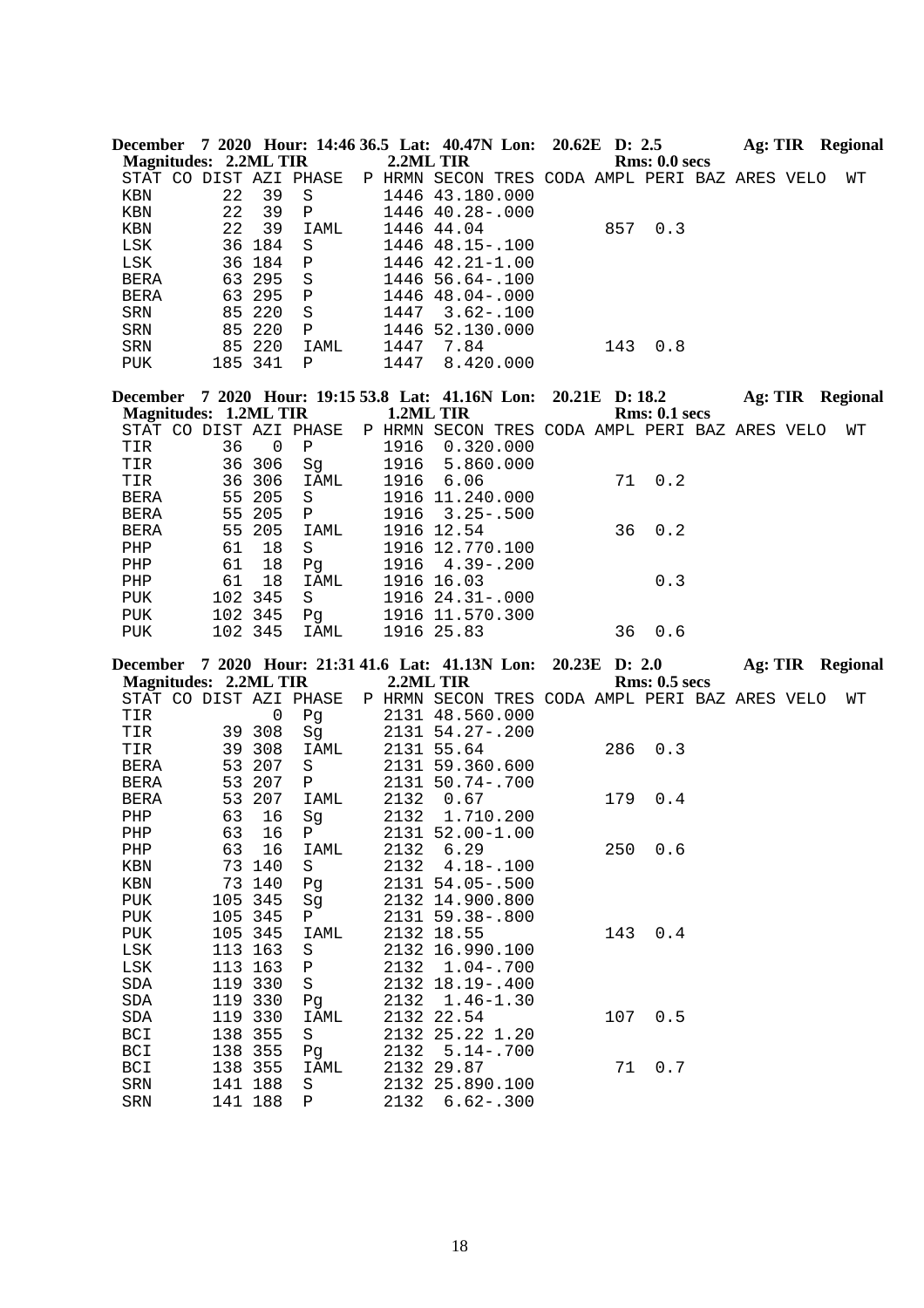| <b>December</b>        |         |        |              |           | 7 2020 Hour: 14:46 36.5 Lat: 40.47N Lon: 20.62E D: 2.5 |  |     |               | Ag: TIR | Regional |
|------------------------|---------|--------|--------------|-----------|--------------------------------------------------------|--|-----|---------------|---------|----------|
| Magnitudes: 2.2ML TIR  |         |        |              | 2.2ML TIR |                                                        |  |     | Rms: 0.0 secs |         |          |
| STAT CO DIST AZI PHASE |         |        |              |           | P HRMN SECON TRES CODA AMPL PERI BAZ ARES VELO         |  |     |               |         | WТ       |
| KBN                    | 22      | 39     | S            |           | 1446 43.180.000                                        |  |     |               |         |          |
| KBN                    | 22      | 39     | $\mathbf P$  |           | 1446 40.28-.000                                        |  |     |               |         |          |
| KBN                    | 22      | 39     | IAML         |           | 1446 44.04                                             |  | 857 | 0.3           |         |          |
| LSK                    |         | 36 184 | S.           |           | 1446 48.15-.100                                        |  |     |               |         |          |
| LSK                    |         | 36 184 | $\mathbf{P}$ |           | $1446$ $42.21 - 1.00$                                  |  |     |               |         |          |
| <b>BERA</b>            |         | 63 295 | S.           |           | $1446$ 56.64 - 100                                     |  |     |               |         |          |
| <b>BERA</b>            |         | 63 295 | $\mathbb{P}$ |           | 1446 48.04-.000                                        |  |     |               |         |          |
| SRN                    |         | 85 220 | -S           | 1447      | $3.62 - .100$                                          |  |     |               |         |          |
| SRN                    |         | 85 220 | $\mathbf P$  |           | 1446 52.130.000                                        |  |     |               |         |          |
| SRN                    |         | 85 220 | IAML         | 1447      | 7.84                                                   |  | 143 | 0.8           |         |          |
| <b>PUK</b>             | 185 341 |        | P            | 1447      | 8.420.000                                              |  |     |               |         |          |

|             |                       |          | December 7 2020 Hour: 19:15 53.8 Lat: 41.16N Lon: 20.21E D: 18.2 |           |                                                |  |    |               | Ag: TIR |  | <b>Regional</b> |
|-------------|-----------------------|----------|------------------------------------------------------------------|-----------|------------------------------------------------|--|----|---------------|---------|--|-----------------|
|             | Magnitudes: 1.2ML TIR |          |                                                                  | 1.2ML TIR |                                                |  |    | Rms: 0.1~secs |         |  |                 |
|             |                       |          | STAT CO DIST AZI PHASE                                           |           | P HRMN SECON TRES CODA AMPL PERI BAZ ARES VELO |  |    |               |         |  | WТ              |
| TIR         | 36                    | $\Omega$ | Ρ                                                                | 1916      | 0.320.000                                      |  |    |               |         |  |                 |
| TIR         |                       | 36 306   | Sq                                                               | 1916      | 5.860.000                                      |  |    |               |         |  |                 |
| TIR         |                       | 36 306   | IAML                                                             | 1916      | 6.06                                           |  |    | 71 0.2        |         |  |                 |
| BERA        |                       | 55 205   | - S                                                              |           | 1916 11.240.000                                |  |    |               |         |  |                 |
| <b>BERA</b> |                       | 55 205   | $\mathbf{P}$                                                     |           | $1916$ $3.25 - .500$                           |  |    |               |         |  |                 |
| <b>BERA</b> |                       | 55 205   | IAML                                                             |           | 1916 12.54                                     |  |    | $36 \t 0.2$   |         |  |                 |
| PHP         | 61                    | 18       | S                                                                |           | 1916 12.770.100                                |  |    |               |         |  |                 |
| PHP         | 61                    | 18       | Pq                                                               |           | $1916$ $4.39 - .200$                           |  |    |               |         |  |                 |
| PHP         | 61                    | 18       | IAML                                                             |           | 1916 16.03                                     |  |    | 0.3           |         |  |                 |
| PUK         |                       | 102 345  | S                                                                |           | $1916$ $24.31 - .000$                          |  |    |               |         |  |                 |
| PUK         |                       | 102 345  | Pq                                                               |           | 1916 11.570.300                                |  |    |               |         |  |                 |
| PUK         |                       | 102 345  | IAML                                                             |           | 1916 25.83                                     |  | 36 | 0.6           |         |  |                 |
|             |                       |          |                                                                  |           |                                                |  |    |               |         |  |                 |

| December 7 2020 Hour: 21:31 41.6 Lat: 41.13N Lon: 20.23E D: 2.0 | <b>Magnitudes: 2.2ML TIR</b> |         |              |      | 2.2ML TIR                                      |  |     | <b>Rms: 0.5 secs</b> |  | Ag: TIR Regional |
|-----------------------------------------------------------------|------------------------------|---------|--------------|------|------------------------------------------------|--|-----|----------------------|--|------------------|
| STAT CO DIST AZI PHASE                                          |                              |         |              |      | P HRMN SECON TRES CODA AMPL PERI BAZ ARES VELO |  |     |                      |  | WΤ               |
| TIR                                                             |                              | 0       | Pg           |      | 2131 48.560.000                                |  |     |                      |  |                  |
| TIR                                                             |                              | 39 308  | Sg           |      | 2131 54.27-.200                                |  |     |                      |  |                  |
| TIR                                                             |                              | 39 308  | IAML         |      | 2131 55.64                                     |  | 286 | 0.3                  |  |                  |
| <b>BERA</b>                                                     | 53                           | 207     | S            |      | 2131 59.360.600                                |  |     |                      |  |                  |
| <b>BERA</b>                                                     |                              | 53 207  | $\mathbf{P}$ |      | 2131 50.74-.700                                |  |     |                      |  |                  |
| <b>BERA</b>                                                     |                              | 53 207  | IAML         | 2132 | 0.67                                           |  | 179 | 0.4                  |  |                  |
| PHP                                                             | 63                           | 16      | Sg           |      | 2132 1.710.200                                 |  |     |                      |  |                  |
| PHP                                                             | 63                           | 16      | $\mathbf{P}$ |      | 2131 52.00-1.00                                |  |     |                      |  |                  |
| PHP                                                             | 63                           | 16      | IAML         | 2132 | 6.29                                           |  | 250 | 0.6                  |  |                  |
| KBN                                                             |                              | 73 140  | S            | 2132 | $4.18 - .100$                                  |  |     |                      |  |                  |
| KBN                                                             | 73                           | 140     | Pg           |      | 2131 54.05-.500                                |  |     |                      |  |                  |
| PUK                                                             |                              | 105 345 | Sg           |      | 2132 14.900.800                                |  |     |                      |  |                  |
| PUK                                                             |                              | 105 345 | $\mathbf{P}$ |      | 2131 59.38-.800                                |  |     |                      |  |                  |
| PUK                                                             |                              | 105 345 | IAML         |      | 2132 18.55                                     |  | 143 | 0.4                  |  |                  |
| LSK                                                             |                              | 113 163 | S            |      | 2132 16.990.100                                |  |     |                      |  |                  |
| LSK                                                             |                              | 113 163 | Ρ            |      | 2132 1.04 - . 700                              |  |     |                      |  |                  |
| SDA                                                             |                              | 119 330 | S            |      | 2132 18.19 -. 400                              |  |     |                      |  |                  |
| SDA                                                             |                              | 119 330 | Pg           |      | 2132 1.46-1.30                                 |  |     |                      |  |                  |
| SDA                                                             |                              | 119 330 | IAML         |      | 2132 22.54                                     |  | 107 | 0.5                  |  |                  |
| BCI                                                             |                              | 138 355 | S            |      | 2132 25.22 1.20                                |  |     |                      |  |                  |
| BCI                                                             |                              | 138 355 | Pg           | 2132 | $5.14 - .700$                                  |  |     |                      |  |                  |
| BCI                                                             |                              | 138 355 | IAML         |      | 2132 29.87                                     |  | 71  | 0.7                  |  |                  |
| SRN                                                             | 141                          | 188     | S            |      | 2132 25.890.100                                |  |     |                      |  |                  |
| SRN                                                             |                              | 141 188 | Ρ            | 2132 | $6.62 - .300$                                  |  |     |                      |  |                  |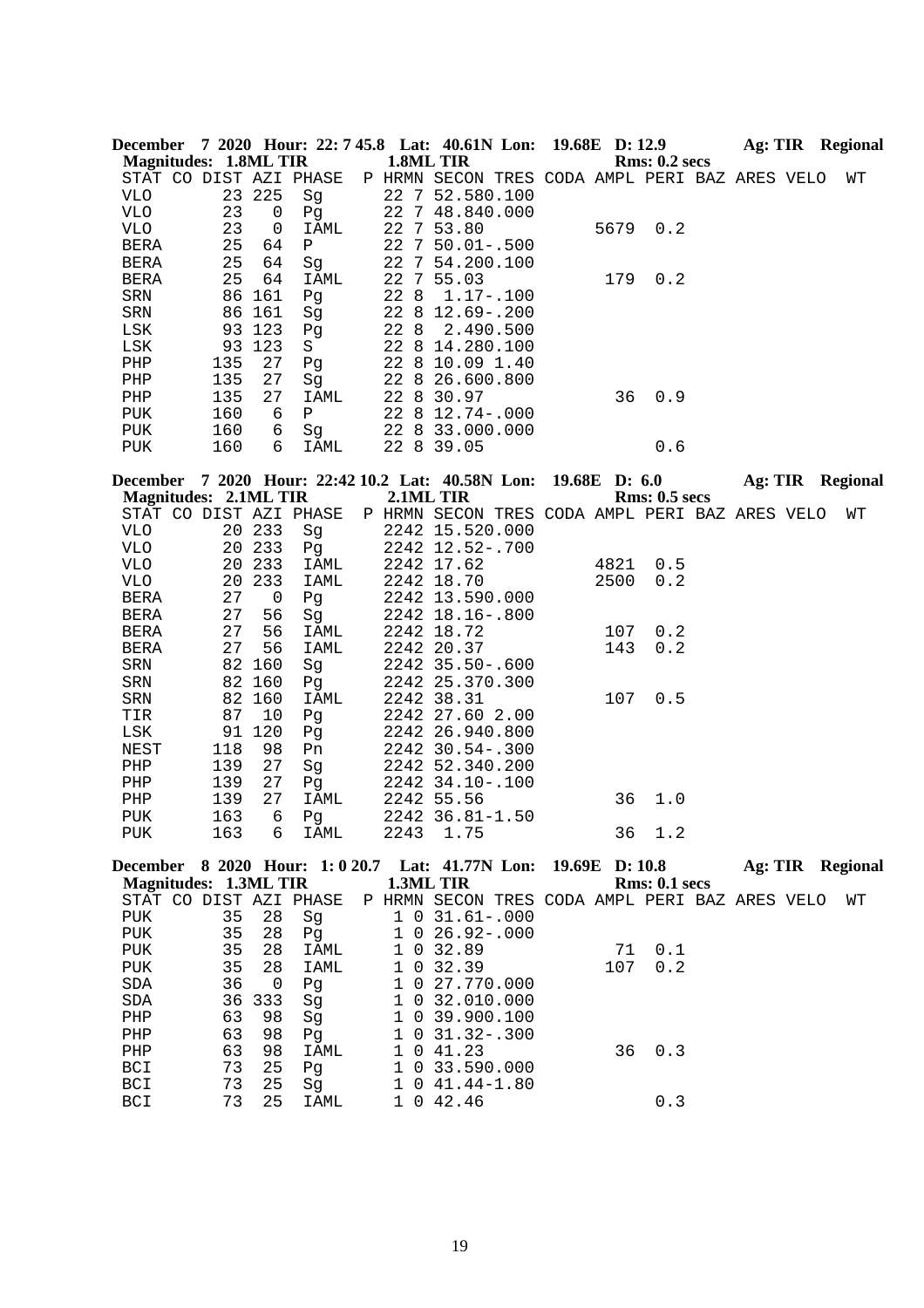|                           |                              |                          |                        |             | December 7 2020 Hour: 22: 7 45.8 Lat: 40.61N Lon: 19.68E D: 12.9 |      |                      |  |  | <b>Ag: TIR</b> Regional |
|---------------------------|------------------------------|--------------------------|------------------------|-------------|------------------------------------------------------------------|------|----------------------|--|--|-------------------------|
|                           | <b>Magnitudes: 1.8ML TIR</b> |                          |                        |             | 1.8ML TIR                                                        |      | <b>Rms: 0.2 secs</b> |  |  |                         |
|                           |                              |                          | STAT CO DIST AZI PHASE |             | P HRMN SECON TRES CODA AMPL PERI BAZ ARES VELO                   |      |                      |  |  | WΤ                      |
| <b>VLO</b>                |                              | 23 225                   | Sg                     |             | 22 7 52.580.100                                                  |      |                      |  |  |                         |
| <b>VLO</b>                | 23                           | 0                        | Pg                     |             | 22 7 48.840.000                                                  |      |                      |  |  |                         |
| VLO                       | 23                           | 0                        | IAML                   |             | 22 7 53.80                                                       | 5679 | 0.2                  |  |  |                         |
| BERA                      | 25                           | 64                       | $\mathbf P$            |             | 22 7 50.01 -. 500                                                |      |                      |  |  |                         |
| BERA                      | 25                           | 64                       | Sg                     |             | 22 7 54.200.100                                                  |      |                      |  |  |                         |
| BERA                      | 25                           | 64                       | IAML                   |             | 22 7 55.03                                                       | 179  | 0.2                  |  |  |                         |
| SRN                       |                              | 86 161                   | Pg                     | 22 8        | $1.17 - .100$                                                    |      |                      |  |  |                         |
| SRN                       |                              | 86 161                   | Sg                     |             | 22 8 12.69 -. 200                                                |      |                      |  |  |                         |
| LSK                       |                              | 93 123                   | Pg                     | 22 8        | 2.490.500                                                        |      |                      |  |  |                         |
| LSK                       | 93                           | 123                      | S                      |             | 22 8 14.280.100                                                  |      |                      |  |  |                         |
| PHP                       | 135                          | 27                       | Pg                     |             | 22 8 10.09 1.40                                                  |      |                      |  |  |                         |
| PHP                       | 135                          | 27                       | Sg                     |             | 22 8 26.600.800                                                  |      |                      |  |  |                         |
| PHP                       | 135                          | 27                       | IAML                   |             | 22 8 30.97                                                       | 36   | 0.9                  |  |  |                         |
| PUK                       | 160                          | 6                        | $\mathbf{P}$           |             | 22 8 12.74 -. 000                                                |      |                      |  |  |                         |
| PUK                       | 160                          | 6                        | Sg                     |             | 22 8 33.000.000                                                  |      |                      |  |  |                         |
| PUK                       | 160                          | 6                        | IAML                   |             | 22 8 39.05                                                       |      | 0.6                  |  |  |                         |
|                           |                              |                          |                        |             | December 7 2020 Hour: 22:42 10.2 Lat: 40.58N Lon: 19.68E D: 6.0  |      |                      |  |  |                         |
|                           | <b>Magnitudes: 2.1ML TIR</b> |                          |                        |             | 2.1ML TIR                                                        |      | <b>Rms: 0.5 secs</b> |  |  | Ag: TIR Regional        |
|                           |                              |                          | STAT CO DIST AZI PHASE |             | P HRMN SECON TRES CODA AMPL PERI BAZ ARES VELO                   |      |                      |  |  | WΤ                      |
| <b>VLO</b>                |                              | 20 233                   | Sg                     |             | 2242 15.520.000                                                  |      |                      |  |  |                         |
| <b>VLO</b>                |                              | 20 233                   | Pg                     |             | 2242 12.52-.700                                                  |      |                      |  |  |                         |
| VLO                       | 20                           | 233                      | IAML                   |             | 2242 17.62                                                       | 4821 | 0.5                  |  |  |                         |
| VLO                       |                              | 20 233                   | IAML                   |             | 2242 18.70                                                       | 2500 | 0.2                  |  |  |                         |
| BERA                      | 27                           | $\overline{\phantom{0}}$ | Pg                     |             | 2242 13.590.000                                                  |      |                      |  |  |                         |
| BERA                      | 27                           | 56                       | Sg                     |             | 2242 18.16 -. 800                                                |      |                      |  |  |                         |
| BERA                      | 27                           | 56                       | IAML                   |             | 2242 18.72                                                       | 107  | 0.2                  |  |  |                         |
| BERA                      | 27                           | 56                       | IAML                   |             | 2242 20.37                                                       | 143  | 0.2                  |  |  |                         |
| SRN                       | 82                           | 160                      | Sg                     |             | 2242 35.50 -. 600                                                |      |                      |  |  |                         |
| SRN                       | 82                           | 160                      | Pg                     |             | 2242 25.370.300                                                  |      |                      |  |  |                         |
| SRN                       | 82                           | 160                      | IAML                   |             | 2242 38.31                                                       | 107  | 0.5                  |  |  |                         |
| TIR                       | 87                           | 10                       | Pg                     |             | 2242 27.60 2.00                                                  |      |                      |  |  |                         |
| LSK                       | 91                           | 120                      | Pg                     |             | 2242 26.940.800                                                  |      |                      |  |  |                         |
| NEST                      | 118                          | 98                       | Pn                     |             | 2242 30.54 -. 300                                                |      |                      |  |  |                         |
| PHP                       | 139                          | 27                       | Sg                     |             | 2242 52.340.200                                                  |      |                      |  |  |                         |
| PHP                       | 139                          | 27                       | Pg                     |             | 2242 34.10 -. 100                                                |      |                      |  |  |                         |
| PHP                       | 139                          | 27                       | IAML                   |             | 2242 55.56                                                       | 36   | 1.0                  |  |  |                         |
| PUK                       | 163                          | 6                        | Pg                     |             | 2242 36.81-1.50                                                  |      |                      |  |  |                         |
| <b>PUK</b>                | 163                          | 6                        | IAML                   |             | 2243 1.75                                                        | 36   | 1.2                  |  |  |                         |
|                           |                              |                          |                        |             |                                                                  |      |                      |  |  |                         |
|                           |                              |                          |                        |             | December 8 2020 Hour: 1: 0 20.7 Lat: 41.77N Lon: 19.69E D: 10.8  |      |                      |  |  | <b>Ag: TIR Regional</b> |
|                           | <b>Magnitudes: 1.3ML TIR</b> |                          |                        |             | 1.3ML TIR                                                        |      | Rms: 0.1 secs        |  |  |                         |
|                           |                              |                          | STAT CO DIST AZI PHASE |             | P HRMN SECON TRES CODA AMPL PERI BAZ ARES VELO                   |      |                      |  |  | WТ                      |
| PUK                       | 35                           | 28                       | Sg                     |             | $1 \t0 \t31.61 - .000$                                           |      |                      |  |  |                         |
| ${\tt PUK}$               | 35                           | 28                       | Pg                     |             | $1 \t0 \t26.92 - .000$                                           |      |                      |  |  |                         |
| ${\tt PUK}$               | 35                           | 28                       | IAML                   |             | 1 0 32.89                                                        | 71   | 0.1                  |  |  |                         |
| PUK                       | 35                           | 28                       | IAML                   |             | 1 0 32.39                                                        | 107  | 0.2                  |  |  |                         |
| SDA                       | 36                           | $\overline{0}$           | Pg                     |             | 1 0 27.770.000                                                   |      |                      |  |  |                         |
| SDA                       | 36                           | 333                      | Sg                     |             | 1 0 32.010.000                                                   |      |                      |  |  |                         |
| PHP                       | 63                           | 98                       | Sg                     |             | 1 0 39.900.100                                                   |      |                      |  |  |                         |
| ${\rm PHP}$               | 63                           | 98                       | Pg                     |             | $1 \t0 \t31.32-.300$                                             |      |                      |  |  |                         |
| ${\rm PHP}$               | 63                           | 98                       | IAML                   |             | 1 0 41.23                                                        | 36   | 0.3                  |  |  |                         |
| BCI                       | 73                           | 25                       | Pg                     | $\mathbf 1$ | 0 33.590.000                                                     |      |                      |  |  |                         |
| BCI                       | 73                           | 25                       | Sg                     |             | $1 \t0 \t41.44 - 1.80$                                           |      |                      |  |  |                         |
| $\mathop{\hbox{\rm BCI}}$ | 73                           | 25                       | IAML                   |             | 1 0 42.46                                                        |      | 0.3                  |  |  |                         |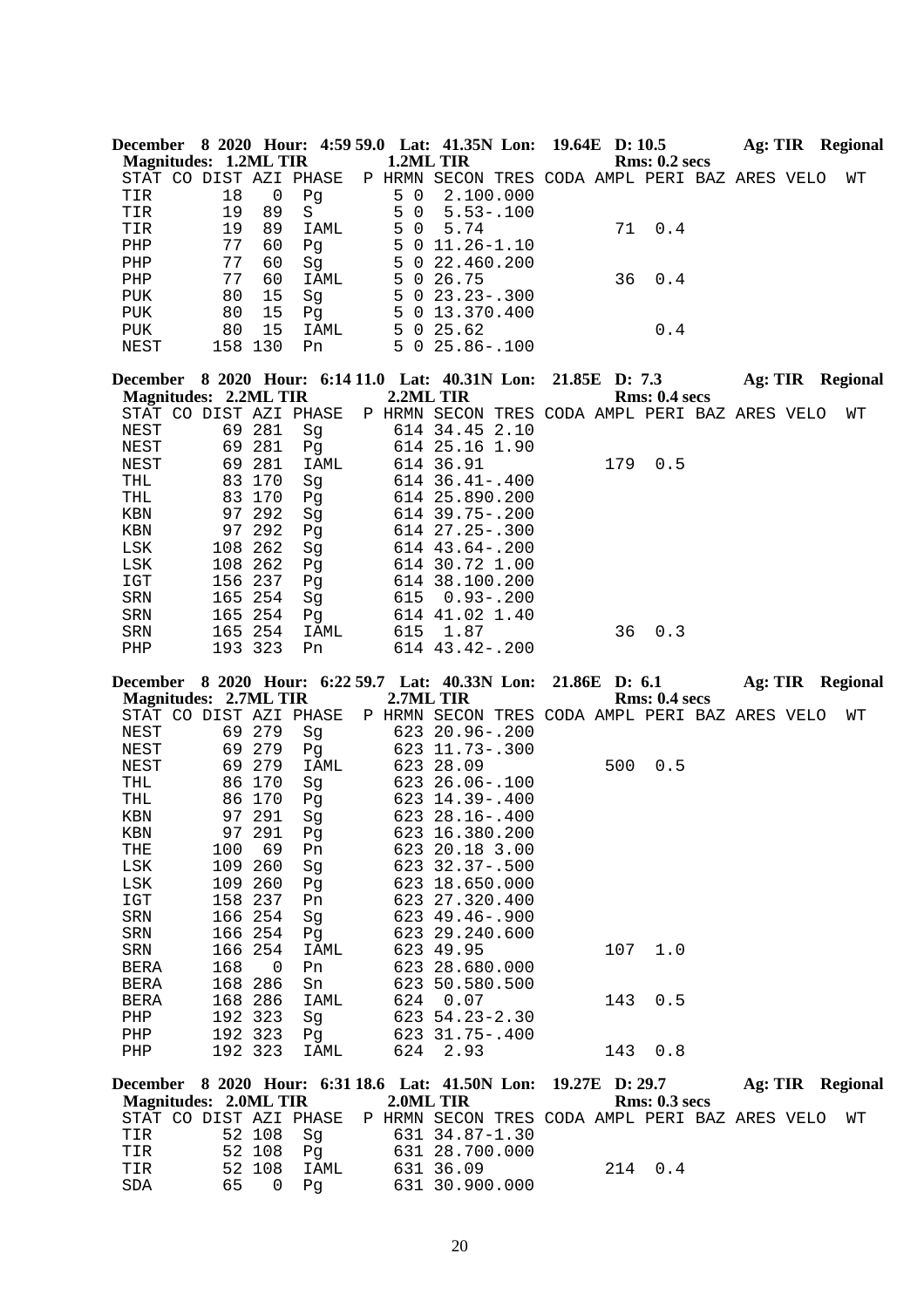| December 8 2020 Hour: 4:59 59.0 Lat: 41.35N Lon: 19.64E D: 10.5<br><b>Magnitudes: 1.2ML TIR</b> |                |                |                   | 1.2ML TIR           |                                                |                |     | <b>Rms: 0.2 secs</b> |                  |  | Ag: TIR Regional        |
|-------------------------------------------------------------------------------------------------|----------------|----------------|-------------------|---------------------|------------------------------------------------|----------------|-----|----------------------|------------------|--|-------------------------|
| STAT CO DIST AZI PHASE                                                                          |                |                |                   |                     | P HRMN SECON TRES CODA AMPL PERI BAZ ARES VELO |                |     |                      |                  |  | WΤ                      |
| TIR                                                                                             | 18             | $\overline{0}$ | Pg                | 5<br>$\mathsf{O}$   | 2.100.000                                      |                |     |                      |                  |  |                         |
| TIR                                                                                             | 19             | 89             | $S_{\mathcal{C}}$ | 5<br>$\mathbf 0$    | $5.53 - 100$                                   |                |     |                      |                  |  |                         |
| TIR                                                                                             | 19             | 89             | IAML              | 5<br>$\overline{0}$ | 5.74                                           |                | 71  | $0.4$                |                  |  |                         |
| PHP                                                                                             | 77             | 60             | Pg                | 5                   | $0$ 11.26-1.10                                 |                |     |                      |                  |  |                         |
| PHP                                                                                             | 77             | 60             | Sg                | 5<br>5              | 022.460.200                                    |                |     |                      |                  |  |                         |
| PHP<br>PUK                                                                                      | 77<br>80       | 60<br>15       | IAML<br>Sg        | 5                   | 0, 26.75<br>$0$ 23.23 - .300                   |                | 36  | 0.4                  |                  |  |                         |
| <b>PUK</b>                                                                                      | 80             | 15             | Pg                |                     | 5 0 13.370.400                                 |                |     |                      |                  |  |                         |
| PUK                                                                                             | 80             | 15             | IAML              |                     | 5 0 25.62                                      |                |     | 0.4                  |                  |  |                         |
| NEST                                                                                            | 158 130        |                | Pn                |                     | $5025.86-.100$                                 |                |     |                      |                  |  |                         |
| December 8 2020 Hour: 6:14 11.0 Lat: 40.31N Lon:                                                |                |                |                   |                     |                                                |                |     | 21.85E D: 7.3        | Ag: TIR Regional |  |                         |
| Magnitudes: 2.2ML TIR                                                                           |                |                |                   |                     | 2.2ML TIR                                      |                |     | Rms: 0.4~secs        |                  |  |                         |
| STAT CO DIST AZI PHASE                                                                          |                |                |                   |                     | P HRMN SECON TRES CODA AMPL PERI BAZ ARES VELO |                |     |                      |                  |  | WΤ                      |
| NEST                                                                                            |                | 69 281         | Sg                |                     | 614 34.45 2.10                                 |                |     |                      |                  |  |                         |
| NEST                                                                                            |                | 69 281         | Pg                |                     | 614 25.16 1.90<br>614 36.91                    |                |     |                      |                  |  |                         |
| NEST<br>THL                                                                                     | 69             | 281<br>83 170  | IAML              |                     | $614$ $36.41 - .400$                           |                | 179 | 0.5                  |                  |  |                         |
| THL                                                                                             |                | 83 170         | Sg<br>Pg          |                     | 614 25.890.200                                 |                |     |                      |                  |  |                         |
| $\operatorname{KBN}$                                                                            |                | 97 292         | Sg                |                     | 614 39.75 -. 200                               |                |     |                      |                  |  |                         |
| KBN                                                                                             | 97             | 292            | Pg                |                     | 614 27.25 -. 300                               |                |     |                      |                  |  |                         |
| LSK                                                                                             | 108            | 262            | Sg                |                     | 614 43.64 -. 200                               |                |     |                      |                  |  |                         |
| LSK                                                                                             | 108 262        |                | Pg                |                     | 614 30.72 1.00                                 |                |     |                      |                  |  |                         |
| IGT                                                                                             | 156 237        |                | Pg                |                     | 614 38.100.200                                 |                |     |                      |                  |  |                         |
| SRN                                                                                             | 165 254        |                | Sg                | 615                 | $0.93 - .200$                                  |                |     |                      |                  |  |                         |
| SRN                                                                                             | 165 254        |                | Pq                |                     | 614 41.02 1.40                                 |                |     |                      |                  |  |                         |
| SRN                                                                                             |                | 165 254        | IAML              | 615                 | 1.87                                           |                | 36  | 0.3                  |                  |  |                         |
| PHP                                                                                             | 193 323        |                | Pn                |                     | 614 43.42-.200                                 |                |     |                      |                  |  |                         |
| December 8 2020 Hour: 6:22 59.7 Lat: 40.33N Lon: 21.86E D: 6.1<br><b>Magnitudes: 2.7ML TIR</b>  |                |                |                   |                     | 2.7ML TIR                                      |                |     | Rms: 0.4 secs        |                  |  | Ag: TIR Regional        |
| STAT CO DIST AZI PHASE                                                                          |                |                |                   |                     | P HRMN SECON TRES CODA AMPL PERI BAZ ARES VELO |                |     |                      |                  |  | WΤ                      |
| <b>NEST</b>                                                                                     |                | 69 279         | Sg                |                     | 623 20.96 -. 200                               |                |     |                      |                  |  |                         |
| NEST                                                                                            |                | 69 279         | Pg                |                     | 623 11.73 -. 300                               |                |     |                      |                  |  |                         |
| NEST                                                                                            |                | 69 279         | IAML              |                     | 623 28.09                                      |                | 500 | 0.5                  |                  |  |                         |
| THL                                                                                             | 86             | 170            | Sg                |                     | 623 26.06-.100                                 |                |     |                      |                  |  |                         |
| THL                                                                                             |                | 86 170         | Pg                |                     | 623 14.39 -. 400                               |                |     |                      |                  |  |                         |
| KBN                                                                                             |                | 97 291         | Sq                |                     | 623 28.16 -. 400                               |                |     |                      |                  |  |                         |
| KBN                                                                                             | 97             | 291            | Рg                |                     | 623 16.380.200                                 |                |     |                      |                  |  |                         |
| THE                                                                                             | 100            | 69             | Pn                |                     | 623 20.18 3.00                                 |                |     |                      |                  |  |                         |
| LSK                                                                                             | 109            | 260            | Sg                |                     | 623 32.37-.500                                 |                |     |                      |                  |  |                         |
| LSK                                                                                             | 109<br>158 237 | 260            | Pg                |                     | 623 18.650.000                                 |                |     |                      |                  |  |                         |
| IGT<br>SRN                                                                                      | 166 254        |                | Pn<br>Sg          |                     | 623 27.320.400<br>623 49.46 -. 900             |                |     |                      |                  |  |                         |
| SRN                                                                                             | 166 254        |                | Pg                |                     | 623 29.240.600                                 |                |     |                      |                  |  |                         |
| SRN                                                                                             | 166            | 254            | IAML              |                     | 623 49.95                                      |                | 107 | 1.0                  |                  |  |                         |
| BERA                                                                                            | 168            | $\mathbf 0$    | Pn                |                     | 623 28.680.000                                 |                |     |                      |                  |  |                         |
| <b>BERA</b>                                                                                     | 168            | 286            | Sn                |                     | 623 50.580.500                                 |                |     |                      |                  |  |                         |
| <b>BERA</b>                                                                                     | 168 286        |                | IAML              | 624                 | 0.07                                           |                | 143 | 0.5                  |                  |  |                         |
| PHP                                                                                             | 192 323        |                | Sg                |                     | 623 54.23-2.30                                 |                |     |                      |                  |  |                         |
| PHP                                                                                             | 192 323        |                | Pq                |                     | 623 31.75-.400                                 |                |     |                      |                  |  |                         |
| PHP                                                                                             | 192 323        |                | IAML              | 624                 | 2.93                                           |                | 143 | 0.8                  |                  |  |                         |
| December 8 2020 Hour: 6:31 18.6 Lat: 41.50N Lon:<br><b>Magnitudes: 2.0ML TIR</b>                |                |                |                   | 2.0ML TIR           |                                                | 19.27E D: 29.7 |     | Rms: 0.3 secs        |                  |  | <b>Ag: TIR</b> Regional |

| Magnitudes: <i>2</i> .0ML TIR                                            |           |            |  | 2.0ML TIR      |  | Rms: 0.5 secs |  |  |  |
|--------------------------------------------------------------------------|-----------|------------|--|----------------|--|---------------|--|--|--|
| STAT CO DIST AZI PHASE P HRMN SECON TRES CODA AMPL PERI BAZ ARES VELO WT |           |            |  |                |  |               |  |  |  |
| TIR                                                                      |           | 52 108  Sq |  | 631 34.87-1.30 |  |               |  |  |  |
| TIR                                                                      | 52 108 Pa |            |  | 631 28.700.000 |  |               |  |  |  |
| TIR                                                                      | 52 108    | TAMT,      |  | 631 36.09      |  | 2.14 0.4      |  |  |  |
| SDA                                                                      | 65 O Pa   |            |  | 631 30.900.000 |  |               |  |  |  |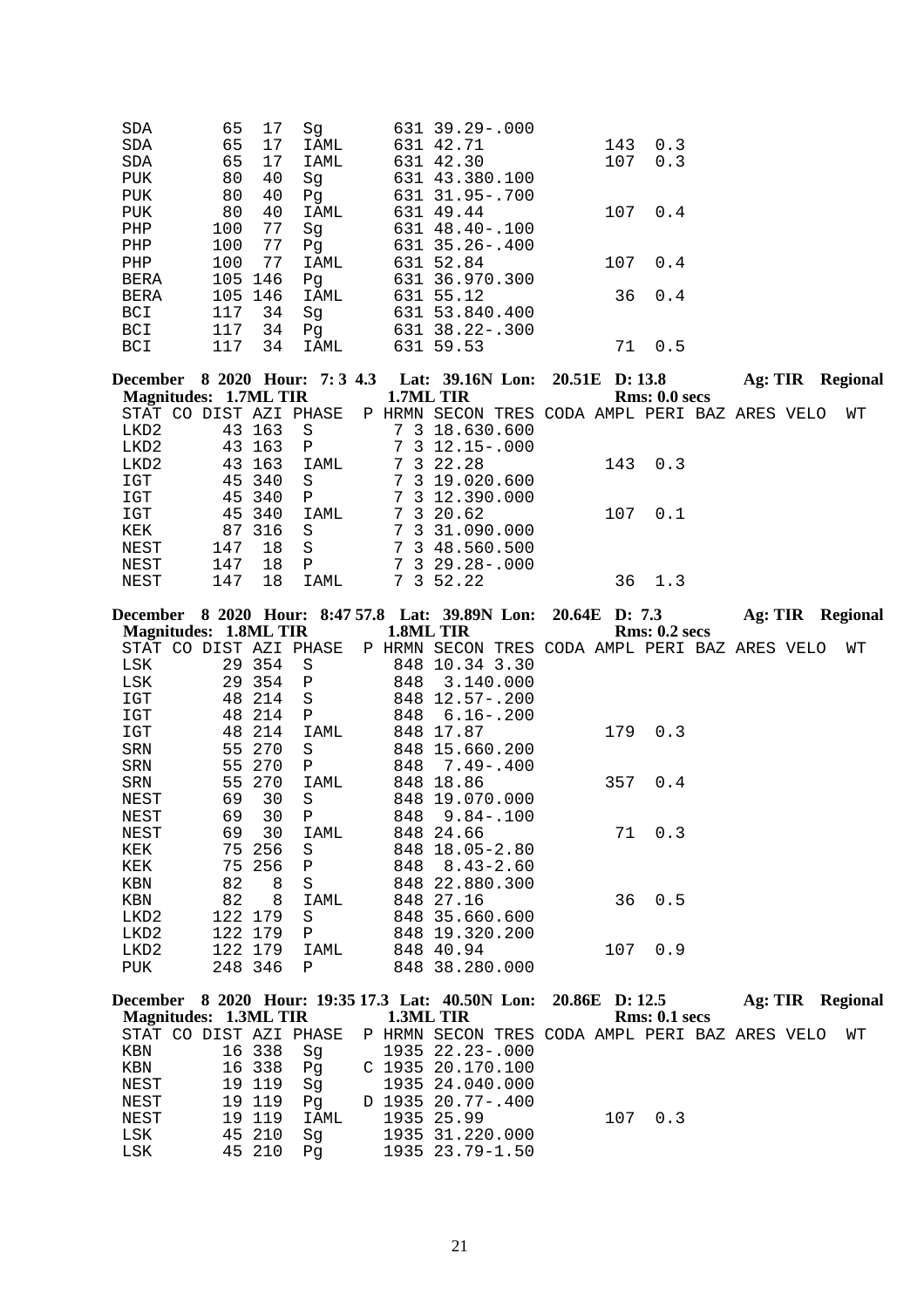| SDA<br>SDA                                             | 65<br>65                     | 17<br>17         | Sg<br>IAML   |     | 631 39.29 -. 000<br>631 42.71                                       | 143            | 0.3                  |                  |    |
|--------------------------------------------------------|------------------------------|------------------|--------------|-----|---------------------------------------------------------------------|----------------|----------------------|------------------|----|
| $\operatorname{SDA}$                                   | 65                           | 17               | IAML         |     | 631 42.30                                                           | 107            | 0.3                  |                  |    |
| <b>PUK</b>                                             | 80                           | 40               | Sg           |     | 631 43.380.100                                                      |                |                      |                  |    |
| PUK                                                    | 80                           | 40               | Pq           |     | 631 31.95 -. 700                                                    |                |                      |                  |    |
| PUK                                                    | 80<br>100                    | 40<br>77         | <b>IAML</b>  |     | 631 49.44<br>631 48.40 -. 100                                       | 107            | 0.4                  |                  |    |
| PHP<br>PHP                                             | 100                          | 77               | Sg<br>Pg     |     | 631 35.26 -. 400                                                    |                |                      |                  |    |
| PHP                                                    | 100                          | 77               | IAML         |     | 631 52.84                                                           | 107            | 0.4                  |                  |    |
| <b>BERA</b>                                            |                              | 105 146          | Pg           |     | 631 36.970.300                                                      |                |                      |                  |    |
| BERA                                                   |                              | 105 146          | IAML         |     | 631 55.12                                                           | 36             | 0.4                  |                  |    |
| BCI                                                    | 117                          | 34               | Sg           |     | 631 53.840.400                                                      |                |                      |                  |    |
| BCI                                                    | 117                          | 34               | Pg           |     | 631 38.22 - . 300<br>631 59.53                                      |                |                      |                  |    |
| BCI                                                    | 117                          | 34               | IAML         |     |                                                                     | 71             | 0.5                  |                  |    |
|                                                        |                              |                  |              |     | December 8 2020 Hour: 7:3 4.3 Lat: 39.16N Lon: 20.51E D:13.8        |                |                      | Ag: TIR Regional |    |
| <b>Magnitudes: 1.7ML TIR</b><br>STAT CO DIST AZI PHASE |                              |                  |              |     | 1.7ML TIR<br>P HRMN SECON TRES CODA AMPL PERI BAZ ARES VELO         |                | Rms: 0.0 secs        |                  | WΤ |
| LKD2                                                   |                              | 43 163           | S            |     | 7 3 18.630.600                                                      |                |                      |                  |    |
| LKD2                                                   |                              | 43 163           | Ρ            |     | $7$ 3 12.15 - .000                                                  |                |                      |                  |    |
| LKD2                                                   |                              | 43 163           | IAML         |     | 7 3 22.28                                                           | 143            | 0.3                  |                  |    |
| IGT                                                    | 45                           | 340              | S            |     | 7 3 19.020.600                                                      |                |                      |                  |    |
| $_{\tt ICT}$                                           |                              | 45 340           | $\mathbf P$  |     | 7 3 12.390.000                                                      |                |                      |                  |    |
| $_{\tt ICT}$                                           | 45                           | 340              | IAML         |     | 7 3 20.62<br>7 3 31.090.000                                         | 107            | 0.1                  |                  |    |
| KEK<br>NEST                                            | 147                          | 87 316<br>18     | S<br>S       |     | 7 3 48.560.500                                                      |                |                      |                  |    |
| NEST                                                   | 147                          | 18               | $\mathbf{P}$ |     | $7$ 3 29.28 - .000                                                  |                |                      |                  |    |
| NEST                                                   | 147                          | 18               | IAML         |     | 7 3 52.22                                                           | 36             | 1.3                  |                  |    |
|                                                        |                              |                  |              |     | December 8 2020 Hour: 8:47 57.8 Lat: 39.89N Lon: 20.64E D: 7.3      |                |                      | Ag: TIR Regional |    |
|                                                        |                              |                  |              |     |                                                                     |                |                      |                  |    |
|                                                        |                              |                  |              |     |                                                                     |                |                      |                  |    |
| STAT CO DIST AZI PHASE                                 | <b>Magnitudes: 1.8ML TIR</b> |                  |              |     | 1.8ML TIR<br>P HRMN SECON TRES CODA AMPL PERI BAZ ARES VELO         |                | <b>Rms: 0.2 secs</b> |                  | WТ |
| LSK                                                    |                              | 29 354           | S            |     | 848 10.34 3.30                                                      |                |                      |                  |    |
| LSK                                                    |                              | 29 354           | Ρ            |     | 848 3.140.000                                                       |                |                      |                  |    |
| $_{\tt ICT}$                                           | 48                           | 214              | S            |     | 848 12.57-.200                                                      |                |                      |                  |    |
| $_{\tt ICT}$                                           | 48                           | 214              | Ρ            | 848 | $6.16 - .200$                                                       |                |                      |                  |    |
| $_{\tt ICT}$                                           | 48                           | 214              | IAML         |     | 848 17.87                                                           | 179            | 0.3                  |                  |    |
| SRN<br>SRN                                             |                              | 55 270<br>55 270 | S<br>Ρ       | 848 | 848 15.660.200<br>7.49-.400                                         |                |                      |                  |    |
| SRN                                                    | 55                           | 270              | IAML         |     | 848 18.86                                                           | 357            | 0.4                  |                  |    |
| NEST                                                   | 69                           | 30               | S            |     | 848 19.070.000                                                      |                |                      |                  |    |
| <b>NEST</b>                                            |                              | 69 30 P          |              |     | 848 9.84 -. 100                                                     |                |                      |                  |    |
| NEST                                                   | 69                           | 30               | IAML         |     | 848 24.66                                                           | 71             | 0.3                  |                  |    |
| KEK                                                    |                              | 75 256           | S<br>Ρ       | 848 | 848 18.05-2.80                                                      |                |                      |                  |    |
| KEK<br>KBN                                             | 75<br>82                     | 256<br>8         | S            |     | 8.43-2.60<br>848 22.880.300                                         |                |                      |                  |    |
| $\operatorname{KBN}$                                   | 82                           | 8                | IAML         |     | 848 27.16                                                           | 36             | 0.5                  |                  |    |
| LKD2                                                   |                              | 122 179          | S            |     | 848 35.660.600                                                      |                |                      |                  |    |
| LKD2                                                   |                              | 122 179          | Ρ            |     | 848 19.320.200                                                      |                |                      |                  |    |
| LKD2                                                   |                              | 122 179          | IAML         |     | 848 40.94                                                           | 107            | 0.9                  |                  |    |
| PUK                                                    |                              | 248 346          | Ρ            |     | 848 38.280.000                                                      |                |                      |                  |    |
|                                                        |                              |                  |              |     | December 8 2020 Hour: 19:35 17.3 Lat: 40.50N Lon:                   | 20.86E D: 12.5 |                      | Ag: TIR Regional |    |
| <b>Magnitudes: 1.3ML TIR</b><br>STAT CO DIST AZI PHASE |                              |                  |              |     | 1.3ML TIR                                                           |                | <b>Rms: 0.1 secs</b> |                  | WΤ |
| KBN                                                    |                              | 16 338           | Sg           |     | P HRMN SECON TRES CODA AMPL PERI BAZ ARES VELO<br>1935 22.23 -. 000 |                |                      |                  |    |
| KBN                                                    |                              | 16 338           | Pg           |     | C 1935 20.170.100                                                   |                |                      |                  |    |
| NEST                                                   |                              | 19 119           | Sg           |     | 1935 24.040.000                                                     |                |                      |                  |    |
| NEST<br>NEST                                           |                              | 19 119<br>19 119 | Pg<br>IAML   |     | D 1935 20.77-.400<br>1935 25.99                                     | 107            | 0.3                  |                  |    |

21

 LSK 45 210 Sg 1935 31.220.000 LSK 45 210 Pg 1935 23.79-1.50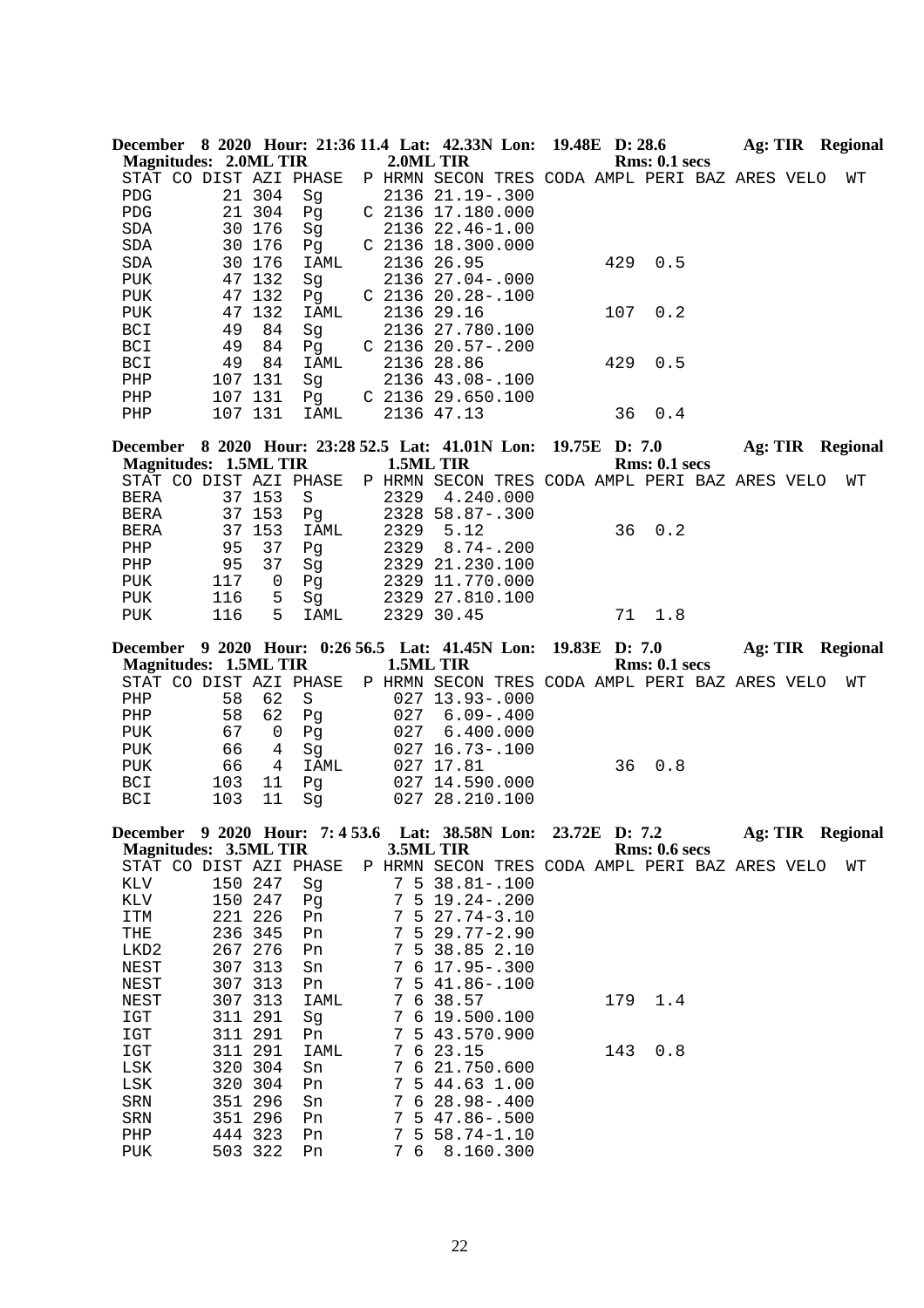|                               |                              |                | December 8 2020 Hour: 21:36 11.4 Lat: 42.33N Lon: 19.48E D: 28.6 |                  |                                                |  |     |                      |  |  | Ag: TIR Regional        |
|-------------------------------|------------------------------|----------------|------------------------------------------------------------------|------------------|------------------------------------------------|--|-----|----------------------|--|--|-------------------------|
|                               | <b>Magnitudes: 2.0ML TIR</b> |                |                                                                  |                  | 2.0ML TIR                                      |  |     | <b>Rms: 0.1 secs</b> |  |  |                         |
|                               |                              |                | STAT CO DIST AZI PHASE                                           |                  | P HRMN SECON TRES CODA AMPL PERI BAZ ARES VELO |  |     |                      |  |  | WΤ                      |
| <b>PDG</b>                    |                              | 21 304         | Sg                                                               |                  | 2136 21.19 -. 300                              |  |     |                      |  |  |                         |
| PDG                           |                              | 21 304         | Pg                                                               |                  | C 2136 17.180.000                              |  |     |                      |  |  |                         |
| SDA                           |                              | 30 176         | Sg                                                               |                  | 2136 22.46-1.00                                |  |     |                      |  |  |                         |
| SDA                           |                              | 30 176         | Pq                                                               |                  | C 2136 18.300.000                              |  |     |                      |  |  |                         |
| SDA                           |                              | 30 176         | IAML                                                             |                  | 2136 26.95                                     |  | 429 | 0.5                  |  |  |                         |
| <b>PUK</b>                    |                              | 47 132         | Sg                                                               |                  | 2136 27.04-.000                                |  |     |                      |  |  |                         |
| PUK                           |                              | 47 132         | Pg                                                               |                  | $C$ 2136 20.28-.100                            |  |     |                      |  |  |                         |
| PUK                           |                              | 47 132         | IAML                                                             |                  | 2136 29.16                                     |  | 107 | 0.2                  |  |  |                         |
| BCI                           | 49                           | 84             | Sg                                                               |                  | 2136 27.780.100                                |  |     |                      |  |  |                         |
| BCI                           | 49                           | 84             | Pg                                                               |                  | $C$ 2136 20.57-.200                            |  |     |                      |  |  |                         |
| BCI                           | 49                           | 84             | IAML                                                             |                  | 2136 28.86                                     |  | 429 | 0.5                  |  |  |                         |
| PHP                           | 107 131                      |                | Sg                                                               |                  | 2136 43.08 -. 100                              |  |     |                      |  |  |                         |
| PHP                           |                              | 107 131        | Pg                                                               |                  | $C$ 2136 29.650.100                            |  |     |                      |  |  |                         |
| PHP                           |                              | 107 131        | IAML                                                             |                  | 2136 47.13                                     |  | 36  | 0.4                  |  |  |                         |
|                               |                              |                |                                                                  |                  |                                                |  |     |                      |  |  |                         |
|                               |                              |                | December 8 2020 Hour: 23:28 52.5 Lat: 41.01N Lon: 19.75E D: 7.0  |                  |                                                |  |     |                      |  |  | <b>Ag: TIR</b> Regional |
|                               | <b>Magnitudes: 1.5ML TIR</b> |                |                                                                  |                  | 1.5ML TIR                                      |  |     | Rms: 0.1~secs        |  |  |                         |
|                               |                              |                | STAT CO DIST AZI PHASE                                           |                  | P HRMN SECON TRES CODA AMPL PERI BAZ ARES VELO |  |     |                      |  |  | WТ                      |
| BERA                          |                              | 37 153         | $\rm S$                                                          |                  | 2329 4.240.000                                 |  |     |                      |  |  |                         |
| BERA                          |                              | 37 153         | Pg                                                               |                  | 2328 58.87-.300                                |  |     |                      |  |  |                         |
| <b>BERA</b>                   |                              | 37 153         | IAML                                                             | 2329             | 5.12                                           |  | 36  | 0.2                  |  |  |                         |
| PHP                           | 95                           | 37             | Pg                                                               | 2329             | $8.74 - .200$                                  |  |     |                      |  |  |                         |
| PHP                           | 95                           | 37             | Sg                                                               |                  | 2329 21.230.100                                |  |     |                      |  |  |                         |
| PUK                           | 117                          | $\overline{0}$ | Pg                                                               |                  | 2329 11.770.000                                |  |     |                      |  |  |                         |
| PUK                           | 116                          | 5              | Sg                                                               |                  | 2329 27.810.100                                |  |     |                      |  |  |                         |
| ${\tt PUK}$                   | 116                          | 5              | IAML                                                             |                  | 2329 30.45                                     |  | 71  | 1.8                  |  |  |                         |
|                               |                              |                | December 9 2020 Hour: 0:26 56.5 Lat: 41.45N Lon: 19.83E D: 7.0   |                  |                                                |  |     |                      |  |  | Ag: TIR Regional        |
|                               | <b>Magnitudes: 1.5ML TIR</b> |                |                                                                  |                  | 1.5ML TIR                                      |  |     | <b>Rms: 0.1 secs</b> |  |  |                         |
|                               |                              |                | STAT CO DIST AZI PHASE                                           |                  | P HRMN SECON TRES CODA AMPL PERI BAZ ARES VELO |  |     |                      |  |  | WТ                      |
| PHP                           | 58                           | 62             | S                                                                |                  | 027 13.93 -. 000                               |  |     |                      |  |  |                         |
| ${\rm PHP}$                   | 58                           | 62             | Pg                                                               | 027              | $6.09 - .400$                                  |  |     |                      |  |  |                         |
| PUK                           | 67                           | 0              | Pg                                                               | 027              | 6.400.000                                      |  |     |                      |  |  |                         |
| PUK                           | 66                           | 4              | Sg                                                               |                  | 027 16.73 -. 100                               |  |     |                      |  |  |                         |
| PUK                           | 66                           | 4              | IAML                                                             |                  | 027 17.81                                      |  | 36  | 0.8                  |  |  |                         |
| BCI                           | 103                          | 11             |                                                                  |                  | 027 14.590.000                                 |  |     |                      |  |  |                         |
| BCI                           | 103                          | 11             | Pg<br>Sg                                                         |                  | 027 28.210.100                                 |  |     |                      |  |  |                         |
|                               |                              |                |                                                                  |                  |                                                |  |     |                      |  |  |                         |
|                               |                              |                | December 9 2020 Hour: 7:4 53.6 Lat: 38.58N Lon: 23.72E D: 7.2    |                  |                                                |  |     |                      |  |  | Ag: TIR Regional        |
|                               | <b>Magnitudes: 3.5ML TIR</b> |                |                                                                  |                  | 3.5ML TIR                                      |  |     | <b>Rms: 0.6 secs</b> |  |  |                         |
|                               |                              |                | STAT CO DIST AZI PHASE                                           |                  | P HRMN SECON TRES CODA AMPL PERI BAZ ARES VELO |  |     |                      |  |  | WТ                      |
| KLV                           | 150 247                      |                | Sg                                                               | 7                | $5\,38.81 - .100$                              |  |     |                      |  |  |                         |
| $\mathop{\rm KLV}\nolimits$   | 150 247                      |                | Pg                                                               | 7                | $5 19.24 - .200$                               |  |     |                      |  |  |                         |
| ITM                           | 221 226                      |                | Pn                                                               | 7                | $527.74 - 3.10$                                |  |     |                      |  |  |                         |
| $\operatorname{\mathbf{THE}}$ | 236 345                      |                | Pn                                                               | 7                | $529.77 - 2.90$                                |  |     |                      |  |  |                         |
| LKD2                          | 267 276                      |                | Pn                                                               | 7                | 5 38.85 2.10                                   |  |     |                      |  |  |                         |
| NEST                          | 307 313                      |                | Sn                                                               | 7                | $6$ 17.95 - .300                               |  |     |                      |  |  |                         |
| NEST                          | 307 313                      |                | Pn                                                               | 7                | $541.86 - .100$                                |  |     |                      |  |  |                         |
| NEST                          |                              | 307 313        | IAML                                                             | 7                | 6 38.57                                        |  | 179 | 1.4                  |  |  |                         |
| IGT                           | 311                          | 291            | Sg                                                               | 7                | 6 19.500.100                                   |  |     |                      |  |  |                         |
| IGT                           | 311 291                      |                | Pn                                                               | 7                | 5 43.570.900                                   |  |     |                      |  |  |                         |
| IGT                           |                              | 311 291        | IAML                                                             | 7                | 623.15                                         |  | 143 | 0.8                  |  |  |                         |
| $_{\rm LSK}$                  |                              | 320 304        | Sn                                                               | 7<br>6           | 21.750.600                                     |  |     |                      |  |  |                         |
| $_{\rm LSK}$                  | 320                          | 304            | Pn                                                               | 7                | 5 44.63 1.00                                   |  |     |                      |  |  |                         |
| ${\tt SRN}$                   | 351                          | 296            | Sn                                                               | 7                | $628.98 - .400$                                |  |     |                      |  |  |                         |
| SRN                           | 351 296                      |                | Pn                                                               | 7                | $547.86 - .500$                                |  |     |                      |  |  |                         |
| PHP                           | 444 323                      |                | Pn                                                               | 7<br>5           | $58.74 - 1.10$                                 |  |     |                      |  |  |                         |
| PUK                           |                              | 503 322        | Pn                                                               | $7^{\circ}$<br>6 | 8.160.300                                      |  |     |                      |  |  |                         |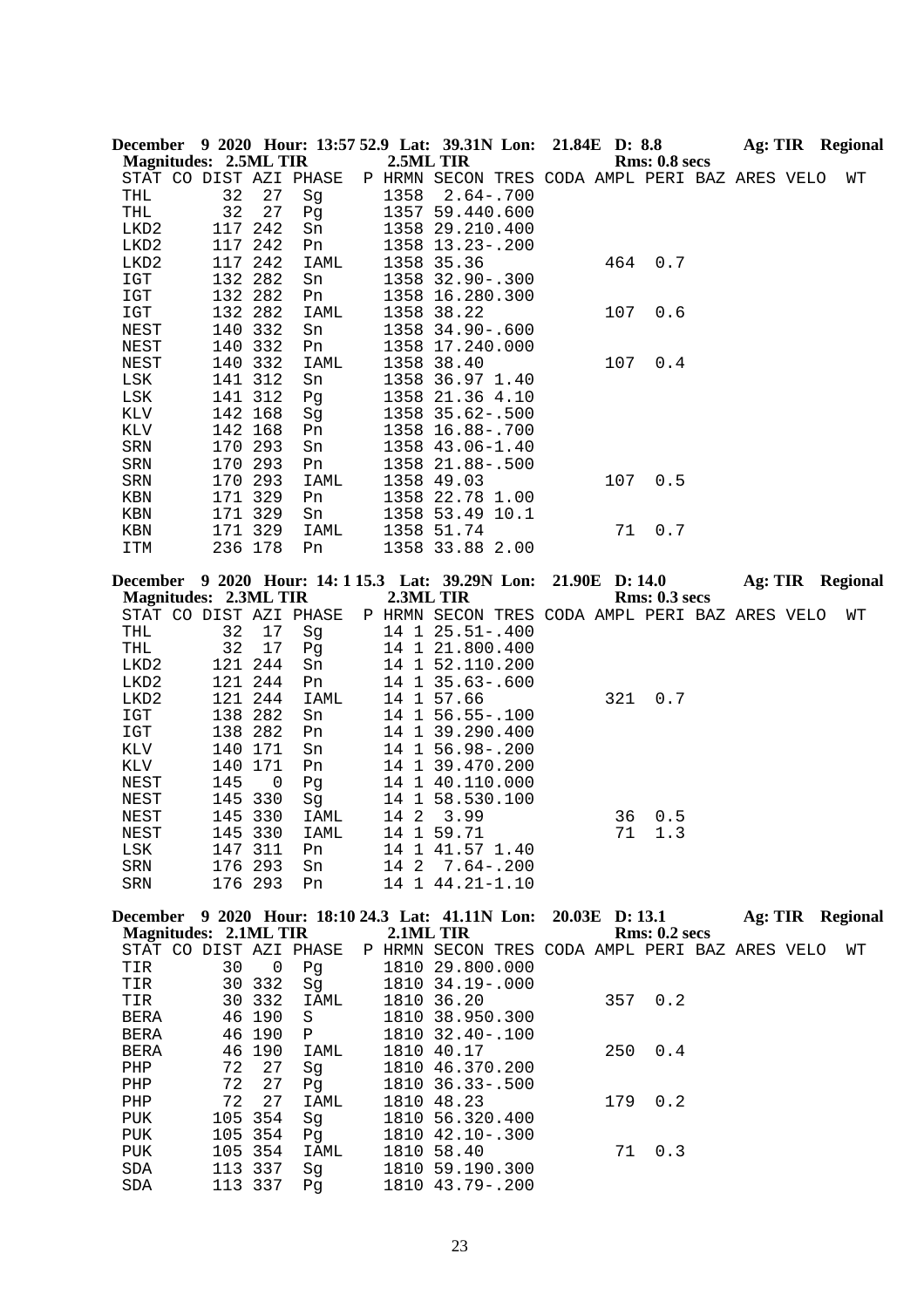| <b>Magnitudes: 2.5ML TIR</b> |                    |          | December 9 2020 Hour: 13:57 52.9 Lat: 39.31N Lon: 21.84E D: 8.8 | 2.5ML TIR |                                                                     |  |                | Rms: 0.8 secs        |  |  | Ag: TIR Regional |
|------------------------------|--------------------|----------|-----------------------------------------------------------------|-----------|---------------------------------------------------------------------|--|----------------|----------------------|--|--|------------------|
|                              |                    |          | STAT CO DIST AZI PHASE                                          |           | P HRMN SECON TRES CODA AMPL PERI BAZ ARES VELO                      |  |                |                      |  |  | WΤ               |
| THL                          | 32                 | 27       | Sg                                                              | 1358      | $2.64 - .700$                                                       |  |                |                      |  |  |                  |
| THL                          | 32                 | 27       | Pg                                                              |           | 1357 59.440.600                                                     |  |                |                      |  |  |                  |
| LKD2                         | 117                | 242      | Sn                                                              |           | 1358 29.210.400                                                     |  |                |                      |  |  |                  |
| LKD2                         | 117 242            |          | Pn                                                              |           | 1358 13.23-.200                                                     |  |                |                      |  |  |                  |
| LKD2                         | 117 242            |          | IAML                                                            |           | 1358 35.36                                                          |  | 464            | 0.7                  |  |  |                  |
| IGT                          | 132 282            |          | Sn                                                              |           | 1358 32.90 -. 300                                                   |  |                |                      |  |  |                  |
| <b>IGT</b>                   | 132 282            |          | Pn                                                              |           | 1358 16.280.300                                                     |  |                |                      |  |  |                  |
| IGT                          | 132 282            |          | IAML                                                            |           | 1358 38.22                                                          |  | 107            | 0.6                  |  |  |                  |
| NEST                         | 140                | 332      | Sn                                                              |           | 1358 34.90 -. 600                                                   |  |                |                      |  |  |                  |
| <b>NEST</b>                  | 140                | 332      | Pn                                                              |           | 1358 17.240.000                                                     |  |                |                      |  |  |                  |
| NEST                         | 140 332            |          | IAML                                                            |           | 1358 38.40                                                          |  | 107            | 0.4                  |  |  |                  |
| LSK                          | 141 312            |          | Sn                                                              |           | 1358 36.97 1.40                                                     |  |                |                      |  |  |                  |
| LSK                          | 141 312            |          | Pg                                                              |           | 1358 21.36 4.10                                                     |  |                |                      |  |  |                  |
| KLV                          | 142 168            |          | Sg                                                              |           | 1358 35.62-.500                                                     |  |                |                      |  |  |                  |
| KLV                          | 142 168            |          | Pn                                                              |           | 1358 16.88-.700                                                     |  |                |                      |  |  |                  |
| SRN<br>SRN                   | 170 293<br>170 293 |          | Sn                                                              |           | 1358 43.06-1.40                                                     |  |                |                      |  |  |                  |
| SRN                          | 170 293            |          | Pn<br>IAML                                                      |           | 1358 21.88-.500<br>1358 49.03                                       |  | 107            | 0.5                  |  |  |                  |
| KBN                          | 171 329            |          | Pn                                                              |           | 1358 22.78 1.00                                                     |  |                |                      |  |  |                  |
| KBN                          | 171 329            |          | Sn                                                              |           | 1358 53.49 10.1                                                     |  |                |                      |  |  |                  |
| KBN                          | 171 329            |          | IAML                                                            |           | 1358 51.74                                                          |  | 71             | 0.7                  |  |  |                  |
| ITM                          | 236 178            |          | Pn                                                              |           | 1358 33.88 2.00                                                     |  |                |                      |  |  |                  |
|                              |                    |          |                                                                 |           |                                                                     |  |                |                      |  |  |                  |
|                              |                    |          | December 9 2020 Hour: 14: 1 15.3 Lat: 39.29N Lon:               |           |                                                                     |  |                | 21.90E D: 14.0       |  |  | Ag: TIR Regional |
| <b>Magnitudes: 2.3ML TIR</b> |                    |          |                                                                 |           | 2.3ML TIR                                                           |  |                | Rms: 0.3 secs        |  |  |                  |
| THL                          | 32                 |          | STAT CO DIST AZI PHASE                                          |           | P HRMN SECON TRES CODA AMPL PERI BAZ ARES VELO<br>14 1 25.51 -. 400 |  |                |                      |  |  | WΤ               |
| THL                          | 32                 | 17<br>17 | Sg<br>Pg                                                        |           | 14 1 21.800.400                                                     |  |                |                      |  |  |                  |
| LKD2                         | 121                | 244      | Sn                                                              |           | 14 1 52.110.200                                                     |  |                |                      |  |  |                  |
| LKD2                         | 121 244            |          | Pn                                                              |           | 14 1 35.63 -. 600                                                   |  |                |                      |  |  |                  |
| LKD2                         | 121                | 244      | IAML                                                            |           | 14 1 57.66                                                          |  | 321            | 0.7                  |  |  |                  |
| IGT                          | 138 282            |          | Sn                                                              |           | 14 1 56.55-.100                                                     |  |                |                      |  |  |                  |
| IGT                          | 138 282            |          | Pn                                                              |           | 14 1 39.290.400                                                     |  |                |                      |  |  |                  |
| KLV                          | 140 171            |          | Sn                                                              |           | 14 1 56.98 -. 200                                                   |  |                |                      |  |  |                  |
| KLV                          | 140                | 171      | Pn                                                              |           | 14 1 39.470.200                                                     |  |                |                      |  |  |                  |
| NEST                         | 145                | 0        | Pg                                                              |           | 14 1 40.110.000                                                     |  |                |                      |  |  |                  |
| NEST                         | 145 330            |          | Sg                                                              |           | 14 1 58.530.100                                                     |  |                |                      |  |  |                  |
| NEST                         | 145 330            |          | IAML                                                            | 14 2      | 3.99                                                                |  | 36             | 0.5                  |  |  |                  |
| <b>NEST</b>                  | 145 330            |          | IAML                                                            |           | 14 1 59.71                                                          |  | 71             | 1.3                  |  |  |                  |
| LSK                          | 147 311            |          | Pn                                                              |           | 14 1 41.57 1.40                                                     |  |                |                      |  |  |                  |
| SRN                          | 176 293            |          | Sn                                                              |           | 14 2 7.64 -. 200                                                    |  |                |                      |  |  |                  |
| SRN                          | 176 293            |          | Pn                                                              |           | 14 1 44.21-1.10                                                     |  |                |                      |  |  |                  |
|                              |                    |          | December 9 2020 Hour: 18:10 24.3 Lat: 41.11N Lon:               |           |                                                                     |  | 20.03E D: 13.1 |                      |  |  | Ag: TIR Regional |
| <b>Magnitudes: 2.1ML TIR</b> |                    |          |                                                                 |           | 2.1ML TIR                                                           |  |                | <b>Rms: 0.2 secs</b> |  |  |                  |
|                              |                    |          | STAT CO DIST AZI PHASE                                          |           | P HRMN SECON TRES CODA AMPL PERI BAZ ARES VELO                      |  |                |                      |  |  | WΤ               |
| TIR                          | 30                 | 0        | Pg                                                              |           | 1810 29.800.000                                                     |  |                |                      |  |  |                  |
| TIR                          | 30                 | 332      | Sg                                                              |           | 1810 34.19 -. 000                                                   |  |                |                      |  |  |                  |
| TIR                          |                    | 30 332   | IAML                                                            |           | 1810 36.20                                                          |  | 357            | 0.2                  |  |  |                  |
| BERA                         |                    | 46 190   | S                                                               |           | 1810 38.950.300                                                     |  |                |                      |  |  |                  |
| <b>BERA</b>                  |                    | 46 190   | Ρ                                                               |           | 1810 32.40 -. 100                                                   |  |                |                      |  |  |                  |
| <b>BERA</b>                  |                    | 46 190   | IAML                                                            |           | 1810 40.17                                                          |  | 250            | 0.4                  |  |  |                  |
| PHP                          | 72                 | 27       | Sg                                                              |           | 1810 46.370.200                                                     |  |                |                      |  |  |                  |
| PHP                          | 72                 | 27       | Pg                                                              |           | 1810 36.33 -. 500                                                   |  |                |                      |  |  |                  |
| ${\rm PHP}$                  | 72                 | 27       | IAML                                                            |           | 1810 48.23                                                          |  | 179            | 0.2                  |  |  |                  |
| PUK                          | 105 354            |          | Sg                                                              |           | 1810 56.320.400                                                     |  |                |                      |  |  |                  |
| PUK                          |                    | 105 354  | Pg                                                              |           | 1810 42.10 -. 300                                                   |  |                |                      |  |  |                  |

23

PUK 105 354 IAML 1810 58.40 71 0.3

 SDA 113 337 Sg 1810 59.190.300 SDA 113 337 Pg 1810 43.79-.200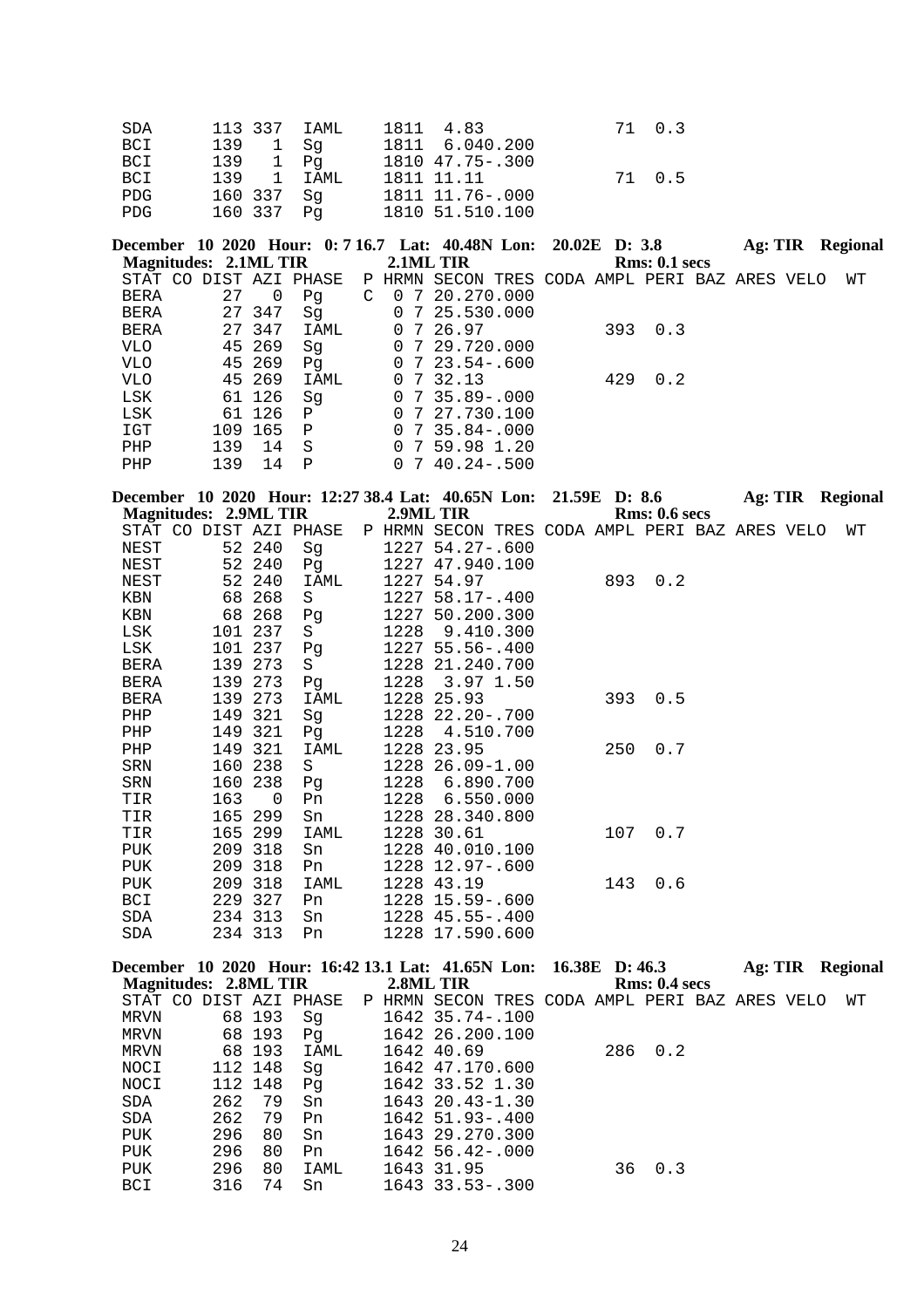| SDA | 113 337 IAML | 1811 4.83       | 71 0.3 |
|-----|--------------|-----------------|--------|
| BCI | 139 1 Sq     | 1811 6.040.200  |        |
| BCI | 139 1 Pq     | 1810 47.75-.300 |        |
| BCI | 139 1 IAML   | 1811 11.11      | 71 0.5 |
| PDG | 160 337  Sq  | 1811 11.76-.000 |        |
| PDG | 160 337 Pq   | 1810 51.510.100 |        |

**December 10 2020 Hour: 0: 7 16.7 Lat: 40.48N Lon: 20.02E D: 3.8 Ag: TIR Regional Magnitudes: 2.1ML TIR 2.1ML TIR Regional Rms: 0.1 secs Magnitudes: 2.1ML TIR**  STAT CO DIST AZI PHASE P HRMN SECON TRES CODA AMPL PERI BAZ ARES VELO WT BERA 27 0 Pg C 0 7 20.270.000 BERA 27 347 Sg 0 7 25.530.000 BERA 27 347 IAML 0 7 26.97 393 0.3<br>VLO 45 269 Sg 0 7 29.720.000 VLO  $45\,269$  Sg  $0\,7\,29.720.000$ <br>VLO  $45\,269$  Pg  $0\,7\,23.54-.600$ VLO 45 269 Pg 0 7 23.54-.600<br>VLO 45 269 IAML 0 7 32.13 VLO 45 269 IAML 0 7 32.13 429 0.2<br>LSK 61 126 Sg 0 7 35.89-.000  $0$  7 35.89-.000 LSK 61 126 P 0 7 27.730.100 IGT 109 165 P 0 7 35.84-.000<br>PHP 139 14 S 0 7 59.98 1.20 PHP 139 14 S 0 7 59.98 1.20<br>PHP 139 14 P 0 7 40.24-.500  $0$  7 40.24 - .500

|             |                              |          | December 10 2020 Hour: 12:27 38.4 Lat: 40.65N Lon: 21.59E D: 8.6 |      |                                                |  |     |                      |  | <b>Ag: TIR Regional</b> |
|-------------|------------------------------|----------|------------------------------------------------------------------|------|------------------------------------------------|--|-----|----------------------|--|-------------------------|
|             | <b>Magnitudes: 2.9ML TIR</b> |          |                                                                  |      | 2.9ML TIR                                      |  |     | <b>Rms: 0.6 secs</b> |  |                         |
|             |                              |          | STAT CO DIST AZI PHASE                                           |      | P HRMN SECON TRES CODA AMPL PERI BAZ ARES VELO |  |     |                      |  | WΤ                      |
| NEST        |                              | 52 240   | Sg                                                               |      | 1227 54.27-.600                                |  |     |                      |  |                         |
| NEST        |                              | 52 240   | Pg                                                               |      | 1227 47.940.100                                |  |     |                      |  |                         |
| NEST        |                              | 52 240   | IAML                                                             |      | 1227 54.97                                     |  | 893 | 0.2                  |  |                         |
| KBN         | 68                           | 268      | S                                                                | 1227 | 58.17-.400                                     |  |     |                      |  |                         |
| KBN         | 68                           | 268      | Pg                                                               |      | 1227 50.200.300                                |  |     |                      |  |                         |
| LSK         |                              | 101 237  | S                                                                | 1228 | 9.410.300                                      |  |     |                      |  |                         |
| LSK         |                              | 101 237  | Pg                                                               |      | 1227 55.56 -. 400                              |  |     |                      |  |                         |
| BERA        |                              | 139 273  | S                                                                |      | 1228 21.240.700                                |  |     |                      |  |                         |
| BERA        | 139                          | 273      | Pq                                                               |      | 1228 3.97 1.50                                 |  |     |                      |  |                         |
| <b>BERA</b> | 139                          | 273      | IAML                                                             | 1228 | 25.93                                          |  | 393 | 0.5                  |  |                         |
| PHP         | 149                          | 321      | Sg                                                               |      | 1228 22.20-.700                                |  |     |                      |  |                         |
| PHP         |                              | 149 321  | Pq                                                               | 1228 | 4.510.700                                      |  |     |                      |  |                         |
| PHP         | 149                          | 321      | IAML                                                             |      | 1228 23.95                                     |  | 250 | 0.7                  |  |                         |
| SRN         | 160                          | 238      | S                                                                |      | 1228 26.09-1.00                                |  |     |                      |  |                         |
| SRN         | 160                          | 238      | Pg                                                               | 1228 | 6.890.700                                      |  |     |                      |  |                         |
| TIR         | 163                          | $\Omega$ | Pn                                                               | 1228 | 6.550.000                                      |  |     |                      |  |                         |
| TIR         | 165                          | 299      | Sn                                                               |      | 1228 28.340.800                                |  |     |                      |  |                         |
| TIR         | 165                          | 299      | IAML                                                             | 1228 | 30.61                                          |  | 107 | 0.7                  |  |                         |
| PUK         |                              | 209 318  | Sn                                                               |      | 1228 40.010.100                                |  |     |                      |  |                         |
| <b>PUK</b>  |                              | 209 318  | Pn.                                                              | 1228 | 12.97-.600                                     |  |     |                      |  |                         |
| PUK         |                              | 209 318  | IAML                                                             |      | 1228 43.19                                     |  | 143 | 0.6                  |  |                         |
| BCI         | 229                          | 327      | Pn                                                               |      | 1228 15.59 -. 600                              |  |     |                      |  |                         |
| SDA         |                              | 234 313  | Sn                                                               |      | $1228$ 45.55-.400                              |  |     |                      |  |                         |
| SDA         |                              | 234 313  | Pn                                                               |      | 1228 17.590.600                                |  |     |                      |  |                         |

|                        |         |         |      | December 10 2020 Hour: 16:42 13.1 Lat: 41.65N Lon: 16.38E D: 46.3 |  |               | Ag: TIR | Regional |
|------------------------|---------|---------|------|-------------------------------------------------------------------|--|---------------|---------|----------|
| Magnitudes: 2.8ML TIR  |         |         |      | 2.8ML TIR                                                         |  | Rms: 0.4~secs |         |          |
| STAT CO DIST AZI PHASE |         |         |      | P HRMN SECON TRES CODA AMPL PERI BAZ ARES VELO                    |  |               |         | WТ       |
| MRVN                   |         | 68 193  | Sq   | 1642 35.74-.100                                                   |  |               |         |          |
| MRVN                   |         | 68 193  | Pq   | 1642 26.200.100                                                   |  |               |         |          |
| MRVN                   |         | 68 193  | IAML | 1642 40.69                                                        |  | 286 0.2       |         |          |
| NOCI                   | 112 148 |         | Sq   | 1642 47.170.600                                                   |  |               |         |          |
| NOCI                   |         | 112 148 | Pq   | 1642 33.52 1.30                                                   |  |               |         |          |
| SDA                    | 262     | 79      | Sn   | 1643 20.43-1.30                                                   |  |               |         |          |
| SDA                    | 262     | 79      | Pn   | $1642$ 51.93-.400                                                 |  |               |         |          |
| PUK                    | 296     | 80      | Sn   | 1643 29.270.300                                                   |  |               |         |          |
| PUK                    | 296     | 80      | Pn.  | $1642\,56.42-.000$                                                |  |               |         |          |
| PUK                    | 296     | 80      | IAML | 1643 31.95                                                        |  | $36 \t 0.3$   |         |          |
| <b>BCI</b>             | 316     | 74      | Sn   | $1643$ 33.53 - .300                                               |  |               |         |          |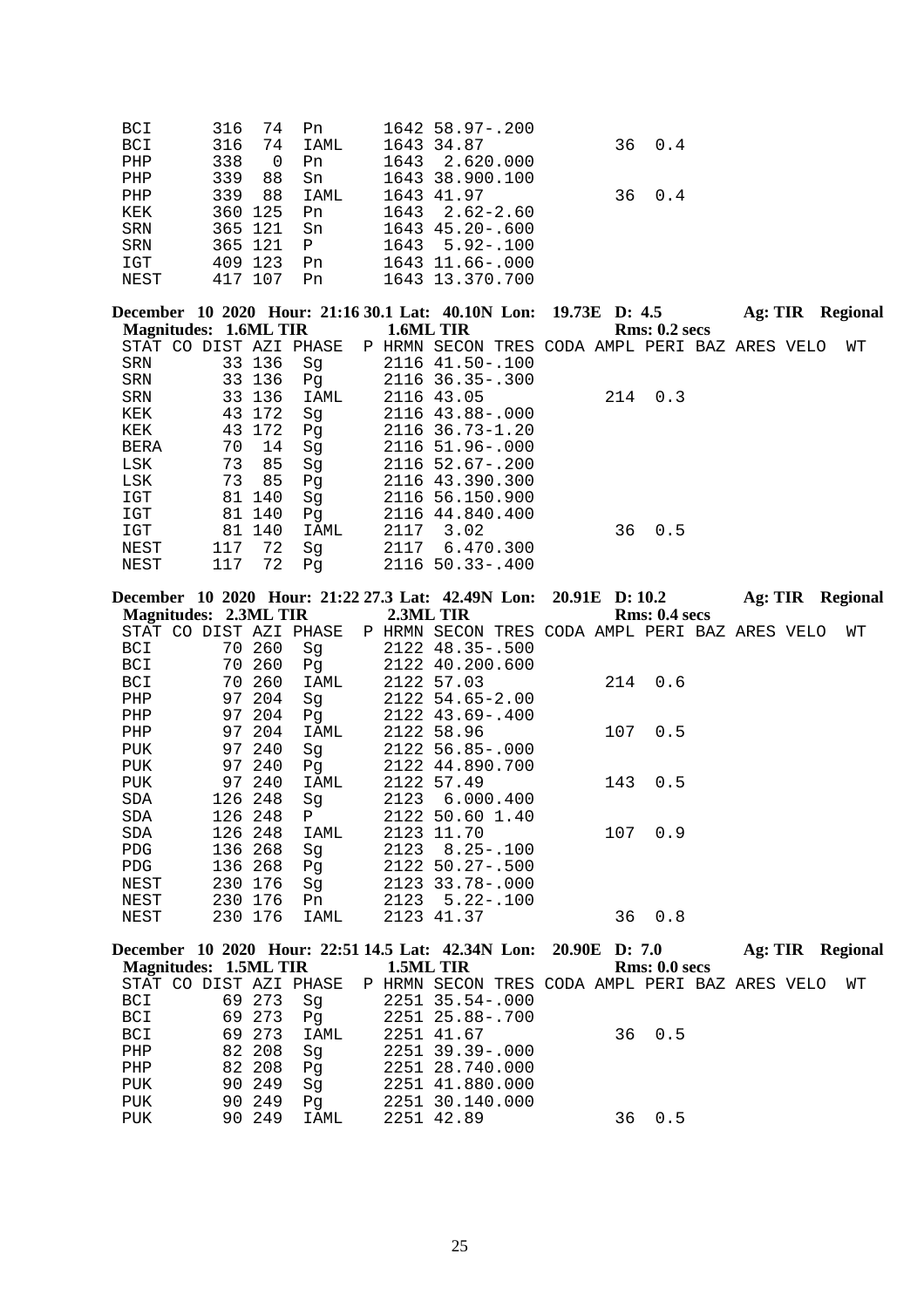| BCI<br>BCI<br>${\tt PHP}$<br>PHP<br>PHP<br>KEK<br>SRN<br>SRN<br>$_{\tt ICT}$<br>NEST | 316<br>316<br>338<br>339<br>339<br>365 121 | 74<br>74<br>$\mathbf 0$<br>88<br>88<br>360 125<br>365 121<br>409 123<br>417 107 | Pn<br>IAML<br>Pn<br>Sn<br><b>IAML</b><br>Pn<br>Sn<br>$\mathbf{P}$<br>Pn<br>Pn | 1643<br>1643<br>1643 | 1642 58.97-.200<br>1643 34.87<br>2.620.000<br>1643 38.900.100<br>1643 41.97<br>$2.62 - 2.60$<br>1643 45.20 -. 600<br>$5.92 - .100$<br>1643 11.66-.000<br>1643 13.370.700 | 36<br>36       | 0.4<br>0.4           |                  |    |
|--------------------------------------------------------------------------------------|--------------------------------------------|---------------------------------------------------------------------------------|-------------------------------------------------------------------------------|----------------------|--------------------------------------------------------------------------------------------------------------------------------------------------------------------------|----------------|----------------------|------------------|----|
|                                                                                      | <b>Magnitudes: 1.6ML TIR</b>               |                                                                                 |                                                                               |                      | December 10 2020 Hour: 21:16 30.1 Lat: 40.10N Lon:<br>1.6ML TIR                                                                                                          | 19.73E D: 4.5  | <b>Rms: 0.2 secs</b> | Ag: TIR Regional |    |
|                                                                                      | STAT CO DIST AZI PHASE                     |                                                                                 |                                                                               |                      | P HRMN SECON TRES CODA AMPL PERI BAZ ARES VELO                                                                                                                           |                |                      |                  | WΤ |
| SRN                                                                                  |                                            | 33 136                                                                          | Sg                                                                            |                      | 2116 41.50 -. 100                                                                                                                                                        |                |                      |                  |    |
| SRN                                                                                  |                                            | 33 136                                                                          | Pg                                                                            |                      | 2116 36.35 -. 300                                                                                                                                                        |                |                      |                  |    |
| SRN                                                                                  |                                            | 33 136                                                                          | IAML                                                                          |                      | 2116 43.05                                                                                                                                                               | 214            | 0.3                  |                  |    |
| KEK                                                                                  |                                            | 43 172                                                                          | Sg                                                                            |                      | 2116 43.88-.000                                                                                                                                                          |                |                      |                  |    |
| KEK                                                                                  |                                            | 43 172                                                                          | Pg                                                                            |                      | 2116 36.73-1.20                                                                                                                                                          |                |                      |                  |    |
| BERA                                                                                 | 70                                         | 14                                                                              | Sg                                                                            |                      | 2116 51.96 -. 000                                                                                                                                                        |                |                      |                  |    |
| LSK                                                                                  | 73                                         | 85                                                                              | Sg                                                                            |                      | 2116 52.67-.200                                                                                                                                                          |                |                      |                  |    |
| LSK                                                                                  | 73                                         | 85                                                                              | Pg                                                                            |                      | 2116 43.390.300                                                                                                                                                          |                |                      |                  |    |
| $_{\tt ICT}$                                                                         |                                            | 81 140                                                                          | Sg                                                                            |                      | 2116 56.150.900                                                                                                                                                          |                |                      |                  |    |
| $_{\tt ICT}$                                                                         |                                            | 81 140                                                                          | Pg                                                                            |                      | 2116 44.840.400                                                                                                                                                          |                |                      |                  |    |
| IGT                                                                                  |                                            | 81 140                                                                          | IAML                                                                          | 2117                 | 3.02                                                                                                                                                                     | 36             | 0.5                  |                  |    |
| NEST                                                                                 | 117                                        | 72                                                                              | Sg                                                                            |                      | 2117 6.470.300                                                                                                                                                           |                |                      |                  |    |
| NEST                                                                                 | 117                                        | 72                                                                              | Pg                                                                            |                      | 2116 50.33 -. 400                                                                                                                                                        |                |                      |                  |    |
|                                                                                      |                                            |                                                                                 |                                                                               |                      | December 10 2020 Hour: 21:22 27.3 Lat: 42.49N Lon:                                                                                                                       | 20.91E D: 10.2 |                      | Ag: TIR Regional |    |
|                                                                                      | <b>Magnitudes: 2.3ML TIR</b>               |                                                                                 |                                                                               |                      | 2.3ML TIR                                                                                                                                                                |                | Rms: 0.4 secs        |                  |    |
|                                                                                      | STAT CO DIST AZI PHASE                     |                                                                                 |                                                                               |                      |                                                                                                                                                                          |                |                      |                  | WΤ |
|                                                                                      |                                            |                                                                                 |                                                                               |                      |                                                                                                                                                                          |                |                      |                  |    |
|                                                                                      |                                            |                                                                                 |                                                                               |                      | P HRMN SECON TRES CODA AMPL PERI BAZ ARES VELO                                                                                                                           |                |                      |                  |    |
| BCI<br><b>BCI</b>                                                                    |                                            | 70 260<br>70 260                                                                | Sg                                                                            |                      | 2122 48.35 -. 500<br>2122 40.200.600                                                                                                                                     |                |                      |                  |    |
| BCI                                                                                  | 70                                         | 260                                                                             | Pg<br>IAML                                                                    |                      | 2122 57.03                                                                                                                                                               | 214            | 0.6                  |                  |    |
| PHP                                                                                  | 97                                         | 204                                                                             | Sg                                                                            |                      | 2122 54.65-2.00                                                                                                                                                          |                |                      |                  |    |
| PHP                                                                                  |                                            | 97 204                                                                          | Pg                                                                            |                      | 2122 43.69-.400                                                                                                                                                          |                |                      |                  |    |
| ${\rm PHP}$                                                                          |                                            | 97 204                                                                          | IAML                                                                          |                      | 2122 58.96                                                                                                                                                               | 107            | 0.5                  |                  |    |
| PUK                                                                                  |                                            | 97 240                                                                          | Sg                                                                            |                      | 2122 56.85-.000                                                                                                                                                          |                |                      |                  |    |
| PUK                                                                                  |                                            | 97 240                                                                          | Pg                                                                            |                      | 2122 44.890.700                                                                                                                                                          |                |                      |                  |    |
| PUK                                                                                  |                                            | 97 240                                                                          | <b>IAML</b>                                                                   |                      | 2122 57.49                                                                                                                                                               | 143            | 0.5                  |                  |    |
| SDA                                                                                  | 126 248                                    |                                                                                 | Sg                                                                            | 2123                 | 6.000.400                                                                                                                                                                |                |                      |                  |    |
| SDA                                                                                  |                                            | 126 248                                                                         | Ρ                                                                             |                      | 2122 50.60 1.40                                                                                                                                                          |                |                      |                  |    |
| SDA                                                                                  | 126 248                                    |                                                                                 | IAML                                                                          |                      | 2123 11.70                                                                                                                                                               | 107            | 0.9                  |                  |    |
| ${\rm PDG}$                                                                          | 136 268                                    |                                                                                 | Sg                                                                            | 2123                 | $8.25 - .100$                                                                                                                                                            |                |                      |                  |    |
| PDG                                                                                  | 136 268                                    |                                                                                 | Pg                                                                            |                      | 2122 50.27-.500                                                                                                                                                          |                |                      |                  |    |
| NEST                                                                                 |                                            | 230 176                                                                         | Sg                                                                            |                      | 2123 33.78 -. 000                                                                                                                                                        |                |                      |                  |    |
| NEST                                                                                 |                                            | 230 176                                                                         | Pn                                                                            | 2123                 | $5.22 - .100$                                                                                                                                                            |                |                      |                  |    |
| NEST                                                                                 |                                            | 230 176                                                                         | IAML                                                                          |                      | 2123 41.37                                                                                                                                                               | 36             | 0.8                  |                  |    |
|                                                                                      |                                            |                                                                                 |                                                                               |                      |                                                                                                                                                                          |                |                      |                  |    |
|                                                                                      | <b>Magnitudes: 1.5ML TIR</b>               |                                                                                 |                                                                               |                      | December 10 2020 Hour: 22:51 14.5 Lat: 42.34N Lon: 20.90E D: 7.0<br>1.5ML TIR                                                                                            |                | Rms: 0.0 secs        | Ag: TIR Regional |    |
|                                                                                      | STAT CO DIST AZI PHASE                     |                                                                                 |                                                                               |                      | P HRMN SECON TRES CODA AMPL PERI BAZ ARES VELO                                                                                                                           |                |                      |                  | WΤ |
| BCI                                                                                  |                                            | 69 273                                                                          | Sg                                                                            |                      | 2251 35.54-.000                                                                                                                                                          |                |                      |                  |    |
| BCI                                                                                  |                                            | 69 273                                                                          | Pg                                                                            |                      | 2251 25.88-.700                                                                                                                                                          |                |                      |                  |    |
| BCI                                                                                  |                                            | 69 273                                                                          | IAML                                                                          |                      | 2251 41.67                                                                                                                                                               | 36             | 0.5                  |                  |    |
| PHP                                                                                  |                                            | 82 208                                                                          | Sg                                                                            |                      | 2251 39.39 -. 000                                                                                                                                                        |                |                      |                  |    |
| PHP                                                                                  |                                            | 82 208                                                                          | Pg                                                                            |                      | 2251 28.740.000                                                                                                                                                          |                |                      |                  |    |
| PUK                                                                                  |                                            | 90 249                                                                          | Sg                                                                            |                      | 2251 41.880.000                                                                                                                                                          |                |                      |                  |    |
| PUK<br>PUK                                                                           |                                            | 90 249<br>90 249                                                                | Pg<br>IAML                                                                    |                      | 2251 30.140.000<br>2251 42.89                                                                                                                                            | 36             | 0.5                  |                  |    |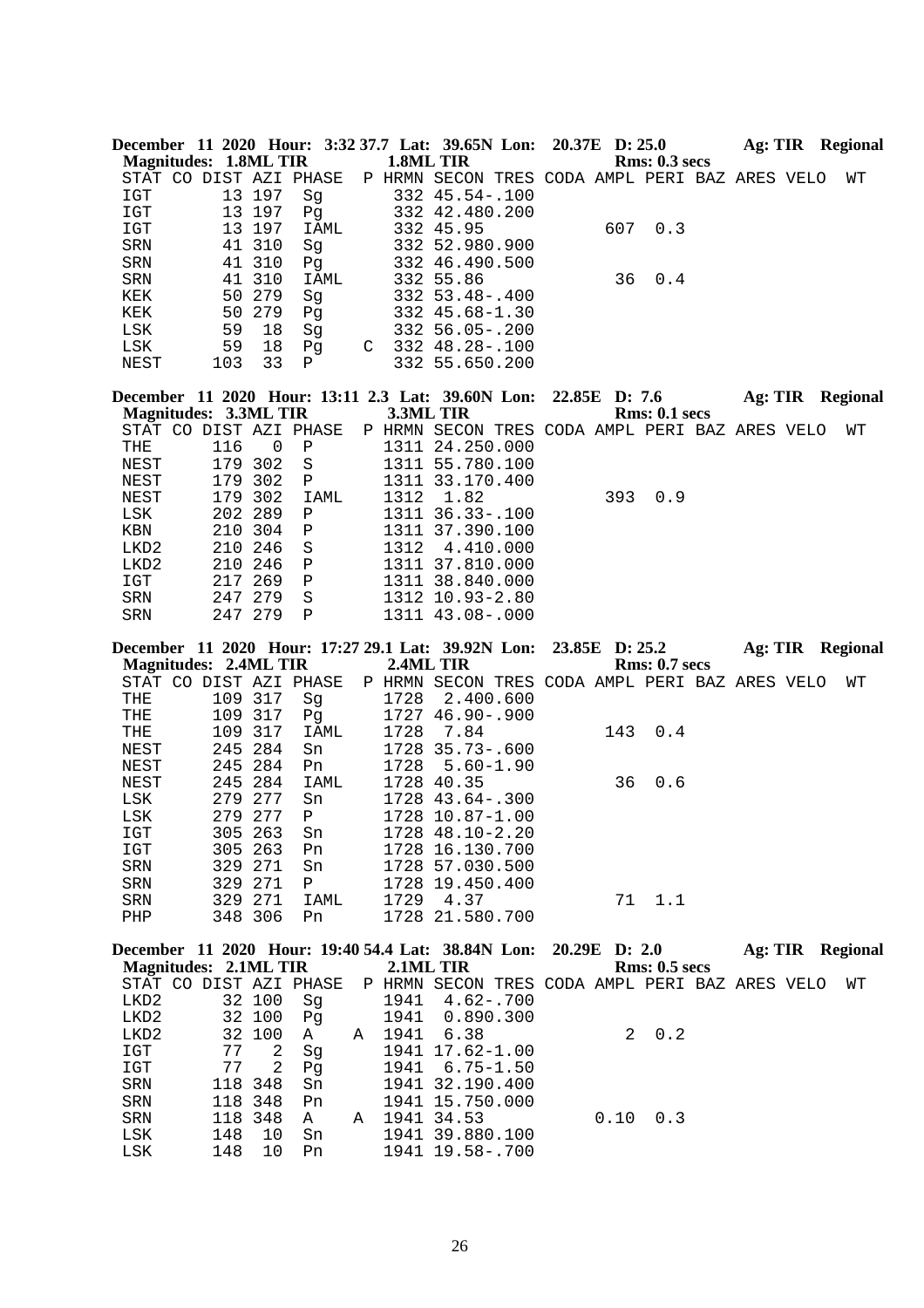| December 11 2020 Hour: 3:32 37.7 Lat: 39.65N Lon: 20.37E D: 25.0<br><b>Magnitudes: 1.8ML TIR</b>  |     |         |                     |             | 1.8ML TIR |                                                |  |     | Rms: 0.3~secs        |  | Ag: TIR Regional |
|---------------------------------------------------------------------------------------------------|-----|---------|---------------------|-------------|-----------|------------------------------------------------|--|-----|----------------------|--|------------------|
|                                                                                                   |     |         |                     |             |           |                                                |  |     |                      |  |                  |
| STAT CO DIST AZI PHASE                                                                            |     |         |                     |             |           | P HRMN SECON TRES CODA AMPL PERI BAZ ARES VELO |  |     |                      |  | WТ               |
| IGT                                                                                               |     | 13 197  | Sg                  |             |           | $332$ $45.54 - .100$                           |  |     |                      |  |                  |
| IGT                                                                                               |     | 13 197  | Pq                  |             |           | 332 42.480.200                                 |  |     |                      |  |                  |
| IGT                                                                                               |     | 13 197  |                     | IAML        |           | 332 45.95                                      |  | 607 | 0.3                  |  |                  |
| SRN                                                                                               |     | 41 310  | Sg                  |             |           | 332 52.980.900                                 |  |     |                      |  |                  |
| SRN                                                                                               |     | 41 310  | Pg                  |             |           | 332 46.490.500                                 |  |     |                      |  |                  |
| SRN                                                                                               |     | 41 310  |                     | IAML        |           | 332 55.86                                      |  | 36  | 0.4                  |  |                  |
| KEK                                                                                               |     | 50 279  | Sq                  |             |           | $332 \quad 53.48 - .400$                       |  |     |                      |  |                  |
| KEK                                                                                               | 50  | 279     | Pq                  |             |           | 332 45.68-1.30                                 |  |     |                      |  |                  |
| LSK                                                                                               | 59  | 18      | Sg                  |             |           | 332 56.05-.200                                 |  |     |                      |  |                  |
| LSK                                                                                               | 59  | 18      | Pg                  |             |           | $C$ 332 48.28-.100                             |  |     |                      |  |                  |
| NEST                                                                                              | 103 | 33      | P                   |             |           | 332 55.650.200                                 |  |     |                      |  |                  |
|                                                                                                   |     |         |                     |             |           |                                                |  |     |                      |  |                  |
| December 11 2020 Hour: 13:11 2.3 Lat: 39.60N Lon: 22.85E D: 7.6                                   |     |         |                     |             |           |                                                |  |     |                      |  | Ag: TIR Regional |
| <b>Magnitudes: 3.3ML TIR</b>                                                                      |     |         |                     |             | 3.3ML TIR |                                                |  |     | <b>Rms: 0.1 secs</b> |  |                  |
| STAT CO DIST AZI PHASE                                                                            |     |         |                     |             |           | P HRMN SECON TRES CODA AMPL PERI BAZ ARES VELO |  |     |                      |  | WТ               |
| THE                                                                                               | 116 |         | $\overline{0}$<br>Ρ |             |           | 1311 24.250.000                                |  |     |                      |  |                  |
| NEST                                                                                              |     | 179 302 | S                   |             |           | 1311 55.780.100                                |  |     |                      |  |                  |
| NEST                                                                                              |     | 179 302 | $\mathbf{P}$        |             |           | 1311 33.170.400                                |  |     |                      |  |                  |
| NEST                                                                                              | 179 | 302     |                     | <b>IAML</b> | 1312      | 1.82                                           |  | 393 | 0.9                  |  |                  |
| LSK                                                                                               |     | 202 289 | P                   |             |           | 1311 36.33-.100                                |  |     |                      |  |                  |
| KBN                                                                                               |     | 210 304 | $\mathbf P$         |             | 1311      | 37.390.100                                     |  |     |                      |  |                  |
| LKD <sub>2</sub>                                                                                  |     | 210 246 | S                   |             | 1312      | 4.410.000                                      |  |     |                      |  |                  |
| LKD <sub>2</sub>                                                                                  | 210 | 246     | Ρ                   |             |           | 1311 37.810.000                                |  |     |                      |  |                  |
| IGT                                                                                               | 217 | 269     | $\mathbf P$         |             |           | 1311 38.840.000                                |  |     |                      |  |                  |
| <b>SRN</b>                                                                                        | 247 | 279     | S                   |             |           | 1312 10.93-2.80                                |  |     |                      |  |                  |
| <b>SRN</b>                                                                                        |     | 247 279 | P                   |             |           | 1311 43.08-.000                                |  |     |                      |  |                  |
| December 11 2020 Hour: 17:27 29.1 Lat: 39.92N Lon: 23.85E D: 25.2<br><b>Magnitudes: 2.4ML TIR</b> |     |         |                     |             | 2.4ML TIR |                                                |  |     | <b>Rms: 0.7 secs</b> |  | Ag: TIR Regional |

| Magnitudes: 2.4ML TIR  |     |         |      |   |      | 2.4ML TIR                               |  |     | <b>Rms: 0.7 secs</b> |  |    |
|------------------------|-----|---------|------|---|------|-----------------------------------------|--|-----|----------------------|--|----|
| STAT CO DIST AZI PHASE |     |         |      | P | HRMN | SECON TRES CODA AMPL PERI BAZ ARES VELO |  |     |                      |  | WТ |
| THE                    | 109 | 317     | Sq   |   | 1728 | 2.400.600                               |  |     |                      |  |    |
| THE                    |     | 109 317 | Pq   |   | 1727 | 46.90-.900                              |  |     |                      |  |    |
| THE                    |     | 109 317 | IAML |   | 1728 | 7.84                                    |  | 143 | 0.4                  |  |    |
| NEST                   |     | 245 284 | Sn   |   | 1728 | 35.73-.600                              |  |     |                      |  |    |
| NEST                   |     | 245 284 | Pn.  |   | 1728 | $5.60 - 1.90$                           |  |     |                      |  |    |
| NEST                   |     | 245 284 | IAML |   |      | 1728 40.35                              |  | 36  | 0.6                  |  |    |
| LSK                    |     | 279 277 | Sn   |   |      | 1728 43.64 - . 300                      |  |     |                      |  |    |
| LSK                    |     | 279 277 | Ρ    |   | 1728 | $10.87 - 1.00$                          |  |     |                      |  |    |
| IGT                    |     | 305 263 | Sn   |   | 1728 | 48.10-2.20                              |  |     |                      |  |    |
| IGT                    |     | 305 263 | Pn   |   | 1728 | 16.130.700                              |  |     |                      |  |    |
| <b>SRN</b>             |     | 329 271 | Sn   |   |      | 1728 57.030.500                         |  |     |                      |  |    |
| SRN                    |     | 329 271 | Ρ    |   | 1728 | 19.450.400                              |  |     |                      |  |    |
| <b>SRN</b>             |     | 329 271 | IAML |   | 1729 | 4.37                                    |  | 71  | 1.1                  |  |    |
| PHP                    |     | 348 306 | Pn   |   |      | 1728 21.580.700                         |  |     |                      |  |    |
|                        |     |         |      |   |      |                                         |  |     |                      |  |    |

|                              |     |         |                        |   |           | December 11 2020 Hour: 19:40 54.4 Lat: 38.84N Lon: 20.29E D: 2.0 |                                   |      |                      | Ag: TIR | <b>Regional</b> |
|------------------------------|-----|---------|------------------------|---|-----------|------------------------------------------------------------------|-----------------------------------|------|----------------------|---------|-----------------|
| <b>Magnitudes: 2.1ML TIR</b> |     |         |                        |   | 2.1ML TIR |                                                                  |                                   |      | <b>Rms: 0.5 secs</b> |         |                 |
|                              |     |         | STAT CO DIST AZI PHASE |   | P HRMN    | SECON                                                            | TRES CODA AMPL PERI BAZ ARES VELO |      |                      |         | WТ              |
| LKD2                         |     | 32 100  | Sq                     |   | 1941      | $4.62 - .700$                                                    |                                   |      |                      |         |                 |
| LKD2                         |     | 32 100  | Pq                     |   | 1941      | 0.890.300                                                        |                                   |      |                      |         |                 |
| LKD2                         |     | 32 100  | $\mathbf{A}$           | A | 1941      | 6.38                                                             |                                   |      | $2 \t 0.2$           |         |                 |
| IGT                          | 77  | 2       | Sq                     |   |           | 1941 17.62-1.00                                                  |                                   |      |                      |         |                 |
| IGT                          | 77  | 2       | Pq                     |   |           | $1941 \quad 6.75 - 1.50$                                         |                                   |      |                      |         |                 |
| SRN                          |     | 118 348 | Sn                     |   |           | 1941 32.190.400                                                  |                                   |      |                      |         |                 |
| <b>SRN</b>                   |     | 118 348 | Pn                     |   |           | 1941 15.750.000                                                  |                                   |      |                      |         |                 |
| SRN                          |     | 118 348 | A                      | Α |           | 1941 34.53                                                       |                                   | 0.10 | 0.3                  |         |                 |
| LSK                          | 148 | 10      | Sn                     |   |           | 1941 39.880.100                                                  |                                   |      |                      |         |                 |
| LSK                          | 148 | 10      | Pn                     |   |           | 1941 19.58-.700                                                  |                                   |      |                      |         |                 |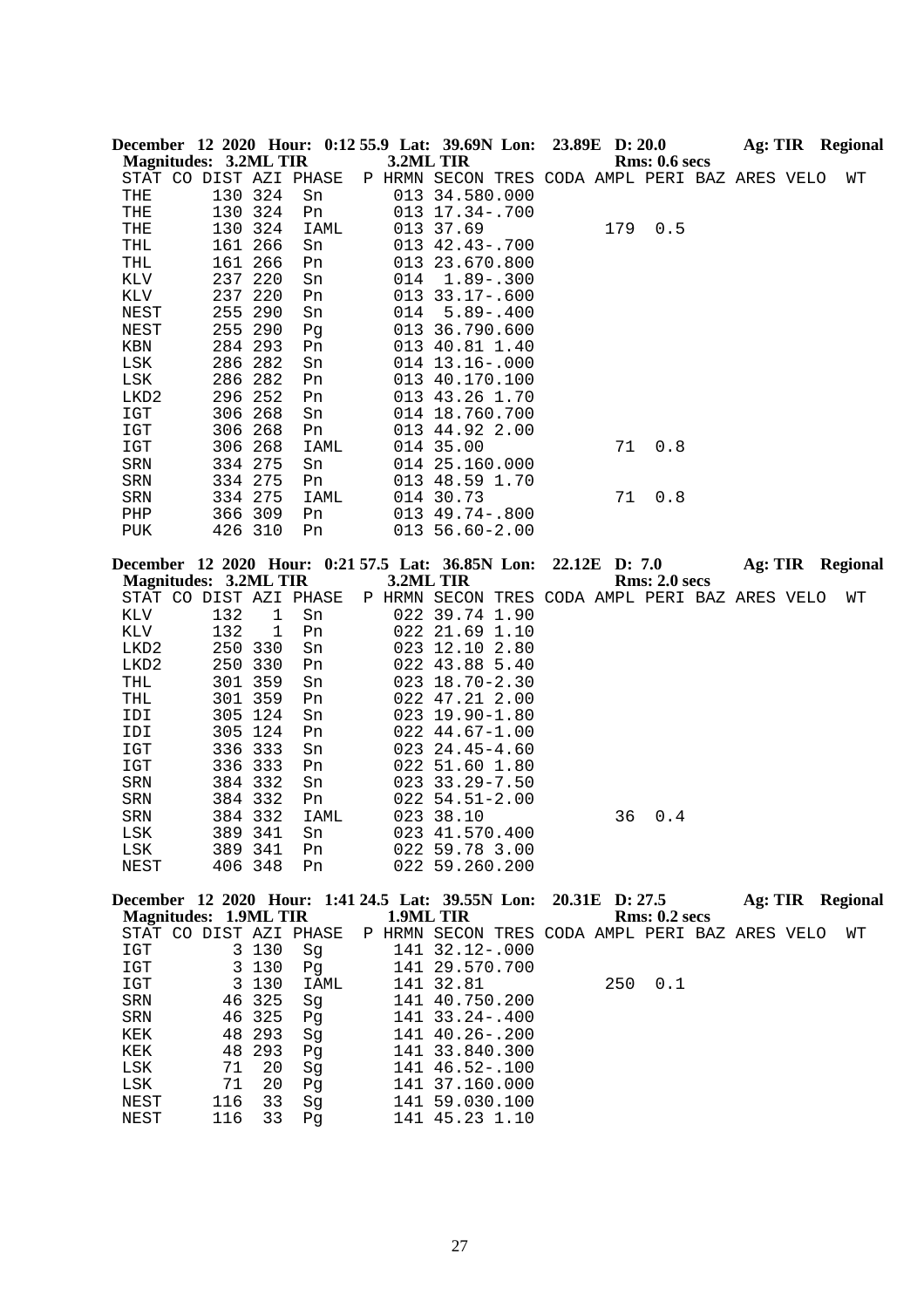|                              |         |         | December 12 2020 Hour: 0:12 55.9 Lat: 39.69N Lon: 23.89E D: 20.0 |     |                                                                  |      |               |                      |  | <b>Ag: TIR</b> Regional                                                           |
|------------------------------|---------|---------|------------------------------------------------------------------|-----|------------------------------------------------------------------|------|---------------|----------------------|--|-----------------------------------------------------------------------------------|
| <b>Magnitudes: 3.2ML TIR</b> |         |         |                                                                  |     | 3.2ML TIR                                                        |      |               | <b>Rms: 0.6 secs</b> |  |                                                                                   |
|                              |         |         | STAT CO DIST AZI PHASE                                           |     | P HRMN SECON TRES CODA AMPL PERI BAZ ARES VELO                   |      |               |                      |  | WΤ                                                                                |
| THE                          | 130 324 |         | Sn                                                               |     | 013 34.580.000                                                   |      |               |                      |  |                                                                                   |
| THE                          | 130 324 |         | Pn                                                               |     | 013 17.34 -. 700                                                 |      |               |                      |  |                                                                                   |
| THE                          | 130 324 |         | IAML                                                             |     | 013 37.69                                                        |      | 179           | 0.5                  |  |                                                                                   |
| THL                          | 161 266 |         | Sn                                                               |     | 013 42.43-.700                                                   |      |               |                      |  |                                                                                   |
| THL                          | 161 266 |         | Pn                                                               |     | 013 23.670.800                                                   |      |               |                      |  |                                                                                   |
| KLV                          | 237 220 |         | Sn                                                               | 014 | $1.89 - .300$                                                    |      |               |                      |  |                                                                                   |
| KLV                          | 237     | 220     | Pn                                                               |     | 013 33.17-.600                                                   |      |               |                      |  |                                                                                   |
| NEST                         | 255     | 290     | Sn                                                               | 014 | $5.89 - .400$                                                    |      |               |                      |  |                                                                                   |
| NEST                         | 255 290 |         | Pg                                                               |     | 013 36.790.600                                                   |      |               |                      |  |                                                                                   |
| KBN                          | 284 293 |         | Pn                                                               |     | 013 40.81 1.40                                                   |      |               |                      |  |                                                                                   |
| LSK                          | 286 282 |         | Sn                                                               |     | 014 13.16 -. 000                                                 |      |               |                      |  |                                                                                   |
| LSK                          | 286 282 |         | Pn                                                               |     | 013 40.170.100                                                   |      |               |                      |  |                                                                                   |
| LKD2                         | 296 252 |         | Pn                                                               |     | 013 43.26 1.70                                                   |      |               |                      |  |                                                                                   |
| IGT                          | 306 268 |         | Sn                                                               |     | 014 18.760.700                                                   |      |               |                      |  |                                                                                   |
| IGT                          | 306 268 |         | Pn                                                               |     | 013 44.92 2.00                                                   |      |               |                      |  |                                                                                   |
| IGT                          | 306 268 |         | IAML                                                             |     | 014 35.00                                                        |      | 71            | 0.8                  |  |                                                                                   |
| SRN                          | 334 275 |         | Sn                                                               |     | 014 25.160.000                                                   |      |               |                      |  |                                                                                   |
| SRN                          | 334 275 |         | Pn                                                               |     | 013 48.59 1.70                                                   |      |               |                      |  |                                                                                   |
| SRN                          | 334 275 |         | IAML                                                             |     | 014 30.73                                                        |      | 71            | 0.8                  |  |                                                                                   |
| PHP                          | 366 309 |         | Pn                                                               |     | $013$ 49.74 - .800                                               |      |               |                      |  |                                                                                   |
| PUK                          | 426 310 |         | Pn                                                               |     | 013 56.60-2.00                                                   |      |               |                      |  |                                                                                   |
|                              |         |         | December 12 2020 Hour: 0:21 57.5 Lat: 36.85N Lon:                |     |                                                                  |      | 22.12E D: 7.0 |                      |  | Ag: TIR Regional                                                                  |
| <b>Magnitudes: 3.2ML TIR</b> |         |         |                                                                  |     | 3.2ML TIR                                                        |      |               | <b>Rms: 2.0 secs</b> |  |                                                                                   |
|                              |         |         | STAT CO DIST AZI PHASE                                           |     |                                                                  |      |               |                      |  | WΤ                                                                                |
|                              | 132     |         |                                                                  |     | P HRMN SECON TRES CODA AMPL PERI BAZ ARES VELO<br>022 39.74 1.90 |      |               |                      |  |                                                                                   |
| KLV<br>KLV                   | 132     | 1<br>1  | Sn<br>Pn                                                         |     | 022 21.69 1.10                                                   |      |               |                      |  |                                                                                   |
| LKD2                         | 250     | 330     | Sn                                                               |     | 023 12.10                                                        | 2.80 |               |                      |  |                                                                                   |
| LKD <sub>2</sub>             | 250 330 |         | Pn                                                               |     | 022 43.88 5.40                                                   |      |               |                      |  |                                                                                   |
| THL                          | 301 359 |         | Sn                                                               |     | $023$ 18.70-2.30                                                 |      |               |                      |  |                                                                                   |
| THL                          | 301 359 |         | Pn                                                               |     | 022 47.21 2.00                                                   |      |               |                      |  |                                                                                   |
| IDI                          | 305 124 |         | Sn                                                               |     | $023$ 19.90-1.80                                                 |      |               |                      |  |                                                                                   |
| IDI                          | 305 124 |         | Pn                                                               |     | $022$ 44.67-1.00                                                 |      |               |                      |  |                                                                                   |
| IGT                          | 336 333 |         | Sn                                                               |     | $023$ $24.45 - 4.60$                                             |      |               |                      |  |                                                                                   |
| IGT                          | 336 333 |         | Pn                                                               |     | 022 51.60 1.80                                                   |      |               |                      |  |                                                                                   |
| ${\tt SRN}$                  | 384 332 |         | Sn                                                               |     | 023 33.29-7.50                                                   |      |               |                      |  |                                                                                   |
| SRN                          | 384 332 |         | Pn                                                               |     | $022$ 54.51-2.00                                                 |      |               |                      |  |                                                                                   |
| SRN                          | 384 332 |         | <b>IAML</b>                                                      |     | 023 38.10                                                        |      | 36            | 0.4                  |  |                                                                                   |
| LSK                          | 389 341 |         | Sn                                                               |     | 023 41.570.400                                                   |      |               |                      |  |                                                                                   |
| LSK                          | 389 341 |         | Pn                                                               |     | 022 59.78 3.00                                                   |      |               |                      |  |                                                                                   |
| NEST                         | 406 348 |         | Pn                                                               |     | 022 59.260.200                                                   |      |               |                      |  |                                                                                   |
|                              |         |         |                                                                  |     |                                                                  |      |               |                      |  |                                                                                   |
|                              |         |         |                                                                  |     |                                                                  |      |               |                      |  | December 12 2020 Hour: 1:41 24.5 Lat: 39.55N Lon: 20.31E D: 27.5 Ag: TIR Regional |
| <b>Magnitudes: 1.9ML TIR</b> |         |         |                                                                  |     | 1.9ML TIR                                                        |      |               | <b>Rms: 0.2 secs</b> |  |                                                                                   |
|                              |         |         | STAT CO DIST AZI PHASE                                           |     | P HRMN SECON TRES CODA AMPL PERI BAZ ARES VELO                   |      |               |                      |  | WТ                                                                                |
| IGT                          |         | 3 130   | Sg                                                               |     | 141 32.12-.000                                                   |      |               |                      |  |                                                                                   |
| IGT                          |         | 3 1 3 0 | Pg                                                               |     | 141 29.570.700                                                   |      |               |                      |  |                                                                                   |
| IGT                          |         | 3 1 3 0 | IAML                                                             |     | 141 32.81                                                        |      | 250           | 0.1                  |  |                                                                                   |
| SRN                          |         | 46 325  | Sg                                                               |     | 141 40.750.200                                                   |      |               |                      |  |                                                                                   |
| SRN                          |         | 46 325  | Pg                                                               |     | 141 33.24 -. 400                                                 |      |               |                      |  |                                                                                   |
| KEK                          |         | 48 293  | Sg                                                               |     | 141 40.26 -. 200                                                 |      |               |                      |  |                                                                                   |
| KEK                          |         | 48 293  | Pg                                                               |     | 141 33.840.300                                                   |      |               |                      |  |                                                                                   |
| LSK                          | 71      | 20      | Sg                                                               |     | 141 46.52-.100                                                   |      |               |                      |  |                                                                                   |
| LSK                          | 71      | 20      | Pg                                                               |     | 141 37.160.000                                                   |      |               |                      |  |                                                                                   |
| NEST                         | 116     | 33      | Sg                                                               |     | 141 59.030.100                                                   |      |               |                      |  |                                                                                   |
| <b>NEST</b>                  | 116     | 33      | Pq                                                               |     | 141 45.23 1.10                                                   |      |               |                      |  |                                                                                   |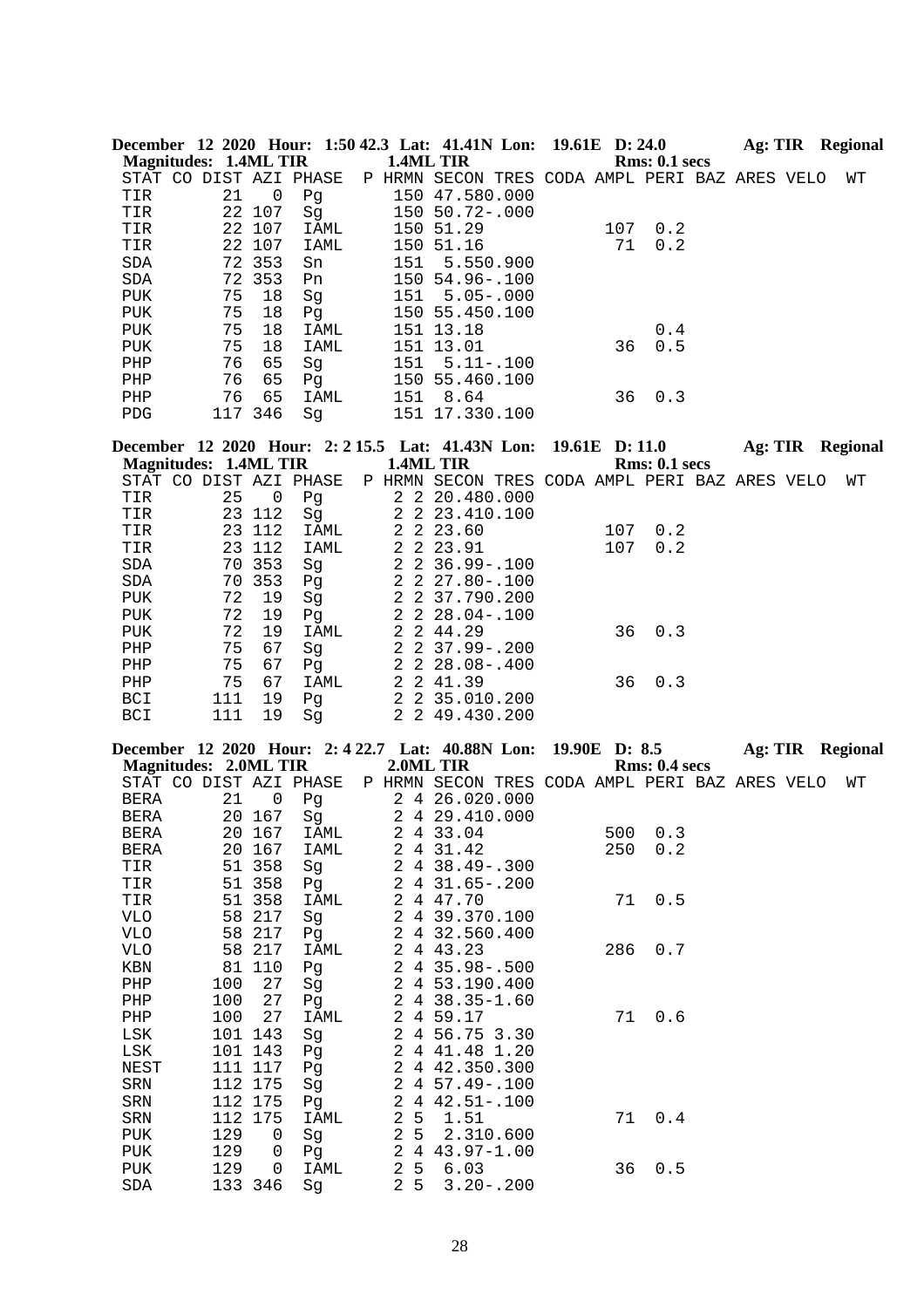|            |                              |        |                        |           | December 12 2020 Hour: 1:50 42.3 Lat: 41.41N Lon: 19.61E D: 24.0 |  |     |               | Ag: TIR | Regional |
|------------|------------------------------|--------|------------------------|-----------|------------------------------------------------------------------|--|-----|---------------|---------|----------|
|            | <b>Magnitudes: 1.4ML TIR</b> |        |                        | 1.4ML TIR |                                                                  |  |     | Rms: 0.1~secs |         |          |
|            |                              |        | STAT CO DIST AZI PHASE |           | P HRMN SECON TRES CODA AMPL PERI BAZ ARES VELO                   |  |     |               |         | WΤ       |
| TIR        | 21                           | 0      | Pq                     |           | 150 47.580.000                                                   |  |     |               |         |          |
| TIR        |                              | 22 107 | Sq                     |           | 150 50.72-.000                                                   |  |     |               |         |          |
| TIR        |                              | 22 107 | IAML                   |           | 150 51.29                                                        |  | 107 | 0.2           |         |          |
| TIR        |                              | 22 107 | IAML                   |           | 150 51.16                                                        |  | 71  | 0.2           |         |          |
| <b>SDA</b> |                              | 72 353 | Sn                     | 151       | 5.550.900                                                        |  |     |               |         |          |
| SDA        |                              | 72 353 | Pn                     |           | $150, 54.96 - .100$                                              |  |     |               |         |          |
| PUK        | 75                           | 18     | Sq                     | 151       | $5.05 - .000$                                                    |  |     |               |         |          |
| PUK        | 75                           | 18     | Pq                     | 150       | 55.450.100                                                       |  |     |               |         |          |
| PUK        | 75                           | 18     | IAML                   | 151       | 13.18                                                            |  |     | 0.4           |         |          |
| PUK        | 75                           | 18     | IAML                   |           | 151 13.01                                                        |  | 36  | 0.5           |         |          |
| PHP        | 76                           | 65     | Sq                     | 151       | $5.11 - .100$                                                    |  |     |               |         |          |
| PHP        | 76                           | 65     | Pq                     |           | 150 55.460.100                                                   |  |     |               |         |          |
| PHP        | 76                           | 65     | IAML                   | 151       | 8.64                                                             |  | 36  | 0.3           |         |          |
| PDG        | 117                          | 346    | Sq                     |           | 151 17.330.100                                                   |  |     |               |         |          |

**December 12 2020 Hour: 2: 2 15.5 Lat: 41.43N Lon: 19.61E D: 11.0 Ag: TIR Regional Magnitudes: 1.4ML TIR 1.4ML TIR Rms: 0.1 secs**

| STAT CO    |     |        | DIST AZI PHASE | P | HRMN | SECON TRES CODA AMPL PERI BAZ ARES VELO |     |             |  | WΤ |
|------------|-----|--------|----------------|---|------|-----------------------------------------|-----|-------------|--|----|
| TIR        | 25  | 0      | Pq             |   |      | 2 2 20.480.000                          |     |             |  |    |
| TIR        |     | 23 112 | Sq             |   |      | 2 2 23.410.100                          |     |             |  |    |
| TIR        |     | 23 112 | IAML           |   |      | 2 2 2 3 . 6 0                           | 107 | 0.2         |  |    |
| TIR        |     | 23 112 | IAML           |   |      | 2 2 2 3 . 9 1                           | 107 | 0.2         |  |    |
| SDA        |     | 70 353 | Sq             |   |      | $2\quad 2\quad 36.99 - .100$            |     |             |  |    |
| SDA        |     | 70 353 | Pq             |   |      | 2 2 27.80-.100                          |     |             |  |    |
| PUK        | 72  | 19     | Sq             |   |      | 2 2 37.790.200                          |     |             |  |    |
| <b>PUK</b> | 72  | 19     | Pq             |   |      | 2 2 28.04-.100                          |     |             |  |    |
| PUK        | 72  | 19     | IAML           |   |      | 2 2 44.29                               |     | $36 \t 0.3$ |  |    |
| PHP        | 75  | 67     | Sq             |   |      | $2\quad 2\quad 37.99 - .200$            |     |             |  |    |
| PHP        | 75  | 67     | Pq             |   |      | $2\quad 2\quad 28.08 - .400$            |     |             |  |    |
| PHP        | 75  | 67     | IAML           |   |      | 2 2 41.39                               | 36  | 0.3         |  |    |
| BCI        | 111 | 19     | Pq             |   |      | 2 2 35.010.200                          |     |             |  |    |
| <b>BCI</b> | 111 | 19     | Sq             |   |      | 2 2 49.430.200                          |     |             |  |    |

|             |                              |                |      |                |                 | December 12 2020 Hour: 2:4 22.7 Lat: 40.88N Lon: 19.90E D: 8.5 |     |               |  | Ag: TIR Regional |
|-------------|------------------------------|----------------|------|----------------|-----------------|----------------------------------------------------------------|-----|---------------|--|------------------|
|             | <b>Magnitudes: 2.0ML TIR</b> |                |      |                |                 | 2.0ML TIR                                                      |     | Rms: 0.4~secs |  |                  |
|             | STAT CO DIST AZI PHASE       |                |      |                |                 | P HRMN SECON TRES CODA AMPL PERI BAZ ARES VELO                 |     |               |  | WТ               |
| BERA        | 21                           | $\overline{0}$ | Pg   |                |                 | 2 4 26.020.000                                                 |     |               |  |                  |
| <b>BERA</b> |                              | 20 167         | Sg   |                |                 | 2 4 29.410.000                                                 |     |               |  |                  |
| BERA        |                              | 20 167         | IAML |                |                 | 2 4 33.04                                                      | 500 | 0.3           |  |                  |
| BERA        |                              | 20 167         | IAML | $\overline{a}$ |                 | 4 31.42                                                        | 250 | 0.2           |  |                  |
| TIR         |                              | 51 358         | Sg   |                |                 | 2 4 38.49 - . 300                                              |     |               |  |                  |
| TIR         |                              | 51 358         | Pq   |                |                 | $2431.65 - .200$                                               |     |               |  |                  |
| TIR         |                              | 51 358         | IAML | $\overline{2}$ |                 | 4 47.70                                                        | 71  | 0.5           |  |                  |
| VLO         |                              | 58 217         | Sg   |                |                 | 2 4 39.370.100                                                 |     |               |  |                  |
| VLO         |                              | 58 217         | Pg   | 2              |                 | 4 32.560.400                                                   |     |               |  |                  |
| VLO         |                              | 58 217         | IAML | 2              |                 | 4 43.23                                                        | 286 | 0.7           |  |                  |
| KBN         |                              | 81 110         | Pg   |                |                 | 2 4 35.98 -. 500                                               |     |               |  |                  |
| PHP         | 100                          | 27             | Sg   |                |                 | 2 4 53.190.400                                                 |     |               |  |                  |
| PHP         | 100                          | 27             | Pg   |                |                 | $2438.35 - 1.60$                                               |     |               |  |                  |
| PHP         | 100                          | 27             | IAML |                |                 | 2 4 59.17                                                      | 71  | 0.6           |  |                  |
| LSK         |                              | 101 143        | Sg   |                |                 | 2 4 56.75 3.30                                                 |     |               |  |                  |
| LSK         |                              | 101 143        | Pg   |                |                 | 2 4 41.48 1.20                                                 |     |               |  |                  |
| NEST        |                              | 111 117        | Pq   | 2              |                 | 4 42.350.300                                                   |     |               |  |                  |
| SRN         |                              | 112 175        | Sg   | $\overline{a}$ |                 | $4\;\;57.49-.100$                                              |     |               |  |                  |
| SRN         |                              | 112 175        | Pg   | 2              |                 | $442.51-.100$                                                  |     |               |  |                  |
| SRN         |                              | 112 175        | IAML | $\overline{c}$ |                 | $5 \quad 1.51$                                                 | 71  | 0.4           |  |                  |
| PUK         | 129                          | 0              | Sg   | $\overline{2}$ |                 | 5 2.310.600                                                    |     |               |  |                  |
| PUK         | 129                          | 0              | Pg   | $\overline{2}$ |                 | $4, 43.97 - 1.00$                                              |     |               |  |                  |
| <b>PUK</b>  | 129                          | 0              | IAML | $\overline{2}$ | 5 <sub>5</sub>  | 6.03                                                           | 36  | 0.5           |  |                  |
| SDA         |                              | 133 346        | Sg   |                | $2\overline{5}$ | $3.20 - .200$                                                  |     |               |  |                  |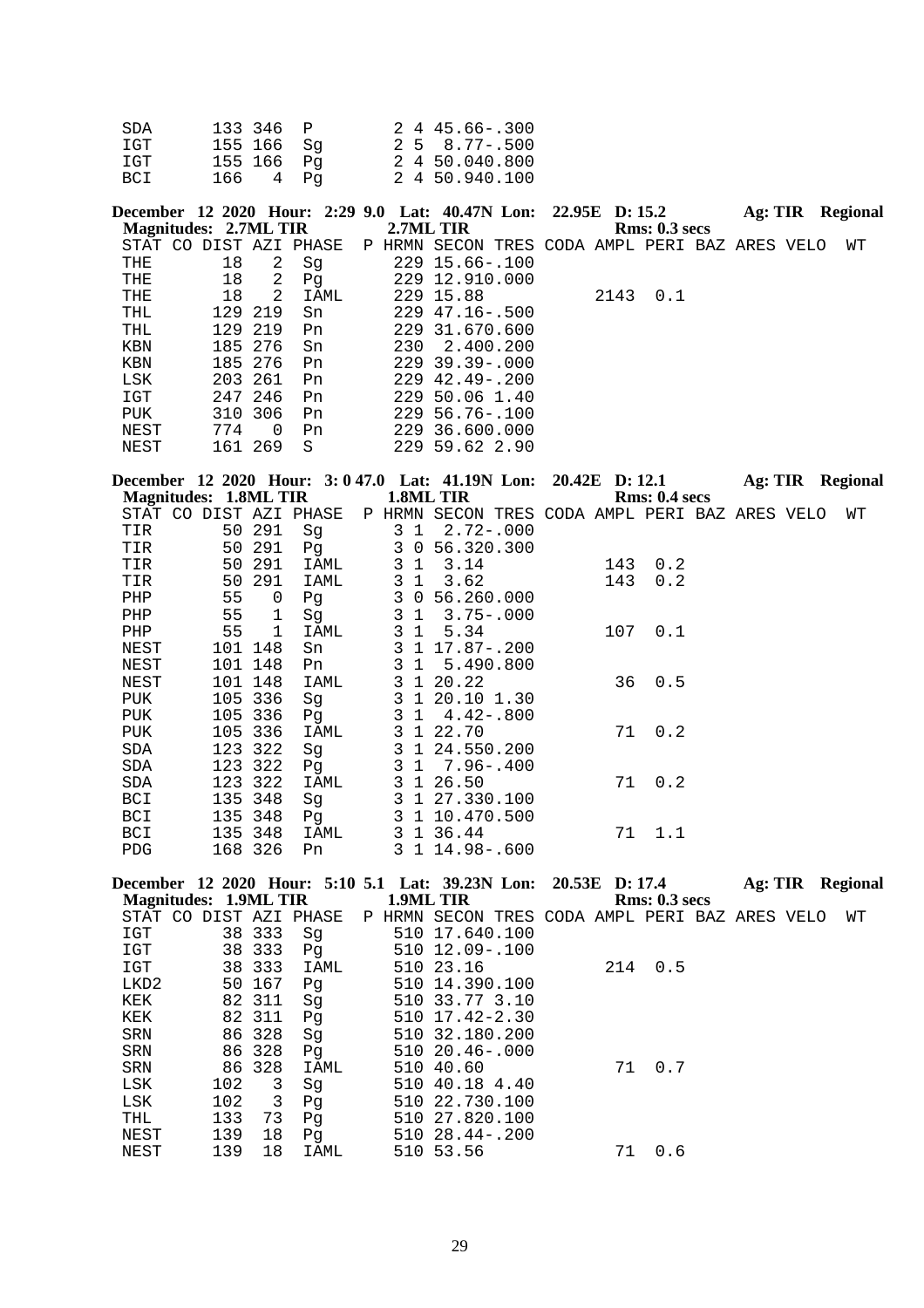| SDA | 133 346 P  |  | $2445.66 - .300$  |
|-----|------------|--|-------------------|
| IGT | 155 166 Sq |  | $2\,5\,8.77-.500$ |
| IGT | 155 166 Pq |  | 2 4 50.040.800    |
| BCI | 166 4 Pq   |  | 2 4 50.940.100    |

| December 12 2020 Hour: 2:29 9.0 Lat: 40.47N Lon: 22.95E D: 15.2 |     |          |      |     |                                                |  |      |               | Ag: TIR |  | <b>Regional</b> |
|-----------------------------------------------------------------|-----|----------|------|-----|------------------------------------------------|--|------|---------------|---------|--|-----------------|
| Magnitudes: 2.7ML TIR                                           |     |          |      |     | 2.7ML TIR                                      |  |      | Rms: 0.3~secs |         |  |                 |
| STAT CO DIST AZI PHASE                                          |     |          |      |     | P HRMN SECON TRES CODA AMPL PERI BAZ ARES VELO |  |      |               |         |  | WТ              |
| THE                                                             | 18  | 2        | Sq   |     | 229 15.66-.100                                 |  |      |               |         |  |                 |
| THE                                                             | 18  | 2        | Pq   |     | 229 12.910.000                                 |  |      |               |         |  |                 |
| THE                                                             | 18  | 2        | IAML |     | 229 15.88                                      |  | 2143 | 0.1           |         |  |                 |
| THL                                                             |     | 129 219  | Sn   |     | $229$ $47.16 - .500$                           |  |      |               |         |  |                 |
| THL                                                             |     | 129 219  | Pn   |     | 229 31,670,600                                 |  |      |               |         |  |                 |
| KBN                                                             |     | 185 276  | Sn   | 230 | 2.400.200                                      |  |      |               |         |  |                 |
| KBN                                                             |     | 185 276  | Pn   |     | $229$ 39.39 - 000                              |  |      |               |         |  |                 |
| LSK                                                             |     | 203 261  | Pn   |     | $229 \quad 42.49 - .200$                       |  |      |               |         |  |                 |
| IGT                                                             |     | 247 246  | Pn   |     | 229 50.06 1.40                                 |  |      |               |         |  |                 |
| PUK                                                             | 310 | 306      | Pn   |     | $229\,56.76 - 100$                             |  |      |               |         |  |                 |
| NEST                                                            | 774 | $\Omega$ | Pn   |     | 229 36,600,000                                 |  |      |               |         |  |                 |
| NEST                                                            | 161 | 269      | S    |     | 229 59.62 2.90                                 |  |      |               |         |  |                 |

|     |              |                                                                                                                               |                                                 |                                      |                                                                                                |                                                                                                                                                                                                                                                         |     |     |                                                                                                             |                      | WТ                                                                 |
|-----|--------------|-------------------------------------------------------------------------------------------------------------------------------|-------------------------------------------------|--------------------------------------|------------------------------------------------------------------------------------------------|---------------------------------------------------------------------------------------------------------------------------------------------------------------------------------------------------------------------------------------------------------|-----|-----|-------------------------------------------------------------------------------------------------------------|----------------------|--------------------------------------------------------------------|
|     |              | Sg                                                                                                                            |                                                 |                                      |                                                                                                |                                                                                                                                                                                                                                                         |     |     |                                                                                                             |                      |                                                                    |
| 50  | 291          | Pg                                                                                                                            |                                                 |                                      |                                                                                                |                                                                                                                                                                                                                                                         |     |     |                                                                                                             |                      |                                                                    |
| 50  | 291          | IAML                                                                                                                          |                                                 | 3.14                                 |                                                                                                |                                                                                                                                                                                                                                                         |     | 0.2 |                                                                                                             |                      |                                                                    |
| 50  | 291          | IAML                                                                                                                          |                                                 | 3.62                                 |                                                                                                |                                                                                                                                                                                                                                                         | 143 | 0.2 |                                                                                                             |                      |                                                                    |
| 55  | 0            | Pq                                                                                                                            |                                                 |                                      |                                                                                                |                                                                                                                                                                                                                                                         |     |     |                                                                                                             |                      |                                                                    |
| 55  | $\mathbf{1}$ | Sq                                                                                                                            |                                                 |                                      |                                                                                                |                                                                                                                                                                                                                                                         |     |     |                                                                                                             |                      |                                                                    |
| 55  | $\mathbf{1}$ | IAML                                                                                                                          |                                                 | 5.34                                 |                                                                                                |                                                                                                                                                                                                                                                         |     | 0.1 |                                                                                                             |                      |                                                                    |
| 101 | 148          | Sn                                                                                                                            |                                                 |                                      |                                                                                                |                                                                                                                                                                                                                                                         |     |     |                                                                                                             |                      |                                                                    |
|     |              | Pn                                                                                                                            |                                                 |                                      |                                                                                                |                                                                                                                                                                                                                                                         |     |     |                                                                                                             |                      |                                                                    |
|     |              | IAML                                                                                                                          |                                                 |                                      |                                                                                                |                                                                                                                                                                                                                                                         | 36  | 0.5 |                                                                                                             |                      |                                                                    |
|     | 336          | Sq                                                                                                                            |                                                 |                                      |                                                                                                |                                                                                                                                                                                                                                                         |     |     |                                                                                                             |                      |                                                                    |
|     | 336          | Pq                                                                                                                            |                                                 |                                      |                                                                                                |                                                                                                                                                                                                                                                         |     |     |                                                                                                             |                      |                                                                    |
| 105 | 336          | IAML                                                                                                                          |                                                 |                                      |                                                                                                |                                                                                                                                                                                                                                                         |     | 0.2 |                                                                                                             |                      |                                                                    |
|     |              | Sq                                                                                                                            |                                                 |                                      |                                                                                                |                                                                                                                                                                                                                                                         |     |     |                                                                                                             |                      |                                                                    |
|     |              | Pq                                                                                                                            |                                                 |                                      |                                                                                                |                                                                                                                                                                                                                                                         |     |     |                                                                                                             |                      |                                                                    |
|     |              | IAML                                                                                                                          |                                                 |                                      |                                                                                                |                                                                                                                                                                                                                                                         |     |     |                                                                                                             |                      |                                                                    |
|     |              | Sq                                                                                                                            |                                                 |                                      |                                                                                                |                                                                                                                                                                                                                                                         |     |     |                                                                                                             |                      |                                                                    |
|     |              | P <sub>q</sub>                                                                                                                |                                                 |                                      |                                                                                                |                                                                                                                                                                                                                                                         |     |     |                                                                                                             |                      |                                                                    |
|     |              | IAML                                                                                                                          |                                                 |                                      |                                                                                                |                                                                                                                                                                                                                                                         |     |     |                                                                                                             |                      |                                                                    |
|     |              | Pn.                                                                                                                           |                                                 |                                      |                                                                                                |                                                                                                                                                                                                                                                         |     |     |                                                                                                             |                      |                                                                    |
|     |              | 50 291<br>101 148<br>101 148<br>105<br>105<br>123 322<br>123 322<br>123 322<br>348<br>135<br>135 348<br>135 348<br>326<br>168 | Magnitudes: 1.8ML TIR<br>STAT CO DIST AZI PHASE | 3<br>3<br>3<br>3<br>3<br>3<br>3<br>3 | 1.8ML TIR<br>1<br>$\mathbf{1}$<br>$\mathbf{1}$<br>1 20.22<br>1 22.70<br>3 1 26.50<br>3 1 36.44 | $3 \t1 \t2.72 - .000$<br>3 0 56.320.300<br>3 0 56.260.000<br>$3 \t1 \t3.75 - .000$<br>3 1 17.87-.200<br>3 1 5.490.800<br>3 1 20.10 1.30<br>$1 \quad 4.42 - .800$<br>3 1 24.550.200<br>1 7.96 - .400<br>3 1 27.330.100<br>3 1 10.470.500<br>1 14.98-.600 |     |     | December 12 2020 Hour: 3:047.0 Lat: 41.19N Lon: 20.42E D:12.1<br>143<br>107<br>71<br>71<br>0.2<br>71<br>1.1 | <b>Rms: 0.4 secs</b> | Ag: TIR Regional<br>P HRMN SECON TRES CODA AMPL PERI BAZ ARES VELO |

|            |                       |        |                        | December 12 2020 Hour: 5:10 5.1 Lat: 39.23N Lon: 20.53E D: 17.4 |               |     | Ag: TIR | <b>Regional</b> |
|------------|-----------------------|--------|------------------------|-----------------------------------------------------------------|---------------|-----|---------|-----------------|
|            | Magnitudes: 1.9ML TIR |        |                        | 1.9ML TIR                                                       | Rms: 0.3~secs |     |         |                 |
|            |                       |        | STAT CO DIST AZI PHASE | P HRMN SECON TRES CODA AMPL PERI BAZ ARES VELO                  |               |     |         | WΤ              |
| IGT        |                       | 38 333 | Sq                     | 510 17.640.100                                                  |               |     |         |                 |
| IGT        |                       | 38 333 | Pq                     | 510 12.09-.100                                                  |               |     |         |                 |
| IGT        |                       | 38 333 | IAML                   | 510 23.16                                                       | 214           | 0.5 |         |                 |
| LKD2       |                       | 50 167 | Pq                     | 510 14,390,100                                                  |               |     |         |                 |
| KEK        |                       | 82 311 | Sq                     | 510 33.77 3.10                                                  |               |     |         |                 |
| KEK        |                       | 82 311 | Pq                     | $510 \t17.42 - 2.30$                                            |               |     |         |                 |
| SRN        |                       | 86 328 | Sq                     | 510 32.180.200                                                  |               |     |         |                 |
| SRN        |                       | 86 328 | Pq                     | $51020.46 - .000$                                               |               |     |         |                 |
| <b>SRN</b> |                       | 86 328 | IAML                   | 510 40.60                                                       | 71            | 0.7 |         |                 |
| LSK        | 102                   | 3      | Sq                     | 510 40.18 4.40                                                  |               |     |         |                 |
| LSK        | 102                   | 3      | Pq                     | 510 22.730.100                                                  |               |     |         |                 |
| THL        | 133                   | 73     | Pq                     | 510 27.820.100                                                  |               |     |         |                 |
| NEST       | 139                   | 18     | Pq                     | $51028.44 - .200$                                               |               |     |         |                 |
| NEST       | 139                   | 18     | IAML                   | 510 53.56                                                       | 71            | 0.6 |         |                 |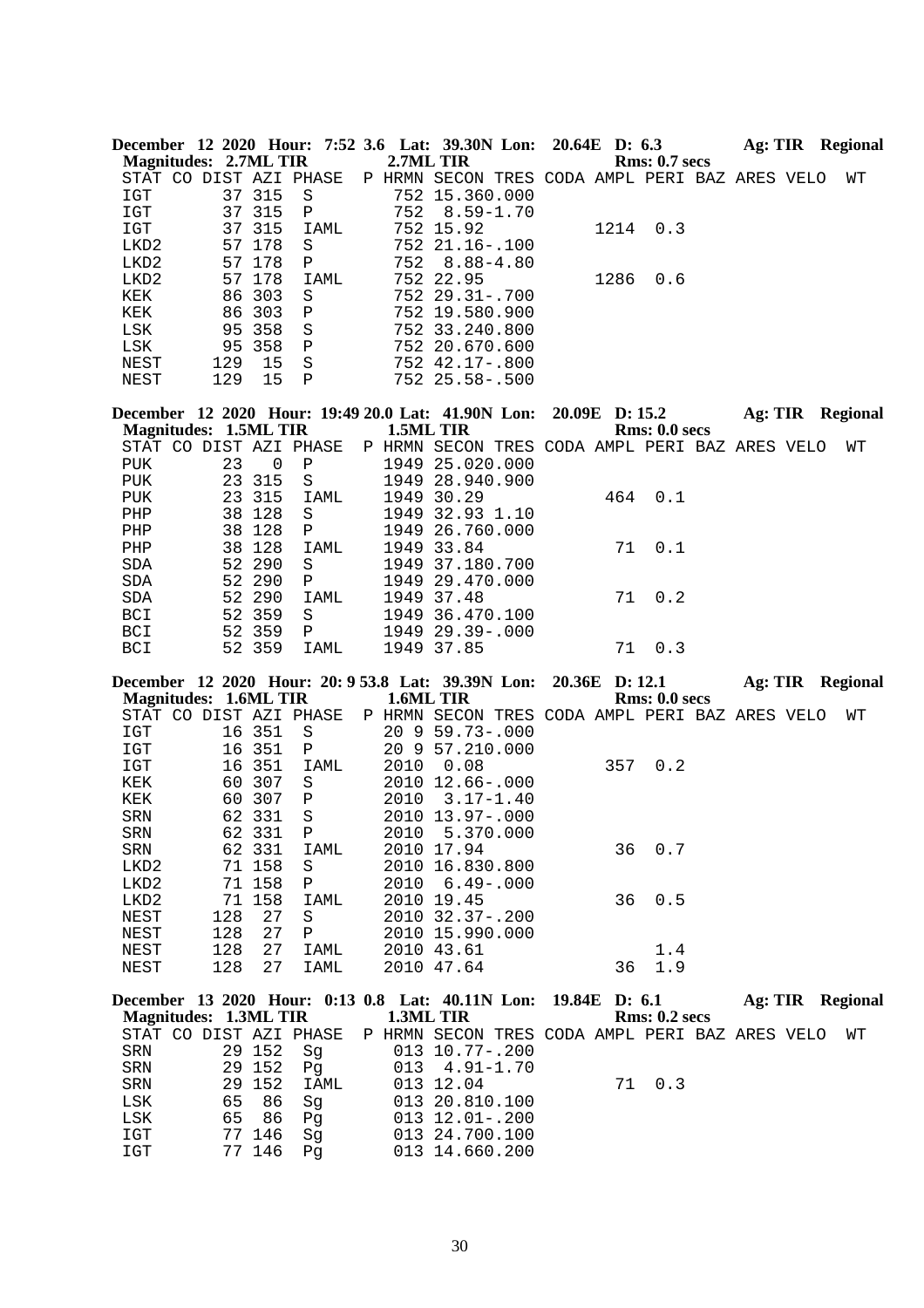| Magnitudes: 2.7ML TIR |        |    | December 12 2020 Hour: 7:52 3.6 Lat: 39.30N Lon: 20.64E D: 6.3 | 2.7ML TIR |                                                |  |      | Rms: 0.7~secs | Ag: TIR |  | Regional |
|-----------------------|--------|----|----------------------------------------------------------------|-----------|------------------------------------------------|--|------|---------------|---------|--|----------|
|                       |        |    | STAT CO DIST AZI PHASE                                         |           | P HRMN SECON TRES CODA AMPL PERI BAZ ARES VELO |  |      |               |         |  | WТ       |
| IGT                   | 37 315 |    | -S                                                             |           | 752 15.360.000                                 |  |      |               |         |  |          |
| IGT                   | 37 315 |    | $\mathbf{P}$                                                   |           | $752 \quad 8.59 - 1.70$                        |  |      |               |         |  |          |
| IGT                   | 37 315 |    | IAML                                                           |           | 752 15.92                                      |  | 1214 | 0.3           |         |  |          |
| LKD2                  | 57 178 |    | S                                                              |           | $75221.16 - 100$                               |  |      |               |         |  |          |
| LKD2                  | 57 178 |    | P                                                              |           | 752 8.88-4.80                                  |  |      |               |         |  |          |
| LKD2                  | 57 178 |    | IAML                                                           |           | 752 22.95                                      |  | 1286 | 0.6           |         |  |          |
| KEK                   | 86 303 |    | S                                                              |           | $75229.31 - .700$                              |  |      |               |         |  |          |
| KEK                   | 86 303 |    | Ρ                                                              |           | 752 19.580.900                                 |  |      |               |         |  |          |
| LSK                   | 95 358 |    | <sub>S</sub>                                                   |           | 752 33.240.800                                 |  |      |               |         |  |          |
| LSK                   | 95 358 |    | P                                                              |           | 752 20.670.600                                 |  |      |               |         |  |          |
| NEST                  | 129    | 15 | S                                                              |           | $752$ 42.17-.800                               |  |      |               |         |  |          |
| NEST                  | 129    | 15 | Ρ                                                              |           | $752$ $25.58 - .500$                           |  |      |               |         |  |          |

| December 12 2020 Hour: 19:49 20.0 Lat: 41.90N Lon: 20.09E D: 15.2<br><b>Magnitudes: 1.5ML TIR</b> |    |          |                |   | 1.5ML TIR |                                         |  |     | Rms: 0.0 secs | Ag: TIR |  | Regional |
|---------------------------------------------------------------------------------------------------|----|----------|----------------|---|-----------|-----------------------------------------|--|-----|---------------|---------|--|----------|
| CO<br>STAT                                                                                        |    |          | DIST AZI PHASE | Ρ | HRMN      | SECON TRES CODA AMPL PERI BAZ ARES VELO |  |     |               |         |  | WТ       |
| PUK                                                                                               | 23 | $\Omega$ | Ρ              |   | 1949      | 25.020.000                              |  |     |               |         |  |          |
| PUK                                                                                               |    | 23 315   | S              |   | 1949      | 28,940,900                              |  |     |               |         |  |          |
| PUK                                                                                               |    | 23 315   | IAML           |   | 1949      | 30.29                                   |  | 464 | 0.1           |         |  |          |
| PHP                                                                                               |    | 38 128   | S              |   | 1949      | 32.93 1.10                              |  |     |               |         |  |          |
| PHP                                                                                               |    | 38 128   | $\mathbf P$    |   | 1949      | 26.760.000                              |  |     |               |         |  |          |
| PHP                                                                                               | 38 | 128      | IAML           |   | 1949      | 33.84                                   |  | 71  | 0.1           |         |  |          |
| SDA                                                                                               |    | 52 290   | S              |   |           | 1949 37.180.700                         |  |     |               |         |  |          |
| <b>SDA</b>                                                                                        |    | 52 290   | P              |   |           | 1949 29.470.000                         |  |     |               |         |  |          |
| <b>SDA</b>                                                                                        |    | 52 290   | IAML           |   | 1949      | 37.48                                   |  | 71  | 0.2           |         |  |          |
| <b>BCI</b>                                                                                        |    | 52 359   | S              |   | 1949      | 36.470.100                              |  |     |               |         |  |          |
| <b>BCI</b>                                                                                        |    | 52 359   | P              |   | 1949      | $29.39 - 000$                           |  |     |               |         |  |          |
| <b>BCI</b>                                                                                        |    | 52 359   | IAML           |   |           | 1949 37.85                              |  | 71  | 0.3           |         |  |          |

**December 12 2020 Hour: 20: 9 53.8 Lat: 39.39N Lon: 20.36E D: 12.1 Ag: TIR Regional Magnitudes: 1.6ML TIR 1.6ML TIR Rms: 0.0 secs**

|            |     |        | STAT CO DIST AZI PHASE |      | P HRMN SECON TRES CODA AMPL PERI BAZ ARES VELO |     |             |  | WТ |
|------------|-----|--------|------------------------|------|------------------------------------------------|-----|-------------|--|----|
| IGT        |     | 16 351 | S                      |      | $20 \t9 \t59.73 - .000$                        |     |             |  |    |
| IGT        | 16  | -351   | Ρ                      |      | 20 9 57.210.000                                |     |             |  |    |
| IGT        |     | 16 351 | IAML                   | 2010 | 0.08                                           | 357 | 0.2         |  |    |
| KEK        |     | 60 307 | S                      |      | 2010 12.66-.000                                |     |             |  |    |
| KEK        |     | 60 307 | P                      |      | $2010 \quad 3.17 - 1.40$                       |     |             |  |    |
| <b>SRN</b> |     | 62 331 | S                      |      | 2010 13.97-.000                                |     |             |  |    |
| SRN        |     | 62 331 | $\mathbf{P}$           |      | 2010 5.370.000                                 |     |             |  |    |
| <b>SRN</b> |     | 62 331 | IAML                   |      | 2010 17.94                                     |     | 36 0.7      |  |    |
| LKD2       |     | 71 158 | S                      |      | 2010 16.830.800                                |     |             |  |    |
| LKD2       | 71  | 158    | $\mathbf P$            |      | $2010 \quad 6.49 - .000$                       |     |             |  |    |
| LKD2       |     | 71 158 | IAML                   |      | 2010 19.45                                     |     | $36 \t 0.5$ |  |    |
| NEST       | 128 | 27     | S                      |      | $2010$ $32.37 - .200$                          |     |             |  |    |
| NEST       | 128 | 27     | $\mathbf P$            |      | 2010 15.990.000                                |     |             |  |    |
| NEST       | 128 | 27     | IAML                   |      | 2010 43.61                                     |     | 1.4         |  |    |
| NEST       | 128 | 27     | IAML                   |      | 2010 47.64                                     | 36  | 1.9         |  |    |
|            |     |        |                        |      |                                                |     |             |  |    |

| December 13 2020 Hour: 0:13 0.8 Lat: 40.11N Lon: 19.84E D: 6.1        |        |        |      |  |                  |  |        |               |  | Ag: TIR Regional |
|-----------------------------------------------------------------------|--------|--------|------|--|------------------|--|--------|---------------|--|------------------|
| Magnitudes: 1.3ML TIR                                                 |        |        |      |  | <b>1.3ML TIR</b> |  |        | Rms: 0.2~secs |  |                  |
| STAT CO DIST AZI PHASE P HRMN SECON TRES CODA AMPL PERI BAZ ARES VELO |        |        |      |  |                  |  |        |               |  | WT               |
| SRN                                                                   |        | 29 152 | Sq   |  | 013 10.77-.200   |  |        |               |  |                  |
| SRN 29 152 Pq                                                         |        |        |      |  | 013 4.91-1.70    |  |        |               |  |                  |
| SRN                                                                   | 29 152 |        | IAML |  | 013 12.04        |  | 71 0.3 |               |  |                  |
| LSK                                                                   |        | 65 86  | - Sq |  | 013 20.810.100   |  |        |               |  |                  |
| LSK                                                                   |        | 65 86  | Pq   |  | 013 12.01-.200   |  |        |               |  |                  |
| IGT                                                                   |        | 77 146 | Sq   |  | 013 24.700.100   |  |        |               |  |                  |
| IGT                                                                   |        | 77 146 | Pa   |  | 013 14.660.200   |  |        |               |  |                  |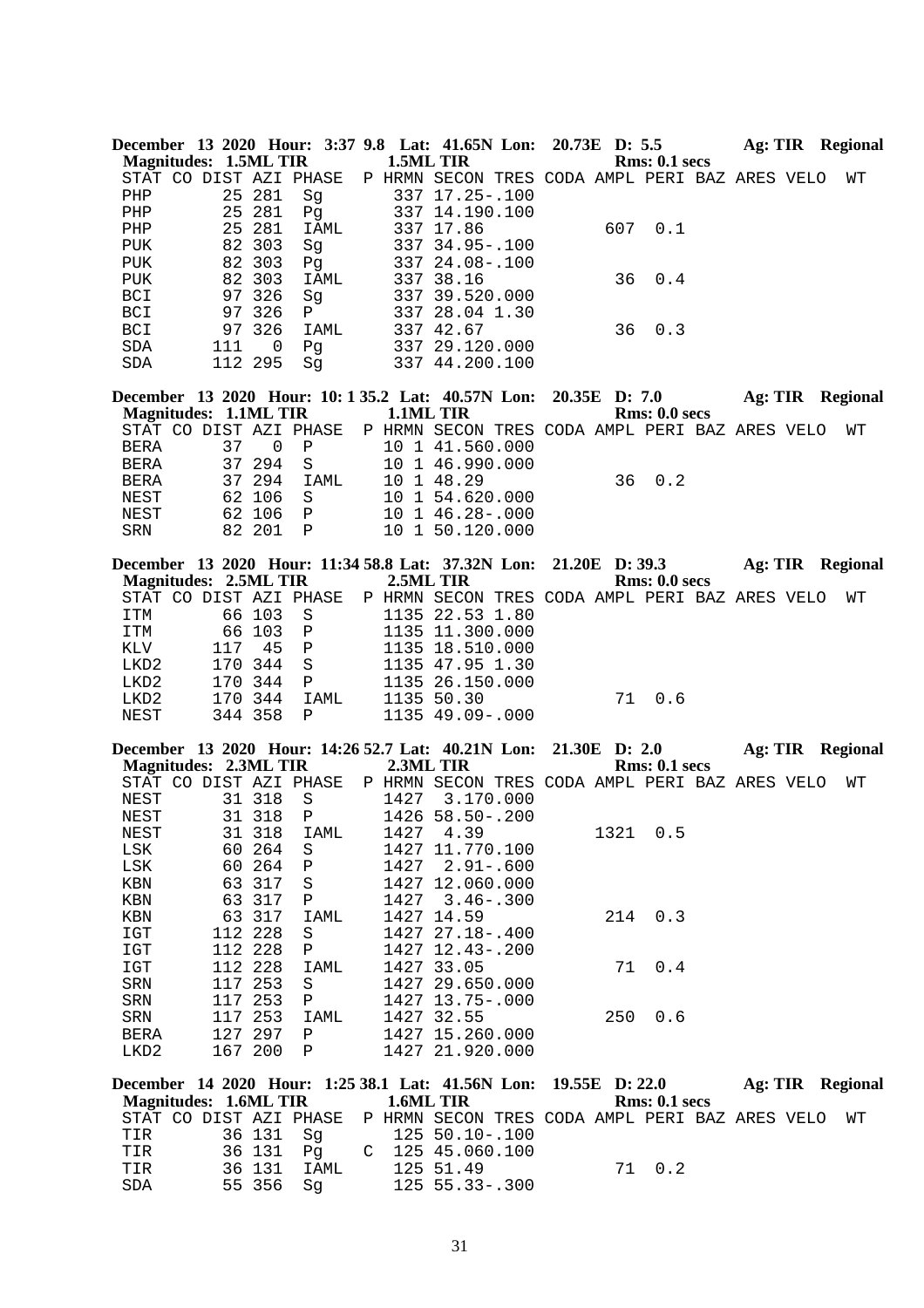|                              |     |         | December 13 2020 Hour: 3:37 9.8 Lat: 41.65N Lon: 20.73E D: 5.5    |           |                                                |                |     |               | Ag: TIR Regional        |  |    |
|------------------------------|-----|---------|-------------------------------------------------------------------|-----------|------------------------------------------------|----------------|-----|---------------|-------------------------|--|----|
| <b>Magnitudes: 1.5ML TIR</b> |     |         |                                                                   | 1.5ML TIR |                                                |                |     | Rms: 0.1~secs |                         |  |    |
|                              |     |         | STAT CO DIST AZI PHASE                                            |           | P HRMN SECON TRES CODA AMPL PERI BAZ ARES VELO |                |     |               |                         |  | WΤ |
| PHP                          |     | 25 281  | Sg                                                                |           | 337 17.25 -. 100                               |                |     |               |                         |  |    |
| PHP                          | 25  | 281     | Pg                                                                |           | 337 14.190.100                                 |                |     |               |                         |  |    |
| PHP                          | 25  | 281     | IAML                                                              |           | 337 17.86                                      |                | 607 | 0.1           |                         |  |    |
| <b>PUK</b>                   |     | 82 303  | Sg                                                                |           | 337 34.95 -. 100                               |                |     |               |                         |  |    |
| PUK                          |     | 82 303  | Pg                                                                |           | 337 24.08-.100                                 |                |     |               |                         |  |    |
| PUK                          |     | 82 303  | IAML                                                              |           | 337 38.16                                      |                | 36  | 0.4           |                         |  |    |
| <b>BCI</b>                   |     | 97 326  | Sg                                                                |           | 337 39.520.000                                 |                |     |               |                         |  |    |
| BCI                          |     | 97 326  | $\mathbf{P}$                                                      |           | 337 28.04 1.30                                 |                |     |               |                         |  |    |
| BCI                          |     | 97 326  | IAML                                                              |           | 337 42.67                                      |                | 36  | 0.3           |                         |  |    |
| SDA                          | 111 | 0       | Pg                                                                |           | 337 29.120.000                                 |                |     |               |                         |  |    |
| SDA                          |     | 112 295 | Sq                                                                |           | 337 44.200.100                                 |                |     |               |                         |  |    |
|                              |     |         | December 13 2020 Hour: 10:135.2 Lat: 40.57N Lon: 20.35E D: 7.0    |           |                                                |                |     |               | Ag: TIR Regional        |  |    |
| <b>Magnitudes: 1.1ML TIR</b> |     |         |                                                                   | 1.1ML TIR |                                                |                |     | Rms: 0.0 secs |                         |  |    |
|                              |     |         | STAT CO DIST AZI PHASE                                            |           | P HRMN SECON TRES CODA AMPL PERI BAZ ARES VELO |                |     |               |                         |  | WΤ |
| <b>BERA</b>                  | 37  | 0       | Ρ                                                                 |           | 10 1 41.560.000                                |                |     |               |                         |  |    |
| <b>BERA</b>                  |     | 37 294  | S                                                                 |           | 10 1 46.990.000                                |                |     |               |                         |  |    |
| BERA                         |     | 37 294  | IAML                                                              |           | 10 1 48.29                                     |                | 36  | 0.2           |                         |  |    |
| NEST                         |     | 62 106  | S                                                                 |           | 10 1 54.620.000                                |                |     |               |                         |  |    |
| NEST                         |     | 62 106  | $\mathbf P$                                                       |           | 10 1 46.28 -. 000                              |                |     |               |                         |  |    |
| SRN                          |     | 82 201  | $\mathbf{P}$                                                      |           | 10 1 50.120.000                                |                |     |               |                         |  |    |
|                              |     |         | December 13 2020 Hour: 11:34 58.8 Lat: 37.32N Lon: 21.20E D: 39.3 |           |                                                |                |     |               | <b>Ag: TIR Regional</b> |  |    |
| <b>Magnitudes: 2.5ML TIR</b> |     |         |                                                                   | 2.5ML TIR |                                                |                |     | Rms: 0.0 secs |                         |  |    |
|                              |     |         | STAT CO DIST AZI PHASE                                            |           | P HRMN SECON TRES CODA AMPL PERI BAZ ARES VELO |                |     |               |                         |  | WΤ |
| ITM                          |     | 66 103  | S                                                                 |           | 1135 22.53 1.80                                |                |     |               |                         |  |    |
| ITM                          |     | 66 103  | Ρ                                                                 |           | 1135 11.300.000                                |                |     |               |                         |  |    |
| KLV                          | 117 | 45      | $\, {\bf P}$                                                      |           | 1135 18.510.000                                |                |     |               |                         |  |    |
| LKD2                         |     | 170 344 | $\rm S$                                                           |           | 1135 47.95 1.30                                |                |     |               |                         |  |    |
| LKD2                         |     | 170 344 | Ρ                                                                 |           | 1135 26.150.000                                |                |     |               |                         |  |    |
| LKD2                         |     | 170 344 | IAML                                                              |           | 1135 50.30                                     |                | 71  | 0.6           |                         |  |    |
| NEST                         |     | 344 358 | Ρ                                                                 |           | 1135 49.09 -. 000                              |                |     |               |                         |  |    |
|                              |     |         |                                                                   |           |                                                |                |     |               |                         |  |    |
| <b>Magnitudes: 2.3ML TIR</b> |     |         | December 13 2020 Hour: 14:26 52.7 Lat: 40.21N Lon: 21.30E D: 2.0  | 2.3ML TIR |                                                |                |     | Rms: 0.1~secs | Ag: TIR Regional        |  |    |
|                              |     |         | STAT CO DIST AZI PHASE                                            |           | P HRMN SECON TRES CODA AMPL PERI BAZ ARES VELO |                |     |               |                         |  | WΤ |
| NEST                         |     | 31 318  | S                                                                 | 1427      | 3.170.000                                      |                |     |               |                         |  |    |
| NEST                         |     | 31 318  | Ρ                                                                 |           | 1426 58.50-.200                                |                |     |               |                         |  |    |
| NEST                         |     |         | 31 318 IAML                                                       |           | 1427 4.39                                      |                |     | 1321 0.5      |                         |  |    |
| LSK                          |     | 60 264  | S                                                                 |           | 1427 11.770.100                                |                |     |               |                         |  |    |
| LSK                          | 60  | 264     | Ρ                                                                 | 1427      | $2.91 - .600$                                  |                |     |               |                         |  |    |
| KBN                          | 63  | 317     | S                                                                 |           | 1427 12.060.000                                |                |     |               |                         |  |    |
| KBN                          | 63  | 317     | Ρ                                                                 | 1427      | $3.46 - .300$                                  |                |     |               |                         |  |    |
| KBN                          | 63  | 317     | IAML                                                              | 1427      | 14.59                                          |                | 214 | 0.3           |                         |  |    |
| IGT                          | 112 | 228     | S                                                                 |           | 1427 27.18 -. 400                              |                |     |               |                         |  |    |
| IGT                          |     | 112 228 | Ρ                                                                 |           | 1427 12.43 -. 200                              |                |     |               |                         |  |    |
|                              |     | 112 228 |                                                                   |           | 1427 33.05                                     |                | 71  | 0.4           |                         |  |    |
| IGT<br>${\tt SRN}$           |     | 117 253 | IAML<br>S                                                         |           | 1427 29.650.000                                |                |     |               |                         |  |    |
| SRN                          |     | 117 253 | Ρ                                                                 |           | 1427 13.75 -. 000                              |                |     |               |                         |  |    |
| SRN                          | 117 | 253     | IAML                                                              |           | 1427 32.55                                     |                | 250 | 0.6           |                         |  |    |
| <b>BERA</b>                  | 127 | 297     | Ρ                                                                 |           | 1427 15.260.000                                |                |     |               |                         |  |    |
| LKD2                         |     | 167 200 | Ρ                                                                 |           | 1427 21.920.000                                |                |     |               |                         |  |    |
|                              |     |         |                                                                   |           |                                                |                |     |               |                         |  |    |
| <b>Magnitudes: 1.6ML TIR</b> |     |         | December 14 2020 Hour: 1:25 38.1 Lat: 41.56N Lon:                 | 1.6ML TIR |                                                | 19.55E D: 22.0 |     | Rms: 0.1 secs | <b>Ag: TIR</b> Regional |  |    |
|                              |     |         |                                                                   |           |                                                |                |     |               |                         |  |    |

| Magnituuts, Ruivill IIR TROUVILL IIR                                     |  |                                          |  |                |  | AMID. V.I SULS |  |  |  |
|--------------------------------------------------------------------------|--|------------------------------------------|--|----------------|--|----------------|--|--|--|
| STAT CO DIST AZI PHASE P HRMN SECON TRES CODA AMPL PERI BAZ ARES VELO WT |  |                                          |  |                |  |                |  |  |  |
| TIR                                                                      |  | 36 131   Sq              125  50.10-.100 |  |                |  |                |  |  |  |
| TIR                                                                      |  | 36 131 Pq C 125 45.060.100               |  |                |  |                |  |  |  |
| TIR                                                                      |  | 36 131 IAML                              |  | 125 51.49      |  | 71 0.2         |  |  |  |
| SDA                                                                      |  | 55 356   Sa                              |  | 125 55.33-.300 |  |                |  |  |  |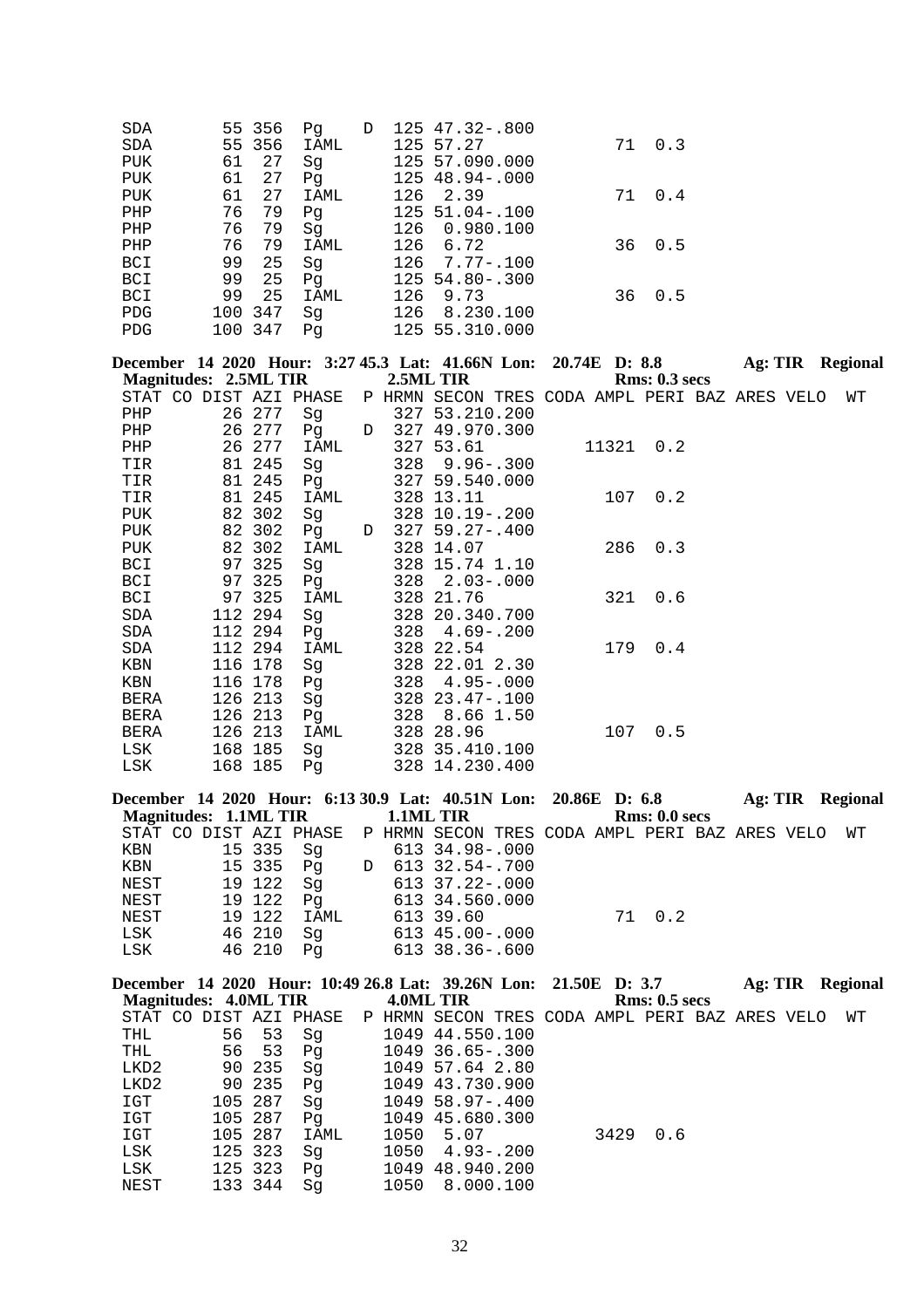|            | Pq     | D      |           |                                                                                                                                                                                                   |    |     |
|------------|--------|--------|-----------|---------------------------------------------------------------------------------------------------------------------------------------------------------------------------------------------------|----|-----|
|            | IAML   |        |           |                                                                                                                                                                                                   | 71 | 0.3 |
| 61<br>27   | Sq     |        |           |                                                                                                                                                                                                   |    |     |
| 61<br>27   | Pq     |        |           |                                                                                                                                                                                                   |    |     |
| 27<br>61   | IAML   |        |           |                                                                                                                                                                                                   | 71 | 0.4 |
| 76<br>79   | Pq     |        |           |                                                                                                                                                                                                   |    |     |
| 76<br>79   | Sq     |        | 0.980.100 |                                                                                                                                                                                                   |    |     |
| 76<br>79   | IAML   |        |           |                                                                                                                                                                                                   | 36 | 0.5 |
| 99<br>25   | Sq     |        |           |                                                                                                                                                                                                   |    |     |
| 99<br>25   | Pq     |        |           |                                                                                                                                                                                                   |    |     |
| 99<br>25   | IAML   |        | 9.73      |                                                                                                                                                                                                   | 36 | 0.5 |
| 347<br>100 | Sq     |        | 8.230.100 |                                                                                                                                                                                                   |    |     |
| 100 347    | Pq     |        |           |                                                                                                                                                                                                   |    |     |
|            | 55 356 | 55 356 |           | 125 47.32-.800<br>125 57.27<br>125 57.090.000<br>125 48.94 -. 000<br>126 2.39<br>$125, 51.04 - .100$<br>126<br>126 6.72<br>$126$ 7.77-.100<br>$125, 54.80 - .300$<br>126<br>126<br>125 55.310.000 |    |     |

| December 14 2020 Hour: 3:27 45.3 Lat: 41.66N Lon: 20.74E D: 8.8 |         |      |   |                                                |  |       |               |  | Ag: TIR Regional |
|-----------------------------------------------------------------|---------|------|---|------------------------------------------------|--|-------|---------------|--|------------------|
| <b>Magnitudes: 2.5ML TIR</b>                                    |         |      |   | 2.5ML TIR                                      |  |       | Rms: 0.3~secs |  |                  |
| STAT CO DIST AZI PHASE                                          |         |      |   | P HRMN SECON TRES CODA AMPL PERI BAZ ARES VELO |  |       |               |  | WΤ               |
| PHP                                                             | 26 277  | Sg   |   | 327 53.210.200                                 |  |       |               |  |                  |
| PHP                                                             | 26 277  | Pg   |   | D 327 49.970.300                               |  |       |               |  |                  |
| PHP                                                             | 26 277  | IAML |   | 327 53.61                                      |  | 11321 | 0.2           |  |                  |
| TIR                                                             | 81 245  | Sg   |   | $328$ $9.96 - .300$                            |  |       |               |  |                  |
| TIR                                                             | 81 245  | Pg   |   | 327 59.540.000                                 |  |       |               |  |                  |
| TIR                                                             | 81 245  | IAML |   | 328 13.11                                      |  | 107   | 0.2           |  |                  |
| PUK                                                             | 82 302  | Sg   |   | $328$ 10.19 - .200                             |  |       |               |  |                  |
| PUK                                                             | 82 302  | Pg   | D | $327, 59.27 - .400$                            |  |       |               |  |                  |
| PUK                                                             | 82 302  | IAML |   | 328 14.07                                      |  | 286   | 0.3           |  |                  |
| BCI                                                             | 97 325  | Sq   |   | 328 15.74 1.10                                 |  |       |               |  |                  |
| BCI                                                             | 97 325  | Pq   |   | $328$ $2.03 - .000$                            |  |       |               |  |                  |
| BCI                                                             | 97 325  | IAML |   | 328 21.76                                      |  | 321   | 0.6           |  |                  |
| SDA                                                             | 112 294 | Sq   |   | 328 20.340.700                                 |  |       |               |  |                  |
| SDA                                                             | 112 294 | Pg   |   | $328$ 4.69 - .200                              |  |       |               |  |                  |
| SDA                                                             | 112 294 | IAML |   | 328 22.54                                      |  | 179   | 0.4           |  |                  |
| KBN                                                             | 116 178 | Sg   |   | 328 22.01 2.30                                 |  |       |               |  |                  |
| KBN                                                             | 116 178 | Pq   |   | $328$ 4.95 -.000                               |  |       |               |  |                  |
| BERA                                                            | 126 213 | Sg   |   | $328$ $23.47 - .100$                           |  |       |               |  |                  |
| <b>BERA</b>                                                     | 126 213 | Pq   |   | 328 8.66 1.50                                  |  |       |               |  |                  |
| BERA                                                            | 126 213 | IAML |   | 328 28.96                                      |  | 107   | 0.5           |  |                  |
| LSK                                                             | 168 185 | Sq   |   | 328 35.410.100                                 |  |       |               |  |                  |
| LSK                                                             | 168 185 | Pq   |   | 328 14.230.400                                 |  |       |               |  |                  |

| December 14 2020 Hour: 6:13 30.9 Lat: 40.51N Lon: 20.86E D: 6.8       |        |                |           |                |  |               |  | Ag: TIR Regional |
|-----------------------------------------------------------------------|--------|----------------|-----------|----------------|--|---------------|--|------------------|
| Magnitudes: 1.1ML TIR                                                 |        |                | 1.1ML TIR |                |  | Rms: 0.0 secs |  |                  |
| STAT CO DIST AZI PHASE P HRMN SECON TRES CODA AMPL PERI BAZ ARES VELO |        |                |           |                |  |               |  | WT               |
| KBN                                                                   | 15 335 | Sq             |           | 613 34.98-.000 |  |               |  |                  |
| KBN                                                                   | 15 335 |                |           |                |  |               |  |                  |
| NEST                                                                  | 19 122 | Sq             |           | 613 37.22-.000 |  |               |  |                  |
| NEST                                                                  | 19 122 | P <sub>q</sub> |           | 613 34.560.000 |  |               |  |                  |
| NEST                                                                  | 19 122 | IAML           |           | 613 39.60      |  | 71 0.2        |  |                  |
| LSK                                                                   | 46 210 | Sq             |           | 613 45.00-.000 |  |               |  |                  |
| LSK                                                                   | 46 210 | P <sub>q</sub> |           | 613 38.36-.600 |  |               |  |                  |
|                                                                       |        |                |           |                |  |               |  |                  |

| December 14 2020 Hour: 10:49 26.8 Lat: 39.26N Lon: 21.50E D: 3.7<br>Magnitudes: 4.0ML TIR |    |         |      | 4.0ML TIR |                                                |  |      | <b>Rms: 0.5 secs</b> | Ag: TIR | <b>Regional</b> |
|-------------------------------------------------------------------------------------------|----|---------|------|-----------|------------------------------------------------|--|------|----------------------|---------|-----------------|
| STAT CO DIST AZI PHASE                                                                    |    |         |      |           | P HRMN SECON TRES CODA AMPL PERI BAZ ARES VELO |  |      |                      |         | WТ              |
| THL                                                                                       | 56 | 53      | Sq   |           | 1049 44.550.100                                |  |      |                      |         |                 |
| THL                                                                                       | 56 | 53      | Pq   |           | 1049 36.65-.300                                |  |      |                      |         |                 |
| LKD2                                                                                      |    | 90 235  | Sq   |           | 1049 57.64 2.80                                |  |      |                      |         |                 |
| LKD2                                                                                      |    | 90 235  | Pq   |           | 1049 43.730.900                                |  |      |                      |         |                 |
| IGT                                                                                       |    | 105 287 | Sq   |           | $1049$ 58.97-.400                              |  |      |                      |         |                 |
| IGT                                                                                       |    | 105 287 | Pq   |           | 1049 45.680.300                                |  |      |                      |         |                 |
| IGT                                                                                       |    | 105 287 | IAML | 1050      | 5.07                                           |  | 3429 | 0.6                  |         |                 |
| LSK                                                                                       |    | 125 323 | Sq   |           | $1050 \quad 4.93 - .200$                       |  |      |                      |         |                 |
| LSK                                                                                       |    | 125 323 | Pq   |           | 1049 48.940.200                                |  |      |                      |         |                 |
| NEST                                                                                      |    | 133 344 | Sa   | 1050      | 8.000.100                                      |  |      |                      |         |                 |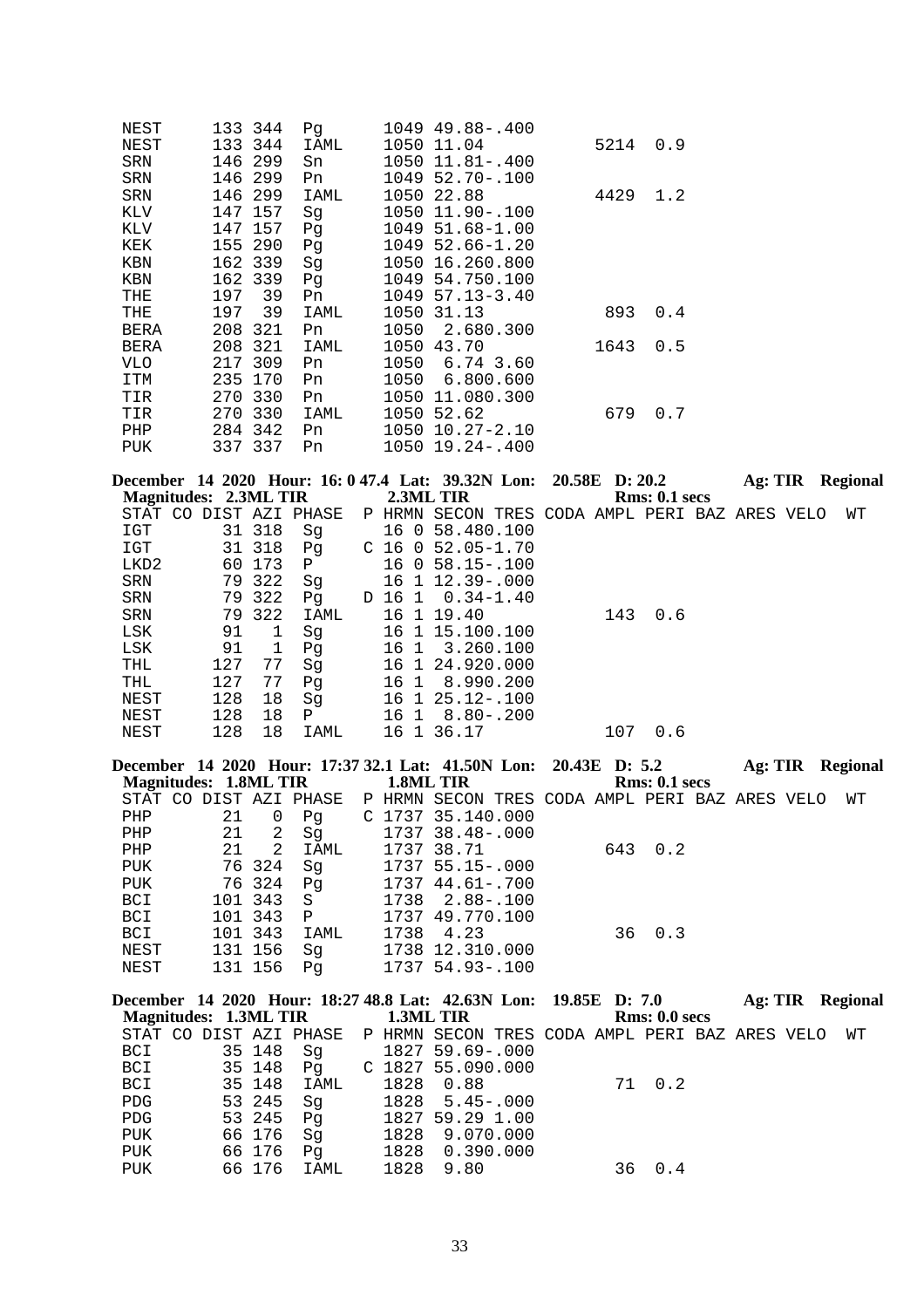| NEST | 133 344    | Pq   | 1049 49.88-.400       |      |     |
|------|------------|------|-----------------------|------|-----|
| NEST | 133 344    | IAML | 1050 11.04            | 5214 | 0.9 |
| SRN  | 146 299    | Sn   | 1050 11.81 -. 400     |      |     |
| SRN  | 146 299    | Pn   | $1049$ 52.70 - 100    |      |     |
| SRN  | 146 299    | IAML | 1050 22.88            | 4429 | 1.2 |
| KLV  | 147 157    | Sg   | 1050 11.90-.100       |      |     |
| KLV  | 147 157    | Pg   | 1049 51.68-1.00       |      |     |
| KEK  | 155 290    | Pg   | $1049$ 52.66-1.20     |      |     |
| KBN  | 162 339    | Sg   | 1050 16.260.800       |      |     |
| KBN  | 162 339    | Pg   | 1049 54.750.100       |      |     |
| THE  | 39<br>197  | Pn   | $1049$ 57.13-3.40     |      |     |
| THE  | 39<br>197  | IAML | 1050 31.13            | 893  | 0.4 |
| BERA | 208<br>321 | Pn   | 1050 2.680.300        |      |     |
| BERA | 208 321    | IAML | 1050 43.70            | 1643 | 0.5 |
| VLO  | 217 309    | Pn   | 1050 6.74 3.60        |      |     |
| ITM  | 235 170    | Pn   | 1050 6.800.600        |      |     |
| TIR  | 270 330    | Pn   | 1050 11.080.300       |      |     |
| TIR  | 270 330    | IAML | 1050 52.62            | 679  | 0.7 |
| PHP  | 284 342    | Pn   | $1050$ $10.27 - 2.10$ |      |     |
| PUK  | 337 337    | Pn   | $1050$ $19.24 - .400$ |      |     |

|                              |     |        |                        |    |      |                | December 14 2020 Hour: 16: 0 47.4 Lat: 39.32N Lon: 20.58E D: 20.2 |  |     |               | Ag: TIR |  | Regional |
|------------------------------|-----|--------|------------------------|----|------|----------------|-------------------------------------------------------------------|--|-----|---------------|---------|--|----------|
| <b>Magnitudes: 2.3ML TIR</b> |     |        |                        |    |      |                | 2.3ML TIR                                                         |  |     | Rms: 0.1~secs |         |  |          |
|                              |     |        | STAT CO DIST AZI PHASE |    |      |                | P HRMN SECON TRES CODA AMPL PERI BAZ ARES VELO                    |  |     |               |         |  | WТ       |
| IGT                          | 31  | 318    | Sq                     |    |      |                | 16 0 58.480.100                                                   |  |     |               |         |  |          |
| IGT                          |     | 31 318 | Pq                     |    |      |                | $C$ 16 0 52.05-1.70                                               |  |     |               |         |  |          |
| LKD2                         | 60  | 173    | $\mathbf{P}$           |    | 16 0 |                | $58.15 - .100$                                                    |  |     |               |         |  |          |
| SRN                          | 79  | 322    | Sq                     |    |      |                | 16 1 12.39 -. 000                                                 |  |     |               |         |  |          |
| SRN                          | 79  | 322    | Pq                     | D. |      |                | 16 1 0.34-1.40                                                    |  |     |               |         |  |          |
| SRN                          | 79  | 322    | IAML                   |    |      |                | 16 1 19.40                                                        |  | 143 | 0.6           |         |  |          |
| LSK                          | 91  |        | Sq                     |    | 16   | $\overline{1}$ | 15.100.100                                                        |  |     |               |         |  |          |
| LSK                          | 91  | 1      | Pq                     |    | 16 1 |                | 3.260.100                                                         |  |     |               |         |  |          |
| THL                          | 127 | 77     | Sq                     |    | 16 1 |                | 24.920.000                                                        |  |     |               |         |  |          |
| THL                          | 127 | 77     | Pq                     |    | 16 1 |                | 8.990.200                                                         |  |     |               |         |  |          |
| NEST                         | 128 | 18     | Sq                     |    | 16 1 |                | $25.12 - 100$                                                     |  |     |               |         |  |          |
| NEST                         | 128 | 18     | Ρ                      |    | 16 1 |                | $8.80 - .200$                                                     |  |     |               |         |  |          |
| NEST                         | 128 | 18     | IAML                   |    | 16   | $\mathbf{1}$   | 36.17                                                             |  | 107 | 0.6           |         |  |          |

|    |   |                                                                             |                                                                  |      |        |                                            |                                                                                                                                      |     |               |               |                                                                             | Regional                                |
|----|---|-----------------------------------------------------------------------------|------------------------------------------------------------------|------|--------|--------------------------------------------|--------------------------------------------------------------------------------------------------------------------------------------|-----|---------------|---------------|-----------------------------------------------------------------------------|-----------------------------------------|
|    |   |                                                                             |                                                                  |      |        |                                            |                                                                                                                                      |     |               |               |                                                                             |                                         |
|    |   |                                                                             |                                                                  |      |        |                                            |                                                                                                                                      |     |               |               |                                                                             | WТ                                      |
| 21 | O | Pq                                                                          |                                                                  |      |        |                                            |                                                                                                                                      |     |               |               |                                                                             |                                         |
|    |   | Sg                                                                          |                                                                  |      |        |                                            |                                                                                                                                      |     |               |               |                                                                             |                                         |
| 21 |   | IAML                                                                        |                                                                  |      |        |                                            |                                                                                                                                      |     |               |               |                                                                             |                                         |
|    |   | Sq                                                                          |                                                                  |      |        |                                            |                                                                                                                                      |     |               |               |                                                                             |                                         |
|    |   | Pq                                                                          |                                                                  |      |        |                                            |                                                                                                                                      |     |               |               |                                                                             |                                         |
|    |   | S.                                                                          |                                                                  |      |        |                                            |                                                                                                                                      |     |               |               |                                                                             |                                         |
|    |   | $\mathbf{P}$                                                                |                                                                  |      |        |                                            |                                                                                                                                      |     |               |               |                                                                             |                                         |
|    |   | IAML                                                                        |                                                                  | 1738 | 4.23   |                                            |                                                                                                                                      | 0.3 |               |               |                                                                             |                                         |
|    |   | Sq                                                                          |                                                                  |      |        |                                            |                                                                                                                                      |     |               |               |                                                                             |                                         |
|    |   | Pa                                                                          |                                                                  |      |        |                                            |                                                                                                                                      |     |               |               |                                                                             |                                         |
|    |   | 21<br>76324<br>76324<br>101 343<br>101 343<br>101 343<br>131 156<br>131 156 | <b>Magnitudes: 1.8ML TIR</b><br>STAT CO DIST AZI PHASE<br>2<br>2 |      | P HRMN | 1.8ML TIR<br>1737 38.71<br>1737 44.61-.700 | $C$ 1737 35.140.000<br>1737 38.48-.000<br>1737 55.15-.000<br>1738 2.88-.100<br>1737 49.770.100<br>1738 12.310.000<br>1737 54.93-.100 |     | 643 0.2<br>36 | Rms: 0.1~secs | December 14 2020 Hour: 17:37 32.1 Lat: 41.50N Lon: 20.43E D: 5.2<br>Ag: TIR | SECON TRES CODA AMPL PERI BAZ ARES VELO |

|            |  |        | December 14 2020 Hour: 18:27 48.8 Lat: 42.63N Lon: 19.85E D: 7.0      |  |                   |  |        |               |  | Ag: TIR Regional |
|------------|--|--------|-----------------------------------------------------------------------|--|-------------------|--|--------|---------------|--|------------------|
|            |  |        | Magnitudes: 1.3ML TIR 1.3ML TIR                                       |  |                   |  |        | Rms: 0.0 secs |  |                  |
|            |  |        | STAT CO DIST AZI PHASE P HRMN SECON TRES CODA AMPL PERI BAZ ARES VELO |  |                   |  |        |               |  | WТ               |
| BCI        |  | 35 148 | Sq                                                                    |  | 1827 59.69-.000   |  |        |               |  |                  |
| BCI 35 148 |  |        | Pq                                                                    |  | C 1827 55.090.000 |  |        |               |  |                  |
| BCI        |  | 35 148 | IAML                                                                  |  | 1828   0.88       |  | 71 0.2 |               |  |                  |
| <b>PDG</b> |  | 53 245 | Sq                                                                    |  | 1828 5.45-.000    |  |        |               |  |                  |
| PDG        |  | 53 245 | Pq                                                                    |  | 1827 59.29 1.00   |  |        |               |  |                  |
| PUK        |  | 66 176 | Sq                                                                    |  | 1828 9.070.000    |  |        |               |  |                  |
| PUK        |  | 66 176 | Pq                                                                    |  | 1828 0.390.000    |  |        |               |  |                  |
| PUK        |  | 66 176 | IAML                                                                  |  | 1828 9.80         |  |        | 36 0.4        |  |                  |
|            |  |        |                                                                       |  |                   |  |        |               |  |                  |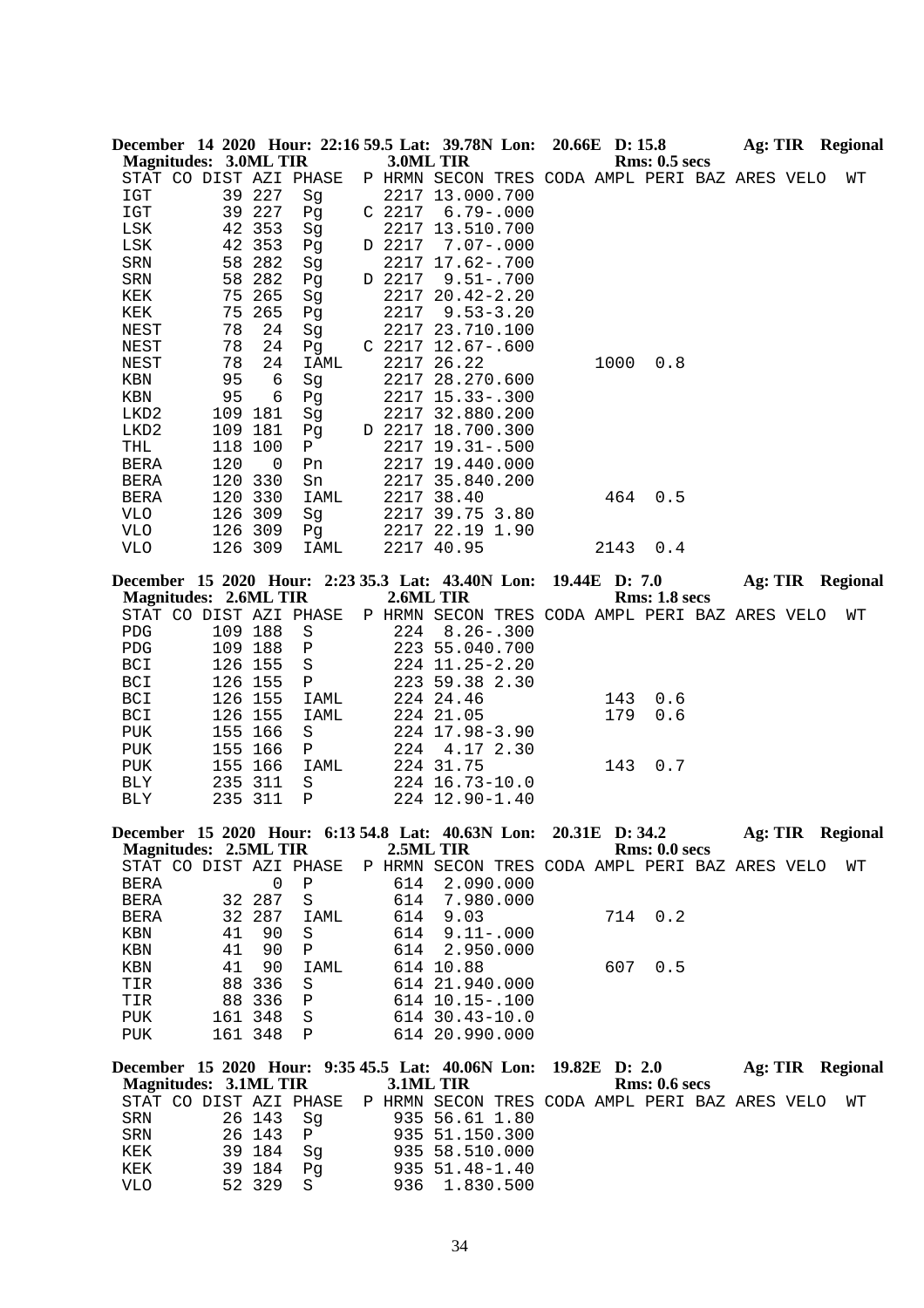| <b>Magnitudes: 3.0ML TIR</b> |          |                    |                        | 3.0ML TIR | December 14 2020 Hour: 22:16 59.5 Lat: 39.78N Lon: 20.66E D: 15.8 |  |            | <b>Rms: 0.5 secs</b> |  |  | Ag: TIR Regional        |
|------------------------------|----------|--------------------|------------------------|-----------|-------------------------------------------------------------------|--|------------|----------------------|--|--|-------------------------|
|                              |          |                    | STAT CO DIST AZI PHASE |           | P HRMN SECON TRES CODA AMPL PERI BAZ ARES VELO                    |  |            |                      |  |  | WΤ                      |
| IGT                          |          | 39 227             | Sg                     |           | 2217 13.000.700                                                   |  |            |                      |  |  |                         |
| IGT                          |          | 39 227             | Pg                     |           | $C$ 2217 6.79-.000                                                |  |            |                      |  |  |                         |
| LSK                          | 42       | 353                | Sg                     |           | 2217 13.510.700                                                   |  |            |                      |  |  |                         |
| LSK                          | 42       | 353                | Pg                     | D 2217    | $7.07 - .000$                                                     |  |            |                      |  |  |                         |
| SRN                          | 58       | 282                | Sg                     |           | 2217 17.62-.700                                                   |  |            |                      |  |  |                         |
| SRN                          | 58       | 282                | Pg                     | D 2217    | $9.51 - .700$                                                     |  |            |                      |  |  |                         |
| KEK                          | 75       | 265                | Sg                     |           | 2217 20.42-2.20                                                   |  |            |                      |  |  |                         |
| KEK                          | 75       | 265                | Pg                     | 2217      | $9.53 - 3.20$                                                     |  |            |                      |  |  |                         |
| NEST                         | 78       | 24                 | Sg                     |           | 2217 23.710.100                                                   |  |            |                      |  |  |                         |
| NEST                         | 78       | 24                 | Pg                     |           | $C$ 2217 12.67-.600                                               |  |            |                      |  |  |                         |
| NEST                         | 78       | 24<br>$\epsilon$   | IAML                   |           | 2217 26.22<br>2217 28.270.600                                     |  | 1000       | 0.8                  |  |  |                         |
| $\operatorname{KBN}$<br>KBN  | 95<br>95 | 6                  | Sg                     |           | 2217 15.33 -. 300                                                 |  |            |                      |  |  |                         |
| LKD2                         | 109      | 181                | Pg<br>Sg               |           | 2217 32.880.200                                                   |  |            |                      |  |  |                         |
| LKD2                         | 109      | 181                | Pg                     |           | D 2217 18.700.300                                                 |  |            |                      |  |  |                         |
| THL                          |          | 118 100            | $\mathbf{P}$           |           | 2217 19.31 -. 500                                                 |  |            |                      |  |  |                         |
| BERA                         | 120      | 0                  | Pn                     |           | 2217 19.440.000                                                   |  |            |                      |  |  |                         |
| <b>BERA</b>                  |          | 120 330            | Sn                     |           | 2217 35.840.200                                                   |  |            |                      |  |  |                         |
| <b>BERA</b>                  |          | 120 330            | IAML                   |           | 2217 38.40                                                        |  | 464        | 0.5                  |  |  |                         |
| <b>VLO</b>                   |          | 126 309            | Sg                     |           | 2217 39.75 3.80                                                   |  |            |                      |  |  |                         |
| <b>VLO</b>                   |          | 126 309            | Pg                     |           | 2217 22.19 1.90                                                   |  |            |                      |  |  |                         |
| <b>VLO</b>                   |          | 126 309            | IAML                   |           | 2217 40.95                                                        |  | 2143       | 0.4                  |  |  |                         |
|                              |          |                    |                        |           | December 15 2020 Hour: 2:23 35.3 Lat: 43.40N Lon:                 |  |            | 19.44E D: 7.0        |  |  | Ag: TIR Regional        |
| <b>Magnitudes: 2.6ML TIR</b> |          |                    |                        | 2.6ML TIR |                                                                   |  |            | <b>Rms: 1.8 secs</b> |  |  |                         |
|                              |          |                    | STAT CO DIST AZI PHASE |           | P HRMN SECON TRES CODA AMPL PERI BAZ ARES VELO                    |  |            |                      |  |  | WΤ                      |
| <b>PDG</b>                   |          | 109 188            | $\rm S$                | 224       | $8.26 - .300$                                                     |  |            |                      |  |  |                         |
| ${\rm PDG}$                  |          | 109 188            | $\, {\bf P}$           |           | 223 55.040.700                                                    |  |            |                      |  |  |                         |
| <b>BCI</b>                   |          | 126 155            | $\rm S$                |           | 224 11.25-2.20                                                    |  |            |                      |  |  |                         |
| BCI                          |          | 126 155            | Ρ                      |           | 223 59.38 2.30<br>224 24.46                                       |  |            |                      |  |  |                         |
| BCI<br>BCI                   |          | 126 155<br>126 155 | IAML                   |           | 224 21.05                                                         |  | 143<br>179 | 0.6<br>0.6           |  |  |                         |
| ${\tt PUK}$                  |          | 155 166            | IAML<br>$\rm S$        |           | 224 17.98-3.90                                                    |  |            |                      |  |  |                         |
| ${\tt PUK}$                  |          | 155 166            | Ρ                      | 224       | 4.17 2.30                                                         |  |            |                      |  |  |                         |
| PUK                          | 155      | 166                | IAML                   |           | 224 31.75                                                         |  | 143        | 0.7                  |  |  |                         |
| BLY                          |          | 235 311            | S                      |           | 224 16.73-10.0                                                    |  |            |                      |  |  |                         |
| BLY                          | 235      | 311                | $\mathbf P$            |           | 224 12.90-1.40                                                    |  |            |                      |  |  |                         |
|                              |          |                    |                        |           | December 15 2020 Hour: 6:13 54.8 Lat: 40.63N Lon: 20.31E D: 34.2  |  |            |                      |  |  | <b>Ag: TIR</b> Regional |
| <b>Magnitudes: 2.5ML TIR</b> |          |                    |                        | 2.5ML TIR |                                                                   |  |            | Rms: 0.0 secs        |  |  |                         |
|                              |          |                    | STAT CO DIST AZI PHASE |           | P HRMN SECON TRES CODA AMPL PERI BAZ ARES VELO                    |  |            |                      |  |  | WТ                      |
| BERA                         |          | 0                  | Ρ                      | 614       | 2.090.000                                                         |  |            |                      |  |  |                         |
| <b>BERA</b>                  |          | 32 287             | $\rm S$                | 614       | 7.980.000                                                         |  |            |                      |  |  |                         |
| BERA                         |          | 32 287             | IAML                   | 614       | 9.03                                                              |  | 714        | 0.2                  |  |  |                         |
| KBN                          | 41       | 90                 | S                      | 614       | $9.11 - .000$                                                     |  |            |                      |  |  |                         |
| KBN                          | 41       | 90                 | Ρ                      | 614       | 2.950.000                                                         |  |            |                      |  |  |                         |
| KBN                          | 41       | 90                 | IAML                   |           | 614 10.88                                                         |  | 607        | 0.5                  |  |  |                         |
| TIR                          | 88       | 336                | S                      |           | 614 21.940.000                                                    |  |            |                      |  |  |                         |
| TIR                          |          | 88 336             | Ρ                      |           | 614 10.15 -. 100                                                  |  |            |                      |  |  |                         |
| PUK<br>PUK                   |          | 161 348<br>161 348 | S<br>$\mathbf{P}$      |           | 614 30.43-10.0<br>614 20.990.000                                  |  |            |                      |  |  |                         |
|                              |          |                    |                        |           |                                                                   |  |            |                      |  |  |                         |
| <b>Magnitudes: 3.1ML TIR</b> |          |                    |                        | 3.1ML TIR | December 15 2020 Hour: 9:35 45.5 Lat: 40.06N Lon: 19.82E D: 2.0   |  |            | <b>Rms: 0.6 secs</b> |  |  | Ag: TIR Regional        |
|                              |          |                    |                        |           |                                                                   |  |            |                      |  |  |                         |

| Magnitudes: 3.1ML TIR  |           |    | <b>3.1ML TIR</b> |                                                |  | <b>Rms: 0.6 secs</b> |  |    |  |
|------------------------|-----------|----|------------------|------------------------------------------------|--|----------------------|--|----|--|
| STAT CO DIST AZI PHASE |           |    |                  | P HRMN SECON TRES CODA AMPL PERI BAZ ARES VELO |  |                      |  | WТ |  |
| SRN                    | 26 143    | Sa |                  | 935 56.61 1.80                                 |  |                      |  |    |  |
| SRN                    | 26 143 P  |    |                  | 935 51.150.300                                 |  |                      |  |    |  |
| KEK                    | 39 184 Sq |    |                  | 935 58.510.000                                 |  |                      |  |    |  |
| KEK                    | 39 184    | Pa |                  | $935 \t51.48 - 1.40$                           |  |                      |  |    |  |
| <b>VLO</b>             | 52 329 S  |    |                  | 936 1.830.500                                  |  |                      |  |    |  |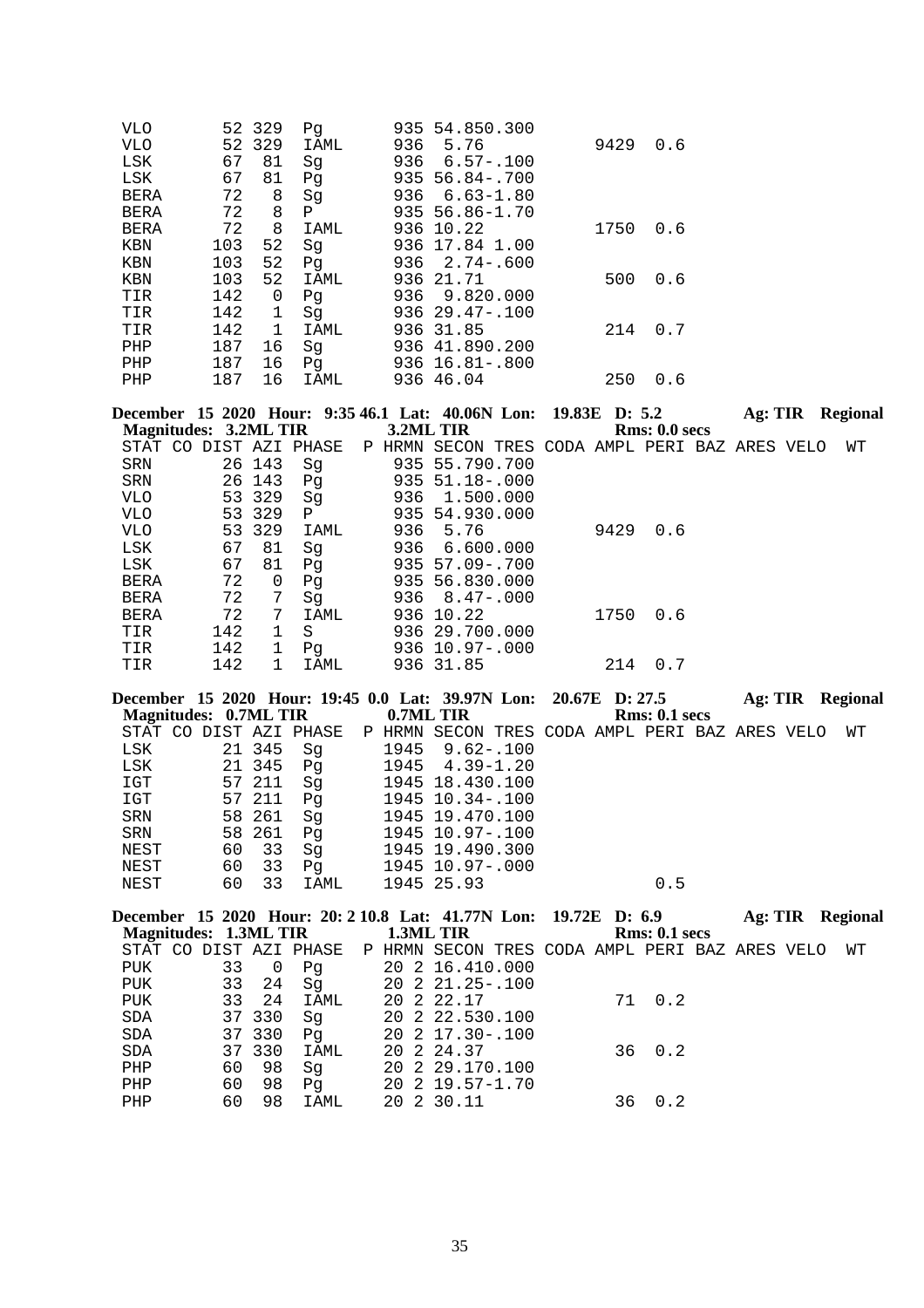| <b>VLO</b>  |     | 52 329      | Pq          |     | 935 54.850.300       |      |     |
|-------------|-----|-------------|-------------|-----|----------------------|------|-----|
| <b>VLO</b>  |     | 52 329      | IAML        | 936 | 5.76                 | 9429 | 0.6 |
| LSK         | 67  | 81          | Sq          | 936 | $6.57 - .100$        |      |     |
| LSK         | 67  | 81          | Pg          | 935 | 56.84-.700           |      |     |
| <b>BERA</b> | 72  | 8           | Sq          | 936 | $6.63 - 1.80$        |      |     |
| <b>BERA</b> | 72  | 8           | Ρ           |     | 935 56.86-1.70       |      |     |
| <b>BERA</b> | 72  | 8           | <b>IAML</b> |     | 936 10.22            | 1750 | 0.6 |
| KBN         | 103 | 52          | Sq          |     | 936 17.84 1.00       |      |     |
| <b>KBN</b>  | 103 | 52          | Pq          | 936 | 2.74-.600            |      |     |
| KBN         | 103 | 52          | IAML        |     | 936 21.71            | 500  | 0.6 |
| TIR         | 142 | 0           | Pq          | 936 | 9.820.000            |      |     |
| TIR         | 142 | 1           | Sq          |     | $936$ $29.47 - .100$ |      |     |
| TIR         | 142 | $\mathbf 1$ | IAML        |     | 936 31.85            | 214  | 0.7 |
| PHP         | 187 | 16          | Sg          |     | 936 41.890.200       |      |     |
| PHP         | 187 | 16          | Pq          |     | $936 \t16.81 - .800$ |      |     |
| PHP         | 187 | 16          | IAML        |     | 936 46.04            | 250  | 0.6 |
|             |     |             |             |     |                      |      |     |

|                       |     |             |                        |        | December 15 2020 Hour: 9:35 46.1 Lat: 40.06N Lon: 19.83E D: 5.2 |  |      |               | Ag: TIR |  | <b>Regional</b> |
|-----------------------|-----|-------------|------------------------|--------|-----------------------------------------------------------------|--|------|---------------|---------|--|-----------------|
| Magnitudes: 3.2ML TIR |     |             |                        |        | 3.2ML TIR                                                       |  |      | Rms: 0.0 secs |         |  |                 |
|                       |     |             | STAT CO DIST AZI PHASE | P HRMN | SECON TRES CODA AMPL PERI BAZ ARES VELO                         |  |      |               |         |  | WТ              |
| SRN                   |     | 26 143      | Sq                     |        | 935 55.790.700                                                  |  |      |               |         |  |                 |
| SRN                   |     | 26 143      | Pq                     |        | $935 \t51.18 - .000$                                            |  |      |               |         |  |                 |
| <b>VLO</b>            |     | 53 329      | Sq                     |        | 936 1.500.000                                                   |  |      |               |         |  |                 |
| <b>VLO</b>            |     | 53 329      | $\mathbf{P}$           |        | 935 54.930.000                                                  |  |      |               |         |  |                 |
| VLO.                  |     | 53 329      | IAML                   | 936    | 5.76                                                            |  | 9429 | 0.6           |         |  |                 |
| LSK                   | 67  | 81          | Sg                     | 936    | 6.600.000                                                       |  |      |               |         |  |                 |
| LSK                   | 67  | 81          | Pq                     |        | $935\ \ 57.09 - .700$                                           |  |      |               |         |  |                 |
| <b>BERA</b>           | 72  | $\Omega$    | Pq                     |        | 935 56.830.000                                                  |  |      |               |         |  |                 |
| <b>BERA</b>           | 72  | 7           | Sq                     |        | $936 \quad 8.47 - .000$                                         |  |      |               |         |  |                 |
| <b>BERA</b>           | 72  | 7           | IAML                   |        | 936 10.22                                                       |  | 1750 | 0.6           |         |  |                 |
| TIR                   | 142 |             | S                      |        | 936 29.700.000                                                  |  |      |               |         |  |                 |
| TIR                   | 142 | $\mathbf 1$ | Pg                     |        | $936$ 10.97-.000                                                |  |      |               |         |  |                 |
| TIR                   | 142 |             | IAML                   |        | 936 31.85                                                       |  | 214  | 0.7           |         |  |                 |

|                       |    |        | December 15 2020 Hour: 19:45 0.0 Lat: 39.97N Lon: 20.67E D: 27.5 |           |                          |  |                                   | Ag: TIR | <b>Regional</b> |
|-----------------------|----|--------|------------------------------------------------------------------|-----------|--------------------------|--|-----------------------------------|---------|-----------------|
| Magnitudes: 0.7ML TIR |    |        |                                                                  | 0.7ML TIR |                          |  | Rms: 0.1~secs                     |         |                 |
|                       |    |        | STAT CO DIST AZI PHASE                                           | P HRMN    | SECON                    |  | TRES CODA AMPL PERI BAZ ARES VELO |         | WТ              |
| LSK                   |    | 21 345 | Sq                                                               | 1945      | $9.62 - .100$            |  |                                   |         |                 |
| LSK                   |    | 21 345 | Pq                                                               |           | $1945 \quad 4.39 - 1.20$ |  |                                   |         |                 |
| IGT                   |    | 57 211 | Sq                                                               |           | 1945 18.430.100          |  |                                   |         |                 |
| IGT                   |    | 57 211 | Pq                                                               |           | 1945 10.34 -. 100        |  |                                   |         |                 |
| <b>SRN</b>            |    | 58 261 | Sq                                                               |           | 1945 19.470.100          |  |                                   |         |                 |
| SRN                   |    | 58 261 | Pq                                                               |           | 1945 10.97-.100          |  |                                   |         |                 |
| NEST                  | 60 | 33     | Sq                                                               |           | 1945 19.490.300          |  |                                   |         |                 |
| NEST                  | 60 | 33     | Pq                                                               |           | 1945 10.97-.000          |  |                                   |         |                 |
| NEST                  | 60 | 33     | IAML                                                             |           | 1945 25.93               |  | 0.5                               |         |                 |
|                       |    |        |                                                                  |           |                          |  |                                   |         |                 |

|            |                       |        |                        |  | December 15 2020 Hour: 20: 2 10.8 Lat: 41.77N Lon: 19.72E D: 6.9 |  |     |               | Ag: TIR |  | <b>Regional</b> |
|------------|-----------------------|--------|------------------------|--|------------------------------------------------------------------|--|-----|---------------|---------|--|-----------------|
|            | Magnitudes: 1.3ML TIR |        |                        |  | 1.3ML TIR                                                        |  |     | Rms: 0.1~secs |         |  |                 |
|            |                       |        | STAT CO DIST AZI PHASE |  | P HRMN SECON TRES CODA AMPL PERI BAZ ARES VELO                   |  |     |               |         |  | WТ              |
| PUK        | 33                    | 0      | Pq                     |  | 20 2 16.410.000                                                  |  |     |               |         |  |                 |
| PUK        | 33                    | 24     | Sg                     |  | 20 2 21.25-.100                                                  |  |     |               |         |  |                 |
| PUK        | 33                    | 24     | IAML                   |  | 20 2 22.17                                                       |  |     | 71 0.2        |         |  |                 |
| SDA        |                       | 37 330 | Sg                     |  | 20 2 22.530.100                                                  |  |     |               |         |  |                 |
| <b>SDA</b> |                       | 37 330 | Pq                     |  | 20 2 17.30 - .100                                                |  |     |               |         |  |                 |
| <b>SDA</b> |                       | 37 330 | IAML                   |  | 20 2 24.37                                                       |  |     | $36 \t 0.2$   |         |  |                 |
| PHP        | 60                    | 98     | Sq                     |  | 20 2 29.170.100                                                  |  |     |               |         |  |                 |
| PHP        | 60                    | 98     | Pq                     |  | 20 2 19.57-1.70                                                  |  |     |               |         |  |                 |
| PHP        | 60                    | 98     | IAML                   |  | 20 2 30.11                                                       |  | 36. | 0.2           |         |  |                 |
|            |                       |        |                        |  |                                                                  |  |     |               |         |  |                 |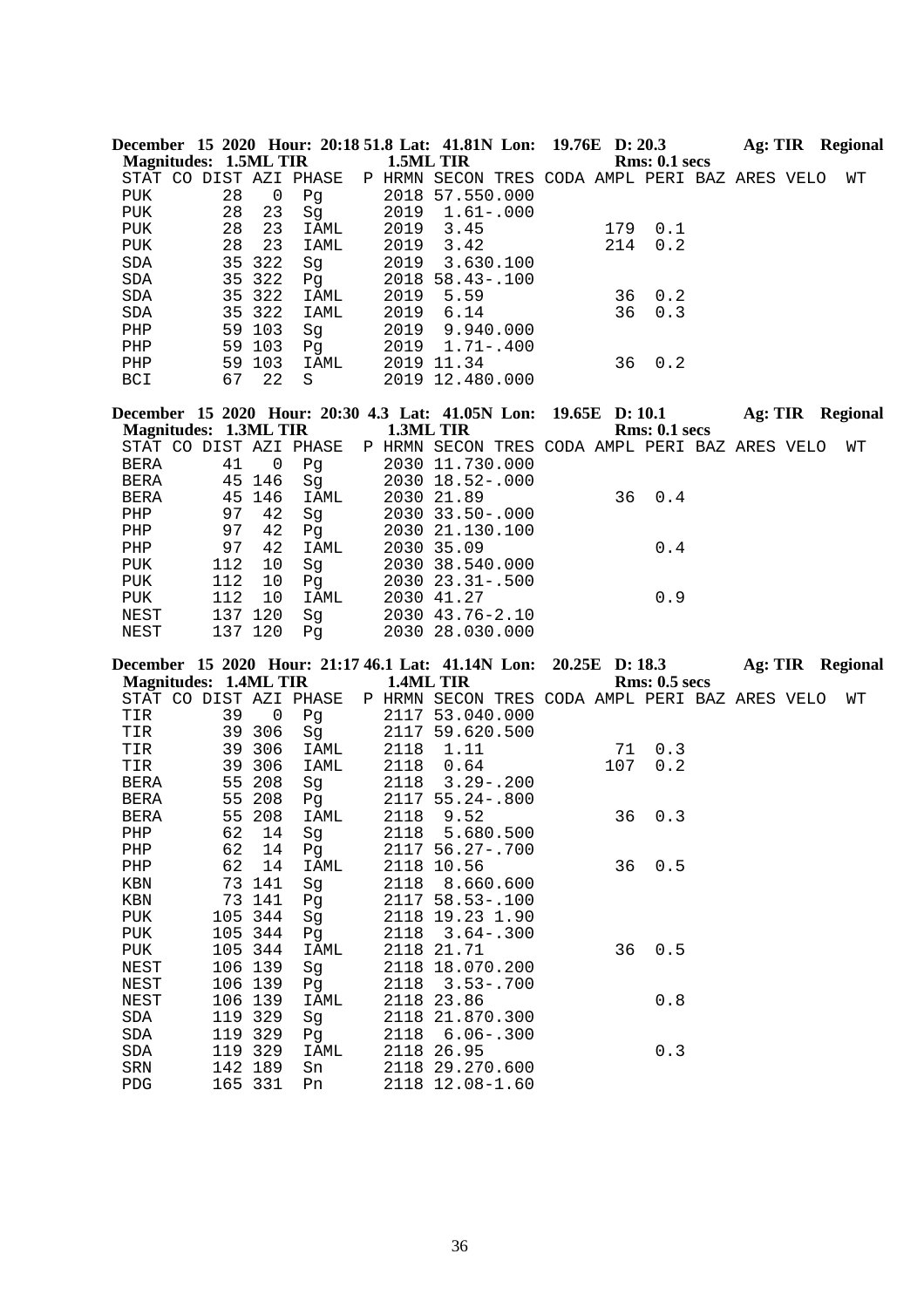| December 15 2020 Hour: 20:18 51.8 Lat: 41.81N Lon: 19.76E D: 20.3 |    |        |      |                                                                       |                   |  |     |               | Ag: TIR | Regional |
|-------------------------------------------------------------------|----|--------|------|-----------------------------------------------------------------------|-------------------|--|-----|---------------|---------|----------|
| Magnitudes: 1.5ML TIR                                             |    |        |      |                                                                       | 1.5ML TIR         |  |     | Rms: 0.1~secs |         |          |
|                                                                   |    |        |      | STAT CO DIST AZI PHASE P HRMN SECON TRES CODA AMPL PERI BAZ ARES VELO |                   |  |     |               |         | WТ       |
| PUK                                                               | 28 | 0      | Pg   |                                                                       | 2018 57.550.000   |  |     |               |         |          |
| PUK                                                               | 28 | 23     | Sq   | 2019                                                                  | $1.61 - .000$     |  |     |               |         |          |
| PUK                                                               | 28 | 23     | IAML | 2019                                                                  | 3.45              |  | 179 | 0.1           |         |          |
| PUK                                                               | 28 | 23     | IAML | 2019                                                                  | 3.42              |  | 214 | 0.2           |         |          |
| <b>SDA</b>                                                        |    | 35 322 | Sq   | 2019                                                                  | 3.630.100         |  |     |               |         |          |
| SDA                                                               |    | 35 322 | Pq   |                                                                       | $2018$ 58.43-.100 |  |     |               |         |          |
| <b>SDA</b>                                                        |    | 35 322 | IAML | 2019                                                                  | 5.59              |  | 36  | 0.2           |         |          |
| SDA                                                               |    | 35 322 | IAML | 2019                                                                  | 6.14              |  | 36  | 0.3           |         |          |
| PHP                                                               |    | 59 103 | Sq   | 2019                                                                  | 9.940.000         |  |     |               |         |          |
| PHP                                                               |    | 59 103 | Pq   | 2019                                                                  | $1.71 - .400$     |  |     |               |         |          |
| PHP                                                               | 59 | 103    | IAML |                                                                       | 2019 11.34        |  | 36  | 0.2           |         |          |
| <b>BCI</b>                                                        | 67 | 22     | S    |                                                                       | 2019 12.480.000   |  |     |               |         |          |

| December 15 2020 Hour: 20:30 4.3 Lat: 41.05N Lon: 19.65E D: 10.1 |     |         |             |           |                                                |  |  |               | Ag: TIR |  | Regional |
|------------------------------------------------------------------|-----|---------|-------------|-----------|------------------------------------------------|--|--|---------------|---------|--|----------|
| Magnitudes: 1.3ML TIR                                            |     |         |             | 1.3ML TIR |                                                |  |  | Rms: 0.1~secs |         |  |          |
| STAT CO DIST AZI PHASE                                           |     |         |             |           | P HRMN SECON TRES CODA AMPL PERI BAZ ARES VELO |  |  |               |         |  | WТ       |
| BERA                                                             | 41  | 0       | Pg          |           | 2030 11.730.000                                |  |  |               |         |  |          |
| BERA                                                             |     | 45 146  | Sq          |           | 2030 18.52-.000                                |  |  |               |         |  |          |
| BERA                                                             |     | 45 146  | IAML        |           | 2030 21.89                                     |  |  | 36 0.4        |         |  |          |
| PHP                                                              | 97  | 42      | Sq          |           | $2030$ 33.50 - 000                             |  |  |               |         |  |          |
| PHP                                                              | 97  | 42      | Pg          |           | 2030 21.130.100                                |  |  |               |         |  |          |
| PHP                                                              | 97  | 42      | IAML        |           | 2030 35.09                                     |  |  | 0.4           |         |  |          |
| PUK                                                              | 112 | 10      | Sq          |           | 2030 38.540.000                                |  |  |               |         |  |          |
| PUK                                                              | 112 | 10      | Pq          |           | $2030$ $23.31 - .500$                          |  |  |               |         |  |          |
| PUK                                                              | 112 | 10      | <b>IAML</b> |           | 2030 41.27                                     |  |  | 0.9           |         |  |          |
| NEST                                                             |     | 137 120 | Sq          |           | $2030$ 43.76-2.10                              |  |  |               |         |  |          |
| NEST                                                             |     | 137 120 | Pq          |           | 2030 28.030.000                                |  |  |               |         |  |          |

|                              |         |                |                        |           | December 15 2020 Hour: 21:17 46.1 Lat: 41.14N Lon: 20.25E D: 18.3 |     |               |  | <b>Ag: TIR Regional</b> |
|------------------------------|---------|----------------|------------------------|-----------|-------------------------------------------------------------------|-----|---------------|--|-------------------------|
| <b>Magnitudes: 1.4ML TIR</b> |         |                |                        | 1.4ML TIR |                                                                   |     | Rms: 0.5~secs |  |                         |
|                              |         |                | STAT CO DIST AZI PHASE |           | P HRMN SECON TRES CODA AMPL PERI BAZ ARES VELO                    |     |               |  | WТ                      |
| TIR                          | 39      | $\overline{0}$ | Pg                     |           | 2117 53.040.000                                                   |     |               |  |                         |
| TIR                          |         | 39 306         | Sg                     |           | 2117 59.620.500                                                   |     |               |  |                         |
| TIR                          |         | 39 306         | IAML                   |           | 2118 1.11                                                         | 71  | 0.3           |  |                         |
| TIR                          |         | 39 306         | IAML                   | 2118      | 0.64                                                              | 107 | 0.2           |  |                         |
| BERA                         |         | 55 208         | Sg                     |           | 2118 3.29 -. 200                                                  |     |               |  |                         |
| BERA                         |         | 55 208         | Pg                     |           | 2117 55.24-.800                                                   |     |               |  |                         |
| BERA                         |         | 55 208         | IAML                   | 2118      | 9.52                                                              | 36  | 0.3           |  |                         |
| PHP                          | 62      | 14             | Sg                     |           | 2118 5.680.500                                                    |     |               |  |                         |
| PHP                          | 62      | 14             | Pg                     |           | 2117 56.27-.700                                                   |     |               |  |                         |
| PHP                          | 62      | 14             | IAML                   |           | 2118 10.56                                                        | 36  | 0.5           |  |                         |
| KBN                          |         | 73 141         | Sg                     |           | 2118 8.660.600                                                    |     |               |  |                         |
| KBN                          |         | 73 141         | PQ                     |           | 2117 58.53-.100                                                   |     |               |  |                         |
| PUK                          |         | 105 344        | Sg                     |           | 2118 19.23 1.90                                                   |     |               |  |                         |
| PUK                          |         | 105 344        | Pg                     |           | $2118$ $3.64 - .300$                                              |     |               |  |                         |
| PUK                          |         | 105 344        | IAML                   |           | 2118 21.71                                                        | 36  | 0.5           |  |                         |
| NEST                         |         | 106 139        | Sg                     |           | 2118 18.070.200                                                   |     |               |  |                         |
| NEST                         |         | 106 139        | Pq                     |           | 2118 3.53-.700                                                    |     |               |  |                         |
| NEST                         |         | 106 139        | IAML                   |           | 2118 23.86                                                        |     | 0.8           |  |                         |
| SDA                          |         | 119 329        | Sg                     |           | 2118 21.870.300                                                   |     |               |  |                         |
| SDA                          | 119 329 |                | Pq                     |           | 2118 6.06-.300                                                    |     |               |  |                         |
| SDA                          |         | 119 329        | IAML                   |           | 2118 26.95                                                        |     | 0.3           |  |                         |
| SRN                          | 142 189 |                | Sn                     |           | 2118 29.270.600                                                   |     |               |  |                         |
| PDG                          | 165 331 |                | Pn                     |           | 2118 12.08-1.60                                                   |     |               |  |                         |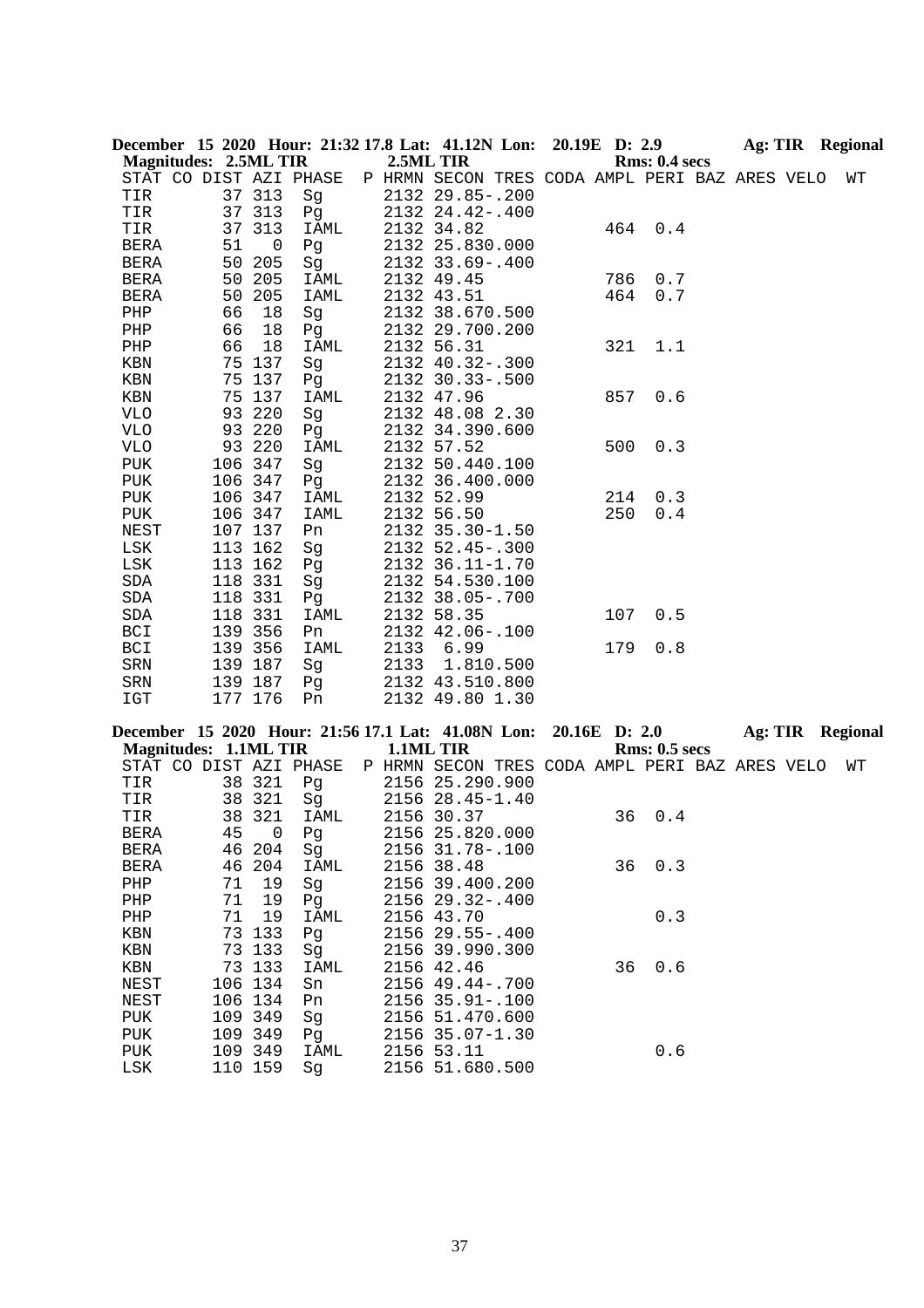|              |                              |                    |                        |      | December 15 2020 Hour: 21:32 17.8 Lat: 41.12N Lon: 20.19E D: 2.9 |            |                      |  | Ag: TIR Regional        |
|--------------|------------------------------|--------------------|------------------------|------|------------------------------------------------------------------|------------|----------------------|--|-------------------------|
|              | <b>Magnitudes: 2.5ML TIR</b> |                    |                        |      | 2.5ML TIR                                                        |            | <b>Rms: 0.4 secs</b> |  |                         |
|              |                              |                    | STAT CO DIST AZI PHASE |      | P HRMN SECON TRES CODA AMPL PERI BAZ ARES VELO                   |            |                      |  | WΤ                      |
| TIR          |                              | 37 313             | Sg                     |      | 2132 29.85 -. 200                                                |            |                      |  |                         |
| TIR          |                              | 37 313             | Pg                     |      | 2132 24.42-.400                                                  |            |                      |  |                         |
| TIR          |                              | 37 313             | IAML                   |      | 2132 34.82                                                       |            | 464<br>0.4           |  |                         |
| BERA         | 51                           | $\overline{0}$     | Pg                     |      | 2132 25.830.000                                                  |            |                      |  |                         |
| BERA         |                              | 50 205             | Sg                     |      | 2132 33.69 -. 400                                                |            |                      |  |                         |
| <b>BERA</b>  |                              | 50 205             | IAML                   |      | 2132 49.45                                                       | 786<br>464 | 0.7<br>0.7           |  |                         |
| BERA<br>PHP  | 66                           | 50 205<br>18       | IAML                   |      | 2132 43.51<br>2132 38.670.500                                    |            |                      |  |                         |
| PHP          | 66                           | 18                 | Sg<br>Pg               |      | 2132 29.700.200                                                  |            |                      |  |                         |
| PHP          | 66                           | 18                 | IAML                   |      | 2132 56.31                                                       | 321        | 1.1                  |  |                         |
| KBN          |                              | 75 137             | Sg                     |      | 2132 40.32-.300                                                  |            |                      |  |                         |
| KBN          |                              | 75 137             | Pg                     |      | 2132 30.33 -. 500                                                |            |                      |  |                         |
| KBN          |                              | 75 137             | IAML                   |      | 2132 47.96                                                       | 857        | 0.6                  |  |                         |
| <b>VLO</b>   |                              | 93 220             | Sg                     |      | 2132 48.08 2.30                                                  |            |                      |  |                         |
| <b>VLO</b>   |                              | 93 220             | Pg                     |      | 2132 34.390.600                                                  |            |                      |  |                         |
| <b>VLO</b>   |                              | 93 220             | <b>IAML</b>            |      | 2132 57.52                                                       | 500        | 0.3                  |  |                         |
| PUK          |                              | 106 347            | Sg                     |      | 2132 50.440.100                                                  |            |                      |  |                         |
| PUK          |                              | 106 347            | Pg                     |      | 2132 36.400.000                                                  |            |                      |  |                         |
| PUK          |                              | 106 347            | IAML                   |      | 2132 52.99                                                       | 214        | 0.3                  |  |                         |
| PUK          |                              | 106 347            | IAML                   |      | 2132 56.50                                                       | 250        | 0.4                  |  |                         |
| <b>NEST</b>  |                              | 107 137            | Pn                     |      | 2132 35.30-1.50                                                  |            |                      |  |                         |
| LSK          |                              | 113 162            | Sg                     |      | 2132 52.45 -. 300                                                |            |                      |  |                         |
| LSK          |                              | 113 162            | Pg                     |      | 2132 36.11-1.70                                                  |            |                      |  |                         |
| SDA          |                              | 118 331            | Sg                     |      | 2132 54.530.100                                                  |            |                      |  |                         |
| SDA          |                              | 118 331            | Pg                     |      | 2132 38.05-.700                                                  |            |                      |  |                         |
| SDA          |                              | 118 331            | IAML                   |      | 2132 58.35                                                       | 107        | 0.5                  |  |                         |
| BCI          |                              | 139 356            | Pn                     |      | 2132 42.06 -. 100                                                |            |                      |  |                         |
| BCI<br>SRN   |                              | 139 356<br>139 187 | IAML<br>Sg             | 2133 | 6.99<br>2133 1.810.500                                           | 179        | 0.8                  |  |                         |
| SRN          |                              | 139 187            | Pg                     |      | 2132 43.510.800                                                  |            |                      |  |                         |
| IGT          |                              | 177 176            | Pn                     |      | 2132 49.80 1.30                                                  |            |                      |  |                         |
|              |                              |                    |                        |      |                                                                  |            |                      |  |                         |
|              |                              |                    |                        |      | December 15 2020 Hour: 21:56 17.1 Lat: 41.08N Lon:               |            | 20.16E D: 2.0        |  | <b>Ag: TIR Regional</b> |
|              | <b>Magnitudes: 1.1ML TIR</b> |                    |                        |      | 1.1ML TIR                                                        |            | <b>Rms: 0.5 secs</b> |  |                         |
|              |                              |                    | STAT CO DIST AZI PHASE |      | P HRMN SECON TRES CODA AMPL PERI BAZ ARES VELO                   |            |                      |  | WΤ                      |
| TIR          |                              | 38 321             | Pg                     |      | 2156 25.290.900                                                  |            |                      |  |                         |
| TIR          |                              | 38 321<br>38 321   | Sg                     |      | 2156 28.45-1.40                                                  |            |                      |  |                         |
| TIR<br>BERA  |                              |                    | IAML<br>45 0 Pg        |      | 2156 30.37<br>2156 25.820.000                                    | 36         | 0.4                  |  |                         |
| BERA         |                              | 46 204             | Sg                     |      | 2156 31.78 -. 100                                                |            |                      |  |                         |
| <b>BERA</b>  |                              | 46 204             | <b>IAML</b>            |      | 2156 38.48                                                       |            | 0.3<br>36            |  |                         |
| PHP          | 71                           | 19                 | Sg                     |      | 2156 39.400.200                                                  |            |                      |  |                         |
| ${\rm PHP}$  | 71                           | 19                 | Pg                     |      | 2156 29.32-.400                                                  |            |                      |  |                         |
| PHP          | 71                           | 19                 | IAML                   |      | 2156 43.70                                                       |            | 0.3                  |  |                         |
| KBN          |                              | 73 133             | Pg                     |      | 2156 29.55-.400                                                  |            |                      |  |                         |
| KBN          |                              | 73 133             | Sg                     |      | 2156 39.990.300                                                  |            |                      |  |                         |
| KBN          |                              | 73 133             | IAML                   |      | 2156 42.46                                                       | 36         | 0.6                  |  |                         |
| NEST         |                              | 106 134            | Sn                     |      | 2156 49.44 -. 700                                                |            |                      |  |                         |
| NEST         |                              | 106 134            | Pn                     |      | 2156 35.91 -. 100                                                |            |                      |  |                         |
| PUK          |                              | 109 349            | Sg                     |      | 2156 51.470.600                                                  |            |                      |  |                         |
| PUK          |                              | 109 349            | Pq                     |      | 2156 35.07-1.30                                                  |            |                      |  |                         |
| PUK          |                              | 109 349            | IAML                   |      | 2156 53.11                                                       |            | 0.6                  |  |                         |
| $_{\rm LSK}$ |                              | 110 159            | Sg                     |      | 2156 51.680.500                                                  |            |                      |  |                         |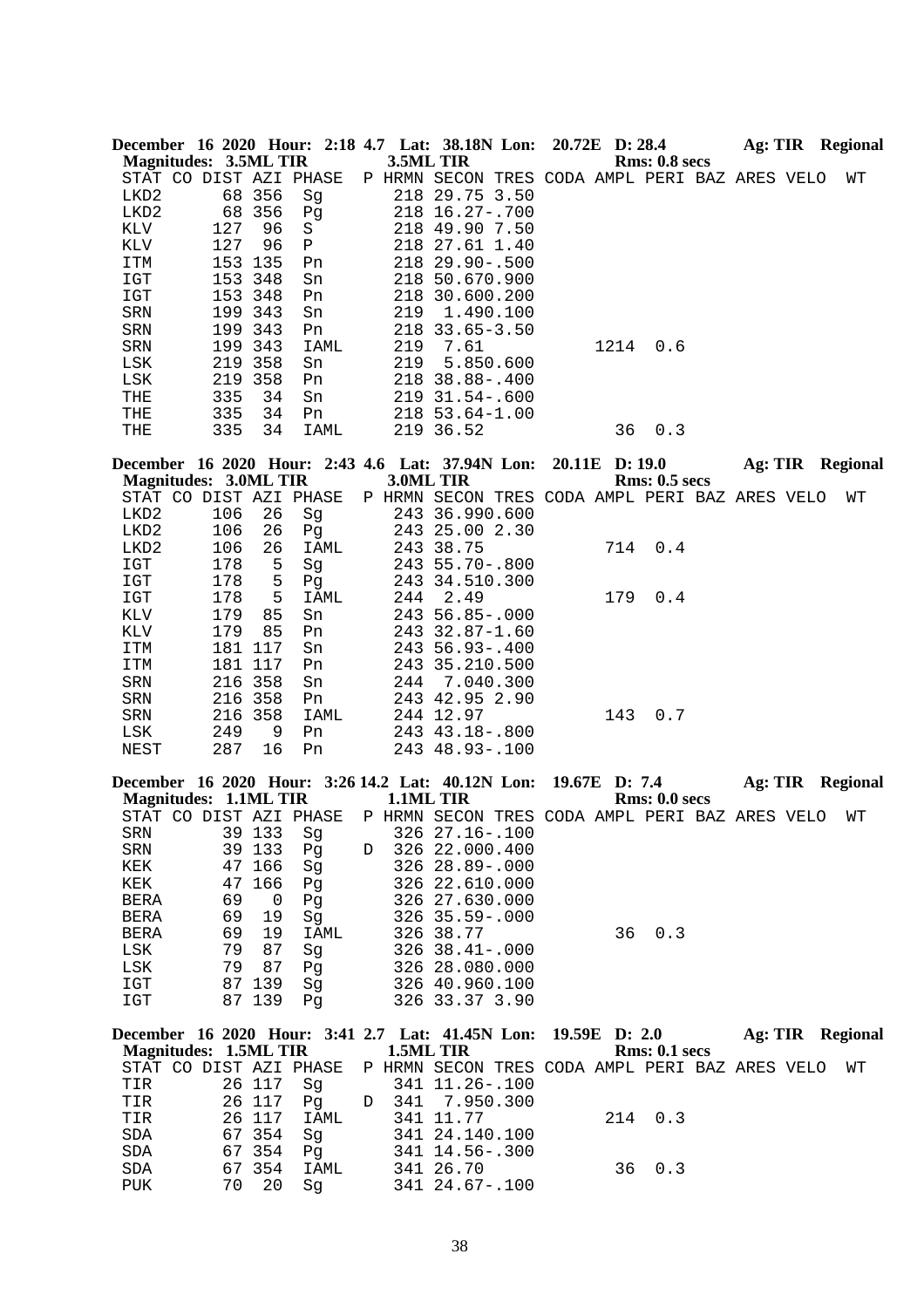|      |                              |     |                        |        | December 16 2020 Hour: 2:18 4.7 Lat: 38.18N Lon: 20.72E D: 28.4 |                                   |      |                      | Ag: TIR | <b>Regional</b>  |
|------|------------------------------|-----|------------------------|--------|-----------------------------------------------------------------|-----------------------------------|------|----------------------|---------|------------------|
|      | Magnitudes: 3.5ML TIR        |     |                        |        | 3.5ML TIR                                                       |                                   |      | <b>Rms: 0.8 secs</b> |         |                  |
|      |                              |     | STAT CO DIST AZI PHASE | P HRMN | SECON                                                           | TRES CODA AMPL PERI BAZ ARES VELO |      |                      |         | WТ               |
| LKD2 | 68                           | 356 | Sq                     | 218    | 29.75 3.50                                                      |                                   |      |                      |         |                  |
| LKD2 | 68                           | 356 | Pq                     |        | $218$ $16.27 - .700$                                            |                                   |      |                      |         |                  |
| KLV  | 127                          | 96  | S                      |        | 218 49.90 7.50                                                  |                                   |      |                      |         |                  |
| KLV  | 127                          | 96  | $\mathbf{P}$           |        | 218 27.61 1.40                                                  |                                   |      |                      |         |                  |
| ITM  | 153                          | 135 | Pn                     |        | $218$ $29.90 - .500$                                            |                                   |      |                      |         |                  |
| IGT  | 153                          | 348 | Sn                     | 218    | 50.670.900                                                      |                                   |      |                      |         |                  |
| IGT  | 153                          | 348 | Pn                     | 218    | 30.600.200                                                      |                                   |      |                      |         |                  |
| SRN  | 199                          | 343 | Sn                     | 219    | 1.490.100                                                       |                                   |      |                      |         |                  |
| SRN  | 199                          | 343 | Pn                     | 218    | $33.65 - 3.50$                                                  |                                   |      |                      |         |                  |
| SRN  | 199                          | 343 | IAML                   | 219    | 7.61                                                            |                                   | 1214 | 0.6                  |         |                  |
| LSK  | 219                          | 358 | Sn                     | 219    | 5.850.600                                                       |                                   |      |                      |         |                  |
| LSK  | 219                          | 358 | Pn                     |        | 218 38.88-.400                                                  |                                   |      |                      |         |                  |
| THE  | 335                          | 34  | Sn                     |        | $219$ $31.54 - .600$                                            |                                   |      |                      |         |                  |
| THE  | 335                          | 34  | Pn                     |        | 218 53.64-1.00                                                  |                                   |      |                      |         |                  |
| THE  | 335                          | 34  | IAML                   |        | 219 36.52                                                       |                                   | 36   | 0.3                  |         |                  |
|      |                              |     |                        |        |                                                                 |                                   |      |                      |         |                  |
|      |                              |     |                        |        | December 16 2020 Hour: 2:43 4.6 Lat: 37.94N Lon: 20.11E D: 19.0 |                                   |      |                      |         | Ag: TIR Regional |
|      | <b>Magnitudes: 3.0ML TIR</b> |     |                        |        | 3.0ML TIR                                                       |                                   |      | <b>Rms: 0.5 secs</b> |         |                  |

| $\cdots$               |     | $\sim$  |      |  |                                                |     |     |  |    |
|------------------------|-----|---------|------|--|------------------------------------------------|-----|-----|--|----|
| STAT CO DIST AZI PHASE |     |         |      |  | P HRMN SECON TRES CODA AMPL PERI BAZ ARES VELO |     |     |  | WТ |
| LKD2                   | 106 | 26      | Sq   |  | 243 36.990.600                                 |     |     |  |    |
| LKD2                   | 106 | 26      | Pq   |  | 243 25.00 2.30                                 |     |     |  |    |
| LKD2                   | 106 | 26      | IAML |  | 243 38.75                                      | 714 | 0.4 |  |    |
| IGT                    | 178 | 5       | Sg   |  | $243\ \,55.70-.800$                            |     |     |  |    |
| IGT                    | 178 | 5       | Pq   |  | 243 34.510.300                                 |     |     |  |    |
| IGT                    | 178 | 5       | IAML |  | 244 2.49                                       | 179 | 0.4 |  |    |
| KLV                    | 179 | 85      | Sn   |  | 243 56.85-.000                                 |     |     |  |    |
| KLV                    | 179 | 85      | Pn   |  | $243$ $32.87 - 1.60$                           |     |     |  |    |
| ITM                    | 181 | 117     | Sn   |  | $243\,56.93 - .400$                            |     |     |  |    |
| ITM                    |     | 181 117 | Pn   |  | 243 35.210.500                                 |     |     |  |    |
| SRN                    |     | 216 358 | Sn   |  | 244 7.040.300                                  |     |     |  |    |
| SRN                    |     | 216 358 | Pn   |  | 243 42.95 2.90                                 |     |     |  |    |
| SRN                    |     | 216 358 | IAML |  | 244 12.97                                      | 143 | 0.7 |  |    |
| LSK                    | 249 | 9       | Pn   |  | 243 43.18 - . 800                              |     |     |  |    |
| NEST                   | 287 | 16      | Pn   |  | 243 48.93-.100                                 |     |     |  |    |
|                        |     |         |      |  |                                                |     |     |  |    |

| December 16 2020 Hour: 3:26 14.2 Lat: 40.12N Lon: 19.67E D: 7.4<br><b>Magnitudes: 1.1ML TIR</b> |  |    |        |                |   | 1.1ML TIR |                                              |               |    | <b>Rms: 0.0 secs</b> |  | Ag: TIR Regional |  |
|-------------------------------------------------------------------------------------------------|--|----|--------|----------------|---|-----------|----------------------------------------------|---------------|----|----------------------|--|------------------|--|
| STAT CO                                                                                         |  |    |        | DIST AZI PHASE | Ρ |           | HRMN SECON TRES CODA AMPL PERI BAZ ARES VELO |               |    |                      |  | WТ               |  |
| SRN                                                                                             |  |    | 39 133 | Sq             |   |           | $326$ $27.16 - .100$                         |               |    |                      |  |                  |  |
| SRN                                                                                             |  |    | 39 133 | Pq             | D |           | 326 22.000.400                               |               |    |                      |  |                  |  |
| KEK                                                                                             |  | 47 | 166    | Sq             |   |           | $326$ $28.89 - .000$                         |               |    |                      |  |                  |  |
| KEK                                                                                             |  |    | 47 166 | Pq             |   |           | 326 22.610.000                               |               |    |                      |  |                  |  |
| <b>BERA</b>                                                                                     |  | 69 | 0      | Pq             |   |           | 326 27.630.000                               |               |    |                      |  |                  |  |
| <b>BERA</b>                                                                                     |  | 69 | 19     | Sq             |   |           | $326$ $35.59 - .000$                         |               |    |                      |  |                  |  |
| <b>BERA</b>                                                                                     |  | 69 | 19     | IAML           |   |           | 326 38.77                                    |               | 36 | 0.3                  |  |                  |  |
| LSK                                                                                             |  | 79 | 87     | Sq             |   |           | $326, 38, 41 - 000$                          |               |    |                      |  |                  |  |
| LSK                                                                                             |  | 79 | 87     | Pq             |   |           | 326 28.080.000                               |               |    |                      |  |                  |  |
| IGT                                                                                             |  | 87 | 139    | Sq             |   |           | 326 40.960.100                               |               |    |                      |  |                  |  |
| IGT                                                                                             |  |    | 87 139 | Pq             |   |           | 326 33.37 3.90                               |               |    |                      |  |                  |  |
| December 16 2020 Hour: 3:41 2.7 Lat: 41.45N Lon:<br><b>Magnitudes: 1.5ML TIR</b>                |  |    |        |                |   | 1.5ML TIR |                                              | 19.59E D: 2.0 |    | Rms: 0.1~secs        |  | Ag: TIR Regional |  |

| <b>Magnitudes: 1.5ML TIR</b>                                          |                | 1.5ML TIR       |         | Rms: 0.1~secs |    |
|-----------------------------------------------------------------------|----------------|-----------------|---------|---------------|----|
| STAT CO DIST AZI PHASE P HRMN SECON TRES CODA AMPL PERI BAZ ARES VELO |                |                 |         |               | WT |
| TIR                                                                   | 26 117   Sq    | 341 11.26-.100  |         |               |    |
|                                                                       |                | D 341 7.950.300 |         |               |    |
| TIR                                                                   | 26 117<br>IAML | 341 11.77       | 214 0.3 |               |    |
| SDA                                                                   | 67354<br>Sa    | 341 24.140.100  |         |               |    |
| SDA                                                                   | 67354<br>Pa    | 341 14.56-.300  |         |               |    |
| <b>SDA</b>                                                            | 67354<br>IAML  | 341 26.70       |         | 36 0.3        |    |
| 70<br>PUK                                                             | -20<br>Sa      | 341 24.67-.100  |         |               |    |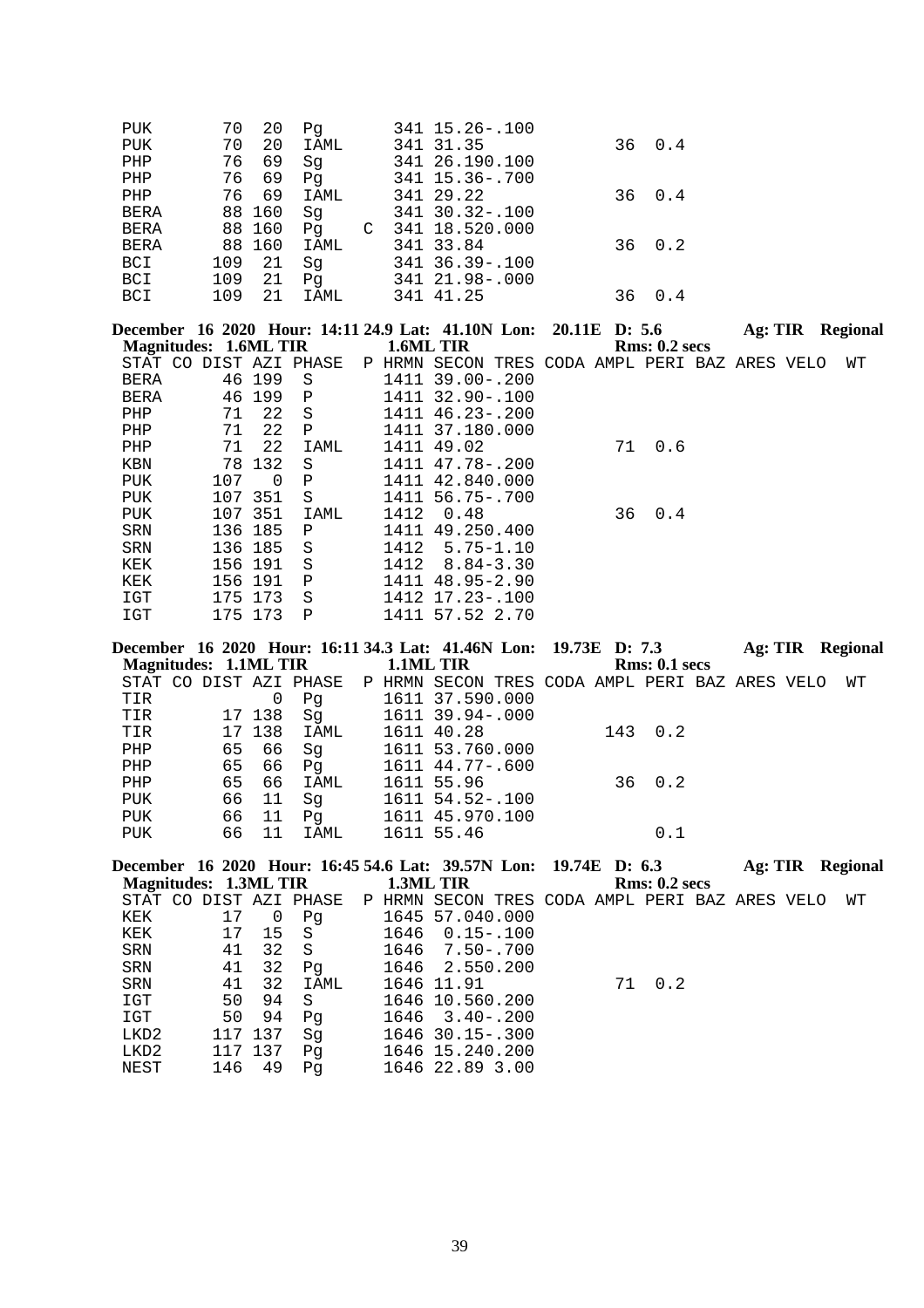| <b>PUK</b>  | 20<br>70   | Pq      | 341 15.26 -. 100  |    |      |
|-------------|------------|---------|-------------------|----|------|
| <b>PUK</b>  | 20<br>70   | IAML    | 341 31.35         | 36 | 0.4  |
| PHP         | 69<br>76   | Sq      | 341 26.190.100    |    |      |
| PHP         | 69<br>76   | Pq      | 341 15.36 -. 700  |    |      |
| PHP         | 69<br>76   | IAML    | 341 29.22         | 36 | 0.4  |
| <b>BERA</b> | 88 160     | Sq      | 341 30.32-.100    |    |      |
| <b>BERA</b> | 88 160     | Pq<br>C | 341 18.520.000    |    |      |
| <b>BERA</b> | 88 160     | IAML    | 341 33.84         | 36 | 0.2  |
| <b>BCI</b>  | -21<br>109 | Sq      | 341 36.39 - . 100 |    |      |
| <b>BCI</b>  | 109<br>21  | Pq      | 341 21.98-.000    |    |      |
| <b>BCI</b>  | 109<br>21  | IAML    | 341 41.25         | 36 | (1.4 |

| December 16 2020 Hour: 14:11 24.9 Lat: 41.10N Lon: 20.11E D: 5.6 |     |         |                |   |      |                                         |  |    |               | Ag: TIR | Regional |
|------------------------------------------------------------------|-----|---------|----------------|---|------|-----------------------------------------|--|----|---------------|---------|----------|
| Magnitudes: 1.6ML TIR                                            |     |         |                |   |      | 1.6ML TIR                               |  |    | Rms: 0.2~secs |         |          |
| STAT CO                                                          |     |         | DIST AZI PHASE | Ρ | HRMN | SECON TRES CODA AMPL PERI BAZ ARES VELO |  |    |               |         | WТ       |
| <b>BERA</b>                                                      |     | 46 199  | S              |   | 1411 | $39.00 - .200$                          |  |    |               |         |          |
| <b>BERA</b>                                                      |     | 46 199  | $\mathbf P$    |   | 1411 | $32.90 - .100$                          |  |    |               |         |          |
| PHP                                                              | 71  | 22      | S              |   |      | 1411 46.23-.200                         |  |    |               |         |          |
| PHP                                                              | 71  | 22      | P              |   |      | 1411 37.180.000                         |  |    |               |         |          |
| PHP                                                              | 71  | 22      | IAML           |   |      | 1411 49.02                              |  | 71 | 0.6           |         |          |
| KBN                                                              |     | 78 132  | S              |   |      | 1411 47.78-.200                         |  |    |               |         |          |
| PUK                                                              | 107 | 0       | Ρ              |   | 1411 | 42.840.000                              |  |    |               |         |          |
| PUK                                                              |     | 107 351 | S              |   |      | 1411 56.75-.700                         |  |    |               |         |          |
| PUK                                                              |     | 107 351 | IAML           |   | 1412 | 0.48                                    |  |    | 36 0.4        |         |          |
| SRN                                                              |     | 136 185 | Ρ              |   | 1411 | 49.250.400                              |  |    |               |         |          |
| SRN                                                              |     | 136 185 | S              |   | 1412 | $5.75 - 1.10$                           |  |    |               |         |          |
| KEK                                                              |     | 156 191 | S              |   | 1412 | $8.84 - 3.30$                           |  |    |               |         |          |
| KEK                                                              |     | 156 191 | Ρ              |   | 1411 | $48.95 - 2.90$                          |  |    |               |         |          |
| IGT                                                              | 175 | 173     | S              |   | 1412 | $17.23 - 100$                           |  |    |               |         |          |
| IGT                                                              |     | 175 173 | P              |   |      | 1411 57.52 2.70                         |  |    |               |         |          |

|                       |    |        |                        |           | December 16 2020 Hour: 16:11 34.3 Lat: 41.46N Lon: 19.73E D: 7.3 |  |               |  | Ag: TIR Regional |  |
|-----------------------|----|--------|------------------------|-----------|------------------------------------------------------------------|--|---------------|--|------------------|--|
| Magnitudes: 1.1ML TIR |    |        |                        | 1.1ML TIR |                                                                  |  | Rms: 0.1~secs |  |                  |  |
|                       |    |        | STAT CO DIST AZI PHASE |           | P HRMN SECON TRES CODA AMPL PERI BAZ ARES VELO                   |  |               |  | WТ               |  |
| TIR                   |    |        | Pq                     |           | 1611 37.590.000                                                  |  |               |  |                  |  |
| TIR                   |    | 17 138 | Sq                     |           | 1611 39.94-.000                                                  |  |               |  |                  |  |
| TIR                   |    | 17 138 | IAML                   |           | 1611 40.28                                                       |  | 143 0.2       |  |                  |  |
| PHP                   | 65 | 66     | Sq                     |           | 1611 53.760.000                                                  |  |               |  |                  |  |
| PHP                   | 65 | 66     | Pq                     |           | 1611 44.77-.600                                                  |  |               |  |                  |  |
| PHP                   | 65 | 66     | IAML                   |           | 1611 55.96                                                       |  | 36 0.2        |  |                  |  |
| PUK                   | 66 | 11     | Sq                     |           | 1611 54.52-.100                                                  |  |               |  |                  |  |
| PUK                   | 66 | 11     | Pq                     |           | 1611 45.970.100                                                  |  |               |  |                  |  |
| PUK                   | 66 | 11     | IAML                   |           | 1611 55.46                                                       |  | 0.1           |  |                  |  |
|                       |    |        |                        |           |                                                                  |  |               |  |                  |  |

|     |    |                    |                       |                        |                                 |                                                                                                                                                                             |     |                                                                        |               | Regional                                                  |
|-----|----|--------------------|-----------------------|------------------------|---------------------------------|-----------------------------------------------------------------------------------------------------------------------------------------------------------------------------|-----|------------------------------------------------------------------------|---------------|-----------------------------------------------------------|
|     |    |                    |                       |                        |                                 |                                                                                                                                                                             |     |                                                                        |               |                                                           |
|     |    |                    |                       |                        |                                 |                                                                                                                                                                             |     |                                                                        |               | WТ                                                        |
| 17  | U  | Pq                 |                       |                        |                                 |                                                                                                                                                                             |     |                                                                        |               |                                                           |
| 17  | 15 | - S                |                       |                        |                                 |                                                                                                                                                                             |     |                                                                        |               |                                                           |
| 41  | 32 | - S                |                       |                        |                                 |                                                                                                                                                                             |     |                                                                        |               |                                                           |
| 41  | 32 | Pq                 |                       |                        |                                 |                                                                                                                                                                             |     |                                                                        |               |                                                           |
| 41  | 32 | IAML               |                       |                        |                                 |                                                                                                                                                                             | 0.2 |                                                                        |               |                                                           |
| 50  | 94 | -S                 |                       |                        |                                 |                                                                                                                                                                             |     |                                                                        |               |                                                           |
| 50  | 94 | Pq                 |                       |                        |                                 |                                                                                                                                                                             |     |                                                                        |               |                                                           |
|     |    | Sq                 |                       |                        |                                 |                                                                                                                                                                             |     |                                                                        |               |                                                           |
|     |    | Pq                 |                       |                        |                                 |                                                                                                                                                                             |     |                                                                        |               |                                                           |
| 146 | 49 | Pq                 |                       |                        |                                 |                                                                                                                                                                             |     |                                                                        |               |                                                           |
|     |    | 117 137<br>117 137 | Magnitudes: 1.3ML TIR | STAT CO DIST AZI PHASE | 1.3ML TIR<br>1646<br>1646 11.91 | 1645 57.040.000<br>$1646$ 0.15-.100<br>1646 7.50 -. 700<br>2.550.200<br>1646 10.560.200<br>$1646$ $3.40 - .200$<br>$1646$ 30.15 - 300<br>1646 15.240.200<br>1646 22.89 3.00 |     | December 16 2020 Hour: 16:45 54.6 Lat: 39.57N Lon: 19.74E D: 6.3<br>71 | Rms: 0.2~secs | Ag: TIR<br>P HRMN SECON TRES CODA AMPL PERI BAZ ARES VELO |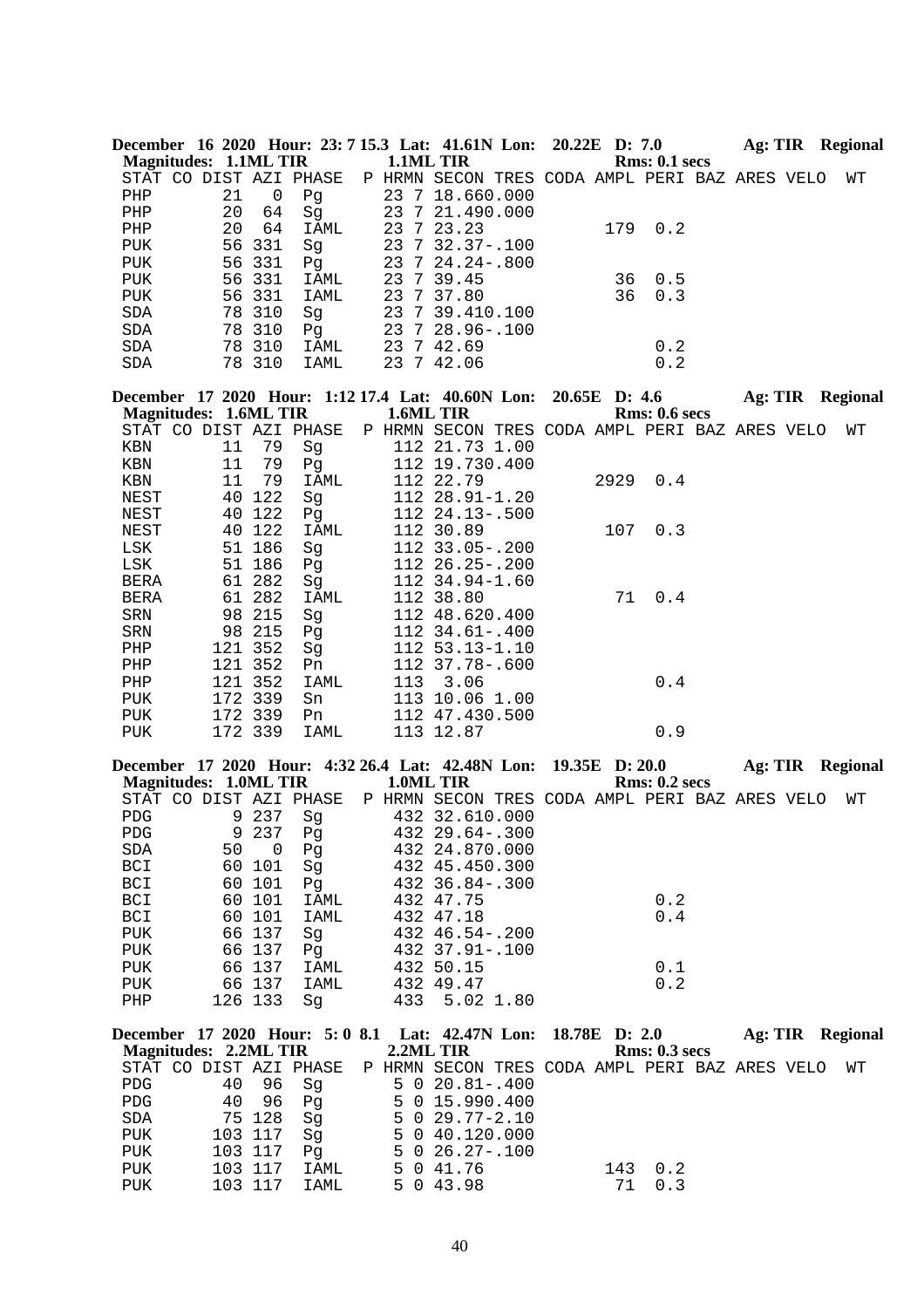| December 16 2020 Hour: 23: 7 15.3 Lat: 41.61N Lon: 20.22E D: 7.0 |    |        |                        |  |                                                |  |    |               | Ag: TIR |  | Regional |
|------------------------------------------------------------------|----|--------|------------------------|--|------------------------------------------------|--|----|---------------|---------|--|----------|
| Magnitudes: 1.1ML TIR                                            |    |        |                        |  | <b>1.1ML TIR</b>                               |  |    | Rms: 0.1~secs |         |  |          |
|                                                                  |    |        | STAT CO DIST AZI PHASE |  | P HRMN SECON TRES CODA AMPL PERI BAZ ARES VELO |  |    |               |         |  | WТ       |
| PHP                                                              | 21 | 0      | Pq                     |  | 23 7 18.660.000                                |  |    |               |         |  |          |
| PHP                                                              | 20 | 64     | Sq                     |  | 23 7 21.490.000                                |  |    |               |         |  |          |
| PHP                                                              | 20 | 64     | IAML                   |  | 23 7 23.23                                     |  |    | 179 0.2       |         |  |          |
| PUK                                                              |    | 56 331 | Sq                     |  | 23 7 32.37-.100                                |  |    |               |         |  |          |
| PUK                                                              |    | 56 331 | Pq                     |  | 23 7 24.24 - . 800                             |  |    |               |         |  |          |
| PUK                                                              |    | 56 331 | IAML                   |  | 23 7 39.45                                     |  | 36 | 0.5           |         |  |          |
| PUK                                                              |    | 56 331 | IAML                   |  | 23 7 37.80                                     |  | 36 | 0.3           |         |  |          |
| SDA                                                              |    | 78 310 | Sq                     |  | 23 7 39.410.100                                |  |    |               |         |  |          |
| SDA                                                              |    | 78 310 | Pq                     |  | 23 7 28.96-.100                                |  |    |               |         |  |          |
| SDA                                                              |    | 78 310 | IAML                   |  | 23 7 42.69                                     |  |    | 0.2           |         |  |          |
| SDA                                                              |    | 78 310 | IAML                   |  | 23 7 42.06                                     |  |    | 0.2           |         |  |          |
|                                                                  |    |        |                        |  |                                                |  |    |               |         |  |          |

|             |                              |         |                |     | December 17 2020 Hour: 1:12 17.4 Lat: 40.60N Lon: 20.65E D: 4.6 |      |               | Ag: TIR | <b>Regional</b> |
|-------------|------------------------------|---------|----------------|-----|-----------------------------------------------------------------|------|---------------|---------|-----------------|
|             | <b>Magnitudes: 1.6ML TIR</b> |         |                |     | 1.6ML TIR                                                       |      | Rms: 0.6~secs |         |                 |
|             | STAT CO DIST AZI PHASE       |         |                |     | P HRMN SECON TRES CODA AMPL PERI BAZ ARES VELO                  |      |               |         | WТ              |
| KBN         | 11                           | 79      | Sg             |     | 112 21.73 1.00                                                  |      |               |         |                 |
| KBN         | 11                           | 79      | Pq             |     | 112 19.730.400                                                  |      |               |         |                 |
| KBN         | 11                           | 79      | IAML           |     | 112 22.79                                                       | 2929 | 0.4           |         |                 |
| NEST        | 40                           | 122     | Sq             |     | $11223.91 - 1.20$                                               |      |               |         |                 |
| NEST        | 40                           | 122     | Pg             |     | $112 \t24.13 - .500$                                            |      |               |         |                 |
| NEST        | 40                           | 122     | IAML           |     | 112 30.89                                                       | 107  | 0.3           |         |                 |
| LSK         | 51                           | 186     | Sq             |     | $112$ 33.05 - .200                                              |      |               |         |                 |
| LSK         |                              | 51 186  | Pq             |     | 112 26.25-.200                                                  |      |               |         |                 |
| BERA        |                              | 61 282  | Sg             |     | 112 34.94-1.60                                                  |      |               |         |                 |
| <b>BERA</b> |                              | 61 282  | IAML           |     | 112 38.80                                                       |      | 71 0.4        |         |                 |
| SRN         |                              | 98 215  | Sq             |     | 112 48.620.400                                                  |      |               |         |                 |
| SRN         |                              | 98 215  | P <sub>d</sub> |     | $112 \t34.61 - .400$                                            |      |               |         |                 |
| PHP         | 121                          | 352     | Sg             |     | $112$ 53.13-1.10                                                |      |               |         |                 |
| PHP         |                              | 121 352 | Pn.            |     | 112 37.78-.600                                                  |      |               |         |                 |
| PHP         | 121                          | 352     | IAML           | 113 | 3.06                                                            |      | 0.4           |         |                 |
| PUK         |                              | 172 339 | Sn             |     | 113 10.06 1.00                                                  |      |               |         |                 |
| PUK         |                              | 172 339 | Pn             |     | 112 47.430.500                                                  |      |               |         |                 |
| <b>PUK</b>  |                              | 172 339 | IAML           |     | 113 12.87                                                       |      | 0.9           |         |                 |

|                        |    |          |      |     | December 17 2020 Hour: 4:32 26.4 Lat: 42.48N Lon: 19.35E D: 20.0 |               | Ag: TIR | Regional |
|------------------------|----|----------|------|-----|------------------------------------------------------------------|---------------|---------|----------|
| Magnitudes: 1.0ML TIR  |    |          |      |     | 1.0ML TIR                                                        | Rms: 0.2~secs |         |          |
| STAT CO DIST AZI PHASE |    |          |      |     | P HRMN SECON TRES CODA AMPL PERI BAZ ARES VELO                   |               |         | WТ       |
| <b>PDG</b>             |    | 9 237    | Sq   |     | 432 32.610.000                                                   |               |         |          |
| PDG                    |    | 9 237    | Pq   |     | $432$ $29.64 - .300$                                             |               |         |          |
| SDA                    | 50 | $\Omega$ | Pq   |     | 432 24.870.000                                                   |               |         |          |
| BCI                    |    | 60 101   | Sq   |     | 432 45.450.300                                                   |               |         |          |
| BCI                    |    | 60 101   | Pq   |     | $432 \t36.84 - .300$                                             |               |         |          |
| BCI                    |    | 60 101   | IAML |     | 432 47.75                                                        | 0.2           |         |          |
| BCI                    |    | 60 101   | IAML |     | 432 47.18                                                        | 0.4           |         |          |
| PUK                    |    | 66 137   | Sq   |     | $432 \t46.54 - .200$                                             |               |         |          |
| PUK                    |    | 66 137   | Pq   |     | 432 37.91-.100                                                   |               |         |          |
| PUK                    |    | 66 137   | IAML |     | 432 50.15                                                        | 0.1           |         |          |
| PUK                    |    | 66 137   | IAML |     | 432 49.47                                                        | 0.2           |         |          |
| PHP                    |    | 126 133  | Sq   | 433 | 5.02 1.80                                                        |               |         |          |

|            | December 17 2020 Hour: 5:0 8.1 Lat: 42.47N Lon: 18.78E D: 2.0 |         |      |  |                        |                                   |     |               |  | Ag: TIR Regional |
|------------|---------------------------------------------------------------|---------|------|--|------------------------|-----------------------------------|-----|---------------|--|------------------|
|            | Magnitudes: 2.2ML TIR                                         |         |      |  | 2.2ML TIR              |                                   |     | Rms: 0.3~secs |  |                  |
|            | STAT CO DIST AZI PHASE P HRMN SECON                           |         |      |  |                        | TRES CODA AMPL PERI BAZ ARES VELO |     |               |  | WТ               |
| PDG        | 40                                                            | 96      | Sq   |  | $5 \t0 \t20.81 - .400$ |                                   |     |               |  |                  |
| PDG        | 40                                                            | 96      | Pa   |  | 5 0 15.990.400         |                                   |     |               |  |                  |
| SDA        |                                                               | 75 128  | Sa   |  | $5 \t0 \t29.77 - 2.10$ |                                   |     |               |  |                  |
| PUK        |                                                               | 103 117 | Sq   |  | 5 0 40.120.000         |                                   |     |               |  |                  |
| <b>PUK</b> |                                                               | 103 117 | Pa   |  | $5 \t0 \t26.27 - .100$ |                                   |     |               |  |                  |
| <b>PUK</b> |                                                               | 103 117 | IAML |  | 5 0 41.76              |                                   | 143 | 0.2           |  |                  |
| <b>PUK</b> |                                                               | 103 117 | IAML |  | 5 0 43.98              |                                   | 71  | 0.3           |  |                  |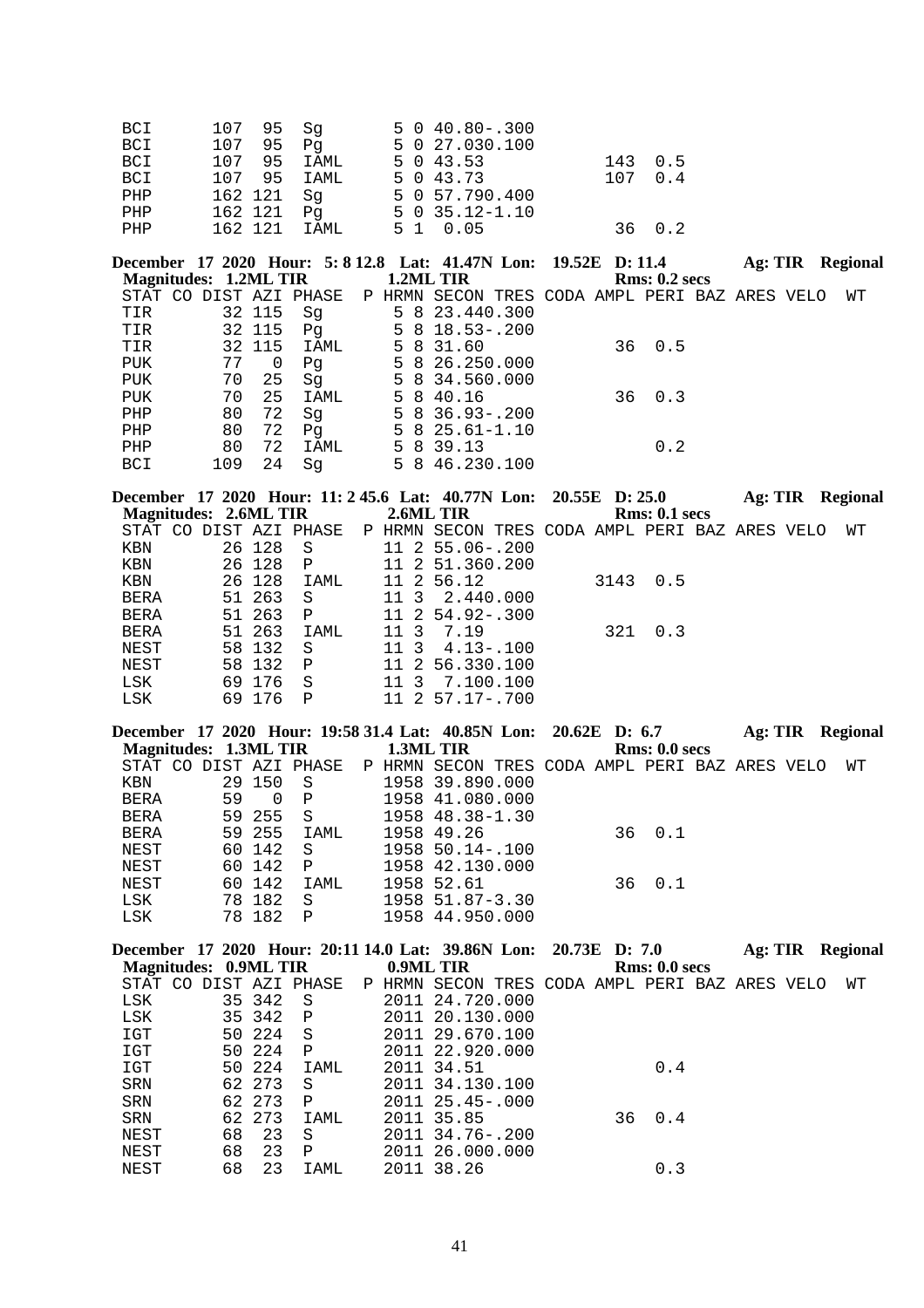| BCI        | 107 95 Sq    | $5040.80-.300$   |         |
|------------|--------------|------------------|---------|
| BCI        | 107 95 Pq    | 5 0 27.030.100   |         |
| BCI        | 107 95 IAML  | 5 0 43.53        | 143 0.5 |
| <b>BCI</b> | 107 95 IAML  | 5 0 43.73        | 107 0.4 |
| PHP        | 162 121  Sq  | 5 0 57.790.400   |         |
| PHP        | 162 121 Pq   | $5035.12 - 1.10$ |         |
| PHP        | 162 121 IAML | 5 1 0.05         | 36 0.2  |

**December 17 2020 Hour: 5: 8 12.8 Lat: 41.47N Lon: 19.52E D: 11.4 Ag: TIR Regional Magnitudes: 1.2ML TIR 1.2ML TIR Regional Magnitudes: 1.2ML TIR** 

| STAT CO DIST AZI PHASE |     |        |      |  | P HRMN SECON TRES CODA AMPL PERI BAZ ARES VELO |  |             |  | WТ |
|------------------------|-----|--------|------|--|------------------------------------------------|--|-------------|--|----|
| TIR                    |     | 32 115 | Sq   |  | 5 8 23.440.300                                 |  |             |  |    |
| TIR                    |     | 32 115 | Pq   |  | $5818.53 - .200$                               |  |             |  |    |
| TIR                    |     | 32 115 | IAML |  | 5 8 31.60                                      |  | $36 \t 0.5$ |  |    |
| PUK                    | 77  | 0      | Pq   |  | 5 8 26.250.000                                 |  |             |  |    |
| PUK                    | 70  | 25     | Sq   |  | 5 8 34.560.000                                 |  |             |  |    |
| PUK                    | 70  | 25     | IAML |  | 5 8 40.16                                      |  | $36 \t 0.3$ |  |    |
| PHP                    | 80  | 72     | Sq   |  | $5836.93 - .200$                               |  |             |  |    |
| PHP                    | 80  | 72     | Pq   |  | $5825.61 - 1.10$                               |  |             |  |    |
| PHP                    | 80  | 72     | IAML |  | 5 8 39.13                                      |  | 0.2         |  |    |
| <b>BCI</b>             | 109 | 24     | Sa   |  | 5 8 46.230.100                                 |  |             |  |    |

**December 17 2020 Hour: 11: 2 45.6 Lat: 40.77N Lon: 20.55E D: 25.0 Ag: TIR Regional Magnitudes: 2.6ML TIR** 2.6ML TIR 2.6ML TIR Rms: 0.1 secs<br>STAT CO DIST AZI PHASE P HRMN SECON TRES CODA AMPL PERI BA ST AZI PHASE P HRMN SECON TRES CODA AMPL PERI BAZ ARES VELO WT 26 128 S<br>26 128 S 11 2 55.06-.200<br>26 128 P 11 2 51.360.200 KBN 26 128 S 11 2 55.06-.200<br>
KBN 26 128 P 11 2 51.360.200 KBN 26 128 P 11 2 51.360.200<br>KBN 26 128 IAML 11 2 56.12 KBN 26 128 IAML 11 2 56.12 3143 0.5<br>BERA 51 263 S 11 3 2.440.000 BERA 51 263 S 11 3 2.440.000<br>BERA 51 263 P 11 2 54.92-.300 11 2 54.92-.300 BERA 51 263 IAML 11 3 7.19 321 0.3<br>NEST 58 132 S 11 3 4.13-.100 NEST 58 132 S 11 3 4.13-.100<br>NEST 58 132 P 11 2 56.330.100 NEST 58 132 P 11 2 56.330.100<br>LSK 69 176 S 11 3 7.100.100 LSK 69 176 S 11 3 7.100.100 LSK 69 176 P 11 2 57.17-.700

| December 17 2020 Hour: 19:58 31.4 Lat: 40.85N Lon: 20.62E D: 6.7 |    |                |              |           |                                                |  |               | Ag: TIR | <b>Regional</b> |
|------------------------------------------------------------------|----|----------------|--------------|-----------|------------------------------------------------|--|---------------|---------|-----------------|
| Magnitudes: 1.3ML TIR                                            |    |                |              | 1.3ML TIR |                                                |  | Rms: 0.0 secs |         |                 |
| STAT CO DIST AZI PHASE                                           |    |                |              |           | P HRMN SECON TRES CODA AMPL PERI BAZ ARES VELO |  |               |         | WТ              |
| KBN                                                              |    | 29 150         | - S          |           | 1958 39.890.000                                |  |               |         |                 |
| BERA                                                             | 59 | $\overline{0}$ | $\mathbb{P}$ |           | 1958 41.080.000                                |  |               |         |                 |
| BERA                                                             |    | 59 255 S       |              |           | 1958 48.38-1.30                                |  |               |         |                 |
| BERA                                                             |    | 59 255         | IAML         |           | 1958 49.26                                     |  | 36 0.1        |         |                 |
| NEST                                                             |    | 60 142         | - S          |           | $1958$ 50.14 -.100                             |  |               |         |                 |
| NEST                                                             |    | 60 142         | $\mathbf{P}$ |           | 1958 42.130.000                                |  |               |         |                 |
| NEST                                                             |    | 60 142         | IAML         |           | 1958 52.61                                     |  | $36 \t 0.1$   |         |                 |
| LSK                                                              |    | 78 182         | - S          |           | $1958$ 51.87-3.30                              |  |               |         |                 |
| LSK                                                              |    | 78 182         | $\mathsf{P}$ |           | 1958 44.950.000                                |  |               |         |                 |

| December 17 2020 Hour: 20:11 14.0 Lat: 39.86N Lon: 20.73E D: 7.0 |    |        |                |  |                                                |  |    |               | Ag: TIR | <b>Regional</b> |  |
|------------------------------------------------------------------|----|--------|----------------|--|------------------------------------------------|--|----|---------------|---------|-----------------|--|
| <b>Magnitudes: 0.9ML TIR</b>                                     |    |        |                |  | 0.9ML TIR                                      |  |    | Rms: 0.0 secs |         |                 |  |
| CO.<br>STAT                                                      |    |        | DIST AZI PHASE |  | P HRMN SECON TRES CODA AMPL PERI BAZ ARES VELO |  |    |               |         | WТ              |  |
| LSK                                                              |    | 35 342 | - S            |  | 2011 24.720.000                                |  |    |               |         |                 |  |
| LSK                                                              |    | 35 342 | $\mathbb{P}$   |  | 2011 20.130.000                                |  |    |               |         |                 |  |
| IGT                                                              |    | 50 224 | S              |  | 2011 29.670.100                                |  |    |               |         |                 |  |
| IGT                                                              |    | 50 224 | P              |  | 2011 22.920.000                                |  |    |               |         |                 |  |
| IGT                                                              |    | 50 224 | IAML           |  | 2011 34.51                                     |  |    | 0.4           |         |                 |  |
| <b>SRN</b>                                                       |    | 62 273 | S              |  | 2011 34.130.100                                |  |    |               |         |                 |  |
| <b>SRN</b>                                                       |    | 62 273 | P              |  | 2011 25.45-.000                                |  |    |               |         |                 |  |
| <b>SRN</b>                                                       |    | 62 273 | IAML           |  | 2011 35.85                                     |  | 36 | 0.4           |         |                 |  |
| NEST                                                             | 68 | 23     | S              |  | 2011 34.76-.200                                |  |    |               |         |                 |  |
| NEST                                                             | 68 | 23     | P              |  | 2011 26.000.000                                |  |    |               |         |                 |  |
| NEST                                                             | 68 | 23     | IAML           |  | 2011 38.26                                     |  |    | 0.3           |         |                 |  |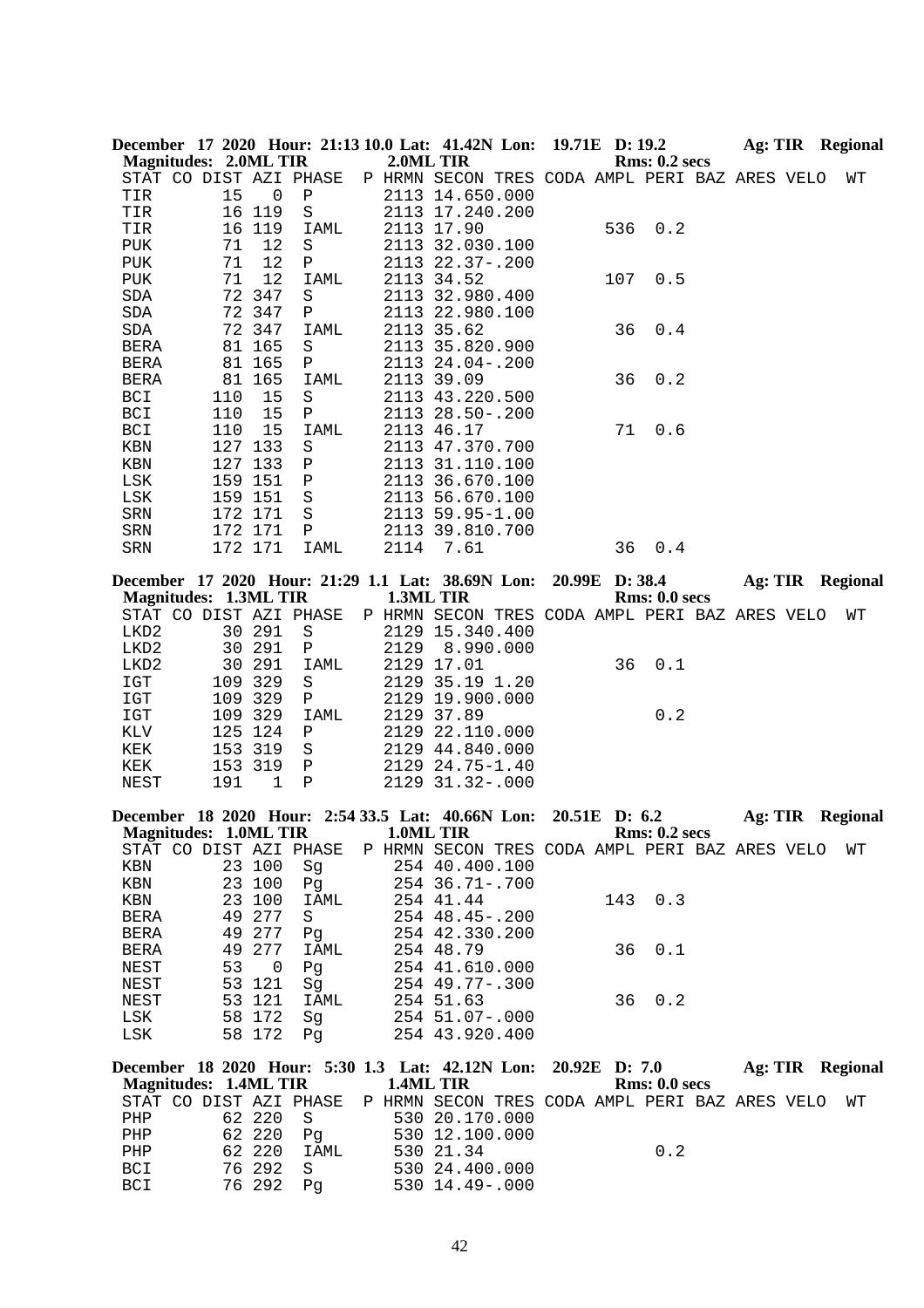|              |                              |         | December 17 2020 Hour: 21:13 10.0 Lat: 41.42N Lon:                                   |           |                   | 19.71E D: 19.2 |     |                                                                                 | Ag: TIR Regional        |
|--------------|------------------------------|---------|--------------------------------------------------------------------------------------|-----------|-------------------|----------------|-----|---------------------------------------------------------------------------------|-------------------------|
|              | <b>Magnitudes: 2.0ML TIR</b> |         |                                                                                      | 2.0ML TIR |                   |                |     | <b>Rms: 0.2 secs</b>                                                            |                         |
|              | STAT CO DIST AZI PHASE       |         |                                                                                      |           |                   |                |     | P HRMN SECON TRES CODA AMPL PERI BAZ ARES VELO                                  | WΤ                      |
| TIR          | 15                           | 0       | Ρ                                                                                    |           | 2113 14.650.000   |                |     |                                                                                 |                         |
| TIR          |                              | 16 119  | S                                                                                    |           | 2113 17.240.200   |                |     |                                                                                 |                         |
| TIR          | 16                           | 119     | IAML                                                                                 |           | 2113 17.90        |                | 536 | 0.2                                                                             |                         |
| PUK          | 71                           | 12      | S                                                                                    |           | 2113 32.030.100   |                |     |                                                                                 |                         |
| <b>PUK</b>   | 71                           | 12      | Ρ                                                                                    |           | 2113 22.37-.200   |                |     |                                                                                 |                         |
| <b>PUK</b>   | 71                           | 12      | IAML                                                                                 |           | 2113 34.52        |                | 107 | 0.5                                                                             |                         |
| SDA          | 72                           | 347     | S                                                                                    |           | 2113 32.980.400   |                |     |                                                                                 |                         |
| SDA          | 72                           | 347     | Ρ                                                                                    |           | 2113 22.980.100   |                |     |                                                                                 |                         |
| SDA          |                              | 72 347  | IAML                                                                                 |           | 2113 35.62        |                | 36  | 0.4                                                                             |                         |
| BERA         |                              | 81 165  | S                                                                                    |           | 2113 35.820.900   |                |     |                                                                                 |                         |
| <b>BERA</b>  |                              | 81 165  | Ρ                                                                                    |           | 2113 24.04 -. 200 |                |     |                                                                                 |                         |
| <b>BERA</b>  |                              | 81 165  | IAML                                                                                 |           | 2113 39.09        |                | 36  | 0.2                                                                             |                         |
| BCI          | 110                          | 15      | $\rm S$                                                                              |           | 2113 43.220.500   |                |     |                                                                                 |                         |
| BCI          | 110                          | 15      | ${\bf P}$                                                                            |           | 2113 28.50-.200   |                |     |                                                                                 |                         |
| <b>BCI</b>   | 110                          | 15      |                                                                                      |           |                   |                | 71  | 0.6                                                                             |                         |
|              |                              |         | IAML                                                                                 |           | 2113 46.17        |                |     |                                                                                 |                         |
| KBN          |                              | 127 133 | S                                                                                    |           | 2113 47.370.700   |                |     |                                                                                 |                         |
| KBN          |                              | 127 133 | Ρ                                                                                    |           | 2113 31.110.100   |                |     |                                                                                 |                         |
| LSK          |                              | 159 151 | $\, {\bf P}$                                                                         |           | 2113 36.670.100   |                |     |                                                                                 |                         |
| LSK          |                              | 159 151 | $\rm S$                                                                              |           | 2113 56.670.100   |                |     |                                                                                 |                         |
| SRN          |                              | 172 171 | $\rm S$                                                                              |           | 2113 59.95-1.00   |                |     |                                                                                 |                         |
| SRN          |                              | 172 171 | Ρ                                                                                    |           | 2113 39.810.700   |                |     |                                                                                 |                         |
| SRN          |                              | 172 171 | IAML                                                                                 | 2114      | 7.61              |                | 36  | 0.4                                                                             |                         |
|              |                              |         |                                                                                      |           |                   |                |     |                                                                                 |                         |
|              |                              |         | December 17 2020 Hour: 21:29 1.1 Lat: 38.69N Lon:                                    |           |                   | 20.99E D: 38.4 |     |                                                                                 | <b>Ag: TIR Regional</b> |
|              | <b>Magnitudes: 1.3ML TIR</b> |         |                                                                                      |           | 1.3ML TIR         |                |     | Rms: 0.0 secs                                                                   |                         |
|              | STAT CO DIST AZI PHASE       |         |                                                                                      |           |                   |                |     | P HRMN SECON TRES CODA AMPL PERI BAZ ARES VELO                                  | WΤ                      |
| LKD2         |                              | 30 291  | $\rm S$                                                                              |           | 2129 15.340.400   |                |     |                                                                                 |                         |
| LKD2         |                              | 30 291  | Ρ                                                                                    | 2129      | 8.990.000         |                |     |                                                                                 |                         |
| LKD2         | 30                           | 291     | IAML                                                                                 |           | 2129 17.01        |                | 36  | 0.1                                                                             |                         |
| IGT          | 109                          | 329     | S                                                                                    |           | 2129 35.19 1.20   |                |     |                                                                                 |                         |
| IGT          |                              | 109 329 | Ρ                                                                                    |           | 2129 19.900.000   |                |     |                                                                                 |                         |
| $_{\tt ICT}$ |                              | 109 329 | <b>IAML</b>                                                                          |           | 2129 37.89        |                |     | 0.2                                                                             |                         |
| KLV          |                              | 125 124 | Ρ                                                                                    |           | 2129 22.110.000   |                |     |                                                                                 |                         |
| KEK          |                              | 153 319 | S                                                                                    |           | 2129 44.840.000   |                |     |                                                                                 |                         |
| KEK          |                              | 153 319 | Ρ                                                                                    |           | 2129 24.75-1.40   |                |     |                                                                                 |                         |
| NEST         | 191                          | 1       | $\mathbf P$                                                                          |           | 2129 31.32-.000   |                |     |                                                                                 |                         |
|              |                              |         |                                                                                      |           |                   |                |     |                                                                                 |                         |
|              |                              |         | December 18 2020 Hour: 2:54 33.5 Lat: 40.66N Lon:<br>Magnitudes: 1.0ML TIR 1.0ML TIR |           |                   | 20.51E D: 6.2  |     | <b>Rms: 0.2 secs</b>                                                            | Ag: TIR Regional        |
|              |                              |         |                                                                                      |           |                   |                |     |                                                                                 |                         |
|              | STAT CO DIST AZI PHASE       |         |                                                                                      |           |                   |                |     | P HRMN SECON TRES CODA AMPL PERI BAZ ARES VELO                                  | WΤ                      |
| KBN          |                              | 23 100  | Sg                                                                                   |           | 254 40.400.100    |                |     |                                                                                 |                         |
| KBN          |                              | 23 100  | Pg                                                                                   |           | 254 36.71 -. 700  |                |     |                                                                                 |                         |
| KBN          |                              | 23 100  | IAML                                                                                 |           | 254 41.44         |                | 143 | 0.3                                                                             |                         |
| BERA         |                              | 49 277  | S                                                                                    |           | 254 48.45 -. 200  |                |     |                                                                                 |                         |
| BERA         |                              | 49 277  | Pg                                                                                   |           | 254 42.330.200    |                |     |                                                                                 |                         |
| BERA         | 49                           | 277     | IAML                                                                                 |           | 254 48.79         |                | 36  | 0.1                                                                             |                         |
| NEST         | 53                           | 0       | Pg                                                                                   |           | 254 41.610.000    |                |     |                                                                                 |                         |
| NEST         |                              | 53 121  | Sq                                                                                   |           | $254$ 49.77-.300  |                |     |                                                                                 |                         |
| NEST         |                              | 53 121  | IAML                                                                                 |           | 254 51.63         |                | 36  | 0.2                                                                             |                         |
| LSK          |                              | 58 172  | Sg                                                                                   |           | 254 51.07-.000    |                |     |                                                                                 |                         |
| LSK          |                              | 58 172  | Pq                                                                                   |           | 254 43.920.400    |                |     |                                                                                 |                         |
|              |                              |         |                                                                                      |           |                   |                |     |                                                                                 |                         |
|              |                              |         |                                                                                      |           |                   |                |     | December 18 2020 Hour: 5:30 1.3 Lat: 42.12N Lon: 20.92E D: 7.0 Ag: TIR Regional |                         |
|              | <b>Magnitudes: 1.4ML TIR</b> |         |                                                                                      |           | 1.4ML TIR         |                |     | Rms: 0.0 secs                                                                   |                         |
|              | STAT CO DIST AZI PHASE       |         |                                                                                      |           |                   |                |     | P HRMN SECON TRES CODA AMPL PERI BAZ ARES VELO                                  | WТ                      |
| PHP          |                              | 62 220  | S                                                                                    |           | 530 20.170.000    |                |     |                                                                                 |                         |
| PHP          |                              | 62 220  | Pg                                                                                   |           | 530 12.100.000    |                |     |                                                                                 |                         |
| PHP          |                              | 62 220  | IAML                                                                                 |           | 530 21.34         |                |     | 0.2                                                                             |                         |
| BCI          |                              | 76 292  | S                                                                                    |           | 530 24.400.000    |                |     |                                                                                 |                         |
| BCI          |                              | 76 292  | Pg                                                                                   |           | 530 14.49 -. 000  |                |     |                                                                                 |                         |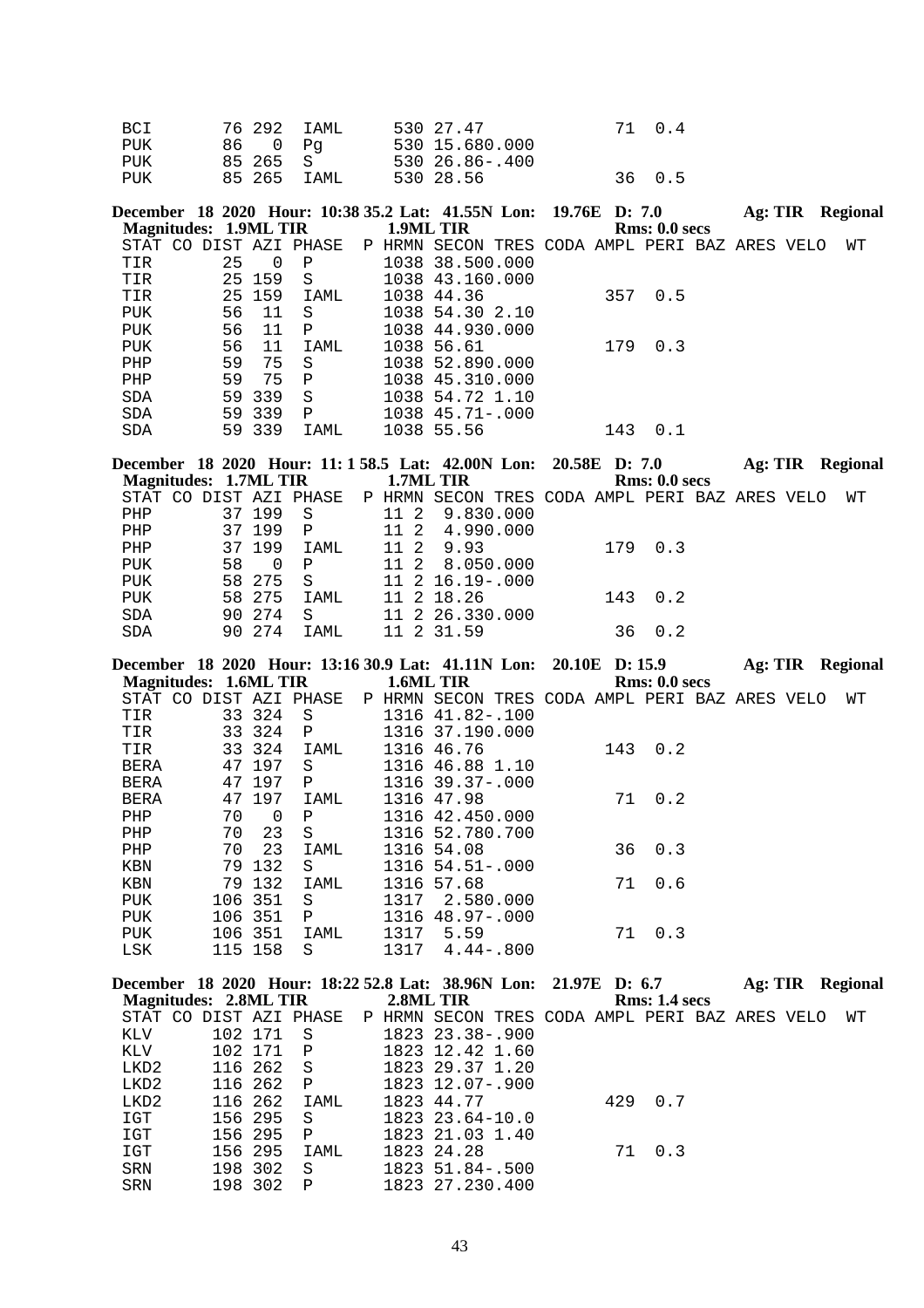| BCI | 76 292 IAML | 530 27.47      | 71 0.4 |
|-----|-------------|----------------|--------|
| PUK | 86 O Pa     | 530 15.680.000 |        |
| PUK | 85 265 S    | 530 26.86-.400 |        |
| PUK | 85 265 IAML | 530 28.56      | 36 0.5 |

**December 18 2020 Hour: 10:38 35.2 Lat: 41.55N Lon: 19.76E D: 7.0 Ag: TIR Regional Magnitudes: 1.9ML TIR 1.9ML TIR Regional Rms: 0.0 secs Magnitudes: 1.9ML TIR**<br>STAT CO DIST AZI PHASE STAT CO DIST AZI PHASE P HRMN SECON TRES CODA AMPL PERI BAZ ARES VELO WT TIR 25 0 P 1038 38.500.000 1038 38.500.000

| TIR        |    | 25 159 | -S           | 1038 43.160.000     |     |     |  |
|------------|----|--------|--------------|---------------------|-----|-----|--|
| TIR        |    | 25 159 | IAML         | 1038 44.36          | 357 | 0.5 |  |
| <b>PUK</b> |    | 56 11  | -S           | 1038 54.30 2.10     |     |     |  |
| <b>PUK</b> | 56 | - 11   | $\mathbb{P}$ | 1038 44.930.000     |     |     |  |
| <b>PUK</b> | 56 | 11     | IAML         | 1038 56.61          | 179 | 0.3 |  |
| PHP        | 59 | 75     | -S           | 1038 52.890.000     |     |     |  |
| PHP        | 59 | 75     | $\mathsf{P}$ | 1038 45.310.000     |     |     |  |
| <b>SDA</b> |    | 59 339 | -S           | 1038 54.72 1.10     |     |     |  |
| <b>SDA</b> |    | 59 339 | $\mathbf P$  | $1038$ 45.71 - .000 |     |     |  |
| <b>SDA</b> |    | 59 339 | IAML         | 1038 55.56          | 143 |     |  |

**December 18 2020 Hour: 11: 1 58.5 Lat: 42.00N Lon: 20.58E D: 7.0 Ag: TIR Regional Magnitudes: 1.7ML TIR 1.7ML TIR Regional Rms: 0.0 secs Magnitudes: 1.7ML TIR 1.7ML TIR Rms: 0.0 secs** P HRMN SECON TRES CODA AMPL PERI BAZ ARES VELO WT<br>11 2 9.830.000<br>11 2 4.990.000 PHP 37 199 S 11 2 9.830.000 PHP 37 199 P 11 2 4.990.000 PHP 37 199 IAML 11 2 9.93 179 0.3<br>PUK 58 0 P 11 2 8.050.000 PUK 58 0 P 11 2 8.050.000<br>PUK 58 275 S 11 2 16.19-.000 PUK 58 275 S 11 2 16.19-.000<br>PUK 58 275 IAML 11 2 18.26 PUK 58 275 IAML 11 2 18.26 143 0.2<br>SDA 90 274 S 11 2 26.330.000 11 2 26.330.000 SDA 90 274 IAML 11 2 31.59 36 0.2

|                        |    |          |              |      | December 18 2020 Hour: 13:16 30.9 Lat: 41.11N Lon: 20.10E D: 15.9 |  |     |                      | Ag: TIR | Regional |    |
|------------------------|----|----------|--------------|------|-------------------------------------------------------------------|--|-----|----------------------|---------|----------|----|
| Magnitudes: 1.6ML TIR  |    |          |              |      | 1.6ML TIR                                                         |  |     | <b>Rms: 0.0 secs</b> |         |          |    |
| STAT CO DIST AZI PHASE |    |          |              |      | P HRMN SECON TRES CODA AMPL PERI BAZ ARES VELO                    |  |     |                      |         |          | WТ |
| TIR                    |    | 33 324   | S.           |      | 1316 41.82-.100                                                   |  |     |                      |         |          |    |
| TIR                    |    | 33 324   | $\mathbf{P}$ |      | 1316 37.190.000                                                   |  |     |                      |         |          |    |
| TIR                    |    | 33 324   | IAML         |      | 1316 46.76                                                        |  | 143 | 0.2                  |         |          |    |
| <b>BERA</b>            |    | 47 197   | S.           |      | 1316 46.88 1.10                                                   |  |     |                      |         |          |    |
| <b>BERA</b>            |    | 47 197   | P            |      | $1316$ 39.37 -.000                                                |  |     |                      |         |          |    |
| <b>BERA</b>            |    | 47 197   | IAML         |      | 1316 47.98                                                        |  | 71  | 0.2                  |         |          |    |
| PHP                    | 70 | $\Omega$ | P            |      | 1316 42.450.000                                                   |  |     |                      |         |          |    |
| PHP                    | 70 | 23       | S            |      | 1316 52.780.700                                                   |  |     |                      |         |          |    |
| PHP                    | 70 | 23       | IAML         |      | 1316 54.08                                                        |  |     | $36 \t 0.3$          |         |          |    |
| KBN                    | 79 | 132      | S            |      | $1316$ 54.51 -.000                                                |  |     |                      |         |          |    |
| KBN                    | 79 | 132      | IAML         |      | 1316 57.68                                                        |  | 71  | 0.6                  |         |          |    |
| <b>PUK</b>             |    | 106 351  | S            | 1317 | 2.580.000                                                         |  |     |                      |         |          |    |

| PUK | 106 351 P      |           | 1316 48.97-.000 |        |
|-----|----------------|-----------|-----------------|--------|
| PUK | 106 351   IAML | 1317 5.59 |                 | 71 0.3 |
| LSK | 115 158 S      |           | 1317 4.44-.800  |        |

| December 18 2020 Hour: 18:22 52.8 Lat: 38.96N Lon: 21.97E D: 6.7 |           |              |  |                                                |  |                      | Ag: TIR | Regional |  |
|------------------------------------------------------------------|-----------|--------------|--|------------------------------------------------|--|----------------------|---------|----------|--|
| Magnitudes: 2.8ML TIR                                            |           |              |  | 2.8ML TIR                                      |  | <b>Rms: 1.4 secs</b> |         |          |  |
| STAT CO DIST AZI PHASE                                           |           |              |  | P HRMN SECON TRES CODA AMPL PERI BAZ ARES VELO |  |                      |         | WТ       |  |
| KLV                                                              | 102 171   | - S          |  | 1823 23.38-.900                                |  |                      |         |          |  |
| KLV                                                              | 102 171 P |              |  | 1823 12.42 1.60                                |  |                      |         |          |  |
| LKD2                                                             | 116 262 S |              |  | 1823 29.37 1.20                                |  |                      |         |          |  |
| LKD2                                                             | 116 262 P |              |  | 1823 12.07-.900                                |  |                      |         |          |  |
| LKD2                                                             | 116 262   | IAML         |  | 1823 44.77                                     |  | 429 0.7              |         |          |  |
| IGT                                                              | 156 295   | - S          |  | $1823$ $23.64-10.0$                            |  |                      |         |          |  |
| IGT                                                              | 156 295   | $\mathbf{P}$ |  | 1823 21.03 1.40                                |  |                      |         |          |  |
| IGT                                                              | 156 295   | IAML         |  | 1823 24.28                                     |  | 71 0.3               |         |          |  |
| SRN                                                              | 198 302   | S.           |  | 1823 51.84 -. 500                              |  |                      |         |          |  |
| SRN                                                              | 198 302   | P            |  | 1823 27.230.400                                |  |                      |         |          |  |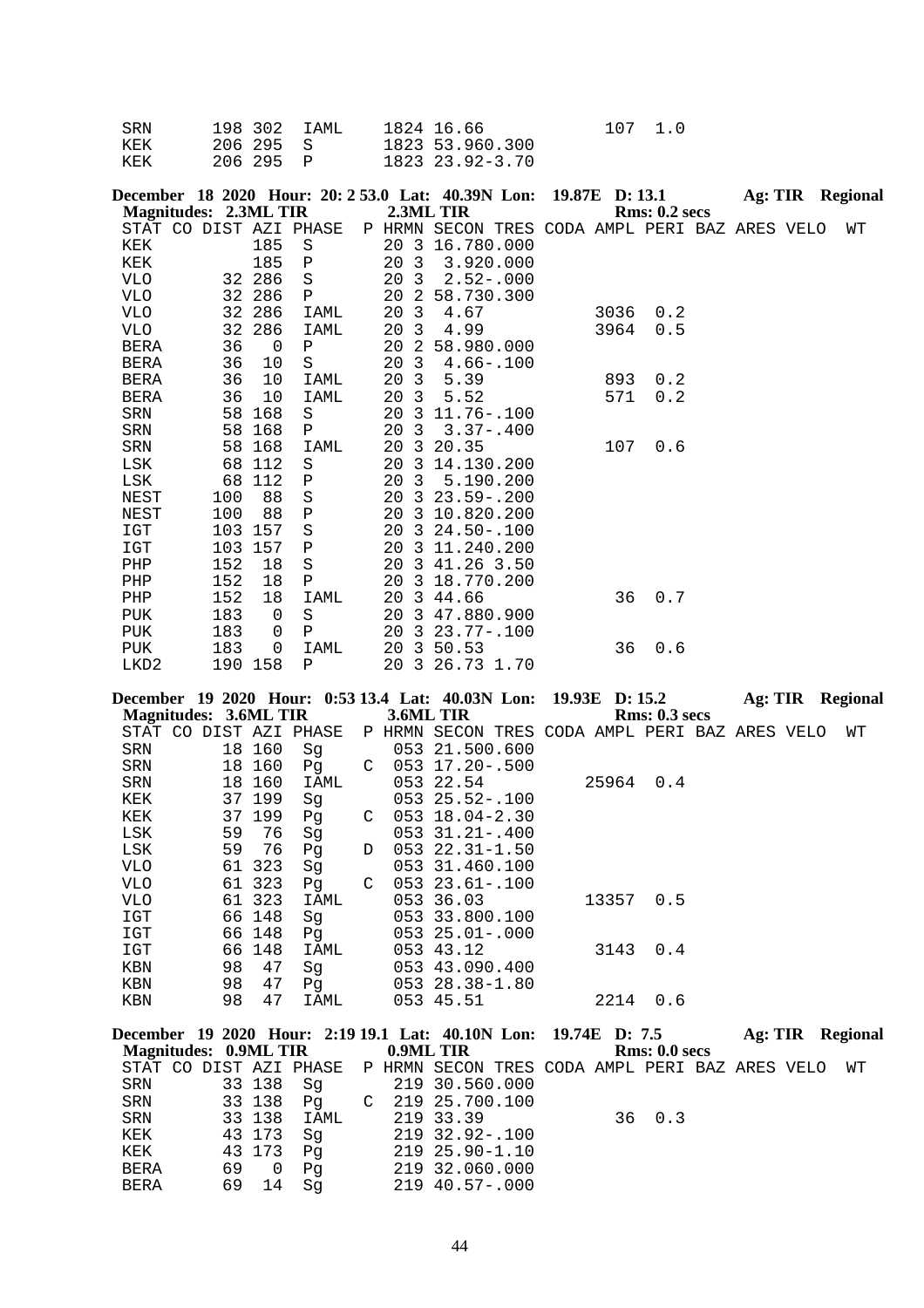| SRN | 198 302 IAML | 1824 16.66      | 107 1.0 |  |
|-----|--------------|-----------------|---------|--|
| KEK | 206 295 S    | 1823 53.960.300 |         |  |
| KEK | 206295 P     | 1823 23.92-3.70 |         |  |

|                  | December 18 2020 Hour: 20: 2 53.0 Lat: 40.39N Lon: 19.87E D: 13.1<br><b>Magnitudes: 2.3ML TIR</b> |         |              |      |                | 2.3ML TIR                                      |  |      | Rms: 0.2~secs |  | <b>Ag: TIR</b> Regional |  |
|------------------|---------------------------------------------------------------------------------------------------|---------|--------------|------|----------------|------------------------------------------------|--|------|---------------|--|-------------------------|--|
|                  | STAT CO DIST AZI PHASE                                                                            |         |              |      |                | P HRMN SECON TRES CODA AMPL PERI BAZ ARES VELO |  |      |               |  | WТ                      |  |
| KEK              |                                                                                                   | 185     | S            | 20 3 |                | 16.780.000                                     |  |      |               |  |                         |  |
| KEK              |                                                                                                   | 185     | $\, {\bf P}$ | 20   | $\overline{3}$ | 3.920.000                                      |  |      |               |  |                         |  |
| <b>VLO</b>       |                                                                                                   | 32 286  | $\rm S$      | 20   | 3              | $2.52 - .000$                                  |  |      |               |  |                         |  |
| <b>VLO</b>       |                                                                                                   | 32 286  | Ρ            | 20   | -2             | 58.730.300                                     |  |      |               |  |                         |  |
| <b>VLO</b>       |                                                                                                   | 32 286  | IAML         | 20   | $\overline{3}$ | 4.67                                           |  | 3036 | 0.2           |  |                         |  |
| VLO              | 32                                                                                                | 286     | IAML         | 20   | 3              | 4.99                                           |  | 3964 | 0.5           |  |                         |  |
| <b>BERA</b>      | 36                                                                                                | 0       | Ρ            | 20   | 2              | 58.980.000                                     |  |      |               |  |                         |  |
| <b>BERA</b>      | 36                                                                                                | 10      | S            | 20   | $\overline{3}$ | $4.66 - .100$                                  |  |      |               |  |                         |  |
| <b>BERA</b>      | 36                                                                                                | 10      | IAML         | 20   | $\overline{3}$ | 5.39                                           |  | 893  | 0.2           |  |                         |  |
| BERA             | 36                                                                                                | 10      | IAML         | 20   | 3              | 5.52                                           |  | 571  | 0.2           |  |                         |  |
| <b>SRN</b>       | 58                                                                                                | 168     | S            | 20   | -3             | 11.76-.100                                     |  |      |               |  |                         |  |
| SRN              | 58                                                                                                | 168     | Ρ            | 20   | $\overline{3}$ | $3.37 - .400$                                  |  |      |               |  |                         |  |
| <b>SRN</b>       | 58                                                                                                | 168     | <b>IAML</b>  | 20   | 3              | 20.35                                          |  | 107  | 0.6           |  |                         |  |
| LSK              | 68                                                                                                | 112     | S            | 20   | 3              | 14.130.200                                     |  |      |               |  |                         |  |
| LSK              | 68                                                                                                | 112     | Ρ            | 20   | $\overline{3}$ | 5.190.200                                      |  |      |               |  |                         |  |
| NEST             | 100                                                                                               | 88      | $\rm S$      | 20   |                | $3\quad 23.59 - .200$                          |  |      |               |  |                         |  |
| NEST             | 100                                                                                               | 88      | Ρ            | 20   | 3              | 10.820.200                                     |  |      |               |  |                         |  |
| IGT              | 103                                                                                               | 157     | $\rm S$      | 20   | 3              | $24.50 - 100$                                  |  |      |               |  |                         |  |
| <b>IGT</b>       | 103                                                                                               | 157     | Ρ            | 20   | 3              | 11.240.200                                     |  |      |               |  |                         |  |
| PHP              | 152                                                                                               | 18      | $\rm S$      | 20   |                | 3 41.26 3.50                                   |  |      |               |  |                         |  |
| PHP              | 152                                                                                               | 18      | Ρ            | 20   | 3              | 18.770.200                                     |  |      |               |  |                         |  |
| PHP              | 152                                                                                               | 18      | IAML         | 20   | $\overline{3}$ | 44.66                                          |  | 36   | 0.7           |  |                         |  |
| <b>PUK</b>       | 183                                                                                               | 0       | $\rm S$      | 20   |                | 3 47.880.900                                   |  |      |               |  |                         |  |
| <b>PUK</b>       | 183                                                                                               | 0       | Ρ            | 20   |                | $323.77 - .100$                                |  |      |               |  |                         |  |
| <b>PUK</b>       | 183                                                                                               | 0       | IAML         | 20   |                | 3 50.53                                        |  | 36   | 0.6           |  |                         |  |
| LKD <sub>2</sub> |                                                                                                   | 190 158 | P            | 20   |                | 3 26.73 1.70                                   |  |      |               |  |                         |  |

|                              |  |    |        | December 19 2020 Hour: 0:53 13.4 Lat: 40.03N Lon: 19.93E D: 15.2 |   |                                                |  |       |                      |  | Ag: TIR Regional |  |
|------------------------------|--|----|--------|------------------------------------------------------------------|---|------------------------------------------------|--|-------|----------------------|--|------------------|--|
| <b>Magnitudes: 3.6ML TIR</b> |  |    |        |                                                                  |   | 3.6ML TIR                                      |  |       | <b>Rms: 0.3 secs</b> |  |                  |  |
|                              |  |    |        | STAT CO DIST AZI PHASE                                           |   | P HRMN SECON TRES CODA AMPL PERI BAZ ARES VELO |  |       |                      |  | WТ               |  |
| SRN                          |  |    | 18 160 | Sg                                                               |   | 053 21.500.600                                 |  |       |                      |  |                  |  |
| SRN                          |  | 18 | 160    | Pq                                                               | C | 053 17.20-.500                                 |  |       |                      |  |                  |  |
| SRN                          |  | 18 | 160    | IAML                                                             |   | 053 22.54                                      |  | 25964 | 0.4                  |  |                  |  |
| KEK                          |  |    | 37 199 | Sg                                                               |   | $053$ $25.52 - .100$                           |  |       |                      |  |                  |  |
| KEK                          |  | 37 | 199    | Pq                                                               | C | 053 18.04-2.30                                 |  |       |                      |  |                  |  |
| LSK                          |  | 59 | 76     | Sg                                                               |   | 053 31.21 -. 400                               |  |       |                      |  |                  |  |
| LSK                          |  | 59 | 76     | Pq                                                               | D | 053 22.31-1.50                                 |  |       |                      |  |                  |  |
| VLO                          |  | 61 | 323    | Sg                                                               |   | 053 31.460.100                                 |  |       |                      |  |                  |  |
| VLO                          |  | 61 | 323    | Pg                                                               | C | 053 23.61 -. 100                               |  |       |                      |  |                  |  |
| VLO                          |  |    | 61 323 | IAML                                                             |   | 053 36.03                                      |  | 13357 | 0.5                  |  |                  |  |
| IGT                          |  | 66 | 148    | Sg                                                               |   | 053 33.800.100                                 |  |       |                      |  |                  |  |
| IGT                          |  | 66 | 148    | Pg                                                               |   | $053$ $25.01 - .000$                           |  |       |                      |  |                  |  |
| IGT                          |  | 66 | 148    | IAML                                                             |   | 053 43.12                                      |  | 3143  | 0.4                  |  |                  |  |
| <b>KBN</b>                   |  | 98 | 47     | Sg                                                               |   | 053 43.090.400                                 |  |       |                      |  |                  |  |
| KBN                          |  | 98 | 47     | Pg                                                               |   | 053 28.38-1.80                                 |  |       |                      |  |                  |  |
| KBN                          |  | 98 | 47     | IAML                                                             |   | 053 45.51                                      |  | 2214  | 0.6                  |  |                  |  |
|                              |  |    |        |                                                                  |   |                                                |  |       |                      |  |                  |  |
|                              |  |    |        | December 19 2020 Hour: 2:19 19.1 Lat: 40.10N Lon: 19.74E D: 7.5  |   |                                                |  |       |                      |  | Ag: TIR Regional |  |
| <b>Magnitudes: 0.9ML TIR</b> |  |    |        |                                                                  |   | 0.9ML TIR                                      |  |       | Rms: 0.0 secs        |  |                  |  |
|                              |  |    |        | STAT CO DIST AZI PHASE                                           |   | P HRMN SECON TRES CODA AMPL PERI BAZ ARES VELO |  |       |                      |  | WТ               |  |
| SRN                          |  |    | 33 138 | Sg                                                               |   | 219 30.560.000                                 |  |       |                      |  |                  |  |
| SRN                          |  |    | 33 138 | Pg                                                               |   | $C$ 219 25.700.100                             |  |       |                      |  |                  |  |
| SRN                          |  |    | 33 138 | IAML                                                             |   | 219 33.39                                      |  | 36    | 0.3                  |  |                  |  |
| KEK                          |  |    | 43 173 | Sg                                                               |   | 219 32.92-.100                                 |  |       |                      |  |                  |  |
| KEK                          |  |    | 43 173 | Pq                                                               |   | $219$ $25.90 - 1.10$                           |  |       |                      |  |                  |  |

 BERA 69 0 Pg 219 32.060.000 BERA 69 14 Sg 219 40.57-.000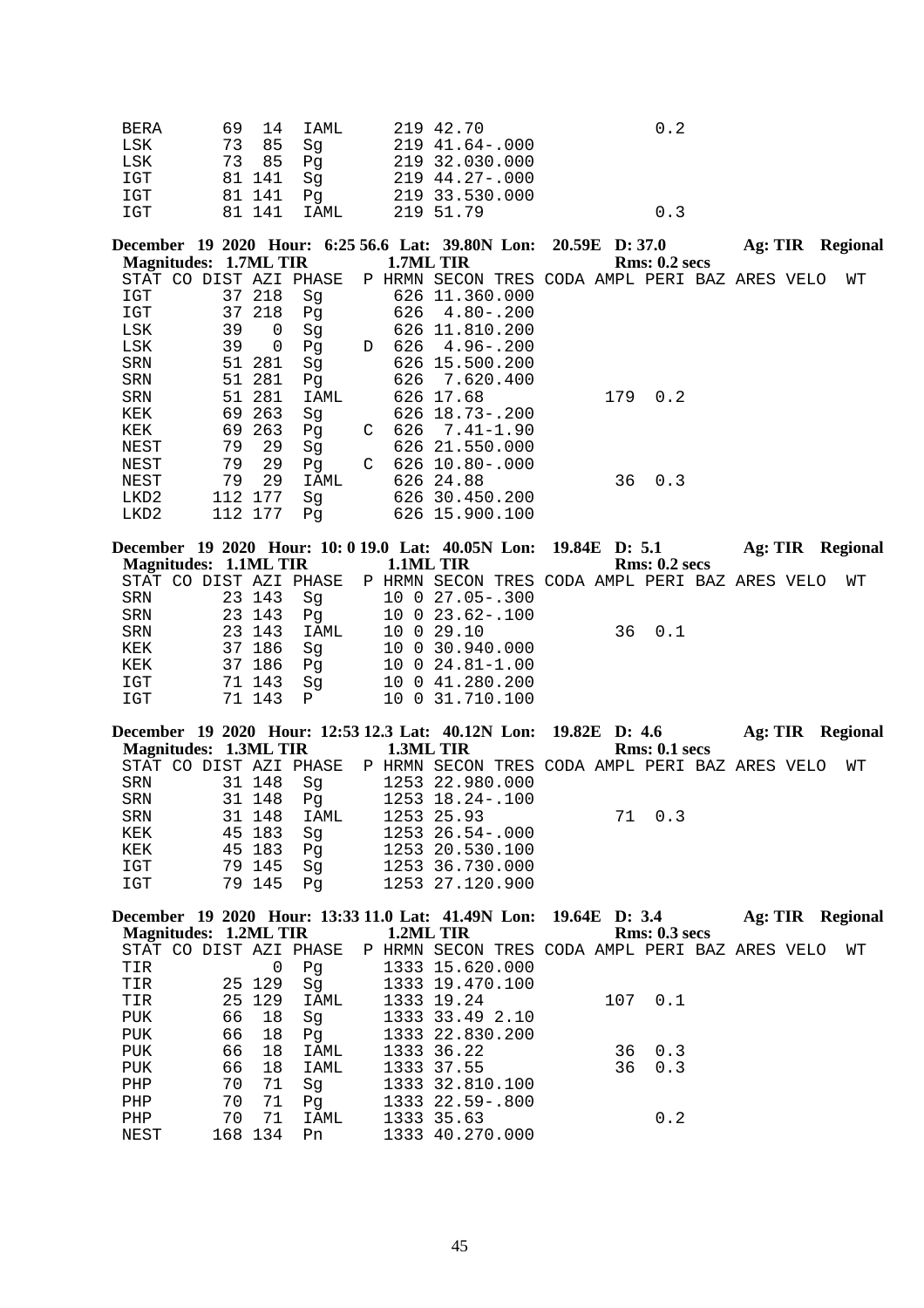| <b>BERA</b> | 69 14    | IAML  | 219 42.70        | 0.2 |
|-------------|----------|-------|------------------|-----|
| LSK         | 73 85    | Sa    | 219 41.64-.000   |     |
| LSK         | 73 85 Pq |       | 219 32.030.000   |     |
| IGT         | 81 141   | Sa    | $219$ 44.27-.000 |     |
| IGT         | 81 141   | Pa    | 219 33.530.000   |     |
| IGT         | 81 141   | TAMT. | 219 51.79        | 0.3 |

December 19 2020 Hour: 6:25 56.6 Lat: 39.80N Lon: 20.59E D: 37.0 Ag: TIR Regional **Magnitudes: 1.7ML TIR 1.7ML TIR Rms: 0.2 secs**

| STAT<br>CO       | DIST | AZI | PHASE | Ρ | HRMN | SECON<br>TRES  | CODA AMPL |     | PERI BAZ ARES VELO | WТ |
|------------------|------|-----|-------|---|------|----------------|-----------|-----|--------------------|----|
| IGT              | 37   | 218 | Sg    |   |      | 626 11.360.000 |           |     |                    |    |
| IGT              | 37   | 218 | Pg    |   | 626  | $4.80 - .200$  |           |     |                    |    |
| LSK              | 39   | 0   | Sg    |   |      | 626 11.810.200 |           |     |                    |    |
| LSK              | 39   | 0   | Pq    | D | 626  | $4.96 - .200$  |           |     |                    |    |
| SRN              | 51   | 281 | Sg    |   |      | 626 15.500.200 |           |     |                    |    |
| <b>SRN</b>       | 51   | 281 | Pq    |   | 626  | 7.620.400      |           |     |                    |    |
| <b>SRN</b>       | 51   | 281 | IAML  |   |      | 626 17.68      | 179       | 0.2 |                    |    |
| KEK              | 69   | 263 | Sq    |   |      | 626 18.73-.200 |           |     |                    |    |
| KEK              | 69   | 263 | Pq    | C | 626  | 7.41-1.90      |           |     |                    |    |
| NEST             | 79   | 29  | Sq    |   |      | 626 21.550.000 |           |     |                    |    |
| NEST             | 79   | 29  | Pq    | C |      | 626 10.80-.000 |           |     |                    |    |
| NEST             | 79   | 29  | IAML  |   |      | 626 24.88      | 36        | 0.3 |                    |    |
| LKD2             | 112  | 177 | Sq    |   |      | 626 30.450.200 |           |     |                    |    |
| LKD <sub>2</sub> | 112  | 177 | Pq    |   |      | 626 15.900.100 |           |     |                    |    |

|     |                       |        | December 19 2020 Hour: 10: 0 19.0 Lat: 40.05N Lon: 19.84E D: 5.1      |  |                         |  |        |               |  | Ag: TIR Regional |
|-----|-----------------------|--------|-----------------------------------------------------------------------|--|-------------------------|--|--------|---------------|--|------------------|
|     | Magnitudes: 1.1ML TIR |        |                                                                       |  | 1.1ML TIR               |  |        | Rms: 0.2~secs |  |                  |
|     |                       |        | STAT CO DIST AZI PHASE P HRMN SECON TRES CODA AMPL PERI BAZ ARES VELO |  |                         |  |        |               |  | WТ               |
| SRN |                       | 23 143 | Sq                                                                    |  | 10 0 27.05-.300         |  |        |               |  |                  |
|     | SRN 23 143            |        | Pq                                                                    |  | 10 0 23.62-.100         |  |        |               |  |                  |
| SRN | 23 143                |        | IAML                                                                  |  | 10 0 29.10              |  | 36 0.1 |               |  |                  |
| KEK |                       | 37 186 | Sq                                                                    |  | 10 0 30.940.000         |  |        |               |  |                  |
| KEK |                       | 37 186 | Pq                                                                    |  | $10 \t0 \t24.81 - 1.00$ |  |        |               |  |                  |
| IGT |                       | 71 143 | Sq                                                                    |  | 10 0 41.280.200         |  |        |               |  |                  |
| IGT |                       | 71 143 | $\mathsf{P}$                                                          |  | 10 0 31.710.100         |  |        |               |  |                  |
|     |                       |        |                                                                       |  |                         |  |        |               |  |                  |

| December 19 2020 Hour: 12:53 12.3 Lat: 40.12N Lon: 19.82E D: 4.6      |        |        |      |  |                 |  |        |               |  | Ag: TIR Regional |
|-----------------------------------------------------------------------|--------|--------|------|--|-----------------|--|--------|---------------|--|------------------|
| Magnitudes: 1.3ML TIR 1.3ML TIR                                       |        |        |      |  |                 |  |        | Rms: 0.1~secs |  |                  |
| STAT CO DIST AZI PHASE P HRMN SECON TRES CODA AMPL PERI BAZ ARES VELO |        |        |      |  |                 |  |        |               |  | WT               |
| SRN                                                                   |        | 31 148 | Sq   |  | 1253 22.980.000 |  |        |               |  |                  |
| SRN                                                                   | 31 148 |        |      |  |                 |  |        |               |  |                  |
| SRN                                                                   |        | 31 148 | IAML |  | 1253 25.93      |  | 71 0.3 |               |  |                  |
| KEK                                                                   |        | 45 183 | Sq   |  | 1253 26.54-.000 |  |        |               |  |                  |
| KEK                                                                   |        | 45 183 | Pa   |  | 1253 20.530.100 |  |        |               |  |                  |
| IGT                                                                   |        | 79 145 | Sa   |  | 1253 36.730.000 |  |        |               |  |                  |
| IGT                                                                   |        | 79 145 | Pa   |  | 1253 27.120.900 |  |        |               |  |                  |

|                       |    |         |                        |  | December 19 2020 Hour: 13:33 11.0 Lat: 41.49N Lon: 19.64E D: 3.4 |  |     |               | Ag: TIR |  | Regional |
|-----------------------|----|---------|------------------------|--|------------------------------------------------------------------|--|-----|---------------|---------|--|----------|
| Magnitudes: 1.2ML TIR |    |         |                        |  | 1.2ML TIR                                                        |  |     | Rms: 0.3~secs |         |  |          |
|                       |    |         | STAT CO DIST AZI PHASE |  | P HRMN SECON TRES CODA AMPL PERI BAZ ARES VELO                   |  |     |               |         |  | WТ       |
| TIR                   |    | 0       | Pq                     |  | 1333 15.620.000                                                  |  |     |               |         |  |          |
| TIR                   |    | 25 129  | Sq                     |  | 1333 19.470.100                                                  |  |     |               |         |  |          |
| TIR                   |    | 25 129  | IAML                   |  | 1333 19.24                                                       |  | 107 | 0.1           |         |  |          |
| PUK                   | 66 | 18      | Sq                     |  | 1333 33.49 2.10                                                  |  |     |               |         |  |          |
| PUK                   | 66 | 18      | Pq                     |  | 1333 22.830.200                                                  |  |     |               |         |  |          |
| PUK                   | 66 | 18      | IAML                   |  | 1333 36.22                                                       |  | 36  | 0.3           |         |  |          |
| <b>PUK</b>            | 66 | 18      | IAML                   |  | 1333 37.55                                                       |  | 36  | 0.3           |         |  |          |
| PHP                   | 70 | 71      | Sq                     |  | 1333 32.810.100                                                  |  |     |               |         |  |          |
| PHP                   | 70 | 71      | Pq                     |  | 1333 22.59-.800                                                  |  |     |               |         |  |          |
| PHP                   | 70 | 71      | IAML                   |  | 1333 35.63                                                       |  |     | 0.2           |         |  |          |
| NEST                  |    | 168 134 | Pn                     |  | 1333 40.270.000                                                  |  |     |               |         |  |          |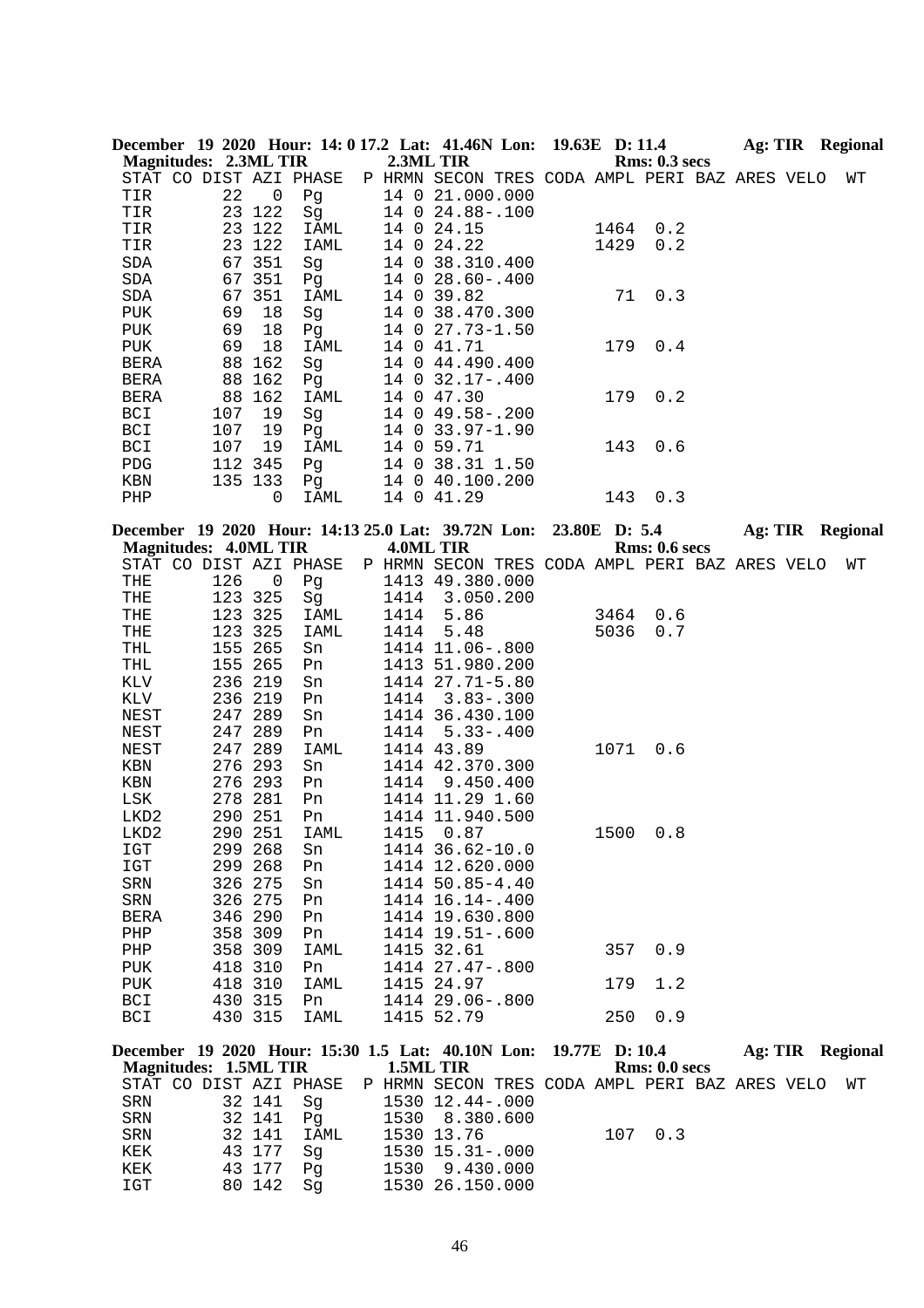|                              |     |                  |            |      | December 19 2020 Hour: 14: 0 17.2 Lat: 41.46N Lon: 19.63E D: 11.4 |      |                      |  | Ag: TIR Regional |
|------------------------------|-----|------------------|------------|------|-------------------------------------------------------------------|------|----------------------|--|------------------|
| <b>Magnitudes: 2.3ML TIR</b> |     |                  |            |      | 2.3ML TIR                                                         |      | <b>Rms: 0.3 secs</b> |  |                  |
| STAT CO DIST AZI PHASE       |     |                  |            |      | P HRMN SECON TRES CODA AMPL PERI BAZ ARES VELO                    |      |                      |  | WΤ               |
| TIR                          | 22  | 0                | Pg         |      | 14 0 21.000.000                                                   |      |                      |  |                  |
| TIR                          |     | 23 122           | Sg         |      | 14 0 24.88 -. 100                                                 |      |                      |  |                  |
| TIR                          |     | 23 122           | IAML       |      | 14 0 24.15                                                        | 1464 | 0.2                  |  |                  |
| TIR                          |     | 23 122           | IAML       |      | 14 0 24.22                                                        | 1429 | 0.2                  |  |                  |
| $\operatorname{SDA}$         |     | 67 351           | Sg         |      | 14 0 38.310.400                                                   |      |                      |  |                  |
| SDA                          |     | 67 351           | Pq         |      | 14 0 28.60-.400                                                   |      |                      |  |                  |
| SDA                          |     | 67 351           | IAML       |      | 14 0 39.82                                                        | 71   | 0.3                  |  |                  |
| PUK                          | 69  | 18               | Sg         |      | 14 0 38.470.300                                                   |      |                      |  |                  |
| PUK                          | 69  | 18               | Pg         |      | 14 0 27.73-1.50                                                   |      |                      |  |                  |
| PUK                          | 69  | 18               | IAML       |      | 14 0 41.71                                                        | 179  | 0.4                  |  |                  |
| BERA                         | 88  | 162              | Sg         |      | 14 0 44.490.400                                                   |      |                      |  |                  |
| <b>BERA</b>                  |     | 88 162           | Pg         |      | 14 0 32.17-.400                                                   |      |                      |  |                  |
| BERA                         |     | 88 162           | IAML       |      | 14 0 47.30                                                        | 179  | 0.2                  |  |                  |
|                              |     |                  |            |      |                                                                   |      |                      |  |                  |
| BCI                          | 107 | 19               | Sg         |      | 14 0 49.58 -. 200                                                 |      |                      |  |                  |
| BCI                          | 107 | 19               | Pg         |      | 14 0 33.97-1.90                                                   |      |                      |  |                  |
| BCI                          | 107 | 19               | IAML       |      | 14 0 59.71                                                        | 143  | 0.6                  |  |                  |
| ${\rm PDG}$                  |     | 112 345          | Pg         |      | 14 0 38.31 1.50                                                   |      |                      |  |                  |
| KBN                          |     | 135 133          | Pg         |      | 14 0 40.100.200                                                   |      |                      |  |                  |
| PHP                          |     | 0                | IAML       |      | 14 0 41.29                                                        | 143  | 0.3                  |  |                  |
|                              |     |                  |            |      |                                                                   |      |                      |  |                  |
|                              |     |                  |            |      | December 19 2020 Hour: 14:13 25.0 Lat: 39.72N Lon: 23.80E D: 5.4  |      |                      |  | Ag: TIR Regional |
| <b>Magnitudes: 4.0ML TIR</b> |     |                  |            |      | 4.0ML TIR                                                         |      | Rms: 0.6 secs        |  |                  |
| STAT CO DIST AZI PHASE       |     |                  |            |      | P HRMN SECON TRES CODA AMPL PERI BAZ ARES VELO                    |      |                      |  | WΤ               |
| THE                          | 126 | 0                | Pg         |      | 1413 49.380.000                                                   |      |                      |  |                  |
| THE                          |     | 123 325          | Sg         | 1414 | 3.050.200                                                         |      |                      |  |                  |
| THE                          |     | 123 325          | IAML       | 1414 | 5.86                                                              | 3464 | 0.6                  |  |                  |
| THE                          |     | 123 325          | IAML       | 1414 | 5.48                                                              | 5036 | 0.7                  |  |                  |
| THL                          |     | 155 265          | Sn         |      | 1414 11.06-.800                                                   |      |                      |  |                  |
| THL                          |     | 155 265          | Pn         |      | 1413 51.980.200                                                   |      |                      |  |                  |
| KLV                          |     | 236 219          | Sn         |      | 1414 27.71-5.80                                                   |      |                      |  |                  |
| KLV                          |     |                  |            |      |                                                                   |      |                      |  |                  |
|                              |     | 236 219          | Pn         | 1414 | $3.83 - .300$                                                     |      |                      |  |                  |
|                              |     |                  |            |      |                                                                   |      |                      |  |                  |
| NEST                         |     | 247 289          | Sn         |      | 1414 36.430.100                                                   |      |                      |  |                  |
| NEST                         | 247 | 289              | Pn         | 1414 | $5.33 - .400$                                                     |      |                      |  |                  |
| NEST                         | 247 | 289              | IAML       |      | 1414 43.89                                                        | 1071 | 0.6                  |  |                  |
| KBN                          | 276 | 293              | Sn         |      | 1414 42.370.300                                                   |      |                      |  |                  |
| KBN                          |     | 276 293          | Pn         | 1414 | 9.450.400                                                         |      |                      |  |                  |
| LSK                          |     | 278 281          | Pn         |      | 1414 11.29 1.60                                                   |      |                      |  |                  |
| LKD2                         |     | 290 251          | Pn         |      | 1414 11.940.500                                                   |      |                      |  |                  |
| LKD2                         |     | 290 251          | IAML       |      | 1415 0.87                                                         |      | 1500 0.8             |  |                  |
| IGT                          |     | 299 268          | Sn         |      | 1414 36.62-10.0                                                   |      |                      |  |                  |
| IGT                          |     | 299 268          | Pn         |      | 1414 12.620.000                                                   |      |                      |  |                  |
| ${\tt SRN}$                  |     | 326 275          | Sn         |      | 1414 50.85-4.40                                                   |      |                      |  |                  |
| ${\tt SRN}$                  |     | 326 275          | Pn         |      | 1414 16.14 -. 400                                                 |      |                      |  |                  |
| BERA                         |     | 346 290          | Pn         |      | 1414 19.630.800                                                   |      |                      |  |                  |
| PHP                          |     | 358 309          | Pn         |      | 1414 19.51 -. 600                                                 |      |                      |  |                  |
| PHP                          |     | 358 309          | IAML       |      | 1415 32.61                                                        | 357  | 0.9                  |  |                  |
| PUK                          |     | 418 310          | Pn         |      | 1414 27.47-.800                                                   |      |                      |  |                  |
| PUK                          |     | 418 310          | IAML       |      | 1415 24.97                                                        | 179  | 1.2                  |  |                  |
| BCI                          |     | 430 315          | Pn         |      | 1414 29.06 -. 800                                                 |      |                      |  |                  |
| BCI                          |     | 430 315          | IAML       |      | 1415 52.79                                                        | 250  | 0.9                  |  |                  |
|                              |     |                  |            |      |                                                                   |      |                      |  |                  |
|                              |     |                  |            |      | December 19 2020 Hour: 15:30 1.5 Lat: 40.10N Lon: 19.77E D: 10.4  |      |                      |  | Ag: TIR Regional |
| <b>Magnitudes: 1.5ML TIR</b> |     |                  |            |      | 1.5ML TIR                                                         |      | Rms: 0.0 secs        |  |                  |
| STAT CO DIST AZI PHASE       |     |                  |            |      | P HRMN SECON TRES CODA AMPL PERI BAZ ARES VELO                    |      |                      |  | WΤ               |
| SRN                          |     | 32 141           | Sg         |      | 1530 12.44 -. 000                                                 |      |                      |  |                  |
| SRN                          |     | 32 141           | Pq         |      | 1530 8.380.600                                                    |      |                      |  |                  |
| SRN<br>KEK                   |     | 32 141<br>43 177 | IAML<br>Sg |      | 1530 13.76<br>1530 15.31 -. 000                                   | 107  | 0.3                  |  |                  |

 KEK 43 177 Pg 1530 9.430.000 IGT 80 142 Sg 1530 26.150.000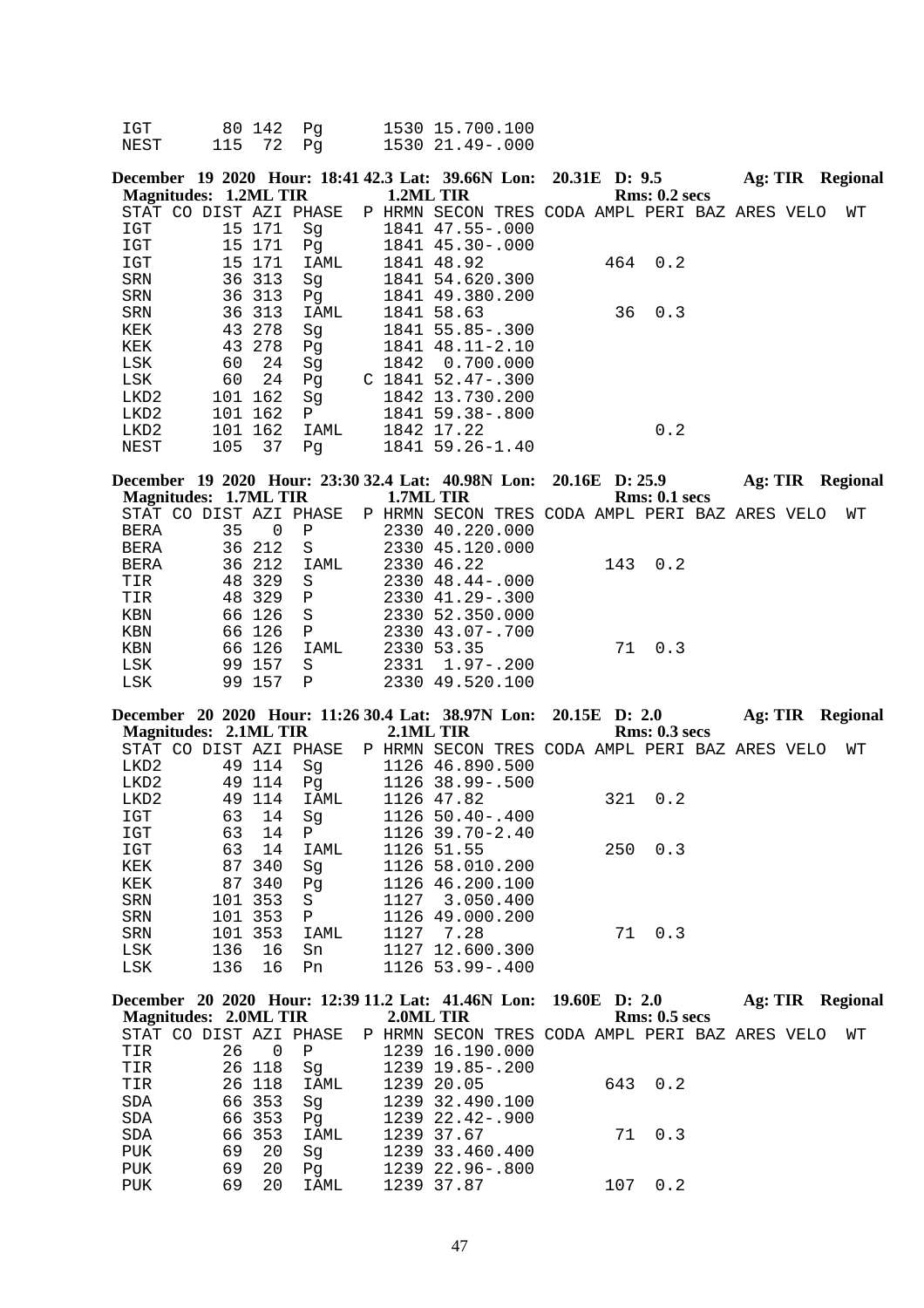| IGT  | 80 142 Pq |  | 1530 15.700.100 |
|------|-----------|--|-----------------|
| NEST | 115 72 Pq |  | 1530 21.49-.000 |

| December 19 2020 Hour: 18:41 42.3 Lat: 39.66N Lon: 20.31E D: 9.5 |     |         |      |           |                                                |  |    |                 | Ag: TIR | Regional |
|------------------------------------------------------------------|-----|---------|------|-----------|------------------------------------------------|--|----|-----------------|---------|----------|
| <b>Magnitudes: 1.2ML TIR</b>                                     |     |         |      | 1.2ML TIR |                                                |  |    | Rms: 0.2~secs   |         |          |
| STAT CO DIST AZI PHASE                                           |     |         |      |           | P HRMN SECON TRES CODA AMPL PERI BAZ ARES VELO |  |    |                 |         | WТ       |
| IGT                                                              |     | 15 171  | Sq   |           | 1841 47.55-.000                                |  |    |                 |         |          |
| IGT                                                              |     | 15 171  | Pq   |           | 1841 45.30-.000                                |  |    |                 |         |          |
| IGT                                                              |     | 15 171  | IAML |           | 1841 48.92                                     |  |    | $464 \quad 0.2$ |         |          |
| SRN                                                              |     | 36 313  | Sq   |           | 1841 54.620.300                                |  |    |                 |         |          |
| SRN                                                              |     | 36 313  | Pq   |           | 1841 49.380.200                                |  |    |                 |         |          |
| SRN                                                              |     | 36 313  | IAML |           | 1841 58.63                                     |  | 36 | 0.3             |         |          |
| KEK                                                              |     | 43 278  | Sq   |           | 1841 55.85-.300                                |  |    |                 |         |          |
| KEK                                                              |     | 43 278  | Pg   |           | 1841 48.11-2.10                                |  |    |                 |         |          |
| LSK                                                              | 60  | 24      | Sq   |           | 1842 0.700.000                                 |  |    |                 |         |          |
| LSK                                                              | 60  | 24      | Pq   |           | $C$ 1841 52.47-.300                            |  |    |                 |         |          |
| LKD2                                                             |     | 101 162 | Sq   |           | 1842 13.730.200                                |  |    |                 |         |          |
| LKD2                                                             | 101 | 162     | P    |           | 1841 59.38-.800                                |  |    |                 |         |          |
| LKD2                                                             |     | 101 162 | IAML |           | 1842 17.22                                     |  |    | 0.2             |         |          |
| NEST                                                             | 105 | 37      | Pq   |           | 1841 59.26-1.40                                |  |    |                 |         |          |
|                                                                  |     |         |      |           |                                                |  |    |                 |         |          |

|                        |    |        |              |        | December 19 2020 Hour: 23:30 32.4 Lat: 40.98N Lon: 20.16E D: 25.9 |     |                      | Ag: TIR |  | Regional |
|------------------------|----|--------|--------------|--------|-------------------------------------------------------------------|-----|----------------------|---------|--|----------|
| Magnitudes: 1.7ML TIR  |    |        |              |        | 1.7ML TIR                                                         |     | <b>Rms: 0.1 secs</b> |         |  |          |
| STAT CO DIST AZI PHASE |    |        |              | P HRMN | SECON TRES CODA AMPL PERI BAZ ARES VELO                           |     |                      |         |  | WТ       |
| <b>BERA</b>            | 35 | 0      | $\mathbf P$  |        | 2330 40.220.000                                                   |     |                      |         |  |          |
| <b>BERA</b>            |    | 36 212 | - S          |        | 2330 45.120.000                                                   |     |                      |         |  |          |
| BERA                   |    | 36 212 | IAML         |        | 2330 46.22                                                        | 143 | 0.2                  |         |  |          |
| TIR                    |    | 48 329 | -S           |        | $2330$ $48.44 - .000$                                             |     |                      |         |  |          |
| TIR                    |    | 48 329 | $\mathbf{P}$ |        | $2330$ $41.29 - .300$                                             |     |                      |         |  |          |
| KBN                    |    | 66 126 | - S          |        | 2330 52.350.000                                                   |     |                      |         |  |          |
| KBN                    |    | 66 126 | $\mathsf{P}$ |        | $2330$ $43.07 - .700$                                             |     |                      |         |  |          |
| KBN                    |    | 66 126 | IAML         |        | 2330 53.35                                                        | 71  | 0.3                  |         |  |          |
| LSK                    |    | 99 157 | S            |        | $2331 \quad 1.97 - .200$                                          |     |                      |         |  |          |
| LSK                    | 99 | 157    | P            |        | 2330 49.520.100                                                   |     |                      |         |  |          |

|                              |     |         |                        |           | December 20 2020 Hour: 11:26 30.4 Lat: 38.97N Lon: 20.15E D: 2.0 |  |     |               | Ag: TIR |  | <b>Regional</b> |
|------------------------------|-----|---------|------------------------|-----------|------------------------------------------------------------------|--|-----|---------------|---------|--|-----------------|
| <b>Magnitudes: 2.1ML TIR</b> |     |         |                        | 2.1ML TIR |                                                                  |  |     | Rms: 0.3 secs |         |  |                 |
|                              |     |         | STAT CO DIST AZI PHASE |           | P HRMN SECON TRES CODA AMPL PERI BAZ ARES VELO                   |  |     |               |         |  | WΤ              |
| LKD2                         |     | 49 114  | Sq                     |           | 1126 46.890.500                                                  |  |     |               |         |  |                 |
| LKD2                         |     | 49 114  | Pq                     |           | 1126 38.99 -. 500                                                |  |     |               |         |  |                 |
| LKD2                         | 49  | 114     | IAML                   |           | 1126 47.82                                                       |  | 321 | 0.2           |         |  |                 |
| IGT                          | 63  | 14      | Sq                     |           | $112650.40 - .400$                                               |  |     |               |         |  |                 |
| IGT                          | 63  | 14      | $\mathbf{P}$           |           | 1126 39.70-2.40                                                  |  |     |               |         |  |                 |
| IGT                          | 63  | 14      | IAML                   |           | 1126 51.55                                                       |  | 250 | 0.3           |         |  |                 |
| KEK                          |     | 87 340  | Sq                     |           | 1126 58.010.200                                                  |  |     |               |         |  |                 |
| KEK                          |     | 87 340  | Pq                     |           | 1126 46.200.100                                                  |  |     |               |         |  |                 |
| SRN                          |     | 101 353 | S                      | 1127      | 3.050.400                                                        |  |     |               |         |  |                 |
| <b>SRN</b>                   | 101 | 353     | $\mathbf{P}$           | 1126      | 49.000.200                                                       |  |     |               |         |  |                 |
| <b>SRN</b>                   |     | 101 353 | IAML                   | 1127      | 7.28                                                             |  | 71  | 0.3           |         |  |                 |
| LSK                          | 136 | 16      | Sn                     |           | 1127 12.600.300                                                  |  |     |               |         |  |                 |
| <b>LSK</b>                   | 136 | 16      | Pn                     |           | 1126 53.99 -. 400                                                |  |     |               |         |  |                 |

|                                 |    |                |              | December 20 2020 Hour: 12:39 11.2 Lat: 41.46N Lon: 19.60E D: 2.0      |     |               | Ag: TIR Regional |
|---------------------------------|----|----------------|--------------|-----------------------------------------------------------------------|-----|---------------|------------------|
| Magnitudes: 2.0ML TIR 2.0ML TIR |    |                |              |                                                                       |     | Rms: 0.5~secs |                  |
|                                 |    |                |              | STAT CO DIST AZI PHASE P HRMN SECON TRES CODA AMPL PERI BAZ ARES VELO |     |               | WТ               |
| TIR                             | 26 | $\overline{0}$ | $\mathbf{P}$ | 1239 16.190.000                                                       |     |               |                  |
| TIR                             |    |                | 26 118  Sq   | 1239 19.85-.200                                                       |     |               |                  |
| TIR                             |    |                | 26 118 IAML  | 1239 20.05                                                            |     | 643 0.2       |                  |
| SDA                             |    | 66 353         | Sq           | 1239 32.490.100                                                       |     |               |                  |
| <b>SDA</b>                      |    | 66 353         | Pq           | 1239 22.42-.900                                                       |     |               |                  |
| <b>SDA</b>                      |    | 66 353         | IAML         | 1239 37.67                                                            |     | 71 0.3        |                  |
| PUK                             |    | 69 20          | Sq           | 1239 33.460.400                                                       |     |               |                  |
| PUK                             | 69 | 20             | Pq           | 1239 22.96-.800                                                       |     |               |                  |
| PUK                             | 69 | 20             | IAML         | 1239 37.87                                                            | 107 | 0.2           |                  |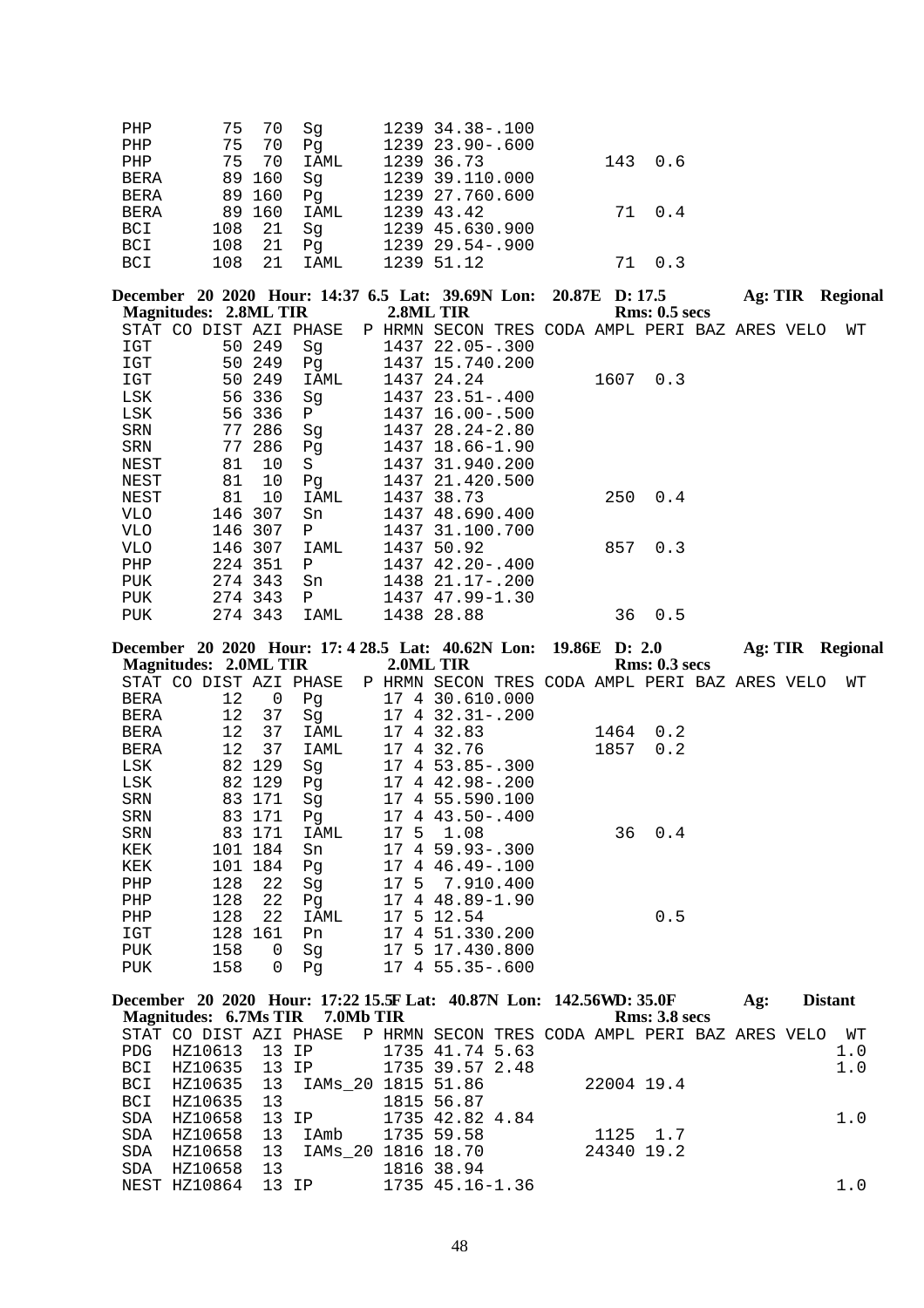| PHP         |        | 75 70  | Sq          | 1239 34.38-.100  |    |         |
|-------------|--------|--------|-------------|------------------|----|---------|
| PHP         |        | 75 70  | Pa          | 1239 23.90-.600  |    |         |
| PHP         |        | 75 70  | IAML        | 1239 36.73       |    | 143 0.6 |
| <b>BERA</b> |        | 89 160 | Sq          | 1239 39.110.000  |    |         |
| <b>BERA</b> | 89 160 |        | Pq          | 1239 27.760.600  |    |         |
| <b>BERA</b> |        |        | 89 160 IAML | 1239 43.42       |    | 71 0.4  |
| BCI         | 108 21 |        | Sa          | 1239 45.630.900  |    |         |
| <b>BCI</b>  | 108 21 |        | Pa          | $123929.54-.900$ |    |         |
| BCI         | 108    | 21     | IAML        | 1239 51.12       | 71 | 0 3     |

|            |                              |         |                        |      | December 20 2020 Hour: 14:37 6.5 Lat: 39.69N Lon: 20.87E D: 17.5 |  |      |               | Ag: TIR | Regional |
|------------|------------------------------|---------|------------------------|------|------------------------------------------------------------------|--|------|---------------|---------|----------|
|            | <b>Magnitudes: 2.8ML TIR</b> |         |                        |      | 2.8ML TIR                                                        |  |      | Rms: 0.5~secs |         |          |
|            |                              |         | STAT CO DIST AZI PHASE |      | P HRMN SECON TRES CODA AMPL PERI BAZ ARES VELO                   |  |      |               |         | WΤ       |
| IGT        |                              | 50 249  | Sq                     |      | 1437 22.05-.300                                                  |  |      |               |         |          |
| IGT        | 50                           | 249     | Pq                     |      | 1437 15.740.200                                                  |  |      |               |         |          |
| IGT        | 50                           | 249     | IAML                   |      | 1437 24.24                                                       |  | 1607 | 0.3           |         |          |
| LSK        |                              | 56 336  | Sq                     |      | $1437$ $23.51 - .400$                                            |  |      |               |         |          |
| LSK        |                              | 56 336  | $\mathbf{P}$           |      | 1437 16.00 - .500                                                |  |      |               |         |          |
| SRN        | 77                           | 286     | Sq                     |      | 1437 28.24-2.80                                                  |  |      |               |         |          |
| SRN        | 77                           | 286     | Pq                     |      | 1437 18.66-1.90                                                  |  |      |               |         |          |
| NEST       | 81                           | 10      | S                      |      | 1437 31.940.200                                                  |  |      |               |         |          |
| NEST       | 81                           | 10      | Pq                     |      | 1437 21.420.500                                                  |  |      |               |         |          |
| NEST       | 81                           | 10      | IAML                   | 1437 | 38.73                                                            |  | 250  | 0.4           |         |          |
| VLO        | 146                          | 307     | Sn                     |      | 1437 48.690.400                                                  |  |      |               |         |          |
| <b>VLO</b> | 146                          | 307     | Ρ                      |      | 1437 31.100.700                                                  |  |      |               |         |          |
| VLO.       | 146                          | 307     | IAML                   | 1437 | 50.92                                                            |  | 857  | 0.3           |         |          |
| PHP        | 224                          | 351     | Ρ                      |      | 1437 42.20-.400                                                  |  |      |               |         |          |
| PUK        |                              | 274 343 | Sn                     |      | 1438 21.17-.200                                                  |  |      |               |         |          |
| PUK        |                              | 274 343 | $\mathbf{P}$           |      | 1437 47.99-1.30                                                  |  |      |               |         |          |
| <b>PUK</b> |                              | 274 343 | IAML                   |      | 1438 28.88                                                       |  | 36   | 0.5           |         |          |
|            |                              |         |                        |      |                                                                  |  |      |               |         |          |

|            |                              |         |                        |    |   | December 20 2020 Hour: 17: 4 28.5 Lat: 40.62N Lon: 19.86E D: 2.0 |      |               | Ag: TIR | Regional |
|------------|------------------------------|---------|------------------------|----|---|------------------------------------------------------------------|------|---------------|---------|----------|
|            | <b>Magnitudes: 2.0ML TIR</b> |         |                        |    |   | 2.0ML TIR                                                        |      | Rms: 0.3 secs |         |          |
|            |                              |         | STAT CO DIST AZI PHASE |    |   | P HRMN SECON TRES CODA AMPL PERI BAZ ARES VELO                   |      |               |         | WΤ       |
| BERA       | 12                           | 0       | Pg                     |    |   | 17 4 30.610.000                                                  |      |               |         |          |
| BERA       | 12                           | 37      | Sg                     |    |   | 17 4 32.31 -. 200                                                |      |               |         |          |
| BERA       | 12                           | 37      | IAML                   | 17 | 4 | 32.83                                                            | 1464 | 0.2           |         |          |
| BERA       | 12                           | 37      | IAML                   | 17 |   | 4 32.76                                                          | 1857 | 0.2           |         |          |
| LSK        |                              | 82 129  | Sq                     |    |   | $17 \quad 4 \quad 53.85 - .300$                                  |      |               |         |          |
| LSK        |                              | 82 129  | Pq                     |    |   | 17 4 42.98-.200                                                  |      |               |         |          |
| SRN        |                              | 83 171  | Sg                     |    |   | 17 4 55.590.100                                                  |      |               |         |          |
| SRN        |                              | 83 171  | Pg                     |    |   | 17 4 43.50 - .400                                                |      |               |         |          |
| SRN        | 83                           | 171     | IAML                   |    |   | 17 5 1.08                                                        | 36   | 0.4           |         |          |
| KEK        |                              | 101 184 | Sn                     |    |   | $17 \, 4 \, 59.93 - .300$                                        |      |               |         |          |
| KEK        |                              | 101 184 | Pq                     |    |   | 17 4 46.49 -. 100                                                |      |               |         |          |
| PHP        | 128                          | 22      | Sq                     |    |   | 17 5 7.910.400                                                   |      |               |         |          |
| PHP        | 128                          | 22      | Pq                     |    |   | 17 4 48.89-1.90                                                  |      |               |         |          |
| PHP        | 128                          | 22      | IAML                   |    |   | 17 5 12.54                                                       |      | 0.5           |         |          |
| IGT        | 128                          | 161     | Pn.                    |    |   | 17 4 51.330.200                                                  |      |               |         |          |
| <b>PUK</b> | 158                          | 0       | Sq                     |    |   | 17 5 17.430.800                                                  |      |               |         |          |
| PUK        | 158                          | 0       | Pq                     |    |   | $17 \quad 4 \quad 55.35 - .600$                                  |      |               |         |          |
|            |                              |         |                        |    |   |                                                                  |      |               |         |          |

|  |                        |                          |                  |  |                          |                                                                                                                                       |                                                    |                                                                                             | Ag:                                                                                         | <b>Distant</b> |                                                                       |
|--|------------------------|--------------------------|------------------|--|--------------------------|---------------------------------------------------------------------------------------------------------------------------------------|----------------------------------------------------|---------------------------------------------------------------------------------------------|---------------------------------------------------------------------------------------------|----------------|-----------------------------------------------------------------------|
|  |                        |                          |                  |  |                          |                                                                                                                                       |                                                    |                                                                                             |                                                                                             |                |                                                                       |
|  |                        |                          |                  |  |                          |                                                                                                                                       |                                                    |                                                                                             |                                                                                             |                | WT                                                                    |
|  |                        |                          |                  |  |                          |                                                                                                                                       |                                                    |                                                                                             |                                                                                             |                | 1.0                                                                   |
|  |                        |                          |                  |  |                          |                                                                                                                                       |                                                    |                                                                                             |                                                                                             |                | 1.0                                                                   |
|  |                        |                          |                  |  |                          |                                                                                                                                       |                                                    |                                                                                             |                                                                                             |                |                                                                       |
|  |                        |                          |                  |  |                          |                                                                                                                                       |                                                    |                                                                                             |                                                                                             |                |                                                                       |
|  |                        |                          |                  |  |                          |                                                                                                                                       |                                                    |                                                                                             |                                                                                             |                | 1.0                                                                   |
|  |                        |                          |                  |  |                          |                                                                                                                                       |                                                    |                                                                                             |                                                                                             |                |                                                                       |
|  |                        |                          |                  |  |                          |                                                                                                                                       |                                                    |                                                                                             |                                                                                             |                |                                                                       |
|  |                        |                          |                  |  |                          |                                                                                                                                       |                                                    |                                                                                             |                                                                                             |                |                                                                       |
|  |                        |                          |                  |  |                          |                                                                                                                                       |                                                    |                                                                                             |                                                                                             |                | 1.0                                                                   |
|  | PDG HZ10613<br>HZ10658 | HZ10635 13<br>HZ10658 13 | 13<br>HZ10658 13 |  | 1815 56.87<br>1816 38.94 | 13 IP 1735 41.74 5.63<br>BCI HZ10635 13 IP 1735 39.57 2.48<br>SDA HZ10658 13 IP 1735 42.82 4.84<br>NEST HZ10864 13 IP 1735 45.16-1.36 | Magnitudes: 6.7Ms TIR 7.0Mb TIR<br>IAmb 1735 59.58 | BCI HZ10635 13 IAMs 20 1815 51.86 22004 19.4<br>1125 1.7<br>IAMs  20 1816 18.70  24340 19.2 | December 20 2020 Hour: 17:22 15.5F Lat: 40.87N Lon: 142.56WD: 35.0F<br><b>Rms: 3.8 secs</b> |                | STAT CO DIST AZI PHASE P HRMN SECON TRES CODA AMPL PERI BAZ ARES VELO |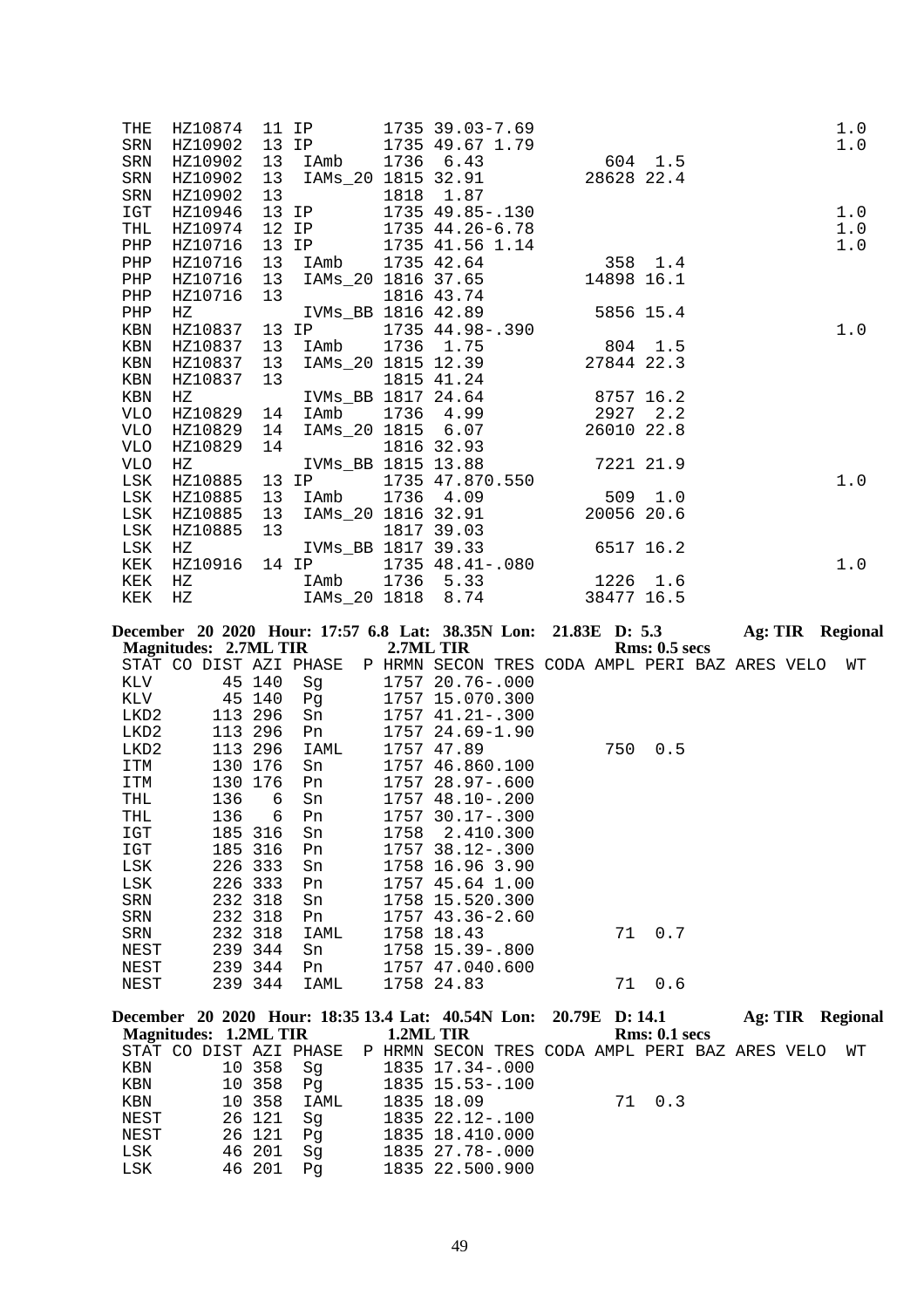| <b>THE</b> |         |    |  | HZ10874 11 IP 1735 39.03-7.69<br>11 IP 1735 39.03-7.69<br>13 IP 1735 49.67 1.79                                                                                     |  | 1.0                                                                                                                                                                                                    |  |
|------------|---------|----|--|---------------------------------------------------------------------------------------------------------------------------------------------------------------------|--|--------------------------------------------------------------------------------------------------------------------------------------------------------------------------------------------------------|--|
| SRN        | HZ10902 |    |  |                                                                                                                                                                     |  | 1.0                                                                                                                                                                                                    |  |
| <b>SRN</b> | HZ10902 | 13 |  |                                                                                                                                                                     |  |                                                                                                                                                                                                        |  |
| SRN        | HZ10902 |    |  | 13 IAmb 1736 6.43 604 1.5<br>13 IAMs_20 1815 32.91 28628 22.4                                                                                                       |  |                                                                                                                                                                                                        |  |
| SRN        | HZ10902 |    |  |                                                                                                                                                                     |  |                                                                                                                                                                                                        |  |
| IGT        | HZ10946 |    |  |                                                                                                                                                                     |  | 1.0                                                                                                                                                                                                    |  |
| THL        | HZ10974 |    |  |                                                                                                                                                                     |  | 1.0                                                                                                                                                                                                    |  |
| PHP        | HZ10716 |    |  |                                                                                                                                                                     |  | 1.0                                                                                                                                                                                                    |  |
| PHP        | HZ10716 |    |  |                                                                                                                                                                     |  |                                                                                                                                                                                                        |  |
| PHP        | HZ10716 |    |  |                                                                                                                                                                     |  | 13<br>13 IP 1735 49.85-.130<br>12 IP 1735 44.26-6.78<br>13 IP 1735 44.26-6.78<br>13 IP 1735 41.56 1.14<br>13 IAMb 1735 42.64 358 1.4<br>13 IAMb 1735 42.64 358 1.4<br>13 IAMs_20 1816 37.65 14898 16.1 |  |
| PHP        |         |    |  |                                                                                                                                                                     |  |                                                                                                                                                                                                        |  |
| PHP        |         |    |  | HZ10716 13<br>HZ10716 13<br>HZ IVMs_BB 1816 42.89<br>HZ10837 13 IP 1735 44.98-.390<br>HZ10837 13 IAmb 1736 1.75 804 1.5<br>HZ10837 13 IAms_20 1815 12.39 27844 22.3 |  |                                                                                                                                                                                                        |  |
| KBN        |         |    |  |                                                                                                                                                                     |  | 1.0                                                                                                                                                                                                    |  |
| KBN        |         |    |  |                                                                                                                                                                     |  |                                                                                                                                                                                                        |  |
| KBN        |         |    |  |                                                                                                                                                                     |  |                                                                                                                                                                                                        |  |
| KBN        |         |    |  | HZ10837 13<br>HZ10837 13<br>HZ IVMs_BB 1817 24.64<br>HZ10829 14 IAmb 1736 4.99<br>HZ10829 14 IAMs_20 1815 6.07<br>26010 22.8                                        |  |                                                                                                                                                                                                        |  |
| KBN        |         |    |  |                                                                                                                                                                     |  |                                                                                                                                                                                                        |  |
| VLO        |         |    |  |                                                                                                                                                                     |  |                                                                                                                                                                                                        |  |
| VLO        |         |    |  |                                                                                                                                                                     |  |                                                                                                                                                                                                        |  |
| VLO        |         |    |  | HZ10829 14 1816 32.93                                                                                                                                               |  |                                                                                                                                                                                                        |  |
| VLO        |         |    |  | HZ IVMs_BB 1815 13.88 7221 21.9                                                                                                                                     |  |                                                                                                                                                                                                        |  |
| LSK        |         |    |  | HZ10885 13 IP 1735 47.870.550<br>HZ10885 13 IAmb 1736 4.09 509 1.0<br>HZ10885 13 IAMs_20 1816 32.91 20056 20.6                                                      |  | 1.0                                                                                                                                                                                                    |  |
| LSK        |         |    |  |                                                                                                                                                                     |  |                                                                                                                                                                                                        |  |
| LSK        | HZ10885 |    |  |                                                                                                                                                                     |  |                                                                                                                                                                                                        |  |
| LSK        | HZ10885 | 13 |  | 1817 39.03                                                                                                                                                          |  |                                                                                                                                                                                                        |  |
| LSK        | ΗZ      |    |  | IVMs_BB 1817 39.33 6517 16.2                                                                                                                                        |  |                                                                                                                                                                                                        |  |
| KEK        |         |    |  | HZ10916 14 IP 1735 48.41-.080                                                                                                                                       |  | 1.0                                                                                                                                                                                                    |  |
| KEK        |         |    |  |                                                                                                                                                                     |  |                                                                                                                                                                                                        |  |
| KEK        |         |    |  | HZ 1Amb 1736 5.33 1226 1.6<br>HZ 1AMs_20 1818 8.74 38477 16.5                                                                                                       |  |                                                                                                                                                                                                        |  |
|            |         |    |  |                                                                                                                                                                     |  |                                                                                                                                                                                                        |  |

|         |                              |     |         | December 20 2020 Hour: 17:57 6.8 Lat: 38.35N Lon: 21.83E D: 5.3 |           |                                                |  |     |                      | Ag: TIR |  | Regional |
|---------|------------------------------|-----|---------|-----------------------------------------------------------------|-----------|------------------------------------------------|--|-----|----------------------|---------|--|----------|
|         | <b>Magnitudes: 2.7ML TIR</b> |     |         |                                                                 | 2.7ML TIR |                                                |  |     | <b>Rms: 0.5 secs</b> |         |  |          |
| STAT CO |                              |     |         | DIST AZI PHASE                                                  |           | P HRMN SECON TRES CODA AMPL PERI BAZ ARES VELO |  |     |                      |         |  | WТ       |
| KLV     |                              |     | 45 140  | Sq                                                              |           | 1757 20.76-.000                                |  |     |                      |         |  |          |
| KLV     |                              | 45  | 140     | Pq                                                              |           | 1757 15.070.300                                |  |     |                      |         |  |          |
| LKD2    |                              | 113 | 296     | Sn                                                              |           | $1757$ $41.21 - .300$                          |  |     |                      |         |  |          |
| LKD2    |                              |     | 113 296 | Pn                                                              |           | 1757 24.69-1.90                                |  |     |                      |         |  |          |
| LKD2    |                              |     | 113 296 | IAML                                                            |           | 1757 47.89                                     |  | 750 | 0.5                  |         |  |          |
| ITM     |                              |     | 130 176 | Sn                                                              |           | 1757 46.860.100                                |  |     |                      |         |  |          |
| ITM     |                              |     | 130 176 | Pn                                                              |           | $1757$ $28.97 - .600$                          |  |     |                      |         |  |          |
| THL     |                              | 136 | 6       | Sn                                                              |           | $1757$ 48.10 - .200                            |  |     |                      |         |  |          |
| THL     |                              | 136 | 6       | Pn                                                              |           | $1757$ 30.17 - 300                             |  |     |                      |         |  |          |
| IGT     |                              | 185 | 316     | Sn                                                              | 1758      | 2.410.300                                      |  |     |                      |         |  |          |
| IGT     |                              | 185 | 316     | Pn                                                              |           | 1757 38.12-.300                                |  |     |                      |         |  |          |
| LSK     |                              |     | 226 333 | Sn                                                              |           | 1758 16.96 3.90                                |  |     |                      |         |  |          |
| LSK     |                              | 226 | 333     | Pn                                                              | 1757      | 45.64 1.00                                     |  |     |                      |         |  |          |
| SRN     |                              |     | 232 318 | Sn                                                              |           | 1758 15.520.300                                |  |     |                      |         |  |          |
| SRN     |                              |     | 232 318 | Pn                                                              |           | $1757$ 43.36-2.60                              |  |     |                      |         |  |          |
| SRN     |                              |     | 232 318 | IAML                                                            | 1758      | 18.43                                          |  | 71  | 0.7                  |         |  |          |
| NEST    |                              |     | 239 344 | Sn                                                              | 1758      | $15.39 - .800$                                 |  |     |                      |         |  |          |
| NEST    |                              |     | 239 344 | Pn                                                              |           | 1757 47.040.600                                |  |     |                      |         |  |          |
| NEST    |                              |     | 239 344 | IAML                                                            |           | 1758 24.83                                     |  | 71  | 0.6                  |         |  |          |

| December 20 2020 Hour: 18:35 13.4 Lat: 40.54N Lon: 20.79E D: 14.1     |        |      |           |                 |  |        |               |  | Ag: TIR Regional |
|-----------------------------------------------------------------------|--------|------|-----------|-----------------|--|--------|---------------|--|------------------|
| Magnitudes: 1.2ML TIR                                                 |        |      | 1.2ML TIR |                 |  |        | Rms: 0.1~secs |  |                  |
| STAT CO DIST AZI PHASE P HRMN SECON TRES CODA AMPL PERI BAZ ARES VELO |        |      |           |                 |  |        |               |  | WТ               |
| KBN                                                                   | 10 358 | Sq   |           | 1835 17.34-.000 |  |        |               |  |                  |
| KBN                                                                   | 10 358 | Pq   |           | 1835 15.53-.100 |  |        |               |  |                  |
| KBN                                                                   | 10 358 | IAML |           | 1835 18.09      |  | 71 0.3 |               |  |                  |
| NEST                                                                  | 26 121 | Sa   |           | 1835 22.12-.100 |  |        |               |  |                  |
| NEST                                                                  | 26 121 | Pq   |           | 1835 18.410.000 |  |        |               |  |                  |
| LSK                                                                   | 46 201 | Sq   |           | 1835 27.78-.000 |  |        |               |  |                  |
| LSK                                                                   | 46 201 | Pq   |           | 1835 22.500.900 |  |        |               |  |                  |
|                                                                       |        |      |           |                 |  |        |               |  |                  |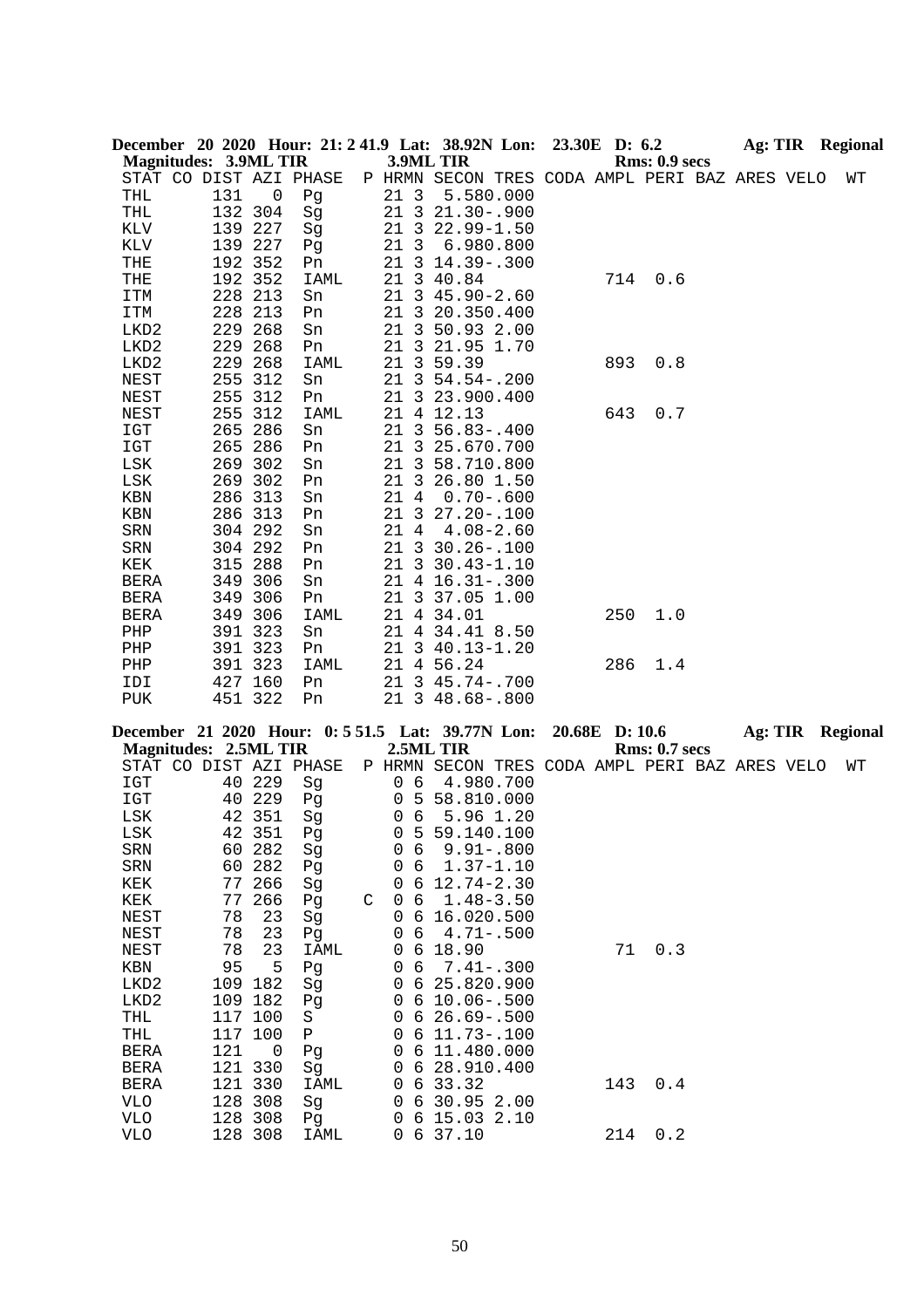| December 20 2020 Hour: 21: 241.9 Lat: 38.92N Lon: | <b>Magnitudes: 3.9ML TIR</b> |                    |            |   |                      | 3.9ML TIR  |                                                | 23.30E D: 6.2  | Rms: 0.9 secs        | <b>Ag: TIR Regional</b> |  |    |
|---------------------------------------------------|------------------------------|--------------------|------------|---|----------------------|------------|------------------------------------------------|----------------|----------------------|-------------------------|--|----|
|                                                   | STAT CO DIST AZI PHASE       |                    |            |   |                      |            | P HRMN SECON TRES CODA AMPL PERI BAZ ARES VELO |                |                      |                         |  | WΤ |
| THL                                               | 131                          | 0                  | Pg         |   | 21 3                 |            | 5.580.000                                      |                |                      |                         |  |    |
| THL                                               |                              | 132 304            | Sg         |   |                      |            | 21 3 21.30 - . 900                             |                |                      |                         |  |    |
| KLV                                               |                              | 139 227            | Sg         |   | 21 3                 |            | $22.99 - 1.50$                                 |                |                      |                         |  |    |
| KLV                                               |                              | 139 227            | Pg         |   | 21 3                 |            | 6.980.800                                      |                |                      |                         |  |    |
| THE<br>THE                                        | 192                          | 192 352<br>352     | Pn         |   |                      | 21 3 40.84 | 21 3 14.39 - . 300                             | 714            | 0.6                  |                         |  |    |
| ITM                                               |                              | 228 213            | IAML<br>Sn |   |                      |            | 21 3 45.90-2.60                                |                |                      |                         |  |    |
| ITM                                               |                              | 228 213            | Pn         |   |                      |            | 21 3 20.350.400                                |                |                      |                         |  |    |
| LKD2                                              |                              | 229 268            | Sn         |   | 21                   |            | 3 50.93 2.00                                   |                |                      |                         |  |    |
| LKD2                                              | 229                          | 268                | Pn         |   | $\overline{3}$<br>21 |            | 21.95 1.70                                     |                |                      |                         |  |    |
| LKD2                                              | 229                          | 268                | IAML       |   | 21                   | 3 59.39    |                                                | 893            | 0.8                  |                         |  |    |
| NEST                                              | 255                          | 312                | Sn         |   |                      |            | 21 3 54.54 -. 200                              |                |                      |                         |  |    |
| NEST                                              | 255                          | 312                | Pn         |   |                      |            | 21 3 23.900.400                                |                |                      |                         |  |    |
| NEST                                              | 255                          | 312                | IAML       |   | 21                   | 4 12.13    |                                                | 643            | 0.7                  |                         |  |    |
| $_{\tt IGT}$                                      | 265                          | 286                | Sn         |   |                      |            | 21 3 56.83 -. 400                              |                |                      |                         |  |    |
| IGT                                               | 265                          | 286                | Pn         |   |                      |            | 21 3 25.670.700                                |                |                      |                         |  |    |
| LSK<br>LSK                                        |                              | 269 302<br>269 302 | Sn<br>Pn   |   |                      |            | 21 3 58.710.800<br>21 3 26.80 1.50             |                |                      |                         |  |    |
| KBN                                               |                              | 286 313            | Sn         |   | 21 4                 |            | $0.70 - .600$                                  |                |                      |                         |  |    |
| KBN                                               |                              | 286 313            | Pn         |   |                      |            | 21 3 27.20 -. 100                              |                |                      |                         |  |    |
| SRN                                               |                              | 304 292            | Sn         |   | 21 4                 |            | $4.08 - 2.60$                                  |                |                      |                         |  |    |
| SRN                                               |                              | 304 292            | Pn         |   |                      |            | 21 3 30.26 -. 100                              |                |                      |                         |  |    |
| KEK                                               |                              | 315 288            | Pn         |   |                      |            | 21 3 30.43-1.10                                |                |                      |                         |  |    |
| <b>BERA</b>                                       |                              | 349 306            | Sn         |   |                      |            | 21 4 16.31 -. 300                              |                |                      |                         |  |    |
| <b>BERA</b>                                       |                              | 349 306            | Pn         |   | 21                   |            | 3 37.05 1.00                                   |                |                      |                         |  |    |
| <b>BERA</b>                                       |                              | 349 306            | IAML       |   |                      | 21 4 34.01 |                                                | 250            | 1.0                  |                         |  |    |
| PHP                                               |                              | 391 323            | Sn         |   |                      |            | 21 4 34.41 8.50                                |                |                      |                         |  |    |
| PHP                                               |                              | 391 323            | Pn         |   |                      |            | 21 3 40.13-1.20                                |                |                      |                         |  |    |
| PHP<br>IDI                                        |                              | 391 323<br>427 160 | IAML<br>Pn |   |                      | 21 4 56.24 | 21 3 45.74 -. 700                              | 286            | 1.4                  |                         |  |    |
| PUK                                               |                              | 451 322            | Pn         |   |                      |            | 21 3 48.68 -. 800                              |                |                      |                         |  |    |
|                                                   |                              |                    |            |   |                      |            |                                                |                |                      |                         |  |    |
| December 21 2020 Hour: 0:551.5 Lat: 39.77N Lon:   | <b>Magnitudes: 2.5ML TIR</b> |                    |            |   |                      | 2.5ML TIR  |                                                | 20.68E D: 10.6 | <b>Rms: 0.7 secs</b> | Ag: TIR Regional        |  |    |
|                                                   | STAT CO DIST AZI PHASE       |                    |            |   |                      |            | P HRMN SECON TRES CODA AMPL PERI BAZ ARES VELO |                |                      |                         |  | WΤ |
| IGT                                               |                              | 40 229             | Sg         |   | 0 <sub>6</sub>       |            | 4.980.700                                      |                |                      |                         |  |    |
| IGT                                               |                              | 40 229             | Pg         |   | 0                    |            | 5 58.810.000                                   |                |                      |                         |  |    |
| LSK                                               |                              | 42 351             | Sg         |   | 6<br>0               |            | 5.96 1.20                                      |                |                      |                         |  |    |
| LSK                                               | 42                           | 351                | Pg         |   | 0<br>5               |            | 59.140.100                                     |                |                      |                         |  |    |
| SRN<br>SRN                                        | 60                           | 60 282<br>282      | Sg<br>Pg   |   | 6<br>0<br>0<br>6     |            | $9.91 - .800$<br>$1.37 - 1.10$                 |                |                      |                         |  |    |
| KEK                                               | 77                           | 266                | Sg         |   | 0<br>6               |            | $12.74 - 2.30$                                 |                |                      |                         |  |    |
| KEK                                               | 77                           | 266                | Pg         | C | 6<br>0               |            | $1.48 - 3.50$                                  |                |                      |                         |  |    |
| NEST                                              | 78                           | 23                 | Sg         |   | 0<br>6               |            | 16.020.500                                     |                |                      |                         |  |    |
| NEST                                              | 78                           | 23                 | Pg         |   | 6<br>0               |            | $4.71 - .500$                                  |                |                      |                         |  |    |
| NEST                                              | 78                           | 23                 | IAML       |   | $\epsilon$<br>0      | 18.90      |                                                | 71             | 0.3                  |                         |  |    |
| KBN                                               | 95                           | 5                  | Pg         |   | 6<br>0               |            | $7.41 - .300$                                  |                |                      |                         |  |    |
| LKD2                                              | 109                          | 182                | Sg         |   | 6<br>0               |            | 25.820.900                                     |                |                      |                         |  |    |
| LKD <sub>2</sub>                                  |                              | 109 182            | Pg         |   | 0<br>6               |            | $10.06 - .500$                                 |                |                      |                         |  |    |
| THL                                               |                              | 117 100            | S          |   | 6<br>0               |            | $26.69 - 500$                                  |                |                      |                         |  |    |
| THL                                               |                              | 117 100            | ${\tt P}$  |   | 0<br>6               |            | $11.73 - .100$                                 |                |                      |                         |  |    |
| <b>BERA</b>                                       | 121                          | 0<br>121 330       | Pg         |   | 0<br>6               |            | 11.480.000                                     |                |                      |                         |  |    |
| <b>BERA</b><br><b>BERA</b>                        |                              | 121 330            | Sg<br>IAML |   | 0<br>6<br>6<br>0     | 33.32      | 28.910.400                                     | 143            | 0.4                  |                         |  |    |
| <b>VLO</b>                                        |                              | 128 308            | Sg         |   | 6<br>0               |            | 30.95 2.00                                     |                |                      |                         |  |    |
| <b>VLO</b>                                        |                              | 128 308            | Pg         |   | 0<br>6               |            | 15.03 2.10                                     |                |                      |                         |  |    |
| <b>VLO</b>                                        |                              | 128 308            | IAML       |   | 0                    | 6 37.10    |                                                | 214            | 0.2                  |                         |  |    |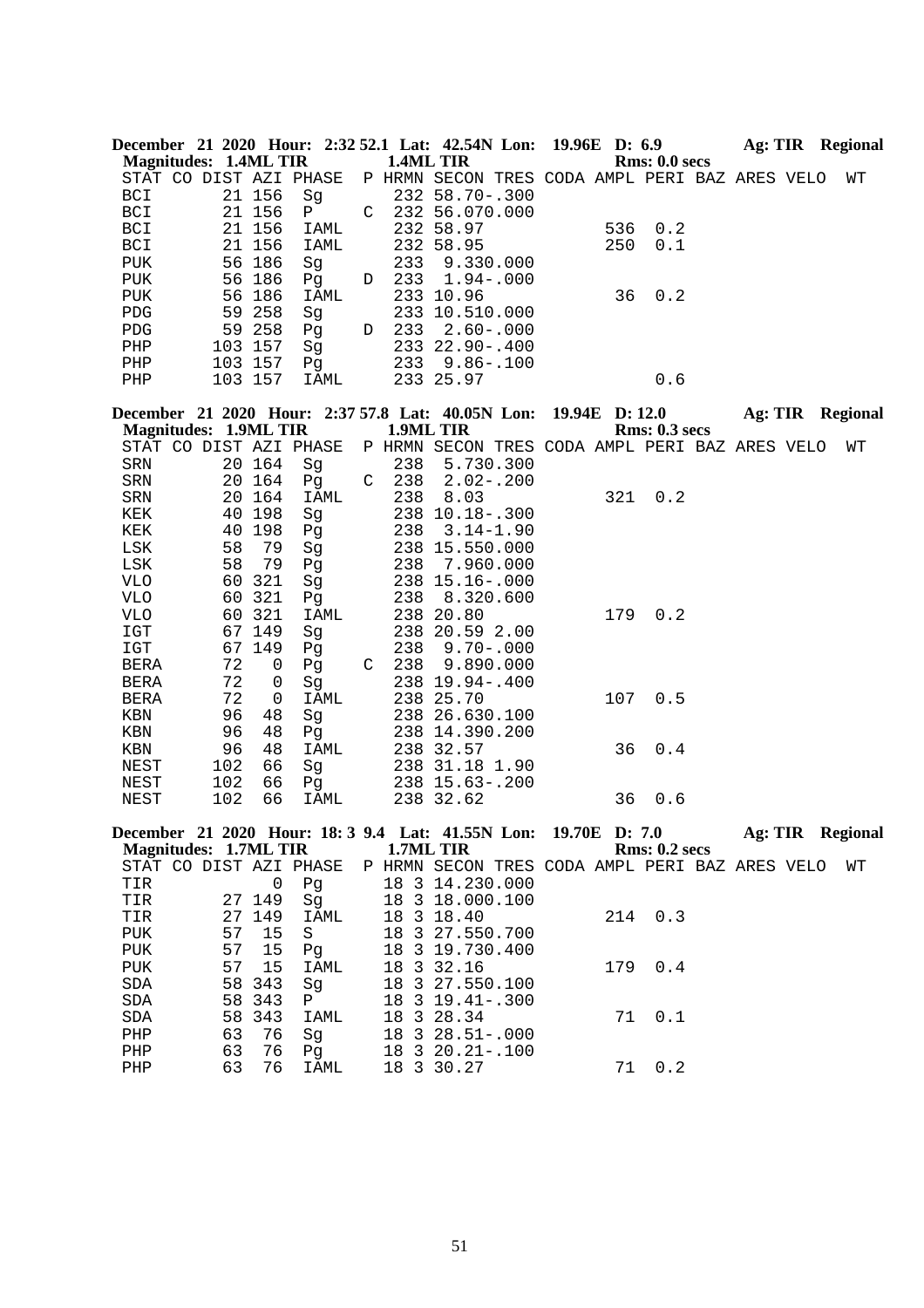|                              |          |                    | December 21 2020 Hour: 2:32 52.1 Lat: 42.54N Lon: 19.96E D: 6.9 |   |            |                                                |                |     |                      |                  |  | Ag: TIR Regional |
|------------------------------|----------|--------------------|-----------------------------------------------------------------|---|------------|------------------------------------------------|----------------|-----|----------------------|------------------|--|------------------|
| <b>Magnitudes: 1.4ML TIR</b> |          |                    |                                                                 |   |            | 1.4ML TIR                                      |                |     | Rms: 0.0 secs        |                  |  |                  |
|                              |          |                    | STAT CO DIST AZI PHASE                                          |   |            | P HRMN SECON TRES CODA AMPL PERI BAZ ARES VELO |                |     |                      |                  |  | WΤ               |
| BCI                          |          | 21 156             | Sg                                                              |   |            | 232 58.70 -. 300                               |                |     |                      |                  |  |                  |
| BCI                          |          | 21 156             | Ρ                                                               | C |            | 232 56.070.000                                 |                |     |                      |                  |  |                  |
| BCI                          |          | 21 156             | IAML                                                            |   |            | 232 58.97                                      |                | 536 | 0.2                  |                  |  |                  |
| BCI                          |          | 21 156             | IAML                                                            |   |            | 232 58.95                                      |                | 250 | 0.1                  |                  |  |                  |
| PUK                          |          | 56 186             | Sg                                                              |   | 233        | 9.330.000                                      |                |     |                      |                  |  |                  |
| PUK                          |          | 56 186             | Pg                                                              | D | 233        | $1.94 - .000$                                  |                |     |                      |                  |  |                  |
| PUK                          |          | 56 186             | IAML                                                            |   |            | 233 10.96                                      |                | 36  | 0.2                  |                  |  |                  |
| PDG                          |          | 59 258             | Sg                                                              |   |            | 233 10.510.000                                 |                |     |                      |                  |  |                  |
| ${\rm PDG}$                  |          | 59 258             | Pg                                                              | D | 233        | $2.60 - .000$                                  |                |     |                      |                  |  |                  |
| PHP                          |          | 103 157            | Sg                                                              |   |            | 233 22.90 -. 400                               |                |     |                      |                  |  |                  |
| PHP<br>${\rm PHP}$           |          | 103 157<br>103 157 | Pg<br>IAML                                                      |   | 233        | $9.86 - .100$<br>233 25.97                     |                |     | 0.6                  |                  |  |                  |
|                              |          |                    |                                                                 |   |            |                                                |                |     |                      |                  |  |                  |
|                              |          |                    | December 21 2020 Hour: 2:37 57.8 Lat: 40.05N Lon:               |   |            |                                                | 19.94E D: 12.0 |     |                      | Ag: TIR Regional |  |                  |
| <b>Magnitudes: 1.9ML TIR</b> |          |                    |                                                                 |   |            | 1.9ML TIR                                      |                |     | <b>Rms: 0.3 secs</b> |                  |  |                  |
|                              |          |                    | STAT CO DIST AZI PHASE                                          |   |            | P HRMN SECON TRES CODA AMPL PERI BAZ ARES VELO |                |     |                      |                  |  | WТ               |
| SRN                          |          | 20 164             | Sg                                                              |   | 238        | 5.730.300                                      |                |     |                      |                  |  |                  |
| ${\tt SRN}$                  |          | 20 164             | Pq                                                              | C | 238        | $2.02 - .200$                                  |                |     |                      |                  |  |                  |
| ${\tt SRN}$                  | 20       | 164                | IAML                                                            |   | 238        | 8.03                                           |                | 321 | 0.2                  |                  |  |                  |
| KEK                          | 40       | 198                | Sg                                                              |   |            | 238 10.18 -. 300                               |                |     |                      |                  |  |                  |
| KEK                          | 40       | 198                | Pg                                                              |   | 238        | $3.14 - 1.90$                                  |                |     |                      |                  |  |                  |
| LSK                          | 58       | 79                 | Sg                                                              |   |            | 238 15.550.000                                 |                |     |                      |                  |  |                  |
| LSK                          | 58       | 79                 | Pg                                                              |   | 238        | 7.960.000                                      |                |     |                      |                  |  |                  |
| <b>VLO</b>                   | 60       | 321                | Sg                                                              |   |            | 238 15.16 -. 000                               |                |     |                      |                  |  |                  |
| <b>VLO</b>                   | 60       | 321                | Pg                                                              |   | 238        | 8.320.600                                      |                |     |                      |                  |  |                  |
| <b>VLO</b>                   | 60       | 321                | IAML                                                            |   |            | 238 20.80                                      |                | 179 | 0.2                  |                  |  |                  |
| $_{\tt IGT}$                 |          | 67 149<br>149      | Sg                                                              |   |            | 238 20.59 2.00                                 |                |     |                      |                  |  |                  |
| IGT                          | 67<br>72 | 0                  | Pg                                                              |   | 238<br>238 | $9.70 - .000$<br>9.890.000                     |                |     |                      |                  |  |                  |
| BERA<br><b>BERA</b>          | 72       | 0                  | Pg                                                              | C |            | 238 19.94 -. 400                               |                |     |                      |                  |  |                  |
| BERA                         | 72       | 0                  | Sg<br>IAML                                                      |   |            | 238 25.70                                      |                | 107 | 0.5                  |                  |  |                  |
| KBN                          | 96       | 48                 | Sg                                                              |   |            | 238 26.630.100                                 |                |     |                      |                  |  |                  |
| KBN                          | 96       | 48                 | Pq                                                              |   |            | 238 14.390.200                                 |                |     |                      |                  |  |                  |
| KBN                          | 96       | 48                 | IAML                                                            |   |            | 238 32.57                                      |                | 36  | 0.4                  |                  |  |                  |
| NEST                         | 102      | 66                 | Sg                                                              |   |            | 238 31.18 1.90                                 |                |     |                      |                  |  |                  |
| NEST                         | 102      | 66                 | Pg                                                              |   |            | 238 15.63 -. 200                               |                |     |                      |                  |  |                  |
| NEST                         | 102      | 66                 | IAML                                                            |   |            | 238 32.62                                      |                | 36  | 0.6                  |                  |  |                  |
|                              |          |                    |                                                                 |   |            |                                                |                |     |                      |                  |  |                  |
| <b>Magnitudes: 1.7ML TIR</b> |          |                    | December 21 2020 Hour: 18: 3 9.4 Lat: 41.55N Lon: 19.70E D: 7.0 |   |            | 1.7ML TIR                                      |                |     | <b>Rms: 0.2 secs</b> |                  |  | Ag: TIR Regional |
|                              |          |                    | STAT CO DIST AZI PHASE                                          |   |            | P HRMN SECON TRES CODA AMPL PERI BAZ ARES VELO |                |     |                      |                  |  | WТ               |
| TIR                          |          | $\mathsf 0$        | Pg                                                              |   |            | 18 3 14.230.000                                |                |     |                      |                  |  |                  |
| TIR                          | 27       | 149                | Sg                                                              |   | 18         | 3 18.000.100                                   |                |     |                      |                  |  |                  |
| TIR                          |          | 27 149             | IAML                                                            |   |            | 18 3 18.40                                     |                | 214 | 0.3                  |                  |  |                  |
| PUK                          | 57       | 15                 | S                                                               |   |            | 18 3 27.550.700                                |                |     |                      |                  |  |                  |
| PUK                          | 57       | 15                 | Pg                                                              |   | 18         | 3 19.730.400                                   |                |     |                      |                  |  |                  |
| ${\tt PUK}$                  | 57       | 15                 | IAML                                                            |   | 18         | 3 32.16                                        |                | 179 | 0.4                  |                  |  |                  |
| $\operatorname{SDA}$         | 58       | 343                | Sg                                                              |   | 18         | 3 27.550.100                                   |                |     |                      |                  |  |                  |
| $\operatorname{SDA}$         | 58       | 343                | Ρ                                                               |   |            | 18 3 19.41 - . 300                             |                |     |                      |                  |  |                  |
| SDA                          | 58       | 343                | IAML                                                            |   |            | 18 3 28.34                                     |                | 71  | 0.1                  |                  |  |                  |
| PHP                          | 63       | 76                 | Sg                                                              |   | 18         | $328.51 - .000$                                |                |     |                      |                  |  |                  |
| ${\tt PHP}$                  | 63       | 76                 | Pg                                                              |   | 18         | $320.21 - .100$                                |                |     |                      |                  |  |                  |
| ${\tt PHP}$                  | 63       | 76                 | IAML                                                            |   |            | 18 3 30.27                                     |                | 71  | 0.2                  |                  |  |                  |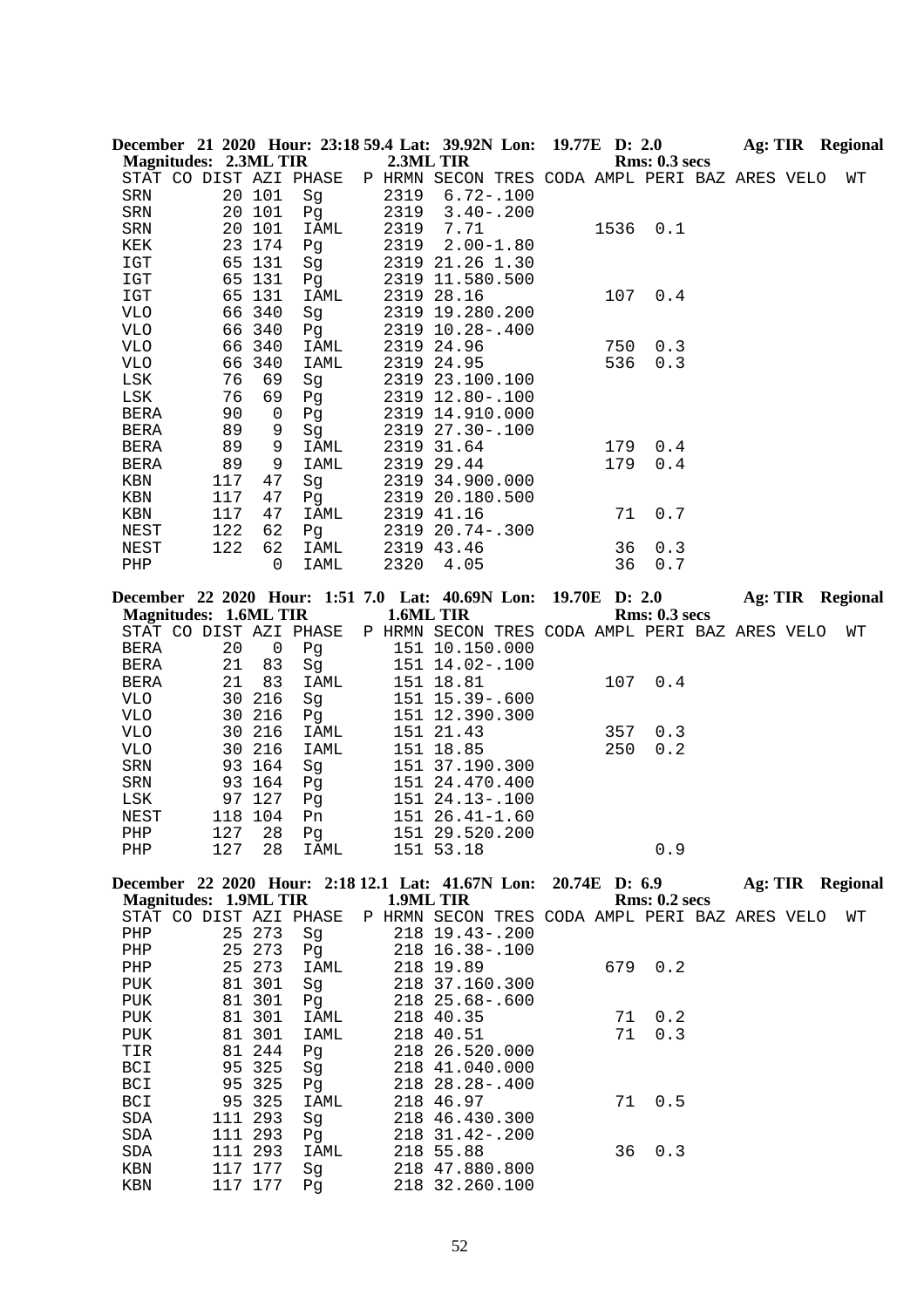|                              |     |         | December 21 2020 Hour: 23:18 59.4 Lat: 39.92N Lon: 19.77E D: 2.0                 |           |                                                |  |      |                      |  |  | <b>Ag: TIR</b> Regional |
|------------------------------|-----|---------|----------------------------------------------------------------------------------|-----------|------------------------------------------------|--|------|----------------------|--|--|-------------------------|
| <b>Magnitudes: 2.3ML TIR</b> |     |         |                                                                                  |           | 2.3ML TIR                                      |  |      | <b>Rms: 0.3 secs</b> |  |  |                         |
|                              |     |         | STAT CO DIST AZI PHASE                                                           |           | P HRMN SECON TRES CODA AMPL PERI BAZ ARES VELO |  |      |                      |  |  | WΤ                      |
| SRN                          |     | 20 101  | Sg                                                                               | 2319      | $6.72 - .100$                                  |  |      |                      |  |  |                         |
| SRN                          |     | 20 101  | Pg                                                                               | 2319      | $3.40 - .200$                                  |  |      |                      |  |  |                         |
| SRN                          |     | 20 101  | IAML                                                                             | 2319      | 7.71                                           |  | 1536 | 0.1                  |  |  |                         |
| KEK                          |     | 23 174  | Pg                                                                               | 2319      | $2.00 - 1.80$                                  |  |      |                      |  |  |                         |
| IGT                          |     | 65 131  | Sq                                                                               |           | 2319 21.26 1.30                                |  |      |                      |  |  |                         |
| $_{\tt ICT}$                 |     | 65 131  | Pg                                                                               |           | 2319 11.580.500                                |  |      |                      |  |  |                         |
| IGT                          |     | 65 131  | IAML                                                                             |           | 2319 28.16                                     |  | 107  | 0.4                  |  |  |                         |
| VLO                          |     | 66 340  | Sg                                                                               |           | 2319 19.280.200                                |  |      |                      |  |  |                         |
| <b>VLO</b>                   |     | 66 340  | Pg                                                                               |           | 2319 10.28 -. 400                              |  |      |                      |  |  |                         |
| VLO                          |     | 66 340  | IAML                                                                             |           | 2319 24.96                                     |  | 750  | 0.3                  |  |  |                         |
| VLO                          | 66  | 340     | IAML                                                                             |           | 2319 24.95                                     |  | 536  | 0.3                  |  |  |                         |
| LSK                          | 76  | 69      | Sg                                                                               |           | 2319 23.100.100                                |  |      |                      |  |  |                         |
| LSK                          | 76  | 69      | Pg                                                                               |           | 2319 12.80 -. 100                              |  |      |                      |  |  |                         |
| BERA                         | 90  | 0       | Pg                                                                               |           | 2319 14.910.000                                |  |      |                      |  |  |                         |
| BERA                         | 89  | 9       | Sg                                                                               |           | 2319 27.30 -. 100                              |  |      |                      |  |  |                         |
| <b>BERA</b>                  | 89  | 9       | IAML                                                                             |           | 2319 31.64                                     |  | 179  | 0.4                  |  |  |                         |
| <b>BERA</b>                  | 89  | 9       | IAML                                                                             |           | 2319 29.44                                     |  | 179  | 0.4                  |  |  |                         |
| KBN                          | 117 | 47      | Sg                                                                               |           | 2319 34.900.000                                |  |      |                      |  |  |                         |
| KBN                          | 117 | 47      | Pg                                                                               |           | 2319 20.180.500                                |  |      |                      |  |  |                         |
| KBN                          | 117 | 47      | IAML                                                                             |           | 2319 41.16                                     |  | 71   | 0.7                  |  |  |                         |
| NEST                         | 122 | 62      | Pg                                                                               |           | 2319 20.74 -. 300                              |  |      |                      |  |  |                         |
| NEST                         | 122 | 62      | IAML                                                                             |           | 2319 43.46                                     |  | 36   | 0.3                  |  |  |                         |
| PHP                          |     | 0       | IAML                                                                             | 2320      | 4.05                                           |  | 36   | 0.7                  |  |  |                         |
|                              |     |         |                                                                                  |           |                                                |  |      |                      |  |  |                         |
|                              |     |         | December 22 2020 Hour: 1:51 7.0 Lat: 40.69N Lon: 19.70E D: 2.0                   |           |                                                |  |      |                      |  |  | Ag: TIR Regional        |
| <b>Magnitudes: 1.6ML TIR</b> |     |         |                                                                                  | 1.6ML TIR |                                                |  |      | Rms: 0.3 secs        |  |  |                         |
|                              |     |         | STAT CO DIST AZI PHASE                                                           |           | P HRMN SECON TRES CODA AMPL PERI BAZ ARES VELO |  |      |                      |  |  | WΤ                      |
| BERA                         | 20  | 0       | Pg                                                                               |           | 151 10.150.000                                 |  |      |                      |  |  |                         |
| BERA                         | 21  | 83      | Sg                                                                               |           | 151 14.02-.100                                 |  |      |                      |  |  |                         |
| BERA                         | 21  | 83      | IAML                                                                             |           | 151 18.81                                      |  | 107  | 0.4                  |  |  |                         |
| <b>VLO</b>                   | 30  | 216     | Sg                                                                               |           | 151 15.39 -. 600                               |  |      |                      |  |  |                         |
| <b>VLO</b>                   |     | 30 216  | Pg                                                                               |           | 151 12.390.300                                 |  |      |                      |  |  |                         |
| VLO                          | 30  | 216     | IAML                                                                             |           | 151 21.43                                      |  | 357  | 0.3                  |  |  |                         |
| VLO                          |     | 30 216  | IAML                                                                             |           | 151 18.85                                      |  | 250  | 0.2                  |  |  |                         |
| SRN                          |     | 93 164  | Sg                                                                               |           | 151 37.190.300                                 |  |      |                      |  |  |                         |
| SRN                          |     | 93 164  | Pg                                                                               |           | 151 24.470.400                                 |  |      |                      |  |  |                         |
| LSK                          |     | 97 127  | Pg                                                                               |           | 151 24.13 -. 100                               |  |      |                      |  |  |                         |
| NEST                         |     | 118 104 | Pn                                                                               |           | 151 26.41-1.60                                 |  |      |                      |  |  |                         |
| PHP                          |     | 127 28  | Pg                                                                               |           | 151 29.520.200                                 |  |      |                      |  |  |                         |
| PHP                          | 127 | 28      | IAML                                                                             |           | 151 53.18                                      |  |      | 0.9                  |  |  |                         |
|                              |     |         |                                                                                  |           |                                                |  |      |                      |  |  |                         |
| <b>Magnitudes: 1.9ML TIR</b> |     |         | December 22 2020 Hour: 2:18 12.1 Lat: 41.67N Lon: 20.74E D: 6.9 Ag: TIR Regional | 1.9ML TIR |                                                |  |      | <b>Rms: 0.2 secs</b> |  |  |                         |
|                              |     |         | STAT CO DIST AZI PHASE                                                           |           | P HRMN SECON TRES CODA AMPL PERI BAZ ARES VELO |  |      |                      |  |  | WΤ                      |
| PHP                          |     | 25 273  | Sg                                                                               |           | 218 19.43 -. 200                               |  |      |                      |  |  |                         |
| PHP                          |     | 25 273  | Pg                                                                               |           | 218 16.38 -. 100                               |  |      |                      |  |  |                         |
| PHP                          |     | 25 273  | IAML                                                                             |           | 218 19.89                                      |  |      | 679 0.2              |  |  |                         |
|                              |     | 81 301  |                                                                                  |           | 218 37.160.300                                 |  |      |                      |  |  |                         |
| PUK<br>PUK                   |     | 81 301  | Sg<br>Pg                                                                         |           | 218 25.68-.600                                 |  |      |                      |  |  |                         |
|                              |     | 81 301  |                                                                                  |           |                                                |  | 71   | 0.2                  |  |  |                         |
| PUK                          |     |         | IAML                                                                             |           | 218 40.35                                      |  |      | 0.3                  |  |  |                         |
| PUK                          |     | 81 301  | IAML                                                                             |           | 218 40.51                                      |  | 71   |                      |  |  |                         |
| TIR                          |     | 81 244  | Pg                                                                               |           | 218 26.520.000                                 |  |      |                      |  |  |                         |
| BCI                          | 95  | 325     | Sg                                                                               |           | 218 41.040.000                                 |  |      |                      |  |  |                         |
| BCI                          |     | 95 325  | Pg                                                                               |           | 218 28.28-.400                                 |  |      |                      |  |  |                         |
| BCI                          |     | 95 325  | IAML                                                                             |           | 218 46.97                                      |  | 71   | 0.5                  |  |  |                         |
| SDA                          |     | 111 293 | Sg                                                                               |           | 218 46.430.300                                 |  |      |                      |  |  |                         |
| SDA                          |     | 111 293 | Pg                                                                               |           | 218 31.42 -. 200                               |  |      |                      |  |  |                         |
| SDA                          |     | 111 293 | IAML                                                                             |           | 218 55.88                                      |  | 36   | 0.3                  |  |  |                         |
| KBN                          |     | 117 177 | Sg                                                                               |           | 218 47.880.800                                 |  |      |                      |  |  |                         |
| KBN                          |     | 117 177 | Pq                                                                               |           | 218 32.260.100                                 |  |      |                      |  |  |                         |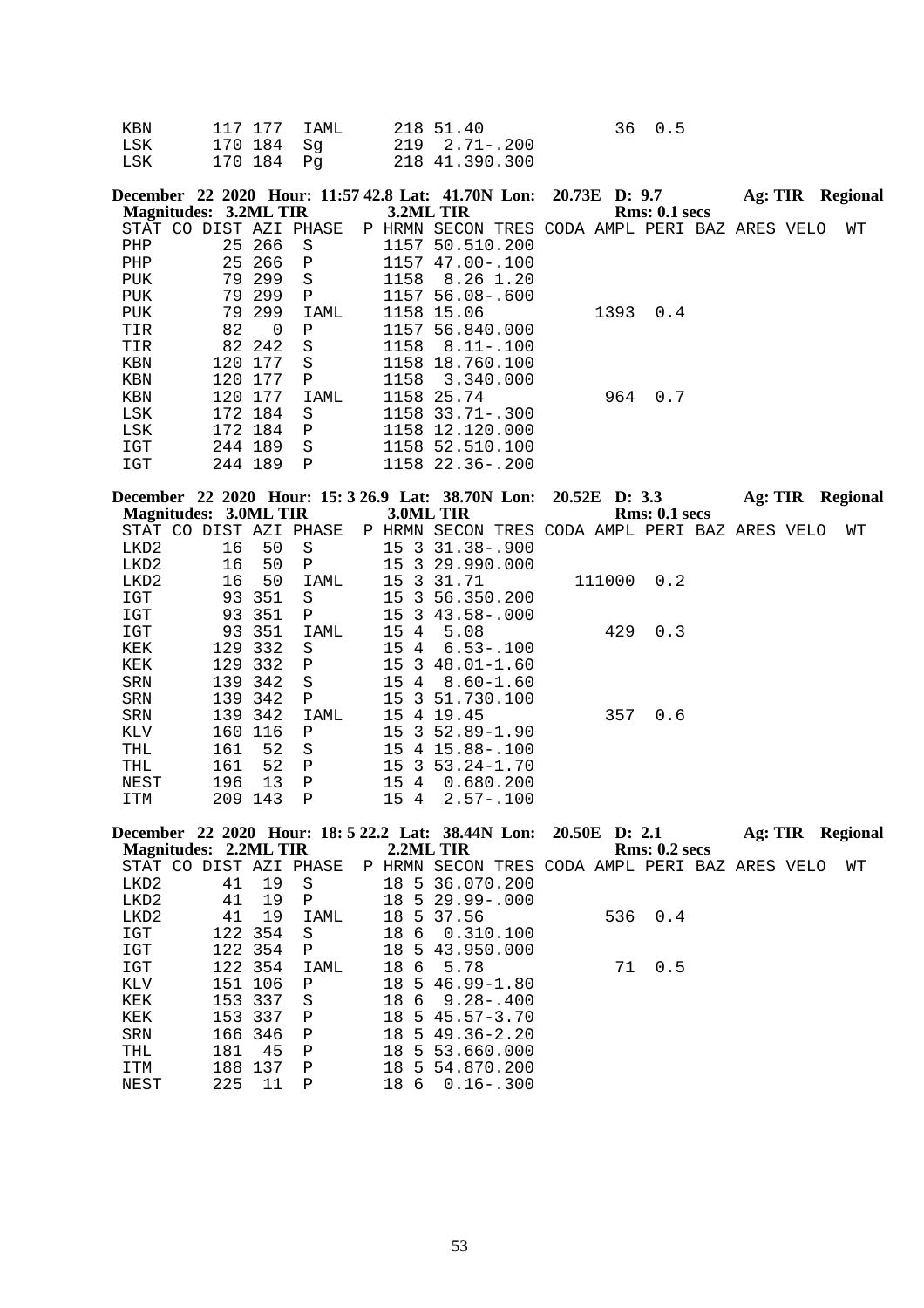| KBN |             | 117 177 IAML 218 51.40 | 36 0.5 |
|-----|-------------|------------------------|--------|
| LSK | 170 184  Sq | 219 2.71-.200          |        |
| LSK | 170 184 Pa  | 218 41.390.300         |        |

|     |                        |          |              |           | December 22 2020 Hour: 11:57 42.8 Lat: 41.70N Lon: 20.73E D: 9.7 |  |      |               | Ag: TIR | Regional |
|-----|------------------------|----------|--------------|-----------|------------------------------------------------------------------|--|------|---------------|---------|----------|
|     | Magnitudes: 3.2ML TIR  |          |              | 3.2ML TIR |                                                                  |  |      | Rms: 0.1~secs |         |          |
|     | STAT CO DIST AZI PHASE |          |              | P HRMN    | SECON TRES CODA AMPL PERI BAZ ARES VELO                          |  |      |               |         | WΤ       |
| PHP |                        | 25 266   | - S          | 1157      | 50.510.200                                                       |  |      |               |         |          |
| PHP |                        | 25 266 P |              | 1157      | $47.00 - .100$                                                   |  |      |               |         |          |
| PUK |                        | 79 299   | S            | 1158      | 8.26 1.20                                                        |  |      |               |         |          |
| PUK |                        | 79 299   | $\mathbf{P}$ |           | 1157 56.08-.600                                                  |  |      |               |         |          |
| PUK |                        | 79 299   | IAML         | 1158      | 15.06                                                            |  | 1393 | 0.4           |         |          |
| TIR | 82                     | $\Omega$ | P            |           | 1157 56.840.000                                                  |  |      |               |         |          |
| TIR |                        | 82 242   | S            | 1158      | $8.11 - .100$                                                    |  |      |               |         |          |
| KBN | 120                    | 177      | S            | 1158      | 18.760.100                                                       |  |      |               |         |          |
| KBN |                        | 120 177  | $\mathbf{P}$ | 1158      | 3.340.000                                                        |  |      |               |         |          |
| KBN |                        | 120 177  | IAML         |           | 1158 25.74                                                       |  | 964  | 0.7           |         |          |
| LSK |                        | 172 184  | S            |           | $1158$ $33.71 - .300$                                            |  |      |               |         |          |
| LSK |                        | 172 184  | $\mathbf P$  | 1158      | 12.120.000                                                       |  |      |               |         |          |
| IGT |                        | 244 189  | S            | 1158      | 52.510.100                                                       |  |      |               |         |          |
| IGT |                        | 244 189  | P            |           | 1158 22.36-.200                                                  |  |      |               |         |          |

|      |                       |     | December 22 2020 Hour: 15: 3 26.9 Lat: 38.70N Lon: 20.52E D: 3.3 |        |      |                |                                         |  |        |                      | Ag: TIR |  | Regional |
|------|-----------------------|-----|------------------------------------------------------------------|--------|------|----------------|-----------------------------------------|--|--------|----------------------|---------|--|----------|
|      | Magnitudes: 3.0ML TIR |     |                                                                  |        |      |                | 3.0ML TIR                               |  |        | <b>Rms: 0.1 secs</b> |         |  |          |
|      |                       |     | STAT CO DIST AZI PHASE                                           | P HRMN |      |                | SECON TRES CODA AMPL PERI BAZ ARES VELO |  |        |                      |         |  | WТ       |
| LKD2 | 16                    | 50  | S                                                                |        | 15 3 |                | $31.38 - .900$                          |  |        |                      |         |  |          |
| LKD2 | 16                    | 50  | Ρ                                                                |        | 15   |                | 3 29.990.000                            |  |        |                      |         |  |          |
| LKD2 | 16                    | 50  | IAML                                                             |        | 15   | -3             | 31.71                                   |  | 111000 | 0.2                  |         |  |          |
| IGT  | 93                    | 351 | S                                                                |        | 15   |                | 3 56.350.200                            |  |        |                      |         |  |          |
| IGT  | 93                    | 351 | $\mathbf P$                                                      |        | 15   | $\overline{3}$ | $43.58 - .000$                          |  |        |                      |         |  |          |
| IGT  | 93                    | 351 | IAML                                                             |        | 154  |                | 5.08                                    |  | 429    | 0.3                  |         |  |          |
| KEK  | 129                   | 332 | S                                                                |        | 15   | 4              | $6.53 - 100$                            |  |        |                      |         |  |          |
| KEK  | 129                   | 332 | Ρ                                                                |        | 15   | -3             | $48.01 - 1.60$                          |  |        |                      |         |  |          |
| SRN  | 139                   | 342 | S                                                                |        | 15   | -4             | $8.60 - 1.60$                           |  |        |                      |         |  |          |
| SRN  | 139                   | 342 | $\mathbf P$                                                      |        | 15   | -3             | 51.730.100                              |  |        |                      |         |  |          |
| SRN  | 139                   | 342 | IAML                                                             |        | 15   | 4              | 19.45                                   |  | 357    | 0.6                  |         |  |          |
| KLV  | 160                   | 116 | P                                                                |        | 15   | $\overline{3}$ | $52.89 - 1.90$                          |  |        |                      |         |  |          |
| THL  | 161                   | 52  | S                                                                |        | 15   | 4              | $15.88 - 100$                           |  |        |                      |         |  |          |
| THL  | 161                   | 52  | P                                                                |        | 15.  | -२             | $53.24 - 1.70$                          |  |        |                      |         |  |          |
| NEST | 196                   | 13  | Ρ                                                                |        | 15   | 4              | 0.680.200                               |  |        |                      |         |  |          |
| ITM  | 209                   | 143 | Ρ                                                                |        | 15   | 4              | $2.57 - .100$                           |  |        |                      |         |  |          |

|                              |     |         | December 22 2020 Hour: 18: 5 22.2 Lat: 38.44N Lon: 20.50E D: 2.1 |    |     |                                                |  |    |               | Ag: TIR |  | <b>Regional</b> |
|------------------------------|-----|---------|------------------------------------------------------------------|----|-----|------------------------------------------------|--|----|---------------|---------|--|-----------------|
| <b>Magnitudes: 2.2ML TIR</b> |     |         |                                                                  |    |     | 2.2ML TIR                                      |  |    | Rms: 0.2~secs |         |  |                 |
| STAT CO                      |     |         | DIST AZI PHASE                                                   |    |     | P HRMN SECON TRES CODA AMPL PERI BAZ ARES VELO |  |    |               |         |  | WТ              |
| LKD2                         | 41  | 19      | S                                                                |    |     | 18 5 36.070.200                                |  |    |               |         |  |                 |
| LKD2                         | 41  | 19      | P                                                                | 18 |     | $5\,29.99 - .000$                              |  |    |               |         |  |                 |
| LKD <sub>2</sub>             | 41  | 19      | IAML                                                             | 18 |     | 5 37.56                                        |  |    | 536 0.4       |         |  |                 |
| IGT                          |     | 122 354 | S                                                                | 18 | 6   | 0.310.100                                      |  |    |               |         |  |                 |
| IGT                          |     | 122 354 | P                                                                |    |     | 18 5 43.950.000                                |  |    |               |         |  |                 |
| IGT                          |     | 122 354 | IAML                                                             | 18 | - 6 | 5.78                                           |  | 71 | 0.5           |         |  |                 |
| KLV                          | 151 | 106     | P                                                                | 18 |     | $5, 46, 99 - 1, 80$                            |  |    |               |         |  |                 |
| KEK                          |     | 153 337 | S                                                                | 18 |     | $6\quad 9.28 - 0.400$                          |  |    |               |         |  |                 |
| KEK                          |     | 153 337 | Ρ                                                                | 18 |     | $5, 45, 57 - 3, 70$                            |  |    |               |         |  |                 |
| SRN                          |     | 166 346 | P                                                                | 18 |     | $5, 49, 36 - 2, 20$                            |  |    |               |         |  |                 |
| THL                          | 181 | 45      | P                                                                | 18 |     | 5 53.660.000                                   |  |    |               |         |  |                 |
| ITM                          | 188 | 137     | P                                                                | 18 | .5  | 54.870.200                                     |  |    |               |         |  |                 |
| NEST                         | 225 | 11      | P                                                                | 18 | 6   | $0.16 - .300$                                  |  |    |               |         |  |                 |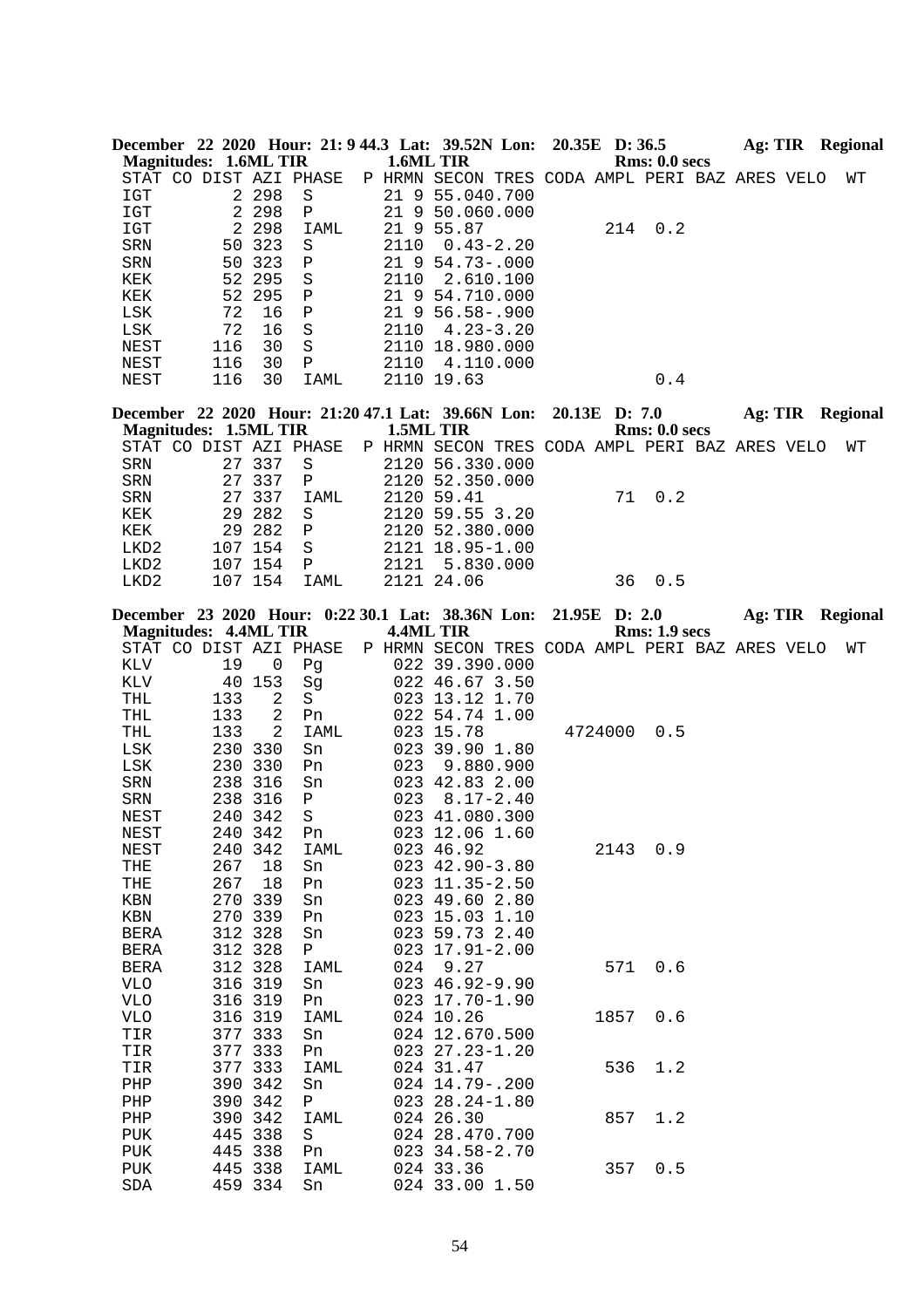|                              |                    |                |                           |      | December 22 2020 Hour: 21: 9 44.3 Lat: 39.52N Lon: 20.35E D: 36.5 |               |         |               |  | Ag: TIR Regional        |  |
|------------------------------|--------------------|----------------|---------------------------|------|-------------------------------------------------------------------|---------------|---------|---------------|--|-------------------------|--|
| <b>Magnitudes: 1.6ML TIR</b> |                    |                |                           |      | 1.6ML TIR                                                         |               |         | Rms: 0.0 secs |  |                         |  |
|                              |                    |                | STAT CO DIST AZI PHASE    |      | P HRMN SECON TRES CODA AMPL PERI BAZ ARES VELO                    |               |         |               |  | WΤ                      |  |
| IGT                          |                    | 2 2 9 8        | $\rm S$                   |      | 21 9 55.040.700                                                   |               |         |               |  |                         |  |
| $_{\tt IGT}$                 |                    | 2 2 9 8        | Ρ                         |      | 21 9 50.060.000                                                   |               |         |               |  |                         |  |
| IGT                          | 2                  | 298            | IAML                      |      | 21 9 55.87                                                        |               | 214     | 0.2           |  |                         |  |
| ${\tt SRN}$                  | 50                 | 323            | $\rm S$                   | 2110 | $0.43 - 2.20$                                                     |               |         |               |  |                         |  |
| SRN                          | 50 323             |                | Ρ                         |      | 21 9 54.73-.000                                                   |               |         |               |  |                         |  |
| KEK                          | 52 295             |                | $\rm S$                   | 2110 | 2.610.100                                                         |               |         |               |  |                         |  |
| KEK<br>LSK                   | 52 295<br>72       | 16             | ${\bf P}$<br>$\, {\bf P}$ |      | 21 9 54.710.000<br>21 9 56.58 -. 900                              |               |         |               |  |                         |  |
| LSK                          | 72                 | 16             | $\rm S$                   | 2110 | $4.23 - 3.20$                                                     |               |         |               |  |                         |  |
| NEST                         | 116                | 30             | S                         |      | 2110 18.980.000                                                   |               |         |               |  |                         |  |
| NEST                         | 116                | 30             | Ρ                         | 2110 | 4.110.000                                                         |               |         |               |  |                         |  |
| NEST                         | 116                | 30             | IAML                      |      | 2110 19.63                                                        |               |         | 0.4           |  |                         |  |
|                              |                    |                |                           |      |                                                                   |               |         |               |  |                         |  |
|                              |                    |                |                           |      | December 22 2020 Hour: 21:20 47.1 Lat: 39.66N Lon:                | 20.13E D: 7.0 |         |               |  | Ag: TIR Regional        |  |
| <b>Magnitudes: 1.5ML TIR</b> |                    |                |                           |      | 1.5ML TIR                                                         |               |         | Rms: 0.0 secs |  |                         |  |
|                              |                    |                | STAT CO DIST AZI PHASE    |      | P HRMN SECON TRES CODA AMPL PERI BAZ ARES VELO                    |               |         |               |  | WТ                      |  |
| <b>SRN</b>                   | 27 337             |                | S                         |      | 2120 56.330.000                                                   |               |         |               |  |                         |  |
| ${\tt SRN}$                  | 27                 | 337            | $\mathbf P$               |      | 2120 52.350.000                                                   |               |         |               |  |                         |  |
| ${\tt SRN}$                  | 27                 | 337            | IAML                      |      | 2120 59.41                                                        |               | 71      | 0.2           |  |                         |  |
| KEK                          | 29                 | 282            | S                         |      | 2120 59.55 3.20                                                   |               |         |               |  |                         |  |
| KEK                          | 29                 | 282            | Ρ                         |      | 2120 52.380.000                                                   |               |         |               |  |                         |  |
| LKD <sub>2</sub>             | 107 154            |                | $\rm S$                   |      | 2121 18.95-1.00                                                   |               |         |               |  |                         |  |
| LKD2                         | 107 154            |                | $\, {\bf P}$              | 2121 | 5.830.000                                                         |               |         |               |  |                         |  |
| LKD2                         | 107 154            |                | IAML                      |      | 2121 24.06                                                        |               | 36      | 0.5           |  |                         |  |
|                              |                    |                |                           |      | December 23 2020 Hour: 0:22 30.1 Lat: 38.36N Lon:                 | 21.95E D: 2.0 |         |               |  | <b>Ag: TIR</b> Regional |  |
| <b>Magnitudes: 4.4ML TIR</b> |                    |                |                           |      | 4.4ML TIR                                                         |               |         | Rms: 1.9 secs |  |                         |  |
|                              |                    |                | STAT CO DIST AZI PHASE    |      | P HRMN SECON TRES CODA AMPL PERI BAZ ARES VELO                    |               |         |               |  | WТ                      |  |
| KLV                          | 19                 | $\overline{0}$ | Pg                        |      | 022 39.390.000                                                    |               |         |               |  |                         |  |
| KLV                          | 40 153             |                | Sg                        |      | 022 46.67 3.50                                                    |               |         |               |  |                         |  |
| THL                          | 133                | 2              | S                         |      | 023 13.12 1.70                                                    |               |         |               |  |                         |  |
| THL                          | 133                | 2              | Pn                        |      | 022 54.74 1.00                                                    |               |         |               |  |                         |  |
| THL                          | 133                | 2              | IAML                      |      | 023 15.78                                                         |               | 4724000 | 0.5           |  |                         |  |
| LSK                          | 230 330            |                | Sn                        |      | 023 39.90 1.80                                                    |               |         |               |  |                         |  |
| LSK                          | 230 330            |                | Pn                        | 023  | 9.880.900                                                         |               |         |               |  |                         |  |
| SRN                          | 238 316            |                | Sn                        |      | 023 42.83 2.00                                                    |               |         |               |  |                         |  |
| SRN                          | 238 316            |                | Ρ                         | 023  | $8.17 - 2.40$                                                     |               |         |               |  |                         |  |
| NEST                         | 240 342            |                | $\rm S$                   |      | 023 41.080.300                                                    |               |         |               |  |                         |  |
| NEST                         | 240 342            |                | Pn                        |      | 023 12.06 1.60                                                    |               |         |               |  |                         |  |
| NEST                         | 240 342            |                | IAML                      |      | 023 46.92                                                         |               |         | 2143 0.9      |  |                         |  |
| THE                          | 267                | 18             | Sn                        |      | 023 42.90-3.80                                                    |               |         |               |  |                         |  |
| THE                          | 267                | 18             | Pn                        |      | 023 11.35-2.50                                                    |               |         |               |  |                         |  |
| KBN                          | 270 339            |                | Sn                        |      | 023 49.60 2.80                                                    |               |         |               |  |                         |  |
| KBN<br>BERA                  | 270 339<br>312 328 |                | Pn<br>Sn                  |      | 023 15.03 1.10<br>023 59.73 2.40                                  |               |         |               |  |                         |  |
| BERA                         | 312 328            |                | $\mathbf{P}$              |      | $023$ $17.91 - 2.00$                                              |               |         |               |  |                         |  |
| BERA                         | 312 328            |                | IAML                      | 024  | 9.27                                                              |               | 571     | 0.6           |  |                         |  |
| VLO                          | 316 319            |                | Sn                        |      | $023$ 46.92-9.90                                                  |               |         |               |  |                         |  |
| <b>VLO</b>                   | 316 319            |                | Pn                        |      | 023 17.70-1.90                                                    |               |         |               |  |                         |  |
| VLO                          | 316 319            |                | IAML                      |      | 024 10.26                                                         |               |         | 1857 0.6      |  |                         |  |
| TIR                          | 377 333            |                | Sn                        |      | 024 12.670.500                                                    |               |         |               |  |                         |  |
| TIR                          | 377 333            |                | Pn                        |      | 023 27.23-1.20                                                    |               |         |               |  |                         |  |
| TIR                          | 377 333            |                | IAML                      |      | 024 31.47                                                         |               | 536     | 1.2           |  |                         |  |
| PHP                          | 390 342            |                | Sn                        |      | 024 14.79 -. 200                                                  |               |         |               |  |                         |  |
| PHP                          | 390 342            |                | $\mathbf{P}$              |      | $023$ $28.24 - 1.80$                                              |               |         |               |  |                         |  |
| PHP                          | 390 342            |                | IAML                      |      | 024 26.30                                                         |               | 857     | 1.2           |  |                         |  |
| PUK                          | 445 338            |                | S                         |      | 024 28.470.700                                                    |               |         |               |  |                         |  |
| PUK                          | 445 338            |                | Pn                        |      | 023 34.58-2.70                                                    |               |         |               |  |                         |  |
| PUK                          | 445 338            |                | IAML                      |      | 024 33.36                                                         |               |         | 357 0.5       |  |                         |  |
| SDA                          | 459 334            |                | Sn                        |      | 024 33.00 1.50                                                    |               |         |               |  |                         |  |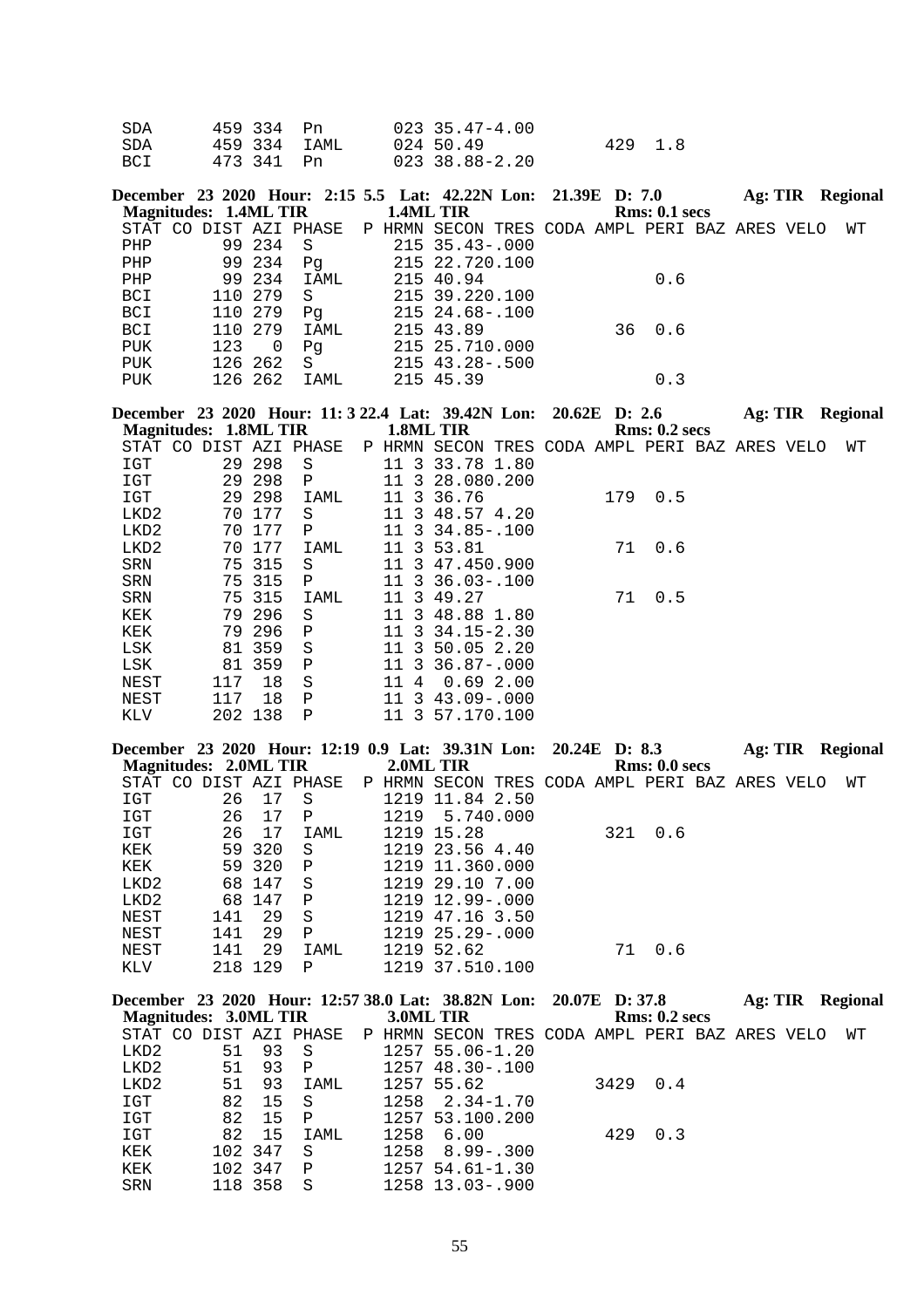| SDA | 459 334 Pn   | 023 35.47-4.00 |         |  |
|-----|--------------|----------------|---------|--|
| SDA | 459 334 IAML | 024 50.49      | 429 1.8 |  |
| BCI | 473 341 Pn   | 023 38.88-2.20 |         |  |

| <b>Magnitudes: 1.4ML TIR</b> |     |         |      | December 23 2020 Hour: 2:15 5.5 Lat: 42.22N Lon: 21.39E D: 7.0<br>1.4ML TIR | Rms: 0.1~secs |  | Ag: TIR Regional |
|------------------------------|-----|---------|------|-----------------------------------------------------------------------------|---------------|--|------------------|
|                              |     |         |      | STAT CO DIST AZI PHASE P HRMN SECON TRES CODA AMPL PERI BAZ ARES VELO       |               |  | WТ               |
| PHP                          |     | 99 234  | - S  | 215 35.43-.000                                                              |               |  |                  |
| PHP                          |     | 99 234  | Pq   | 215 22.720.100                                                              |               |  |                  |
| PHP                          |     | 99 234  | IAML | 215 40.94                                                                   | 0.6           |  |                  |
| BCI                          |     | 110 279 | S.   | 215 39.220.100                                                              |               |  |                  |
| BCI                          |     | 110 279 | Pq   | 215 24.68-.100                                                              |               |  |                  |
| BCI                          |     | 110 279 | IAML | 215 43.89                                                                   | 36 0.6        |  |                  |
| PUK                          | 123 | 0       | Pq   | 215 25.710.000                                                              |               |  |                  |
| PUK                          |     | 126 262 | - S  | 215 43.28-.500                                                              |               |  |                  |
| <b>PUK</b>                   |     | 126 262 | IAML | 215 45.39                                                                   | 0.3           |  |                  |

**December 23 2020 Hour: 11: 3 22.4 Lat: 39.42N Lon: 20.62E D: 2.6 Ag: TIR Regional Magnitudes: 1.8ML TIR 1.8ML TIR Rms: 0.2 secs**

| STAT CO    |     |         | DIST AZI PHASE | P | HRMN                          | SECON TRES CODA AMPL PERI BAZ ARES VELO |     |     |  | WТ |
|------------|-----|---------|----------------|---|-------------------------------|-----------------------------------------|-----|-----|--|----|
| IGT        |     | 29 298  | S              |   | 3<br>11                       | 33.78 1.80                              |     |     |  |    |
| IGT        |     | 29 298  | $\mathbf P$    |   | 11                            | 3 28.080.200                            |     |     |  |    |
| IGT        |     | 29 298  | IAML           |   | 11                            | 3 36.76                                 | 179 | 0.5 |  |    |
| LKD2       | 70  | 177     | S              |   | 11                            | 3 48.57 4.20                            |     |     |  |    |
| LKD2       |     | 70 177  | Ρ              |   | 11                            | $3\,34.85 - .100$                       |     |     |  |    |
| LKD2       | 70  | 177     | IAML           |   | $\overline{3}$<br>11          | 53.81                                   | 71  | 0.6 |  |    |
| SRN        |     | 75 315  | S              |   |                               | 11 3 47.450.900                         |     |     |  |    |
| <b>SRN</b> |     | 75 315  | $\mathbf{P}$   |   | 11                            | $3, 36, 03 - 100$                       |     |     |  |    |
| <b>SRN</b> |     | 75 315  | IAML           |   | 11                            | 3 49.27                                 | 71  | 0.5 |  |    |
| KEK        |     | 79 296  | S              |   | 11                            | 3 48.88 1.80                            |     |     |  |    |
| KEK        |     | 79 296  | $\mathbf P$    |   | 3<br>11                       | $34.15 - 2.30$                          |     |     |  |    |
| LSK        |     | 81 359  | S              |   | 3<br>11                       | 50.05 2.20                              |     |     |  |    |
| LSK        | 81  | 359     | Ρ              |   | $\overline{\mathbf{3}}$<br>11 | $36.87 - .000$                          |     |     |  |    |
| NEST       | 117 | 18      | S              |   | 4<br>11                       | 0.692.00                                |     |     |  |    |
| NEST       | 117 | 18      | Ρ              |   | $\overline{3}$<br>11          | $43.09 - .000$                          |     |     |  |    |
| KLV        |     | 202 138 | Ρ              |   | 3<br>11                       | 57.170.100                              |     |     |  |    |

| December 23 2020 Hour: 12:19 0.9 Lat: 39.31N Lon: 20.24E D: 8.3 |     |        |              |              |                       |                              |     |               | Ag: TIR |      | <b>Regional</b> |
|-----------------------------------------------------------------|-----|--------|--------------|--------------|-----------------------|------------------------------|-----|---------------|---------|------|-----------------|
| Magnitudes: 2.0ML TIR                                           |     |        |              |              | 2.0ML TIR             |                              |     | Rms: 0.0 secs |         |      |                 |
| STAT CO DIST AZI PHASE                                          |     |        |              | P HRMN SECON |                       | TRES CODA AMPL PERI BAZ ARES |     |               |         | VELO | WТ              |
| IGT                                                             | 26  | 17     | -S           |              | 1219 11.84 2.50       |                              |     |               |         |      |                 |
| IGT                                                             | 26  | 17     | P            | 1219         | 5,740,000             |                              |     |               |         |      |                 |
| IGT                                                             | 26  | 17     | IAML         |              | 1219 15.28            |                              | 321 | 0.6           |         |      |                 |
| KEK                                                             |     | 59 320 | S.           |              | 1219 23.56 4.40       |                              |     |               |         |      |                 |
| KEK                                                             |     | 59 320 | P            |              | 1219 11.360.000       |                              |     |               |         |      |                 |
| LKD2                                                            |     | 68 147 | S.           |              | 1219 29.10 7.00       |                              |     |               |         |      |                 |
| LKD2                                                            |     | 68 147 | P            |              | 1219 12.99-.000       |                              |     |               |         |      |                 |
| NEST                                                            | 141 | 29     | <sub>S</sub> |              | 1219 47.16 3.50       |                              |     |               |         |      |                 |
| NEST                                                            | 141 | 29     | $\mathbf P$  |              | $1219$ $25.29 - .000$ |                              |     |               |         |      |                 |
| NEST                                                            | 141 | 29     | IAML         |              | 1219 52.62            |                              | 71  | 0.6           |         |      |                 |
| KLV                                                             | 218 | 129    | P            |              | 1219 37.510.100       |                              |     |               |         |      |                 |

|                       |         |         | December 23 2020 Hour: 12:57 38.0 Lat: 38.82N Lon: 20.07E D: 37.8      |           |                      |  |               | Ag: TIR |  | <b>Regional</b> |
|-----------------------|---------|---------|------------------------------------------------------------------------|-----------|----------------------|--|---------------|---------|--|-----------------|
| Magnitudes: 3.0ML TIR |         |         |                                                                        | 3.0ML TIR |                      |  | Rms: 0.2~secs |         |  |                 |
|                       |         |         | STAT CO DIST AZI PHASE PP HRMN SECON TRES CODA AMPL PERI BAZ ARES VELO |           |                      |  |               |         |  | WТ              |
| LKD2                  | 51      | 93      | - S                                                                    |           | 1257 55.06-1.20      |  |               |         |  |                 |
| LKD2                  | 51      | 93      | $\mathbf{P}$                                                           |           | $1257$ 48.30 - .100  |  |               |         |  |                 |
| LKD2                  | 51      | 93      | IAML                                                                   |           | 1257 55.62           |  | 3429 0.4      |         |  |                 |
| IGT                   | 82      | 15      | - S                                                                    |           | $1258$ $2.34-1.70$   |  |               |         |  |                 |
| IGT                   | 82      | 15      | $\mathsf{P}$                                                           |           | 1257 53.100.200      |  |               |         |  |                 |
| IGT                   | 82      | 15      | IAML                                                                   | 1258      | 6.00                 |  | 429 0.3       |         |  |                 |
| KEK                   | 102 347 |         | -S                                                                     |           | $1258$ $8.99 - .300$ |  |               |         |  |                 |
| KEK                   |         | 102 347 | $\mathsf{P}$                                                           |           | $1257$ 54.61-1.30    |  |               |         |  |                 |
| SRN                   |         | 118 358 | - S                                                                    |           | 1258 13.03-.900      |  |               |         |  |                 |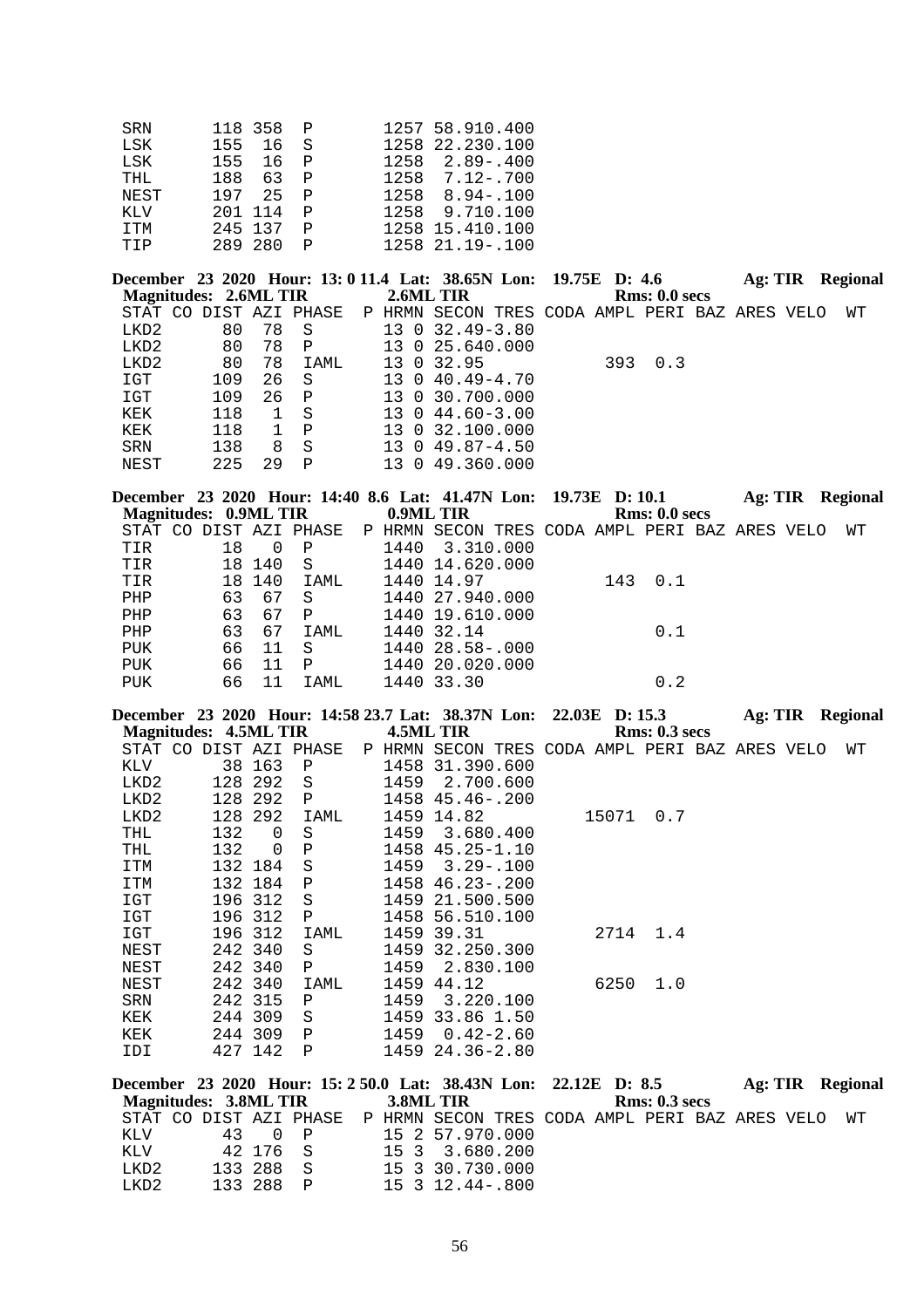| SRN        |     | 118 358 P |              | 1257 58.910.400       |
|------------|-----|-----------|--------------|-----------------------|
| <b>LSK</b> |     | 155 16 S  |              | 1258 22.230.100       |
| LSK        | 155 | 16 P      |              | 2.89 - .400<br>1258   |
| THL        | 188 | 63 P      |              | $1258$ $7.12 - .700$  |
| NEST       | 197 | 25        | P P          | $1258$ $8.94 - .100$  |
| KLV        |     | 201 114   | $\mathsf{P}$ | 1258 9.710.100        |
| ITM        |     | 245 137   |              | 1258 15.410.100       |
| TIP        |     | 289 280   |              | $1258$ $21.19 - .100$ |

**December 23 2020 Hour: 13: 0 11.4 Lat: 38.65N Lon: 19.75E D: 4.6 Ag: TIR Regional Magnitudes: 2.6ML TIR 2.6ML TIR Regional Rms: 0.0 secs Magnitudes: 2.6ML TIR**<br>STAT CO DIST AZI PHASE STAT CO DIST AZI PHASE P HRMN SECON TRES CODA AMPL PERI BAZ ARES VELO WT LKD2 0 78 S 13 0 32.49-3.80 LKD2 80 78 S 13 0 32.49-3.80<br>
LKD2 80 78 P 13 0 25.640.000 LKD2 80 78 P 13 0 25.640.000<br>LKD2 80 78 IAML 13 0 32.95 LKD2 80 78 IAML 13 0 32.95 393 0.3<br>IGT 109 26 S 13 0 40.49-4.70 IGT 109 26 S 13 0 40.49-4.70<br>IGT 109 26 P 13 0 30.700.000 13 0 30.700.000 KEK 118 1 S 13 0 44.60-3.00 KEK 118 1 P 13 0 32.100.000<br>SRN 138 8 S 13 0 49.87-4.50 SRN 138 8 S 13 0 49.87-4.50<br>NEST 225 29 P 13 0 49.360.000 13 0 49.360.000

|  |     |                                        |                                                                          |      |                                                     |                                                                                                          |     |                                                                         |               | Ag: TIR Regional                                                       |
|--|-----|----------------------------------------|--------------------------------------------------------------------------|------|-----------------------------------------------------|----------------------------------------------------------------------------------------------------------|-----|-------------------------------------------------------------------------|---------------|------------------------------------------------------------------------|
|  |     |                                        |                                                                          |      |                                                     |                                                                                                          |     |                                                                         |               |                                                                        |
|  |     |                                        |                                                                          |      |                                                     |                                                                                                          |     |                                                                         |               | WТ                                                                     |
|  |     | $\mathbf{P}$                           |                                                                          |      |                                                     |                                                                                                          |     |                                                                         |               |                                                                        |
|  |     |                                        |                                                                          |      |                                                     |                                                                                                          |     |                                                                         |               |                                                                        |
|  |     | IAML                                   |                                                                          |      |                                                     |                                                                                                          | 0.1 |                                                                         |               |                                                                        |
|  | 67  | -S                                     |                                                                          |      |                                                     |                                                                                                          |     |                                                                         |               |                                                                        |
|  | 67  | P                                      |                                                                          |      |                                                     |                                                                                                          |     |                                                                         |               |                                                                        |
|  |     | IAML                                   |                                                                          |      |                                                     |                                                                                                          | 0.1 |                                                                         |               |                                                                        |
|  | -11 | - S                                    |                                                                          |      |                                                     |                                                                                                          |     |                                                                         |               |                                                                        |
|  | 11  | $\mathbf{P}$                           |                                                                          |      |                                                     |                                                                                                          |     |                                                                         |               |                                                                        |
|  |     | IAML                                   |                                                                          |      |                                                     |                                                                                                          | 0.2 |                                                                         |               |                                                                        |
|  |     | 18<br>63<br>63<br>63<br>66<br>66<br>66 | Magnitudes: 0.9ML TIR<br>$\left( \right)$<br>18 140<br>S<br>18 140<br>67 | 1440 | 0.9ML TIR<br>1440 14.97<br>1440 32.14<br>1440 33.30 | 3.310.000<br>1440 14.620.000<br>1440 27.940.000<br>1440 19.610.000<br>1440 28.58-.000<br>1440 20.020.000 |     | December 23 2020 Hour: 14:40 8.6 Lat: 41.47N Lon: 19.73E D: 10.1<br>143 | Rms: 0.0 secs | STAT CO DIST AZI PHASE PP HRMN SECON TRES CODA AMPL PERI BAZ ARES VELO |

**December 23 2020 Hour: 14:58 23.7 Lat: 38.37N Lon: 22.03E D: 15.3 Ag: TIR Regional Magnitudes: 4.5ML TIR 4.5ML TIR Rms: 0.3 secs**

|            |     |          |                                                                                                                                                                     |                                                            |      |               |                                                                                                                                                                                                                                                  |      |       |      |                       | WТ                                             |
|------------|-----|----------|---------------------------------------------------------------------------------------------------------------------------------------------------------------------|------------------------------------------------------------|------|---------------|--------------------------------------------------------------------------------------------------------------------------------------------------------------------------------------------------------------------------------------------------|------|-------|------|-----------------------|------------------------------------------------|
| KLV        |     |          | $\mathbf P$                                                                                                                                                         |                                                            |      |               |                                                                                                                                                                                                                                                  |      |       |      |                       |                                                |
| LKD2       |     | 292      | S                                                                                                                                                                   |                                                            | 1459 | 2.700.600     |                                                                                                                                                                                                                                                  |      |       |      |                       |                                                |
| LKD2       |     |          | $\mathbf P$                                                                                                                                                         |                                                            |      |               |                                                                                                                                                                                                                                                  |      |       |      |                       |                                                |
| LKD2       |     |          | IAML                                                                                                                                                                |                                                            |      |               |                                                                                                                                                                                                                                                  |      | 0.7   |      |                       |                                                |
| THL        | 132 | $\Omega$ | S                                                                                                                                                                   |                                                            | 1459 | 3.680.400     |                                                                                                                                                                                                                                                  |      |       |      |                       |                                                |
| <b>THL</b> | 132 | $\Omega$ | Ρ                                                                                                                                                                   |                                                            |      |               |                                                                                                                                                                                                                                                  |      |       |      |                       |                                                |
| ITM        |     |          | S                                                                                                                                                                   |                                                            | 1459 | $3.29 - .100$ |                                                                                                                                                                                                                                                  |      |       |      |                       |                                                |
| ITM        |     |          | Ρ                                                                                                                                                                   |                                                            |      |               |                                                                                                                                                                                                                                                  |      |       |      |                       |                                                |
| IGT        |     |          | S                                                                                                                                                                   |                                                            |      |               |                                                                                                                                                                                                                                                  |      |       |      |                       |                                                |
| IGT        |     |          | Ρ                                                                                                                                                                   |                                                            |      |               |                                                                                                                                                                                                                                                  |      |       |      |                       |                                                |
| IGT        |     |          | IAML                                                                                                                                                                |                                                            |      |               |                                                                                                                                                                                                                                                  |      | 1.4   |      |                       |                                                |
| NEST       |     |          | S                                                                                                                                                                   |                                                            |      |               |                                                                                                                                                                                                                                                  |      |       |      |                       |                                                |
| NEST       |     |          | Ρ                                                                                                                                                                   |                                                            |      | 2.830.100     |                                                                                                                                                                                                                                                  |      |       |      |                       |                                                |
| NEST       |     |          | IAML                                                                                                                                                                |                                                            |      |               |                                                                                                                                                                                                                                                  | 6250 | 1.0   |      |                       |                                                |
| SRN        |     |          | $\mathbf P$                                                                                                                                                         |                                                            | 1459 | 3.220.100     |                                                                                                                                                                                                                                                  |      |       |      |                       |                                                |
| KEK        |     |          | S                                                                                                                                                                   |                                                            |      |               |                                                                                                                                                                                                                                                  |      |       |      |                       |                                                |
| KEK        |     | 309      | $\mathbf P$                                                                                                                                                         |                                                            | 1459 | $0.42 - 2.60$ |                                                                                                                                                                                                                                                  |      |       |      |                       |                                                |
| IDI        |     |          | P                                                                                                                                                                   |                                                            |      |               |                                                                                                                                                                                                                                                  |      |       |      |                       |                                                |
|            |     |          | 38 163<br>128<br>128 292<br>128 292<br>132 184<br>132 184<br>196 312<br>196 312<br>196 312<br>242 340<br>242 340<br>242 340<br>242 315<br>244 309<br>244<br>427 142 | <b>IVIAgINtUQUES.</b> TISHLE TIK<br>STAT CO DIST AZI PHASE |      |               | 7691VIIJ IIIV<br>1458 31.390.600<br>1458 45.46-.200<br>1459 14.82<br>$1458$ $45.25 - 1.10$<br>1458 46.23-.200<br>1459 21.500.500<br>1458 56.510.100<br>1459 39.31<br>1459 32.250.300<br>1459<br>1459 44.12<br>1459 33.86 1.50<br>1459 24.36-2.80 |      | 15071 | 2714 | линэ. <i>чы э</i> ссэ | P HRMN SECON TRES CODA AMPL PERI BAZ ARES VELO |

| December 23 2020 Hour: 15: 2 50.0 Lat: 38.43N Lon: 22.12E D: 8.5         |           |  |                 |  |                      |  | Ag: TIR Regional |
|--------------------------------------------------------------------------|-----------|--|-----------------|--|----------------------|--|------------------|
| Magnitudes: 3.8ML TIR 3.8ML TIR                                          |           |  |                 |  | <b>Rms: 0.3 secs</b> |  |                  |
| STAT CO DIST AZI PHASE P HRMN SECON TRES CODA AMPL PERI BAZ ARES VELO WT |           |  |                 |  |                      |  |                  |
| KLV                                                                      | 43 O P    |  | 15 2 57.970.000 |  |                      |  |                  |
| KLV 42 176 S 15 3 3.680.200                                              |           |  |                 |  |                      |  |                  |
| LKD2                                                                     | 133 288 S |  | 15 3 30.730.000 |  |                      |  |                  |
| LKD2                                                                     | 133 288 P |  | 15 3 12.44-.800 |  |                      |  |                  |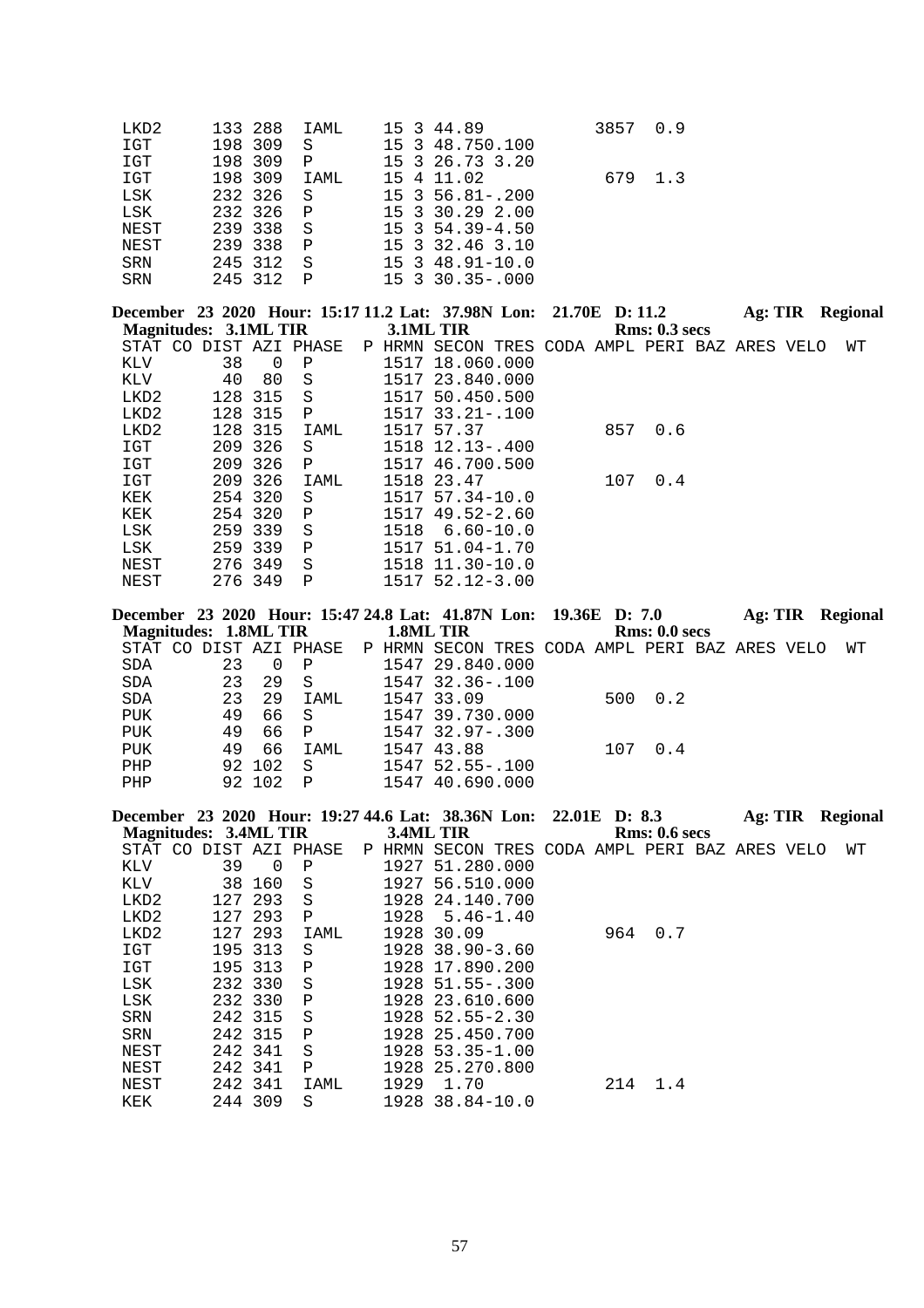| LKD2<br>133 288<br>15 3 44.89<br>IAML<br>$_{\tt IGT}$<br>198 309<br>15<br>3 48.750.100<br>S<br>$_{\tt IGT}$<br>198 309<br>3 26.73 3.20<br>15<br>Ρ<br>198 309<br>$_{\tt IGT}$<br>15 4 11.02<br>IAML<br>232 326<br>$3, 56.81 - .200$<br>LSK<br>15<br>S<br>232 326<br>LSK<br>15 3 30.29 2.00<br>Ρ<br>239 338<br>15 3 54.39-4.50<br>NEST<br>S<br>239 338<br>$\, {\bf P}$<br>15<br>3 32.46 3.10<br>NEST<br>245 312<br>S<br>15 3 48.91-10.0<br>SRN<br>245 312<br>15 3 30.35 -. 000<br>SRN<br>Ρ | 0.9<br>3857<br>679<br>1.3                            |
|------------------------------------------------------------------------------------------------------------------------------------------------------------------------------------------------------------------------------------------------------------------------------------------------------------------------------------------------------------------------------------------------------------------------------------------------------------------------------------------|------------------------------------------------------|
| December 23 2020 Hour: 15:17 11.2 Lat: 37.98N Lon:                                                                                                                                                                                                                                                                                                                                                                                                                                       | 21.70E D: 11.2<br><b>Ag: TIR</b> Regional            |
| <b>Magnitudes: 3.1ML TIR</b><br>3.1ML TIR                                                                                                                                                                                                                                                                                                                                                                                                                                                | <b>Rms: 0.3 secs</b>                                 |
| STAT CO DIST AZI PHASE                                                                                                                                                                                                                                                                                                                                                                                                                                                                   | P HRMN SECON TRES CODA AMPL PERI BAZ ARES VELO<br>WΤ |
| KLV<br>38<br>$\overline{0}$<br>1517 18.060.000<br>Ρ<br>KLV<br>40<br>80<br>$\rm S$<br>1517 23.840.000                                                                                                                                                                                                                                                                                                                                                                                     |                                                      |
| 128 315<br>LKD2<br>S<br>1517 50.450.500                                                                                                                                                                                                                                                                                                                                                                                                                                                  |                                                      |
| 128 315<br>LKD2<br>1517 33.21 -. 100<br>Ρ                                                                                                                                                                                                                                                                                                                                                                                                                                                |                                                      |
| 128 315<br>LKD2<br>1517 57.37<br>IAML                                                                                                                                                                                                                                                                                                                                                                                                                                                    | 857<br>0.6                                           |
| 209 326<br>$_{\tt ICT}$<br>1518 12.13 -. 400<br>S                                                                                                                                                                                                                                                                                                                                                                                                                                        |                                                      |
| 209 326<br>IGT<br>1517 46.700.500<br>Ρ                                                                                                                                                                                                                                                                                                                                                                                                                                                   |                                                      |
| IGT<br>209 326<br>1518 23.47<br>IAML                                                                                                                                                                                                                                                                                                                                                                                                                                                     | 107<br>0.4                                           |
| KEK<br>254 320<br>S<br>1517 57.34-10.0                                                                                                                                                                                                                                                                                                                                                                                                                                                   |                                                      |
| 254 320<br>KEK<br>1517 49.52-2.60<br>Ρ                                                                                                                                                                                                                                                                                                                                                                                                                                                   |                                                      |
| 259 339<br>LSK<br>$\rm S$<br>1518<br>259 339<br>LSK<br>1517 51.04-1.70<br>Ρ                                                                                                                                                                                                                                                                                                                                                                                                              | $6.60 - 10.0$                                        |
| 276 349<br>1518 11.30-10.0<br>NEST<br>S                                                                                                                                                                                                                                                                                                                                                                                                                                                  |                                                      |
|                                                                                                                                                                                                                                                                                                                                                                                                                                                                                          |                                                      |
| 276 349<br>1517 52.12-3.00<br>NEST<br>Ρ                                                                                                                                                                                                                                                                                                                                                                                                                                                  |                                                      |
|                                                                                                                                                                                                                                                                                                                                                                                                                                                                                          |                                                      |
|                                                                                                                                                                                                                                                                                                                                                                                                                                                                                          | 19.36E D: 7.0<br><b>Ag: TIR</b> Regional             |
| <b>Magnitudes: 1.8ML TIR</b><br>1.8ML TIR                                                                                                                                                                                                                                                                                                                                                                                                                                                | Rms: 0.0 secs                                        |
| STAT CO DIST AZI PHASE                                                                                                                                                                                                                                                                                                                                                                                                                                                                   | P HRMN SECON TRES CODA AMPL PERI BAZ ARES VELO<br>WΤ |
| 23<br>$\mathbf 0$<br>1547 29.840.000<br>$\operatorname{SDA}$<br>Ρ<br>23<br>$\rm S$<br>1547 32.36 -. 100<br>SDA<br>29                                                                                                                                                                                                                                                                                                                                                                     |                                                      |
| 1547 33.09<br>23<br>SDA<br>29<br>IAML                                                                                                                                                                                                                                                                                                                                                                                                                                                    | 500<br>0.2                                           |
| 49<br>$\rm S$<br>1547 39.730.000<br>PUK<br>66                                                                                                                                                                                                                                                                                                                                                                                                                                            |                                                      |
| ${\tt PUK}$<br>49<br>1547 32.97-.300<br>66<br>Ρ                                                                                                                                                                                                                                                                                                                                                                                                                                          |                                                      |
| 66<br>49<br>PUK<br>IAML<br>1547 43.88                                                                                                                                                                                                                                                                                                                                                                                                                                                    | 107<br>0.4                                           |
| 92 102<br>1547 52.55-.100<br>PHP<br>S                                                                                                                                                                                                                                                                                                                                                                                                                                                    |                                                      |
| 102<br>92<br>$\, {\bf P}$<br>1547 40.690.000<br>PHP                                                                                                                                                                                                                                                                                                                                                                                                                                      |                                                      |
|                                                                                                                                                                                                                                                                                                                                                                                                                                                                                          | 22.01E D: 8.3<br><b>Ag: TIR</b> Regional             |
| <b>Magnitudes: 3.4ML TIR</b><br>3.4ML TIR                                                                                                                                                                                                                                                                                                                                                                                                                                                | Rms: 0.6 secs                                        |
| STAT CO DIST AZI PHASE                                                                                                                                                                                                                                                                                                                                                                                                                                                                   | P HRMN SECON TRES CODA AMPL PERI BAZ ARES VELO<br>WΤ |
| 39<br>$\mathbf 0$<br>1927 51.280.000<br>KLV<br>Ρ                                                                                                                                                                                                                                                                                                                                                                                                                                         |                                                      |
| 38 160<br>KLV<br>$\rm S$<br>1927 56.510.000                                                                                                                                                                                                                                                                                                                                                                                                                                              |                                                      |
| 293<br>LKD2<br>127<br>S<br>1928                                                                                                                                                                                                                                                                                                                                                                                                                                                          | 24.140.700                                           |
| 127 293<br>1928<br>LKD2<br>Ρ<br>127 293<br>LKD2<br>1928<br>30.09<br>IAML                                                                                                                                                                                                                                                                                                                                                                                                                 | $5.46 - 1.40$<br>964<br>0.7                          |
| 313<br>1928 38.90-3.60<br>$_{\tt IGT}$<br>195<br>S                                                                                                                                                                                                                                                                                                                                                                                                                                       |                                                      |
| 195 313<br>$_{\tt IGT}$<br>1928 17.890.200<br>Ρ                                                                                                                                                                                                                                                                                                                                                                                                                                          |                                                      |
| $_{\rm LSK}$<br>232 330<br>1928 51.55 -. 300<br>S                                                                                                                                                                                                                                                                                                                                                                                                                                        |                                                      |
| December 23 2020 Hour: 15:47 24.8 Lat: 41.87N Lon:<br>December 23 2020 Hour: 19:27 44.6 Lat: 38.36N Lon:<br>$_{\rm LSK}$<br>232 330<br>Ρ<br>1928 23.610.600                                                                                                                                                                                                                                                                                                                              |                                                      |
| 242 315<br>1928 52.55-2.30<br>SRN<br>S                                                                                                                                                                                                                                                                                                                                                                                                                                                   |                                                      |
| 242 315<br>1928 25.450.700<br>SRN<br>Ρ                                                                                                                                                                                                                                                                                                                                                                                                                                                   |                                                      |
| 242 341<br>1928 53.35-1.00<br>NEST<br>S<br>242 341<br>1928 25.270.800<br>NEST<br>Ρ                                                                                                                                                                                                                                                                                                                                                                                                       |                                                      |

KEK 244 309 S 1928 38.84-10.0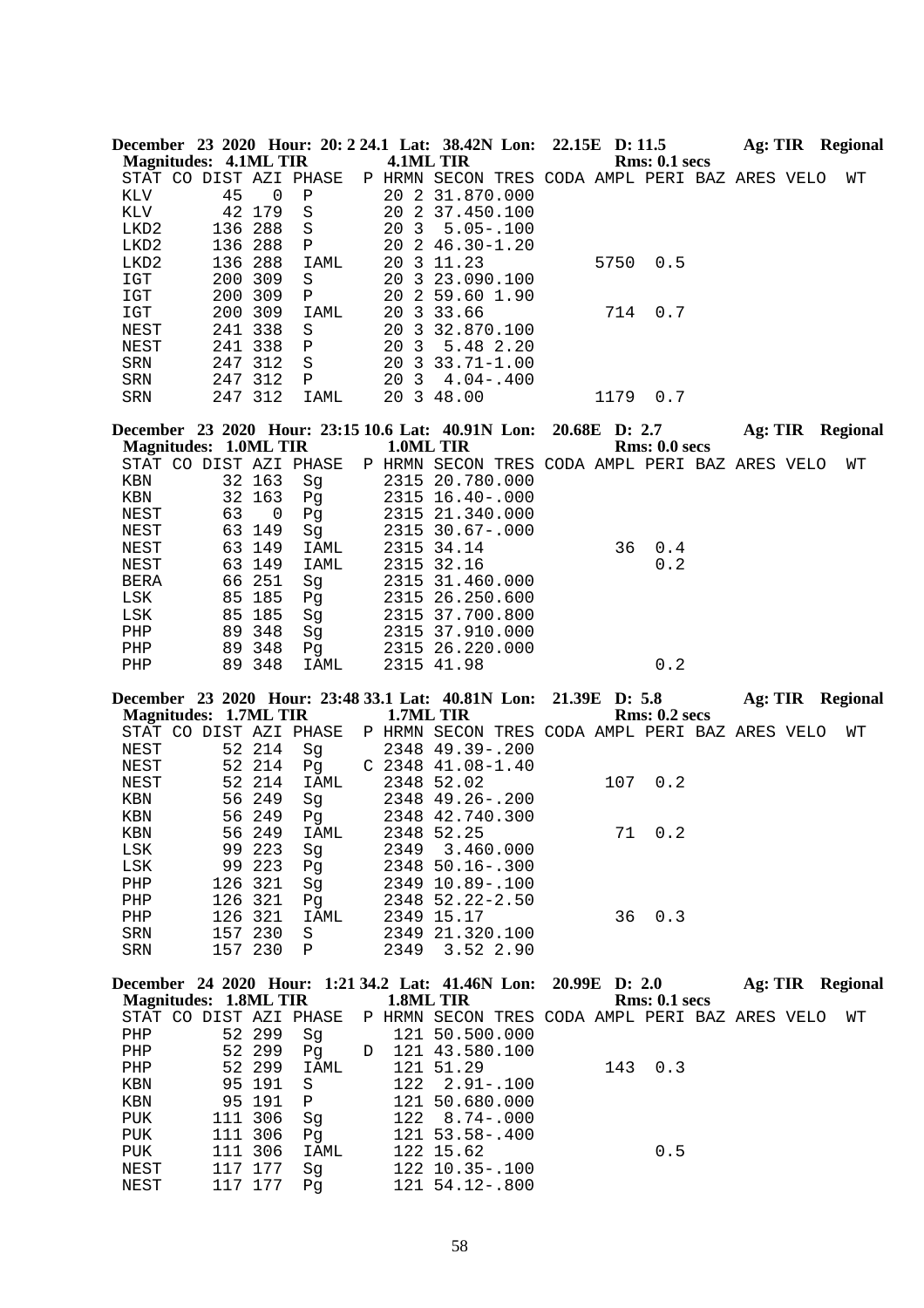|              |                              |                    |          |   |                 | December 23 2020 Hour: 20: 2 24.1 Lat: 38.42N Lon: 22.15E D: 11.5 |               |                      |  | Ag: TIR Regional        |
|--------------|------------------------------|--------------------|----------|---|-----------------|-------------------------------------------------------------------|---------------|----------------------|--|-------------------------|
|              | <b>Magnitudes: 4.1ML TIR</b> |                    |          |   |                 | 4.1ML TIR                                                         |               | <b>Rms: 0.1 secs</b> |  |                         |
|              | STAT CO DIST AZI PHASE       |                    |          |   |                 | P HRMN SECON TRES CODA AMPL PERI BAZ ARES VELO                    |               |                      |  | WΤ                      |
| KLV          | 45                           | 0                  | Ρ        |   |                 | 20 2 31.870.000                                                   |               |                      |  |                         |
| KLV          |                              | 42 179             | $\rm S$  |   |                 | 20 2 37.450.100                                                   |               |                      |  |                         |
| LKD2         | 136                          | 288                | S        |   | 20 <sub>3</sub> | $5.05 - .100$                                                     |               |                      |  |                         |
| LKD2         |                              | 136 288            | Ρ        |   |                 | 20 2 46.30-1.20                                                   |               |                      |  |                         |
| LKD2         |                              | 136 288            | IAML     |   |                 | 20 3 11.23                                                        | 5750          | 0.5                  |  |                         |
| IGT          |                              | 200 309            | S        |   |                 | 20 3 23.090.100                                                   |               |                      |  |                         |
| IGT          |                              | 200 309            | Ρ        |   |                 | 20 2 59.60 1.90                                                   |               |                      |  |                         |
| IGT          |                              | 200 309            | IAML     |   |                 | 20 3 33.66                                                        | 714           | 0.7                  |  |                         |
| NEST         |                              | 241 338            | S        |   |                 | 20 3 32.870.100                                                   |               |                      |  |                         |
| NEST         |                              | 241 338            | Ρ        |   | 20 <sub>3</sub> | 5.48 2.20                                                         |               |                      |  |                         |
| SRN          |                              | 247 312            | S        |   |                 | 20 3 33.71-1.00                                                   |               |                      |  |                         |
| SRN          |                              | 247 312            | Ρ        |   |                 | 20 3 4.04 - .400                                                  |               |                      |  |                         |
| SRN          |                              | 247 312            | IAML     |   |                 | 20 3 48.00                                                        | 1179          | 0.7                  |  |                         |
|              |                              |                    |          |   |                 |                                                                   |               |                      |  |                         |
|              |                              |                    |          |   |                 | December 23 2020 Hour: 23:15 10.6 Lat: 40.91N Lon:                | 20.68E D: 2.7 |                      |  | Ag: TIR Regional        |
|              | <b>Magnitudes: 1.0ML TIR</b> |                    |          |   | 1.0ML TIR       |                                                                   |               | Rms: 0.0 secs        |  |                         |
|              | STAT CO DIST AZI PHASE       |                    |          |   |                 | P HRMN SECON TRES CODA AMPL PERI BAZ ARES VELO                    |               |                      |  | WТ                      |
| KBN          |                              | 32 163             | Sg       |   |                 | 2315 20.780.000                                                   |               |                      |  |                         |
| KBN          | 32                           | 163                | Pg       |   |                 | 2315 16.40 -. 000                                                 |               |                      |  |                         |
| NEST         | 63                           | 0                  | Pg       |   |                 | 2315 21.340.000                                                   |               |                      |  |                         |
| NEST         | 63                           | 149                | Sg       |   |                 | 2315 30.67-.000                                                   |               |                      |  |                         |
| NEST         |                              | 63 149             | IAML     |   |                 | 2315 34.14                                                        | 36            | 0.4                  |  |                         |
|              |                              | 63 149             |          |   |                 | 2315 32.16                                                        |               | 0.2                  |  |                         |
| NEST         |                              |                    | IAML     |   |                 |                                                                   |               |                      |  |                         |
| BERA         |                              | 66 251             | Sg       |   |                 | 2315 31.460.000                                                   |               |                      |  |                         |
| LSK          | 85                           | 185                | Pg       |   |                 | 2315 26.250.600                                                   |               |                      |  |                         |
| LSK          | 85                           | 185                | Sg       |   |                 | 2315 37.700.800                                                   |               |                      |  |                         |
| PHP          |                              | 89 348             | Sg       |   |                 | 2315 37.910.000                                                   |               |                      |  |                         |
| PHP          |                              | 89 348             | Pg       |   |                 | 2315 26.220.000                                                   |               |                      |  |                         |
| PHP          |                              | 89 348             | IAML     |   |                 | 2315 41.98                                                        |               | 0.2                  |  |                         |
|              |                              |                    |          |   |                 |                                                                   |               |                      |  |                         |
|              |                              |                    |          |   |                 |                                                                   |               |                      |  |                         |
|              |                              |                    |          |   |                 | December 23 2020 Hour: 23:48 33.1 Lat: 40.81N Lon:                | 21.39E D: 5.8 |                      |  | <b>Ag: TIR Regional</b> |
|              | <b>Magnitudes: 1.7ML TIR</b> |                    |          |   |                 | 1.7ML TIR                                                         |               | <b>Rms: 0.2 secs</b> |  |                         |
|              | STAT CO DIST AZI PHASE       |                    |          |   |                 | P HRMN SECON TRES CODA AMPL PERI BAZ ARES VELO                    |               |                      |  | WТ                      |
| NEST         |                              | 52 214             | Sg       |   |                 | 2348 49.39 -. 200                                                 |               |                      |  |                         |
| NEST         |                              | 52 214             | Pg       |   |                 | $C$ 2348 41.08-1.40                                               |               |                      |  |                         |
| NEST         | 52                           | 214                | IAML     |   |                 | 2348 52.02                                                        | 107           | 0.2                  |  |                         |
| KBN          | 56                           | 249                | Sg       |   |                 | 2348 49.26 -. 200                                                 |               |                      |  |                         |
| KBN          |                              | 56 249             | Pg       |   |                 | 2348 42.740.300                                                   |               |                      |  |                         |
| KBN          |                              | 56 249             | IAML     |   |                 | 2348 52.25                                                        |               | 71 0.2               |  |                         |
| LSK          |                              | 99 223             | Sg       |   |                 | 2349 3.460.000                                                    |               |                      |  |                         |
| LSK          |                              | 99 223             | Pg       |   |                 | 2348 50.16 -. 300                                                 |               |                      |  |                         |
| PHP          |                              | 126 321            | Sg       |   |                 | 2349 10.89 -. 100                                                 |               |                      |  |                         |
| PHP          |                              | 126 321            | Pg       |   |                 | 2348 52.22-2.50                                                   |               |                      |  |                         |
| PHP          |                              | 126 321            | IAML     |   |                 | 2349 15.17                                                        | 36            | 0.3                  |  |                         |
| SRN          |                              | 157 230            | S        |   |                 | 2349 21.320.100                                                   |               |                      |  |                         |
| SRN          |                              | 157 230            | Ρ        |   | 2349            | 3.52 2.90                                                         |               |                      |  |                         |
|              |                              |                    |          |   |                 |                                                                   |               |                      |  |                         |
|              |                              |                    |          |   |                 | December 24 2020 Hour: 1:21 34.2 Lat: 41.46N Lon:                 | 20.99E D: 2.0 |                      |  | <b>Ag: TIR Regional</b> |
|              | <b>Magnitudes: 1.8ML TIR</b> |                    |          |   |                 | 1.8ML TIR                                                         |               | <b>Rms: 0.1 secs</b> |  |                         |
|              | STAT CO DIST AZI PHASE       |                    |          |   |                 | P HRMN SECON TRES CODA AMPL PERI BAZ ARES VELO                    |               |                      |  | WΤ                      |
| PHP          |                              | 52 299             | Sg       |   |                 | 121 50.500.000                                                    |               |                      |  |                         |
| PHP          |                              | 52 299             | Pg       | D |                 | 121 43.580.100                                                    |               |                      |  |                         |
| PHP          | 52                           | 299                | IAML     |   |                 | 121 51.29                                                         | 143           | 0.3                  |  |                         |
| KBN          | 95                           | 191                | S        |   | 122             | $2.91 - .100$                                                     |               |                      |  |                         |
| KBN          |                              | 95 191             | Ρ        |   |                 | 121 50.680.000                                                    |               |                      |  |                         |
| PUK          | 111                          | 306                | Sg       |   |                 | 122 8.74 - . 000                                                  |               |                      |  |                         |
| PUK          |                              | 111 306            | Pg       |   |                 | 121 53.58-.400                                                    |               |                      |  |                         |
| PUK          |                              | 111 306            | IAML     |   |                 | 122 15.62                                                         |               | 0.5                  |  |                         |
| NEST<br>NEST |                              | 117 177<br>117 177 | Sg<br>Pg |   |                 | 122 10.35 -. 100<br>121 54.12-.800                                |               |                      |  |                         |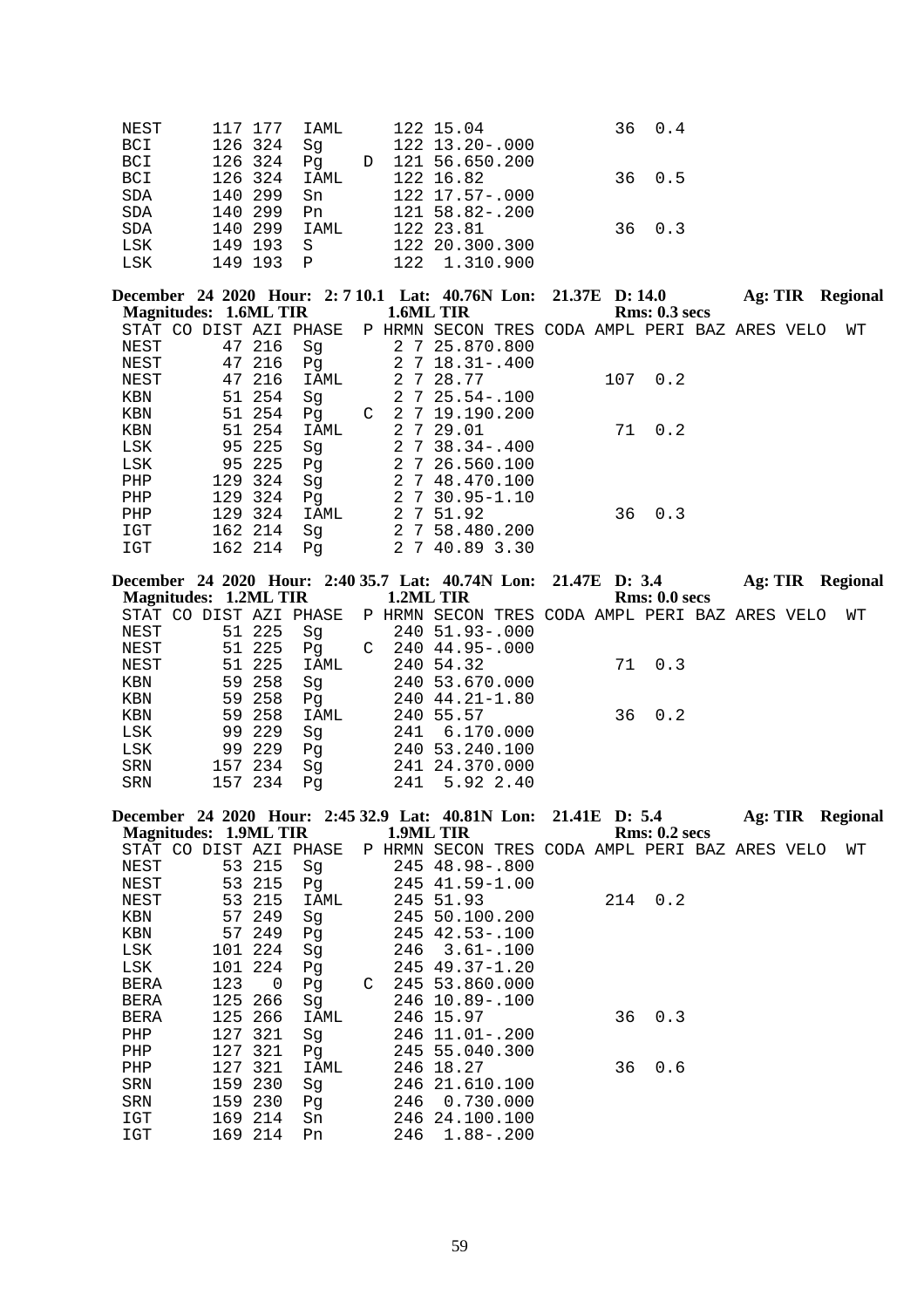| NEST       | 117 177 IAML |              | 122 15.04             | 36 0.4      |
|------------|--------------|--------------|-----------------------|-------------|
| BCI        | 126 324      | Sq           | $122$ $13.20 - .000$  |             |
| BCI        | 126 324      | Pq D         | 121 56.650.200        |             |
| BCI        | 126 324 IAML |              | 122 16.82             | 36 0.5      |
| <b>SDA</b> | 140 299      | Sn           | 122 17.57-.000        |             |
| SDA        | 140 299      | Pn           | $121\ \,58.82 - .200$ |             |
| <b>SDA</b> | 140 299 IAML |              | 122 23.81             | $36 \t 0.3$ |
| LSK        | 149 193 S    |              | 122 20.300.300        |             |
| LSK        | 149 193      | $\mathsf{P}$ | 122 1.310.900         |             |

| <b>Magnitudes: 1.6ML TIR</b> |  |         |                |   |     | December 24 2020 Hour: 2:7 10.1 Lat: 40.76N Lon: 21.37E D: 14.0<br>1.6ML TIR |  |     | Rms: 0.3~secs | Ag: TIR |  | <b>Regional</b> |
|------------------------------|--|---------|----------------|---|-----|------------------------------------------------------------------------------|--|-----|---------------|---------|--|-----------------|
| STAT CO                      |  |         | DIST AZI PHASE |   |     | P HRMN SECON TRES CODA AMPL PERI BAZ ARES VELO                               |  |     |               |         |  | WТ              |
| NEST                         |  | 47 216  | Sq             |   |     | 2 7 25.870.800                                                               |  |     |               |         |  |                 |
| NEST                         |  | 47 216  | Pq             |   |     | $2 \t 7 \t 18.31 - .400$                                                     |  |     |               |         |  |                 |
| NEST                         |  | 47 216  | IAML           |   |     | 2 7 28.77                                                                    |  | 107 | 0.2           |         |  |                 |
| KBN                          |  | 51 254  | Sq             |   |     | $2 \t 7 \t 25.54 - 100$                                                      |  |     |               |         |  |                 |
| KBN                          |  | 51 254  | Pq             | C |     | 2 7 19.190.200                                                               |  |     |               |         |  |                 |
| <b>KBN</b>                   |  | 51 254  | IAML           |   |     | 2 7 29.01                                                                    |  | 71  | 0.2           |         |  |                 |
| LSK                          |  | 95 225  | Sq             |   |     | $2 \t 7 \t 38.34 - .400$                                                     |  |     |               |         |  |                 |
| LSK                          |  | 95 225  | Pq             |   |     | 2 7 26.560.100                                                               |  |     |               |         |  |                 |
| PHP                          |  | 129 324 | Sq             |   |     | 2 7 48.470.100                                                               |  |     |               |         |  |                 |
| PHP                          |  | 129 324 | Pq             |   |     | 2 7 30.95-1.10                                                               |  |     |               |         |  |                 |
| PHP                          |  | 129 324 | IAML           |   |     | 2 7 51.92                                                                    |  | 36  | 0.3           |         |  |                 |
| IGT                          |  | 162 214 | Sq             |   |     | 2 7 58.480.200                                                               |  |     |               |         |  |                 |
| IGT                          |  | 162 214 | Pq             |   | 2 7 | 40.89 3.30                                                                   |  |     |               |         |  |                 |

| December 24 2020 Hour: 2:40 35.7 Lat: 40.74N Lon: 21.47E D: 3.4 |         |      |             |           |                                                                       |  |               | Ag: TIR | Regional |
|-----------------------------------------------------------------|---------|------|-------------|-----------|-----------------------------------------------------------------------|--|---------------|---------|----------|
| Magnitudes: 1.2ML TIR                                           |         |      |             | 1.2ML TIR |                                                                       |  | Rms: 0.0 secs |         |          |
|                                                                 |         |      |             |           | STAT CO DIST AZI PHASE P HRMN SECON TRES CODA AMPL PERI BAZ ARES VELO |  |               |         | WТ       |
| NEST                                                            | 51 225  | Sq   |             |           | 240 51.93-.000                                                        |  |               |         |          |
| NEST                                                            | 51 225  | Pq   | $\mathbb C$ |           | 240 44.95-.000                                                        |  |               |         |          |
| NEST                                                            | 51 225  | IAML |             |           | 240 54.32                                                             |  | 71 0.3        |         |          |
| KBN                                                             | 59 258  | Sq   |             |           | 240 53.670.000                                                        |  |               |         |          |
| KBN                                                             | 59 258  | Pq   |             |           | 240 44.21-1.80                                                        |  |               |         |          |
| KBN                                                             | 59 258  | IAML |             |           | 240 55.57                                                             |  | 36 0.2        |         |          |
| LSK                                                             | 99 229  | Sq   |             |           | 241 6.170.000                                                         |  |               |         |          |
| LSK                                                             | 99 229  | Pq   |             |           | 240 53.240.100                                                        |  |               |         |          |
| SRN                                                             | 157 234 | Sq   |             |           | 241 24.370.000                                                        |  |               |         |          |
| SRN                                                             | 157 234 | Pa   |             | 241       | 5.92 2.40                                                             |  |               |         |          |

|                              |     |         |                        |   |     | December 24 2020 Hour: 2:45 32.9 Lat: 40.81N Lon: 21.41E D: 5.4 |  |     |               | Ag: TIR | Regional |  |
|------------------------------|-----|---------|------------------------|---|-----|-----------------------------------------------------------------|--|-----|---------------|---------|----------|--|
| <b>Magnitudes: 1.9ML TIR</b> |     |         |                        |   |     | 1.9ML TIR                                                       |  |     | Rms: 0.2~secs |         |          |  |
|                              |     |         | STAT CO DIST AZI PHASE |   |     | P HRMN SECON TRES CODA AMPL PERI BAZ ARES VELO                  |  |     |               |         | WΤ       |  |
| NEST                         |     | 53 215  | Sq                     |   |     | 245 48.98 -. 800                                                |  |     |               |         |          |  |
| NEST                         | 53  | 215     | Pq                     |   |     | 245 41.59-1.00                                                  |  |     |               |         |          |  |
| NEST                         | 53  | 215     | IAML                   |   |     | 245 51.93                                                       |  | 214 | 0.2           |         |          |  |
| KBN                          |     | 57 249  | Sq                     |   |     | 245 50.100.200                                                  |  |     |               |         |          |  |
| KBN                          |     | 57 249  | Pq                     |   |     | 245 42.53-.100                                                  |  |     |               |         |          |  |
| LSK                          |     | 101 224 | Sq                     |   | 246 | $3.61 - .100$                                                   |  |     |               |         |          |  |
| LSK                          | 101 | 224     | Pq                     |   |     | $245$ $49.37 - 1.20$                                            |  |     |               |         |          |  |
| BERA                         | 123 | 0       | Pq                     | C |     | 245 53.860.000                                                  |  |     |               |         |          |  |
| <b>BERA</b>                  | 125 | 266     | Sq                     |   |     | 246 10.89 -. 100                                                |  |     |               |         |          |  |
| <b>BERA</b>                  | 125 | 266     | IAML                   |   |     | 246 15.97                                                       |  | 36  | 0.3           |         |          |  |
| PHP                          | 127 | 321     | Sq                     |   | 246 | $11.01 - .200$                                                  |  |     |               |         |          |  |
| PHP                          | 127 | 321     | Pq                     |   |     | 245 55.040.300                                                  |  |     |               |         |          |  |
| PHP                          | 127 | 321     | IAML                   |   |     | 246 18.27                                                       |  | 36  | 0.6           |         |          |  |
| SRN                          | 159 | 230     | Sq                     |   |     | 246 21.610.100                                                  |  |     |               |         |          |  |
| SRN                          | 159 | 230     | Pq                     |   | 246 | 0.730.000                                                       |  |     |               |         |          |  |
| IGT                          | 169 | 214     | Sn                     |   |     | 246 24.100.100                                                  |  |     |               |         |          |  |
| IGT                          |     | 169 214 | Pn                     |   | 246 | $1.88 - .200$                                                   |  |     |               |         |          |  |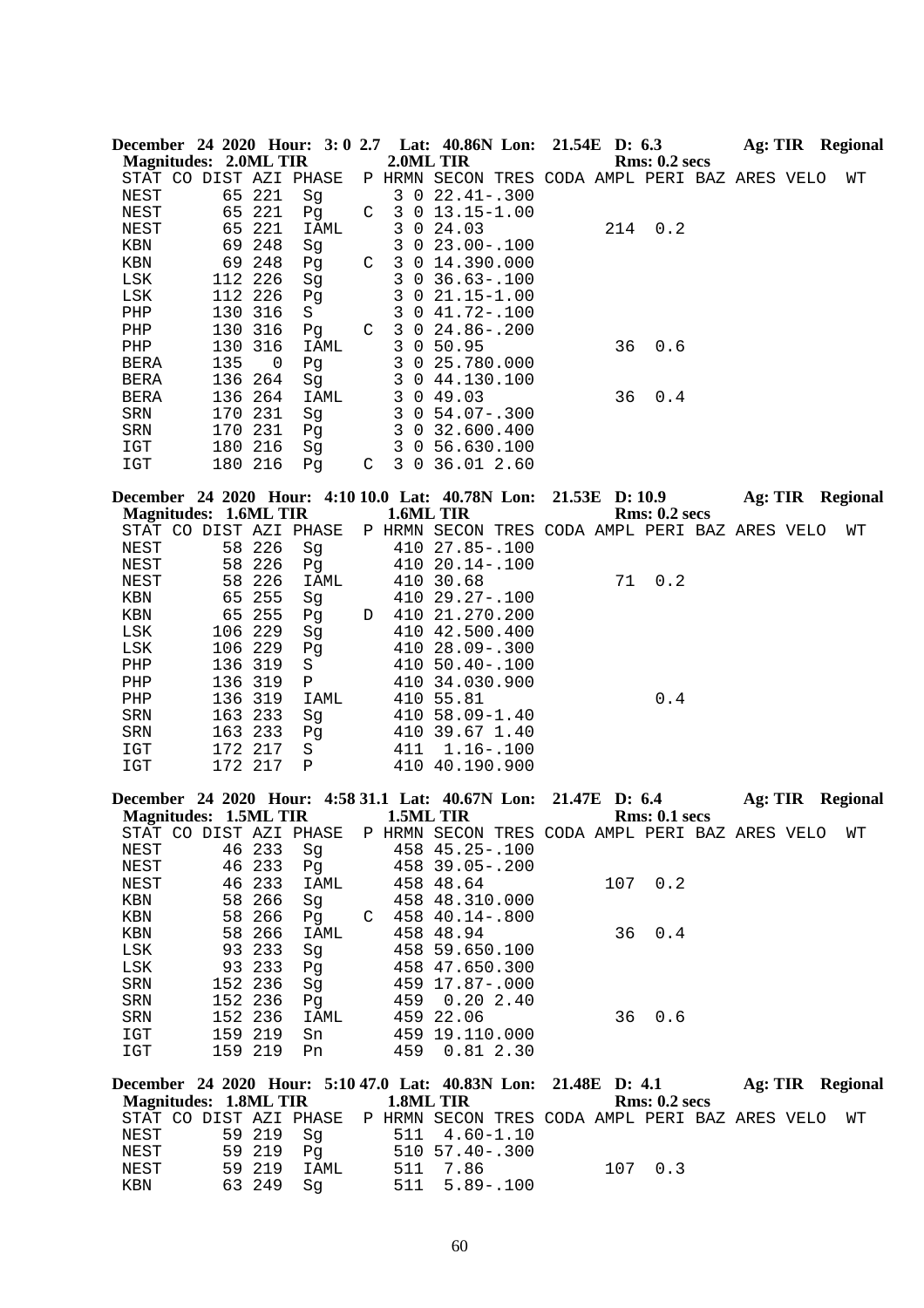|                       |     |          |                        |   |     |                | December 24 2020 Hour: 3:0 2.7 Lat: 40.86N Lon: 21.54E D: 6.3 |  |     |               | Ag: TIR |  | Regional |
|-----------------------|-----|----------|------------------------|---|-----|----------------|---------------------------------------------------------------|--|-----|---------------|---------|--|----------|
| Magnitudes: 2.0ML TIR |     |          |                        |   |     |                | 2.0ML TIR                                                     |  |     | Rms: 0.2~secs |         |  |          |
|                       |     |          | STAT CO DIST AZI PHASE |   |     |                | P HRMN SECON TRES CODA AMPL PERI BAZ ARES VELO                |  |     |               |         |  | WТ       |
| NEST                  | 65  | 221      | Sq                     |   | 3 0 |                | $22.41 - .300$                                                |  |     |               |         |  |          |
| NEST                  | 65  | 221      | Pq                     | C | 3   | 0              | $13.15 - 1.00$                                                |  |     |               |         |  |          |
| NEST                  | 65  | 221      | IAML                   |   | 3   | 0              | 24.03                                                         |  | 214 | 0.2           |         |  |          |
| KBN                   | 69  | 248      | Sq                     |   | 3   | $\Omega$       | $23.00 - .100$                                                |  |     |               |         |  |          |
| KBN                   | 69  | 248      | Pq                     | C | 3   | $\overline{0}$ | 14.390.000                                                    |  |     |               |         |  |          |
| LSK                   |     | 112 226  | Sq                     |   | 3   | $\Omega$       | $36.63 - 100$                                                 |  |     |               |         |  |          |
| LSK                   |     | 112 226  | Pq                     |   | 3   | $\Omega$       | $21.15 - 1.00$                                                |  |     |               |         |  |          |
| PHP                   | 130 | 316      | S                      |   | 3   | $\overline{0}$ | $41.72 - .100$                                                |  |     |               |         |  |          |
| PHP                   | 130 | 316      | Pq                     | C | 3   | $\overline{0}$ | 24.86-.200                                                    |  |     |               |         |  |          |
| PHP                   | 130 | 316      | IAML                   |   | 3   | 0              | 50.95                                                         |  | 36  | 0.6           |         |  |          |
| <b>BERA</b>           | 135 | $\Omega$ | Pq                     |   | 3   | $\Omega$       | 25.780.000                                                    |  |     |               |         |  |          |
| <b>BERA</b>           | 136 | 264      | Sq                     |   | 3   | $\overline{0}$ | 44.130.100                                                    |  |     |               |         |  |          |
| <b>BERA</b>           | 136 | 264      | IAML                   |   | 3   |                | 0.49.03                                                       |  | 36  | 0.4           |         |  |          |
| SRN                   | 170 | 231      | Sq                     |   | 3   |                | $0\,54.07 - .300$                                             |  |     |               |         |  |          |
| <b>SRN</b>            | 170 | 231      | Pq                     |   | 3   | $\overline{0}$ | 32.600.400                                                    |  |     |               |         |  |          |
| IGT                   | 180 | 216      | Sq                     |   | 3   | 0              | 56.630.100                                                    |  |     |               |         |  |          |
| IGT                   | 180 | 216      | Pq                     | C | 3 0 |                | 36.01 2.60                                                    |  |     |               |         |  |          |

|                       |         |                        |   |           | December 24 2020 Hour: 4:10 10.0 Lat: 40.78N Lon: 21.53E D: 10.9 |  |    |               | Ag: TIR | Regional |
|-----------------------|---------|------------------------|---|-----------|------------------------------------------------------------------|--|----|---------------|---------|----------|
| Magnitudes: 1.6ML TIR |         |                        |   | 1.6ML TIR |                                                                  |  |    | Rms: 0.2~secs |         |          |
|                       |         | STAT CO DIST AZI PHASE |   |           | P HRMN SECON TRES CODA AMPL PERI BAZ ARES VELO                   |  |    |               |         | WТ       |
| NEST                  | 58 226  | Sq                     |   |           | 410 27.85-.100                                                   |  |    |               |         |          |
| NEST                  | 58 226  | Pq                     |   |           | 410 20.14 -. 100                                                 |  |    |               |         |          |
| NEST                  | 58 226  | IAML                   |   |           | 410 30.68                                                        |  | 71 | 0.2           |         |          |
| KBN                   | 65 255  | Sq                     |   |           | $41029.27 - 100$                                                 |  |    |               |         |          |
| KBN                   | 65 255  | Pq                     | D |           | 410 21.270.200                                                   |  |    |               |         |          |
| LSK                   | 106 229 | Sq                     |   |           | 410 42.500.400                                                   |  |    |               |         |          |
| LSK                   | 106 229 | Pq                     |   |           | 410 28.09-.300                                                   |  |    |               |         |          |
| PHP                   | 136 319 | S                      |   |           | $410, 50.40 - .100$                                              |  |    |               |         |          |
| PHP                   | 136 319 | Ρ                      |   | 410       | 34.030.900                                                       |  |    |               |         |          |
| PHP                   | 136 319 | IAML                   |   |           | 410 55.81                                                        |  |    | 0.4           |         |          |
| SRN                   | 163 233 | Sq                     |   |           | $410\,58.09 - 1.40$                                              |  |    |               |         |          |
| SRN                   | 163 233 | Pq                     |   | 410       | 39.67 1.40                                                       |  |    |               |         |          |
| IGT                   | 172 217 | S                      |   | 411       | $1.16 - .100$                                                    |  |    |               |         |          |
| IGT                   | 172 217 | Ρ                      |   | 410       | 40.190.900                                                       |  |    |               |         |          |

|                              |  |         |                        |   |           | December 24 2020 Hour: 4:58 31.1 Lat: 40.67N Lon: 21.47E D: 6.4 |  |     |               | Ag: TIR |  | Regional |
|------------------------------|--|---------|------------------------|---|-----------|-----------------------------------------------------------------|--|-----|---------------|---------|--|----------|
| <b>Magnitudes: 1.5ML TIR</b> |  |         |                        |   | 1.5ML TIR |                                                                 |  |     | Rms: 0.1~secs |         |  |          |
|                              |  |         | STAT CO DIST AZI PHASE |   |           | P HRMN SECON TRES CODA AMPL PERI BAZ ARES VELO                  |  |     |               |         |  | WТ       |
| NEST                         |  | 46 233  | Sq                     |   |           | $458$ $45.25 - .100$                                            |  |     |               |         |  |          |
| NEST                         |  | 46 233  | P <sub>q</sub>         |   |           | 458 39.05-.200                                                  |  |     |               |         |  |          |
| NEST                         |  | 46 233  | IAML                   |   |           | 458 48.64                                                       |  | 107 | 0.2           |         |  |          |
| KBN                          |  | 58 266  | Sq                     |   |           | 458 48.310.000                                                  |  |     |               |         |  |          |
| KBN                          |  | 58 266  | Pq                     | C |           | $458$ $40.14 - .800$                                            |  |     |               |         |  |          |
| KBN                          |  | 58 266  | IAML                   |   |           | 458 48.94                                                       |  | 36  | 0.4           |         |  |          |
| LSK                          |  | 93 233  | Sq                     |   |           | 458 59.650.100                                                  |  |     |               |         |  |          |
| LSK                          |  | 93 233  | Pq                     |   |           | 458 47.650.300                                                  |  |     |               |         |  |          |
| SRN                          |  | 152 236 | Sq                     |   |           | 459 17.87-.000                                                  |  |     |               |         |  |          |
| SRN                          |  | 152 236 | Pq                     |   | 459       | $0.20$ 2.40                                                     |  |     |               |         |  |          |
| SRN                          |  | 152 236 | IAML                   |   |           | 459 22.06                                                       |  | 36  | 0.6           |         |  |          |
| IGT                          |  | 159 219 | Sn                     |   |           | 459 19.110.000                                                  |  |     |               |         |  |          |
| IGT                          |  | 159 219 | Pn                     |   | 459       | 0.812.30                                                        |  |     |               |         |  |          |

| December 24 2020 Hour: 5:10 47.0 Lat: 40.83N Lon: 21.48E D: 4.1          |             |      |  |                         |  |               |  | Ag: TIR Regional |
|--------------------------------------------------------------------------|-------------|------|--|-------------------------|--|---------------|--|------------------|
| Magnitudes: 1.8ML TIR                                                    |             |      |  | 1.8ML TIR               |  | Rms: 0.2~secs |  |                  |
| STAT CO DIST AZI PHASE P HRMN SECON TRES CODA AMPL PERI BAZ ARES VELO WT |             |      |  |                         |  |               |  |                  |
| NEST                                                                     | 59 219   Sa |      |  | $511 \quad 4.60 - 1.10$ |  |               |  |                  |
| NEST                                                                     | 59 219 Pa   |      |  | $510\ \ 57.40 - .300$   |  |               |  |                  |
| NEST                                                                     | 59 219      | IAML |  | 511 7.86                |  | 107 0.3       |  |                  |
| KBN                                                                      | 63 249      | Sa   |  | $511 \quad 5.89 - .100$ |  |               |  |                  |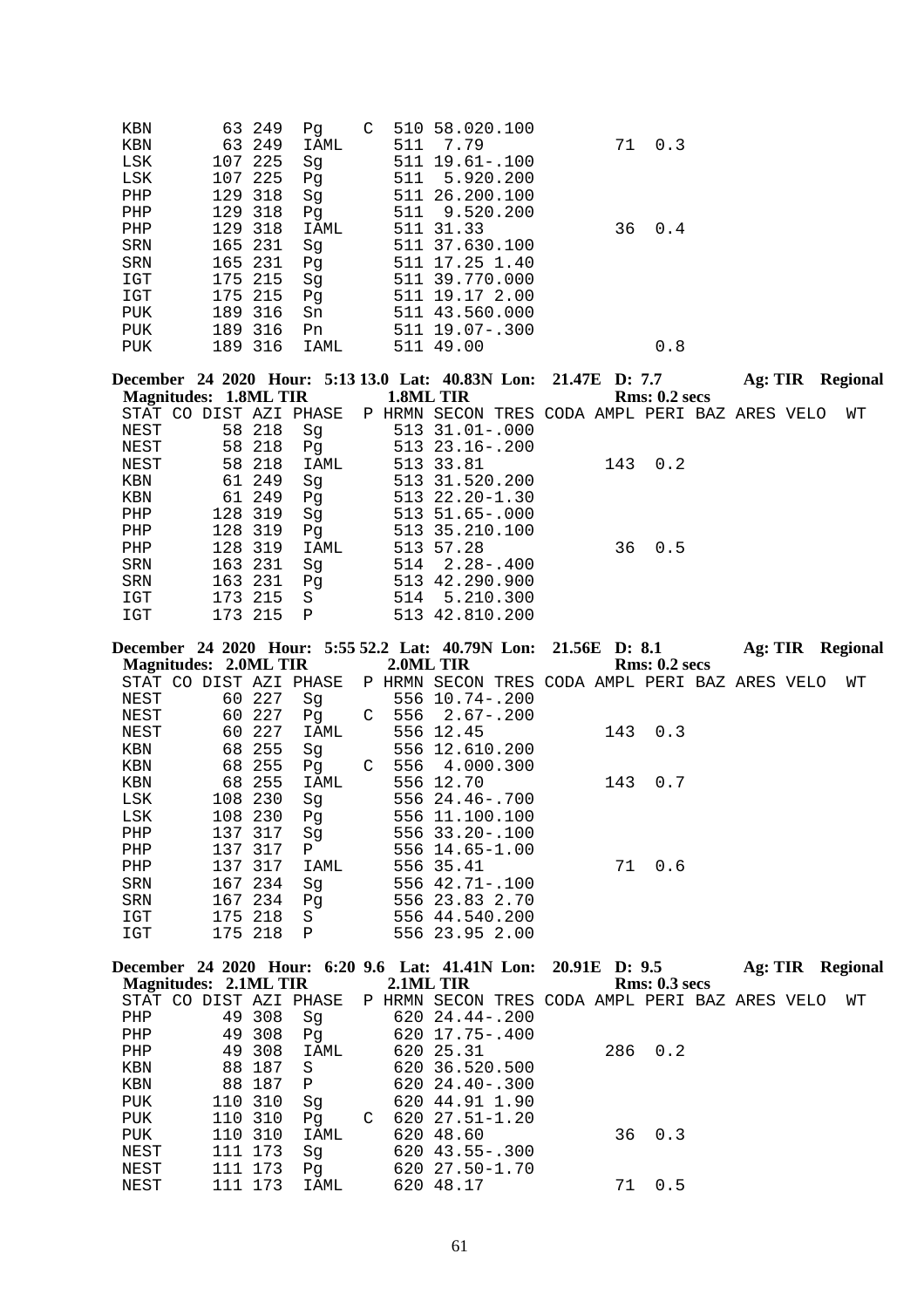| KBN        |     | 63 249  | Pg   | C |     | 510 58.020.100       |    |        |
|------------|-----|---------|------|---|-----|----------------------|----|--------|
| KBN        |     | 63 249  | IAML |   | 511 | 7.79                 |    | 71 0.3 |
| LSK        | 107 | 225     | Sq   |   | 511 | $19.61 - .100$       |    |        |
| LSK        |     | 107 225 | Pq   |   |     | 511 5.920.200        |    |        |
| PHP        |     | 129 318 | Sg   |   |     | 511 26.200.100       |    |        |
| PHP        |     | 129 318 | Pg   |   | 511 | 9.520.200            |    |        |
| PHP        |     | 129 318 | IAML |   |     | 511 31.33            | 36 | 0.4    |
| <b>SRN</b> |     | 165 231 | Sq   |   |     | 511 37.630.100       |    |        |
| <b>SRN</b> |     | 165 231 | Pg   |   |     | 511 17.25 1.40       |    |        |
| IGT        |     | 175 215 | Sg   |   |     | 511 39.770.000       |    |        |
| IGT        |     | 175 215 | Pq   |   |     | 511 19.17 2.00       |    |        |
| <b>PUK</b> |     | 189 316 | Sn   |   |     | 511 43.560.000       |    |        |
| <b>PUK</b> |     | 189 316 | Pn   |   |     | $511$ $19.07 - .300$ |    |        |
| <b>PUK</b> |     | 189 316 | IAML |   |     | 511 49.00            |    | 0.8    |

|                              |         |             |        | December 24 2020 Hour: 5:13 13.0 Lat: 40.83N Lon: 21.47E D: 7.7 |     |               | Ag: TIR | <b>Regional</b> |
|------------------------------|---------|-------------|--------|-----------------------------------------------------------------|-----|---------------|---------|-----------------|
| <b>Magnitudes: 1.8ML TIR</b> |         |             |        | 1.8ML TIR                                                       |     | Rms: 0.2~secs |         |                 |
| STAT CO DIST AZI PHASE       |         |             | P HRMN | SECON TRES CODA AMPL PERI BAZ ARES VELO                         |     |               |         | WТ              |
| NEST                         | 58 218  | Sg          |        | $513$ $31.01 - .000$                                            |     |               |         |                 |
| NEST                         | 58 218  | Pg          |        | 513 23.16-.200                                                  |     |               |         |                 |
| NEST                         | 58 218  | IAML        |        | 513 33.81                                                       | 143 | 0.2           |         |                 |
| KBN                          | 61 249  | Sq          |        | 513 31.520.200                                                  |     |               |         |                 |
| KBN                          | 61 249  | Pq          |        | 513 22.20-1.30                                                  |     |               |         |                 |
| PHP                          | 128 319 | Sg          |        | $513\ \ 51.65 - .000$                                           |     |               |         |                 |
| PHP                          | 128 319 | Pq          |        | 513 35.210.100                                                  |     |               |         |                 |
| PHP                          | 128 319 | IAML        |        | 513 57.28                                                       | 36  | 0.5           |         |                 |
| <b>SRN</b>                   | 163 231 | Sq          |        | $514$ $2.28 - .400$                                             |     |               |         |                 |
| SRN                          | 163 231 | Pq          |        | 513 42.290.900                                                  |     |               |         |                 |
| IGT                          | 173 215 | S           | 514    | 5.210.300                                                       |     |               |         |                 |
| IGT                          | 173 215 | $\mathbf P$ |        | 513 42.810.200                                                  |     |               |         |                 |

|            |                        |         |     | December 24 2020 Hour: 5:55 52.2 Lat: 40.79N Lon: 21.56E D: 8.1 |   |           |                                                |  |     |               |  | Ag: TIR Regional |  |
|------------|------------------------|---------|-----|-----------------------------------------------------------------|---|-----------|------------------------------------------------|--|-----|---------------|--|------------------|--|
|            | Magnitudes: 2.0ML TIR  |         |     |                                                                 |   | 2.0ML TIR |                                                |  |     | Rms: 0.2~secs |  |                  |  |
|            | STAT CO DIST AZI PHASE |         |     |                                                                 |   |           | P HRMN SECON TRES CODA AMPL PERI BAZ ARES VELO |  |     |               |  | WТ               |  |
| NEST       |                        | 60 227  |     | Sq                                                              |   |           | 556 10.74 -. 200                               |  |     |               |  |                  |  |
| NEST       |                        | 60      | 227 | Pq                                                              |   |           | $C$ 556 2.67-.200                              |  |     |               |  |                  |  |
| NEST       |                        | 60      | 227 | IAML                                                            |   |           | 556 12.45                                      |  |     | 143 0.3       |  |                  |  |
| KBN        |                        | 68 255  |     | Sq                                                              |   |           | 556 12.610.200                                 |  |     |               |  |                  |  |
| KBN        |                        | 68 255  |     | Pq                                                              | C |           | 556 4.000.300                                  |  |     |               |  |                  |  |
| KBN        |                        | 68 255  |     | IAML                                                            |   |           | 556 12.70                                      |  | 143 | 0.7           |  |                  |  |
| LSK        |                        | 108 230 |     | Sq                                                              |   |           | $556$ $24.46 - .700$                           |  |     |               |  |                  |  |
| LSK        |                        | 108     | 230 | Pq                                                              |   |           | 556 11.100.100                                 |  |     |               |  |                  |  |
| PHP        |                        | 137     | 317 | Sq                                                              |   |           | $556$ $33.20 - .100$                           |  |     |               |  |                  |  |
| PHP        |                        | 137     | 317 | P                                                               |   |           | 556 14.65-1.00                                 |  |     |               |  |                  |  |
| PHP        |                        | 137     | 317 | IAML                                                            |   |           | 556 35.41                                      |  | 71  | 0.6           |  |                  |  |
| SRN        |                        | 167 234 |     | Sq                                                              |   |           | $556$ $42.71 - .100$                           |  |     |               |  |                  |  |
| <b>SRN</b> |                        | 167 234 |     | Pq                                                              |   |           | 556 23.83 2.70                                 |  |     |               |  |                  |  |
| IGT        |                        | 175 218 |     | S                                                               |   |           | 556 44.540.200                                 |  |     |               |  |                  |  |
| IGT        |                        | 175 218 |     | Ρ                                                               |   |           | 556 23.95 2.00                                 |  |     |               |  |                  |  |

|                        |     |         |              |   |           | December 24 2020 Hour: 6:20 9.6 Lat: 41.41N Lon: 20.91E D: 9.5 |     |               | Ag: TIR | Regional |
|------------------------|-----|---------|--------------|---|-----------|----------------------------------------------------------------|-----|---------------|---------|----------|
| Magnitudes: 2.1ML TIR  |     |         |              |   | 2.1ML TIR |                                                                |     | Rms: 0.3~secs |         |          |
| STAT CO DIST AZI PHASE |     |         |              |   |           | P HRMN SECON TRES CODA AMPL PERI BAZ ARES VELO                 |     |               |         | WТ       |
| PHP                    | 49  | 308     | Sq           |   |           | $62024.44-200$                                                 |     |               |         |          |
| PHP                    |     | 49 308  | Pq           |   |           | 620 17.75-.400                                                 |     |               |         |          |
| PHP                    |     | 49 308  | IAML         |   |           | 620 25.31                                                      | 286 | 0.2           |         |          |
| KBN                    |     | 88 187  | S            |   |           | 620 36.520.500                                                 |     |               |         |          |
| KBN                    |     | 88 187  | $\mathbf{P}$ |   |           | $62024.40 - .300$                                              |     |               |         |          |
| PUK                    |     | 110 310 | Sq           |   |           | 620 44.91 1.90                                                 |     |               |         |          |
| PUK                    | 110 | 310     | Pq           | C |           | $62027.51 - 1.20$                                              |     |               |         |          |
| PUK                    |     | 110 310 | IAML         |   |           | 620 48.60                                                      | 36  | 0.3           |         |          |
| NEST                   |     | 111 173 | Sq           |   |           | $620$ 43.55 - .300                                             |     |               |         |          |
| NEST                   |     | 111 173 | Pq           |   |           | 620 27.50-1.70                                                 |     |               |         |          |
| NEST                   | 111 | 173     | IAML         |   |           | 620 48.17                                                      | 71  | 0.5           |         |          |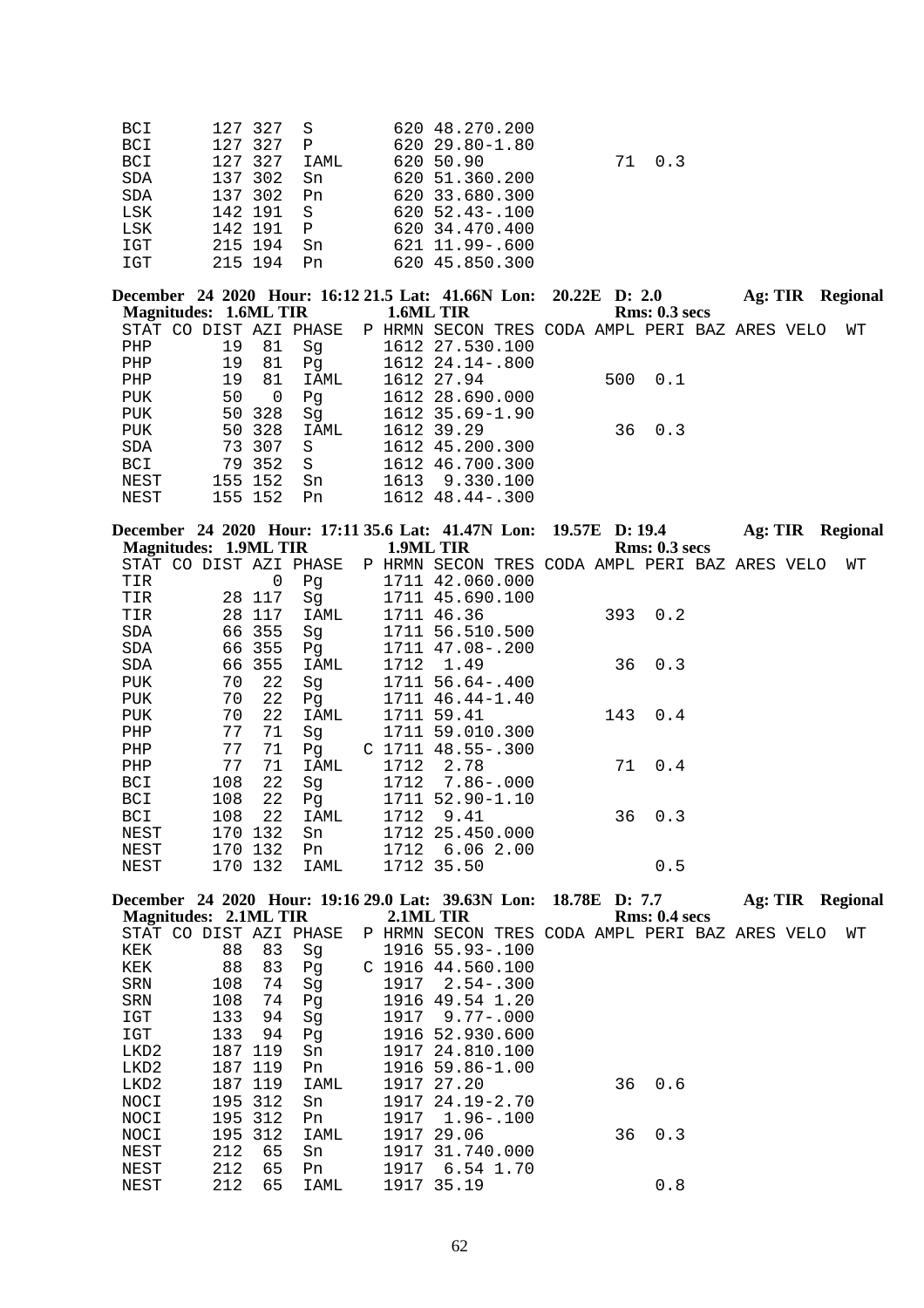| BCI        | 127 327 S |              | 620 48.270.200      |        |
|------------|-----------|--------------|---------------------|--------|
| <b>BCI</b> | 127 327   | $\mathsf{P}$ | 620 29.80-1.80      |        |
| <b>BCI</b> | 127 327   | IAML         | 620 50.90           | 71 0.3 |
| SDA        | 137 302   | Sn           | 620 51.360.200      |        |
| SDA        | 137 302   | Pn           | 620 33.680.300      |        |
| LSK        | 142 191 S |              | $620, 52, 43 - 100$ |        |
| LSK        | 142 191   | $\mathsf{P}$ | 620 34.470.400      |        |
| IGT        | 215 194   | Sn           | 621 11.99-.600      |        |
| IGT        | 215 194   | Pn           | 620 45.850.300      |        |

|    |     |                                                            |                       |                        |                                                                                                                                                                                              |  |                                                                                       |               |         | <b>Regional</b>                                |
|----|-----|------------------------------------------------------------|-----------------------|------------------------|----------------------------------------------------------------------------------------------------------------------------------------------------------------------------------------------|--|---------------------------------------------------------------------------------------|---------------|---------|------------------------------------------------|
|    |     |                                                            |                       |                        |                                                                                                                                                                                              |  |                                                                                       |               |         |                                                |
|    |     |                                                            |                       |                        |                                                                                                                                                                                              |  |                                                                                       |               |         | WТ                                             |
| 19 | 81  | Sq                                                         |                       |                        |                                                                                                                                                                                              |  |                                                                                       |               |         |                                                |
| 19 | 81  | Pq                                                         |                       |                        |                                                                                                                                                                                              |  |                                                                                       |               |         |                                                |
| 19 | 81  | IAML                                                       |                       |                        |                                                                                                                                                                                              |  |                                                                                       |               |         |                                                |
| 50 | - 0 | Pq                                                         |                       |                        |                                                                                                                                                                                              |  |                                                                                       |               |         |                                                |
|    |     | Sq                                                         |                       |                        |                                                                                                                                                                                              |  |                                                                                       |               |         |                                                |
|    |     | IAML                                                       |                       |                        |                                                                                                                                                                                              |  |                                                                                       |               |         |                                                |
|    |     | S.                                                         |                       |                        |                                                                                                                                                                                              |  |                                                                                       |               |         |                                                |
|    |     | -S                                                         |                       |                        |                                                                                                                                                                                              |  |                                                                                       |               |         |                                                |
|    |     | Sn                                                         |                       |                        |                                                                                                                                                                                              |  |                                                                                       |               |         |                                                |
|    |     | Pn                                                         |                       |                        |                                                                                                                                                                                              |  |                                                                                       |               |         |                                                |
|    |     | 50 328<br>50 328<br>73 307<br>79 352<br>155 152<br>155 152 | Magnitudes: 1.6ML TIR | STAT CO DIST AZI PHASE | 1.6ML TIR<br>1612 27.530.100<br>1612 24.14-.800<br>1612 27.94<br>1612 28.690.000<br>1612 35.69-1.90<br>1612 39.29<br>1612 45.200.300<br>1612 46.700.300<br>1613 9.330.100<br>1612 48.44-.300 |  | December 24 2020 Hour: 16:12 21.5 Lat: 41.66N Lon: 20.22E D: 2.0<br>500 0.1<br>36 0.3 | Rms: 0.3~secs | Ag: TIR | P HRMN SECON TRES CODA AMPL PERI BAZ ARES VELO |

| December 24 2020 Hour: 17:11 35.6 Lat: 41.47N Lon: 19.57E D: 19.4 |                              |         |                        |      |                                                |  |    |               | Ag: TIR |  | Regional |
|-------------------------------------------------------------------|------------------------------|---------|------------------------|------|------------------------------------------------|--|----|---------------|---------|--|----------|
|                                                                   | <b>Magnitudes: 1.9ML TIR</b> |         |                        |      | 1.9ML TIR                                      |  |    | Rms: 0.3 secs |         |  |          |
|                                                                   |                              |         | STAT CO DIST AZI PHASE |      | P HRMN SECON TRES CODA AMPL PERI BAZ ARES VELO |  |    |               |         |  | WΤ       |
| TIR                                                               |                              | 0       | Pg                     |      | 1711 42.060.000                                |  |    |               |         |  |          |
| TIR                                                               |                              | 28 117  | Sq                     |      | 1711 45.690.100                                |  |    |               |         |  |          |
| TIR                                                               |                              | 28 117  | IAML                   |      | 1711 46.36                                     |  |    | 3930.2        |         |  |          |
| SDA                                                               |                              | 66 355  | Sq                     |      | 1711 56.510.500                                |  |    |               |         |  |          |
| SDA                                                               |                              | 66 355  | Pq                     |      | 1711 47.08-.200                                |  |    |               |         |  |          |
| SDA                                                               |                              | 66 355  | IAML                   | 1712 | 1.49                                           |  | 36 | 0.3           |         |  |          |
| PUK                                                               | 70                           | 22      | Sg                     |      | 1711 56.64-.400                                |  |    |               |         |  |          |
| PUK                                                               | 70                           | 22      | Pg                     |      | 1711 46.44-1.40                                |  |    |               |         |  |          |
| PUK                                                               | 70                           | 22      | IAML                   |      | 1711 59.41                                     |  |    | 143 0.4       |         |  |          |
| PHP                                                               | 77                           | 71      | Sq                     |      | 1711 59.010.300                                |  |    |               |         |  |          |
| PHP                                                               | 77                           | 71      | Pq                     |      | $C$ 1711 48.55-.300                            |  |    |               |         |  |          |
| PHP                                                               | 77                           | 71      | IAML                   | 1712 | 2.78                                           |  | 71 | 0.4           |         |  |          |
| BCI                                                               | 108                          | 22      | Sq                     |      | 1712 7.86-.000                                 |  |    |               |         |  |          |
| BCI                                                               | 108                          | 22      | Pg                     |      | 1711 52.90-1.10                                |  |    |               |         |  |          |
| BCI                                                               | 108                          | 22      | IAML                   | 1712 | 9.41                                           |  | 36 | 0.3           |         |  |          |
| NEST                                                              | 170                          | 132     | Sn                     |      | 1712 25.450.000                                |  |    |               |         |  |          |
| NEST                                                              | 170                          | 132     | Pn                     | 1712 | 6.062.00                                       |  |    |               |         |  |          |
| NEST                                                              |                              | 170 132 | IAML                   |      | 1712 35.50                                     |  |    | 0.5           |         |  |          |

|         |     |     |                                  |                                         |  |                                                                                     |                                                                                                                                                                                                                          |     |                                                                                              |               | Regional                                                  |
|---------|-----|-----|----------------------------------|-----------------------------------------|--|-------------------------------------------------------------------------------------|--------------------------------------------------------------------------------------------------------------------------------------------------------------------------------------------------------------------------|-----|----------------------------------------------------------------------------------------------|---------------|-----------------------------------------------------------|
|         |     |     |                                  |                                         |  |                                                                                     |                                                                                                                                                                                                                          |     |                                                                                              |               |                                                           |
| STAT CO |     |     |                                  |                                         |  |                                                                                     |                                                                                                                                                                                                                          |     |                                                                                              |               | WТ                                                        |
|         | 88  | 83  | Sq                               |                                         |  |                                                                                     |                                                                                                                                                                                                                          |     |                                                                                              |               |                                                           |
|         | 88  | 83  | Pq                               |                                         |  |                                                                                     |                                                                                                                                                                                                                          |     |                                                                                              |               |                                                           |
|         | 108 | 74  | Sq                               |                                         |  |                                                                                     |                                                                                                                                                                                                                          |     |                                                                                              |               |                                                           |
|         | 108 | 74  | Pq                               |                                         |  |                                                                                     |                                                                                                                                                                                                                          |     |                                                                                              |               |                                                           |
|         | 133 | 94  | Sq                               |                                         |  |                                                                                     |                                                                                                                                                                                                                          |     |                                                                                              |               |                                                           |
|         | 133 | 94  | Pq                               |                                         |  |                                                                                     |                                                                                                                                                                                                                          |     |                                                                                              |               |                                                           |
|         | 187 |     | Sn                               |                                         |  |                                                                                     |                                                                                                                                                                                                                          |     |                                                                                              |               |                                                           |
|         |     |     | Pn                               |                                         |  |                                                                                     |                                                                                                                                                                                                                          |     |                                                                                              |               |                                                           |
|         |     |     | IAML                             |                                         |  |                                                                                     |                                                                                                                                                                                                                          |     |                                                                                              |               |                                                           |
|         | 195 | 312 | Sn                               |                                         |  |                                                                                     |                                                                                                                                                                                                                          |     |                                                                                              |               |                                                           |
|         | 195 | 312 | Pn                               |                                         |  |                                                                                     |                                                                                                                                                                                                                          |     |                                                                                              |               |                                                           |
|         | 195 |     | IAML                             |                                         |  |                                                                                     |                                                                                                                                                                                                                          |     |                                                                                              |               |                                                           |
|         | 212 | 65  | Sn                               |                                         |  |                                                                                     |                                                                                                                                                                                                                          |     |                                                                                              |               |                                                           |
|         | 212 | 65  | Pn                               |                                         |  |                                                                                     |                                                                                                                                                                                                                          |     |                                                                                              |               |                                                           |
|         | 212 | 65  | IAML                             |                                         |  |                                                                                     |                                                                                                                                                                                                                          | 0.8 |                                                                                              |               |                                                           |
|         |     |     | 119<br>187 119<br>187 119<br>312 | Magnitudes: 2.1ML TIR<br>DIST AZI PHASE |  | 2.1ML TIR<br>1917<br>1917<br>1917 27.20<br>1917<br>1917 29.06<br>1917<br>1917 35.19 | 1916 55.93-.100<br>$C$ 1916 44.560.100<br>$2.54 - .300$<br>1916 49.54 1.20<br>$9.77 - .000$<br>1916 52.930.600<br>1917 24.810.100<br>1916 59.86-1.00<br>1917 24.19-2.70<br>$1.96 - .100$<br>1917 31.740.000<br>6.54 1.70 |     | December 24 2020 Hour: 19:16 29.0 Lat: 39.63N Lon: 18.78E D: 7.7<br>0.6<br>36<br>$36 \t 0.3$ | Rms: 0.4~secs | Ag: TIR<br>P HRMN SECON TRES CODA AMPL PERI BAZ ARES VELO |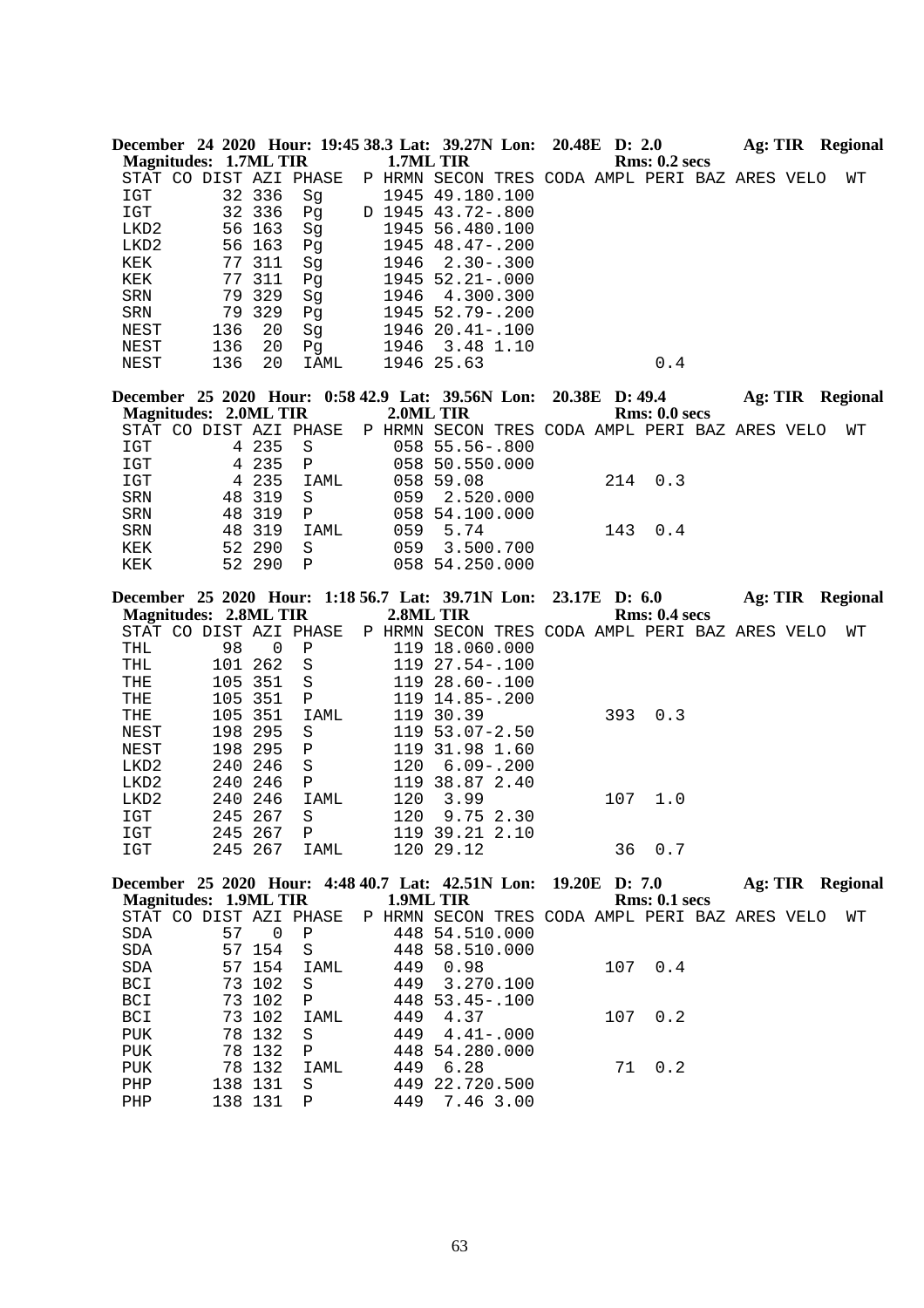|                              |          |                  |                        |           | December 24 2020 Hour: 19:45 38.3 Lat: 39.27N Lon: 20.48E D: 2.0 |  |                |                                                | <b>Ag: TIR</b> Regional |  |    |
|------------------------------|----------|------------------|------------------------|-----------|------------------------------------------------------------------|--|----------------|------------------------------------------------|-------------------------|--|----|
| <b>Magnitudes: 1.7ML TIR</b> |          |                  |                        | 1.7ML TIR |                                                                  |  |                | <b>Rms: 0.2 secs</b>                           |                         |  |    |
|                              |          |                  | STAT CO DIST AZI PHASE |           |                                                                  |  |                | P HRMN SECON TRES CODA AMPL PERI BAZ ARES VELO |                         |  | WΤ |
| IGT                          |          | 32 336           | Sg                     |           | 1945 49.180.100                                                  |  |                |                                                |                         |  |    |
| IGT                          |          | 32 336           | Pg                     |           | D 1945 43.72-.800                                                |  |                |                                                |                         |  |    |
| LKD <sub>2</sub>             |          | 56 163           | Sg                     |           | 1945 56.480.100                                                  |  |                |                                                |                         |  |    |
| LKD2                         |          | 56 163           | Pg                     |           | 1945 48.47-.200                                                  |  |                |                                                |                         |  |    |
| KEK<br>KEK                   | 77<br>77 | 311<br>311       | Sg                     | 1946      | $2.30 - .300$<br>1945 52.21 -. 000                               |  |                |                                                |                         |  |    |
| SRN                          |          | 79 329           | Pg<br>Sg               | 1946      | 4.300.300                                                        |  |                |                                                |                         |  |    |
| SRN                          | 79       | 329              | Pg                     |           | 1945 52.79 -. 200                                                |  |                |                                                |                         |  |    |
| NEST                         | 136      | 20               | Sg                     |           | 1946 20.41 -. 100                                                |  |                |                                                |                         |  |    |
| NEST                         | 136      | 20               | Pg                     | 1946      | 3.48 1.10                                                        |  |                |                                                |                         |  |    |
| NEST                         | 136      | 20               | IAML                   |           | 1946 25.63                                                       |  |                | 0.4                                            |                         |  |    |
|                              |          |                  |                        |           |                                                                  |  |                |                                                |                         |  |    |
|                              |          |                  |                        |           | December 25 2020 Hour: 0:58 42.9 Lat: 39.56N Lon:                |  | 20.38E D: 49.4 |                                                | Ag: TIR Regional        |  |    |
| <b>Magnitudes: 2.0ML TIR</b> |          |                  |                        | 2.0ML TIR |                                                                  |  |                | Rms: 0.0 secs                                  |                         |  |    |
|                              |          |                  | STAT CO DIST AZI PHASE |           |                                                                  |  |                | P HRMN SECON TRES CODA AMPL PERI BAZ ARES VELO |                         |  | WΤ |
| IGT                          |          | 4 235            | S                      |           | 058 55.56-.800                                                   |  |                |                                                |                         |  |    |
| IGT                          |          | 4 235            | Ρ                      |           | 058 50.550.000                                                   |  |                |                                                |                         |  |    |
| IGT                          |          | 4 235            | IAML                   |           | 058 59.08                                                        |  | 214            | 0.3                                            |                         |  |    |
| SRN                          | 48       | 319              | $\rm S$                | 059       | 2.520.000                                                        |  |                |                                                |                         |  |    |
| SRN                          | 48       | 319              | Ρ                      |           | 058 54.100.000                                                   |  |                |                                                |                         |  |    |
| SRN                          |          | 48 319           | IAML                   | 059       | 5.74                                                             |  | 143            | 0.4                                            |                         |  |    |
| KEK<br>KEK                   |          | 52 290<br>52 290 | S<br>Ρ                 | 059       | 3.500.700<br>058 54.250.000                                      |  |                |                                                |                         |  |    |
|                              |          |                  |                        |           |                                                                  |  |                |                                                |                         |  |    |
|                              |          |                  |                        |           | December 25 2020 Hour: 1:18 56.7 Lat: 39.71N Lon:                |  | 23.17E D: 6.0  |                                                | Ag: TIR Regional        |  |    |
| <b>Magnitudes: 2.8ML TIR</b> |          |                  |                        | 2.8ML TIR |                                                                  |  |                | <b>Rms: 0.4 secs</b>                           |                         |  |    |
|                              |          |                  | STAT CO DIST AZI PHASE |           |                                                                  |  |                | P HRMN SECON TRES CODA AMPL PERI BAZ ARES VELO |                         |  | WТ |
| THL                          | 98       | $\overline{0}$   | Ρ                      |           | 119 18.060.000                                                   |  |                |                                                |                         |  |    |
|                              |          |                  |                        |           |                                                                  |  |                |                                                |                         |  |    |
| THL                          | 101      | 262              | $\rm S$                |           | 119 27.54 -. 100                                                 |  |                |                                                |                         |  |    |
| THE                          | 105      | 351              | S                      |           | 119 28.60-.100                                                   |  |                |                                                |                         |  |    |
| THE                          | 105 351  |                  | Ρ                      |           | 119 14.85-.200                                                   |  |                |                                                |                         |  |    |
| THE                          | 105 351  |                  | IAML                   |           | 119 30.39                                                        |  | 393            | 0.3                                            |                         |  |    |
| NEST                         | 198 295  |                  | S                      |           | $119\ \ 53.07 - 2.50$                                            |  |                |                                                |                         |  |    |
| NEST                         | 198 295  |                  | Ρ                      |           | 119 31.98 1.60                                                   |  |                |                                                |                         |  |    |
| LKD2                         | 240 246  |                  | S                      | 120       | $6.09 - .200$                                                    |  |                |                                                |                         |  |    |
| LKD2                         | 240 246  |                  | Ρ                      |           | 119 38.87 2.40                                                   |  |                |                                                |                         |  |    |
| LKD2                         | 240 246  |                  | IAML                   | 120       | 3.99                                                             |  | 107            | 1.0                                            |                         |  |    |
| <b>IGT</b>                   | 245 267  |                  | S                      | 120       | 9.75 2.30                                                        |  |                |                                                |                         |  |    |
| IGT                          |          |                  | 245 267 P              |           | 119 39.21 2.10                                                   |  |                |                                                |                         |  |    |
| IGT                          |          | 245 267          | IAML                   |           | 120 29.12                                                        |  |                | 36 0.7                                         |                         |  |    |
|                              |          |                  |                        |           | December 25 2020 Hour: 4:48 40.7 Lat: 42.51N Lon: 19.20E D: 7.0  |  |                |                                                | <b>Ag: TIR Regional</b> |  |    |
| <b>Magnitudes: 1.9ML TIR</b> |          |                  |                        | 1.9ML TIR |                                                                  |  |                | Rms: 0.1 secs                                  |                         |  |    |
|                              |          |                  | STAT CO DIST AZI PHASE |           |                                                                  |  |                | P HRMN SECON TRES CODA AMPL PERI BAZ ARES VELO |                         |  | WΤ |
| SDA                          | 57       | $\overline{0}$   | $\, {\bf P}$           |           | 448 54.510.000                                                   |  |                |                                                |                         |  |    |
| SDA                          |          | 57 154           | S                      |           | 448 58.510.000                                                   |  |                |                                                |                         |  |    |
| SDA                          |          | 57 154           | IAML                   | 449       | 0.98                                                             |  |                | 107 0.4                                        |                         |  |    |
| BCI                          |          | 73 102           | S                      |           | 449 3.270.100                                                    |  |                |                                                |                         |  |    |
| BCI                          |          | 73 102           | Ρ                      |           | 448 53.45 -. 100                                                 |  |                |                                                |                         |  |    |
| BCI                          |          | 73 102           | IAML                   | 449       | 4.37                                                             |  | 107            | 0.2                                            |                         |  |    |
| PUK                          |          | 78 132           | S                      | 449       | $4.41 - .000$                                                    |  |                |                                                |                         |  |    |
| PUK                          |          | 78 132           | Ρ                      |           | 448 54.280.000                                                   |  |                |                                                |                         |  |    |
| ${\tt PUK}$                  |          | 78 132           | IAML                   | 449       | 6.28                                                             |  | 71             | 0.2                                            |                         |  |    |
| PHP<br>PHP                   | 138 131  | 138 131          | S<br>Ρ                 | 449       | 449 22.720.500<br>7.46 3.00                                      |  |                |                                                |                         |  |    |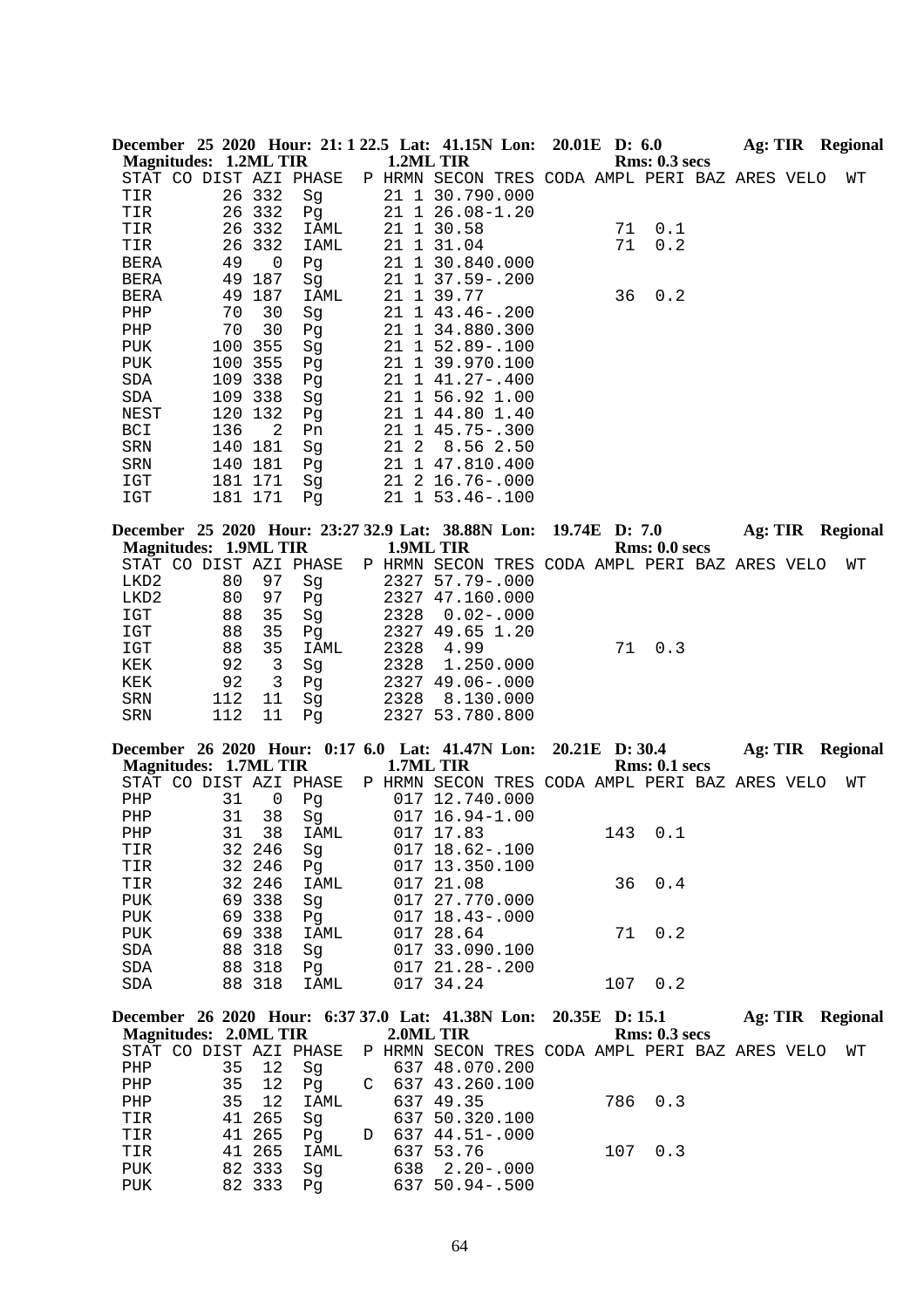|                  |                              |                  |              |                        |      | December 25 2020 Hour: 21: 1 22.5 Lat: 41.15N Lon: 20.01E D: 6.0 |                |     |                      |  | Ag: TIR Regional |
|------------------|------------------------------|------------------|--------------|------------------------|------|------------------------------------------------------------------|----------------|-----|----------------------|--|------------------|
|                  | <b>Magnitudes: 1.2ML TIR</b> |                  |              |                        |      | 1.2ML TIR                                                        |                |     | Rms: 0.3 secs        |  |                  |
|                  |                              |                  |              | STAT CO DIST AZI PHASE |      | P HRMN SECON TRES CODA AMPL PERI BAZ ARES VELO                   |                |     |                      |  | WΤ               |
| TIR              |                              | 26 332           |              | Sg                     |      | 21 1 30.790.000                                                  |                |     |                      |  |                  |
| TIR              |                              | 26 332           |              | Pg                     |      | 21 1 26.08-1.20                                                  |                |     |                      |  |                  |
| TIR              |                              | 26 332           |              | IAML                   |      | 21 1 30.58                                                       |                | 71  | 0.1                  |  |                  |
| TIR              |                              | 26               | 332          | IAML                   |      | 21 1 31.04                                                       |                | 71  | 0.2                  |  |                  |
| BERA             |                              | 49               | 0            | Pg                     |      | 21 1 30.840.000                                                  |                |     |                      |  |                  |
| BERA             |                              | 49               | 187          | Sg                     |      | 21 1 37.59 -. 200                                                |                |     |                      |  |                  |
| BERA             |                              | 49               | 187          | IAML                   |      | 21 1 39.77                                                       |                | 36  | 0.2                  |  |                  |
| PHP              |                              | 70               | 30           | Sg                     |      | 21 1 43.46 -. 200                                                |                |     |                      |  |                  |
| PHP              |                              | 70               | 30           | Pg                     |      | 21 1 34.880.300                                                  |                |     |                      |  |                  |
| PUK              |                              | 100              | 355          | Sg                     |      | 21 1 52.89 -. 100                                                |                |     |                      |  |                  |
| <b>PUK</b>       |                              | 100              | 355          | Pg                     |      | 21 1 39.970.100                                                  |                |     |                      |  |                  |
| SDA              |                              | 109 338          |              | Pg                     |      | 21 1 41.27-.400                                                  |                |     |                      |  |                  |
| SDA              |                              | 109 338          |              | Sg                     |      | 21 1 56.92 1.00                                                  |                |     |                      |  |                  |
| NEST             |                              | 120              | 132          | Pg                     |      | 21 1 44.80 1.40                                                  |                |     |                      |  |                  |
|                  |                              |                  | 2            |                        |      | 21 1 45.75 -. 300                                                |                |     |                      |  |                  |
| BCI              |                              | 136              |              | Pn                     | 21 2 |                                                                  |                |     |                      |  |                  |
| SRN              |                              | 140 181          |              | Sg                     |      | 8.56 2.50                                                        |                |     |                      |  |                  |
| SRN              |                              | 140 181          |              | Pg                     |      | 21 1 47.810.400                                                  |                |     |                      |  |                  |
| IGT              |                              | 181 171          |              | Sg                     |      | 21 2 16.76 -. 000                                                |                |     |                      |  |                  |
| IGT              |                              | 181 171          |              | Pg                     |      | 21 1 53.46 -. 100                                                |                |     |                      |  |                  |
|                  |                              |                  |              |                        |      | December 25 2020 Hour: 23:27 32.9 Lat: 38.88N Lon:               |                |     | 19.74E D: 7.0        |  | Ag: TIR Regional |
|                  | <b>Magnitudes: 1.9ML TIR</b> |                  |              |                        |      | 1.9ML TIR                                                        |                |     | Rms: 0.0 secs        |  |                  |
|                  |                              |                  |              | STAT CO DIST AZI PHASE |      | P HRMN SECON TRES CODA AMPL PERI BAZ ARES VELO                   |                |     |                      |  | WΤ               |
| LKD2             |                              | 80               | 97           | Sg                     |      | 2327 57.79 -. 000                                                |                |     |                      |  |                  |
| LKD <sub>2</sub> |                              | 80               | 97           | Pg                     |      | 2327 47.160.000                                                  |                |     |                      |  |                  |
| IGT              |                              | 88               | 35           | Sg                     | 2328 | $0.02 - .000$                                                    |                |     |                      |  |                  |
| IGT              |                              | 88               | 35           | Pg                     |      | 2327 49.65 1.20                                                  |                |     |                      |  |                  |
| $_{\tt ICT}$     |                              | 88               | 35           | IAML                   | 2328 | 4.99                                                             |                | 71  | 0.3                  |  |                  |
| KEK              |                              | 92               | $\mathbf{3}$ | Sg                     | 2328 | 1.250.000                                                        |                |     |                      |  |                  |
| KEK              |                              | 92               | 3            | Pg                     |      | 2327 49.06-.000                                                  |                |     |                      |  |                  |
|                  |                              |                  |              |                        |      |                                                                  |                |     |                      |  |                  |
|                  |                              |                  |              |                        |      |                                                                  |                |     |                      |  |                  |
| SRN              |                              | 112              | 11           | Sq                     | 2328 | 8.130.000                                                        |                |     |                      |  |                  |
| SRN              |                              | 112              | 11           | Pg                     |      | 2327 53.780.800                                                  |                |     |                      |  |                  |
|                  |                              |                  |              |                        |      |                                                                  |                |     |                      |  |                  |
|                  |                              |                  |              |                        |      | December 26 2020 Hour: 0:17 6.0 Lat: 41.47N Lon:<br>1.7ML TIR    | 20.21E D: 30.4 |     | <b>Rms: 0.1 secs</b> |  | Ag: TIR Regional |
|                  | <b>Magnitudes: 1.7ML TIR</b> |                  |              |                        |      |                                                                  |                |     |                      |  | WΤ               |
|                  |                              |                  |              | STAT CO DIST AZI PHASE |      | P HRMN SECON TRES CODA AMPL PERI BAZ ARES VELO                   |                |     |                      |  |                  |
| PHP              |                              | 31               | 0            | Pg                     |      | 017 12.740.000                                                   |                |     |                      |  |                  |
| ${\tt PHP}$      |                              | 31               | 38           | Sg                     |      | 017 16.94-1.00                                                   |                |     |                      |  |                  |
| PHP              |                              | 31               | 38           | IAML                   |      | 017 17.83                                                        |                |     | 143 0.1              |  |                  |
| TIR              |                              | 32 246           |              | Sg                     |      | 017 18.62-.100                                                   |                |     |                      |  |                  |
| TIR              |                              | 32 246           |              | Pg                     |      | 017 13.350.100                                                   |                |     |                      |  |                  |
| TIR              |                              | 32 246           |              | IAML                   |      | 017 21.08                                                        |                | 36  | 0.4                  |  |                  |
| PUK              |                              | 69 338           |              | Sg                     |      | 017 27.770.000                                                   |                |     |                      |  |                  |
| PUK              |                              | 69 338           |              | Pg                     |      | 017 18.43 -. 000                                                 |                |     |                      |  |                  |
| PUK              |                              | 69 338           |              | IAML                   |      | 017 28.64                                                        |                | 71  | 0.2                  |  |                  |
| SDA              |                              | 88               | 318          | Sg                     |      | 017 33.090.100                                                   |                |     |                      |  |                  |
| SDA              |                              | 88 318           |              | Pg                     |      | 017 21.28-.200                                                   |                |     |                      |  |                  |
| SDA              |                              | 88 318           |              | IAML                   |      | 017 34.24                                                        |                | 107 | 0.2                  |  |                  |
|                  |                              |                  |              |                        |      |                                                                  |                |     |                      |  |                  |
|                  |                              |                  |              |                        |      | December 26 2020 Hour: 6:37 37.0 Lat: 41.38N Lon: 20.35E D: 15.1 |                |     |                      |  | Ag: TIR Regional |
|                  | <b>Magnitudes: 2.0ML TIR</b> |                  |              |                        |      | 2.0ML TIR                                                        |                |     | <b>Rms: 0.3 secs</b> |  | WΤ               |
|                  |                              |                  |              | STAT CO DIST AZI PHASE |      | P HRMN SECON TRES CODA AMPL PERI BAZ ARES VELO                   |                |     |                      |  |                  |
| PHP              |                              | 35               | 12           | Sg                     |      | 637 48.070.200                                                   |                |     |                      |  |                  |
| PHP              |                              | 35               | 12           | Pg                     | C    | 637 43.260.100                                                   |                |     |                      |  |                  |
| PHP              |                              | 35               | 12           | IAML                   |      | 637 49.35                                                        |                | 786 | 0.3                  |  |                  |
| TIR              |                              | 41 265           |              | Sg                     |      | 637 50.320.100                                                   |                |     |                      |  |                  |
| TIR              |                              | 41 265           |              | Pg                     | D    | 637 44.51 -. 000                                                 |                |     |                      |  |                  |
| TIR              |                              | 41 265           |              | IAML                   |      | 637 53.76                                                        |                | 107 | 0.3                  |  |                  |
| PUK<br>PUK       |                              | 82 333<br>82 333 |              | Sg<br>Pg               | 638  | $2.20 - .000$<br>637 50.94 -. 500                                |                |     |                      |  |                  |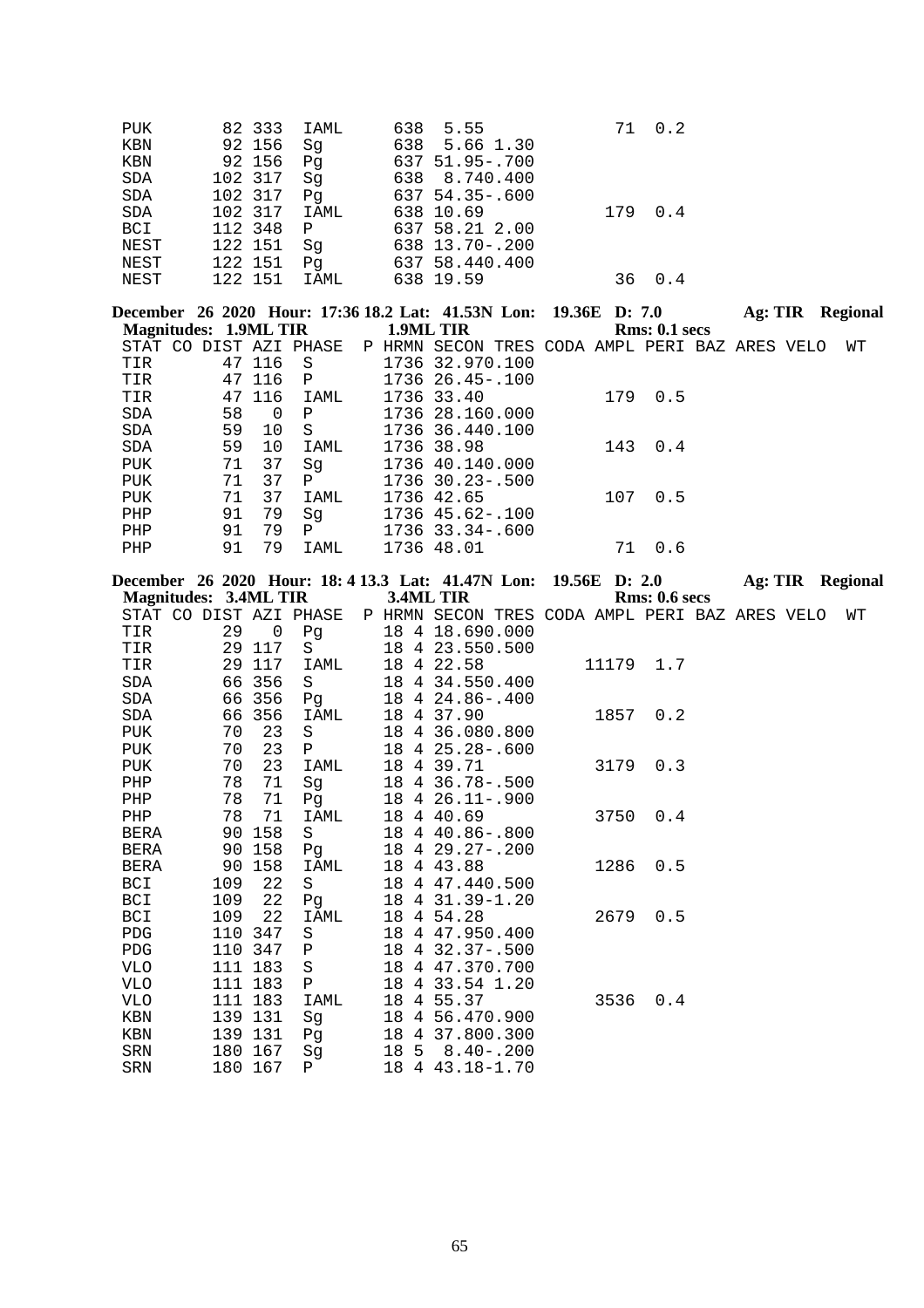| <b>PUK</b> | 82 333  | IAML         | 638 5.55            |     | 71 0.2 |
|------------|---------|--------------|---------------------|-----|--------|
| <b>KBN</b> | 92 156  | Sq           | 638 5.66 1.30       |     |        |
| KBN        | 92 156  | Pq           | 637 51.95-.700      |     |        |
| <b>SDA</b> | 102 317 | Sq           | 638 8.740.400       |     |        |
| <b>SDA</b> | 102 317 | Pq           | $637, 54.35 - .600$ |     |        |
| SDA        | 102 317 | IAML         | 638 10.69           | 179 | 0.4    |
| <b>BCI</b> | 112 348 | $\mathbf{P}$ | 637 58.21 2.00      |     |        |
| NEST       | 122 151 | Sg           | 638 13.70-.200      |     |        |
| NEST       | 122 151 | Pq           | 637 58.440.400      |     |        |
| NEST       | 122 151 | IAML         | 638 19.59           | 36  | 0.4    |

|            |                       |          |                        |  | December 26 2020 Hour: 17:36 18.2 Lat: 41.53N Lon: 19.36E D: 7.0 |  |     |               | Ag: TIR |  | <b>Regional</b> |
|------------|-----------------------|----------|------------------------|--|------------------------------------------------------------------|--|-----|---------------|---------|--|-----------------|
|            | Magnitudes: 1.9ML TIR |          |                        |  | 1.9ML TIR                                                        |  |     | Rms: 0.1~secs |         |  |                 |
|            |                       |          | STAT CO DIST AZI PHASE |  | P HRMN SECON TRES CODA AMPL PERI BAZ ARES VELO                   |  |     |               |         |  | WТ              |
| TIR        | 47                    | 116      | S.                     |  | 1736 32.970.100                                                  |  |     |               |         |  |                 |
| TIR        | 47                    | 116      | P                      |  | 1736 26.45 -. 100                                                |  |     |               |         |  |                 |
| TIR        |                       | 47 116   | IAML                   |  | 1736 33.40                                                       |  | 179 | 0.5           |         |  |                 |
| SDA        | 58                    | $\Omega$ | P                      |  | 1736 28.160.000                                                  |  |     |               |         |  |                 |
| <b>SDA</b> | 59                    | 10       | S                      |  | 1736 36.440.100                                                  |  |     |               |         |  |                 |
| SDA        | 59                    | 10       | IAML                   |  | 1736 38.98                                                       |  |     | 143 0.4       |         |  |                 |
| PUK        | 71                    | 37       | Sq                     |  | 1736 40.140.000                                                  |  |     |               |         |  |                 |
| <b>PUK</b> | 71                    | 37       | $\mathbf{P}$           |  | $1736$ $30.23 - .500$                                            |  |     |               |         |  |                 |
| <b>PUK</b> | 71                    | 37       | IAML                   |  | 1736 42.65                                                       |  | 107 | 0.5           |         |  |                 |
| PHP        | 91                    | 79       | Sq                     |  | 1736 45.62-.100                                                  |  |     |               |         |  |                 |
| PHP        | 91                    | 79       | P                      |  | $1736$ $33.34 - .600$                                            |  |     |               |         |  |                 |
| PHP        | 91                    | 79       | IAML                   |  | 1736 48.01                                                       |  | 71  | 0.6           |         |  |                 |
|            |                       |          |                        |  |                                                                  |  |     |               |         |  |                 |

| <b>Magnitudes: 3.4ML TIR</b> |     |             |              |    | December 26 2020 Hour: 18: 4 13.3 Lat: 41.47N Lon: 19.56E D: 2.0<br>3.4ML TIR |  |      | Rms: 0.6~secs | Ag: TIR Regional |    |  |
|------------------------------|-----|-------------|--------------|----|-------------------------------------------------------------------------------|--|------|---------------|------------------|----|--|
| STAT CO DIST AZI PHASE       |     |             |              |    | P HRMN SECON TRES CODA AMPL PERI BAZ ARES VELO                                |  |      |               |                  | WΤ |  |
| TIR                          | 29  | $\mathbf 0$ | Pg           |    | 18 4 18.690.000                                                               |  |      |               |                  |    |  |
| TIR                          |     | 29 117      | S            |    | 18 4 23.550.500                                                               |  |      |               |                  |    |  |
| TIR                          |     | 29 117      | <b>IAML</b>  | 18 | 4 22.58                                                                       |  |      | 11179 1.7     |                  |    |  |
| SDA                          |     | 66 356      | S            | 18 | 4 34.550.400                                                                  |  |      |               |                  |    |  |
| SDA                          |     | 66 356      | Pg           |    | 18 4 24.86 -. 400                                                             |  |      |               |                  |    |  |
| SDA                          | 66  | 356         | IAML         | 18 | 4 37.90                                                                       |  | 1857 | 0.2           |                  |    |  |
| PUK                          | 70  | 23          | $\rm S$      | 18 | 4 36.080.800                                                                  |  |      |               |                  |    |  |
| <b>PUK</b>                   | 70  | 23          | $\mathbf{P}$ | 18 | $425.28 - .600$                                                               |  |      |               |                  |    |  |
| PUK                          | 70  | 23          | IAML         | 18 | 4 39.71                                                                       |  | 3179 | 0.3           |                  |    |  |
| PHP                          | 78  | 71          | Sg           | 18 | 4 36.78-.500                                                                  |  |      |               |                  |    |  |
| PHP                          | 78  | 71          | Pq           | 18 | $4\,26.11 - .900$                                                             |  |      |               |                  |    |  |
| PHP                          | 78  | 71          | IAML         | 18 | 4 40.69                                                                       |  | 3750 | 0.4           |                  |    |  |
| BERA                         | 90  | 158         | S            |    | 18 4 40.86 -. 800                                                             |  |      |               |                  |    |  |
| <b>BERA</b>                  |     | 90 158      | Pq           | 18 | $429.27 - .200$                                                               |  |      |               |                  |    |  |
| <b>BERA</b>                  | 90  | 158         | IAML         | 18 | 4 43.88                                                                       |  | 1286 | 0.5           |                  |    |  |
| <b>BCI</b>                   | 109 | 22          | S            | 18 | 4 47.440.500                                                                  |  |      |               |                  |    |  |
| <b>BCI</b>                   | 109 | 22          | Pq           | 18 | 4 31.39-1.20                                                                  |  |      |               |                  |    |  |
| BCI                          | 109 | 22          | IAML         | 18 | 4 54.28                                                                       |  | 2679 | 0.5           |                  |    |  |
| PDG                          | 110 | 347         | S            | 18 | 4 47.950.400                                                                  |  |      |               |                  |    |  |
| <b>PDG</b>                   |     | 110 347     | $\mathbf P$  | 18 | $4\overline{32.37} - 500$                                                     |  |      |               |                  |    |  |
| <b>VLO</b>                   |     | 111 183     | $\rm S$      | 18 | 4 47.370.700                                                                  |  |      |               |                  |    |  |
| <b>VLO</b>                   |     | 111 183     | $\mathbf{P}$ | 18 | 4 33.54 1.20                                                                  |  |      |               |                  |    |  |
| VLO                          |     | 111 183     | IAML         | 18 | 4 55.37                                                                       |  | 3536 | 0.4           |                  |    |  |
| KBN                          |     | 139 131     | Sg           | 18 | 4 56.470.900                                                                  |  |      |               |                  |    |  |
| KBN                          |     | 139 131     | Pq           | 18 | 4 37.800.300                                                                  |  |      |               |                  |    |  |
| <b>SRN</b>                   |     | 180 167     | Sq           |    | 18 5 8.40 -. 200                                                              |  |      |               |                  |    |  |
| <b>SRN</b>                   |     | 180 167     | P            |    | 18 4 43.18-1.70                                                               |  |      |               |                  |    |  |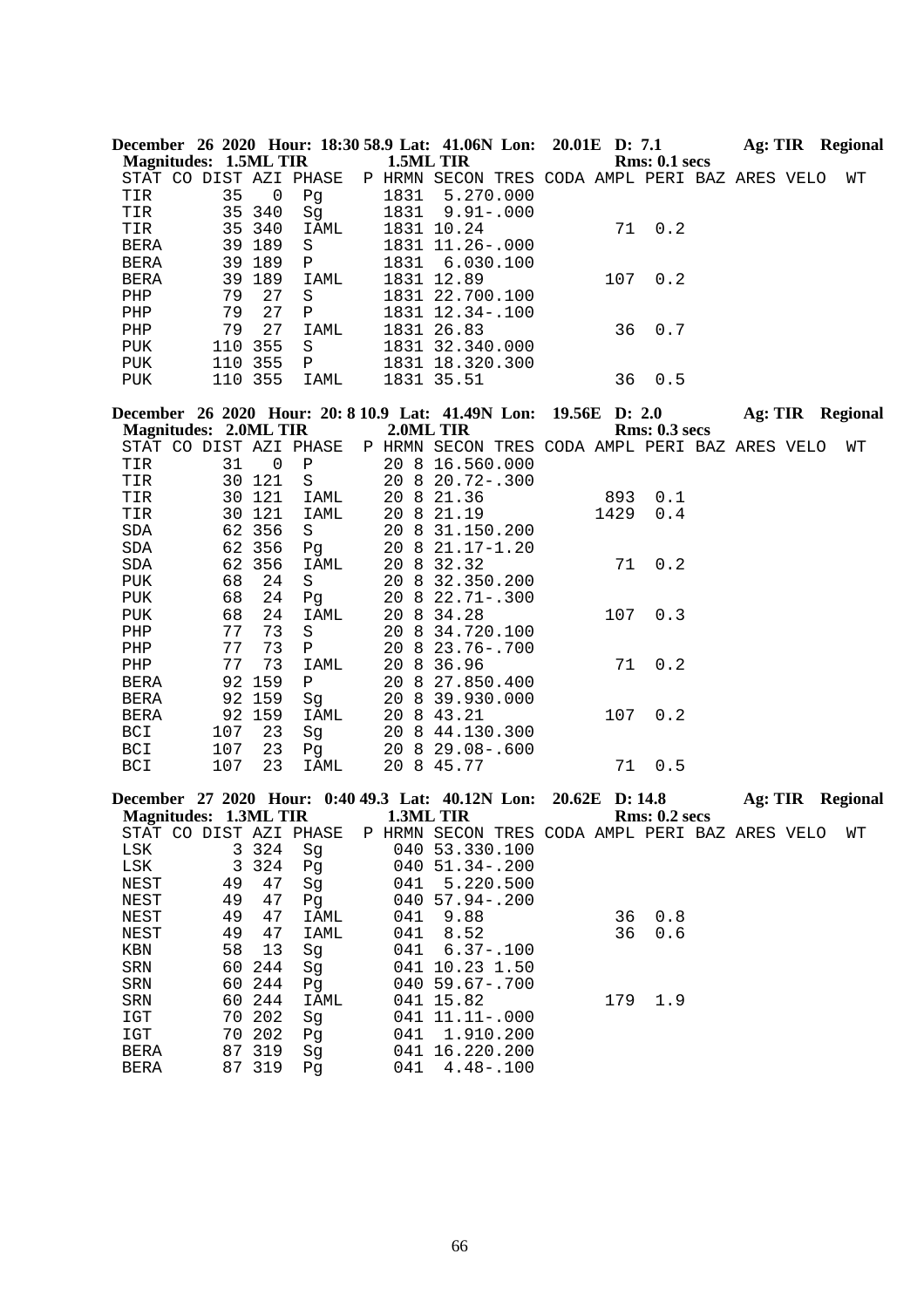|                              |     |                | December 26 2020 Hour: 18:30 58.9 Lat: 41.06N Lon: 20.01E D: 7.1 Ag: TIR Regional |                  |                    |  |      |                      |                  |  |    |
|------------------------------|-----|----------------|-----------------------------------------------------------------------------------|------------------|--------------------|--|------|----------------------|------------------|--|----|
| <b>Magnitudes: 1.5ML TIR</b> |     |                |                                                                                   | 1.5ML TIR        |                    |  |      | Rms: 0.1 secs        |                  |  |    |
|                              |     |                | STAT CO DIST AZI PHASE P HRMN SECON TRES CODA AMPL PERI BAZ ARES VELO             |                  |                    |  |      |                      |                  |  | WT |
| TIR                          | 35  | $\overline{0}$ | Pg                                                                                | 1831             | 5.270.000          |  |      |                      |                  |  |    |
| TIR                          |     | 35 340         | Sg                                                                                | 1831             | $9.91 - .000$      |  |      |                      |                  |  |    |
| TIR                          |     | 35 340         | IAML                                                                              |                  | 1831 10.24         |  | 71   | 0.2                  |                  |  |    |
| BERA                         |     | 39 189         | S                                                                                 |                  | 1831 11.26 -. 000  |  |      |                      |                  |  |    |
| <b>BERA</b>                  |     | 39 189         | P                                                                                 | 1831             | 6.030.100          |  |      |                      |                  |  |    |
| <b>BERA</b>                  |     | 39 189         | IAML                                                                              |                  | 1831 12.89         |  | 107  | 0.2                  |                  |  |    |
| PHP                          | 79  | 27             | S                                                                                 |                  | 1831 22.700.100    |  |      |                      |                  |  |    |
| PHP                          | 79  | 27             | Ρ                                                                                 |                  | 1831 12.34 -. 100  |  |      |                      |                  |  |    |
| PHP                          | 79  | 27             | IAML                                                                              |                  | 1831 26.83         |  | 36   | 0.7                  |                  |  |    |
| PUK                          |     | 110 355        | $\rm S$                                                                           |                  | 1831 32.340.000    |  |      |                      |                  |  |    |
| PUK                          |     | 110 355        | P                                                                                 |                  | 1831 18.320.300    |  |      |                      |                  |  |    |
| PUK                          |     | 110 355        | IAML                                                                              |                  | 1831 35.51         |  | 36   | 0.5                  |                  |  |    |
|                              |     |                | December 26 2020 Hour: 20: 8 10.9 Lat: 41.49N Lon: 19.56E D: 2.0 Ag: TIR Regional |                  |                    |  |      |                      |                  |  |    |
| <b>Magnitudes: 2.0ML TIR</b> |     |                |                                                                                   |                  | 2.0ML TIR          |  |      | <b>Rms: 0.3 secs</b> |                  |  |    |
|                              |     |                | STAT CO DIST AZI PHASE P HRMN SECON TRES CODA AMPL PERI BAZ ARES VELO             |                  |                    |  |      |                      |                  |  | WΤ |
| TIR                          | 31  | $\overline{0}$ | Ρ                                                                                 |                  | 20 8 16.560.000    |  |      |                      |                  |  |    |
| TIR                          |     | 30 121         | S                                                                                 |                  | 20 8 20.72-.300    |  |      |                      |                  |  |    |
| TIR                          |     | 30 121         | IAML                                                                              |                  | 20 8 21.36         |  | 893  | 0.1                  |                  |  |    |
| TIR                          |     | 30 121         | IAML                                                                              |                  | 20 8 21.19         |  | 1429 | 0.4                  |                  |  |    |
| SDA                          |     | 62 356         | S                                                                                 |                  | 20 8 31.150.200    |  |      |                      |                  |  |    |
| SDA                          |     | 62 356         | Pg                                                                                |                  | 20 8 21.17-1.20    |  |      |                      |                  |  |    |
| SDA                          |     | 62 356         | IAML                                                                              |                  | 20 8 32.32         |  | 71   | 0.2                  |                  |  |    |
| PUK                          | 68  | 24             | S                                                                                 |                  | 20 8 32.350.200    |  |      |                      |                  |  |    |
| PUK                          | 68  | 24             | Pg                                                                                |                  | 20 8 22.71 - . 300 |  |      |                      |                  |  |    |
| PUK                          | 68  | 24             | IAML                                                                              |                  | 20 8 34.28         |  | 107  | 0.3                  |                  |  |    |
| PHP                          | 77  | 73             | S                                                                                 |                  | 20 8 34.720.100    |  |      |                      |                  |  |    |
| PHP                          | 77  | 73             | Ρ                                                                                 |                  | 20 8 23.76 -. 700  |  |      |                      |                  |  |    |
| ${\rm PHP}$                  | 77  | 73             | IAML                                                                              |                  | 20 8 36.96         |  | 71   | 0.2                  |                  |  |    |
| <b>BERA</b>                  |     | 92 159         | $\, {\bf P}$                                                                      |                  | 20 8 27.850.400    |  |      |                      |                  |  |    |
| BERA                         |     | 92 159         | Sg                                                                                |                  | 20 8 39.930.000    |  |      |                      |                  |  |    |
| BERA                         |     | 92 159         | IAML                                                                              |                  | 20 8 43.21         |  | 107  | 0.2                  |                  |  |    |
| BCI                          | 107 | 23             | Sg                                                                                |                  | 20 8 44.130.300    |  |      |                      |                  |  |    |
| BCI                          | 107 | 23             | Pg                                                                                |                  | 20 8 29.08 -. 600  |  |      |                      |                  |  |    |
| BCI                          | 107 | 23             | IAML                                                                              |                  | 20 8 45.77         |  | 71   | 0.5                  |                  |  |    |
|                              |     |                | December 27 2020 Hour: 0:40 49.3 Lat: 40.12N Lon: 20.62E D: 14.8                  |                  |                    |  |      |                      | Ag: TIR Regional |  |    |
| <b>Magnitudes: 1.3ML TIR</b> |     |                |                                                                                   | <b>1.3ML TIR</b> |                    |  |      | <b>Rms: 0.2 secs</b> |                  |  |    |
|                              |     |                | STAT CO DIST AZI PHASE P HRMN SECON TRES CODA AMPL PERI BAZ ARES VELO WT          |                  |                    |  |      |                      |                  |  |    |
| LSK                          |     | 3 3 2 4        | Sg                                                                                |                  | 040 53.330.100     |  |      |                      |                  |  |    |
| LSK                          | 3   | 324            | Pg                                                                                |                  | 040 51.34 -. 200   |  |      |                      |                  |  |    |
| NEST                         | 49  | 47             | Sg                                                                                | 041              | 5.220.500          |  |      |                      |                  |  |    |
| <b>NEST</b>                  | 49  | 47             | Pq                                                                                |                  | 040 57.94 -. 200   |  |      |                      |                  |  |    |
| NEST                         | 49  | 47             | IAML                                                                              | 041              | 9.88               |  | 36   | 0.8                  |                  |  |    |
| <b>NEST</b>                  | 49  | 47             | IAML                                                                              | 041              | 8.52               |  | 36   | 0.6                  |                  |  |    |
| KBN                          | 58  | 13             | Sg                                                                                | 041              | $6.37 - .100$      |  |      |                      |                  |  |    |
| ${\tt SRN}$                  | 60  | 244            | Sg                                                                                |                  | 041 10.23 1.50     |  |      |                      |                  |  |    |
| SRN                          | 60  | 244            | Pg                                                                                |                  | 040 59.67-.700     |  |      |                      |                  |  |    |
| SRN                          |     | 60 244         | IAML                                                                              |                  | 041 15.82          |  | 179  | 1.9                  |                  |  |    |
| IGT                          |     | 70 202         | Sg                                                                                |                  | 041 11.11 -. 000   |  |      |                      |                  |  |    |
| $_{\tt ICT}$                 |     | 70 202         | Pg                                                                                | 041              | 1.910.200          |  |      |                      |                  |  |    |
| <b>BERA</b>                  |     | 87 319         | Sg                                                                                |                  | 041 16.220.200     |  |      |                      |                  |  |    |

BERA 87 319 Pg 041 4.48-.100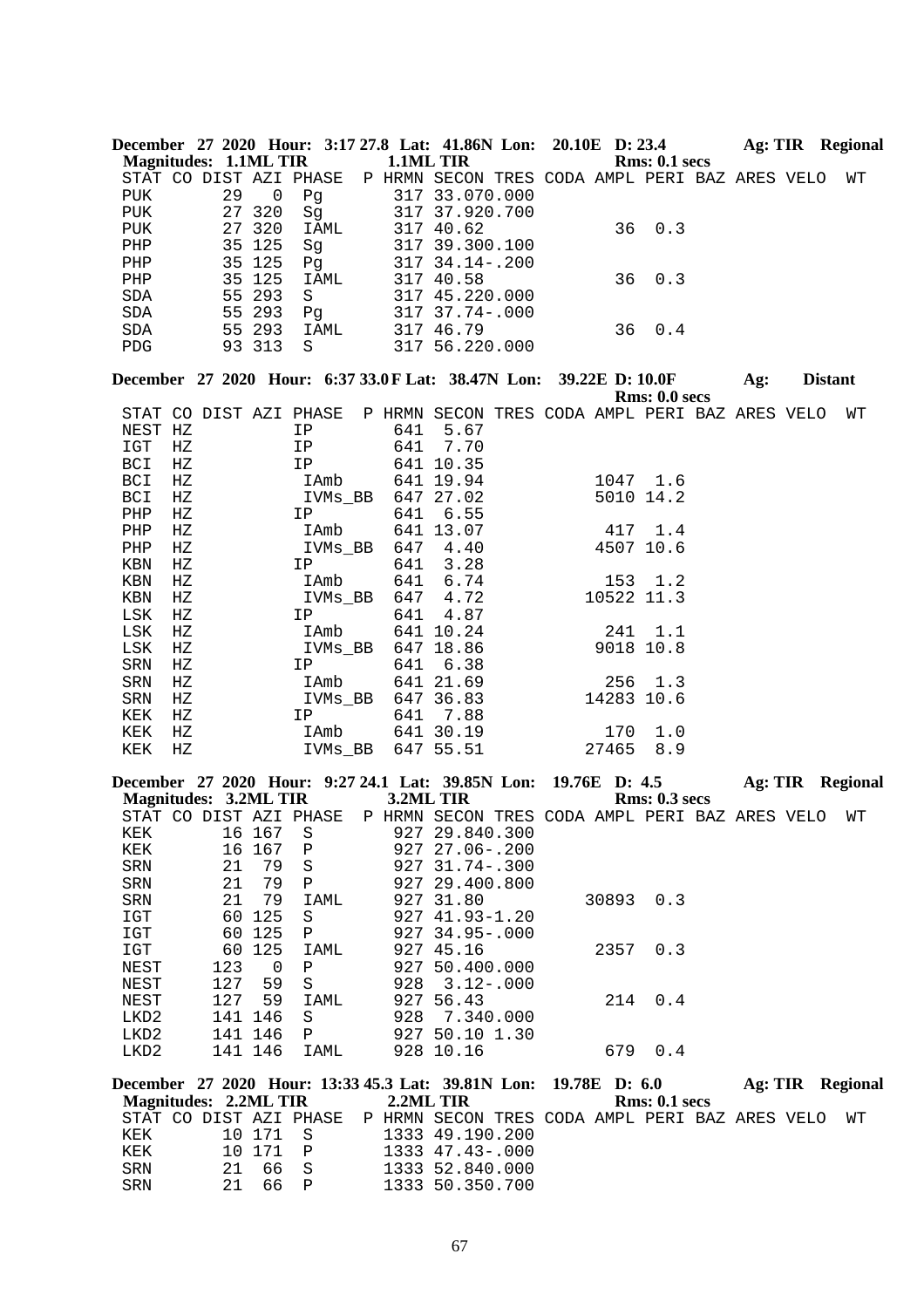|                              |             |     |                |                        |           |                                                                      |  |               | December 27 2020 Hour: 3:17 27.8 Lat: 41.86N Lon: 20.10E D: 23.4      | Ag: TIR Regional        |                |    |
|------------------------------|-------------|-----|----------------|------------------------|-----------|----------------------------------------------------------------------|--|---------------|-----------------------------------------------------------------------|-------------------------|----------------|----|
| <b>Magnitudes: 1.1ML TIR</b> |             |     |                |                        | 1.1ML TIR |                                                                      |  |               | <b>Rms: 0.1 secs</b>                                                  |                         |                |    |
|                              |             |     |                | STAT CO DIST AZI PHASE |           |                                                                      |  |               | P HRMN SECON TRES CODA AMPL PERI BAZ ARES VELO                        |                         |                | WТ |
| <b>PUK</b>                   |             | 29  | $\overline{0}$ | Pg                     |           | 317 33.070.000                                                       |  |               |                                                                       |                         |                |    |
| PUK                          |             |     | 27 320         | Sg                     |           | 317 37.920.700                                                       |  |               |                                                                       |                         |                |    |
| PUK                          |             |     | 27 320         | IAML                   |           | 317 40.62                                                            |  | 36            | 0.3                                                                   |                         |                |    |
| PHP                          |             |     | 35 125         | Sg                     |           | 317 39.300.100                                                       |  |               |                                                                       |                         |                |    |
| PHP                          |             |     | 35 125         | Pg                     |           | 317 34.14 -. 200                                                     |  |               |                                                                       |                         |                |    |
| PHP                          |             |     | 35 125         | IAML                   |           | 317 40.58                                                            |  | 36            | 0.3                                                                   |                         |                |    |
| SDA                          |             |     | 55 293         | S                      |           | 317 45.220.000                                                       |  |               |                                                                       |                         |                |    |
| SDA                          |             | 55  | 293            | Pg                     |           | 317 37.74-.000                                                       |  |               |                                                                       |                         |                |    |
| SDA                          |             |     | 55 293         | IAML                   |           | 317 46.79                                                            |  | 36            | 0.4                                                                   |                         |                |    |
| PDG                          |             |     | 93 313         | S                      |           | 317 56.220.000                                                       |  |               |                                                                       |                         |                |    |
|                              |             |     |                |                        |           | December 27 2020 Hour: 6:37 33.0 F Lat: 38.47N Lon: 39.22E D: 10.0 F |  |               | Rms: 0.0 secs                                                         | Ag:                     | <b>Distant</b> |    |
|                              |             |     |                | STAT CO DIST AZI PHASE |           |                                                                      |  |               | P HRMN SECON TRES CODA AMPL PERI BAZ ARES VELO                        |                         |                | WТ |
| NEST HZ                      |             |     |                | IP                     | 641       | 5.67                                                                 |  |               |                                                                       |                         |                |    |
| IGT                          | $_{\rm HZ}$ |     |                | IP                     | 641       | 7.70                                                                 |  |               |                                                                       |                         |                |    |
|                              |             |     |                |                        |           |                                                                      |  |               |                                                                       |                         |                |    |
| <b>BCI</b>                   | HZ<br>HZ    |     |                | IP<br>IAmb             |           | 641 10.35<br>641 19.94                                               |  |               | 1047 1.6                                                              |                         |                |    |
| BCI                          |             |     |                |                        |           |                                                                      |  |               |                                                                       |                         |                |    |
| BCI                          | HZ          |     |                | IVMs_BB                |           | 647 27.02<br>6.55                                                    |  |               | 5010 14.2                                                             |                         |                |    |
| ${\rm PHP}$                  | $_{\rm HZ}$ |     |                | IP                     | 641       |                                                                      |  |               |                                                                       |                         |                |    |
| ${\rm PHP}$                  | $_{\rm HZ}$ |     |                | IAmb                   |           | 641 13.07                                                            |  |               | 417 1.4                                                               |                         |                |    |
| PHP                          | HZ          |     |                | IVMs_BB                |           | 647 4.40                                                             |  |               | 4507 10.6                                                             |                         |                |    |
| KBN                          | ΗZ          |     |                | IP                     | 641       | 3.28                                                                 |  |               |                                                                       |                         |                |    |
| KBN                          | $_{\rm HZ}$ |     |                | IAmb                   | 641       | 6.74                                                                 |  |               | 153 1.2                                                               |                         |                |    |
| KBN                          | $_{\rm HZ}$ |     |                | IVMs_BB                | 647       | 4.72                                                                 |  | 10522 11.3    |                                                                       |                         |                |    |
| LSK                          | ΗZ          |     |                | IP                     | 641       | 4.87                                                                 |  |               |                                                                       |                         |                |    |
| LSK                          | HZ          |     |                | IAmb                   |           | 641 10.24                                                            |  | 241           | 1.1                                                                   |                         |                |    |
| LSK                          | ΗZ          |     |                | IVMs_BB                |           | 647 18.86                                                            |  |               | 9018 10.8                                                             |                         |                |    |
| SRN                          | HZ          |     |                | IP                     | 641       | 6.38                                                                 |  |               |                                                                       |                         |                |    |
| SRN                          | $_{\rm HZ}$ |     |                | IAmb                   |           | 641 21.69                                                            |  | 256           | 1.3                                                                   |                         |                |    |
| SRN                          | ΗZ          |     |                | IVMs_BB                |           | 647 36.83                                                            |  | 14283 10.6    |                                                                       |                         |                |    |
| KEK                          | HZ          |     |                | IP                     |           | 641 7.88                                                             |  |               |                                                                       |                         |                |    |
| KEK                          | ΗZ          |     |                | IAmb                   |           | 641 30.19                                                            |  | 170           | 1.0                                                                   |                         |                |    |
| KEK                          | $_{\rm HZ}$ |     |                | IVMs_BB                |           | 647 55.51                                                            |  | 27465         | 8.9                                                                   |                         |                |    |
|                              |             |     |                |                        |           | December 27 2020 Hour: 9:27 24.1 Lat: 39.85N Lon: 19.76E D: 4.5      |  |               |                                                                       | Ag: TIR Regional        |                |    |
| <b>Magnitudes: 3.2ML TIR</b> |             |     |                |                        | 3.2ML TIR |                                                                      |  |               | <b>Rms: 0.3 secs</b>                                                  |                         |                |    |
|                              |             |     |                |                        |           |                                                                      |  |               | STAT CO DIST AZI PHASE P HRMN SECON TRES CODA AMPL PERI BAZ ARES VELO |                         |                | WΤ |
| KEK                          |             |     | 16 167 S       |                        |           | 927 29.840.300                                                       |  |               |                                                                       |                         |                |    |
| KEK                          |             |     | 16 167         | Ρ                      |           | 927 27.06-.200                                                       |  |               |                                                                       |                         |                |    |
| ${\tt SRN}$                  |             | 21  | 79             | $\rm S$                |           | 927 31.74 -. 300                                                     |  |               |                                                                       |                         |                |    |
| SRN                          |             | 21  | 79             | Ρ                      |           | 927 29.400.800                                                       |  |               |                                                                       |                         |                |    |
| SRN                          |             | 21  | 79             | IAML                   |           | 927 31.80                                                            |  | 30893         | 0.3                                                                   |                         |                |    |
| IGT                          |             | 60  | 125            | S                      |           | 927 41.93-1.20                                                       |  |               |                                                                       |                         |                |    |
| IGT                          |             | 60  | 125            | Ρ                      |           | 927 34.95-.000                                                       |  |               |                                                                       |                         |                |    |
| IGT                          |             | 60  | 125            | <b>IAML</b>            |           | 927 45.16                                                            |  | 2357          | 0.3                                                                   |                         |                |    |
| NEST                         |             | 123 | 0              | Ρ                      |           | 927 50.400.000                                                       |  |               |                                                                       |                         |                |    |
| NEST                         |             | 127 | 59             | S                      | 928       | $3.12 - .000$                                                        |  |               |                                                                       |                         |                |    |
| NEST                         |             | 127 | 59             | IAML                   |           | 927 56.43                                                            |  | 214           | 0.4                                                                   |                         |                |    |
| LKD2                         |             | 141 | 146            | S                      | 928       | 7.340.000                                                            |  |               |                                                                       |                         |                |    |
| LKD2                         |             |     | 141 146        | Ρ                      |           | 927 50.10 1.30                                                       |  |               |                                                                       |                         |                |    |
| LKD2                         |             |     | 141 146        | IAML                   |           | 928 10.16                                                            |  | 679           | 0.4                                                                   |                         |                |    |
|                              |             |     |                |                        |           | December 27 2020 Hour: 13:33 45.3 Lat: 39.81N Lon:                   |  | 19.78E D: 6.0 |                                                                       | <b>Ag: TIR Regional</b> |                |    |
| <b>Magnitudes: 2.2ML TIR</b> |             |     |                |                        | 2.2ML TIR |                                                                      |  |               | Rms: 0.1 secs                                                         |                         |                |    |
|                              |             |     |                | STAT CO DIST AZI PHASE |           |                                                                      |  |               | P HRMN SECON TRES CODA AMPL PERI BAZ ARES VELO                        |                         |                | WΤ |

67

KEK 10 171 S 1333 49.190.200 KEK 10 171 P 1333 47.43-.000 SRN 21 66 S 1333 52.840.000 SRN 21 66 P 1333 50.350.700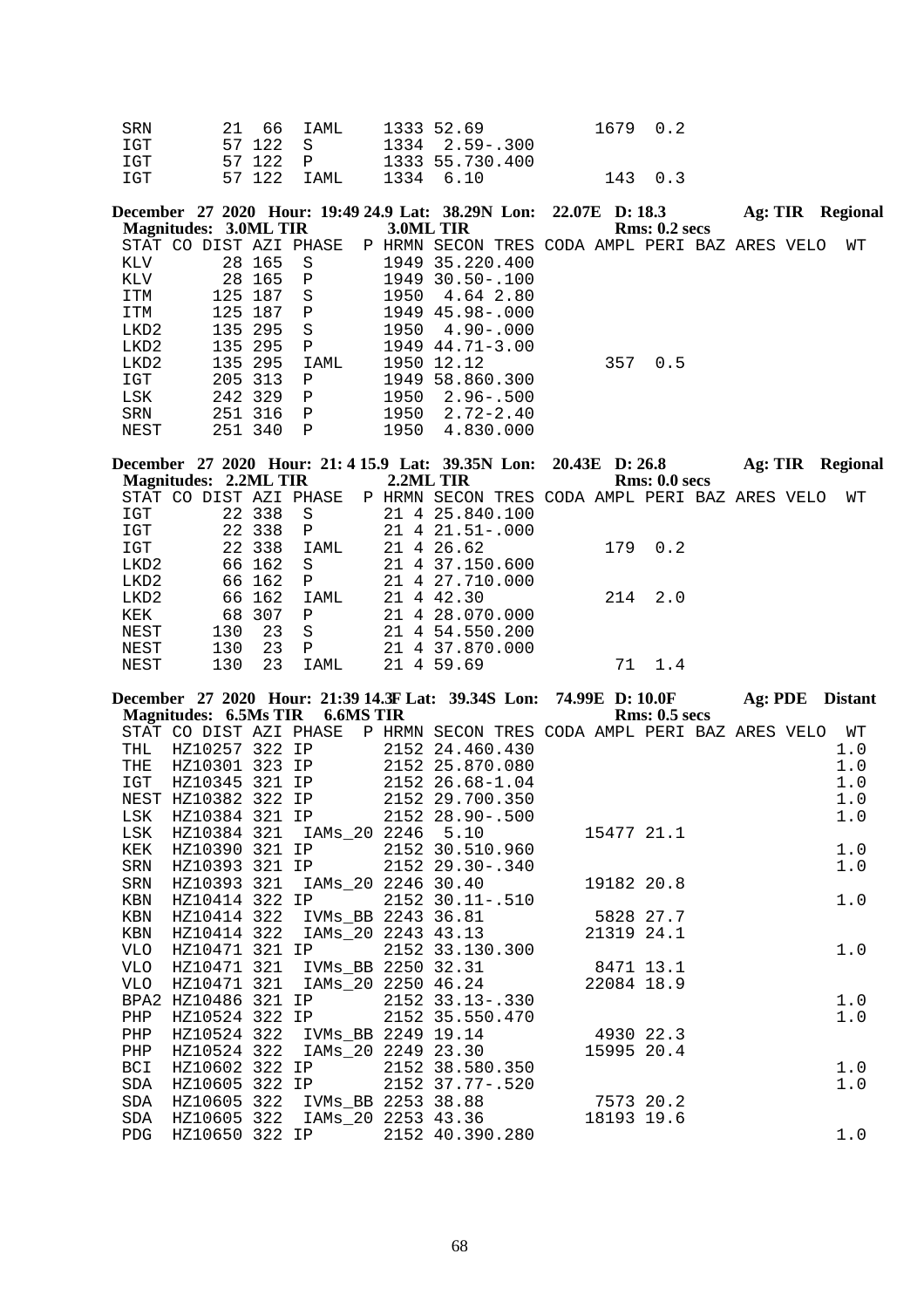| SRN  | 21 66 IAML   | 1333 52.69       | 1679 0.2 |  |
|------|--------------|------------------|----------|--|
| TGT  | 57 122 S     | 1334 2.59 - .300 |          |  |
| T GT | 57 122 P     | 1333 55.730.400  |          |  |
| T GT | 57 122 TAMI. | 1334 6.10        | 143 0.3  |  |

|  |                                                                                                |                                                                      |      |                                                                 |                                                                                                                                                                              |     |                                                                          |               |         | <b>Regional</b>                   |
|--|------------------------------------------------------------------------------------------------|----------------------------------------------------------------------|------|-----------------------------------------------------------------|------------------------------------------------------------------------------------------------------------------------------------------------------------------------------|-----|--------------------------------------------------------------------------|---------------|---------|-----------------------------------|
|  |                                                                                                |                                                                      |      |                                                                 |                                                                                                                                                                              |     |                                                                          |               |         |                                   |
|  |                                                                                                |                                                                      |      |                                                                 |                                                                                                                                                                              |     |                                                                          |               |         | WТ                                |
|  | - S                                                                                            |                                                                      |      |                                                                 |                                                                                                                                                                              |     |                                                                          |               |         |                                   |
|  | $\mathbb{P}$                                                                                   |                                                                      |      |                                                                 |                                                                                                                                                                              |     |                                                                          |               |         |                                   |
|  | - S                                                                                            |                                                                      |      |                                                                 |                                                                                                                                                                              |     |                                                                          |               |         |                                   |
|  | $\mathbf{P}$                                                                                   |                                                                      |      |                                                                 |                                                                                                                                                                              |     |                                                                          |               |         |                                   |
|  | S                                                                                              |                                                                      |      |                                                                 |                                                                                                                                                                              |     |                                                                          |               |         |                                   |
|  | $\mathbf{P}$                                                                                   |                                                                      |      |                                                                 |                                                                                                                                                                              |     |                                                                          |               |         |                                   |
|  | IAML                                                                                           |                                                                      |      |                                                                 |                                                                                                                                                                              | 0.5 |                                                                          |               |         |                                   |
|  | P                                                                                              |                                                                      | 1949 |                                                                 |                                                                                                                                                                              |     |                                                                          |               |         |                                   |
|  | $\mathbb{P}$                                                                                   |                                                                      | 1950 |                                                                 |                                                                                                                                                                              |     |                                                                          |               |         |                                   |
|  | $\mathsf{P}$                                                                                   |                                                                      |      |                                                                 |                                                                                                                                                                              |     |                                                                          |               |         |                                   |
|  | P                                                                                              |                                                                      | 1950 |                                                                 |                                                                                                                                                                              |     |                                                                          |               |         |                                   |
|  | 28 165<br>125 187<br>135 295<br>135 295<br>135 295<br>205 313<br>242 329<br>251 316<br>251 340 | Magnitudes: 3.0ML TIR<br>STAT CO DIST AZI PHASE<br>28 165<br>125 187 |      | 3.0ML TIR<br>P HRMN SECON<br>1950<br>1950<br>1950 12.12<br>1950 | 1949 35.220.400<br>$1949$ 30.50 - 100<br>4.64 2.80<br>1949 45.98-.000<br>$4.90 - .000$<br>$1949$ $44.71 - 3.00$<br>58.860.300<br>$2.96 - .500$<br>$2.72 - 2.40$<br>4.830.000 |     | December 27 2020 Hour: 19:49 24.9 Lat: 38.29N Lon: 22.07E D: 18.3<br>357 | Rms: 0.2~secs | Ag: TIR | TRES CODA AMPL PERI BAZ ARES VELO |

**December 27 2020 Hour: 21: 4 15.9 Lat: 39.35N Lon: 20.43E D: 26.8 Ag: TIR Regional Magnitudes: 2.2ML TIR 2.2ML TIR Rms: 0.0 secs**

| STAT CO          |     |        | DIST AZI PHASE |  | P HRMN SECON TRES CODA AMPL PERI BAZ ARES VELO |     |     |  | WТ |
|------------------|-----|--------|----------------|--|------------------------------------------------|-----|-----|--|----|
| IGT              |     | 22 338 | -S             |  | 21 4 25.840.100                                |     |     |  |    |
| IGT              |     | 22 338 | $\mathbf{P}$   |  | $21 \quad 4 \quad 21.51 - .000$                |     |     |  |    |
| IGT              |     | 22 338 | IAML           |  | 21 4 26.62                                     | 179 | 0.2 |  |    |
| LKD2             |     | 66 162 | -S             |  | 21 4 37.150.600                                |     |     |  |    |
| LKD2             |     | 66 162 | $\mathbf{P}$   |  | 21 4 27.710.000                                |     |     |  |    |
| LKD <sub>2</sub> |     | 66 162 | IAML           |  | 21 4 42.30                                     | 214 | 2.0 |  |    |
| KEK              |     | 68 307 | $\mathsf{P}$   |  | 21 4 28.070.000                                |     |     |  |    |
| NEST             | 130 | 23     | -S             |  | 21 4 54.550.200                                |     |     |  |    |
| NEST             | 130 | 23     | $\mathbf P$    |  | 21 4 37.870.000                                |     |     |  |    |
| NEST             | 130 | 23     | TAMT.          |  | 21 4 59.69                                     |     | 14  |  |    |

|     |             |  |  | December 27 2020 Hour: 21:39 14.3F Lat: 39.34S Lon: 74.99E D: 10.0F Ag: PDE Distant                          |            |               |  |       |
|-----|-------------|--|--|--------------------------------------------------------------------------------------------------------------|------------|---------------|--|-------|
|     |             |  |  | Magnitudes: 6.5Ms TIR 6.6MS TIR                                                                              |            | Rms: 0.5~secs |  |       |
|     |             |  |  | STAT CO DIST AZI PHASE P HRMN SECON TRES CODA AMPL PERI BAZ ARES VELO WT                                     |            |               |  |       |
| THL |             |  |  | HZ10257 322 IP 2152 24.460.430                                                                               |            |               |  | 1.0   |
| THE |             |  |  | HZ10301 323 IP 2152 25.870.080                                                                               |            |               |  | 1.0   |
| IGT |             |  |  | HZ10345 321 IP 2152 26.68-1.04                                                                               |            |               |  | 1.0   |
|     |             |  |  | NEST HZ10382 322 IP 2152 29.700.350                                                                          |            |               |  | 1.0   |
| LSK |             |  |  | HZ10384 321 IP 2152 28.90-.500                                                                               |            |               |  | 1.0   |
| LSK |             |  |  | HZ10384 321 IAMs 20 2246 5.10 15477 21.1                                                                     |            |               |  |       |
| KEK |             |  |  | HZ10390 321 IP 2152 30.510.960                                                                               |            |               |  | $1.0$ |
| SRN |             |  |  | HZ10393 321 IP 2152 29.30-.340                                                                               |            |               |  | 1.0   |
| SRN | HZ10393 321 |  |  | IAMs_20 2246 30.40    19182 20.8                                                                             |            |               |  |       |
| KBN |             |  |  | HZ10414 322 IP 2152 30.11-.510                                                                               |            |               |  | 1.0   |
| KBN |             |  |  | HZ10414 322 IVMs_BB 2243 36.81 5828 27.7                                                                     |            |               |  |       |
| KBN |             |  |  | HZ10414 322 IAMs_20 2243 43.13 21319 24.1                                                                    |            |               |  |       |
| VLO |             |  |  | HZ10471 321 IP 2152 33.130.300<br>HZ10471 321 IVMs_BB 2250 32.31 8471 13.1                                   |            |               |  | 1.0   |
| VLO |             |  |  |                                                                                                              |            |               |  |       |
| VLO | HZ10471 321 |  |  | IAMs 20 2250 46.24 22084 18.9                                                                                |            |               |  |       |
|     |             |  |  | BPA2 HZ10486 321 IP 2152 33.13-.330                                                                          |            |               |  | 1.0   |
| PHP |             |  |  | HZ10524 322 IP 2152 35.550.470                                                                               |            |               |  | 1.0   |
| PHP |             |  |  | HZ10524 322 IVMs_BB 2249 19.14 4930 22.3                                                                     |            |               |  |       |
| PHP |             |  |  | HZ10524 322 IAMs 20 2249 23.30                                                                               | 15995 20.4 |               |  |       |
| BCI |             |  |  | HZ10602 322 IP 2152 38.580.350                                                                               |            |               |  | 1.0   |
| SDA |             |  |  | HZ10605 322 IP 2152 37.77-.520<br>HZ10605 322 IP 2152 37.77-.520<br>HZ10605 322 IVMs_BB 2253 38.88 7573 20.2 |            |               |  | 1.0   |
| SDA |             |  |  |                                                                                                              |            |               |  |       |
| SDA |             |  |  | HZ10605 322 IAMs_20 2253 43.36                                                                               | 18193 19.6 |               |  |       |
| PDG |             |  |  | HZ10650 322 IP 2152 40.390.280                                                                               |            |               |  | 1.0   |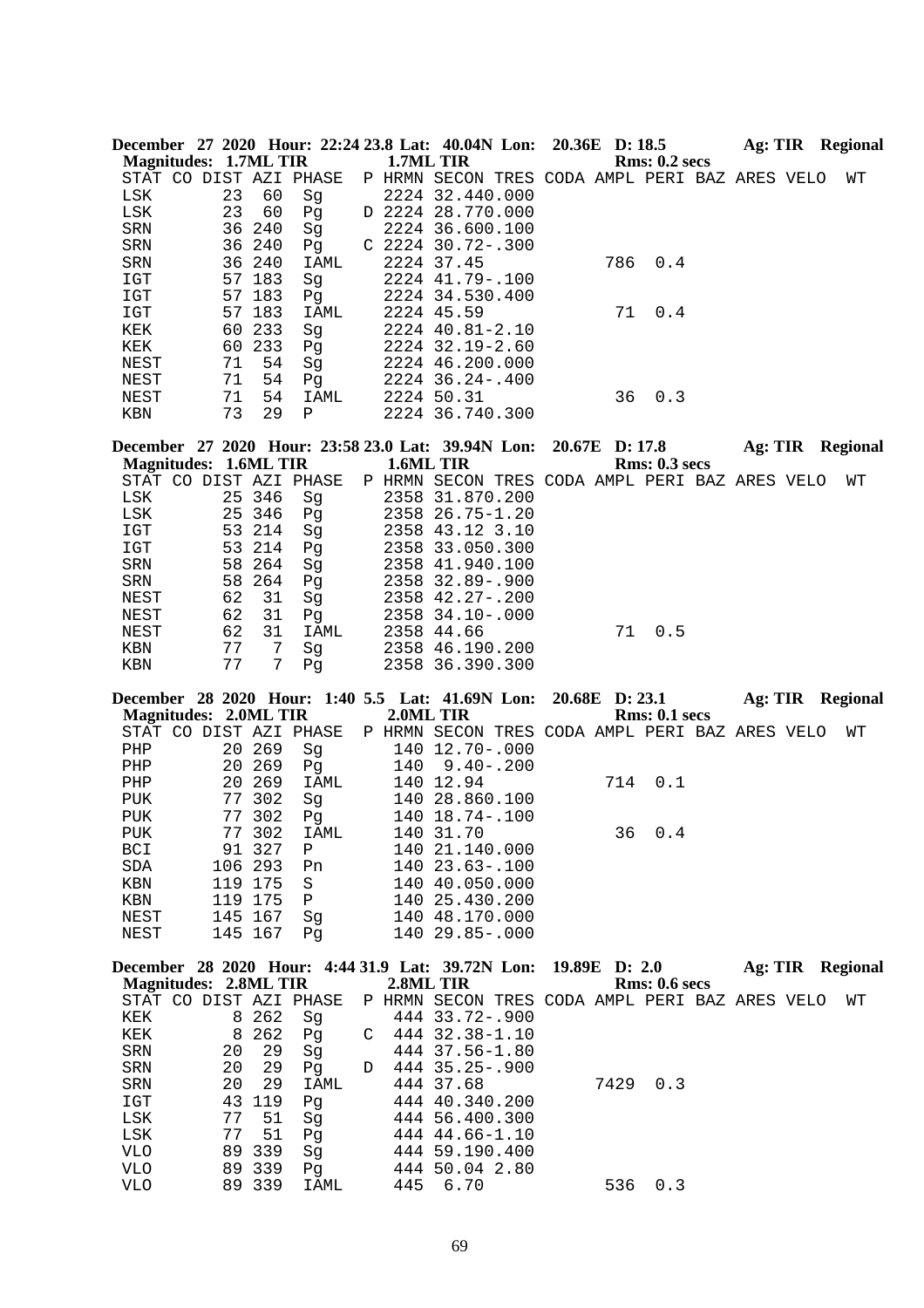|                      | <b>Magnitudes: 1.7ML TIR</b>                           |                  |            |   | December 27 2020 Hour: 22:24 23.8 Lat: 40.04N Lon: 20.36E D: 18.5<br>1.7ML TIR |                | <b>Rms: 0.2 secs</b> |  | Ag: TIR Regional        |
|----------------------|--------------------------------------------------------|------------------|------------|---|--------------------------------------------------------------------------------|----------------|----------------------|--|-------------------------|
|                      | STAT CO DIST AZI PHASE                                 |                  |            |   | P HRMN SECON TRES CODA AMPL PERI BAZ ARES VELO                                 |                |                      |  | WΤ                      |
| LSK                  | 23                                                     | 60               | Sg         |   | 2224 32.440.000                                                                |                |                      |  |                         |
| LSK                  | 23                                                     | 60               | Pg         |   | D 2224 28.770.000                                                              |                |                      |  |                         |
| SRN                  | 36                                                     | 240              | Sg         |   | 2224 36.600.100                                                                |                |                      |  |                         |
| SRN                  | 36                                                     | 240              | Pg         |   | $C$ 2224 30.72-.300                                                            |                |                      |  |                         |
| SRN<br>IGT           |                                                        | 36 240<br>57 183 | IAML<br>Sg |   | 2224 37.45<br>2224 41.79 -. 100                                                |                | 786<br>0.4           |  |                         |
| IGT                  |                                                        | 57 183           | Pq         |   | 2224 34.530.400                                                                |                |                      |  |                         |
| $_{\tt ICT}$         |                                                        | 57 183           | IAML       |   | 2224 45.59                                                                     |                | 71<br>0.4            |  |                         |
| KEK                  |                                                        | 60 233           | Sg         |   | 2224 40.81-2.10                                                                |                |                      |  |                         |
| KEK                  | 60                                                     | 233              | Pg         |   | 2224 32.19-2.60                                                                |                |                      |  |                         |
| NEST                 | 71                                                     | 54               | Sg         |   | 2224 46.200.000                                                                |                |                      |  |                         |
| NEST                 | 71                                                     | 54               | Pg         |   | 2224 36.24 -. 400                                                              |                |                      |  |                         |
| NEST                 | 71                                                     | 54               | IAML       |   | 2224 50.31                                                                     |                | 36<br>0.3            |  |                         |
| KBN                  | 73                                                     | 29               | Ρ          |   | 2224 36.740.300                                                                |                |                      |  |                         |
|                      |                                                        |                  |            |   | December 27 2020 Hour: 23:58 23.0 Lat: 39.94N Lon:                             | 20.67E D: 17.8 |                      |  | Ag: TIR Regional        |
|                      | <b>Magnitudes: 1.6ML TIR</b><br>STAT CO DIST AZI PHASE |                  |            |   | 1.6ML TIR<br>P HRMN SECON TRES CODA AMPL PERI BAZ ARES VELO                    |                | <b>Rms: 0.3 secs</b> |  | WΤ                      |
| LSK                  |                                                        | 25 346           | Sg         |   | 2358 31.870.200                                                                |                |                      |  |                         |
| LSK                  |                                                        | 25 346           | Pg         |   | 2358 26.75-1.20                                                                |                |                      |  |                         |
| IGT                  | 53                                                     | 214              | Sg         |   | 2358 43.12 3.10                                                                |                |                      |  |                         |
| <b>IGT</b>           |                                                        | 53 214           | Pg         |   | 2358 33.050.300                                                                |                |                      |  |                         |
| SRN                  |                                                        | 58 264           | Sg         |   | 2358 41.940.100                                                                |                |                      |  |                         |
| SRN                  |                                                        | 58 264           | Pg         |   | 2358 32.89 -. 900                                                              |                |                      |  |                         |
| NEST                 | 62                                                     | 31               | Sg         |   | 2358 42.27-.200                                                                |                |                      |  |                         |
| NEST<br>NEST         | 62<br>62                                               | 31<br>31         | Pg<br>IAML |   | 2358 34.10-.000<br>2358 44.66                                                  |                | 71<br>0.5            |  |                         |
| KBN                  | 77                                                     | 7                | Sg         |   | 2358 46.190.200                                                                |                |                      |  |                         |
| KBN                  | 77                                                     | 7                | Pg         |   | 2358 36.390.300                                                                |                |                      |  |                         |
|                      |                                                        |                  |            |   | December 28 2020 Hour: 1:40 5.5 Lat: 41.69N Lon:                               |                | 20.68E D: 23.1       |  | Ag: TIR Regional        |
|                      | <b>Magnitudes: 2.0ML TIR</b>                           |                  |            |   | 2.0ML TIR                                                                      |                | <b>Rms: 0.1 secs</b> |  |                         |
|                      | STAT CO DIST AZI PHASE                                 |                  |            |   | P HRMN SECON TRES CODA AMPL PERI BAZ ARES VELO                                 |                |                      |  | WΤ                      |
| PHP                  |                                                        | 20 269           | Sg         |   | 140 12.70 -. 000                                                               |                |                      |  |                         |
| PHP                  | 20                                                     | 269<br>269       | Pg         |   | $140$ 9.40 - .200<br>140 12.94                                                 |                | 714<br>0.1           |  |                         |
| PHP<br><b>PUK</b>    | 20                                                     |                  | IAML       |   |                                                                                |                |                      |  |                         |
| <b>PUK</b>           |                                                        |                  |            |   |                                                                                |                |                      |  |                         |
|                      |                                                        | 77 302           | Sg         |   | 140 28.860.100                                                                 |                |                      |  |                         |
|                      |                                                        | 77 302           | Pq         |   | 140 18.74 -. 100                                                               |                |                      |  |                         |
| ${\tt PUK}$<br>BCI   |                                                        | 77 302<br>91 327 | IAML<br>Ρ  |   | 140 31.70<br>140 21.140.000                                                    |                | 36 0.4               |  |                         |
| $\operatorname{SDA}$ | 106                                                    | 293              | Pn         |   | 140 23.63 -. 100                                                               |                |                      |  |                         |
| KBN                  |                                                        | 119 175          | S          |   | 140 40.050.000                                                                 |                |                      |  |                         |
| KBN                  |                                                        | 119 175          | Ρ          |   | 140 25.430.200                                                                 |                |                      |  |                         |
| NEST                 |                                                        | 145 167          | Sg         |   | 140 48.170.000                                                                 |                |                      |  |                         |
| NEST                 |                                                        | 145 167          | Pg         |   | 140 29.85 -. 000                                                               |                |                      |  |                         |
|                      |                                                        |                  |            |   | December 28 2020 Hour: 4:44 31.9 Lat: 39.72N Lon:                              |                | 19.89E D: 2.0        |  | <b>Ag: TIR Regional</b> |
|                      | <b>Magnitudes: 2.8ML TIR</b>                           |                  |            |   | 2.8ML TIR                                                                      |                | <b>Rms: 0.6 secs</b> |  |                         |
|                      | STAT CO DIST AZI PHASE                                 |                  |            |   | P HRMN SECON TRES CODA AMPL PERI BAZ ARES VELO                                 |                |                      |  | WΤ                      |
| KEK                  | 8                                                      | 262              | Sg         | С | 444 33.72-.900                                                                 |                |                      |  |                         |
| KEK<br>SRN           | 8<br>20                                                | 262<br>29        | Pg<br>Sg   |   | 444 32.38-1.10<br>444 37.56-1.80                                               |                |                      |  |                         |
| SRN                  | 20                                                     | 29               | Pg         | D | 444 35.25-.900                                                                 |                |                      |  |                         |
| SRN                  | 20                                                     | 29               | IAML       |   | 444 37.68                                                                      |                | 7429<br>0.3          |  |                         |
| IGT                  | 43                                                     | 119              | Pg         |   | 444 40.340.200                                                                 |                |                      |  |                         |
| LSK                  | 77                                                     | 51               | Sg         |   | 444 56.400.300                                                                 |                |                      |  |                         |
| LSK<br><b>VLO</b>    | 77                                                     | 51<br>89 339     | Pg<br>Sg   |   | 444 44.66-1.10<br>444 59.190.400                                               |                |                      |  |                         |

VLO 89 339 IAML 445 6.70 536 0.3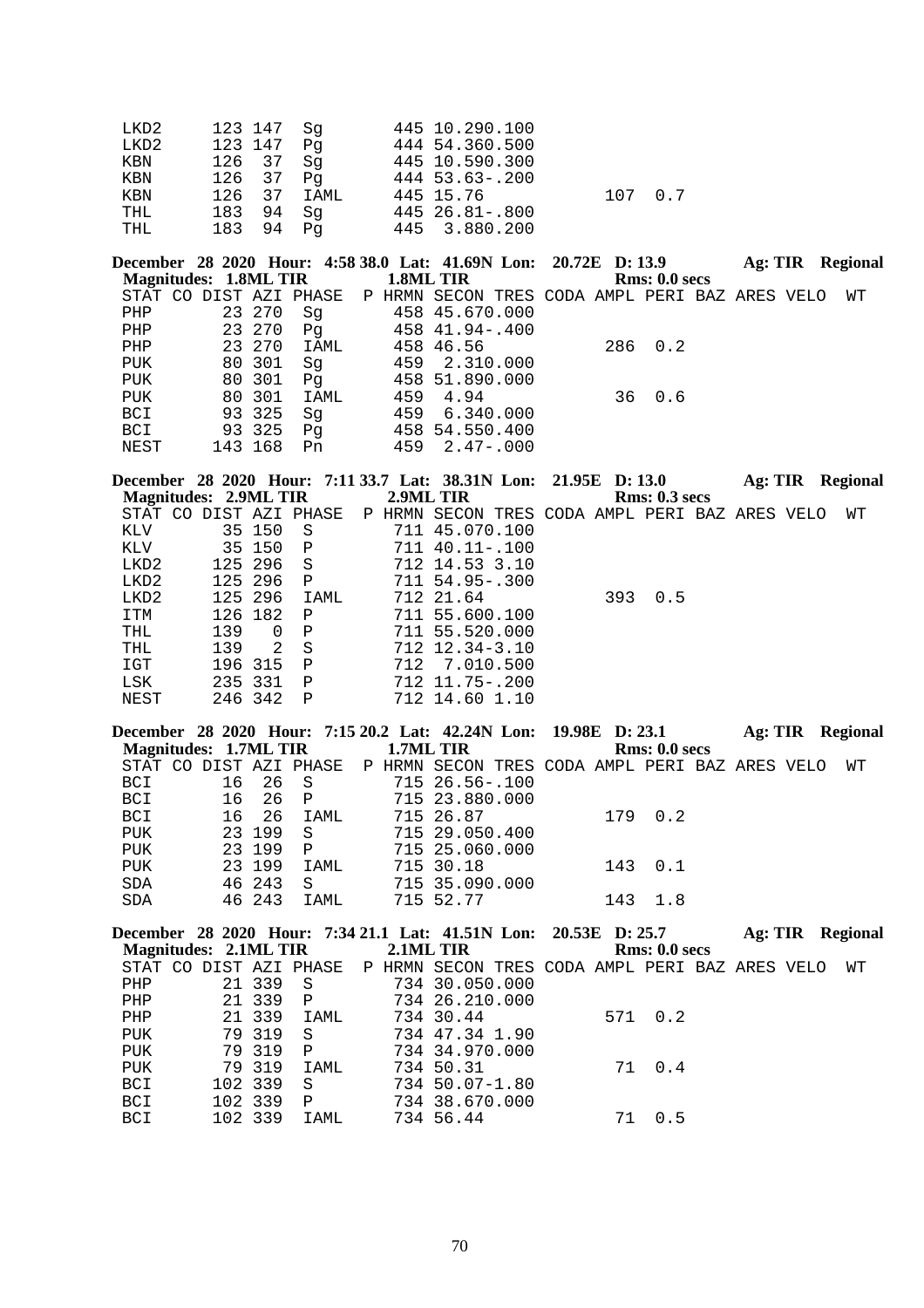| LKD2 | 123 147 Sq  | 445 10.290.100       |  |
|------|-------------|----------------------|--|
| LKD2 | 123 147 Pg  | 444 54.360.500       |  |
| KBN  | 126 37 Sq   | 445 10.590.300       |  |
| KBN  | 126 37 Pq   | 444 53.63-.200       |  |
| KBN  | 126 37 IAML | 445 15.76<br>107 0.7 |  |
| THL  | 183 94 Sq   | 445 26.81-.800       |  |
| THL  | 183 94 Pq   | 445 3.880.200        |  |

December 28 2020 Hour: 4:58 38.0 Lat: 41.69N Lon: 20.72E D: 13.9 Ag: TIR Regional **Magnitudes: 1.8ML TIR 1.8ML TIR Rms: 0.0 secs** STAT CO DIST AZI PHASE P HRMN SECON TRES CODA AMPL PERI BAZ ARES VELO WT

|      |  |         | DINI CO DIDI NGI LIMOG |  | THUTH DECON INED CODA ATLE FERT DAD ANDO VEED |  |         |  |  |
|------|--|---------|------------------------|--|-----------------------------------------------|--|---------|--|--|
| PHP  |  | 23 270  | Sq                     |  | 458 45.670.000                                |  |         |  |  |
| PHP  |  | 23 270  | Pq                     |  | 458 41.94-.400                                |  |         |  |  |
| PHP  |  | 23 270  | IAML                   |  | 458 46.56                                     |  | 286 0.2 |  |  |
| PUK  |  | 80 301  | Sq                     |  | 459 2.310.000                                 |  |         |  |  |
| PUK  |  | 80 301  | Pa                     |  | 458 51.890.000                                |  |         |  |  |
| PUK  |  | 80 301  | IAML                   |  | 459 4.94                                      |  | 36 0.6  |  |  |
| BCI  |  | 93 325  | Sq                     |  | 459 6.340.000                                 |  |         |  |  |
| BCI  |  | 93 325  | Pq                     |  | 458 54.550.400                                |  |         |  |  |
| NEST |  | 143 168 | Pn                     |  | $459 \quad 2.47 - .000$                       |  |         |  |  |
|      |  |         |                        |  |                                               |  |         |  |  |

|     |          |                                                                                    |                                                                 |                                        |                                                                                                                                                                                              |     |                                                                         |                      | <b>Regional</b>                              |
|-----|----------|------------------------------------------------------------------------------------|-----------------------------------------------------------------|----------------------------------------|----------------------------------------------------------------------------------------------------------------------------------------------------------------------------------------------|-----|-------------------------------------------------------------------------|----------------------|----------------------------------------------|
|     |          |                                                                                    |                                                                 |                                        |                                                                                                                                                                                              |     |                                                                         |                      |                                              |
|     |          |                                                                                    |                                                                 |                                        |                                                                                                                                                                                              |     |                                                                         |                      | WТ                                           |
|     |          | - S                                                                                |                                                                 |                                        |                                                                                                                                                                                              |     |                                                                         |                      |                                              |
|     |          | $\mathbf{P}$                                                                       | 711                                                             |                                        |                                                                                                                                                                                              |     |                                                                         |                      |                                              |
|     |          | - S                                                                                |                                                                 |                                        |                                                                                                                                                                                              |     |                                                                         |                      |                                              |
|     |          | $\mathbf{P}$                                                                       |                                                                 |                                        |                                                                                                                                                                                              |     |                                                                         |                      |                                              |
|     |          | IAML                                                                               |                                                                 |                                        |                                                                                                                                                                                              | 0.5 |                                                                         |                      |                                              |
|     |          | $\mathsf{P}$                                                                       |                                                                 |                                        |                                                                                                                                                                                              |     |                                                                         |                      |                                              |
| 139 | $\Omega$ | P                                                                                  |                                                                 |                                        |                                                                                                                                                                                              |     |                                                                         |                      |                                              |
| 139 |          | -S                                                                                 |                                                                 |                                        |                                                                                                                                                                                              |     |                                                                         |                      |                                              |
|     |          | $\mathsf{P}$                                                                       |                                                                 |                                        |                                                                                                                                                                                              |     |                                                                         |                      |                                              |
|     |          | $\mathbf{P}$                                                                       |                                                                 |                                        |                                                                                                                                                                                              |     |                                                                         |                      |                                              |
|     |          | P                                                                                  |                                                                 |                                        |                                                                                                                                                                                              |     |                                                                         |                      |                                              |
|     |          | 35 150<br>35 150<br>125 296<br>125 296<br>126 182<br>196 315<br>235 331<br>246 342 | Magnitudes: 2.9ML TIR<br>STAT CO DIST AZI PHASE<br>125 296<br>2 | 2.9ML TIR<br>P HRMN SECON<br>712 21.64 | 711 45.070.100<br>40.11-.100<br>712 14.53 3.10<br>$711\ \,54.95 - .300$<br>711 55.600.100<br>711 55.520.000<br>$712 \quad 12.34 - 3.10$<br>712 7.010.500<br>712 11.75-.200<br>712 14.60 1.10 |     | December 28 2020 Hour: 7:11 33.7 Lat: 38.31N Lon: 21.95E D: 13.0<br>393 | <b>Rms: 0.3 secs</b> | Ag: TIR<br>TRES CODA AMPL PERI BAZ ARES VELO |

|                       |    |         |              |           | December 28 2020 Hour: 7:15 20.2 Lat: 42.24N Lon: 19.98E D: 23.1       |         |               |  | Ag: TIR Regional |
|-----------------------|----|---------|--------------|-----------|------------------------------------------------------------------------|---------|---------------|--|------------------|
| Magnitudes: 1.7ML TIR |    |         |              | 1.7ML TIR |                                                                        |         | Rms: 0.0 secs |  |                  |
|                       |    |         |              |           | STAT CO DIST AZI PHASE PP HRMN SECON TRES CODA AMPL PERI BAZ ARES VELO |         |               |  | WТ               |
| BCI                   |    | 16 26 S |              |           | 715 26.56-.100                                                         |         |               |  |                  |
| BCI                   | 16 | 26 P    |              |           | 715 23.880.000                                                         |         |               |  |                  |
| BCI                   |    | 16 26   | IAML         |           | 715 26.87                                                              | 179 0.2 |               |  |                  |
| PUK                   |    | 23 199  | - S          |           | 715 29.050.400                                                         |         |               |  |                  |
| <b>PUK</b>            |    | 23 199  | $\mathbf{P}$ |           | 715 25.060.000                                                         |         |               |  |                  |
| <b>PUK</b>            |    | 23 199  | IAML         |           | 715 30.18                                                              | 1430.1  |               |  |                  |
| <b>SDA</b>            |    | 46 243  | -S           |           | 715 35.090.000                                                         |         |               |  |                  |
| <b>SDA</b>            |    | 46 243  | IAML         |           | 715 52.77                                                              | 143     | 1.8           |  |                  |

|                       |  |          | December 28 2020 Hour: 7:34 21.1 Lat: 41.51N Lon: 20.53E D: 25.7       |           |                |  |    |               | Ag: TIR | Regional |
|-----------------------|--|----------|------------------------------------------------------------------------|-----------|----------------|--|----|---------------|---------|----------|
| Magnitudes: 2.1ML TIR |  |          |                                                                        | 2.1ML TIR |                |  |    | Rms: 0.0 secs |         |          |
|                       |  |          | STAT CO DIST AZI PHASE PP HRMN SECON TRES CODA AMPL PERI BAZ ARES VELO |           |                |  |    |               |         | WТ       |
| PHP                   |  | 21 339   | - S                                                                    |           | 734 30.050.000 |  |    |               |         |          |
| PHP                   |  | 21 339 P |                                                                        |           | 734 26.210.000 |  |    |               |         |          |
| PHP                   |  | 21 339   | IAML                                                                   |           | 734 30.44      |  |    | 571 0.2       |         |          |
| PUK                   |  | 79 319   | S                                                                      |           | 734 47.34 1.90 |  |    |               |         |          |
| <b>PUK</b>            |  | 79 319   | $\mathsf{P}$                                                           |           | 734 34.970.000 |  |    |               |         |          |
| <b>PUK</b>            |  | 79 319   | IAML                                                                   |           | 734 50.31      |  |    | 71 0.4        |         |          |
| BCI                   |  | 102 339  | S                                                                      |           | 734 50.07-1.80 |  |    |               |         |          |
| BCI                   |  | 102 339  | P                                                                      |           | 734 38.670.000 |  |    |               |         |          |
| BCI                   |  | 102 339  | IAML                                                                   |           | 734 56.44      |  | 71 | 0.5           |         |          |
|                       |  |          |                                                                        |           |                |  |    |               |         |          |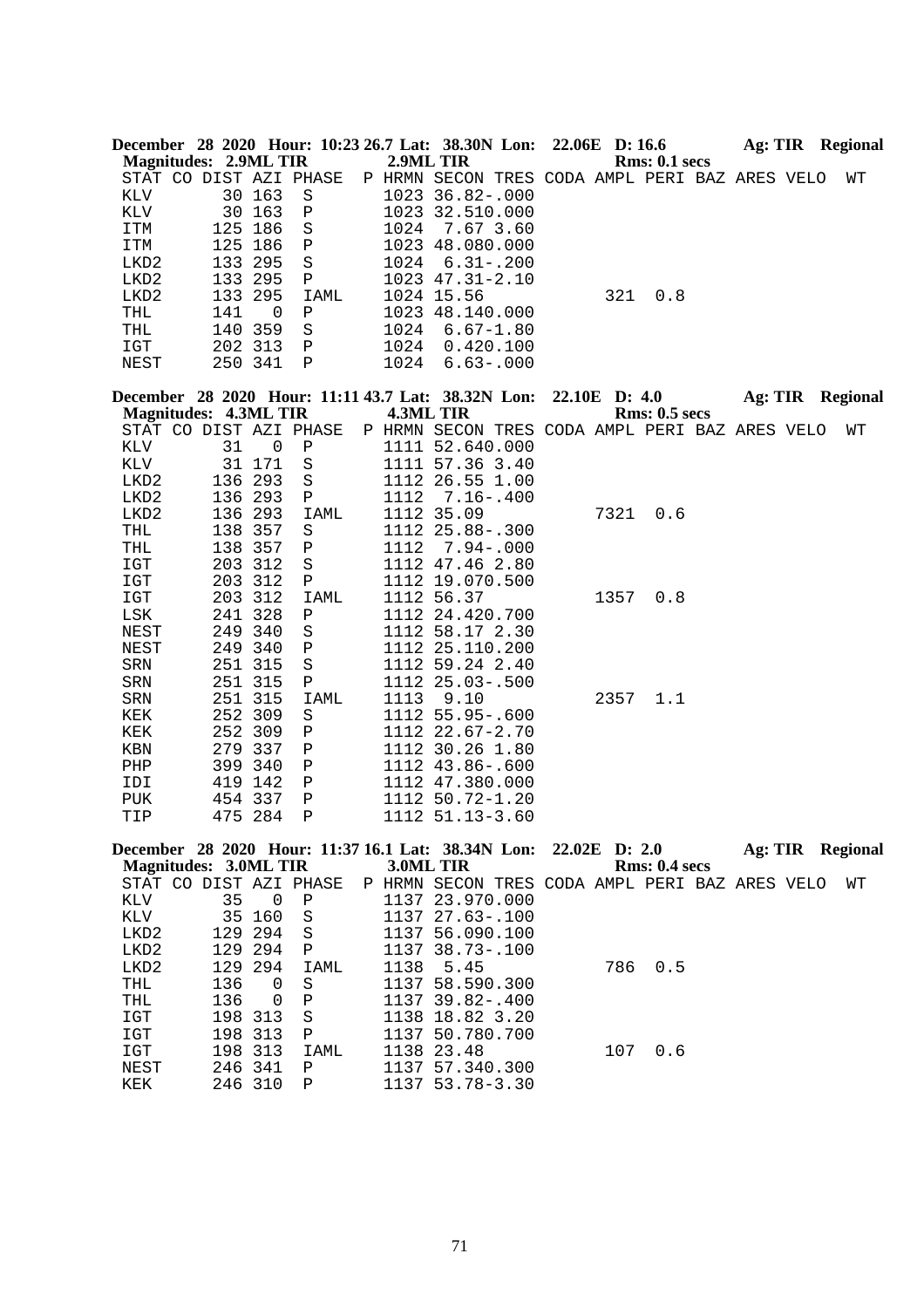|              |                              |             | December 28 2020 Hour: 10:23 26.7 Lat: 38.30N Lon:               |           |                                                | 22.06E D: 16.6 |      |                      | <b>Ag: TIR</b> Regional |  |    |
|--------------|------------------------------|-------------|------------------------------------------------------------------|-----------|------------------------------------------------|----------------|------|----------------------|-------------------------|--|----|
|              | <b>Magnitudes: 2.9ML TIR</b> |             |                                                                  | 2.9ML TIR |                                                |                |      | <b>Rms: 0.1 secs</b> |                         |  |    |
|              |                              |             | STAT CO DIST AZI PHASE                                           |           | P HRMN SECON TRES CODA AMPL PERI BAZ ARES VELO |                |      |                      |                         |  | WΤ |
| KLV          |                              | 30 163      | S                                                                |           | 1023 36.82-.000                                |                |      |                      |                         |  |    |
| KLV          |                              | 30 163      | Ρ                                                                |           | 1023 32.510.000                                |                |      |                      |                         |  |    |
| ITM          | 125                          | 186         | $\rm S$                                                          | 1024      | 7.67 3.60                                      |                |      |                      |                         |  |    |
| ITM          | 125                          | 186         | Ρ                                                                |           | 1023 48.080.000                                |                |      |                      |                         |  |    |
| LKD2         | 133 295                      |             | S                                                                | 1024      | $6.31 - .200$                                  |                |      |                      |                         |  |    |
| LKD2         | 133 295                      |             | Ρ                                                                |           | 1023 47.31-2.10                                |                |      |                      |                         |  |    |
| LKD2         | 133                          | 295         | IAML                                                             |           | 1024 15.56                                     |                | 321  | 0.8                  |                         |  |    |
| THL          | 141                          | $\mathbf 0$ | Ρ                                                                |           | 1023 48.140.000                                |                |      |                      |                         |  |    |
| THL          | 140 359                      |             | S                                                                | 1024      | $6.67 - 1.80$                                  |                |      |                      |                         |  |    |
| IGT          | 202 313                      |             | Ρ                                                                | 1024      | 0.420.100                                      |                |      |                      |                         |  |    |
| NEST         | 250 341                      |             | Ρ                                                                | 1024      | $6.63 - .000$                                  |                |      |                      |                         |  |    |
|              |                              |             |                                                                  |           |                                                |                |      |                      |                         |  |    |
|              | <b>Magnitudes: 4.3ML TIR</b> |             | December 28 2020 Hour: 11:11 43.7 Lat: 38.32N Lon:               | 4.3ML TIR |                                                | 22.10E D: 4.0  |      | <b>Rms: 0.5 secs</b> | <b>Ag: TIR</b> Regional |  |    |
|              |                              |             | STAT CO DIST AZI PHASE                                           |           | P HRMN SECON TRES CODA AMPL PERI BAZ ARES VELO |                |      |                      |                         |  | WΤ |
| KLV          | 31                           | 0           |                                                                  |           |                                                |                |      |                      |                         |  |    |
| KLV          |                              | 31 171      | Ρ                                                                |           | 1111 52.640.000<br>1111 57.36 3.40             |                |      |                      |                         |  |    |
|              | 136                          | 293         | S<br>$\rm S$                                                     |           | 1112 26.55 1.00                                |                |      |                      |                         |  |    |
| LKD2         |                              |             |                                                                  |           |                                                |                |      |                      |                         |  |    |
| LKD2         | 136 293                      |             | Ρ                                                                | 1112      | $7.16 - .400$                                  |                |      |                      |                         |  |    |
| LKD2         | 136 293                      |             | IAML                                                             |           | 1112 35.09                                     |                | 7321 | 0.6                  |                         |  |    |
| THL          | 138                          | 357         | S                                                                |           | 1112 25.88 -. 300                              |                |      |                      |                         |  |    |
| THL          | 138                          | 357         | Ρ                                                                | 1112      | $7.94 - .000$                                  |                |      |                      |                         |  |    |
| IGT          | 203 312                      |             | $\rm S$                                                          |           | 1112 47.46 2.80                                |                |      |                      |                         |  |    |
| IGT          | 203 312                      |             | Ρ                                                                |           | 1112 19.070.500                                |                |      |                      |                         |  |    |
| IGT          | 203 312                      |             | IAML                                                             |           | 1112 56.37                                     |                | 1357 | 0.8                  |                         |  |    |
| $_{\rm LSK}$ | 241 328                      |             | Ρ                                                                |           | 1112 24.420.700                                |                |      |                      |                         |  |    |
| NEST         | 249                          | 340         | S                                                                |           | 1112 58.17 2.30                                |                |      |                      |                         |  |    |
| NEST         | 249 340                      |             | Ρ                                                                |           | 1112 25.110.200                                |                |      |                      |                         |  |    |
| SRN          | 251 315                      |             | S                                                                |           | 1112 59.24 2.40                                |                |      |                      |                         |  |    |
| SRN          | 251 315                      |             | Ρ                                                                |           | 1112 25.03-.500                                |                |      |                      |                         |  |    |
| SRN          | 251 315                      |             | IAML                                                             | 1113      | 9.10                                           |                | 2357 | 1.1                  |                         |  |    |
| KEK          | 252 309                      |             | S                                                                |           | 1112 55.95 -. 600                              |                |      |                      |                         |  |    |
| KEK          | 252                          | 309         | Ρ                                                                |           | 1112 22.67-2.70                                |                |      |                      |                         |  |    |
| KBN          | 279 337                      |             | Ρ                                                                |           | 1112 30.26 1.80                                |                |      |                      |                         |  |    |
| PHP          | 399 340                      |             | Ρ                                                                |           | 1112 43.86-.600                                |                |      |                      |                         |  |    |
| IDI          | 419 142                      |             | Ρ                                                                |           | 1112 47.380.000                                |                |      |                      |                         |  |    |
| PUK          | 454 337                      |             | Ρ                                                                |           | 1112 50.72-1.20                                |                |      |                      |                         |  |    |
| TIP          | 475 284                      |             | Ρ                                                                |           | 1112 51.13-3.60                                |                |      |                      |                         |  |    |
|              |                              |             | December 28 2020 Hour: 11:37 16.1 Lat: 38.34N Lon: 22.02E D: 2.0 |           |                                                |                |      |                      | <b>Ag: TIR Regional</b> |  |    |
|              | <b>Magnitudes: 3.0ML TIR</b> |             |                                                                  | 3.0ML TIR |                                                |                |      | <b>Rms: 0.4 secs</b> |                         |  |    |
|              |                              |             | STAT CO DIST AZI PHASE                                           |           | P HRMN SECON TRES CODA AMPL PERI BAZ ARES VELO |                |      |                      |                         |  | WТ |
| KLV          | 35                           | $\mathbf 0$ | Ρ                                                                |           | 1137 23.970.000                                |                |      |                      |                         |  |    |
| KLV          | 35                           | 160         | $\rm S$                                                          |           | 1137 27.63-.100                                |                |      |                      |                         |  |    |
| LKD2         | 129                          | 294         | S                                                                |           | 1137 56.090.100                                |                |      |                      |                         |  |    |
| LKD2         | 129                          | 294         | Ρ                                                                |           | 1137 38.73-.100                                |                |      |                      |                         |  |    |
| LKD2         | 129                          | 294         | IAML                                                             | 1138      | 5.45                                           |                | 786  | 0.5                  |                         |  |    |
| THL          | 136                          | 0           | $\rm S$                                                          | 1137      | 58.590.300                                     |                |      |                      |                         |  |    |
| THL          | 136                          | 0           | Ρ                                                                |           | 1137 39.82-.400                                |                |      |                      |                         |  |    |
| IGT          | 198 313                      |             | $\rm S$                                                          | 1138      | 18.82 3.20                                     |                |      |                      |                         |  |    |
| $_{\tt ICT}$ | 198                          | 313         | Ρ                                                                | 1137      | 50.780.700                                     |                |      |                      |                         |  |    |
| $_{\tt ICT}$ | 198                          | 313         | IAML                                                             | 1138      | 23.48                                          |                | 107  | 0.6                  |                         |  |    |
| NEST         | 246                          | 341         | Ρ                                                                | 1137      | 57.340.300                                     |                |      |                      |                         |  |    |
| KEK          | 246 310                      |             | Ρ                                                                | 1137      | $53.78 - 3.30$                                 |                |      |                      |                         |  |    |
|              |                              |             |                                                                  |           |                                                |                |      |                      |                         |  |    |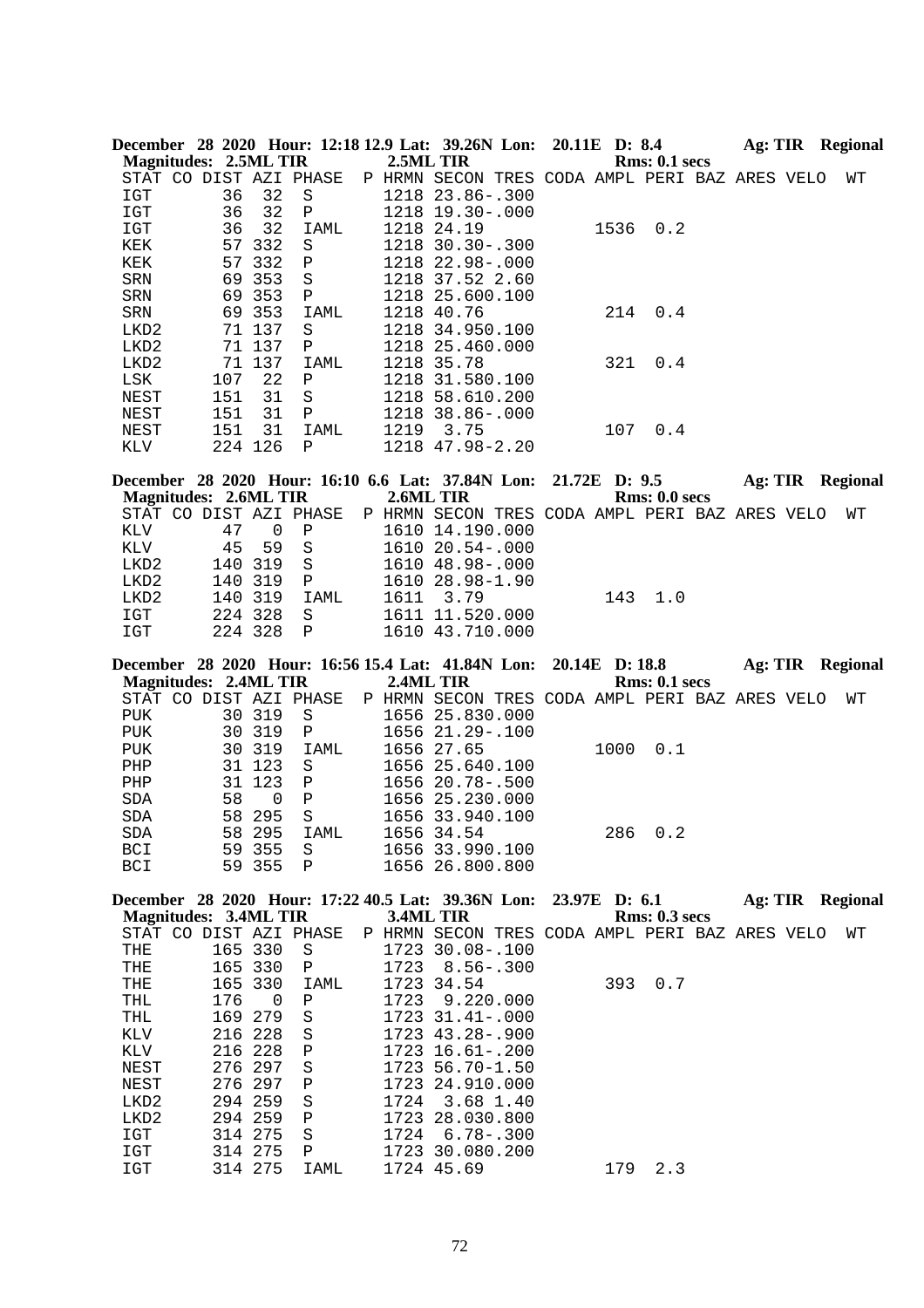|                      |                              |                    |        |              | 2.5ML TIR | December 28 2020 Hour: 12:18 12.9 Lat: 39.26N Lon: 20.11E D: 8.4 |                  |               |                      |  | Ag: TIR Regional        |
|----------------------|------------------------------|--------------------|--------|--------------|-----------|------------------------------------------------------------------|------------------|---------------|----------------------|--|-------------------------|
|                      | <b>Magnitudes: 2.5ML TIR</b> |                    |        |              |           |                                                                  |                  |               | Rms: 0.1 secs        |  |                         |
|                      | STAT CO DIST AZI PHASE       |                    |        |              |           | P HRMN SECON TRES CODA AMPL PERI BAZ ARES VELO                   |                  |               |                      |  | WΤ                      |
| IGT                  |                              | 36                 | 32     | S            |           | 1218 23.86 -. 300                                                |                  |               |                      |  |                         |
| IGT                  |                              | 36                 | 32     | Ρ            |           | 1218 19.30 -. 000                                                |                  |               |                      |  |                         |
| IGT                  |                              | 36                 | 32     | IAML         |           | 1218 24.19                                                       |                  | 1536          | 0.2                  |  |                         |
| KEK                  |                              | 57                 | 332    | S            |           | 1218 30.30 -. 300                                                |                  |               |                      |  |                         |
| KEK                  |                              | 57                 | 332    | $\, {\bf P}$ |           | 1218 22.98-.000                                                  |                  |               |                      |  |                         |
| SRN                  |                              | 69                 | 353    | S            |           | 1218 37.52 2.60                                                  |                  |               |                      |  |                         |
| SRN                  |                              | 69 353             |        | Ρ            |           | 1218 25.600.100                                                  |                  |               |                      |  |                         |
| SRN                  |                              | 69 353             |        | IAML         |           | 1218 40.76                                                       |                  | 214           | 0.4                  |  |                         |
| LKD2                 |                              | 71 137             |        | S            |           | 1218 34.950.100                                                  |                  |               |                      |  |                         |
| LKD2                 |                              | 71 137             |        | Ρ            |           | 1218 25.460.000                                                  |                  |               |                      |  |                         |
| LKD2                 |                              | 71 137             |        | IAML         |           | 1218 35.78                                                       |                  | 321           | 0.4                  |  |                         |
| LSK                  |                              | 107                | 22     | Ρ            |           | 1218 31.580.100                                                  |                  |               |                      |  |                         |
| NEST                 |                              | 151                | 31     | $\rm S$      |           | 1218 58.610.200                                                  |                  |               |                      |  |                         |
| NEST                 |                              | 151                | 31     | Ρ            |           | 1218 38.86-.000                                                  |                  |               |                      |  |                         |
| NEST                 |                              | 151                | 31     | IAML         |           | 1219 3.75                                                        |                  | 107           | 0.4                  |  |                         |
| KLV                  |                              | 224 126            |        | Ρ            |           | 1218 47.98-2.20                                                  |                  |               |                      |  |                         |
|                      |                              |                    |        |              |           | December 28 2020 Hour: 16:10 6.6 Lat: 37.84N Lon:                |                  | 21.72E D: 9.5 |                      |  | Ag: TIR Regional        |
|                      | <b>Magnitudes: 2.6ML TIR</b> |                    |        |              | 2.6ML TIR |                                                                  |                  |               | Rms: 0.0 secs        |  |                         |
|                      | STAT CO DIST AZI PHASE       |                    |        |              |           | P HRMN SECON TRES CODA AMPL PERI BAZ ARES VELO                   |                  |               |                      |  | WΤ                      |
| KLV                  |                              | 47                 | 0      | Ρ            |           | 1610 14.190.000                                                  |                  |               |                      |  |                         |
| KLV                  |                              | 45                 | 59     | S            |           | 1610 20.54 -. 000                                                |                  |               |                      |  |                         |
| LKD2                 |                              | 140                | 319    | $\rm S$      |           | 1610 48.98-.000                                                  |                  |               |                      |  |                         |
| LKD2                 |                              | 140                | 319    | Ρ            |           | 1610 28.98-1.90                                                  |                  |               |                      |  |                         |
| LKD2                 |                              | 140                | 319    | IAML         | 1611      | 3.79                                                             |                  | 143           | 1.0                  |  |                         |
| IGT                  |                              | 224 328            |        | S            |           | 1611 11.520.000                                                  |                  |               |                      |  |                         |
| IGT                  |                              | 224 328            |        | $\mathbf{P}$ |           | 1610 43.710.000                                                  |                  |               |                      |  |                         |
|                      |                              |                    |        |              |           |                                                                  |                  |               |                      |  |                         |
|                      |                              |                    |        |              |           |                                                                  |                  |               |                      |  |                         |
|                      |                              |                    |        |              |           | December 28 2020 Hour: 16:56 15.4 Lat: 41.84N Lon:               | $20.14E$ D: 18.8 |               |                      |  | Ag: TIR Regional        |
|                      | <b>Magnitudes: 2.4ML TIR</b> |                    |        |              | 2.4ML TIR |                                                                  |                  |               | <b>Rms: 0.1 secs</b> |  |                         |
|                      | STAT CO DIST AZI PHASE       |                    |        |              |           | P HRMN SECON TRES CODA AMPL PERI BAZ ARES VELO                   |                  |               |                      |  | WТ                      |
| <b>PUK</b>           |                              | 30 319             |        | S            |           | 1656 25.830.000                                                  |                  |               |                      |  |                         |
| <b>PUK</b>           |                              | 30 319             |        | Ρ            |           | 1656 21.29 -. 100                                                |                  |               |                      |  |                         |
| <b>PUK</b>           |                              | 30                 | 319    | IAML         |           | 1656 27.65                                                       |                  | 1000          | 0.1                  |  |                         |
| PHP                  |                              | 31                 | 123    | S            |           | 1656 25.640.100                                                  |                  |               |                      |  |                         |
| PHP                  |                              | 31                 | 123    | $\mathbf P$  |           | 1656 20.78-.500                                                  |                  |               |                      |  |                         |
| SDA                  |                              | 58                 | 0      | $\, {\bf P}$ |           | 1656 25.230.000                                                  |                  |               |                      |  |                         |
| SDA                  |                              | 58 295             |        | $\rm S$      |           | 1656 33.940.100                                                  |                  |               |                      |  |                         |
| $\operatorname{SDA}$ |                              |                    | 58 295 | IAML         |           | 1656 34.54                                                       |                  |               | 286 0.2              |  |                         |
| BCI<br>BCI           |                              | 59 355<br>59 355   |        | S<br>Ρ       |           | 1656 33.990.100<br>1656 26.800.800                               |                  |               |                      |  |                         |
|                      |                              |                    |        |              |           |                                                                  |                  |               |                      |  |                         |
|                      |                              |                    |        |              |           | December 28 2020 Hour: 17:22 40.5 Lat: 39.36N Lon:               |                  | 23.97E D: 6.1 |                      |  | <b>Ag: TIR Regional</b> |
|                      | <b>Magnitudes: 3.4ML TIR</b> |                    |        |              | 3.4ML TIR |                                                                  |                  |               | Rms: 0.3 secs        |  |                         |
|                      | STAT CO DIST AZI PHASE       |                    |        |              |           | P HRMN SECON TRES CODA AMPL PERI BAZ ARES VELO                   |                  |               |                      |  | WΤ                      |
| THE                  |                              | 165 330            |        | S            |           | 1723 30.08-.100                                                  |                  |               |                      |  |                         |
| THE                  |                              | 165 330            |        | Ρ            | 1723      | $8.56 - .300$                                                    |                  |               |                      |  |                         |
| THE                  |                              | 165                | 330    | IAML         |           | 1723 34.54                                                       |                  | 393           | 0.7                  |  |                         |
| THL                  |                              | 176                | 0      | Ρ            | 1723      | 9.220.000                                                        |                  |               |                      |  |                         |
| THL                  |                              | 169                | 279    | S            |           | 1723 31.41 -. 000                                                |                  |               |                      |  |                         |
| KLV                  |                              | 216 228            |        | S            |           | 1723 43.28 -. 900                                                |                  |               |                      |  |                         |
| KLV                  |                              | 216 228            |        | Ρ            |           | 1723 16.61 -. 200                                                |                  |               |                      |  |                         |
| NEST                 |                              | 276                | 297    | S            |           | 1723 56.70-1.50                                                  |                  |               |                      |  |                         |
| NEST                 |                              | 276 297            |        | Ρ            |           | 1723 24.910.000                                                  |                  |               |                      |  |                         |
| LKD2                 |                              | 294 259            |        | S            | 1724      | 3.68 1.40                                                        |                  |               |                      |  |                         |
| LKD2                 |                              | 294 259            |        | Ρ            |           | 1723 28.030.800                                                  |                  |               |                      |  |                         |
| IGT                  |                              | 314 275            |        | S            | 1724      | $6.78 - .300$                                                    |                  |               |                      |  |                         |
| IGT<br>IGT           |                              | 314 275<br>314 275 |        | Ρ<br>IAML    |           | 1723 30.080.200<br>1724 45.69                                    |                  | 179           | 2.3                  |  |                         |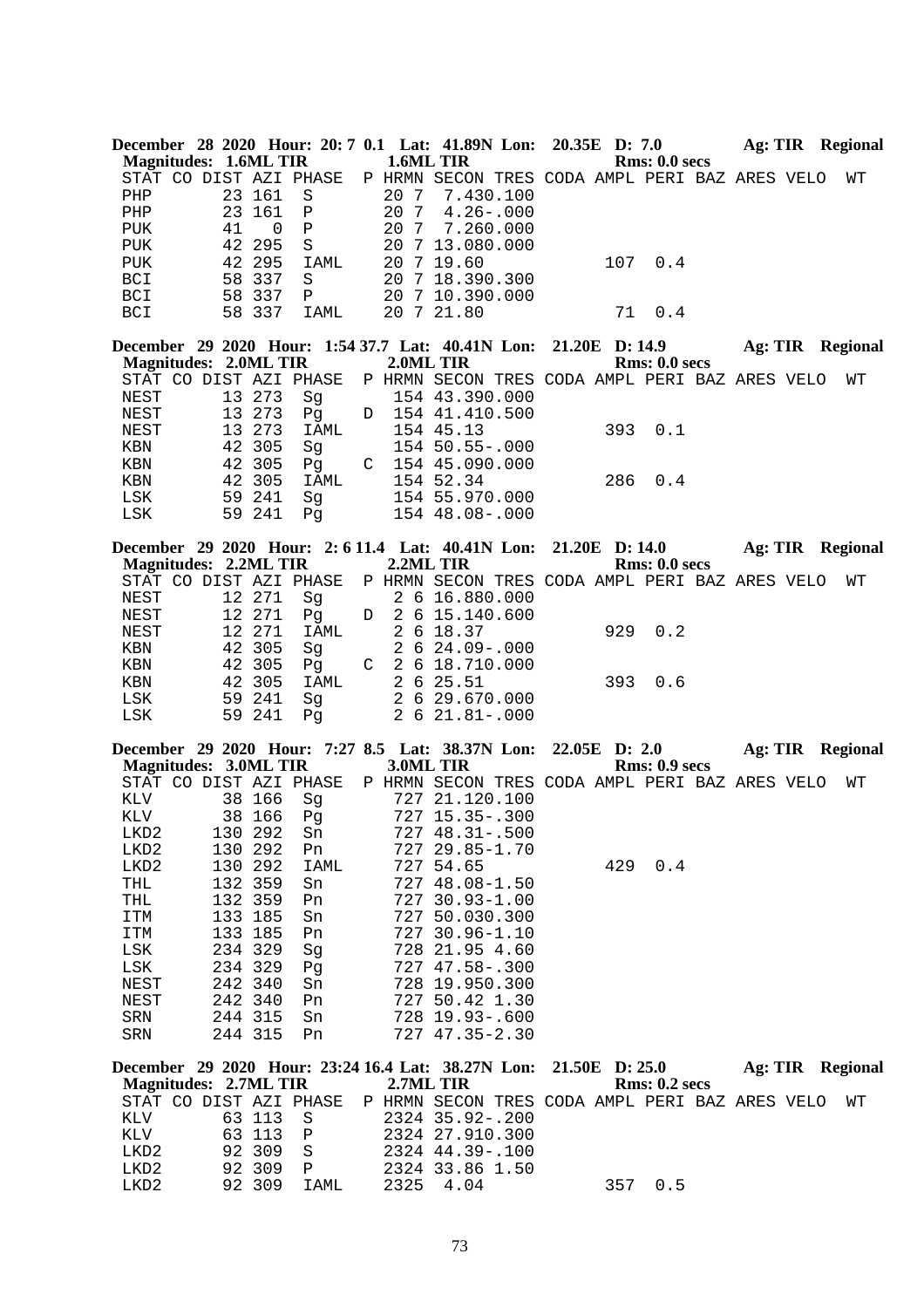| Magnitudes: 1.6ML TIR        |    |                  |                        | 1.6ML TIR | December 28 2020 Hour: 20: 7 0.1 Lat: 41.89N Lon: 20.35E D: 7.0                   |                | Rms: 0.0 secs        |  | Ag: TIR Regional        |
|------------------------------|----|------------------|------------------------|-----------|-----------------------------------------------------------------------------------|----------------|----------------------|--|-------------------------|
|                              |    |                  | STAT CO DIST AZI PHASE |           | P HRMN SECON TRES CODA AMPL PERI BAZ ARES VELO                                    |                |                      |  | WТ                      |
| PHP                          |    | 23 161           | $\rm S$                | 20 7      | 7.430.100                                                                         |                |                      |  |                         |
| PHP                          |    | 23 161           | Ρ                      | 20 7      | $4.26 - .000$                                                                     |                |                      |  |                         |
| <b>PUK</b>                   | 41 |                  | $\, {\bf P}$<br>0      | 20 7      | 7.260.000                                                                         |                |                      |  |                         |
| <b>PUK</b>                   |    | 42 295           | S                      |           | 20 7 13.080.000                                                                   |                |                      |  |                         |
| <b>PUK</b>                   |    | 42 295           | IAML                   |           | 20 7 19.60                                                                        | 107            | 0.4                  |  |                         |
| BCI                          |    | 58 337           | S                      |           | 20 7 18.390.300                                                                   |                |                      |  |                         |
| <b>BCI</b>                   |    | 58 337           | Ρ                      |           | 20 7 10.390.000<br>20 7 21.80                                                     |                | 0.4                  |  |                         |
| <b>BCI</b>                   |    | 58 337           | IAML                   |           |                                                                                   | 71             |                      |  |                         |
|                              |    |                  |                        |           | December 29 2020 Hour: 1:54 37.7 Lat: 40.41N Lon: 21.20E D: 14.9 Ag: TIR Regional |                |                      |  |                         |
| <b>Magnitudes: 2.0ML TIR</b> |    |                  |                        | 2.0ML TIR |                                                                                   |                | Rms: 0.0 secs        |  |                         |
|                              |    |                  | STAT CO DIST AZI PHASE |           | P HRMN SECON TRES CODA AMPL PERI BAZ ARES VELO                                    |                |                      |  | WΤ                      |
| NEST                         |    | 13 273           | Sg                     |           | 154 43.390.000                                                                    |                |                      |  |                         |
| NEST                         |    | 13 273<br>13 273 | Pg<br>IAML             |           | D 154 41.410.500<br>154 45.13                                                     | 393            | 0.1                  |  |                         |
| NEST                         |    | 42 305           |                        |           | 154 50.55-.000                                                                    |                |                      |  |                         |
| KBN<br>KBN                   |    | 42 305           | Sg<br>Pq               |           | $C$ 154 45.090.000                                                                |                |                      |  |                         |
| KBN                          |    | 42 305           | IAML                   |           | 154 52.34                                                                         | 286            | 0.4                  |  |                         |
| LSK                          |    | 59 241           | Sg                     |           | 154 55.970.000                                                                    |                |                      |  |                         |
| LSK                          |    | 59 241           | Pg                     |           | 154 48.08-.000                                                                    |                |                      |  |                         |
|                              |    |                  |                        |           |                                                                                   |                |                      |  |                         |
|                              |    |                  |                        |           | December 29 2020 Hour: 2:6 11.4 Lat: 40.41N Lon: 21.20E D:14.0 Ag: TIR Regional   |                |                      |  |                         |
| <b>Magnitudes: 2.2ML TIR</b> |    |                  | STAT CO DIST AZI PHASE |           | 2.2ML TIR<br>P HRMN SECON TRES CODA AMPL PERI BAZ ARES VELO                       |                | Rms: 0.0 secs        |  |                         |
|                              |    | 12 271           |                        |           | 2 6 16.880.000                                                                    |                |                      |  | WТ                      |
| NEST<br>NEST                 |    | 12 271           | Sg<br>Pq               |           | D 2 6 15.140.600                                                                  |                |                      |  |                         |
| NEST                         |    | 12 271           | IAML                   |           | 2 6 18.37                                                                         | 929            | 0.2                  |  |                         |
| KBN                          |    | 42 305           | Sg                     |           | $2, 6, 24.09 - .000$                                                              |                |                      |  |                         |
| KBN                          |    | 42 305           | Pq                     |           | C 2 6 18.710.000                                                                  |                |                      |  |                         |
|                              |    |                  |                        |           |                                                                                   | 393            | 0.6                  |  |                         |
|                              |    |                  |                        |           |                                                                                   |                |                      |  |                         |
| KBN                          | 42 | 305              | IAML                   |           | 2 6 25.51                                                                         |                |                      |  |                         |
| LSK<br>LSK                   |    | 59 241<br>59 241 | Sg<br>Pg               |           | 2 6 29.670.000<br>2 6 21.81 -. 000                                                |                |                      |  |                         |
|                              |    |                  |                        |           |                                                                                   |                |                      |  |                         |
|                              |    |                  |                        |           | December 29 2020 Hour: 7:27 8.5 Lat: 38.37N Lon: 22.05E D: 2.0 Ag: TIR Regional   |                |                      |  |                         |
| <b>Magnitudes: 3.0ML TIR</b> |    |                  |                        | 3.0ML TIR |                                                                                   |                | Rms: 0.9 secs        |  |                         |
|                              |    |                  | STAT CO DIST AZI PHASE |           | P HRMN SECON TRES CODA AMPL PERI BAZ ARES VELO                                    |                |                      |  | WТ                      |
| KLV<br>KLV                   |    | 38 166           | Sg                     |           | 727 21.120.100                                                                    |                |                      |  |                         |
| LKD2                         |    | 38 166           | Pg<br>130 292 Sn       |           | 727 15.35 -. 300<br>727 48.31 -. 500                                              |                |                      |  |                         |
| LKD2                         |    | 130 292          | Pn                     |           | 727 29.85-1.70                                                                    |                |                      |  |                         |
| LKD2                         |    | 130 292          | IAML                   |           | 727 54.65                                                                         | 429            | 0.4                  |  |                         |
| THL                          |    | 132 359          | Sn                     |           | 727 48.08-1.50                                                                    |                |                      |  |                         |
| THL                          |    | 132 359          | Pn                     |           | 727 30.93-1.00                                                                    |                |                      |  |                         |
| ITM                          |    | 133 185          | Sn                     |           | 727 50.030.300                                                                    |                |                      |  |                         |
| ITM                          |    | 133 185          | Pn                     |           | 727 30.96-1.10                                                                    |                |                      |  |                         |
| LSK                          |    | 234 329          | Sg                     |           | 728 21.95 4.60                                                                    |                |                      |  |                         |
| LSK                          |    | 234 329          | Pg                     |           | 727 47.58-.300                                                                    |                |                      |  |                         |
| NEST                         |    | 242 340          | Sn                     |           | 728 19.950.300                                                                    |                |                      |  |                         |
| NEST                         |    | 242 340          | Pn                     |           | 727 50.42 1.30                                                                    |                |                      |  |                         |
| SRN                          |    | 244 315          | Sn                     |           | 728 19.93-.600                                                                    |                |                      |  |                         |
| SRN                          |    | 244 315          | Pn                     |           | 727 47.35-2.30                                                                    |                |                      |  |                         |
|                              |    |                  |                        |           | December 29 2020 Hour: 23:24 16.4 Lat: 38.27N Lon:                                | 21.50E D: 25.0 |                      |  | <b>Ag: TIR</b> Regional |
| <b>Magnitudes: 2.7ML TIR</b> |    |                  |                        | 2.7ML TIR |                                                                                   |                | <b>Rms: 0.2 secs</b> |  |                         |
|                              |    |                  | STAT CO DIST AZI PHASE |           | P HRMN SECON TRES CODA AMPL PERI BAZ ARES VELO                                    |                |                      |  | WТ                      |
| KLV                          |    | 63 113           | $\rm S$                |           | 2324 35.92-.200                                                                   |                |                      |  |                         |
| KLV                          |    | 63 113           | Ρ                      |           | 2324 27.910.300                                                                   |                |                      |  |                         |
| LKD2                         |    | 92 309           | S                      |           | 2324 44.39-.100                                                                   |                |                      |  |                         |
| LKD2<br>LKD2                 |    | 92 309<br>92 309 | Ρ<br>IAML              | 2325      | 2324 33.86 1.50<br>4.04                                                           | 357            | 0.5                  |  |                         |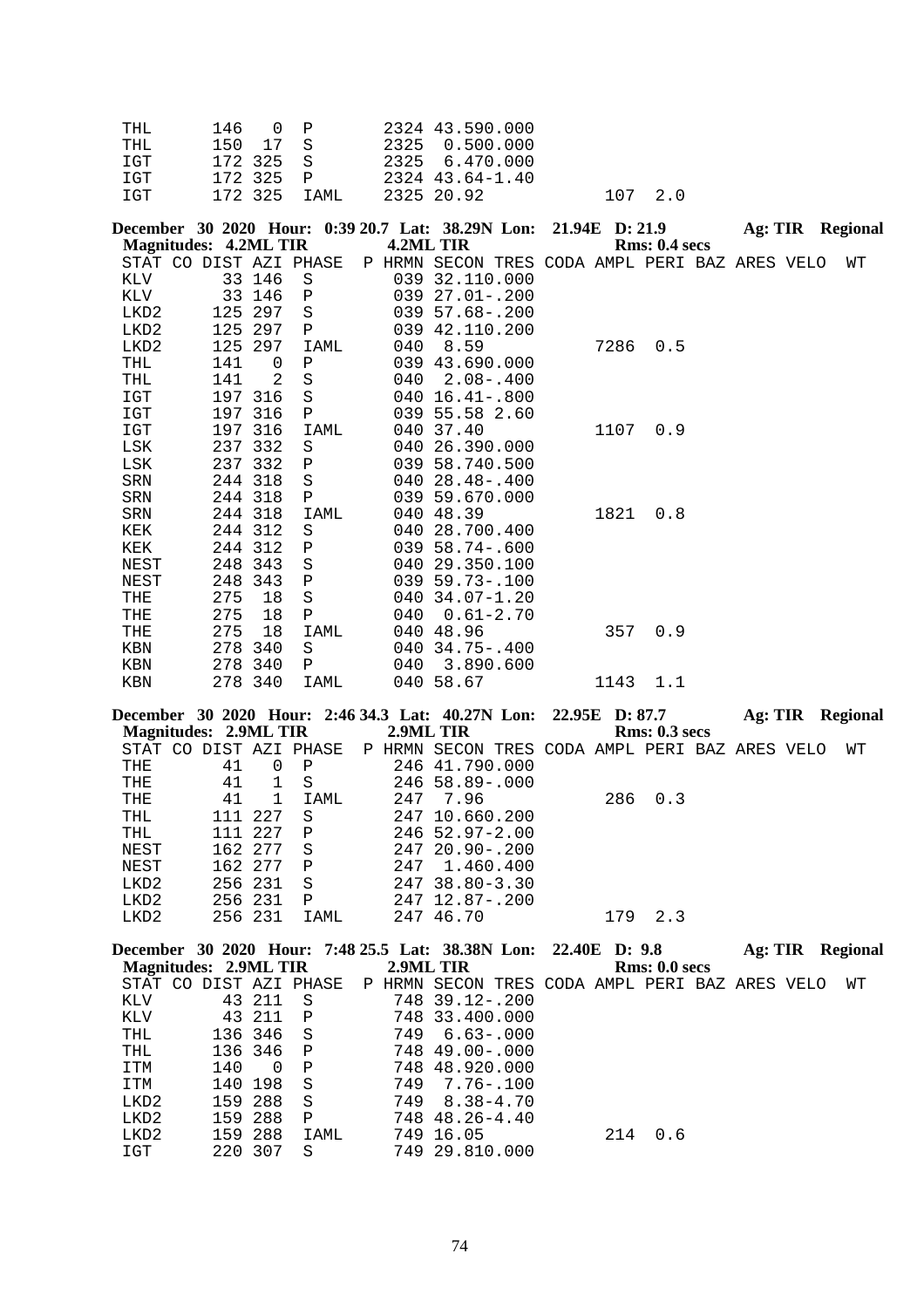| THT. | 146 OP       | 2324 43.590.000 |         |
|------|--------------|-----------------|---------|
| THT. | 150 17 S     | 2325 0.500.000  |         |
| T GT | 172325 S     | 2325 6.470.000  |         |
| T GT | 172325 P     | 2324 43.64-1.40 |         |
| TGT  | 172.325 TAMI | 2325 20.92      | 107 2.0 |

|            | <b>Magnitudes: 4.2ML TIR</b> |         | December 30 2020 Hour: 0:39 20.7 Lat: 38.29N Lon: 21.94E D: 21.9 |     | 4.2ML TIR                                      |               |      | Rms: 0.4~secs |  | Ag: TIR Regional |
|------------|------------------------------|---------|------------------------------------------------------------------|-----|------------------------------------------------|---------------|------|---------------|--|------------------|
|            |                              |         | STAT CO DIST AZI PHASE                                           |     | P HRMN SECON TRES CODA AMPL PERI BAZ ARES VELO |               |      |               |  | WТ               |
| KLV        |                              | 33 146  | S                                                                |     | 039 32.110.000                                 |               |      |               |  |                  |
| KLV        | 33                           | 146     | $\mathbf P$                                                      |     | 039 27.01 -. 200                               |               |      |               |  |                  |
| LKD2       | 125                          | 297     | S                                                                |     | $039\ 57.68 - .200$                            |               |      |               |  |                  |
| LKD2       | 125                          | 297     | P                                                                |     | 039 42.110.200                                 |               |      |               |  |                  |
| LKD2       | 125                          | 297     | IAML                                                             | 040 | 8.59                                           |               | 7286 | 0.5           |  |                  |
| <b>THL</b> | 141                          | 0       | Ρ                                                                |     | 039 43.690.000                                 |               |      |               |  |                  |
| THL        | 141                          | 2       | $\rm S$                                                          | 040 |                                                | $2.08 - .400$ |      |               |  |                  |
| IGT        | 197                          | 316     | S                                                                |     | $040 \ 16.41 - .800$                           |               |      |               |  |                  |
| IGT        | 197                          | 316     | Ρ                                                                |     | 039 55.58 2.60                                 |               |      |               |  |                  |
| IGT        | 197                          | 316     | <b>IAML</b>                                                      |     | 040 37.40                                      |               |      | 1107 0.9      |  |                  |
| LSK        | 237                          | 332     | S                                                                | 040 | 26.390.000                                     |               |      |               |  |                  |
| LSK        |                              | 237 332 | P                                                                |     | 039 58.740.500                                 |               |      |               |  |                  |
| SRN        |                              | 244 318 | S                                                                |     | $04028.48 - .400$                              |               |      |               |  |                  |
| SRN        |                              | 244 318 | Ρ                                                                |     | 039 59.670.000                                 |               |      |               |  |                  |
| SRN        |                              | 244 318 | IAML                                                             |     | 040 48.39                                      |               | 1821 | 0.8           |  |                  |
| KEK        |                              | 244 312 | S                                                                | 040 | 28.700.400                                     |               |      |               |  |                  |
| KEK        |                              | 244 312 | Ρ                                                                |     | $039\ 58.74-.600$                              |               |      |               |  |                  |
| NEST       |                              | 248 343 | S                                                                |     | 040 29.350.100                                 |               |      |               |  |                  |
| NEST       | 248                          | 343     | $\, {\bf P}$                                                     |     | $039$ 59.73-.100                               |               |      |               |  |                  |
| THE        | 275                          | 18      | $\rm S$                                                          |     | 040 34.07-1.20                                 |               |      |               |  |                  |
| THE        | 275                          | 18      | $\, {\bf P}$                                                     | 040 |                                                | $0.61 - 2.70$ |      |               |  |                  |
| THE        | 275                          | 18      | IAML                                                             |     | 040 48.96                                      |               | 357  | 0.9           |  |                  |
| <b>KBN</b> | 278                          | 340     | S                                                                |     | $040, 34.75 - .400$                            |               |      |               |  |                  |
| KBN        | 278                          | 340     | $\mathbf{P}$                                                     | 040 |                                                | 3.890.600     |      |               |  |                  |
| <b>KBN</b> |                              | 278 340 | IAML                                                             |     | 040 58.67                                      |               | 1143 | 1.1           |  |                  |

**December 30 2020 Hour: 2:46 34.3 Lat: 40.27N Lon: 22.95E D: 87.7 Ag: TIR Regional Magnitudes: 2.9ML TIR 2.9ML TIR Rms: 0.3 secs** STAT CO DIST AZI PHASE P HRMN SECON TRES CODA AMPL PERI BAZ ARES VELO WT

|                  |     |         | 0.000 DIU AD 1.000 | 1111111 | UBUUN INBU GUBA AFILB FBILE BAR ARBU |     |         |  | <b>VV</b> + |
|------------------|-----|---------|--------------------|---------|--------------------------------------|-----|---------|--|-------------|
| THE              | 41  |         | P                  |         | 246 41.790.000                       |     |         |  |             |
| THE              | 41  |         | -S                 |         | $246$ 58.89-.000                     |     |         |  |             |
| THE              | 41  |         | IAML               | 247     | 7.96                                 |     | 286 0.3 |  |             |
| <b>THL</b>       | 111 | 227     | S                  |         | 247 10.660.200                       |     |         |  |             |
| THL              | 111 | 227     | P                  |         | $246$ 52.97-2.00                     |     |         |  |             |
| NEST             |     | 162 277 | S                  |         | $24720.90 - 200$                     |     |         |  |             |
| NEST             |     | 162 277 | P                  | 247     | 1.460.400                            |     |         |  |             |
| LKD <sub>2</sub> |     | 256 231 | S                  |         | $247$ 38.80-3.30                     |     |         |  |             |
| LKD2             |     | 256 231 | Ρ                  |         | $247$ 12.87-.200                     |     |         |  |             |
| LKD2             |     | 256 231 | IAML               |         | 247 46.70                            | 179 | 2.3     |  |             |
|                  |     |         |                    |         |                                      |     |         |  |             |

|     |          |                                                       |                                                                                                          |               |                                                                                                                                                                                   |     |                                                                 |                      | <b>Regional</b>                              |
|-----|----------|-------------------------------------------------------|----------------------------------------------------------------------------------------------------------|---------------|-----------------------------------------------------------------------------------------------------------------------------------------------------------------------------------|-----|-----------------------------------------------------------------|----------------------|----------------------------------------------|
|     |          |                                                       |                                                                                                          |               |                                                                                                                                                                                   |     |                                                                 |                      |                                              |
|     |          |                                                       |                                                                                                          |               |                                                                                                                                                                                   |     |                                                                 |                      | WТ                                           |
|     |          | - S                                                   |                                                                                                          |               |                                                                                                                                                                                   |     |                                                                 |                      |                                              |
|     |          | $\mathbf{P}$                                          |                                                                                                          |               |                                                                                                                                                                                   |     |                                                                 |                      |                                              |
|     |          |                                                       |                                                                                                          |               |                                                                                                                                                                                   |     |                                                                 |                      |                                              |
|     |          |                                                       |                                                                                                          |               |                                                                                                                                                                                   |     |                                                                 |                      |                                              |
| 140 | $\Omega$ | $\mathsf{P}$                                          |                                                                                                          |               |                                                                                                                                                                                   |     |                                                                 |                      |                                              |
|     |          | - S                                                   | 749                                                                                                      | $7.76 - .100$ |                                                                                                                                                                                   |     |                                                                 |                      |                                              |
|     |          | -S                                                    |                                                                                                          | $8.38 - 4.70$ |                                                                                                                                                                                   |     |                                                                 |                      |                                              |
|     | 288      | P                                                     |                                                                                                          |               |                                                                                                                                                                                   |     |                                                                 |                      |                                              |
|     |          | IAML                                                  |                                                                                                          |               |                                                                                                                                                                                   | 0.6 |                                                                 |                      |                                              |
|     | 307      | S                                                     |                                                                                                          |               |                                                                                                                                                                                   |     |                                                                 |                      |                                              |
|     |          | 43 211<br>140 198<br>159 288<br>159<br>159 288<br>220 | <b>Magnitudes: 2.9ML TIR</b><br>STAT CO DIST AZI PHASE<br>43 211<br>136 346 S<br>136 346<br>$\mathbf{P}$ |               | 2.9ML TIR<br>P HRMN SECON<br>$748$ 39.12 - .200<br>748 33.400.000<br>749 6.63-.000<br>748 49.00-.000<br>748 48.920.000<br>749<br>748 48.26-4.40<br>749<br>16.05<br>749 29.810.000 | 214 | December 30 2020 Hour: 7:48 25.5 Lat: 38.38N Lon: 22.40E D: 9.8 | <b>Rms: 0.0 secs</b> | Ag: TIR<br>TRES CODA AMPL PERI BAZ ARES VELO |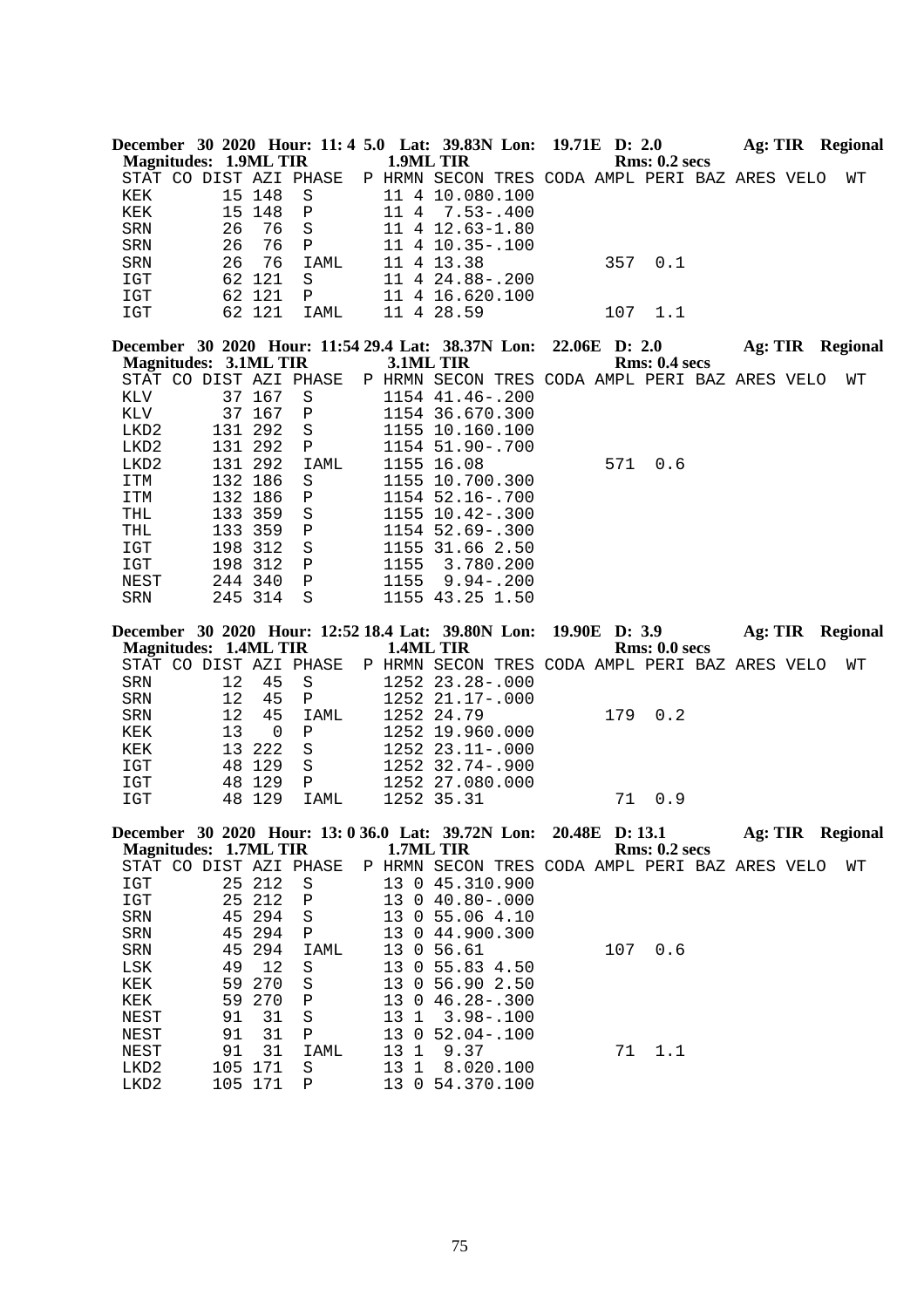| <b>Magnitudes: 1.9ML TIR</b> |                              |    |                  |                        | 1.9ML TIR                                | December 30 2020 Hour: 11: 4 5.0 Lat: 39.83N Lon:                 | 19.71E D: 2.0 | Rms: 0.2~secs        |  | Ag: TIR Regional        |
|------------------------------|------------------------------|----|------------------|------------------------|------------------------------------------|-------------------------------------------------------------------|---------------|----------------------|--|-------------------------|
|                              |                              |    |                  | STAT CO DIST AZI PHASE |                                          | P HRMN SECON TRES CODA AMPL PERI BAZ ARES VELO                    |               |                      |  | WΤ                      |
| KEK                          |                              |    | 15 148           | S                      |                                          | 11 4 10.080.100                                                   |               |                      |  |                         |
| KEK                          |                              |    | 15 148           | Ρ                      | 11 4                                     |                                                                   |               |                      |  |                         |
|                              |                              |    |                  |                        |                                          | $7.53 - .400$                                                     |               |                      |  |                         |
| SRN                          |                              | 26 | 76               | $\rm S$                |                                          | 11 4 12.63-1.80                                                   |               |                      |  |                         |
| SRN                          |                              | 26 | 76               | Ρ                      |                                          | 11 4 10.35 -. 100                                                 |               |                      |  |                         |
| <b>SRN</b>                   |                              | 26 | 76               | IAML                   |                                          | 11 4 13.38                                                        | 357           | 0.1                  |  |                         |
| IGT                          |                              |    | 62 121           | S                      |                                          | 11 4 24.88 -. 200                                                 |               |                      |  |                         |
| IGT                          |                              |    | 62 121           | Ρ                      |                                          | 11 4 16.620.100                                                   |               |                      |  |                         |
| IGT                          |                              |    | 62 121           | IAML                   |                                          | 11 4 28.59                                                        | 107           | 1.1                  |  |                         |
|                              |                              |    |                  |                        |                                          | December 30 2020 Hour: 11:54 29.4 Lat: 38.37N Lon:                | 22.06E D: 2.0 |                      |  | Ag: TIR Regional        |
| <b>Magnitudes: 3.1ML TIR</b> |                              |    |                  |                        |                                          | 3.1ML TIR                                                         |               | Rms: 0.4~secs        |  |                         |
|                              |                              |    |                  | STAT CO DIST AZI PHASE |                                          | P HRMN SECON TRES CODA AMPL PERI BAZ ARES VELO                    |               |                      |  | WΤ                      |
| KLV                          |                              |    | 37 167           | S                      |                                          | 1154 41.46 -. 200                                                 |               |                      |  |                         |
| KLV                          |                              |    | 37 167           | $\, {\bf P}$           |                                          | 1154 36.670.300                                                   |               |                      |  |                         |
| LKD2                         |                              |    | 131 292          | S                      |                                          | 1155 10.160.100                                                   |               |                      |  |                         |
| LKD2                         |                              |    | 131 292          | Ρ                      |                                          | 1154 51.90-.700                                                   |               |                      |  |                         |
| LKD2                         |                              |    | 131 292          | IAML                   |                                          | 1155 16.08                                                        | 571           | 0.6                  |  |                         |
| ITM                          |                              |    | 132 186          | S                      |                                          | 1155 10.700.300                                                   |               |                      |  |                         |
| ITM                          |                              |    | 132 186          | Ρ                      |                                          | 1154 52.16 -. 700                                                 |               |                      |  |                         |
|                              |                              |    |                  |                        |                                          |                                                                   |               |                      |  |                         |
| THL                          |                              |    | 133 359          | $\rm S$                |                                          | 1155 10.42-.300                                                   |               |                      |  |                         |
| THL                          |                              |    | 133 359          | Ρ                      |                                          | 1154 52.69 -. 300                                                 |               |                      |  |                         |
| IGT                          |                              |    | 198 312          | $\rm S$                |                                          | 1155 31.66 2.50                                                   |               |                      |  |                         |
| IGT                          |                              |    | 198 312          | ${\bf P}$              | 1155                                     | 3.780.200                                                         |               |                      |  |                         |
| NEST                         |                              |    | 244 340          | $\, {\bf P}$           | 1155                                     | $9.94 - .200$                                                     |               |                      |  |                         |
| SRN                          |                              |    | 245 314          | $\rm S$                |                                          | 1155 43.25 1.50                                                   |               |                      |  |                         |
|                              |                              |    |                  |                        |                                          |                                                                   |               |                      |  |                         |
|                              |                              |    |                  |                        |                                          | December 30 2020 Hour: 12:52 18.4 Lat: 39.80N Lon:                | 19.90E D: 3.9 |                      |  | Ag: TIR Regional        |
| <b>Magnitudes: 1.4ML TIR</b> |                              |    |                  |                        |                                          | 1.4ML TIR                                                         |               | Rms: 0.0 secs        |  |                         |
|                              |                              |    |                  | STAT CO DIST AZI PHASE |                                          | P HRMN SECON TRES CODA AMPL PERI BAZ ARES VELO                    |               |                      |  | WТ                      |
| SRN                          |                              | 12 | 45               | $\rm S$                |                                          | 1252 23.28 -. 000                                                 |               |                      |  |                         |
| SRN                          |                              | 12 | 45               | Ρ                      |                                          | 1252 21.17-.000                                                   |               |                      |  |                         |
| SRN                          |                              | 12 | 45               | <b>IAML</b>            |                                          | 1252 24.79                                                        | 179           | 0.2                  |  |                         |
|                              |                              |    | $\mathbf 0$      |                        |                                          |                                                                   |               |                      |  |                         |
| KEK                          |                              | 13 |                  | Ρ                      |                                          | 1252 19.960.000                                                   |               |                      |  |                         |
| KEK                          |                              | 13 | 222              | $\rm S$                |                                          | 1252 23.11 -. 000                                                 |               |                      |  |                         |
| IGT                          |                              |    | 48 129           | $\rm S$                |                                          | 1252 32.74 -. 900                                                 |               |                      |  |                         |
| IGT<br>IGT                   |                              |    | 48 129<br>48 129 | Ρ<br>IAML              |                                          | 1252 27.080.000<br>1252 35.31                                     | 71            | 0.9                  |  |                         |
|                              |                              |    |                  |                        |                                          |                                                                   |               |                      |  |                         |
|                              |                              |    |                  |                        |                                          | December 30 2020 Hour: 13: 0 36.0 Lat: 39.72N Lon: 20.48E D: 13.1 |               |                      |  | <b>Ag: TIR Regional</b> |
|                              | <b>Magnitudes: 1.7ML TIR</b> |    |                  |                        |                                          | 1.7ML TIR                                                         |               | <b>Rms: 0.2 secs</b> |  |                         |
|                              |                              |    |                  | STAT CO DIST AZI PHASE |                                          | P HRMN SECON TRES CODA AMPL PERI BAZ ARES VELO                    |               |                      |  | WΤ                      |
| IGT                          |                              |    | 25 212           | $\rm S$                |                                          | 13 0 45.310.900                                                   |               |                      |  |                         |
| $_{\tt IGT}$                 |                              |    | 25 212           | $\, {\bf P}$           | 13                                       | $0$ 40.80 - 000                                                   |               |                      |  |                         |
| ${\tt SRN}$                  |                              | 45 | 294              | $\rm S$                | 13                                       | 0, 55.06, 4.10                                                    |               |                      |  |                         |
| SRN                          |                              | 45 | 294              | Ρ                      |                                          | 13 0 44.900.300                                                   |               |                      |  |                         |
| SRN                          |                              | 45 | 294              | <b>IAML</b>            | 13                                       | 0, 56.61                                                          | 107           | 0.6                  |  |                         |
| LSK                          |                              | 49 | 12               | S                      | 13                                       | 0, 55.83, 4.50                                                    |               |                      |  |                         |
| KEK                          |                              | 59 | 270              | $\rm S$                | 13                                       | 0, 56.90, 2.50                                                    |               |                      |  |                         |
| KEK                          |                              | 59 | 270              | $\, {\bf P}$           | 13                                       | $046.28-.300$                                                     |               |                      |  |                         |
| NEST                         |                              | 91 | 31               | $\rm S$                | 13<br>1                                  | $3.98 - .100$                                                     |               |                      |  |                         |
| NEST                         |                              | 91 | 31               | Ρ                      | 13<br>0                                  | $52.04 - .100$                                                    |               |                      |  |                         |
|                              |                              |    |                  | IAML                   |                                          |                                                                   |               |                      |  |                         |
| NEST<br>LKD2                 |                              | 91 | 31<br>105 171    | S                      | 13<br>$\mathbf{1}$<br>13<br>$\mathbf{1}$ | 9.37<br>8.020.100                                                 | 71            | 1.1                  |  |                         |